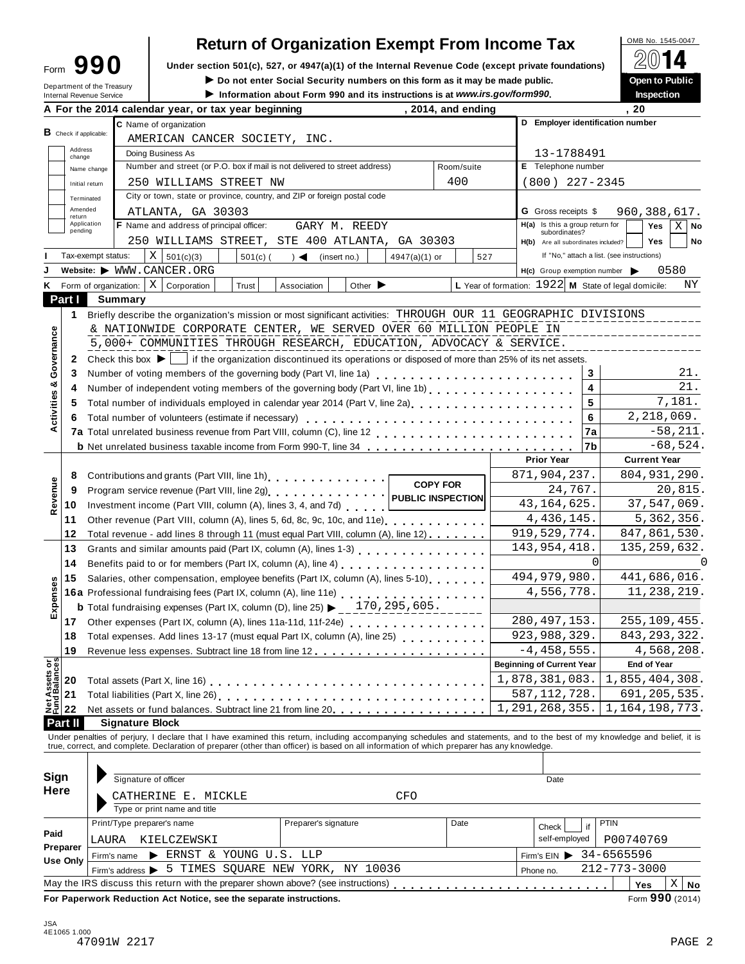| Form                       | 990 |  |
|----------------------------|-----|--|
| Department of the Treasury |     |  |

# **Return of Organization Exempt From Income Tax**<br>section 501(c), 527, or 4947(a)(1) of the Internal Revenue Code (except private foundations)

Form  $\mathbf{990}$  Under section 501(c), 527, or 4947(a)(1) of the Internal Revenue Code (except private foundations)  $\Box$  **EVI**  $\Box$ 

I **Do not enter Social Security numbers on this form as it may be made public. Open to Public**

|  | <b>Inspection</b> |  |  |
|--|-------------------|--|--|
|  |                   |  |  |

| Internal Revenue Service<br><b>B</b> Check if applicable:<br>Address<br>change | A For the 2014 calendar year, or tax year beginning<br>C Name of organization  | Information about Form 990 and its instructions is at www.irs.gov/form990.                                                                                                                                                                                                            |                                                                                                                                                                                                                                                                            |                                                                                                                                                                                                                                                                                                  | , 2014, and ending                                                                                                                                                                           |                                                                                                                                                                                                                                                                                                                                                                                                                                                                                                                                                                    |                                  |                                                                                                                                                                                                                                                                                                                                                                                                                                                                                                                                     | . 20                                                                                                                                                                                                                                                                                                                                                                                                                                                                                              | Inspection                                                                                                                            |                                                                                                                                                                                                                                                                                                                                                                                                                                                                                                                                                                                                                                                                                                                                                                                                                                                                                                              |
|--------------------------------------------------------------------------------|--------------------------------------------------------------------------------|---------------------------------------------------------------------------------------------------------------------------------------------------------------------------------------------------------------------------------------------------------------------------------------|----------------------------------------------------------------------------------------------------------------------------------------------------------------------------------------------------------------------------------------------------------------------------|--------------------------------------------------------------------------------------------------------------------------------------------------------------------------------------------------------------------------------------------------------------------------------------------------|----------------------------------------------------------------------------------------------------------------------------------------------------------------------------------------------|--------------------------------------------------------------------------------------------------------------------------------------------------------------------------------------------------------------------------------------------------------------------------------------------------------------------------------------------------------------------------------------------------------------------------------------------------------------------------------------------------------------------------------------------------------------------|----------------------------------|-------------------------------------------------------------------------------------------------------------------------------------------------------------------------------------------------------------------------------------------------------------------------------------------------------------------------------------------------------------------------------------------------------------------------------------------------------------------------------------------------------------------------------------|---------------------------------------------------------------------------------------------------------------------------------------------------------------------------------------------------------------------------------------------------------------------------------------------------------------------------------------------------------------------------------------------------------------------------------------------------------------------------------------------------|---------------------------------------------------------------------------------------------------------------------------------------|--------------------------------------------------------------------------------------------------------------------------------------------------------------------------------------------------------------------------------------------------------------------------------------------------------------------------------------------------------------------------------------------------------------------------------------------------------------------------------------------------------------------------------------------------------------------------------------------------------------------------------------------------------------------------------------------------------------------------------------------------------------------------------------------------------------------------------------------------------------------------------------------------------------|
|                                                                                |                                                                                |                                                                                                                                                                                                                                                                                       |                                                                                                                                                                                                                                                                            |                                                                                                                                                                                                                                                                                                  |                                                                                                                                                                                              |                                                                                                                                                                                                                                                                                                                                                                                                                                                                                                                                                                    |                                  |                                                                                                                                                                                                                                                                                                                                                                                                                                                                                                                                     |                                                                                                                                                                                                                                                                                                                                                                                                                                                                                                   |                                                                                                                                       |                                                                                                                                                                                                                                                                                                                                                                                                                                                                                                                                                                                                                                                                                                                                                                                                                                                                                                              |
|                                                                                |                                                                                |                                                                                                                                                                                                                                                                                       |                                                                                                                                                                                                                                                                            |                                                                                                                                                                                                                                                                                                  |                                                                                                                                                                                              |                                                                                                                                                                                                                                                                                                                                                                                                                                                                                                                                                                    | D Employer identification number |                                                                                                                                                                                                                                                                                                                                                                                                                                                                                                                                     |                                                                                                                                                                                                                                                                                                                                                                                                                                                                                                   |                                                                                                                                       |                                                                                                                                                                                                                                                                                                                                                                                                                                                                                                                                                                                                                                                                                                                                                                                                                                                                                                              |
|                                                                                | AMERICAN CANCER SOCIETY, INC.                                                  |                                                                                                                                                                                                                                                                                       |                                                                                                                                                                                                                                                                            |                                                                                                                                                                                                                                                                                                  |                                                                                                                                                                                              |                                                                                                                                                                                                                                                                                                                                                                                                                                                                                                                                                                    |                                  |                                                                                                                                                                                                                                                                                                                                                                                                                                                                                                                                     |                                                                                                                                                                                                                                                                                                                                                                                                                                                                                                   |                                                                                                                                       |                                                                                                                                                                                                                                                                                                                                                                                                                                                                                                                                                                                                                                                                                                                                                                                                                                                                                                              |
|                                                                                | Doing Business As                                                              |                                                                                                                                                                                                                                                                                       |                                                                                                                                                                                                                                                                            |                                                                                                                                                                                                                                                                                                  |                                                                                                                                                                                              |                                                                                                                                                                                                                                                                                                                                                                                                                                                                                                                                                                    | 13-1788491                       |                                                                                                                                                                                                                                                                                                                                                                                                                                                                                                                                     |                                                                                                                                                                                                                                                                                                                                                                                                                                                                                                   |                                                                                                                                       |                                                                                                                                                                                                                                                                                                                                                                                                                                                                                                                                                                                                                                                                                                                                                                                                                                                                                                              |
| Name change                                                                    | Number and street (or P.O. box if mail is not delivered to street address)     |                                                                                                                                                                                                                                                                                       |                                                                                                                                                                                                                                                                            |                                                                                                                                                                                                                                                                                                  | Room/suite                                                                                                                                                                                   |                                                                                                                                                                                                                                                                                                                                                                                                                                                                                                                                                                    | E Telephone number               |                                                                                                                                                                                                                                                                                                                                                                                                                                                                                                                                     |                                                                                                                                                                                                                                                                                                                                                                                                                                                                                                   |                                                                                                                                       |                                                                                                                                                                                                                                                                                                                                                                                                                                                                                                                                                                                                                                                                                                                                                                                                                                                                                                              |
| Initial return                                                                 | 250 WILLIAMS STREET NW                                                         |                                                                                                                                                                                                                                                                                       |                                                                                                                                                                                                                                                                            |                                                                                                                                                                                                                                                                                                  | 400                                                                                                                                                                                          |                                                                                                                                                                                                                                                                                                                                                                                                                                                                                                                                                                    | $(800)$ 227-2345                 |                                                                                                                                                                                                                                                                                                                                                                                                                                                                                                                                     |                                                                                                                                                                                                                                                                                                                                                                                                                                                                                                   |                                                                                                                                       |                                                                                                                                                                                                                                                                                                                                                                                                                                                                                                                                                                                                                                                                                                                                                                                                                                                                                                              |
| Terminated                                                                     | City or town, state or province, country, and ZIP or foreign postal code       |                                                                                                                                                                                                                                                                                       |                                                                                                                                                                                                                                                                            |                                                                                                                                                                                                                                                                                                  |                                                                                                                                                                                              |                                                                                                                                                                                                                                                                                                                                                                                                                                                                                                                                                                    |                                  |                                                                                                                                                                                                                                                                                                                                                                                                                                                                                                                                     |                                                                                                                                                                                                                                                                                                                                                                                                                                                                                                   |                                                                                                                                       |                                                                                                                                                                                                                                                                                                                                                                                                                                                                                                                                                                                                                                                                                                                                                                                                                                                                                                              |
| Amended                                                                        | ATLANTA, GA 30303                                                              |                                                                                                                                                                                                                                                                                       |                                                                                                                                                                                                                                                                            |                                                                                                                                                                                                                                                                                                  |                                                                                                                                                                                              |                                                                                                                                                                                                                                                                                                                                                                                                                                                                                                                                                                    | <b>G</b> Gross receipts \$       |                                                                                                                                                                                                                                                                                                                                                                                                                                                                                                                                     |                                                                                                                                                                                                                                                                                                                                                                                                                                                                                                   | 960, 388, 617.                                                                                                                        |                                                                                                                                                                                                                                                                                                                                                                                                                                                                                                                                                                                                                                                                                                                                                                                                                                                                                                              |
| return<br>Application                                                          |                                                                                |                                                                                                                                                                                                                                                                                       |                                                                                                                                                                                                                                                                            |                                                                                                                                                                                                                                                                                                  |                                                                                                                                                                                              |                                                                                                                                                                                                                                                                                                                                                                                                                                                                                                                                                                    |                                  |                                                                                                                                                                                                                                                                                                                                                                                                                                                                                                                                     |                                                                                                                                                                                                                                                                                                                                                                                                                                                                                                   |                                                                                                                                       | $X \mid$ No                                                                                                                                                                                                                                                                                                                                                                                                                                                                                                                                                                                                                                                                                                                                                                                                                                                                                                  |
| pending                                                                        |                                                                                |                                                                                                                                                                                                                                                                                       |                                                                                                                                                                                                                                                                            |                                                                                                                                                                                                                                                                                                  |                                                                                                                                                                                              |                                                                                                                                                                                                                                                                                                                                                                                                                                                                                                                                                                    |                                  |                                                                                                                                                                                                                                                                                                                                                                                                                                                                                                                                     |                                                                                                                                                                                                                                                                                                                                                                                                                                                                                                   |                                                                                                                                       | No                                                                                                                                                                                                                                                                                                                                                                                                                                                                                                                                                                                                                                                                                                                                                                                                                                                                                                           |
|                                                                                |                                                                                |                                                                                                                                                                                                                                                                                       |                                                                                                                                                                                                                                                                            |                                                                                                                                                                                                                                                                                                  |                                                                                                                                                                                              |                                                                                                                                                                                                                                                                                                                                                                                                                                                                                                                                                                    |                                  |                                                                                                                                                                                                                                                                                                                                                                                                                                                                                                                                     |                                                                                                                                                                                                                                                                                                                                                                                                                                                                                                   |                                                                                                                                       |                                                                                                                                                                                                                                                                                                                                                                                                                                                                                                                                                                                                                                                                                                                                                                                                                                                                                                              |
|                                                                                |                                                                                |                                                                                                                                                                                                                                                                                       |                                                                                                                                                                                                                                                                            |                                                                                                                                                                                                                                                                                                  |                                                                                                                                                                                              |                                                                                                                                                                                                                                                                                                                                                                                                                                                                                                                                                                    |                                  |                                                                                                                                                                                                                                                                                                                                                                                                                                                                                                                                     |                                                                                                                                                                                                                                                                                                                                                                                                                                                                                                   |                                                                                                                                       |                                                                                                                                                                                                                                                                                                                                                                                                                                                                                                                                                                                                                                                                                                                                                                                                                                                                                                              |
|                                                                                |                                                                                |                                                                                                                                                                                                                                                                                       |                                                                                                                                                                                                                                                                            |                                                                                                                                                                                                                                                                                                  |                                                                                                                                                                                              |                                                                                                                                                                                                                                                                                                                                                                                                                                                                                                                                                                    |                                  |                                                                                                                                                                                                                                                                                                                                                                                                                                                                                                                                     |                                                                                                                                                                                                                                                                                                                                                                                                                                                                                                   |                                                                                                                                       | ΝY                                                                                                                                                                                                                                                                                                                                                                                                                                                                                                                                                                                                                                                                                                                                                                                                                                                                                                           |
|                                                                                |                                                                                |                                                                                                                                                                                                                                                                                       |                                                                                                                                                                                                                                                                            |                                                                                                                                                                                                                                                                                                  |                                                                                                                                                                                              |                                                                                                                                                                                                                                                                                                                                                                                                                                                                                                                                                                    |                                  |                                                                                                                                                                                                                                                                                                                                                                                                                                                                                                                                     |                                                                                                                                                                                                                                                                                                                                                                                                                                                                                                   |                                                                                                                                       |                                                                                                                                                                                                                                                                                                                                                                                                                                                                                                                                                                                                                                                                                                                                                                                                                                                                                                              |
|                                                                                |                                                                                |                                                                                                                                                                                                                                                                                       |                                                                                                                                                                                                                                                                            |                                                                                                                                                                                                                                                                                                  |                                                                                                                                                                                              |                                                                                                                                                                                                                                                                                                                                                                                                                                                                                                                                                                    |                                  |                                                                                                                                                                                                                                                                                                                                                                                                                                                                                                                                     |                                                                                                                                                                                                                                                                                                                                                                                                                                                                                                   |                                                                                                                                       |                                                                                                                                                                                                                                                                                                                                                                                                                                                                                                                                                                                                                                                                                                                                                                                                                                                                                                              |
|                                                                                |                                                                                |                                                                                                                                                                                                                                                                                       |                                                                                                                                                                                                                                                                            |                                                                                                                                                                                                                                                                                                  |                                                                                                                                                                                              |                                                                                                                                                                                                                                                                                                                                                                                                                                                                                                                                                                    |                                  |                                                                                                                                                                                                                                                                                                                                                                                                                                                                                                                                     |                                                                                                                                                                                                                                                                                                                                                                                                                                                                                                   |                                                                                                                                       |                                                                                                                                                                                                                                                                                                                                                                                                                                                                                                                                                                                                                                                                                                                                                                                                                                                                                                              |
|                                                                                |                                                                                |                                                                                                                                                                                                                                                                                       |                                                                                                                                                                                                                                                                            |                                                                                                                                                                                                                                                                                                  |                                                                                                                                                                                              |                                                                                                                                                                                                                                                                                                                                                                                                                                                                                                                                                                    |                                  |                                                                                                                                                                                                                                                                                                                                                                                                                                                                                                                                     |                                                                                                                                                                                                                                                                                                                                                                                                                                                                                                   |                                                                                                                                       |                                                                                                                                                                                                                                                                                                                                                                                                                                                                                                                                                                                                                                                                                                                                                                                                                                                                                                              |
|                                                                                |                                                                                |                                                                                                                                                                                                                                                                                       |                                                                                                                                                                                                                                                                            |                                                                                                                                                                                                                                                                                                  |                                                                                                                                                                                              |                                                                                                                                                                                                                                                                                                                                                                                                                                                                                                                                                                    |                                  |                                                                                                                                                                                                                                                                                                                                                                                                                                                                                                                                     |                                                                                                                                                                                                                                                                                                                                                                                                                                                                                                   |                                                                                                                                       |                                                                                                                                                                                                                                                                                                                                                                                                                                                                                                                                                                                                                                                                                                                                                                                                                                                                                                              |
|                                                                                |                                                                                |                                                                                                                                                                                                                                                                                       |                                                                                                                                                                                                                                                                            |                                                                                                                                                                                                                                                                                                  |                                                                                                                                                                                              |                                                                                                                                                                                                                                                                                                                                                                                                                                                                                                                                                                    |                                  |                                                                                                                                                                                                                                                                                                                                                                                                                                                                                                                                     |                                                                                                                                                                                                                                                                                                                                                                                                                                                                                                   |                                                                                                                                       |                                                                                                                                                                                                                                                                                                                                                                                                                                                                                                                                                                                                                                                                                                                                                                                                                                                                                                              |
|                                                                                |                                                                                |                                                                                                                                                                                                                                                                                       |                                                                                                                                                                                                                                                                            |                                                                                                                                                                                                                                                                                                  |                                                                                                                                                                                              |                                                                                                                                                                                                                                                                                                                                                                                                                                                                                                                                                                    |                                  |                                                                                                                                                                                                                                                                                                                                                                                                                                                                                                                                     |                                                                                                                                                                                                                                                                                                                                                                                                                                                                                                   |                                                                                                                                       | 21.<br>21.                                                                                                                                                                                                                                                                                                                                                                                                                                                                                                                                                                                                                                                                                                                                                                                                                                                                                                   |
|                                                                                |                                                                                |                                                                                                                                                                                                                                                                                       |                                                                                                                                                                                                                                                                            |                                                                                                                                                                                                                                                                                                  |                                                                                                                                                                                              |                                                                                                                                                                                                                                                                                                                                                                                                                                                                                                                                                                    |                                  |                                                                                                                                                                                                                                                                                                                                                                                                                                                                                                                                     |                                                                                                                                                                                                                                                                                                                                                                                                                                                                                                   |                                                                                                                                       |                                                                                                                                                                                                                                                                                                                                                                                                                                                                                                                                                                                                                                                                                                                                                                                                                                                                                                              |
|                                                                                |                                                                                |                                                                                                                                                                                                                                                                                       |                                                                                                                                                                                                                                                                            |                                                                                                                                                                                                                                                                                                  |                                                                                                                                                                                              |                                                                                                                                                                                                                                                                                                                                                                                                                                                                                                                                                                    |                                  |                                                                                                                                                                                                                                                                                                                                                                                                                                                                                                                                     |                                                                                                                                                                                                                                                                                                                                                                                                                                                                                                   |                                                                                                                                       |                                                                                                                                                                                                                                                                                                                                                                                                                                                                                                                                                                                                                                                                                                                                                                                                                                                                                                              |
|                                                                                |                                                                                |                                                                                                                                                                                                                                                                                       |                                                                                                                                                                                                                                                                            |                                                                                                                                                                                                                                                                                                  |                                                                                                                                                                                              |                                                                                                                                                                                                                                                                                                                                                                                                                                                                                                                                                                    |                                  |                                                                                                                                                                                                                                                                                                                                                                                                                                                                                                                                     |                                                                                                                                                                                                                                                                                                                                                                                                                                                                                                   |                                                                                                                                       |                                                                                                                                                                                                                                                                                                                                                                                                                                                                                                                                                                                                                                                                                                                                                                                                                                                                                                              |
|                                                                                |                                                                                |                                                                                                                                                                                                                                                                                       |                                                                                                                                                                                                                                                                            |                                                                                                                                                                                                                                                                                                  |                                                                                                                                                                                              |                                                                                                                                                                                                                                                                                                                                                                                                                                                                                                                                                                    |                                  |                                                                                                                                                                                                                                                                                                                                                                                                                                                                                                                                     |                                                                                                                                                                                                                                                                                                                                                                                                                                                                                                   |                                                                                                                                       |                                                                                                                                                                                                                                                                                                                                                                                                                                                                                                                                                                                                                                                                                                                                                                                                                                                                                                              |
|                                                                                |                                                                                |                                                                                                                                                                                                                                                                                       |                                                                                                                                                                                                                                                                            |                                                                                                                                                                                                                                                                                                  |                                                                                                                                                                                              |                                                                                                                                                                                                                                                                                                                                                                                                                                                                                                                                                                    |                                  |                                                                                                                                                                                                                                                                                                                                                                                                                                                                                                                                     |                                                                                                                                                                                                                                                                                                                                                                                                                                                                                                   |                                                                                                                                       |                                                                                                                                                                                                                                                                                                                                                                                                                                                                                                                                                                                                                                                                                                                                                                                                                                                                                                              |
|                                                                                |                                                                                |                                                                                                                                                                                                                                                                                       |                                                                                                                                                                                                                                                                            |                                                                                                                                                                                                                                                                                                  |                                                                                                                                                                                              |                                                                                                                                                                                                                                                                                                                                                                                                                                                                                                                                                                    |                                  |                                                                                                                                                                                                                                                                                                                                                                                                                                                                                                                                     |                                                                                                                                                                                                                                                                                                                                                                                                                                                                                                   |                                                                                                                                       |                                                                                                                                                                                                                                                                                                                                                                                                                                                                                                                                                                                                                                                                                                                                                                                                                                                                                                              |
|                                                                                |                                                                                |                                                                                                                                                                                                                                                                                       |                                                                                                                                                                                                                                                                            |                                                                                                                                                                                                                                                                                                  |                                                                                                                                                                                              |                                                                                                                                                                                                                                                                                                                                                                                                                                                                                                                                                                    |                                  |                                                                                                                                                                                                                                                                                                                                                                                                                                                                                                                                     |                                                                                                                                                                                                                                                                                                                                                                                                                                                                                                   |                                                                                                                                       |                                                                                                                                                                                                                                                                                                                                                                                                                                                                                                                                                                                                                                                                                                                                                                                                                                                                                                              |
|                                                                                |                                                                                |                                                                                                                                                                                                                                                                                       |                                                                                                                                                                                                                                                                            |                                                                                                                                                                                                                                                                                                  |                                                                                                                                                                                              |                                                                                                                                                                                                                                                                                                                                                                                                                                                                                                                                                                    |                                  |                                                                                                                                                                                                                                                                                                                                                                                                                                                                                                                                     |                                                                                                                                                                                                                                                                                                                                                                                                                                                                                                   |                                                                                                                                       |                                                                                                                                                                                                                                                                                                                                                                                                                                                                                                                                                                                                                                                                                                                                                                                                                                                                                                              |
|                                                                                |                                                                                |                                                                                                                                                                                                                                                                                       |                                                                                                                                                                                                                                                                            |                                                                                                                                                                                                                                                                                                  |                                                                                                                                                                                              |                                                                                                                                                                                                                                                                                                                                                                                                                                                                                                                                                                    |                                  |                                                                                                                                                                                                                                                                                                                                                                                                                                                                                                                                     |                                                                                                                                                                                                                                                                                                                                                                                                                                                                                                   |                                                                                                                                       |                                                                                                                                                                                                                                                                                                                                                                                                                                                                                                                                                                                                                                                                                                                                                                                                                                                                                                              |
|                                                                                |                                                                                |                                                                                                                                                                                                                                                                                       |                                                                                                                                                                                                                                                                            |                                                                                                                                                                                                                                                                                                  |                                                                                                                                                                                              |                                                                                                                                                                                                                                                                                                                                                                                                                                                                                                                                                                    |                                  |                                                                                                                                                                                                                                                                                                                                                                                                                                                                                                                                     |                                                                                                                                                                                                                                                                                                                                                                                                                                                                                                   |                                                                                                                                       |                                                                                                                                                                                                                                                                                                                                                                                                                                                                                                                                                                                                                                                                                                                                                                                                                                                                                                              |
|                                                                                |                                                                                |                                                                                                                                                                                                                                                                                       |                                                                                                                                                                                                                                                                            |                                                                                                                                                                                                                                                                                                  |                                                                                                                                                                                              |                                                                                                                                                                                                                                                                                                                                                                                                                                                                                                                                                                    |                                  |                                                                                                                                                                                                                                                                                                                                                                                                                                                                                                                                     |                                                                                                                                                                                                                                                                                                                                                                                                                                                                                                   |                                                                                                                                       |                                                                                                                                                                                                                                                                                                                                                                                                                                                                                                                                                                                                                                                                                                                                                                                                                                                                                                              |
|                                                                                |                                                                                |                                                                                                                                                                                                                                                                                       |                                                                                                                                                                                                                                                                            |                                                                                                                                                                                                                                                                                                  |                                                                                                                                                                                              |                                                                                                                                                                                                                                                                                                                                                                                                                                                                                                                                                                    |                                  |                                                                                                                                                                                                                                                                                                                                                                                                                                                                                                                                     |                                                                                                                                                                                                                                                                                                                                                                                                                                                                                                   |                                                                                                                                       |                                                                                                                                                                                                                                                                                                                                                                                                                                                                                                                                                                                                                                                                                                                                                                                                                                                                                                              |
|                                                                                |                                                                                |                                                                                                                                                                                                                                                                                       |                                                                                                                                                                                                                                                                            |                                                                                                                                                                                                                                                                                                  |                                                                                                                                                                                              |                                                                                                                                                                                                                                                                                                                                                                                                                                                                                                                                                                    |                                  |                                                                                                                                                                                                                                                                                                                                                                                                                                                                                                                                     |                                                                                                                                                                                                                                                                                                                                                                                                                                                                                                   |                                                                                                                                       | <sup>0</sup>                                                                                                                                                                                                                                                                                                                                                                                                                                                                                                                                                                                                                                                                                                                                                                                                                                                                                                 |
|                                                                                |                                                                                |                                                                                                                                                                                                                                                                                       |                                                                                                                                                                                                                                                                            |                                                                                                                                                                                                                                                                                                  |                                                                                                                                                                                              |                                                                                                                                                                                                                                                                                                                                                                                                                                                                                                                                                                    |                                  |                                                                                                                                                                                                                                                                                                                                                                                                                                                                                                                                     |                                                                                                                                                                                                                                                                                                                                                                                                                                                                                                   |                                                                                                                                       |                                                                                                                                                                                                                                                                                                                                                                                                                                                                                                                                                                                                                                                                                                                                                                                                                                                                                                              |
|                                                                                |                                                                                |                                                                                                                                                                                                                                                                                       |                                                                                                                                                                                                                                                                            |                                                                                                                                                                                                                                                                                                  |                                                                                                                                                                                              |                                                                                                                                                                                                                                                                                                                                                                                                                                                                                                                                                                    |                                  |                                                                                                                                                                                                                                                                                                                                                                                                                                                                                                                                     |                                                                                                                                                                                                                                                                                                                                                                                                                                                                                                   |                                                                                                                                       |                                                                                                                                                                                                                                                                                                                                                                                                                                                                                                                                                                                                                                                                                                                                                                                                                                                                                                              |
|                                                                                |                                                                                |                                                                                                                                                                                                                                                                                       |                                                                                                                                                                                                                                                                            |                                                                                                                                                                                                                                                                                                  |                                                                                                                                                                                              |                                                                                                                                                                                                                                                                                                                                                                                                                                                                                                                                                                    |                                  |                                                                                                                                                                                                                                                                                                                                                                                                                                                                                                                                     |                                                                                                                                                                                                                                                                                                                                                                                                                                                                                                   |                                                                                                                                       |                                                                                                                                                                                                                                                                                                                                                                                                                                                                                                                                                                                                                                                                                                                                                                                                                                                                                                              |
|                                                                                |                                                                                |                                                                                                                                                                                                                                                                                       |                                                                                                                                                                                                                                                                            |                                                                                                                                                                                                                                                                                                  |                                                                                                                                                                                              |                                                                                                                                                                                                                                                                                                                                                                                                                                                                                                                                                                    |                                  |                                                                                                                                                                                                                                                                                                                                                                                                                                                                                                                                     |                                                                                                                                                                                                                                                                                                                                                                                                                                                                                                   |                                                                                                                                       |                                                                                                                                                                                                                                                                                                                                                                                                                                                                                                                                                                                                                                                                                                                                                                                                                                                                                                              |
|                                                                                |                                                                                |                                                                                                                                                                                                                                                                                       |                                                                                                                                                                                                                                                                            |                                                                                                                                                                                                                                                                                                  |                                                                                                                                                                                              |                                                                                                                                                                                                                                                                                                                                                                                                                                                                                                                                                                    |                                  |                                                                                                                                                                                                                                                                                                                                                                                                                                                                                                                                     |                                                                                                                                                                                                                                                                                                                                                                                                                                                                                                   |                                                                                                                                       |                                                                                                                                                                                                                                                                                                                                                                                                                                                                                                                                                                                                                                                                                                                                                                                                                                                                                                              |
|                                                                                |                                                                                |                                                                                                                                                                                                                                                                                       |                                                                                                                                                                                                                                                                            |                                                                                                                                                                                                                                                                                                  |                                                                                                                                                                                              |                                                                                                                                                                                                                                                                                                                                                                                                                                                                                                                                                                    |                                  |                                                                                                                                                                                                                                                                                                                                                                                                                                                                                                                                     |                                                                                                                                                                                                                                                                                                                                                                                                                                                                                                   |                                                                                                                                       |                                                                                                                                                                                                                                                                                                                                                                                                                                                                                                                                                                                                                                                                                                                                                                                                                                                                                                              |
|                                                                                |                                                                                |                                                                                                                                                                                                                                                                                       |                                                                                                                                                                                                                                                                            |                                                                                                                                                                                                                                                                                                  |                                                                                                                                                                                              |                                                                                                                                                                                                                                                                                                                                                                                                                                                                                                                                                                    |                                  |                                                                                                                                                                                                                                                                                                                                                                                                                                                                                                                                     |                                                                                                                                                                                                                                                                                                                                                                                                                                                                                                   |                                                                                                                                       |                                                                                                                                                                                                                                                                                                                                                                                                                                                                                                                                                                                                                                                                                                                                                                                                                                                                                                              |
|                                                                                |                                                                                |                                                                                                                                                                                                                                                                                       |                                                                                                                                                                                                                                                                            |                                                                                                                                                                                                                                                                                                  |                                                                                                                                                                                              |                                                                                                                                                                                                                                                                                                                                                                                                                                                                                                                                                                    |                                  |                                                                                                                                                                                                                                                                                                                                                                                                                                                                                                                                     |                                                                                                                                                                                                                                                                                                                                                                                                                                                                                                   |                                                                                                                                       |                                                                                                                                                                                                                                                                                                                                                                                                                                                                                                                                                                                                                                                                                                                                                                                                                                                                                                              |
|                                                                                |                                                                                |                                                                                                                                                                                                                                                                                       |                                                                                                                                                                                                                                                                            |                                                                                                                                                                                                                                                                                                  |                                                                                                                                                                                              |                                                                                                                                                                                                                                                                                                                                                                                                                                                                                                                                                                    |                                  |                                                                                                                                                                                                                                                                                                                                                                                                                                                                                                                                     |                                                                                                                                                                                                                                                                                                                                                                                                                                                                                                   |                                                                                                                                       |                                                                                                                                                                                                                                                                                                                                                                                                                                                                                                                                                                                                                                                                                                                                                                                                                                                                                                              |
|                                                                                |                                                                                |                                                                                                                                                                                                                                                                                       |                                                                                                                                                                                                                                                                            |                                                                                                                                                                                                                                                                                                  |                                                                                                                                                                                              |                                                                                                                                                                                                                                                                                                                                                                                                                                                                                                                                                                    |                                  |                                                                                                                                                                                                                                                                                                                                                                                                                                                                                                                                     |                                                                                                                                                                                                                                                                                                                                                                                                                                                                                                   |                                                                                                                                       |                                                                                                                                                                                                                                                                                                                                                                                                                                                                                                                                                                                                                                                                                                                                                                                                                                                                                                              |
|                                                                                |                                                                                |                                                                                                                                                                                                                                                                                       |                                                                                                                                                                                                                                                                            |                                                                                                                                                                                                                                                                                                  |                                                                                                                                                                                              |                                                                                                                                                                                                                                                                                                                                                                                                                                                                                                                                                                    |                                  |                                                                                                                                                                                                                                                                                                                                                                                                                                                                                                                                     |                                                                                                                                                                                                                                                                                                                                                                                                                                                                                                   |                                                                                                                                       |                                                                                                                                                                                                                                                                                                                                                                                                                                                                                                                                                                                                                                                                                                                                                                                                                                                                                                              |
|                                                                                |                                                                                |                                                                                                                                                                                                                                                                                       |                                                                                                                                                                                                                                                                            |                                                                                                                                                                                                                                                                                                  |                                                                                                                                                                                              |                                                                                                                                                                                                                                                                                                                                                                                                                                                                                                                                                                    |                                  |                                                                                                                                                                                                                                                                                                                                                                                                                                                                                                                                     |                                                                                                                                                                                                                                                                                                                                                                                                                                                                                                   |                                                                                                                                       |                                                                                                                                                                                                                                                                                                                                                                                                                                                                                                                                                                                                                                                                                                                                                                                                                                                                                                              |
|                                                                                |                                                                                |                                                                                                                                                                                                                                                                                       |                                                                                                                                                                                                                                                                            |                                                                                                                                                                                                                                                                                                  |                                                                                                                                                                                              |                                                                                                                                                                                                                                                                                                                                                                                                                                                                                                                                                                    |                                  |                                                                                                                                                                                                                                                                                                                                                                                                                                                                                                                                     |                                                                                                                                                                                                                                                                                                                                                                                                                                                                                                   |                                                                                                                                       |                                                                                                                                                                                                                                                                                                                                                                                                                                                                                                                                                                                                                                                                                                                                                                                                                                                                                                              |
|                                                                                |                                                                                |                                                                                                                                                                                                                                                                                       |                                                                                                                                                                                                                                                                            |                                                                                                                                                                                                                                                                                                  |                                                                                                                                                                                              |                                                                                                                                                                                                                                                                                                                                                                                                                                                                                                                                                                    |                                  |                                                                                                                                                                                                                                                                                                                                                                                                                                                                                                                                     |                                                                                                                                                                                                                                                                                                                                                                                                                                                                                                   |                                                                                                                                       |                                                                                                                                                                                                                                                                                                                                                                                                                                                                                                                                                                                                                                                                                                                                                                                                                                                                                                              |
|                                                                                |                                                                                |                                                                                                                                                                                                                                                                                       |                                                                                                                                                                                                                                                                            |                                                                                                                                                                                                                                                                                                  |                                                                                                                                                                                              |                                                                                                                                                                                                                                                                                                                                                                                                                                                                                                                                                                    |                                  |                                                                                                                                                                                                                                                                                                                                                                                                                                                                                                                                     |                                                                                                                                                                                                                                                                                                                                                                                                                                                                                                   |                                                                                                                                       |                                                                                                                                                                                                                                                                                                                                                                                                                                                                                                                                                                                                                                                                                                                                                                                                                                                                                                              |
|                                                                                |                                                                                |                                                                                                                                                                                                                                                                                       |                                                                                                                                                                                                                                                                            |                                                                                                                                                                                                                                                                                                  |                                                                                                                                                                                              |                                                                                                                                                                                                                                                                                                                                                                                                                                                                                                                                                                    |                                  |                                                                                                                                                                                                                                                                                                                                                                                                                                                                                                                                     |                                                                                                                                                                                                                                                                                                                                                                                                                                                                                                   |                                                                                                                                       |                                                                                                                                                                                                                                                                                                                                                                                                                                                                                                                                                                                                                                                                                                                                                                                                                                                                                                              |
|                                                                                |                                                                                |                                                                                                                                                                                                                                                                                       |                                                                                                                                                                                                                                                                            |                                                                                                                                                                                                                                                                                                  |                                                                                                                                                                                              |                                                                                                                                                                                                                                                                                                                                                                                                                                                                                                                                                                    |                                  |                                                                                                                                                                                                                                                                                                                                                                                                                                                                                                                                     |                                                                                                                                                                                                                                                                                                                                                                                                                                                                                                   |                                                                                                                                       |                                                                                                                                                                                                                                                                                                                                                                                                                                                                                                                                                                                                                                                                                                                                                                                                                                                                                                              |
|                                                                                |                                                                                |                                                                                                                                                                                                                                                                                       |                                                                                                                                                                                                                                                                            |                                                                                                                                                                                                                                                                                                  | Date                                                                                                                                                                                         |                                                                                                                                                                                                                                                                                                                                                                                                                                                                                                                                                                    | Check                            | if                                                                                                                                                                                                                                                                                                                                                                                                                                                                                                                                  |                                                                                                                                                                                                                                                                                                                                                                                                                                                                                                   |                                                                                                                                       |                                                                                                                                                                                                                                                                                                                                                                                                                                                                                                                                                                                                                                                                                                                                                                                                                                                                                                              |
|                                                                                |                                                                                |                                                                                                                                                                                                                                                                                       |                                                                                                                                                                                                                                                                            |                                                                                                                                                                                                                                                                                                  |                                                                                                                                                                                              |                                                                                                                                                                                                                                                                                                                                                                                                                                                                                                                                                                    |                                  |                                                                                                                                                                                                                                                                                                                                                                                                                                                                                                                                     |                                                                                                                                                                                                                                                                                                                                                                                                                                                                                                   |                                                                                                                                       |                                                                                                                                                                                                                                                                                                                                                                                                                                                                                                                                                                                                                                                                                                                                                                                                                                                                                                              |
|                                                                                |                                                                                |                                                                                                                                                                                                                                                                                       |                                                                                                                                                                                                                                                                            |                                                                                                                                                                                                                                                                                                  |                                                                                                                                                                                              |                                                                                                                                                                                                                                                                                                                                                                                                                                                                                                                                                                    |                                  |                                                                                                                                                                                                                                                                                                                                                                                                                                                                                                                                     |                                                                                                                                                                                                                                                                                                                                                                                                                                                                                                   |                                                                                                                                       |                                                                                                                                                                                                                                                                                                                                                                                                                                                                                                                                                                                                                                                                                                                                                                                                                                                                                                              |
|                                                                                |                                                                                |                                                                                                                                                                                                                                                                                       |                                                                                                                                                                                                                                                                            |                                                                                                                                                                                                                                                                                                  |                                                                                                                                                                                              |                                                                                                                                                                                                                                                                                                                                                                                                                                                                                                                                                                    |                                  |                                                                                                                                                                                                                                                                                                                                                                                                                                                                                                                                     |                                                                                                                                                                                                                                                                                                                                                                                                                                                                                                   |                                                                                                                                       |                                                                                                                                                                                                                                                                                                                                                                                                                                                                                                                                                                                                                                                                                                                                                                                                                                                                                                              |
|                                                                                |                                                                                |                                                                                                                                                                                                                                                                                       |                                                                                                                                                                                                                                                                            |                                                                                                                                                                                                                                                                                                  |                                                                                                                                                                                              |                                                                                                                                                                                                                                                                                                                                                                                                                                                                                                                                                                    |                                  |                                                                                                                                                                                                                                                                                                                                                                                                                                                                                                                                     |                                                                                                                                                                                                                                                                                                                                                                                                                                                                                                   |                                                                                                                                       | $X \mid$ No                                                                                                                                                                                                                                                                                                                                                                                                                                                                                                                                                                                                                                                                                                                                                                                                                                                                                                  |
|                                                                                | Tax-exempt status:<br>Form of organization:<br>Summary<br>LAURA<br>Firm's name | F Name and address of principal officer:<br>Χ<br>501(c)(3)<br>$501(c)$ (<br>Website: WWW.CANCER.ORG<br>X   Corporation<br>Trust<br><b>Signature Block</b><br>Signature of officer<br>CATHERINE E. MICKLE<br>Type or print name and title<br>Print/Type preparer's name<br>KIELCZEWSKI | $\rightarrow$ $\blacktriangleleft$<br>Association<br>Total number of volunteers (estimate if necessary)<br>17 Other expenses (Part IX, column (A), lines 11a-11d, 11f-24e)<br>ERNST & YOUNG U.S. LLP<br>For Paperwork Reduction Act Notice, see the separate instructions. | GARY M. REEDY<br>(insert no.)<br>Other $\blacktriangleright$<br>Investment income (Part VIII, column (A), lines 3, 4, and 7d)<br>Preparer's signature<br>Firm's address > 5 TIMES SQUARE NEW YORK, NY 10036<br>May the IRS discuss this return with the preparer shown above? (see instructions) | <b>b</b> Total fundraising expenses (Part IX, column (D), line 25) $\triangleright$ 170, 295, 605.<br>Net assets or fund balances. Subtract line 21 from line 20 [11, 11, 11, 11, 11]<br>CFO | 250 WILLIAMS STREET, STE 400 ATLANTA, GA 30303<br>$4947(a)(1)$ or<br><b>COPY FOR</b><br>Other revenue (Part VIII, column (A), lines 5, 6d, 8c, 9c, 10c, and 11e)<br>Total revenue - add lines 8 through 11 (must equal Part VIII, column (A), line 12)<br>Salaries, other compensation, employee benefits (Part IX, column (A), lines 5-10)<br>16a Professional fundraising fees (Part IX, column (A), line 11e)<br>16a Professional fundraising fees (Part IX, column (A), line 11e)<br>Total expenses. Add lines 13-17 (must equal Part IX, column (A), line 25) | 527                              | & NATIONWIDE CORPORATE CENTER, WE SERVED OVER 60 MILLION PEOPLE IN<br>5,000+ COMMUNITIES THROUGH RESEARCH, EDUCATION, ADVOCACY & SERVICE.<br>Number of voting members of the governing body (Part VI, line 1a)<br><br>Number of independent voting members of the governing body (Part VI, line 1b)<br>Total number of individuals employed in calendar year 2014 (Part V, line 2a)<br>The 2a)<br><b>b</b> Net unrelated business taxable income from Form 990-T, line 34<br><b>Prior Year</b><br>Date<br>Firm's $EIN$<br>Phone no. | subordinates?<br>Check this box $\blacktriangleright$   if the organization discontinued its operations or disposed of more than 25% of its net assets.<br>3<br>4<br>5<br>6<br>7a<br>7b<br>871,904,237.<br>24,767.<br>43, 164, 625.<br>4, 436, 145.<br>919,529,774.<br>143, 954, 418.<br>$\Omega$<br>494,979,980.<br>4,556,778.<br>280, 497, 153.<br>923, 988, 329.<br>$-4, 458, 555.$<br><b>Beginning of Current Year</b><br>1,878,381,083.<br>587, 112, 728.<br>1,291,268,355.<br>self-employed | H(a) Is this a group return for<br>H(b) Are all subordinates included?<br>$H(c)$ Group exemption number $\blacktriangleright$<br>PTIN | Yes<br><b>Yes</b><br>If "No," attach a list. (see instructions)<br>0580<br>L Year of formation: $1922$ M State of legal domicile:<br>Briefly describe the organization's mission or most significant activities: THROUGH OUR 11 GEOGRAPHIC DIVISIONS<br>7,181.<br>2,218,069.<br>$-58,211.$<br>$-68,524.$<br><b>Current Year</b><br>804, 931, 290.<br>20,815.<br>37,547,069.<br>5, 362, 356.<br>847,861,530.<br>135, 259, 632.<br>441,686,016.<br>11, 238, 219.<br>255, 109, 455.<br>843, 293, 322.<br>4,568,208.<br><b>End of Year</b><br>1,855,404,308.<br>691, 205, 535.<br>1, 164, 198, 773.<br>Under penalties of perjury, I declare that I have examined this return, including accompanying schedules and statements, and to the best of my knowledge and belief, it is true, correct, and complete. Declaration of prepare<br>P00740769<br>34-6565596<br>$212 - 773 - 3000$<br>Yes<br>Form 990 (2014) |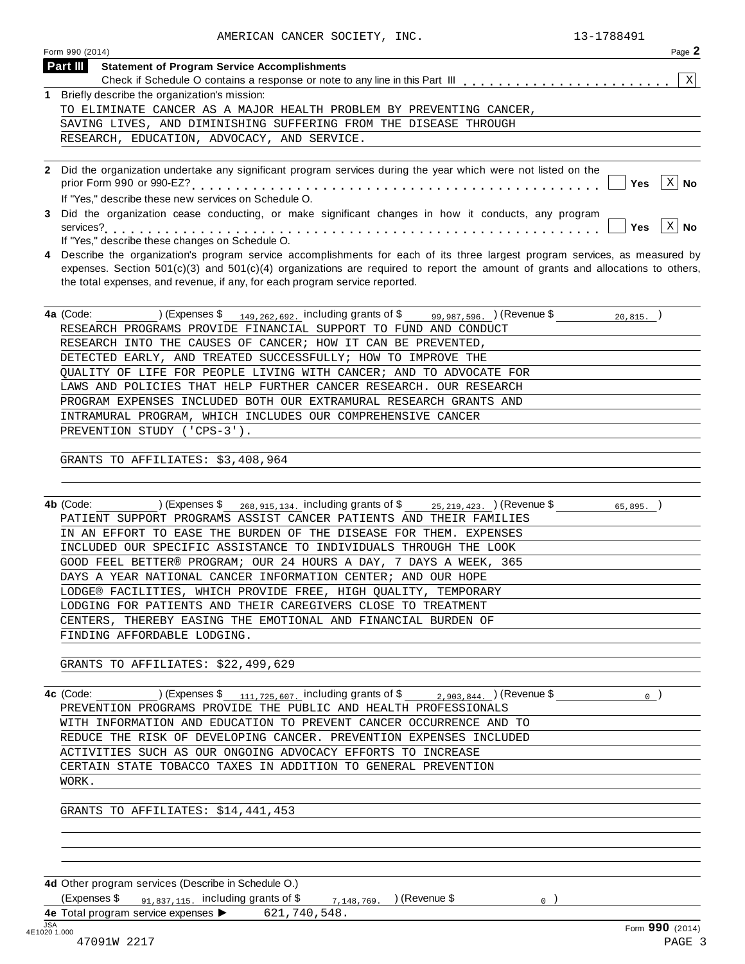| Page<br>Form 990 (2014)                                                                                                                                                                                    |   |
|------------------------------------------------------------------------------------------------------------------------------------------------------------------------------------------------------------|---|
| Part III<br><b>Statement of Program Service Accomplishments</b>                                                                                                                                            |   |
|                                                                                                                                                                                                            | X |
| Briefly describe the organization's mission:                                                                                                                                                               |   |
| TO ELIMINATE CANCER AS A MAJOR HEALTH PROBLEM BY PREVENTING CANCER,                                                                                                                                        |   |
| SAVING LIVES, AND DIMINISHING SUFFERING FROM THE DISEASE THROUGH                                                                                                                                           |   |
| RESEARCH, EDUCATION, ADVOCACY, AND SERVICE.                                                                                                                                                                |   |
|                                                                                                                                                                                                            |   |
| Did the organization undertake any significant program services during the year which were not listed on the<br>$\mathbf{2}$<br>$X \mid$ No<br>Yes<br>If "Yes." describe these new services on Schedule O. |   |

**3** Did the organization cease conducting, or make significant changes in how it conducts, any program services?m m m m m m m m m m m m m m m m m m m m m m m m m m m m m m m m m m m m m m m m m m m m m m m m m m m m m m m m m **Yes No**

**4** Describe the organization's program service accomplishments for each of its three largest program services, as measured by expenses. Section  $501(c)(3)$  and  $501(c)(4)$  organizations are required to report the amount of grants and allocations to others,

the total expenses, and revenue, if any, for each program service reported. **4a** (Code: \_\_\_\_\_\_\_\_\_\_) (Expenses \$<sub>\_\_\_149,262,692.</sub> including grants of \$\_\_\_\_<sub>99,987,596. ) (Revenue \$\_\_\_\_\_\_\_\_\_<sub>20,815. \_</sub>)</sub> RESEARCH PROGRAMS PROVIDE FINANCIAL SUPPORT TO FUND AND CONDUCT RESEARCH INTO THE CAUSES OF CANCER; HOW IT CAN BE PREVENTED, DETECTED EARLY, AND TREATED SUCCESSFULLY; HOW TO IMPROVE THE QUALITY OF LIFE FOR PEOPLE LIVING WITH CANCER; AND TO ADVOCATE FOR LAWS AND POLICIES THAT HELP FURTHER CANCER RESEARCH. OUR RESEARCH PROGRAM EXPENSES INCLUDED BOTH OUR EXTRAMURAL RESEARCH GRANTS AND INTRAMURAL PROGRAM, WHICH INCLUDES OUR COMPREHENSIVE CANCER

PREVENTION STUDY ('CPS-3').

GRANTS TO AFFILIATES: \$3,408,964

services?<br>If "Yes," describe these changes on Schedule O.

**4b** (Code: ) (Expenses \$ including grants of \$ ) (Revenue \$ ) 268,915,134. 25,219,423. 65,895. PATIENT SUPPORT PROGRAMS ASSIST CANCER PATIENTS AND THEIR FAMILIES IN AN EFFORT TO EASE THE BURDEN OF THE DISEASE FOR THEM. EXPENSES INCLUDED OUR SPECIFIC ASSISTANCE TO INDIVIDUALS THROUGH THE LOOK GOOD FEEL BETTER® PROGRAM; OUR 24 HOURS A DAY, 7 DAYS A WEEK, 365 DAYS A YEAR NATIONAL CANCER INFORMATION CENTER; AND OUR HOPE LODGE® FACILITIES, WHICH PROVIDE FREE, HIGH QUALITY, TEMPORARY LODGING FOR PATIENTS AND THEIR CAREGIVERS CLOSE TO TREATMENT CENTERS, THEREBY EASING THE EMOTIONAL AND FINANCIAL BURDEN OF FINDING AFFORDABLE LODGING.

GRANTS TO AFFILIATES: \$22,499,629

**4c** (Code: ) (Expenses \$ including grants of \$ ) (Revenue \$ ) 111,725,607. 2,903,844. 0 (Code:  $\frac{111,725,607}{PREVENTION PROGRAMS PROVIDE THE PUBLIC AND HEALTH PROFESSIONALS$ WITH INFORMATION AND EDUCATION TO PREVENT CANCER OCCURRENCE AND TO REDUCE THE RISK OF DEVELOPING CANCER. PREVENTION EXPENSES INCLUDED ACTIVITIES SUCH AS OUR ONGOING ADVOCACY EFFORTS TO INCREASE CERTAIN STATE TOBACCO TAXES IN ADDITION TO GENERAL PREVENTION WORK.

GRANTS TO AFFILIATES: \$14,441,453

**4d** Other program services (Describe in Schedule O.)

(Expenses \$  $\frac{91,837,115}{91,837,115}$ . including grants of \$  $\frac{7,148,769}{9,148,769}$ . (Revenue \$  $\frac{1}{2}$ **4e** Total program service expenses <br>4E Total program service expenses <br>4E1020 1.000 621,740,548.

 $|Yes|X|$  No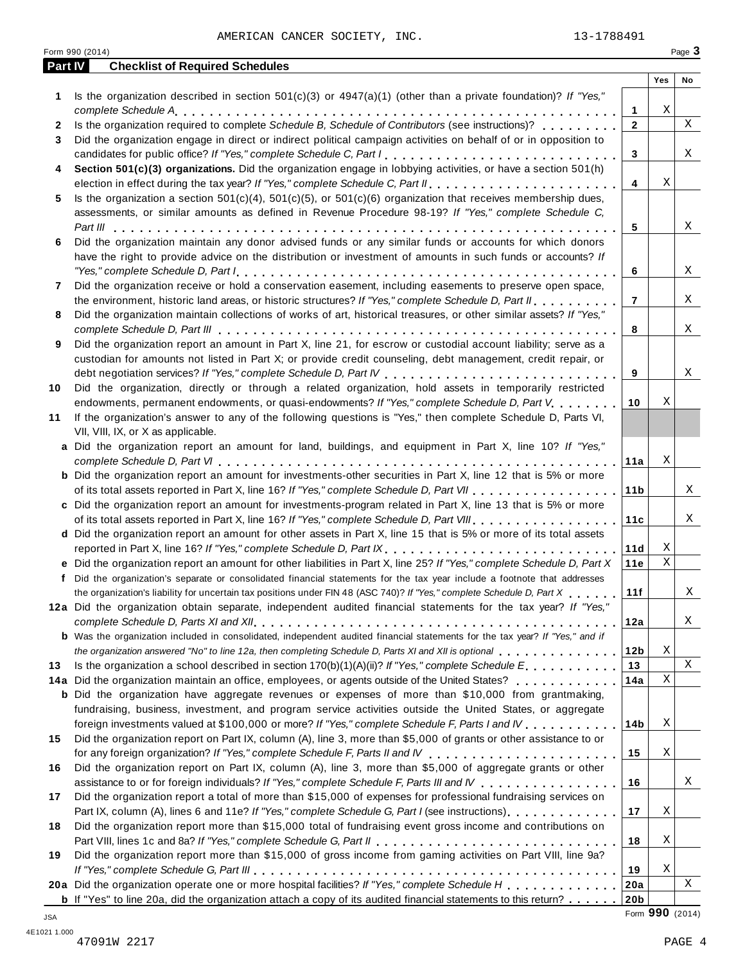AMERICAN CANCER SOCIETY, INC. 13-1788491

|    | Form 990 (2014)                                                                                                                                                                                                                |                 |     | Page 3 |
|----|--------------------------------------------------------------------------------------------------------------------------------------------------------------------------------------------------------------------------------|-----------------|-----|--------|
|    | Part IV<br><b>Checklist of Required Schedules</b>                                                                                                                                                                              |                 |     |        |
| 1  | Is the organization described in section $501(c)(3)$ or $4947(a)(1)$ (other than a private foundation)? If "Yes,"                                                                                                              |                 | Yes | No     |
|    |                                                                                                                                                                                                                                | 1               | Χ   |        |
| 2  | Is the organization required to complete Schedule B, Schedule of Contributors (see instructions)?                                                                                                                              | $\mathbf{2}$    |     | X      |
| 3  | Did the organization engage in direct or indirect political campaign activities on behalf of or in opposition to                                                                                                               |                 |     |        |
|    |                                                                                                                                                                                                                                | 3               |     | X      |
| 4  | Section 501(c)(3) organizations. Did the organization engage in lobbying activities, or have a section 501(h)                                                                                                                  |                 |     |        |
|    |                                                                                                                                                                                                                                | 4               | Χ   |        |
| 5  | Is the organization a section $501(c)(4)$ , $501(c)(5)$ , or $501(c)(6)$ organization that receives membership dues,                                                                                                           |                 |     |        |
|    | assessments, or similar amounts as defined in Revenue Procedure 98-19? If "Yes," complete Schedule C,                                                                                                                          |                 |     |        |
|    |                                                                                                                                                                                                                                | 5               |     | Χ      |
| 6  | Did the organization maintain any donor advised funds or any similar funds or accounts for which donors                                                                                                                        |                 |     |        |
|    | have the right to provide advice on the distribution or investment of amounts in such funds or accounts? If                                                                                                                    |                 |     |        |
|    |                                                                                                                                                                                                                                | 6               |     | Χ      |
| 7  | Did the organization receive or hold a conservation easement, including easements to preserve open space,                                                                                                                      |                 |     |        |
|    | the environment, historic land areas, or historic structures? If "Yes," complete Schedule D, Part II.                                                                                                                          | $\overline{7}$  |     | X      |
| 8  | Did the organization maintain collections of works of art, historical treasures, or other similar assets? If "Yes,"                                                                                                            |                 |     |        |
|    |                                                                                                                                                                                                                                | 8               |     | X      |
| 9  | Did the organization report an amount in Part X, line 21, for escrow or custodial account liability; serve as a                                                                                                                |                 |     |        |
|    | custodian for amounts not listed in Part X; or provide credit counseling, debt management, credit repair, or                                                                                                                   |                 |     |        |
|    |                                                                                                                                                                                                                                | 9               |     | Χ      |
| 10 | Did the organization, directly or through a related organization, hold assets in temporarily restricted                                                                                                                        |                 | Χ   |        |
|    | endowments, permanent endowments, or quasi-endowments? If "Yes," complete Schedule D, Part V.<br>If the organization's answer to any of the following questions is "Yes," then complete Schedule D, Parts VI,                  | 10              |     |        |
| 11 | VII, VIII, IX, or X as applicable.                                                                                                                                                                                             |                 |     |        |
|    | a Did the organization report an amount for land, buildings, and equipment in Part X, line 10? If "Yes,"                                                                                                                       |                 |     |        |
|    |                                                                                                                                                                                                                                | 11a             | Χ   |        |
|    | <b>b</b> Did the organization report an amount for investments-other securities in Part X, line 12 that is 5% or more                                                                                                          |                 |     |        |
|    |                                                                                                                                                                                                                                | 11 b            |     | Χ      |
|    | c Did the organization report an amount for investments-program related in Part X, line 13 that is 5% or more                                                                                                                  |                 |     |        |
|    | of its total assets reported in Part X, line 16? If "Yes," complete Schedule D, Part VIII                                                                                                                                      | 11c             |     | X      |
|    | d Did the organization report an amount for other assets in Part X, line 15 that is 5% or more of its total assets                                                                                                             |                 |     |        |
|    | reported in Part X, line 16? If "Yes," complete Schedule D, Part IX.                                                                                                                                                           | 11d             | Χ   |        |
|    | e Did the organization report an amount for other liabilities in Part X, line 25? If "Yes," complete Schedule D, Part X                                                                                                        | 11e             | Χ   |        |
|    | f Did the organization's separate or consolidated financial statements for the tax year include a footnote that addresses                                                                                                      |                 |     |        |
|    | the organization's liability for uncertain tax positions under FIN 48 (ASC 740)? If "Yes," complete Schedule D, Part X                                                                                                         | 11f             |     | Χ      |
|    | 12a Did the organization obtain separate, independent audited financial statements for the tax year? If "Yes,"                                                                                                                 |                 |     |        |
|    |                                                                                                                                                                                                                                | 12a             |     | Χ      |
|    | <b>b</b> Was the organization included in consolidated, independent audited financial statements for the tax year? If "Yes," and if                                                                                            |                 |     |        |
|    | the organization answered "No" to line 12a, then completing Schedule D, Parts XI and XII is optional entertainment of the state of the top of the conduction answered "No" to line 12a, then completing Schedule D, Parts XI a | 12 <sub>b</sub> | Χ   |        |
| 13 | Is the organization a school described in section $170(b)(1)(A)(ii)?$ If "Yes," complete Schedule E.                                                                                                                           | 13              |     | X      |
|    | 14a Did the organization maintain an office, employees, or agents outside of the United States?                                                                                                                                | 14a             | Χ   |        |
|    | <b>b</b> Did the organization have aggregate revenues or expenses of more than \$10,000 from grantmaking,                                                                                                                      |                 |     |        |
|    | fundraising, business, investment, and program service activities outside the United States, or aggregate                                                                                                                      |                 |     |        |
|    | foreign investments valued at \$100,000 or more? If "Yes," complete Schedule F, Parts I and IV                                                                                                                                 | 14b             | Χ   |        |
| 15 | Did the organization report on Part IX, column (A), line 3, more than \$5,000 of grants or other assistance to or                                                                                                              |                 |     |        |
|    |                                                                                                                                                                                                                                | 15              | Χ   |        |
| 16 | Did the organization report on Part IX, column (A), line 3, more than \$5,000 of aggregate grants or other                                                                                                                     |                 |     |        |
|    | assistance to or for foreign individuals? If "Yes," complete Schedule F, Parts III and IV<br>Did the organization report a total of more than \$15,000 of expenses for professional fundraising services on                    | 16              |     | Χ      |
| 17 | Part IX, column (A), lines 6 and 11e? If "Yes," complete Schedule G, Part I (see instructions)                                                                                                                                 | 17              | Χ   |        |
| 18 | Did the organization report more than \$15,000 total of fundraising event gross income and contributions on                                                                                                                    |                 |     |        |
|    |                                                                                                                                                                                                                                | 18              | Χ   |        |
| 19 | Did the organization report more than \$15,000 of gross income from gaming activities on Part VIII, line 9a?                                                                                                                   |                 |     |        |
|    |                                                                                                                                                                                                                                | 19              | Χ   |        |
|    | 20a Did the organization operate one or more hospital facilities? If "Yes," complete Schedule H                                                                                                                                | 20a             |     | X      |
|    | <b>b</b> If "Yes" to line 20a, did the organization attach a copy of its audited financial statements to this return?                                                                                                          | 20 <sub>b</sub> |     |        |

Form **990** (2014) JSA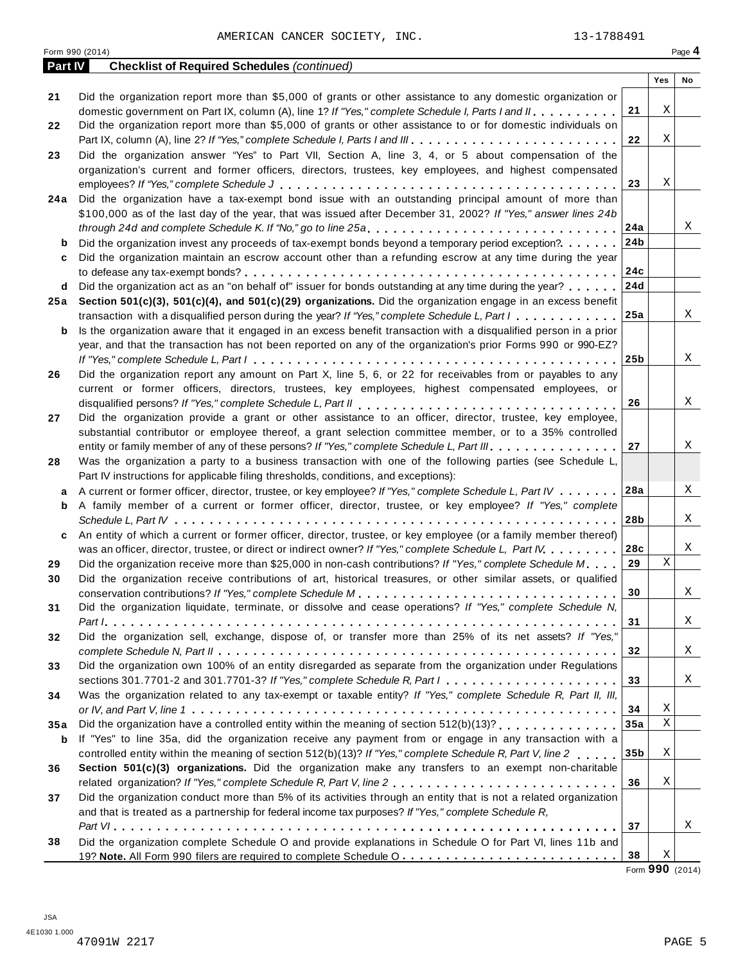|         | Form 990 (2014)                                                                                                             |                 |     | Page 4 |
|---------|-----------------------------------------------------------------------------------------------------------------------------|-----------------|-----|--------|
| Part IV | <b>Checklist of Required Schedules (continued)</b>                                                                          |                 |     |        |
|         |                                                                                                                             |                 | Yes | No     |
| 21      | Did the organization report more than \$5,000 of grants or other assistance to any domestic organization or                 |                 |     |        |
|         | domestic government on Part IX, column (A), line 1? If "Yes," complete Schedule I, Parts I and II.                          | 21              | Χ   |        |
| 22      | Did the organization report more than \$5,000 of grants or other assistance to or for domestic individuals on               |                 |     |        |
|         |                                                                                                                             | 22              | Χ   |        |
| 23      | Did the organization answer "Yes" to Part VII, Section A, line 3, 4, or 5 about compensation of the                         |                 |     |        |
|         | organization's current and former officers, directors, trustees, key employees, and highest compensated                     |                 |     |        |
|         |                                                                                                                             | 23              | Χ   |        |
|         |                                                                                                                             |                 |     |        |
| 24 a    | Did the organization have a tax-exempt bond issue with an outstanding principal amount of more than                         |                 |     |        |
|         | \$100,000 as of the last day of the year, that was issued after December 31, 2002? If "Yes," answer lines 24b               |                 |     |        |
|         | through 24d and complete Schedule K. If "No," go to line 25a                                                                | 24a             |     | Χ      |
| b       | Did the organization invest any proceeds of tax-exempt bonds beyond a temporary period exception?                           | 24b             |     |        |
| c       | Did the organization maintain an escrow account other than a refunding escrow at any time during the year                   |                 |     |        |
|         |                                                                                                                             | 24c             |     |        |
| d       | Did the organization act as an "on behalf of" issuer for bonds outstanding at any time during the year?                     | 24d             |     |        |
|         | 25a Section 501(c)(3), 501(c)(4), and 501(c)(29) organizations. Did the organization engage in an excess benefit            |                 |     |        |
|         | transaction with a disqualified person during the year? If "Yes," complete Schedule L, Part I                               | 25a             |     | X      |
| b       | Is the organization aware that it engaged in an excess benefit transaction with a disqualified person in a prior            |                 |     |        |
|         | year, and that the transaction has not been reported on any of the organization's prior Forms 990 or 990-EZ?                |                 |     |        |
|         |                                                                                                                             | 25 <sub>b</sub> |     | X      |
| 26      | Did the organization report any amount on Part X, line 5, 6, or 22 for receivables from or payables to any                  |                 |     |        |
|         | current or former officers, directors, trustees, key employees, highest compensated employees, or                           |                 |     |        |
|         |                                                                                                                             | 26              |     | X      |
| 27      | Did the organization provide a grant or other assistance to an officer, director, trustee, key employee,                    |                 |     |        |
|         | substantial contributor or employee thereof, a grant selection committee member, or to a 35% controlled                     |                 |     |        |
|         | entity or family member of any of these persons? If "Yes," complete Schedule L, Part III.                                   | 27              |     | X      |
|         | Was the organization a party to a business transaction with one of the following parties (see Schedule L,                   |                 |     |        |
| 28      |                                                                                                                             |                 |     |        |
|         | Part IV instructions for applicable filing thresholds, conditions, and exceptions):                                         |                 |     | X      |
| a       | A current or former officer, director, trustee, or key employee? If "Yes," complete Schedule L, Part IV                     | 28a             |     |        |
| b       | A family member of a current or former officer, director, trustee, or key employee? If "Yes," complete                      |                 |     |        |
|         |                                                                                                                             | 28b             |     | X      |
| c       | An entity of which a current or former officer, director, trustee, or key employee (or a family member thereof)             |                 |     |        |
|         | was an officer, director, trustee, or direct or indirect owner? If "Yes," complete Schedule L, Part IV                      | 28c             |     | X      |
| 29      | Did the organization receive more than \$25,000 in non-cash contributions? If "Yes," complete Schedule M.                   | 29              | X   |        |
| 30      | Did the organization receive contributions of art, historical treasures, or other similar assets, or qualified              |                 |     |        |
|         |                                                                                                                             | 30              |     | Χ      |
| 31      | Did the organization liquidate, terminate, or dissolve and cease operations? If "Yes," complete Schedule N,                 |                 |     |        |
|         |                                                                                                                             | 31              |     | X      |
| 32      | Did the organization sell, exchange, dispose of, or transfer more than 25% of its net assets? If "Yes,"                     |                 |     |        |
|         |                                                                                                                             | 32              |     | Χ      |
| 33      | Did the organization own 100% of an entity disregarded as separate from the organization under Regulations                  |                 |     |        |
|         | sections 301.7701-2 and 301.7701-3? If "Yes," complete Schedule R, Part $1, \ldots, \ldots, \ldots, \ldots, \ldots, \ldots$ | 33              |     | Χ      |
| 34      | Was the organization related to any tax-exempt or taxable entity? If "Yes," complete Schedule R, Part II, III,              |                 |     |        |
|         |                                                                                                                             | 34              | Χ   |        |
| 35a     | Did the organization have a controlled entity within the meaning of section 512(b)(13)?                                     | 35a             | Χ   |        |
|         | If "Yes" to line 35a, did the organization receive any payment from or engage in any transaction with a                     |                 |     |        |
| b       |                                                                                                                             | 35 <sub>b</sub> | Χ   |        |
|         | controlled entity within the meaning of section 512(b)(13)? If "Yes," complete Schedule R, Part V, line 2                   |                 |     |        |
| 36      | Section 501(c)(3) organizations. Did the organization make any transfers to an exempt non-charitable                        |                 |     |        |
|         |                                                                                                                             | 36              | Χ   |        |
| 37      | Did the organization conduct more than 5% of its activities through an entity that is not a related organization            |                 |     |        |
|         | and that is treated as a partnership for federal income tax purposes? If "Yes," complete Schedule R,                        |                 |     |        |
|         |                                                                                                                             | 37              |     | X      |
| 38      | Did the organization complete Schedule O and provide explanations in Schedule O for Part VI, lines 11b and                  |                 |     |        |
|         |                                                                                                                             | 38              | Χ   |        |

Form **990** (2014)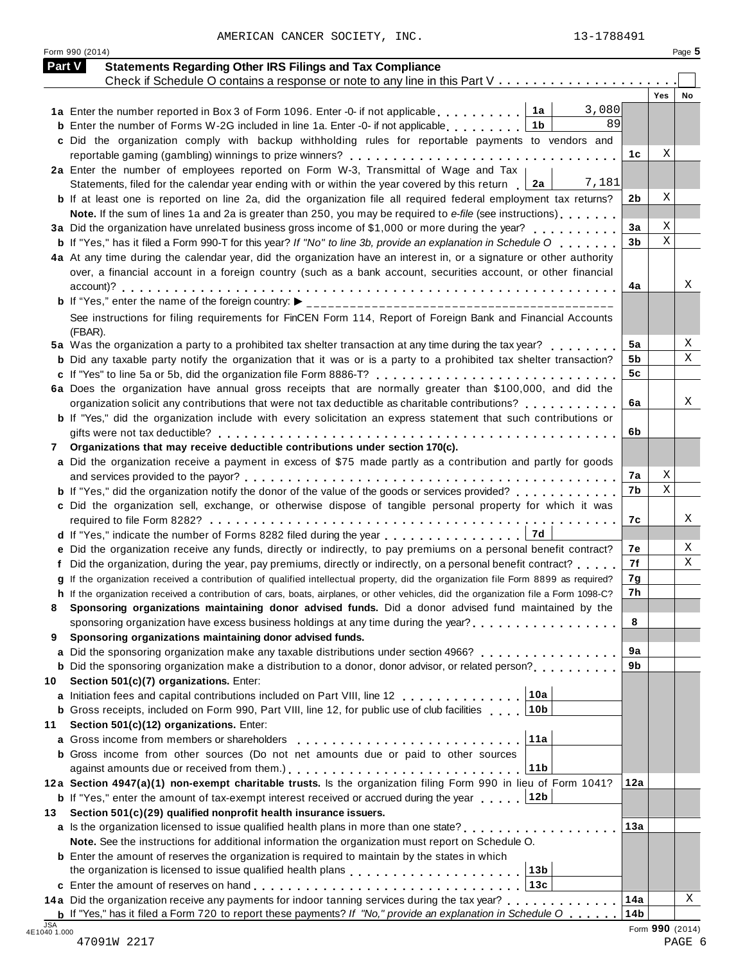AMERICAN CANCER SOCIETY, INC. 13-1788491

| Part V                     | <b>Statements Regarding Other IRS Filings and Tax Compliance</b>                                                                                                                                                                            |                 |                 |    |
|----------------------------|---------------------------------------------------------------------------------------------------------------------------------------------------------------------------------------------------------------------------------------------|-----------------|-----------------|----|
|                            | Check if Schedule O contains a response or note to any line in this Part V                                                                                                                                                                  |                 |                 |    |
|                            |                                                                                                                                                                                                                                             |                 | <b>Yes</b>      | No |
|                            | 3,080<br>1a<br>1a Enter the number reported in Box 3 of Form 1096. Enter -0- if not applicable<br>89<br>1 <sub>b</sub>                                                                                                                      |                 |                 |    |
|                            | <b>b</b> Enter the number of Forms W-2G included in line 1a. Enter -0- if not applicable<br>c Did the organization comply with backup withholding rules for reportable payments to vendors and                                              |                 |                 |    |
|                            | reportable gaming (gambling) winnings to prize winners?                                                                                                                                                                                     | 1c              | Χ               |    |
|                            | 2a Enter the number of employees reported on Form W-3, Transmittal of Wage and Tax                                                                                                                                                          |                 |                 |    |
|                            | 7,181<br>Statements, filed for the calendar year ending with or within the year covered by this return<br>2a                                                                                                                                |                 |                 |    |
|                            | <b>b</b> If at least one is reported on line 2a, did the organization file all required federal employment tax returns?                                                                                                                     | 2b              | Χ               |    |
|                            | Note. If the sum of lines 1a and 2a is greater than 250, you may be required to e-file (see instructions)                                                                                                                                   |                 |                 |    |
|                            | 3a Did the organization have unrelated business gross income of \$1,000 or more during the year?                                                                                                                                            | 3a              | Χ               |    |
|                            | <b>b</b> If "Yes," has it filed a Form 990-T for this year? If "No" to line 3b, provide an explanation in Schedule O $\ldots$ ,                                                                                                             | 3 <sub>b</sub>  | $\mathbf X$     |    |
|                            | 4a At any time during the calendar year, did the organization have an interest in, or a signature or other authority                                                                                                                        |                 |                 |    |
|                            | over, a financial account in a foreign country (such as a bank account, securities account, or other financial                                                                                                                              |                 |                 |    |
|                            |                                                                                                                                                                                                                                             | 4a              |                 | Χ  |
|                            |                                                                                                                                                                                                                                             |                 |                 |    |
|                            | See instructions for filing requirements for FinCEN Form 114, Report of Foreign Bank and Financial Accounts                                                                                                                                 |                 |                 |    |
|                            | (FBAR).                                                                                                                                                                                                                                     |                 |                 |    |
|                            | 5a Was the organization a party to a prohibited tax shelter transaction at any time during the tax year?                                                                                                                                    | 5a              |                 | Χ  |
|                            | <b>b</b> Did any taxable party notify the organization that it was or is a party to a prohibited tax shelter transaction?                                                                                                                   | 5b              |                 | Χ  |
|                            |                                                                                                                                                                                                                                             | 5 <sub>c</sub>  |                 |    |
|                            | 6a Does the organization have annual gross receipts that are normally greater than \$100,000, and did the                                                                                                                                   |                 |                 |    |
|                            | organization solicit any contributions that were not tax deductible as charitable contributions?                                                                                                                                            | 6а              |                 | Χ  |
|                            | b If "Yes," did the organization include with every solicitation an express statement that such contributions or                                                                                                                            |                 |                 |    |
|                            |                                                                                                                                                                                                                                             | 6b              |                 |    |
| 7                          | Organizations that may receive deductible contributions under section 170(c).                                                                                                                                                               |                 |                 |    |
|                            | a Did the organization receive a payment in excess of \$75 made partly as a contribution and partly for goods                                                                                                                               | 7a              | Χ               |    |
|                            | <b>b</b> If "Yes," did the organization notify the donor of the value of the goods or services provided?                                                                                                                                    | 7b              | $\mathbf X$     |    |
|                            | c Did the organization sell, exchange, or otherwise dispose of tangible personal property for which it was                                                                                                                                  |                 |                 |    |
|                            |                                                                                                                                                                                                                                             | 7c              |                 | Χ  |
|                            | 7d<br>d If "Yes," indicate the number of Forms 8282 filed during the year                                                                                                                                                                   |                 |                 |    |
|                            | e Did the organization receive any funds, directly or indirectly, to pay premiums on a personal benefit contract?                                                                                                                           | 7е              |                 | Χ  |
|                            | Did the organization, during the year, pay premiums, directly or indirectly, on a personal benefit contract?                                                                                                                                | 7f              |                 | Χ  |
|                            | If the organization received a contribution of qualified intellectual property, did the organization file Form 8899 as required?                                                                                                            | 7g              |                 |    |
|                            | h If the organization received a contribution of cars, boats, airplanes, or other vehicles, did the organization file a Form 1098-C?                                                                                                        | 7h              |                 |    |
|                            | Sponsoring organizations maintaining donor advised funds. Did a donor advised fund maintained by the                                                                                                                                        |                 |                 |    |
|                            | sponsoring organization have excess business holdings at any time during the year?<br>                                                                                                                                                      | 8               |                 |    |
| 9                          | Sponsoring organizations maintaining donor advised funds.                                                                                                                                                                                   |                 |                 |    |
| a                          | Did the sponsoring organization make any taxable distributions under section 4966?                                                                                                                                                          | 9a              |                 |    |
|                            | <b>b</b> Did the sponsoring organization make a distribution to a donor, donor advisor, or related person?                                                                                                                                  | 9b              |                 |    |
| 10                         | Section 501(c)(7) organizations. Enter:                                                                                                                                                                                                     |                 |                 |    |
|                            | 10a<br>a Initiation fees and capital contributions included on Part VIII, line 12                                                                                                                                                           |                 |                 |    |
|                            | 10 <sub>b</sub><br><b>b</b> Gross receipts, included on Form 990, Part VIII, line 12, for public use of club facilities                                                                                                                     |                 |                 |    |
| 11                         | Section 501(c)(12) organizations. Enter:                                                                                                                                                                                                    |                 |                 |    |
| a                          | 11a<br>Gross income from members or shareholders                                                                                                                                                                                            |                 |                 |    |
|                            | <b>b</b> Gross income from other sources (Do not net amounts due or paid to other sources                                                                                                                                                   |                 |                 |    |
|                            | 11 <sub>b</sub>                                                                                                                                                                                                                             |                 |                 |    |
|                            | 12a Section 4947(a)(1) non-exempt charitable trusts. Is the organization filing Form 990 in lieu of Form 1041?                                                                                                                              | 12a             |                 |    |
|                            | 12b<br><b>b</b> If "Yes," enter the amount of tax-exempt interest received or accrued during the year                                                                                                                                       |                 |                 |    |
| 13                         | Section 501(c)(29) qualified nonprofit health insurance issuers.                                                                                                                                                                            | 13a             |                 |    |
|                            | <b>a</b> Is the organization licensed to issue qualified health plans in more than one state? <b>at all assumes that in</b> the number<br>Note. See the instructions for additional information the organization must report on Schedule O. |                 |                 |    |
|                            | <b>b</b> Enter the amount of reserves the organization is required to maintain by the states in which                                                                                                                                       |                 |                 |    |
|                            | 13 <sub>b</sub>                                                                                                                                                                                                                             |                 |                 |    |
|                            | 13c                                                                                                                                                                                                                                         |                 |                 |    |
|                            | 14a Did the organization receive any payments for indoor tanning services during the tax year?                                                                                                                                              | 14a             |                 | Χ  |
|                            | <b>b</b> If "Yes," has it filed a Form 720 to report these payments? If "No," provide an explanation in Schedule O $\ldots$ .                                                                                                               | 14 <sub>b</sub> |                 |    |
| <b>JSA</b><br>4E1040 1.000 |                                                                                                                                                                                                                                             |                 | Form 990 (2014) |    |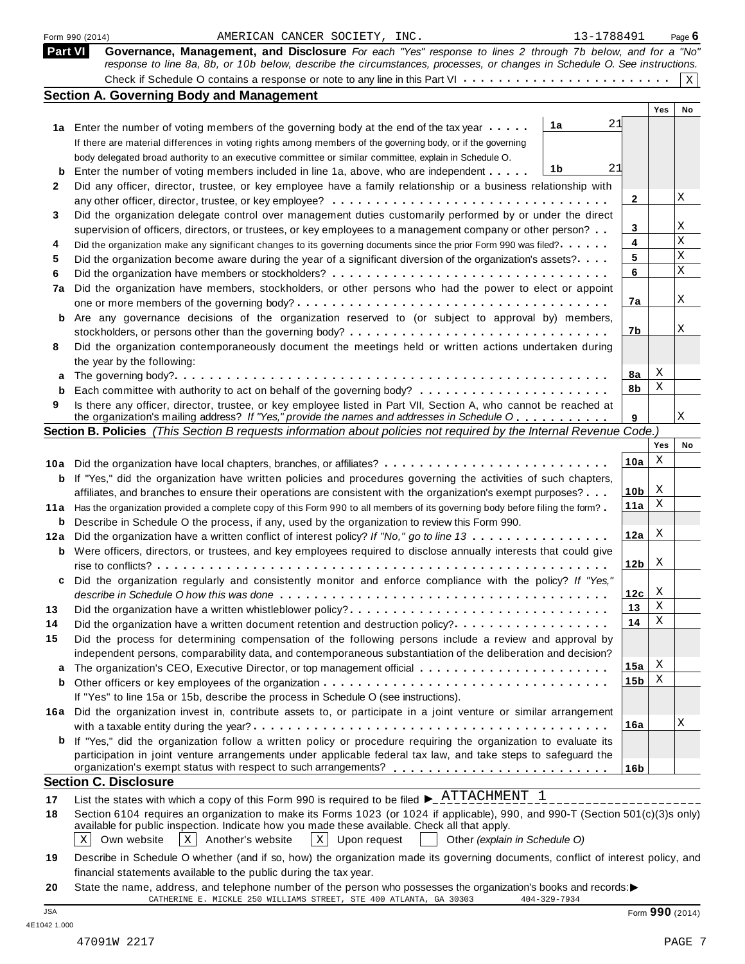|                | AMERICAN CANCER SOCIETY, INC.<br>Form 990 (2014)                                                                                       | 13-1788491      |            | Page $6$    |
|----------------|----------------------------------------------------------------------------------------------------------------------------------------|-----------------|------------|-------------|
| <b>Part VI</b> | Governance, Management, and Disclosure For each "Yes" response to lines 2 through 7b below, and for a "No"                             |                 |            |             |
|                | response to line 8a, 8b, or 10b below, describe the circumstances, processes, or changes in Schedule O. See instructions.              |                 |            |             |
|                |                                                                                                                                        |                 |            | $\mathbf x$ |
|                | <b>Section A. Governing Body and Management</b>                                                                                        |                 |            |             |
|                |                                                                                                                                        |                 | <b>Yes</b> | No          |
|                | 1a<br>1a Enter the number of voting members of the governing body at the end of the tax year                                           | 21              |            |             |
|                | If there are material differences in voting rights among members of the governing body, or if the governing                            |                 |            |             |
|                | body delegated broad authority to an executive committee or similar committee, explain in Schedule O.                                  |                 |            |             |
| b              | 1b<br>Enter the number of voting members included in line 1a, above, who are independent                                               | 21              |            |             |
| 2              | Did any officer, director, trustee, or key employee have a family relationship or a business relationship with                         |                 |            |             |
|                |                                                                                                                                        | 2               |            | Χ           |
| 3              | Did the organization delegate control over management duties customarily performed by or under the direct                              |                 |            |             |
|                | supervision of officers, directors, or trustees, or key employees to a management company or other person?                             | 3               |            | Χ           |
| 4              | Did the organization make any significant changes to its governing documents since the prior Form 990 was filed?                       | 4               |            | $\mathbf X$ |
| 5              | Did the organization become aware during the year of a significant diversion of the organization's assets?                             | 5               |            | $\mathbf X$ |
| 6              |                                                                                                                                        | 6               |            | $\mathbf X$ |
| 7a             | Did the organization have members, stockholders, or other persons who had the power to elect or appoint                                |                 |            |             |
|                |                                                                                                                                        | 7а              |            | Χ           |
| b              | Are any governance decisions of the organization reserved to (or subject to approval by) members,                                      |                 |            |             |
|                |                                                                                                                                        | 7b              |            | Χ           |
| 8              | Did the organization contemporaneously document the meetings held or written actions undertaken during                                 |                 |            |             |
|                | the year by the following:                                                                                                             |                 |            |             |
|                |                                                                                                                                        | 8a              | X          |             |
| b              |                                                                                                                                        | 8b              | Χ          |             |
| 9              | Is there any officer, director, trustee, or key employee listed in Part VII, Section A, who cannot be reached at                       |                 |            |             |
|                | the organization's mailing address? If "Yes," provide the names and addresses in Schedule O                                            | 9               |            | Χ           |
|                | Section B. Policies (This Section B requests information about policies not required by the Internal Revenue Code.)                    |                 |            |             |
|                |                                                                                                                                        |                 | Yes        | No          |
|                | 10a Did the organization have local chapters, branches, or affiliates?                                                                 | 10a             | Χ          |             |
| b              | If "Yes," did the organization have written policies and procedures governing the activities of such chapters,                         |                 |            |             |
|                | affiliates, and branches to ensure their operations are consistent with the organization's exempt purposes?                            | 10 <sub>b</sub> | X          |             |
|                | 11a Has the organization provided a complete copy of this Form 990 to all members of its governing body before filing the form?        | 11a             | Χ          |             |
| b              | Describe in Schedule O the process, if any, used by the organization to review this Form 990.                                          |                 |            |             |
| 12a            | Did the organization have a written conflict of interest policy? If "No," go to line 13                                                | 12a             | X          |             |
|                | <b>b</b> Were officers, directors, or trustees, and key employees required to disclose annually interests that could give              |                 |            |             |
|                |                                                                                                                                        | 12 <sub>b</sub> | X          |             |
| c              | Did the organization regularly and consistently monitor and enforce compliance with the policy? If "Yes,"                              |                 |            |             |
|                |                                                                                                                                        | 12c             | X          |             |
| 13             | Did the organization have a written whistleblower policy?                                                                              | 13              | Χ          |             |
| 14             | Did the organization have a written document retention and destruction policy?                                                         | 14              | Χ          |             |
| 15             | Did the process for determining compensation of the following persons include a review and approval by                                 |                 |            |             |
|                | independent persons, comparability data, and contemporaneous substantiation of the deliberation and decision?                          |                 |            |             |
| a              |                                                                                                                                        | 15a             | X          |             |
| b              |                                                                                                                                        | 15 <sub>b</sub> | х          |             |
|                | If "Yes" to line 15a or 15b, describe the process in Schedule O (see instructions).                                                    |                 |            |             |
|                | 16a Did the organization invest in, contribute assets to, or participate in a joint venture or similar arrangement                     |                 |            |             |
|                |                                                                                                                                        | 16a             |            | Χ           |
|                | <b>b</b> If "Yes," did the organization follow a written policy or procedure requiring the organization to evaluate its                |                 |            |             |
|                | participation in joint venture arrangements under applicable federal tax law, and take steps to safeguard the                          |                 |            |             |
|                | organization's exempt status with respect to such arrangements? ___________________________________                                    | 16 <sub>b</sub> |            |             |
|                | <b>Section C. Disclosure</b>                                                                                                           |                 |            |             |
| 17             | List the states with which a copy of this Form 990 is required to be filed $\blacktriangleright$ $\frac{\text{ATTAC}}{\text{HMENT}}$ 1 |                 |            |             |
| 18             | Section 6104 requires an organization to make its Forms 1023 (or 1024 if applicable), 990, and 990-T (Section 501(c)(3)s only)         |                 |            |             |
|                | available for public inspection. Indicate how you made these available. Check all that apply.                                          |                 |            |             |
|                | Own website<br>$X$ Another's website<br>  X   Upon request<br>X<br>Other (explain in Schedule O)                                       |                 |            |             |
| 19             | Describe in Schedule O whether (and if so, how) the organization made its governing documents, conflict of interest policy, and        |                 |            |             |
|                | financial statements available to the public during the tax year.                                                                      |                 |            |             |

**20** nnancial statements available to the public during the tax year.<br>State the name, address, and telephone number of the person who possesses the organization's books and records:<br>CATHERINE E. MICKLE 250 WILLIAMS STREET, STE JSA Form **990** (2014)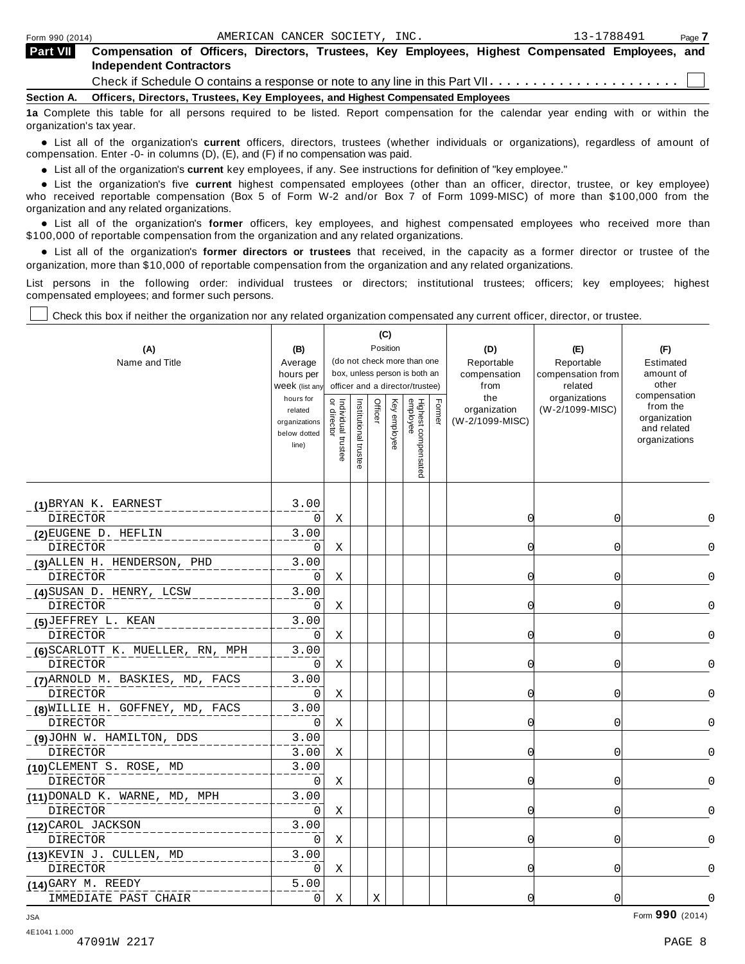| <b>Part VII</b>   | Compensation of Officers, Directors, Trustees, Key Employees, Highest Compensated Employees, and<br><b>Independent Contractors</b> |
|-------------------|------------------------------------------------------------------------------------------------------------------------------------|
|                   |                                                                                                                                    |
| <b>Section A.</b> | Officers, Directors, Trustees, Key Employees, and Highest Compensated Employees                                                    |
|                   | 4 : ∧ecoleir ills ichle for ell persone production in Bail interactional service for ills icherale service seller conditional and  |

**1a** Complete this table for all persons required to be listed. Report compensation for the calendar year ending with or within the organization's tax year.

anization's lax year.<br>● List all of the organization's **current** officers, directors, trustees (whether individuals or organizations), regardless of amount of<br>nnensation Enter -0- in columns (D) (E) and (E) if no compensa compensation. Enter -0- in columns (D), (E), and (F) if no compensation was paid.

• List all of the organization's **current** key employees, if any. See instructions for definition of "key employee."<br>● List the experientials five expect highest expressed explores (other than an efficer director of

**Example in the organization's current** key employees, if any. See instructions for definition of key employee.<br>• List the organization's five **current** highest compensated employees (other than an officer, director, trust who received reportable compensation (Box 5 of Form W-2 and/or Box 7 of Form 1099-MISC) of more than \$100,000 from the

organization and any related organizations.<br>• List all of the organization's **former** officers, key employees, and highest compensated employees who received more than<br>\$1.00.000 of reportable componention from the erganiza \$100,000 of reportable compensation from the organization and any related organizations.

% List all of the organization's **former directors or trustees** that received, in the capacity as a former director or trustee of the organization, more than \$10,000 of reportable compensation from the organization and any related organizations.

List persons in the following order: individual trustees or directors; institutional trustees; officers; key employees; highest compensated employees; and former such persons.

Check this box if neither the organization nor any related organization compensated any current officer, director, or trustee.

| (A)<br>Name and Title                        | (B)<br>Average<br>hours per<br>Week (list any<br>hours for<br>related<br>organizations<br>below dotted<br>line) | $\breve{a}$<br>Individual trustee<br>or director | Institutional trustee | Officer | (C)<br>Position<br>Key employee | (do not check more than one<br>box, unless person is both an<br>officer and a director/trustee)<br>Highest compensated<br>employee | Former | (D)<br>Reportable<br>compensation<br>from<br>the<br>organization<br>(W-2/1099-MISC) | (E)<br>Reportable<br>compensation from<br>related<br>organizations<br>(W-2/1099-MISC) | (F)<br>Estimated<br>amount of<br>other<br>compensation<br>from the<br>organization<br>and related<br>organizations |              |
|----------------------------------------------|-----------------------------------------------------------------------------------------------------------------|--------------------------------------------------|-----------------------|---------|---------------------------------|------------------------------------------------------------------------------------------------------------------------------------|--------|-------------------------------------------------------------------------------------|---------------------------------------------------------------------------------------|--------------------------------------------------------------------------------------------------------------------|--------------|
| (1) BRYAN K. EARNEST                         | 3.00                                                                                                            |                                                  |                       |         |                                 |                                                                                                                                    |        |                                                                                     |                                                                                       |                                                                                                                    |              |
| <b>DIRECTOR</b>                              | 0                                                                                                               | Χ                                                |                       |         |                                 |                                                                                                                                    |        | 0                                                                                   | 0                                                                                     |                                                                                                                    | <sup>0</sup> |
| (2) EUGENE D. HEFLIN                         | 3.00                                                                                                            |                                                  |                       |         |                                 |                                                                                                                                    |        |                                                                                     |                                                                                       |                                                                                                                    |              |
| <b>DIRECTOR</b>                              | 0                                                                                                               | Χ                                                |                       |         |                                 |                                                                                                                                    |        | 0                                                                                   | 0                                                                                     |                                                                                                                    | 0            |
| (3) ALLEN H. HENDERSON, PHD                  | 3.00                                                                                                            |                                                  |                       |         |                                 |                                                                                                                                    |        |                                                                                     |                                                                                       |                                                                                                                    |              |
| DIRECTOR                                     | 0                                                                                                               | X                                                |                       |         |                                 |                                                                                                                                    |        | 0                                                                                   | 0                                                                                     |                                                                                                                    | 0            |
| (4) SUSAN D. HENRY, LCSW                     | 3.00                                                                                                            |                                                  |                       |         |                                 |                                                                                                                                    |        |                                                                                     |                                                                                       |                                                                                                                    |              |
| DIRECTOR                                     | 0                                                                                                               | Χ                                                |                       |         |                                 |                                                                                                                                    |        | O                                                                                   | 0                                                                                     |                                                                                                                    | 0            |
| (5) JEFFREY L. KEAN                          | 3.00                                                                                                            |                                                  |                       |         |                                 |                                                                                                                                    |        |                                                                                     |                                                                                       |                                                                                                                    |              |
| <b>DIRECTOR</b>                              | 0                                                                                                               | Χ                                                |                       |         |                                 |                                                                                                                                    |        | O                                                                                   | 0                                                                                     |                                                                                                                    | 0            |
| (6) SCARLOTT K. MUELLER, RN, MPH<br>DIRECTOR | 3.00<br>0                                                                                                       | Χ                                                |                       |         |                                 |                                                                                                                                    |        | 0                                                                                   | 0                                                                                     |                                                                                                                    | 0            |
| (7) ARNOLD M. BASKIES, MD, FACS              | 3.00                                                                                                            |                                                  |                       |         |                                 |                                                                                                                                    |        |                                                                                     |                                                                                       |                                                                                                                    |              |
| <b>DIRECTOR</b>                              | 0                                                                                                               | Χ                                                |                       |         |                                 |                                                                                                                                    |        | C                                                                                   | 0                                                                                     |                                                                                                                    |              |
| (8) WILLIE H. GOFFNEY, MD, FACS              | 3.00                                                                                                            |                                                  |                       |         |                                 |                                                                                                                                    |        |                                                                                     |                                                                                       |                                                                                                                    |              |
| DIRECTOR                                     | 0                                                                                                               | Χ                                                |                       |         |                                 |                                                                                                                                    |        | O                                                                                   | 0                                                                                     |                                                                                                                    | ∩            |
| (9)JOHN W. HAMILTON, DDS                     | 3.00                                                                                                            |                                                  |                       |         |                                 |                                                                                                                                    |        |                                                                                     |                                                                                       |                                                                                                                    |              |
| <b>DIRECTOR</b>                              | 3.00                                                                                                            | Χ                                                |                       |         |                                 |                                                                                                                                    |        | O                                                                                   | 0                                                                                     |                                                                                                                    | ∩            |
| (10) CLEMENT S. ROSE, MD                     | 3.00                                                                                                            |                                                  |                       |         |                                 |                                                                                                                                    |        |                                                                                     |                                                                                       |                                                                                                                    |              |
| <b>DIRECTOR</b>                              | 0                                                                                                               | Χ                                                |                       |         |                                 |                                                                                                                                    |        | $\cap$                                                                              | $\Omega$                                                                              |                                                                                                                    | U            |
| (11) DONALD K. WARNE, MD, MPH                | 3.00                                                                                                            |                                                  |                       |         |                                 |                                                                                                                                    |        |                                                                                     |                                                                                       |                                                                                                                    |              |
| <b>DIRECTOR</b>                              | 0                                                                                                               | Χ                                                |                       |         |                                 |                                                                                                                                    |        | 0                                                                                   | 0                                                                                     |                                                                                                                    | $\Omega$     |
| (12) CAROL JACKSON                           | 3.00                                                                                                            |                                                  |                       |         |                                 |                                                                                                                                    |        |                                                                                     |                                                                                       |                                                                                                                    |              |
| <b>DIRECTOR</b>                              | $\Omega$                                                                                                        | Χ                                                |                       |         |                                 |                                                                                                                                    |        | O                                                                                   | 0                                                                                     |                                                                                                                    | 0            |
| (13) KEVIN J. CULLEN, MD                     | 3.00                                                                                                            |                                                  |                       |         |                                 |                                                                                                                                    |        |                                                                                     |                                                                                       |                                                                                                                    |              |
| <b>DIRECTOR</b>                              | $\Omega$                                                                                                        | Χ                                                |                       |         |                                 |                                                                                                                                    |        | 0                                                                                   | 0                                                                                     |                                                                                                                    | 0            |
| (14) GARY M. REEDY                           | 5.00                                                                                                            |                                                  |                       |         |                                 |                                                                                                                                    |        |                                                                                     |                                                                                       |                                                                                                                    |              |
| IMMEDIATE PAST CHAIR                         | 0                                                                                                               | X                                                |                       | X       |                                 |                                                                                                                                    |        | 0                                                                                   | $\overline{0}$                                                                        |                                                                                                                    | 0            |

Form **990** (2014) JSA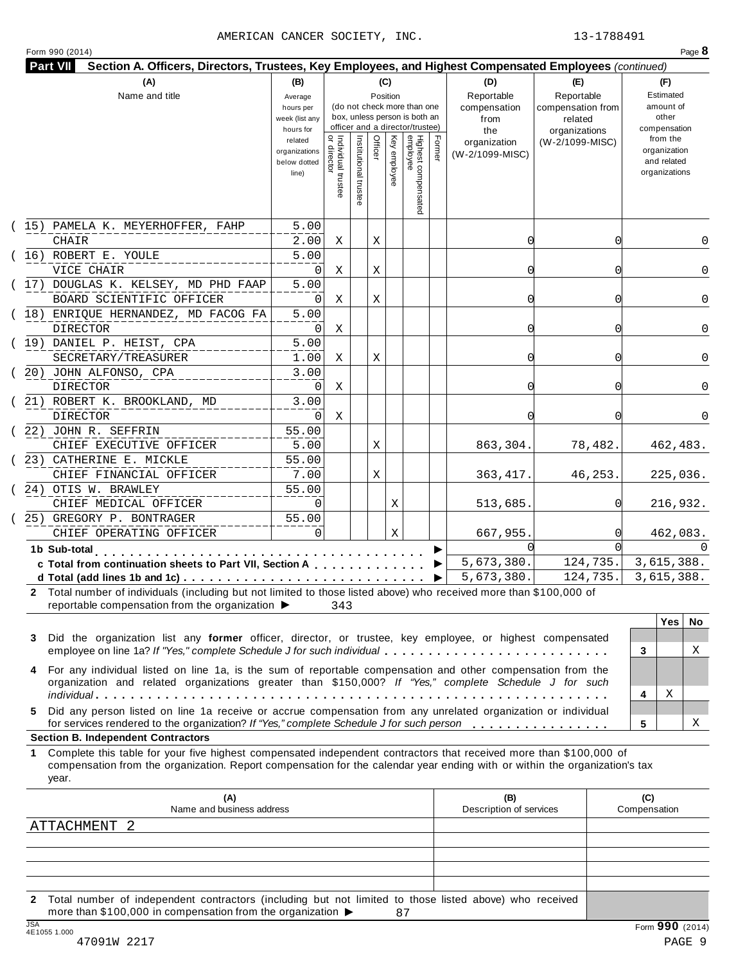### AMERICAN CANCER SOCIETY, INC. 13-1788491

|  | Form 990 (2014) |
|--|-----------------|

|                    | (A)                                                                                                                                                                                                                                                       | (B)                         |                                           |                       | (C)      |                                                              |        | (D)                     | (E)                          | (F)                |              |
|--------------------|-----------------------------------------------------------------------------------------------------------------------------------------------------------------------------------------------------------------------------------------------------------|-----------------------------|-------------------------------------------|-----------------------|----------|--------------------------------------------------------------|--------|-------------------------|------------------------------|--------------------|--------------|
|                    | Name and title                                                                                                                                                                                                                                            | Average                     |                                           |                       | Position |                                                              |        | Reportable              | Reportable                   | Estimated          |              |
|                    |                                                                                                                                                                                                                                                           | hours per<br>week (list any |                                           |                       |          | (do not check more than one<br>box, unless person is both an |        | compensation<br>from    | compensation from<br>related | amount of<br>other |              |
|                    |                                                                                                                                                                                                                                                           | hours for                   |                                           |                       |          | officer and a director/trustee)                              |        | the                     | organizations                | compensation       |              |
|                    |                                                                                                                                                                                                                                                           | related                     |                                           |                       |          |                                                              |        | organization            | (W-2/1099-MISC)              | from the           |              |
|                    |                                                                                                                                                                                                                                                           | organizations               |                                           |                       | Officer  |                                                              | Former | (W-2/1099-MISC)         |                              | organization       |              |
|                    |                                                                                                                                                                                                                                                           | below dotted                |                                           |                       |          |                                                              |        |                         |                              | and related        |              |
|                    |                                                                                                                                                                                                                                                           | line)                       | <br>  Individual trustee<br>  or director |                       |          | Key employee                                                 |        |                         |                              | organizations      |              |
|                    |                                                                                                                                                                                                                                                           |                             |                                           | Institutional trustee |          | Highest compensated<br>employee                              |        |                         |                              |                    |              |
|                    | (15) PAMELA K. MEYERHOFFER, FAHP                                                                                                                                                                                                                          | 5.00                        |                                           |                       |          |                                                              |        |                         |                              |                    |              |
|                    | <b>CHAIR</b>                                                                                                                                                                                                                                              | 2.00                        | Χ                                         |                       | Χ        |                                                              |        | 0                       | 0                            |                    | 0            |
|                    | (16) ROBERT E. YOULE                                                                                                                                                                                                                                      | 5.00                        |                                           |                       |          |                                                              |        |                         |                              |                    |              |
|                    | VICE CHAIR                                                                                                                                                                                                                                                | 0                           | Χ                                         |                       | Χ        |                                                              |        | 0                       | 0                            |                    | $\Omega$     |
|                    | (17) DOUGLAS K. KELSEY, MD PHD FAAP                                                                                                                                                                                                                       | 5.00                        |                                           |                       |          |                                                              |        |                         |                              |                    |              |
|                    | BOARD SCIENTIFIC OFFICER                                                                                                                                                                                                                                  | 0                           | Χ                                         |                       | Χ        |                                                              |        | 0                       | O                            |                    | 0            |
|                    | (18) ENRIQUE HERNANDEZ, MD FACOG FA                                                                                                                                                                                                                       | 5.00                        |                                           |                       |          |                                                              |        |                         |                              |                    |              |
|                    | DIRECTOR                                                                                                                                                                                                                                                  | 0                           | Χ                                         |                       |          |                                                              |        | 0                       | 0                            |                    | 0            |
|                    | (19) DANIEL P. HEIST, CPA                                                                                                                                                                                                                                 | 5.00                        |                                           |                       |          |                                                              |        |                         |                              |                    |              |
|                    | SECRETARY/TREASURER                                                                                                                                                                                                                                       | 1.00                        | Χ                                         |                       | Χ        |                                                              |        | 0                       | 0                            |                    | $\Omega$     |
|                    | (20) JOHN ALFONSO, CPA                                                                                                                                                                                                                                    | 3.00                        |                                           |                       |          |                                                              |        |                         |                              |                    |              |
|                    | DIRECTOR                                                                                                                                                                                                                                                  | 0                           | Χ                                         |                       |          |                                                              |        | 0                       | O                            |                    | $\Omega$     |
|                    | (21) ROBERT K. BROOKLAND, MD<br><b>DIRECTOR</b>                                                                                                                                                                                                           | 3.00<br>0                   | Χ                                         |                       |          |                                                              |        | 0                       | O                            |                    | 0            |
|                    | (22) JOHN R. SEFFRIN                                                                                                                                                                                                                                      | 55.00                       |                                           |                       |          |                                                              |        |                         |                              |                    |              |
|                    | CHIEF EXECUTIVE OFFICER                                                                                                                                                                                                                                   | 5.00                        |                                           |                       | Χ        |                                                              |        | 863,304.                | 78,482.                      | 462,483.           |              |
|                    | (23) CATHERINE E. MICKLE                                                                                                                                                                                                                                  | 55.00                       |                                           |                       |          |                                                              |        |                         |                              |                    |              |
|                    | CHIEF FINANCIAL OFFICER                                                                                                                                                                                                                                   | 7.00                        |                                           |                       | Χ        |                                                              |        | 363, 417.               | 46,253.                      | 225,036.           |              |
|                    | (24) OTIS W. BRAWLEY                                                                                                                                                                                                                                      | 55.00                       |                                           |                       |          |                                                              |        |                         |                              |                    |              |
|                    | CHIEF MEDICAL OFFICER                                                                                                                                                                                                                                     | $\Omega$                    |                                           |                       |          | Χ                                                            |        | 513,685.                |                              | 216,932.           |              |
|                    | (25) GREGORY P. BONTRAGER                                                                                                                                                                                                                                 | 55.00                       |                                           |                       |          |                                                              |        |                         |                              |                    |              |
|                    | CHIEF OPERATING OFFICER                                                                                                                                                                                                                                   | $\Omega$                    |                                           |                       |          | Χ                                                            |        | 667,955.                |                              | 462,083.           |              |
|                    | 1b Sub-total                                                                                                                                                                                                                                              |                             |                                           |                       |          |                                                              |        | ∩                       |                              |                    | <sup>n</sup> |
|                    | c Total from continuation sheets to Part VII, Section A                                                                                                                                                                                                   |                             |                                           |                       |          |                                                              |        | 5,673,380.              | 124, 735.                    | 3,615,388.         |              |
|                    |                                                                                                                                                                                                                                                           |                             |                                           |                       |          |                                                              |        | 5,673,380.              | 124,735.                     | 3,615,388.         |              |
|                    | 2 Total number of individuals (including but not limited to those listed above) who received more than \$100,000 of                                                                                                                                       |                             |                                           |                       |          |                                                              |        |                         |                              |                    |              |
|                    | reportable compensation from the organization ▶                                                                                                                                                                                                           |                             | 343                                       |                       |          |                                                              |        |                         |                              |                    |              |
|                    |                                                                                                                                                                                                                                                           |                             |                                           |                       |          |                                                              |        |                         |                              | <b>Yes</b>         | No.          |
|                    |                                                                                                                                                                                                                                                           |                             |                                           |                       |          |                                                              |        |                         |                              |                    | Χ            |
|                    | Did the organization list any former officer, director, or trustee, key employee, or highest compensated                                                                                                                                                  |                             |                                           |                       |          |                                                              |        |                         |                              |                    |              |
|                    | employee on line 1a? If "Yes," complete Schedule J for such individual                                                                                                                                                                                    |                             |                                           |                       |          |                                                              |        |                         |                              | 3                  |              |
|                    | For any individual listed on line 1a, is the sum of reportable compensation and other compensation from the                                                                                                                                               |                             |                                           |                       |          |                                                              |        |                         |                              |                    |              |
|                    | organization and related organizations greater than \$150,000? If "Yes," complete Schedule J for such                                                                                                                                                     |                             |                                           |                       |          |                                                              |        |                         |                              | Χ<br>4             |              |
|                    | Did any person listed on line 1a receive or accrue compensation from any unrelated organization or individual                                                                                                                                             |                             |                                           |                       |          |                                                              |        |                         |                              |                    |              |
|                    | for services rendered to the organization? If "Yes," complete Schedule J for such person                                                                                                                                                                  |                             |                                           |                       |          |                                                              |        |                         |                              | 5                  | Χ            |
|                    | <b>Section B. Independent Contractors</b>                                                                                                                                                                                                                 |                             |                                           |                       |          |                                                              |        |                         |                              |                    |              |
|                    | Complete this table for your five highest compensated independent contractors that received more than \$100,000 of<br>compensation from the organization. Report compensation for the calendar year ending with or within the organization's tax<br>year. |                             |                                           |                       |          |                                                              |        |                         |                              |                    |              |
|                    | (A)                                                                                                                                                                                                                                                       |                             |                                           |                       |          |                                                              |        | (B)                     |                              | (C)                |              |
|                    | Name and business address<br>ATTACHMENT 2                                                                                                                                                                                                                 |                             |                                           |                       |          |                                                              |        | Description of services |                              | Compensation       |              |
| 3<br>4<br>5.<br>1. |                                                                                                                                                                                                                                                           |                             |                                           |                       |          |                                                              |        |                         |                              |                    |              |
|                    |                                                                                                                                                                                                                                                           |                             |                                           |                       |          |                                                              |        |                         |                              |                    |              |

47091W 2217 PAGE 9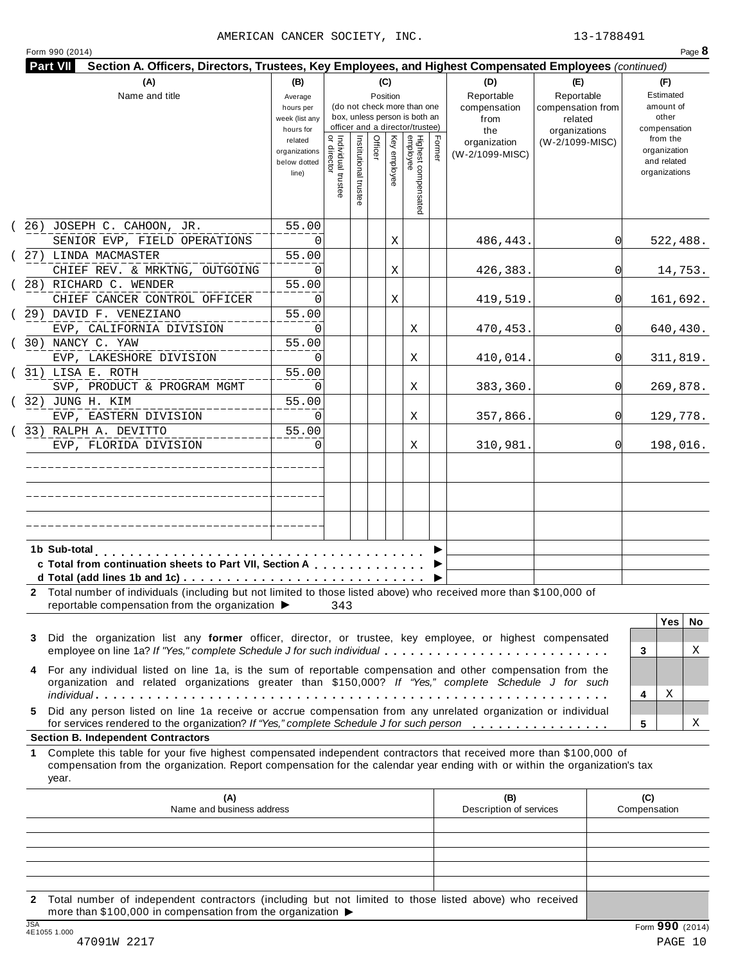### AMERICAN CANCER SOCIETY, INC. 13-1788491

|                         | (A)                                                                                                                                                                                                                                              | (B)                                                                                                                                                                |                                           |                       | (C)     |              |                                 |        | (D)                                       | (E)                                                         | (F)                                                      |
|-------------------------|--------------------------------------------------------------------------------------------------------------------------------------------------------------------------------------------------------------------------------------------------|--------------------------------------------------------------------------------------------------------------------------------------------------------------------|-------------------------------------------|-----------------------|---------|--------------|---------------------------------|--------|-------------------------------------------|-------------------------------------------------------------|----------------------------------------------------------|
|                         | Name and title                                                                                                                                                                                                                                   | Position<br>Average<br>(do not check more than one<br>hours per<br>box, unless person is both an<br>week (list any<br>officer and a director/trustee)<br>hours for |                                           |                       |         |              |                                 |        | Reportable<br>compensation<br>from<br>the | Reportable<br>compensation from<br>related<br>organizations | Estimated<br>amount of<br>other<br>compensation          |
|                         |                                                                                                                                                                                                                                                  | related<br>organizations<br>below dotted<br>line)                                                                                                                  | <br>  Individual trustee<br>  or director | Institutional trustee | Officer | Key employee | Highest compensated<br>employee | Former | organization<br>(W-2/1099-MISC)           | (W-2/1099-MISC)                                             | from the<br>organization<br>and related<br>organizations |
|                         | (26) JOSEPH C. CAHOON, JR.<br>SENIOR EVP, FIELD OPERATIONS                                                                                                                                                                                       | 55.00<br>0                                                                                                                                                         |                                           |                       |         | Χ            |                                 |        | 486,443.                                  | 0l                                                          | 522,488.                                                 |
| (27) LINDA MACMASTER    |                                                                                                                                                                                                                                                  | 55.00<br>0                                                                                                                                                         |                                           |                       |         |              |                                 |        |                                           | 0l                                                          |                                                          |
| (28) RICHARD C. WENDER  | CHIEF REV. & MRKTNG, OUTGOING                                                                                                                                                                                                                    | 55.00                                                                                                                                                              |                                           |                       |         | Χ            |                                 |        | 426,383.                                  |                                                             | 14,753.                                                  |
| (29) DAVID F. VENEZIANO | CHIEF CANCER CONTROL OFFICER                                                                                                                                                                                                                     | 0<br>55.00                                                                                                                                                         |                                           |                       |         | Χ            |                                 |        | 419,519.                                  | <sup>0</sup>                                                | 161,692.                                                 |
| (30) NANCY C. YAW       | EVP, CALIFORNIA DIVISION                                                                                                                                                                                                                         | 0<br>55.00                                                                                                                                                         |                                           |                       |         |              | Χ                               |        | 470,453.                                  | <sup>0</sup>                                                | 640,430.                                                 |
|                         | EVP, LAKESHORE DIVISION                                                                                                                                                                                                                          | 0                                                                                                                                                                  |                                           |                       |         |              | Χ                               |        | 410,014.                                  | 0l                                                          | 311,819.                                                 |
| (31) LISA E. ROTH       | SVP, PRODUCT & PROGRAM MGMT                                                                                                                                                                                                                      | 55.00<br>0                                                                                                                                                         |                                           |                       |         |              | Χ                               |        | 383,360.                                  | <sup>0</sup>                                                | 269,878.                                                 |
| ( 32) JUNG H. KIM       | EVP, EASTERN DIVISION                                                                                                                                                                                                                            | 55.00<br>$\Omega$                                                                                                                                                  |                                           |                       |         |              | Χ                               |        | 357,866.                                  | <sup>0</sup>                                                | 129,778.                                                 |
| (33) RALPH A. DEVITTO   | EVP, FLORIDA DIVISION                                                                                                                                                                                                                            | 55.00<br>$\Omega$                                                                                                                                                  |                                           |                       |         |              | Χ                               |        | 310,981.                                  | <sup>0</sup>                                                | 198,016.                                                 |
|                         |                                                                                                                                                                                                                                                  |                                                                                                                                                                    |                                           |                       |         |              |                                 |        |                                           |                                                             |                                                          |
|                         |                                                                                                                                                                                                                                                  |                                                                                                                                                                    |                                           |                       |         |              |                                 |        |                                           |                                                             |                                                          |
|                         |                                                                                                                                                                                                                                                  |                                                                                                                                                                    |                                           |                       |         |              |                                 |        |                                           |                                                             |                                                          |
|                         | 1b Sub-total<br>c Total from continuation sheets to Part VII, Section A                                                                                                                                                                          |                                                                                                                                                                    |                                           |                       |         |              |                                 |        |                                           |                                                             |                                                          |
|                         | 2 Total number of individuals (including but not limited to those listed above) who received more than \$100,000 of<br>reportable compensation from the organization ▶                                                                           |                                                                                                                                                                    | 343                                       |                       |         |              |                                 |        |                                           |                                                             |                                                          |
|                         |                                                                                                                                                                                                                                                  |                                                                                                                                                                    |                                           |                       |         |              |                                 |        |                                           |                                                             | <b>Yes</b><br>No.                                        |
| 3                       | Did the organization list any former officer, director, or trustee, key employee, or highest compensated<br>employee on line 1a? If "Yes," complete Schedule J for such individual                                                               |                                                                                                                                                                    |                                           |                       |         |              |                                 |        |                                           |                                                             | Χ<br>3                                                   |
| 4                       | For any individual listed on line 1a, is the sum of reportable compensation and other compensation from the<br>organization and related organizations greater than \$150,000? If "Yes," complete Schedule J for such                             |                                                                                                                                                                    |                                           |                       |         |              |                                 |        |                                           |                                                             |                                                          |
| 5.                      | Did any person listed on line 1a receive or accrue compensation from any unrelated organization or individual                                                                                                                                    |                                                                                                                                                                    |                                           |                       |         |              |                                 |        |                                           |                                                             | Χ<br>4                                                   |
|                         | for services rendered to the organization? If "Yes," complete Schedule J for such person<br><b>Section B. Independent Contractors</b>                                                                                                            |                                                                                                                                                                    |                                           |                       |         |              |                                 |        |                                           |                                                             | 5<br>Χ                                                   |
| 1.<br>year.             | Complete this table for your five highest compensated independent contractors that received more than \$100,000 of<br>compensation from the organization. Report compensation for the calendar year ending with or within the organization's tax |                                                                                                                                                                    |                                           |                       |         |              |                                 |        |                                           |                                                             |                                                          |
|                         | (A)<br>Name and business address                                                                                                                                                                                                                 |                                                                                                                                                                    |                                           |                       |         |              |                                 |        | (B)<br>Description of services            |                                                             | (C)<br>Compensation                                      |
|                         |                                                                                                                                                                                                                                                  |                                                                                                                                                                    |                                           |                       |         |              |                                 |        |                                           |                                                             |                                                          |

**2** Total number of independent contractors (including but not limited to those listed above) who received more than \$100,000 in compensation from the organization  $\blacktriangleright$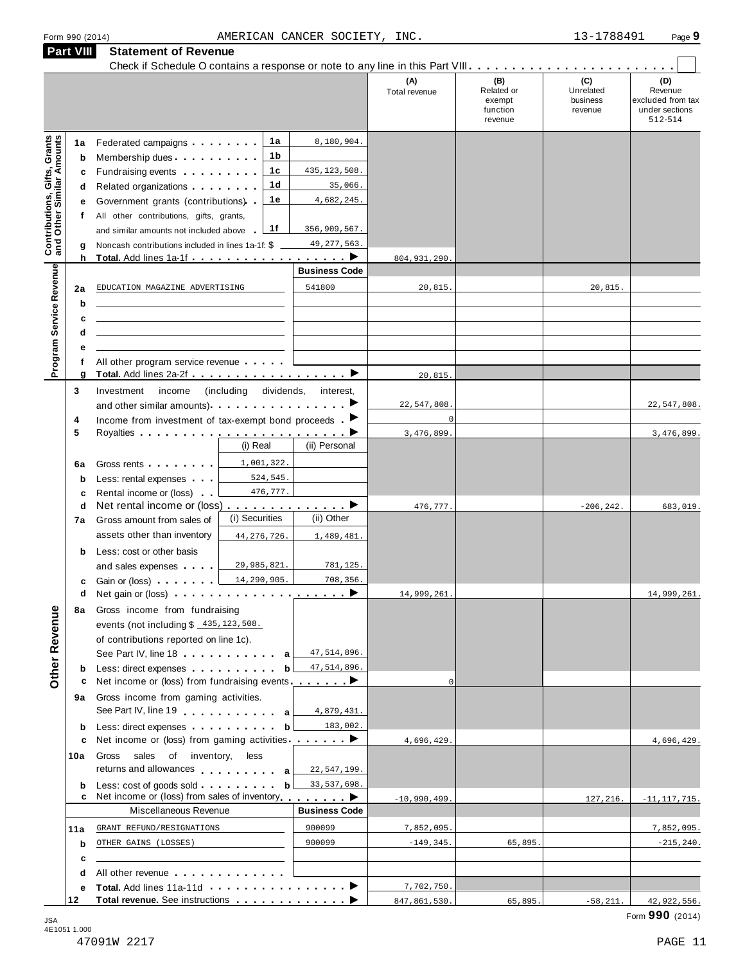|                                                                  | <b>Part VIII</b>            | <b>Statement of Revenue</b>                                                                                                                                                                                                                                                                                                                                                                                                |                            |                                                       |                      |                                                    |                                         |                                                                  |
|------------------------------------------------------------------|-----------------------------|----------------------------------------------------------------------------------------------------------------------------------------------------------------------------------------------------------------------------------------------------------------------------------------------------------------------------------------------------------------------------------------------------------------------------|----------------------------|-------------------------------------------------------|----------------------|----------------------------------------------------|-----------------------------------------|------------------------------------------------------------------|
|                                                                  |                             |                                                                                                                                                                                                                                                                                                                                                                                                                            |                            |                                                       | (A)<br>Total revenue | (B)<br>Related or<br>exempt<br>function<br>revenue | (C)<br>Unrelated<br>business<br>revenue | (D)<br>Revenue<br>excluded from tax<br>under sections<br>512-514 |
| <b>Contributions, Gifts, Grants</b><br>and Other Similar Amounts | 1a<br>b<br>c<br>d<br>е<br>f | Federated campaigns <b>Federated</b><br>Membership dues<br>Fundraising events <b>Fundraising</b><br>Related organizations <b>and the set of the set of the set of the set of the set of the set of the set of the set of the set of the set of the set of the set of the set of the set of the set of the set of the set of the set </b><br>Government grants (contributions) .<br>All other contributions, gifts, grants, | 1a<br>1b<br>1c<br>1d<br>1e | 8,180,904.<br>435, 123, 508.<br>35,066.<br>4,682,245. |                      |                                                    |                                         |                                                                  |
|                                                                  | g<br>h                      | and similar amounts not included above<br>Noncash contributions included in lines 1a-1f: \$<br>Total. Add lines 1a-1f                                                                                                                                                                                                                                                                                                      | 1f                         | 356,909,567.<br>49, 277, 563.<br>. <b>.</b>           | 804, 931, 290        |                                                    |                                         |                                                                  |
|                                                                  |                             |                                                                                                                                                                                                                                                                                                                                                                                                                            |                            | <b>Business Code</b>                                  |                      |                                                    |                                         |                                                                  |
| Program Service Revenue                                          | 2a<br>b<br>c                | EDUCATION MAGAZINE ADVERTISING<br><u> 1989 - Johann Stein, mars an deutscher Stein und der Stein und der Stein und der Stein und der Stein und der</u>                                                                                                                                                                                                                                                                     |                            | 541800                                                | 20,815.              |                                                    | 20,815.                                 |                                                                  |
|                                                                  | d<br>е                      | the control of the control of the control of the control of the control of the control of<br>All other program service revenue                                                                                                                                                                                                                                                                                             |                            |                                                       |                      |                                                    |                                         |                                                                  |
|                                                                  | g                           | Total. Add lines 2a-2f ▶                                                                                                                                                                                                                                                                                                                                                                                                   |                            |                                                       | 20,815.              |                                                    |                                         |                                                                  |
|                                                                  | 3                           | income<br>Investment<br>and other similar amounts). The material rate of the same of the same of the same of the same of the same of $\blacktriangleright$                                                                                                                                                                                                                                                                 | (including)<br>dividends,  | interest,                                             | 22,547,808           |                                                    |                                         | 22,547,808.                                                      |
|                                                                  | 4                           | Income from investment of tax-exempt bond proceeds $\blacksquare$                                                                                                                                                                                                                                                                                                                                                          |                            |                                                       | $\mathcal{C}$        |                                                    |                                         |                                                                  |
|                                                                  | 5                           |                                                                                                                                                                                                                                                                                                                                                                                                                            |                            |                                                       | 3,476,899            |                                                    |                                         | 3,476,899.                                                       |
|                                                                  |                             |                                                                                                                                                                                                                                                                                                                                                                                                                            | (i) Real                   | (ii) Personal                                         |                      |                                                    |                                         |                                                                  |
|                                                                  | 6a                          | Gross rents <b>contains the container</b>                                                                                                                                                                                                                                                                                                                                                                                  | 1,001,322.                 |                                                       |                      |                                                    |                                         |                                                                  |
|                                                                  | b                           | Less: rental expenses                                                                                                                                                                                                                                                                                                                                                                                                      | 524,545.                   |                                                       |                      |                                                    |                                         |                                                                  |
|                                                                  | c                           | Rental income or (loss).                                                                                                                                                                                                                                                                                                                                                                                                   | 476,777.                   |                                                       |                      |                                                    |                                         |                                                                  |
|                                                                  | d                           | Net rental income or (loss)                                                                                                                                                                                                                                                                                                                                                                                                |                            | <u>.</u> >                                            | 476,777.             |                                                    | $-206, 242.$                            | 683,019.                                                         |
|                                                                  | 7a                          | Gross amount from sales of                                                                                                                                                                                                                                                                                                                                                                                                 | (i) Securities             | (ii) Other                                            |                      |                                                    |                                         |                                                                  |
|                                                                  |                             | assets other than inventory                                                                                                                                                                                                                                                                                                                                                                                                | 44, 276, 726.              | 1,489,481.                                            |                      |                                                    |                                         |                                                                  |
|                                                                  | b                           | Less: cost or other basis                                                                                                                                                                                                                                                                                                                                                                                                  |                            |                                                       |                      |                                                    |                                         |                                                                  |
|                                                                  |                             | and sales expenses                                                                                                                                                                                                                                                                                                                                                                                                         | 29,985,821.                | 781,125.                                              |                      |                                                    |                                         |                                                                  |
|                                                                  |                             |                                                                                                                                                                                                                                                                                                                                                                                                                            | 14,290,905.                | 708,356.                                              |                      |                                                    |                                         |                                                                  |
|                                                                  | c                           | Gain or (loss)                                                                                                                                                                                                                                                                                                                                                                                                             |                            |                                                       |                      |                                                    |                                         |                                                                  |
|                                                                  | 8а                          | Gross income from fundraising                                                                                                                                                                                                                                                                                                                                                                                              |                            |                                                       | 14,999,261.          |                                                    |                                         | 14,999,261                                                       |
| <b>Other Revenue</b>                                             |                             | events (not including \$ 435, 123, 508.<br>of contributions reported on line 1c).                                                                                                                                                                                                                                                                                                                                          |                            |                                                       |                      |                                                    |                                         |                                                                  |
|                                                                  |                             | See Part IV, line 18 a                                                                                                                                                                                                                                                                                                                                                                                                     |                            | 47,514,896.                                           |                      |                                                    |                                         |                                                                  |
|                                                                  | b<br>c                      | Less: direct expenses <b>contained contained contained contained contained contained </b><br>Net income or (loss) from fundraising events ________                                                                                                                                                                                                                                                                         | $\mathbf b$                | 47,514,896.                                           | $\Omega$             |                                                    |                                         |                                                                  |
|                                                                  | 9а                          | Gross income from gaming activities.<br>See Part IV, line 19 \, \, \, \, \, \, \, \, a                                                                                                                                                                                                                                                                                                                                     |                            | 4,879,431.                                            |                      |                                                    |                                         |                                                                  |
|                                                                  | b                           | Less: direct expenses <b>contained contained contained contained contained contained contained contained </b>                                                                                                                                                                                                                                                                                                              | b                          | 183,002.                                              |                      |                                                    |                                         |                                                                  |
|                                                                  | c                           | Net income or (loss) from gaming activities ________ ▶                                                                                                                                                                                                                                                                                                                                                                     |                            |                                                       | 4,696,429.           |                                                    |                                         | 4,696,429.                                                       |
|                                                                  | 10a                         | sales of inventory,<br>Gross<br>returns and allowances and allowances                                                                                                                                                                                                                                                                                                                                                      | less                       | 22,547,199.                                           |                      |                                                    |                                         |                                                                  |
|                                                                  | b<br>с                      | Net income or (loss) from sales of inventory ●                                                                                                                                                                                                                                                                                                                                                                             | b                          | 33, 537, 698.                                         | $-10,990,499.$       |                                                    | 127,216.                                | $-11, 117, 715.$                                                 |
|                                                                  |                             | Miscellaneous Revenue                                                                                                                                                                                                                                                                                                                                                                                                      |                            | <b>Business Code</b>                                  |                      |                                                    |                                         |                                                                  |
|                                                                  | 11a                         | GRANT REFUND/RESIGNATIONS                                                                                                                                                                                                                                                                                                                                                                                                  |                            | 900099                                                | 7,852,095.           |                                                    |                                         | 7,852,095.                                                       |
|                                                                  | b                           | OTHER GAINS (LOSSES)                                                                                                                                                                                                                                                                                                                                                                                                       |                            | 900099                                                | $-149, 345.$         | 65,895.                                            |                                         | $-215, 240.$                                                     |
|                                                                  | c                           |                                                                                                                                                                                                                                                                                                                                                                                                                            |                            |                                                       |                      |                                                    |                                         |                                                                  |
|                                                                  | d                           | All other revenue entitled and a series and a series of the series of the series of the series of the series o                                                                                                                                                                                                                                                                                                             |                            |                                                       | 7,702,750.           |                                                    |                                         |                                                                  |
|                                                                  | е<br>12                     |                                                                                                                                                                                                                                                                                                                                                                                                                            |                            |                                                       | 847,861,530.         | 65,895.                                            | $-58, 211.$                             | 42, 922, 556.                                                    |
|                                                                  |                             |                                                                                                                                                                                                                                                                                                                                                                                                                            |                            |                                                       |                      |                                                    |                                         |                                                                  |

Form <sup>990</sup> (2014) Page **9** AMERICAN CANCER SOCIETY, INC. 13-1788491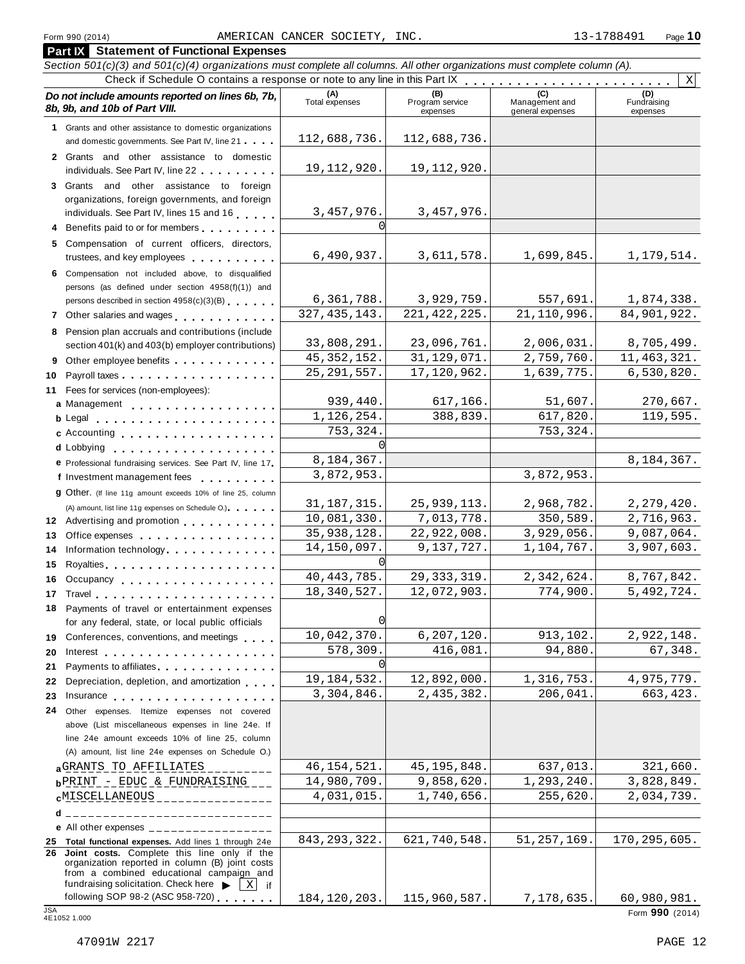### **Part IX Statement of Functional Expenses** Section 501(c)(3) and 501(c)(4) organizations must complete all columns. All other organizations must complete column (A). Check if Schedule O contains a response or note to any line in this Part  $\begin{array}{c|c|c|c|c} \hline \textbf{(h)} & \textbf{(c)} & \textbf{(d)} & \textbf{(e)} & \textbf{(f)} & \textbf{(h)} & \textbf{(i)} & \textbf{(j)} & \textbf{(k)} \\ \hline \textbf{(i)} & \textbf{(j)} & \textbf{(k)} & \textbf{(k)} & \textbf{(k)} & \textbf{(k)} & \textbf{(k)} & \textbf{(k)} & \textbf{(k)} &$ *Do no* **(A) (B) (C) (D)** *t include amounts reported on lines 6b, 7b,* **8b, 9b, and 10b of Part VIII.** The contract position of **Part Part VIII.** The contract Program services Program services expenses Management and general expenses Fundraising expenses **1** Grants and other assistance to domestic organizations and domestic governments. See Part IV, line 21 m m m **2** Grants and other assistance to domestic individuals. See Part IV, line 22 **3** Grants and other assistance to foreign organizations, foreign governments, and foreign individuals. See Part IV, lines <sup>15</sup> and <sup>16</sup> <sup>m</sup> <sup>m</sup> <sup>m</sup> <sup>m</sup> <sup>m</sup> **<sup>4</sup>** Benefits paid to or for members <sup>m</sup> <sup>m</sup> <sup>m</sup> <sup>m</sup> <sup>m</sup> <sup>m</sup> <sup>m</sup> <sup>m</sup> <sup>m</sup> **5** Compensation of current officers, directors, trustees, and key employees m m m m m m m m m m **6** Compensation not included above, to disqualified persons (as defined under section 4958(f)(1)) and persons described in section 4958(c)(3)(B) 7 Other salaries and wages **manual manual metallicity 8** Pension plan accruals and contributions (include section 401(k) and 403(b) employer contributions) **9** Section 401(k) and 403(b) employer contributions<br>9 Other employee benefits 9 Other employee benefits **10** Payroll taxes **1** Fees for services (non-employees): **11** Fees for services (non-employees):<br>**a** Management ..................<br>**b** Legal ......................... Legal m m m m m m m m m m m m m m m m m m m m m Accounting m m m m m m m m m m m m m m m m m m Lobbying **cd** m m m m m m m m m m m m m m m m m m m A) amount, list line 11g expenses on Schedule O.<br>**12** Advertising and promotion **manual 13** Office expenses **13** Office expenses<br>**14** Information technology **manual manual metal of the metal of the metal of the metal of 15** Royalties m m m m m m m m m m m m m m m m m m m m **16** Occupancy m m m m m m m m m m m m m m m m m m **16** Occupancy ...................<br>17 Travel..................... **18** Payments of travel or entertainment expenses for any federal, state, or local public officials<br>**19** Conferences, conventions, and meetings **19** Conferences, conventions, and meetings **endorship.**<br>20 Interest **manual meeting 21** Payments to affiliates m m m m m m m m m m m m m m 21 Payments to affiliates<br>22 Depreciation, depletion, and amortization <sub>1</sub> , , , **22** Depreciation, depletion, and amortization **manufation**<br>23 Insurance 24 Other expenses. Itemize expenses not covered | **d** Lobbying **e**<br> **e** Professional fundraising services. See Part IV, line 17 **P** Professional fundraising services. See Part IV, line 17<br>**f** Investment management fees **g** Other. (If line 11g amount exceeds 10% of line 25, column  $(A)$  amount, list line 11g expenses on Schedule O.) manus manus m m m m m m m m m m m m m m m m for any federal, state, or local public officials above (List miscellaneous expenses in line 24e. If line 24e amount exceeds 10% of line 25, column (A) amount, list line 24e expenses on Schedule O.) **a**G<u>RANTS TO AFFILIATES \_\_\_\_\_\_\_\_ 46,154,521. 45,195,848. 637,013. 321,660.<br>**b**PRINT -\_EDUC & FUNDRAISING \_\_ 14,980,709. 9,858,620. 1,293,240. 3,828,849.</u> **d** \_\_\_\_\_\_\_\_\_\_\_\_\_\_\_\_\_\_\_\_\_\_\_\_\_\_\_\_\_\_\_ **e** All other expenses \_\_\_\_\_\_\_\_\_\_\_\_\_ **25 Total functional expenses.** Add lines 1 through 24e **26 Joint costs.** Complete this line only if the organization reported in column (B) joint costs from a combined educational campaign and from a combined educational campaign and<br>fundraising solicitation. Check here  $\blacktriangleright \boxed{\text{X}}$  if<br>following SOP 98-2 (ASC 958-720) X 112,688,736. 112,688,736. 19,112,920. 19,112,920. 3,457,976. 3,457,976.  $\sqrt{ }$  $6,490,937.$  3,611,578. 1,699,845. 1,179,514. 6,361,788. 3,929,759. 557,691. 1,874,338. 327,435,143. 221,422,225. 21,110,996. 84,901,922. 33,808,291. 23,096,761. 2,006,031. 8,705,499. 45,352,152. 31,129,071. 2,759,760. 11,463,321. 25,291,557. 17,120,962. 1,639,775. 6,530,820. 939,440. 617,166. 51,607. 270,667.<br>126,254. 388,839. 617,820. 119,595.  $1,126,254.$  388,839. 617,820. 119,595. 753,324. 753,324.  $\sqrt{ }$ 8,184,367. 3,872,953.  $31,187,315.$   $25,939,113.$   $2,968,782.$   $2,279,420.$ 10,081,330. 7,013,778. 350,589. 2,716,963. 35,938,128. 22,922,008. 3,929,056. 9,087,064. 14,150,097. 9,137,727. 1,104,767. 3,907,603. 0 40,443,785. 29,333,319. 2,342,624. 8,767,842. 18,340,527. 12,072,903. 774,900. 5,492,724. 0 10,042,370. 6,207,120. 913,102. 2,922,148. 578,309. 416,081. 94,880. 67,348. 0 19,184,532. 12,892,000. 1,316,753. 4,975,779. 3,304,846. 2,435,382. 206,041. 663,423. **a**GRANTS TO AFFILIATES \_\_\_\_\_\_\_\_ | 46,154,521. 45,195,848. 637,013. 321,660.  $\texttt{cMISCELLANEOUS_{\texttt{---}\texttt{---}\texttt{---}\texttt{---}\texttt{---}}}\ \textcolor{red}{| \qquad \texttt{4,031,015.} | \qquad \texttt{1,740,656.} | \qquad \texttt{255,620.} | \qquad \texttt{2,034,739.}}$ 843,293,322. 621,740,548. 51,257,169. 170,295,605.

fundraising solicitation. Check here ▶ <u>| X</u>] if <br>following SOP 98-2 (ASC 958-720) . . . . . . . | 184, 120, 203. | 115, 960, 587. | 7, 178, 635. 60, 980, 981.<br>4E1052 1.000 **Form 990** (2014)

184,120,203. 115,960,587. 7,178,635. 60,980,981.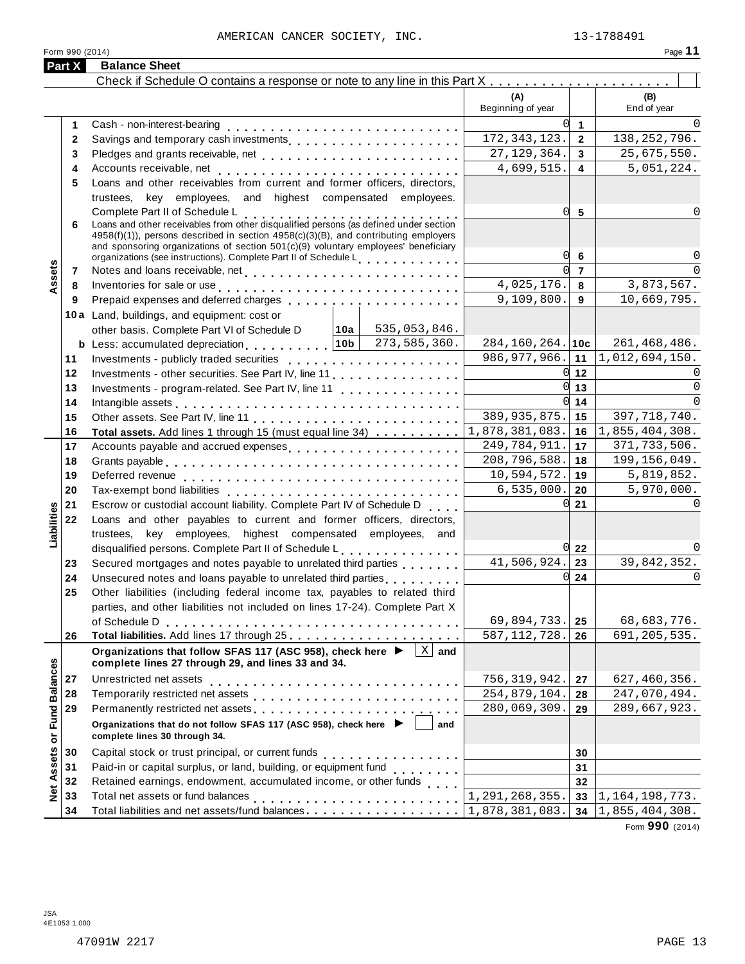| Form 990 (2014) | Page |
|-----------------|------|
|                 |      |

| (B)<br>(A)<br>Beginning of year<br>End of year<br><sup>o</sup><br>$\overline{1}$<br>Cash - non-interest-bearing<br>1<br>172, 343, 123.<br>138, 252, 796.<br>$\overline{2}$<br>2<br>27, 129, 364.<br>25,675,550.<br>3<br>3<br>4,699,515.<br>5,051,224.<br>4<br>4<br>Loans and other receivables from current and former officers, directors,<br>5<br>trustees, key employees, and highest compensated employees.<br>0l<br>Complete Part II of Schedule L<br>5<br>Loans and other receivables from other disqualified persons (as defined under section<br>6<br>$4958(f)(1)$ , persons described in section $4958(c)(3)(B)$ , and contributing employers<br>and sponsoring organizations of section 501(c)(9) voluntary employees' beneficiary<br>O<br>6<br>organizations (see instructions). Complete Part II of Schedule L.<br>Assets<br>U<br>$\overline{7}$<br>$\cap$<br>7<br>4,025,176.<br>3,873,567.<br>8<br>Inventories for sale or use enterprise to contact the contract of the contract of the contract of the contract of the contract of the contract of the contract of the contract of the contract of the contract of the contract<br>8<br>9,109,800.<br>10,669,795.<br>9<br>9<br>10a Land, buildings, and equipment: cost or<br>535,053,846.<br> 10a  <br>other basis. Complete Part VI of Schedule D<br>$284, 160, 264.$ 10c<br>273,585,360.<br>261, 468, 486.<br><b>b</b> Less: accumulated depreciation $10b$<br>$986, 977, 966.$ 11<br>1,012,694,150.<br>11<br>$0 \vert 12$<br>Investments - other securities. See Part IV, line 11<br>12<br>0l<br>13<br>$\Omega$<br>13<br>$0 \mid 14$<br>$\Omega$<br>14<br>389, 935, 875.<br>397, 718, 740.<br>15<br>15<br>1,878,381,083.<br>1,855,404,308.<br>16<br>Total assets. Add lines 1 through 15 (must equal line 34)<br>16<br>249,784,911.<br>371, 733, 506.<br>17<br>17<br>208,796,588.<br>199, 156, 049.<br>18<br>18<br>10,594,572.<br>5,819,852.<br>Deferred revenue enterprise and and an enterprise manufacturer and all the property and all the property of the<br>19<br>19<br>6, 535, 000.<br>5,970,000.<br>20<br>20<br>Tax-exempt bond liabilities<br>Escrow or custodial account liability. Complete Part IV of Schedule D<br>0l<br>21<br>21<br>Liabilities<br>Loans and other payables to current and former officers, directors,<br>22<br>trustees, key employees, highest compensated employees, and<br>disqualified persons. Complete Part II of Schedule L.<br>$0\overline{22}$<br>41,506,924.<br>39,842,352.<br>Secured mortgages and notes payable to unrelated third parties<br>23<br>23<br>0l<br>24<br>Unsecured notes and loans payable to unrelated third parties<br>24<br>Other liabilities (including federal income tax, payables to related third<br>25<br>parties, and other liabilities not included on lines 17-24). Complete Part X<br>69,894,733.<br>68,683,776.<br>of Schedule D<br>25<br>587, 112, 728.<br>691, 205, 535.<br>26<br>26<br>$\overline{X}$ and<br>Organizations that follow SFAS 117 (ASC 958), check here ▶<br><b>Fund Balances</b><br>complete lines 27 through 29, and lines 33 and 34.<br>Unrestricted net assets<br>756, 319, 942.<br>627, 460, 356.<br>27<br>27<br>28<br>254,879,104.<br>247,070,494.<br>28<br>29<br>Permanently restricted net assets<br>intervals and intervals are not restricted to the set of assets are not restricted to the set of the set of the set of the set of the set of the set of the set of the set of the set of th<br>280,069,309.<br>289,667,923.<br>29<br>Organizations that do not follow SFAS 117 (ASC 958), check here ▶<br>and<br>$\overline{\sigma}$<br>complete lines 30 through 34.<br>Assets<br>30<br>Capital stock or trust principal, or current funds<br>30<br>.<br>Paid-in or capital surplus, or land, building, or equipment fund<br><br>31<br>31<br>Retained earnings, endowment, accumulated income, or other funds<br>32<br>32<br>Net<br>1,291,268,355.<br>Total net assets or fund balances<br>33<br>1, 164, 198, 773.<br>33<br>Total liabilities and net assets/fund balances<br>34<br>1,878,381,083.<br> 1,855,404,308.<br>34 | Part X | <b>Balance Sheet</b> |  |  |
|-------------------------------------------------------------------------------------------------------------------------------------------------------------------------------------------------------------------------------------------------------------------------------------------------------------------------------------------------------------------------------------------------------------------------------------------------------------------------------------------------------------------------------------------------------------------------------------------------------------------------------------------------------------------------------------------------------------------------------------------------------------------------------------------------------------------------------------------------------------------------------------------------------------------------------------------------------------------------------------------------------------------------------------------------------------------------------------------------------------------------------------------------------------------------------------------------------------------------------------------------------------------------------------------------------------------------------------------------------------------------------------------------------------------------------------------------------------------------------------------------------------------------------------------------------------------------------------------------------------------------------------------------------------------------------------------------------------------------------------------------------------------------------------------------------------------------------------------------------------------------------------------------------------------------------------------------------------------------------------------------------------------------------------------------------------------------------------------------------------------------------------------------------------------------------------------------------------------------------------------------------------------------------------------------------------------------------------------------------------------------------------------------------------------------------------------------------------------------------------------------------------------------------------------------------------------------------------------------------------------------------------------------------------------------------------------------------------------------------------------------------------------------------------------------------------------------------------------------------------------------------------------------------------------------------------------------------------------------------------------------------------------------------------------------------------------------------------------------------------------------------------------------------------------------------------------------------------------------------------------------------------------------------------------------------------------------------------------------------------------------------------------------------------------------------------------------------------------------------------------------------------------------------------------------------------------------------------------------------------------------------------------------------------------------------------------------------------------------------------------------------------------------------------------------------------------------------------------------------------------------------------------------------------------------------------------------------------------------------------------------------------------------------------------------------------------------------------------------------|--------|----------------------|--|--|
|                                                                                                                                                                                                                                                                                                                                                                                                                                                                                                                                                                                                                                                                                                                                                                                                                                                                                                                                                                                                                                                                                                                                                                                                                                                                                                                                                                                                                                                                                                                                                                                                                                                                                                                                                                                                                                                                                                                                                                                                                                                                                                                                                                                                                                                                                                                                                                                                                                                                                                                                                                                                                                                                                                                                                                                                                                                                                                                                                                                                                                                                                                                                                                                                                                                                                                                                                                                                                                                                                                                                                                                                                                                                                                                                                                                                                                                                                                                                                                                                                                                                                                       |        |                      |  |  |
|                                                                                                                                                                                                                                                                                                                                                                                                                                                                                                                                                                                                                                                                                                                                                                                                                                                                                                                                                                                                                                                                                                                                                                                                                                                                                                                                                                                                                                                                                                                                                                                                                                                                                                                                                                                                                                                                                                                                                                                                                                                                                                                                                                                                                                                                                                                                                                                                                                                                                                                                                                                                                                                                                                                                                                                                                                                                                                                                                                                                                                                                                                                                                                                                                                                                                                                                                                                                                                                                                                                                                                                                                                                                                                                                                                                                                                                                                                                                                                                                                                                                                                       |        |                      |  |  |
|                                                                                                                                                                                                                                                                                                                                                                                                                                                                                                                                                                                                                                                                                                                                                                                                                                                                                                                                                                                                                                                                                                                                                                                                                                                                                                                                                                                                                                                                                                                                                                                                                                                                                                                                                                                                                                                                                                                                                                                                                                                                                                                                                                                                                                                                                                                                                                                                                                                                                                                                                                                                                                                                                                                                                                                                                                                                                                                                                                                                                                                                                                                                                                                                                                                                                                                                                                                                                                                                                                                                                                                                                                                                                                                                                                                                                                                                                                                                                                                                                                                                                                       |        |                      |  |  |
|                                                                                                                                                                                                                                                                                                                                                                                                                                                                                                                                                                                                                                                                                                                                                                                                                                                                                                                                                                                                                                                                                                                                                                                                                                                                                                                                                                                                                                                                                                                                                                                                                                                                                                                                                                                                                                                                                                                                                                                                                                                                                                                                                                                                                                                                                                                                                                                                                                                                                                                                                                                                                                                                                                                                                                                                                                                                                                                                                                                                                                                                                                                                                                                                                                                                                                                                                                                                                                                                                                                                                                                                                                                                                                                                                                                                                                                                                                                                                                                                                                                                                                       |        |                      |  |  |
|                                                                                                                                                                                                                                                                                                                                                                                                                                                                                                                                                                                                                                                                                                                                                                                                                                                                                                                                                                                                                                                                                                                                                                                                                                                                                                                                                                                                                                                                                                                                                                                                                                                                                                                                                                                                                                                                                                                                                                                                                                                                                                                                                                                                                                                                                                                                                                                                                                                                                                                                                                                                                                                                                                                                                                                                                                                                                                                                                                                                                                                                                                                                                                                                                                                                                                                                                                                                                                                                                                                                                                                                                                                                                                                                                                                                                                                                                                                                                                                                                                                                                                       |        |                      |  |  |
|                                                                                                                                                                                                                                                                                                                                                                                                                                                                                                                                                                                                                                                                                                                                                                                                                                                                                                                                                                                                                                                                                                                                                                                                                                                                                                                                                                                                                                                                                                                                                                                                                                                                                                                                                                                                                                                                                                                                                                                                                                                                                                                                                                                                                                                                                                                                                                                                                                                                                                                                                                                                                                                                                                                                                                                                                                                                                                                                                                                                                                                                                                                                                                                                                                                                                                                                                                                                                                                                                                                                                                                                                                                                                                                                                                                                                                                                                                                                                                                                                                                                                                       |        |                      |  |  |
|                                                                                                                                                                                                                                                                                                                                                                                                                                                                                                                                                                                                                                                                                                                                                                                                                                                                                                                                                                                                                                                                                                                                                                                                                                                                                                                                                                                                                                                                                                                                                                                                                                                                                                                                                                                                                                                                                                                                                                                                                                                                                                                                                                                                                                                                                                                                                                                                                                                                                                                                                                                                                                                                                                                                                                                                                                                                                                                                                                                                                                                                                                                                                                                                                                                                                                                                                                                                                                                                                                                                                                                                                                                                                                                                                                                                                                                                                                                                                                                                                                                                                                       |        |                      |  |  |
|                                                                                                                                                                                                                                                                                                                                                                                                                                                                                                                                                                                                                                                                                                                                                                                                                                                                                                                                                                                                                                                                                                                                                                                                                                                                                                                                                                                                                                                                                                                                                                                                                                                                                                                                                                                                                                                                                                                                                                                                                                                                                                                                                                                                                                                                                                                                                                                                                                                                                                                                                                                                                                                                                                                                                                                                                                                                                                                                                                                                                                                                                                                                                                                                                                                                                                                                                                                                                                                                                                                                                                                                                                                                                                                                                                                                                                                                                                                                                                                                                                                                                                       |        |                      |  |  |
|                                                                                                                                                                                                                                                                                                                                                                                                                                                                                                                                                                                                                                                                                                                                                                                                                                                                                                                                                                                                                                                                                                                                                                                                                                                                                                                                                                                                                                                                                                                                                                                                                                                                                                                                                                                                                                                                                                                                                                                                                                                                                                                                                                                                                                                                                                                                                                                                                                                                                                                                                                                                                                                                                                                                                                                                                                                                                                                                                                                                                                                                                                                                                                                                                                                                                                                                                                                                                                                                                                                                                                                                                                                                                                                                                                                                                                                                                                                                                                                                                                                                                                       |        |                      |  |  |
|                                                                                                                                                                                                                                                                                                                                                                                                                                                                                                                                                                                                                                                                                                                                                                                                                                                                                                                                                                                                                                                                                                                                                                                                                                                                                                                                                                                                                                                                                                                                                                                                                                                                                                                                                                                                                                                                                                                                                                                                                                                                                                                                                                                                                                                                                                                                                                                                                                                                                                                                                                                                                                                                                                                                                                                                                                                                                                                                                                                                                                                                                                                                                                                                                                                                                                                                                                                                                                                                                                                                                                                                                                                                                                                                                                                                                                                                                                                                                                                                                                                                                                       |        |                      |  |  |
|                                                                                                                                                                                                                                                                                                                                                                                                                                                                                                                                                                                                                                                                                                                                                                                                                                                                                                                                                                                                                                                                                                                                                                                                                                                                                                                                                                                                                                                                                                                                                                                                                                                                                                                                                                                                                                                                                                                                                                                                                                                                                                                                                                                                                                                                                                                                                                                                                                                                                                                                                                                                                                                                                                                                                                                                                                                                                                                                                                                                                                                                                                                                                                                                                                                                                                                                                                                                                                                                                                                                                                                                                                                                                                                                                                                                                                                                                                                                                                                                                                                                                                       |        |                      |  |  |
|                                                                                                                                                                                                                                                                                                                                                                                                                                                                                                                                                                                                                                                                                                                                                                                                                                                                                                                                                                                                                                                                                                                                                                                                                                                                                                                                                                                                                                                                                                                                                                                                                                                                                                                                                                                                                                                                                                                                                                                                                                                                                                                                                                                                                                                                                                                                                                                                                                                                                                                                                                                                                                                                                                                                                                                                                                                                                                                                                                                                                                                                                                                                                                                                                                                                                                                                                                                                                                                                                                                                                                                                                                                                                                                                                                                                                                                                                                                                                                                                                                                                                                       |        |                      |  |  |
|                                                                                                                                                                                                                                                                                                                                                                                                                                                                                                                                                                                                                                                                                                                                                                                                                                                                                                                                                                                                                                                                                                                                                                                                                                                                                                                                                                                                                                                                                                                                                                                                                                                                                                                                                                                                                                                                                                                                                                                                                                                                                                                                                                                                                                                                                                                                                                                                                                                                                                                                                                                                                                                                                                                                                                                                                                                                                                                                                                                                                                                                                                                                                                                                                                                                                                                                                                                                                                                                                                                                                                                                                                                                                                                                                                                                                                                                                                                                                                                                                                                                                                       |        |                      |  |  |
|                                                                                                                                                                                                                                                                                                                                                                                                                                                                                                                                                                                                                                                                                                                                                                                                                                                                                                                                                                                                                                                                                                                                                                                                                                                                                                                                                                                                                                                                                                                                                                                                                                                                                                                                                                                                                                                                                                                                                                                                                                                                                                                                                                                                                                                                                                                                                                                                                                                                                                                                                                                                                                                                                                                                                                                                                                                                                                                                                                                                                                                                                                                                                                                                                                                                                                                                                                                                                                                                                                                                                                                                                                                                                                                                                                                                                                                                                                                                                                                                                                                                                                       |        |                      |  |  |
|                                                                                                                                                                                                                                                                                                                                                                                                                                                                                                                                                                                                                                                                                                                                                                                                                                                                                                                                                                                                                                                                                                                                                                                                                                                                                                                                                                                                                                                                                                                                                                                                                                                                                                                                                                                                                                                                                                                                                                                                                                                                                                                                                                                                                                                                                                                                                                                                                                                                                                                                                                                                                                                                                                                                                                                                                                                                                                                                                                                                                                                                                                                                                                                                                                                                                                                                                                                                                                                                                                                                                                                                                                                                                                                                                                                                                                                                                                                                                                                                                                                                                                       |        |                      |  |  |
|                                                                                                                                                                                                                                                                                                                                                                                                                                                                                                                                                                                                                                                                                                                                                                                                                                                                                                                                                                                                                                                                                                                                                                                                                                                                                                                                                                                                                                                                                                                                                                                                                                                                                                                                                                                                                                                                                                                                                                                                                                                                                                                                                                                                                                                                                                                                                                                                                                                                                                                                                                                                                                                                                                                                                                                                                                                                                                                                                                                                                                                                                                                                                                                                                                                                                                                                                                                                                                                                                                                                                                                                                                                                                                                                                                                                                                                                                                                                                                                                                                                                                                       |        |                      |  |  |
|                                                                                                                                                                                                                                                                                                                                                                                                                                                                                                                                                                                                                                                                                                                                                                                                                                                                                                                                                                                                                                                                                                                                                                                                                                                                                                                                                                                                                                                                                                                                                                                                                                                                                                                                                                                                                                                                                                                                                                                                                                                                                                                                                                                                                                                                                                                                                                                                                                                                                                                                                                                                                                                                                                                                                                                                                                                                                                                                                                                                                                                                                                                                                                                                                                                                                                                                                                                                                                                                                                                                                                                                                                                                                                                                                                                                                                                                                                                                                                                                                                                                                                       |        |                      |  |  |
|                                                                                                                                                                                                                                                                                                                                                                                                                                                                                                                                                                                                                                                                                                                                                                                                                                                                                                                                                                                                                                                                                                                                                                                                                                                                                                                                                                                                                                                                                                                                                                                                                                                                                                                                                                                                                                                                                                                                                                                                                                                                                                                                                                                                                                                                                                                                                                                                                                                                                                                                                                                                                                                                                                                                                                                                                                                                                                                                                                                                                                                                                                                                                                                                                                                                                                                                                                                                                                                                                                                                                                                                                                                                                                                                                                                                                                                                                                                                                                                                                                                                                                       |        |                      |  |  |
|                                                                                                                                                                                                                                                                                                                                                                                                                                                                                                                                                                                                                                                                                                                                                                                                                                                                                                                                                                                                                                                                                                                                                                                                                                                                                                                                                                                                                                                                                                                                                                                                                                                                                                                                                                                                                                                                                                                                                                                                                                                                                                                                                                                                                                                                                                                                                                                                                                                                                                                                                                                                                                                                                                                                                                                                                                                                                                                                                                                                                                                                                                                                                                                                                                                                                                                                                                                                                                                                                                                                                                                                                                                                                                                                                                                                                                                                                                                                                                                                                                                                                                       |        |                      |  |  |
|                                                                                                                                                                                                                                                                                                                                                                                                                                                                                                                                                                                                                                                                                                                                                                                                                                                                                                                                                                                                                                                                                                                                                                                                                                                                                                                                                                                                                                                                                                                                                                                                                                                                                                                                                                                                                                                                                                                                                                                                                                                                                                                                                                                                                                                                                                                                                                                                                                                                                                                                                                                                                                                                                                                                                                                                                                                                                                                                                                                                                                                                                                                                                                                                                                                                                                                                                                                                                                                                                                                                                                                                                                                                                                                                                                                                                                                                                                                                                                                                                                                                                                       |        |                      |  |  |
|                                                                                                                                                                                                                                                                                                                                                                                                                                                                                                                                                                                                                                                                                                                                                                                                                                                                                                                                                                                                                                                                                                                                                                                                                                                                                                                                                                                                                                                                                                                                                                                                                                                                                                                                                                                                                                                                                                                                                                                                                                                                                                                                                                                                                                                                                                                                                                                                                                                                                                                                                                                                                                                                                                                                                                                                                                                                                                                                                                                                                                                                                                                                                                                                                                                                                                                                                                                                                                                                                                                                                                                                                                                                                                                                                                                                                                                                                                                                                                                                                                                                                                       |        |                      |  |  |
|                                                                                                                                                                                                                                                                                                                                                                                                                                                                                                                                                                                                                                                                                                                                                                                                                                                                                                                                                                                                                                                                                                                                                                                                                                                                                                                                                                                                                                                                                                                                                                                                                                                                                                                                                                                                                                                                                                                                                                                                                                                                                                                                                                                                                                                                                                                                                                                                                                                                                                                                                                                                                                                                                                                                                                                                                                                                                                                                                                                                                                                                                                                                                                                                                                                                                                                                                                                                                                                                                                                                                                                                                                                                                                                                                                                                                                                                                                                                                                                                                                                                                                       |        |                      |  |  |
|                                                                                                                                                                                                                                                                                                                                                                                                                                                                                                                                                                                                                                                                                                                                                                                                                                                                                                                                                                                                                                                                                                                                                                                                                                                                                                                                                                                                                                                                                                                                                                                                                                                                                                                                                                                                                                                                                                                                                                                                                                                                                                                                                                                                                                                                                                                                                                                                                                                                                                                                                                                                                                                                                                                                                                                                                                                                                                                                                                                                                                                                                                                                                                                                                                                                                                                                                                                                                                                                                                                                                                                                                                                                                                                                                                                                                                                                                                                                                                                                                                                                                                       |        |                      |  |  |
|                                                                                                                                                                                                                                                                                                                                                                                                                                                                                                                                                                                                                                                                                                                                                                                                                                                                                                                                                                                                                                                                                                                                                                                                                                                                                                                                                                                                                                                                                                                                                                                                                                                                                                                                                                                                                                                                                                                                                                                                                                                                                                                                                                                                                                                                                                                                                                                                                                                                                                                                                                                                                                                                                                                                                                                                                                                                                                                                                                                                                                                                                                                                                                                                                                                                                                                                                                                                                                                                                                                                                                                                                                                                                                                                                                                                                                                                                                                                                                                                                                                                                                       |        |                      |  |  |
|                                                                                                                                                                                                                                                                                                                                                                                                                                                                                                                                                                                                                                                                                                                                                                                                                                                                                                                                                                                                                                                                                                                                                                                                                                                                                                                                                                                                                                                                                                                                                                                                                                                                                                                                                                                                                                                                                                                                                                                                                                                                                                                                                                                                                                                                                                                                                                                                                                                                                                                                                                                                                                                                                                                                                                                                                                                                                                                                                                                                                                                                                                                                                                                                                                                                                                                                                                                                                                                                                                                                                                                                                                                                                                                                                                                                                                                                                                                                                                                                                                                                                                       |        |                      |  |  |
|                                                                                                                                                                                                                                                                                                                                                                                                                                                                                                                                                                                                                                                                                                                                                                                                                                                                                                                                                                                                                                                                                                                                                                                                                                                                                                                                                                                                                                                                                                                                                                                                                                                                                                                                                                                                                                                                                                                                                                                                                                                                                                                                                                                                                                                                                                                                                                                                                                                                                                                                                                                                                                                                                                                                                                                                                                                                                                                                                                                                                                                                                                                                                                                                                                                                                                                                                                                                                                                                                                                                                                                                                                                                                                                                                                                                                                                                                                                                                                                                                                                                                                       |        |                      |  |  |
|                                                                                                                                                                                                                                                                                                                                                                                                                                                                                                                                                                                                                                                                                                                                                                                                                                                                                                                                                                                                                                                                                                                                                                                                                                                                                                                                                                                                                                                                                                                                                                                                                                                                                                                                                                                                                                                                                                                                                                                                                                                                                                                                                                                                                                                                                                                                                                                                                                                                                                                                                                                                                                                                                                                                                                                                                                                                                                                                                                                                                                                                                                                                                                                                                                                                                                                                                                                                                                                                                                                                                                                                                                                                                                                                                                                                                                                                                                                                                                                                                                                                                                       |        |                      |  |  |
|                                                                                                                                                                                                                                                                                                                                                                                                                                                                                                                                                                                                                                                                                                                                                                                                                                                                                                                                                                                                                                                                                                                                                                                                                                                                                                                                                                                                                                                                                                                                                                                                                                                                                                                                                                                                                                                                                                                                                                                                                                                                                                                                                                                                                                                                                                                                                                                                                                                                                                                                                                                                                                                                                                                                                                                                                                                                                                                                                                                                                                                                                                                                                                                                                                                                                                                                                                                                                                                                                                                                                                                                                                                                                                                                                                                                                                                                                                                                                                                                                                                                                                       |        |                      |  |  |
|                                                                                                                                                                                                                                                                                                                                                                                                                                                                                                                                                                                                                                                                                                                                                                                                                                                                                                                                                                                                                                                                                                                                                                                                                                                                                                                                                                                                                                                                                                                                                                                                                                                                                                                                                                                                                                                                                                                                                                                                                                                                                                                                                                                                                                                                                                                                                                                                                                                                                                                                                                                                                                                                                                                                                                                                                                                                                                                                                                                                                                                                                                                                                                                                                                                                                                                                                                                                                                                                                                                                                                                                                                                                                                                                                                                                                                                                                                                                                                                                                                                                                                       |        |                      |  |  |
|                                                                                                                                                                                                                                                                                                                                                                                                                                                                                                                                                                                                                                                                                                                                                                                                                                                                                                                                                                                                                                                                                                                                                                                                                                                                                                                                                                                                                                                                                                                                                                                                                                                                                                                                                                                                                                                                                                                                                                                                                                                                                                                                                                                                                                                                                                                                                                                                                                                                                                                                                                                                                                                                                                                                                                                                                                                                                                                                                                                                                                                                                                                                                                                                                                                                                                                                                                                                                                                                                                                                                                                                                                                                                                                                                                                                                                                                                                                                                                                                                                                                                                       |        |                      |  |  |
|                                                                                                                                                                                                                                                                                                                                                                                                                                                                                                                                                                                                                                                                                                                                                                                                                                                                                                                                                                                                                                                                                                                                                                                                                                                                                                                                                                                                                                                                                                                                                                                                                                                                                                                                                                                                                                                                                                                                                                                                                                                                                                                                                                                                                                                                                                                                                                                                                                                                                                                                                                                                                                                                                                                                                                                                                                                                                                                                                                                                                                                                                                                                                                                                                                                                                                                                                                                                                                                                                                                                                                                                                                                                                                                                                                                                                                                                                                                                                                                                                                                                                                       |        |                      |  |  |
|                                                                                                                                                                                                                                                                                                                                                                                                                                                                                                                                                                                                                                                                                                                                                                                                                                                                                                                                                                                                                                                                                                                                                                                                                                                                                                                                                                                                                                                                                                                                                                                                                                                                                                                                                                                                                                                                                                                                                                                                                                                                                                                                                                                                                                                                                                                                                                                                                                                                                                                                                                                                                                                                                                                                                                                                                                                                                                                                                                                                                                                                                                                                                                                                                                                                                                                                                                                                                                                                                                                                                                                                                                                                                                                                                                                                                                                                                                                                                                                                                                                                                                       |        |                      |  |  |
|                                                                                                                                                                                                                                                                                                                                                                                                                                                                                                                                                                                                                                                                                                                                                                                                                                                                                                                                                                                                                                                                                                                                                                                                                                                                                                                                                                                                                                                                                                                                                                                                                                                                                                                                                                                                                                                                                                                                                                                                                                                                                                                                                                                                                                                                                                                                                                                                                                                                                                                                                                                                                                                                                                                                                                                                                                                                                                                                                                                                                                                                                                                                                                                                                                                                                                                                                                                                                                                                                                                                                                                                                                                                                                                                                                                                                                                                                                                                                                                                                                                                                                       |        |                      |  |  |
|                                                                                                                                                                                                                                                                                                                                                                                                                                                                                                                                                                                                                                                                                                                                                                                                                                                                                                                                                                                                                                                                                                                                                                                                                                                                                                                                                                                                                                                                                                                                                                                                                                                                                                                                                                                                                                                                                                                                                                                                                                                                                                                                                                                                                                                                                                                                                                                                                                                                                                                                                                                                                                                                                                                                                                                                                                                                                                                                                                                                                                                                                                                                                                                                                                                                                                                                                                                                                                                                                                                                                                                                                                                                                                                                                                                                                                                                                                                                                                                                                                                                                                       |        |                      |  |  |
|                                                                                                                                                                                                                                                                                                                                                                                                                                                                                                                                                                                                                                                                                                                                                                                                                                                                                                                                                                                                                                                                                                                                                                                                                                                                                                                                                                                                                                                                                                                                                                                                                                                                                                                                                                                                                                                                                                                                                                                                                                                                                                                                                                                                                                                                                                                                                                                                                                                                                                                                                                                                                                                                                                                                                                                                                                                                                                                                                                                                                                                                                                                                                                                                                                                                                                                                                                                                                                                                                                                                                                                                                                                                                                                                                                                                                                                                                                                                                                                                                                                                                                       |        |                      |  |  |
|                                                                                                                                                                                                                                                                                                                                                                                                                                                                                                                                                                                                                                                                                                                                                                                                                                                                                                                                                                                                                                                                                                                                                                                                                                                                                                                                                                                                                                                                                                                                                                                                                                                                                                                                                                                                                                                                                                                                                                                                                                                                                                                                                                                                                                                                                                                                                                                                                                                                                                                                                                                                                                                                                                                                                                                                                                                                                                                                                                                                                                                                                                                                                                                                                                                                                                                                                                                                                                                                                                                                                                                                                                                                                                                                                                                                                                                                                                                                                                                                                                                                                                       |        |                      |  |  |
|                                                                                                                                                                                                                                                                                                                                                                                                                                                                                                                                                                                                                                                                                                                                                                                                                                                                                                                                                                                                                                                                                                                                                                                                                                                                                                                                                                                                                                                                                                                                                                                                                                                                                                                                                                                                                                                                                                                                                                                                                                                                                                                                                                                                                                                                                                                                                                                                                                                                                                                                                                                                                                                                                                                                                                                                                                                                                                                                                                                                                                                                                                                                                                                                                                                                                                                                                                                                                                                                                                                                                                                                                                                                                                                                                                                                                                                                                                                                                                                                                                                                                                       |        |                      |  |  |
|                                                                                                                                                                                                                                                                                                                                                                                                                                                                                                                                                                                                                                                                                                                                                                                                                                                                                                                                                                                                                                                                                                                                                                                                                                                                                                                                                                                                                                                                                                                                                                                                                                                                                                                                                                                                                                                                                                                                                                                                                                                                                                                                                                                                                                                                                                                                                                                                                                                                                                                                                                                                                                                                                                                                                                                                                                                                                                                                                                                                                                                                                                                                                                                                                                                                                                                                                                                                                                                                                                                                                                                                                                                                                                                                                                                                                                                                                                                                                                                                                                                                                                       |        |                      |  |  |
|                                                                                                                                                                                                                                                                                                                                                                                                                                                                                                                                                                                                                                                                                                                                                                                                                                                                                                                                                                                                                                                                                                                                                                                                                                                                                                                                                                                                                                                                                                                                                                                                                                                                                                                                                                                                                                                                                                                                                                                                                                                                                                                                                                                                                                                                                                                                                                                                                                                                                                                                                                                                                                                                                                                                                                                                                                                                                                                                                                                                                                                                                                                                                                                                                                                                                                                                                                                                                                                                                                                                                                                                                                                                                                                                                                                                                                                                                                                                                                                                                                                                                                       |        |                      |  |  |
|                                                                                                                                                                                                                                                                                                                                                                                                                                                                                                                                                                                                                                                                                                                                                                                                                                                                                                                                                                                                                                                                                                                                                                                                                                                                                                                                                                                                                                                                                                                                                                                                                                                                                                                                                                                                                                                                                                                                                                                                                                                                                                                                                                                                                                                                                                                                                                                                                                                                                                                                                                                                                                                                                                                                                                                                                                                                                                                                                                                                                                                                                                                                                                                                                                                                                                                                                                                                                                                                                                                                                                                                                                                                                                                                                                                                                                                                                                                                                                                                                                                                                                       |        |                      |  |  |
|                                                                                                                                                                                                                                                                                                                                                                                                                                                                                                                                                                                                                                                                                                                                                                                                                                                                                                                                                                                                                                                                                                                                                                                                                                                                                                                                                                                                                                                                                                                                                                                                                                                                                                                                                                                                                                                                                                                                                                                                                                                                                                                                                                                                                                                                                                                                                                                                                                                                                                                                                                                                                                                                                                                                                                                                                                                                                                                                                                                                                                                                                                                                                                                                                                                                                                                                                                                                                                                                                                                                                                                                                                                                                                                                                                                                                                                                                                                                                                                                                                                                                                       |        |                      |  |  |
|                                                                                                                                                                                                                                                                                                                                                                                                                                                                                                                                                                                                                                                                                                                                                                                                                                                                                                                                                                                                                                                                                                                                                                                                                                                                                                                                                                                                                                                                                                                                                                                                                                                                                                                                                                                                                                                                                                                                                                                                                                                                                                                                                                                                                                                                                                                                                                                                                                                                                                                                                                                                                                                                                                                                                                                                                                                                                                                                                                                                                                                                                                                                                                                                                                                                                                                                                                                                                                                                                                                                                                                                                                                                                                                                                                                                                                                                                                                                                                                                                                                                                                       |        |                      |  |  |
|                                                                                                                                                                                                                                                                                                                                                                                                                                                                                                                                                                                                                                                                                                                                                                                                                                                                                                                                                                                                                                                                                                                                                                                                                                                                                                                                                                                                                                                                                                                                                                                                                                                                                                                                                                                                                                                                                                                                                                                                                                                                                                                                                                                                                                                                                                                                                                                                                                                                                                                                                                                                                                                                                                                                                                                                                                                                                                                                                                                                                                                                                                                                                                                                                                                                                                                                                                                                                                                                                                                                                                                                                                                                                                                                                                                                                                                                                                                                                                                                                                                                                                       |        |                      |  |  |
|                                                                                                                                                                                                                                                                                                                                                                                                                                                                                                                                                                                                                                                                                                                                                                                                                                                                                                                                                                                                                                                                                                                                                                                                                                                                                                                                                                                                                                                                                                                                                                                                                                                                                                                                                                                                                                                                                                                                                                                                                                                                                                                                                                                                                                                                                                                                                                                                                                                                                                                                                                                                                                                                                                                                                                                                                                                                                                                                                                                                                                                                                                                                                                                                                                                                                                                                                                                                                                                                                                                                                                                                                                                                                                                                                                                                                                                                                                                                                                                                                                                                                                       |        |                      |  |  |
|                                                                                                                                                                                                                                                                                                                                                                                                                                                                                                                                                                                                                                                                                                                                                                                                                                                                                                                                                                                                                                                                                                                                                                                                                                                                                                                                                                                                                                                                                                                                                                                                                                                                                                                                                                                                                                                                                                                                                                                                                                                                                                                                                                                                                                                                                                                                                                                                                                                                                                                                                                                                                                                                                                                                                                                                                                                                                                                                                                                                                                                                                                                                                                                                                                                                                                                                                                                                                                                                                                                                                                                                                                                                                                                                                                                                                                                                                                                                                                                                                                                                                                       |        |                      |  |  |
|                                                                                                                                                                                                                                                                                                                                                                                                                                                                                                                                                                                                                                                                                                                                                                                                                                                                                                                                                                                                                                                                                                                                                                                                                                                                                                                                                                                                                                                                                                                                                                                                                                                                                                                                                                                                                                                                                                                                                                                                                                                                                                                                                                                                                                                                                                                                                                                                                                                                                                                                                                                                                                                                                                                                                                                                                                                                                                                                                                                                                                                                                                                                                                                                                                                                                                                                                                                                                                                                                                                                                                                                                                                                                                                                                                                                                                                                                                                                                                                                                                                                                                       |        |                      |  |  |
|                                                                                                                                                                                                                                                                                                                                                                                                                                                                                                                                                                                                                                                                                                                                                                                                                                                                                                                                                                                                                                                                                                                                                                                                                                                                                                                                                                                                                                                                                                                                                                                                                                                                                                                                                                                                                                                                                                                                                                                                                                                                                                                                                                                                                                                                                                                                                                                                                                                                                                                                                                                                                                                                                                                                                                                                                                                                                                                                                                                                                                                                                                                                                                                                                                                                                                                                                                                                                                                                                                                                                                                                                                                                                                                                                                                                                                                                                                                                                                                                                                                                                                       |        |                      |  |  |

Form **990** (2014)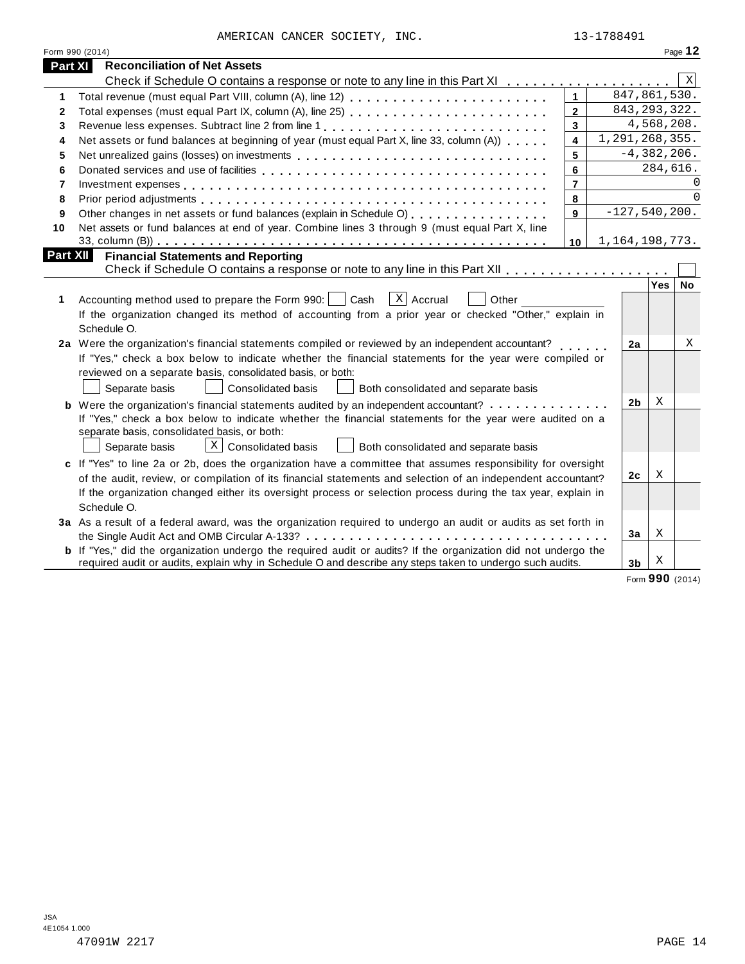| AMERICAN CANCER SOCIETY, INC. |  | 13-1788491 |
|-------------------------------|--|------------|

|                          | Form 990 (2014)                                                                                                       |                         |                 |            | Page 12     |
|--------------------------|-----------------------------------------------------------------------------------------------------------------------|-------------------------|-----------------|------------|-------------|
| Part XI                  | <b>Reconciliation of Net Assets</b>                                                                                   |                         |                 |            |             |
|                          |                                                                                                                       |                         |                 |            | $\mathbf X$ |
| 1                        |                                                                                                                       | $\mathbf{1}$            | 847,861,530.    |            |             |
| $\mathbf{2}$             |                                                                                                                       | $\overline{2}$          | 843, 293, 322.  |            |             |
| 3                        | Revenue less expenses. Subtract line 2 from line 1                                                                    | 3                       |                 | 4,568,208. |             |
| 4                        | Net assets or fund balances at beginning of year (must equal Part X, line 33, column (A))                             | $\overline{\mathbf{4}}$ | 1,291,268,355.  |            |             |
| 5                        |                                                                                                                       | 5                       | $-4,382,206.$   |            |             |
| 6                        |                                                                                                                       | 6                       |                 | 284,616.   |             |
| $\overline{\phantom{a}}$ |                                                                                                                       | $\overline{7}$          |                 |            | 0           |
| 8                        |                                                                                                                       | 8                       |                 |            | $\Omega$    |
| 9                        | Other changes in net assets or fund balances (explain in Schedule O)                                                  | 9                       | $-127,540,200.$ |            |             |
| 10                       | Net assets or fund balances at end of year. Combine lines 3 through 9 (must equal Part X, line                        |                         |                 |            |             |
|                          |                                                                                                                       | 10                      | 1,164,198,773.  |            |             |
| Part XII                 | <b>Financial Statements and Reporting</b>                                                                             |                         |                 |            |             |
|                          |                                                                                                                       |                         |                 |            |             |
|                          |                                                                                                                       |                         |                 | Yes        | <b>No</b>   |
| 1                        | $X$ Accrual<br>Accounting method used to prepare the Form 990:  <br>Cash<br>Other                                     |                         |                 |            |             |
|                          | If the organization changed its method of accounting from a prior year or checked "Other," explain in                 |                         |                 |            |             |
|                          | Schedule O.                                                                                                           |                         |                 |            |             |
|                          | 2a Were the organization's financial statements compiled or reviewed by an independent accountant?                    |                         | 2a              |            | X           |
|                          | If "Yes," check a box below to indicate whether the financial statements for the year were compiled or                |                         |                 |            |             |
|                          | reviewed on a separate basis, consolidated basis, or both:                                                            |                         |                 |            |             |
|                          | Separate basis<br>Consolidated basis<br>Both consolidated and separate basis                                          |                         |                 |            |             |
|                          | <b>b</b> Were the organization's financial statements audited by an independent accountant?                           |                         | 2b              | Χ          |             |
|                          | If "Yes," check a box below to indicate whether the financial statements for the year were audited on a               |                         |                 |            |             |
|                          | separate basis, consolidated basis, or both:                                                                          |                         |                 |            |             |
|                          | $\lfloor x \rfloor$ Consolidated basis<br>Separate basis<br>Both consolidated and separate basis                      |                         |                 |            |             |
|                          | c If "Yes" to line 2a or 2b, does the organization have a committee that assumes responsibility for oversight         |                         |                 |            |             |
|                          | of the audit, review, or compilation of its financial statements and selection of an independent accountant?          |                         | 2 <sub>c</sub>  | Χ          |             |
|                          | If the organization changed either its oversight process or selection process during the tax year, explain in         |                         |                 |            |             |
|                          | Schedule O.                                                                                                           |                         |                 |            |             |
|                          | 3a As a result of a federal award, was the organization required to undergo an audit or audits as set forth in        |                         |                 |            |             |
|                          |                                                                                                                       |                         | 3a              | X          |             |
|                          | <b>b</b> If "Yes," did the organization undergo the required audit or audits? If the organization did not undergo the |                         |                 |            |             |
|                          | required audit or audits, explain why in Schedule O and describe any steps taken to undergo such audits.              |                         | 3 <sub>b</sub>  | Х          |             |

Form **990** (2014)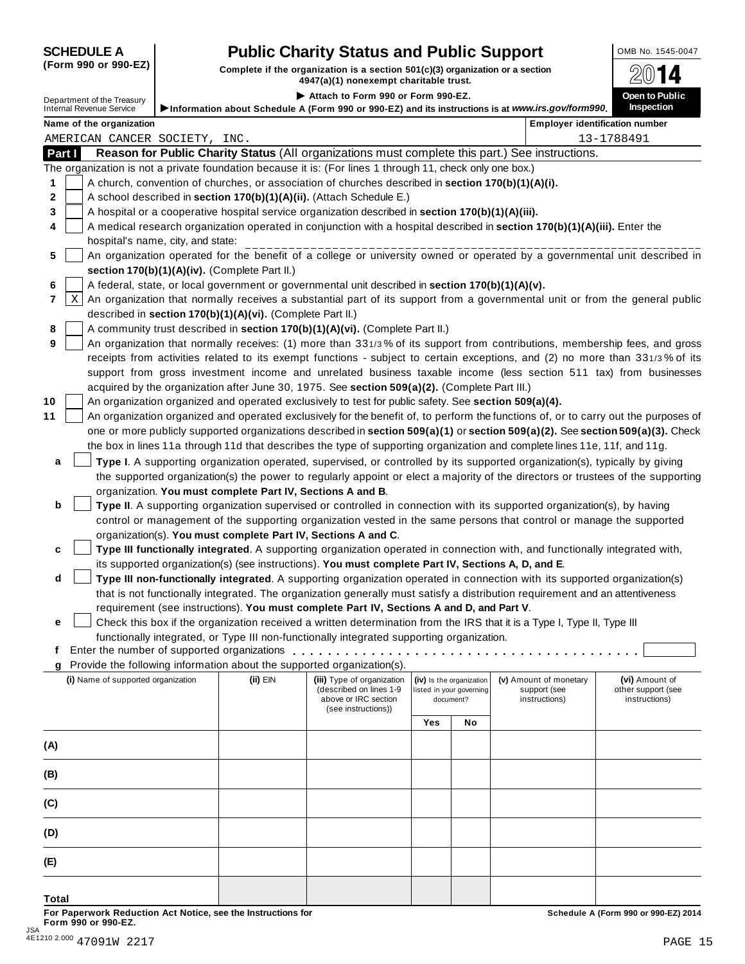## **SCHEDULE A Pub** OMB No. 1545-0047 **lic Charity Status and Public Support**

(Form 990 or 990-EZ) Complete if the organization is a section 501(c)(3) organization or a section  $4947(a)(1)$  nonexempt charitable trust.

| Department of the Treasury<br>Internal Revenue Service                                                                                                                                        | Information about Schedule A (Form 990 or 990-EZ) and its instructions is at www.irs.gov/form990. | Attach to Form 990 or Form 990-EZ.          |     |                          |                        | Open to Public                        |
|-----------------------------------------------------------------------------------------------------------------------------------------------------------------------------------------------|---------------------------------------------------------------------------------------------------|---------------------------------------------|-----|--------------------------|------------------------|---------------------------------------|
|                                                                                                                                                                                               |                                                                                                   |                                             |     |                          |                        | <b>Inspection</b>                     |
|                                                                                                                                                                                               |                                                                                                   |                                             |     |                          |                        |                                       |
| Name of the organization                                                                                                                                                                      |                                                                                                   |                                             |     |                          |                        | <b>Employer identification number</b> |
| AMERICAN CANCER SOCIETY, INC.<br>Reason for Public Charity Status (All organizations must complete this part.) See instructions.<br>Part I                                                    |                                                                                                   |                                             |     |                          |                        | 13-1788491                            |
| The organization is not a private foundation because it is: (For lines 1 through 11, check only one box.)                                                                                     |                                                                                                   |                                             |     |                          |                        |                                       |
| A church, convention of churches, or association of churches described in section 170(b)(1)(A)(i).<br>1                                                                                       |                                                                                                   |                                             |     |                          |                        |                                       |
| 2<br>A school described in section 170(b)(1)(A)(ii). (Attach Schedule E.)                                                                                                                     |                                                                                                   |                                             |     |                          |                        |                                       |
| A hospital or a cooperative hospital service organization described in section 170(b)(1)(A)(iii).<br>3                                                                                        |                                                                                                   |                                             |     |                          |                        |                                       |
| A medical research organization operated in conjunction with a hospital described in section 170(b)(1)(A)(iii). Enter the<br>4                                                                |                                                                                                   |                                             |     |                          |                        |                                       |
| hospital's name, city, and state:                                                                                                                                                             |                                                                                                   |                                             |     |                          |                        |                                       |
| An organization operated for the benefit of a college or university owned or operated by a governmental unit described in<br>5                                                                |                                                                                                   |                                             |     |                          |                        |                                       |
| section 170(b)(1)(A)(iv). (Complete Part II.)                                                                                                                                                 |                                                                                                   |                                             |     |                          |                        |                                       |
| A federal, state, or local government or governmental unit described in section 170(b)(1)(A)(v).<br>6                                                                                         |                                                                                                   |                                             |     |                          |                        |                                       |
| Χ<br>An organization that normally receives a substantial part of its support from a governmental unit or from the general public<br>7                                                        |                                                                                                   |                                             |     |                          |                        |                                       |
| described in section 170(b)(1)(A)(vi). (Complete Part II.)                                                                                                                                    |                                                                                                   |                                             |     |                          |                        |                                       |
| A community trust described in section 170(b)(1)(A)(vi). (Complete Part II.)<br>8                                                                                                             |                                                                                                   |                                             |     |                          |                        |                                       |
| An organization that normally receives: (1) more than 331/3% of its support from contributions, membership fees, and gross<br>9                                                               |                                                                                                   |                                             |     |                          |                        |                                       |
| receipts from activities related to its exempt functions - subject to certain exceptions, and (2) no more than 331/3% of its                                                                  |                                                                                                   |                                             |     |                          |                        |                                       |
| support from gross investment income and unrelated business taxable income (less section 511 tax) from businesses                                                                             |                                                                                                   |                                             |     |                          |                        |                                       |
| acquired by the organization after June 30, 1975. See section 509(a)(2). (Complete Part III.)                                                                                                 |                                                                                                   |                                             |     |                          |                        |                                       |
| 10<br>An organization organized and operated exclusively to test for public safety. See section 509(a)(4).                                                                                    |                                                                                                   |                                             |     |                          |                        |                                       |
| 11<br>An organization organized and operated exclusively for the benefit of, to perform the functions of, or to carry out the purposes of                                                     |                                                                                                   |                                             |     |                          |                        |                                       |
| one or more publicly supported organizations described in section 509(a)(1) or section 509(a)(2). See section 509(a)(3). Check                                                                |                                                                                                   |                                             |     |                          |                        |                                       |
| the box in lines 11a through 11d that describes the type of supporting organization and complete lines 11e, 11f, and 11g.                                                                     |                                                                                                   |                                             |     |                          |                        |                                       |
| Type I. A supporting organization operated, supervised, or controlled by its supported organization(s), typically by giving<br>a                                                              |                                                                                                   |                                             |     |                          |                        |                                       |
| the supported organization(s) the power to regularly appoint or elect a majority of the directors or trustees of the supporting<br>organization. You must complete Part IV, Sections A and B. |                                                                                                   |                                             |     |                          |                        |                                       |
| b<br>Type II. A supporting organization supervised or controlled in connection with its supported organization(s), by having                                                                  |                                                                                                   |                                             |     |                          |                        |                                       |
| control or management of the supporting organization vested in the same persons that control or manage the supported                                                                          |                                                                                                   |                                             |     |                          |                        |                                       |
| organization(s). You must complete Part IV, Sections A and C.                                                                                                                                 |                                                                                                   |                                             |     |                          |                        |                                       |
| Type III functionally integrated. A supporting organization operated in connection with, and functionally integrated with,<br>c                                                               |                                                                                                   |                                             |     |                          |                        |                                       |
| its supported organization(s) (see instructions). You must complete Part IV, Sections A, D, and E.                                                                                            |                                                                                                   |                                             |     |                          |                        |                                       |
| d<br>Type III non-functionally integrated. A supporting organization operated in connection with its supported organization(s)                                                                |                                                                                                   |                                             |     |                          |                        |                                       |
| that is not functionally integrated. The organization generally must satisfy a distribution requirement and an attentiveness                                                                  |                                                                                                   |                                             |     |                          |                        |                                       |
| requirement (see instructions). You must complete Part IV, Sections A and D, and Part V.                                                                                                      |                                                                                                   |                                             |     |                          |                        |                                       |
| Check this box if the organization received a written determination from the IRS that it is a Type I, Type II, Type III<br>e                                                                  |                                                                                                   |                                             |     |                          |                        |                                       |
| functionally integrated, or Type III non-functionally integrated supporting organization.                                                                                                     |                                                                                                   |                                             |     |                          |                        |                                       |
| Ť.                                                                                                                                                                                            |                                                                                                   |                                             |     |                          |                        |                                       |
| g Provide the following information about the supported organization(s).<br>(i) Name of supported organization                                                                                | $(ii)$ EIN                                                                                        | (iii) Type of organization                  |     | (iv) Is the organization | (v) Amount of monetary | (vi) Amount of                        |
|                                                                                                                                                                                               |                                                                                                   | (described on lines 1-9                     |     | listed in your governing | support (see           | other support (see                    |
|                                                                                                                                                                                               |                                                                                                   | above or IRC section<br>(see instructions)) |     | document?                | instructions)          | instructions)                         |
|                                                                                                                                                                                               |                                                                                                   |                                             | Yes | No                       |                        |                                       |
|                                                                                                                                                                                               |                                                                                                   |                                             |     |                          |                        |                                       |
| (A)                                                                                                                                                                                           |                                                                                                   |                                             |     |                          |                        |                                       |
| (B)                                                                                                                                                                                           |                                                                                                   |                                             |     |                          |                        |                                       |
|                                                                                                                                                                                               |                                                                                                   |                                             |     |                          |                        |                                       |
| (C)                                                                                                                                                                                           |                                                                                                   |                                             |     |                          |                        |                                       |
| (D)                                                                                                                                                                                           |                                                                                                   |                                             |     |                          |                        |                                       |
| (E)                                                                                                                                                                                           |                                                                                                   |                                             |     |                          |                        |                                       |
|                                                                                                                                                                                               |                                                                                                   |                                             |     |                          |                        |                                       |
| Total                                                                                                                                                                                         |                                                                                                   |                                             |     |                          |                        |                                       |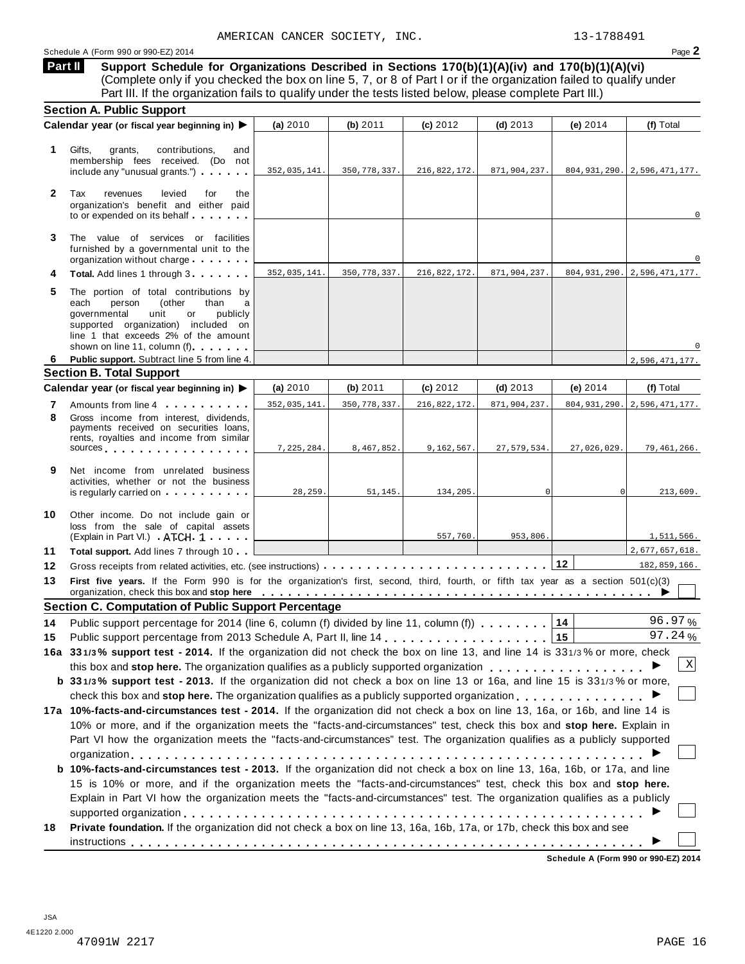**Support Schedule for Organizations Described in Sections 170(b)(1)(A)(iv) and 170(b)(1)(A)(vi)** (Complete only if you checked the box on line 5, 7, or 8 of Part I or if the organization failed to qualify under Part III. If the organization fails to qualify under the tests listed below, please complete Part III.) **Part II**

|              | <b>Section A. Public Support</b>                                                                                                                                                                                                                                                                               |              |                |              |              |                |                                    |
|--------------|----------------------------------------------------------------------------------------------------------------------------------------------------------------------------------------------------------------------------------------------------------------------------------------------------------------|--------------|----------------|--------------|--------------|----------------|------------------------------------|
|              | Calendar year (or fiscal year beginning in) ▶                                                                                                                                                                                                                                                                  | (a) 2010     | (b) 2011       | (c) 2012     | $(d)$ 2013   | (e) 2014       | (f) Total                          |
| 1            | Gifts,<br>grants,<br>contributions,<br>and<br>membership fees received. (Do not<br>include any "unusual grants.")                                                                                                                                                                                              | 352,035,141. | 350, 778, 337. | 216,822,172. | 871,904,237. |                | $804, 931, 290.$ 2, 596, 471, 177. |
| $\mathbf{2}$ | Tax<br>levied<br>revenues<br>for<br>the<br>organization's benefit and either paid<br>to or expended on its behalf                                                                                                                                                                                              |              |                |              |              |                | $\mathbf 0$                        |
| 3            | The value of services or facilities<br>furnished by a governmental unit to the<br>organization without charge                                                                                                                                                                                                  |              |                |              |              |                | $\Omega$                           |
| 4            | Total. Add lines 1 through 3                                                                                                                                                                                                                                                                                   | 352,035,141. | 350, 778, 337. | 216,822,172. | 871,904,237. |                | 804, 931, 290. 2, 596, 471, 177.   |
| 5            | The portion of total contributions by<br>(other<br>each<br>person<br>than<br>a<br>governmental<br>unit<br>or<br>publicly<br>supported organization) included on<br>line 1 that exceeds 2% of the amount<br>shown on line 11, column (f)                                                                        |              |                |              |              |                |                                    |
| 6            | Public support. Subtract line 5 from line 4.                                                                                                                                                                                                                                                                   |              |                |              |              |                | 2,596,471,177.                     |
|              | <b>Section B. Total Support</b>                                                                                                                                                                                                                                                                                |              |                |              |              |                |                                    |
|              | Calendar year (or fiscal year beginning in) ▶                                                                                                                                                                                                                                                                  | (a) $2010$   | (b) $2011$     | (c) 2012     | $(d)$ 2013   | (e) 2014       | (f) Total                          |
| 7            | Amounts from line 4                                                                                                                                                                                                                                                                                            | 352,035,141. | 350, 778, 337. | 216,822,172. | 871,904,237. |                | 804, 931, 290. 2, 596, 471, 177.   |
| 8            | Gross income from interest, dividends,<br>payments received on securities loans,<br>rents, royalties and income from similar<br>sources sources                                                                                                                                                                | 7,225,284.   | 8,467,852.     | 9,162,567.   | 27,579,534.  | 27,026,029.    | 79,461,266.                        |
| 9            | Net income from unrelated business<br>activities, whether or not the business<br>is regularly carried on example of the set of the set of the set of the set of the set of the set of the set of the set of the set of the set of the set of the set of the set of the set of the set of the set of the set of | 28,259.      | 51, 145.       | 134,205.     | 0            | $\overline{0}$ | 213,609.                           |
| 10           | Other income. Do not include gain or<br>loss from the sale of capital assets<br>(Explain in Part VI.) ATCH 1                                                                                                                                                                                                   |              |                | 557,760.     | 953,806.     |                | 1,511,566.                         |
| 11           | <b>Total support.</b> Add lines 7 through 10                                                                                                                                                                                                                                                                   |              |                |              |              |                | 2,677,657,618.                     |
| 12           |                                                                                                                                                                                                                                                                                                                |              |                |              |              |                | 182,859,166.                       |
| 13           | First five years. If the Form 990 is for the organization's first, second, third, fourth, or fifth tax year as a section 501(c)(3)<br>organization, check this box and stop here entirely service of the service of the service of the service of the service of $\blacktriangleright$                         |              |                |              |              |                |                                    |
|              | <b>Section C. Computation of Public Support Percentage</b>                                                                                                                                                                                                                                                     |              |                |              |              |                |                                    |
| 14           | Public support percentage for 2014 (line 6, column (f) divided by line 11, column (f)                                                                                                                                                                                                                          |              |                |              |              | 14             | 96.97%                             |
| 15           |                                                                                                                                                                                                                                                                                                                |              |                |              |              | 15             | 97.24%                             |
|              | 16a 331/3% support test - 2014. If the organization did not check the box on line 13, and line 14 is 331/3% or more, check                                                                                                                                                                                     |              |                |              |              |                |                                    |
|              | this box and stop here. The organization qualifies as a publicly supported organization                                                                                                                                                                                                                        |              |                |              |              |                | $\boldsymbol{\mathrm{X}}$          |
|              | b 331/3% support test - 2013. If the organization did not check a box on line 13 or 16a, and line 15 is 331/3% or more,                                                                                                                                                                                        |              |                |              |              |                |                                    |
|              | check this box and stop here. The organization qualifies as a publicly supported organization $\dots \dots \dots \dots$                                                                                                                                                                                        |              |                |              |              |                |                                    |
|              | 17a 10%-facts-and-circumstances test - 2014. If the organization did not check a box on line 13, 16a, or 16b, and line 14 is                                                                                                                                                                                   |              |                |              |              |                |                                    |
|              | 10% or more, and if the organization meets the "facts-and-circumstances" test, check this box and stop here. Explain in                                                                                                                                                                                        |              |                |              |              |                |                                    |
|              | Part VI how the organization meets the "facts-and-circumstances" test. The organization qualifies as a publicly supported                                                                                                                                                                                      |              |                |              |              |                |                                    |
|              |                                                                                                                                                                                                                                                                                                                |              |                |              |              |                |                                    |
|              | b 10%-facts-and-circumstances test - 2013. If the organization did not check a box on line 13, 16a, 16b, or 17a, and line                                                                                                                                                                                      |              |                |              |              |                |                                    |
|              | 15 is 10% or more, and if the organization meets the "facts-and-circumstances" test, check this box and stop here.                                                                                                                                                                                             |              |                |              |              |                |                                    |
|              | Explain in Part VI how the organization meets the "facts-and-circumstances" test. The organization qualifies as a publicly                                                                                                                                                                                     |              |                |              |              |                |                                    |
|              |                                                                                                                                                                                                                                                                                                                |              |                |              |              |                |                                    |
| 18           | Private foundation. If the organization did not check a box on line 13, 16a, 16b, 17a, or 17b, check this box and see                                                                                                                                                                                          |              |                |              |              |                |                                    |
|              |                                                                                                                                                                                                                                                                                                                |              |                |              |              |                |                                    |
|              |                                                                                                                                                                                                                                                                                                                |              |                |              |              |                |                                    |

**Schedule A (Form 990 or 990-EZ) 2014**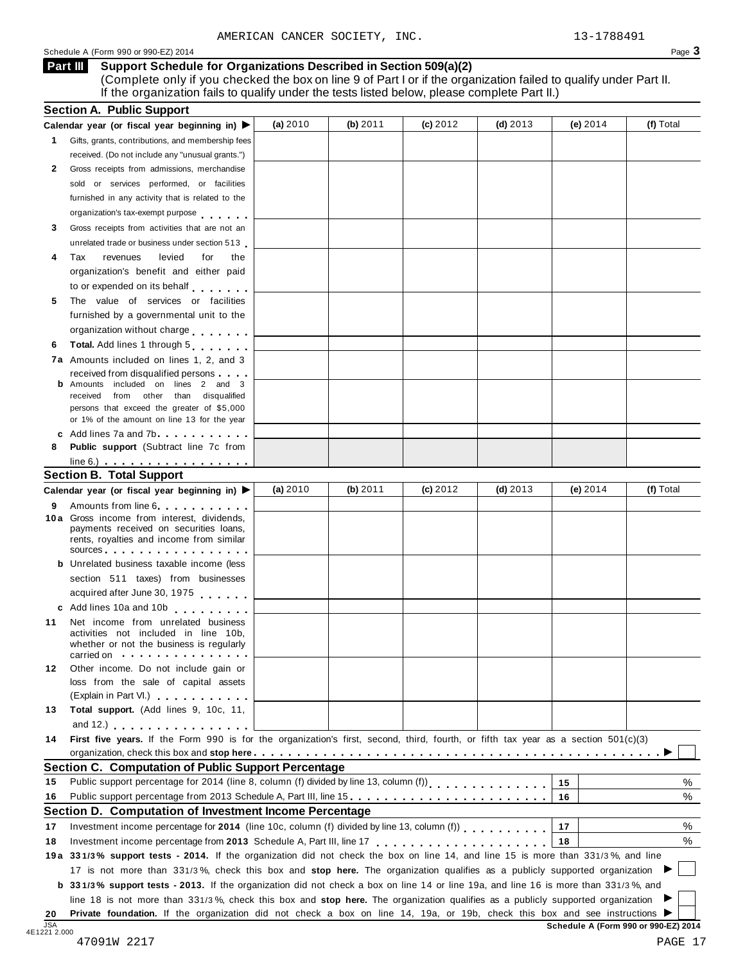### Schedule <sup>A</sup> (Form <sup>990</sup> or 990-EZ) <sup>2014</sup> Page **3**

#### **Support Schedule for Organizations Described in Section 509(a)(2) Part III**

(Complete only if you checked the box on line 9 of Part I or if the organization failed to qualify under Part II. If the organization fails to qualify under the tests listed below, please complete Part II.)

|                            | Calendar year (or fiscal year beginning in) $\blacktriangleright$                                                                                                                                                                                                                  | (a) 2010 | (b) 2011 | (c) 2012 | $(d)$ 2013 | (e) $2014$ | (f) Total        |
|----------------------------|------------------------------------------------------------------------------------------------------------------------------------------------------------------------------------------------------------------------------------------------------------------------------------|----------|----------|----------|------------|------------|------------------|
|                            | 1 Gifts, grants, contributions, and membership fees                                                                                                                                                                                                                                |          |          |          |            |            |                  |
|                            | received. (Do not include any "unusual grants.")                                                                                                                                                                                                                                   |          |          |          |            |            |                  |
| 2                          | Gross receipts from admissions, merchandise                                                                                                                                                                                                                                        |          |          |          |            |            |                  |
|                            | sold or services performed, or facilities                                                                                                                                                                                                                                          |          |          |          |            |            |                  |
|                            | furnished in any activity that is related to the                                                                                                                                                                                                                                   |          |          |          |            |            |                  |
|                            | organization's tax-exempt purpose                                                                                                                                                                                                                                                  |          |          |          |            |            |                  |
| 3                          | Gross receipts from activities that are not an                                                                                                                                                                                                                                     |          |          |          |            |            |                  |
|                            | unrelated trade or business under section 513                                                                                                                                                                                                                                      |          |          |          |            |            |                  |
| 4                          | levied<br>Tax<br>revenues<br>for<br>the                                                                                                                                                                                                                                            |          |          |          |            |            |                  |
|                            | organization's benefit and either paid                                                                                                                                                                                                                                             |          |          |          |            |            |                  |
|                            | to or expended on its behalf                                                                                                                                                                                                                                                       |          |          |          |            |            |                  |
| 5                          | The value of services or facilities                                                                                                                                                                                                                                                |          |          |          |            |            |                  |
|                            | furnished by a governmental unit to the                                                                                                                                                                                                                                            |          |          |          |            |            |                  |
|                            | organization without charge                                                                                                                                                                                                                                                        |          |          |          |            |            |                  |
| 6                          | Total. Add lines 1 through 5                                                                                                                                                                                                                                                       |          |          |          |            |            |                  |
|                            | 7a Amounts included on lines 1, 2, and 3                                                                                                                                                                                                                                           |          |          |          |            |            |                  |
|                            | received from disqualified persons                                                                                                                                                                                                                                                 |          |          |          |            |            |                  |
|                            | Amounts included on lines 2 and 3                                                                                                                                                                                                                                                  |          |          |          |            |            |                  |
|                            | received from other than disqualified                                                                                                                                                                                                                                              |          |          |          |            |            |                  |
|                            | persons that exceed the greater of \$5,000<br>or 1% of the amount on line 13 for the year                                                                                                                                                                                          |          |          |          |            |            |                  |
|                            | c Add lines $7a$ and $7b$                                                                                                                                                                                                                                                          |          |          |          |            |            |                  |
| 8                          | <b>Public support</b> (Subtract line 7c from                                                                                                                                                                                                                                       |          |          |          |            |            |                  |
|                            | $line 6.)$ $\ldots$ $\ldots$ $\ldots$ $\ldots$ $\ldots$ $\ldots$                                                                                                                                                                                                                   |          |          |          |            |            |                  |
|                            | <b>Section B. Total Support</b>                                                                                                                                                                                                                                                    |          |          |          |            |            |                  |
|                            | Calendar year (or fiscal year beginning in)                                                                                                                                                                                                                                        | (a) 2010 | (b) 2011 | (c) 2012 | (d) $2013$ | (e) $2014$ | (f) Total        |
|                            | Amounts from line 6                                                                                                                                                                                                                                                                |          |          |          |            |            |                  |
| 9                          | 10a Gross income from interest, dividends,                                                                                                                                                                                                                                         |          |          |          |            |            |                  |
|                            | payments received on securities loans,                                                                                                                                                                                                                                             |          |          |          |            |            |                  |
|                            | rents, royalties and income from similar                                                                                                                                                                                                                                           |          |          |          |            |            |                  |
|                            | sources and the set of the set of the set of the set of the set of the set of the set of the set of the set of the set of the set of the set of the set of the set of the set of the set of the set of the set of the set of t<br><b>b</b> Unrelated business taxable income (less |          |          |          |            |            |                  |
|                            | section 511 taxes) from businesses                                                                                                                                                                                                                                                 |          |          |          |            |            |                  |
|                            | acquired after June 30, 1975                                                                                                                                                                                                                                                       |          |          |          |            |            |                  |
|                            |                                                                                                                                                                                                                                                                                    |          |          |          |            |            |                  |
|                            | c Add lines 10a and 10b                                                                                                                                                                                                                                                            |          |          |          |            |            |                  |
| 11                         | Net income from unrelated business<br>activities not included in line 10b,                                                                                                                                                                                                         |          |          |          |            |            |                  |
|                            | whether or not the business is regularly                                                                                                                                                                                                                                           |          |          |          |            |            |                  |
|                            | carried on the carried on the contract of the care of the contract of the contract of the contract of the contract of                                                                                                                                                              |          |          |          |            |            |                  |
| 12                         | Other income. Do not include gain or                                                                                                                                                                                                                                               |          |          |          |            |            |                  |
|                            | loss from the sale of capital assets                                                                                                                                                                                                                                               |          |          |          |            |            |                  |
|                            |                                                                                                                                                                                                                                                                                    |          |          |          |            |            |                  |
|                            | (Explain in Part VI.) <b>All Accords</b>                                                                                                                                                                                                                                           |          |          |          |            |            |                  |
|                            | Total support. (Add lines 9, 10c, 11,                                                                                                                                                                                                                                              |          |          |          |            |            |                  |
| 13                         | and 12.) $\ldots$ $\ldots$ $\ldots$ $\ldots$ $\ldots$                                                                                                                                                                                                                              |          |          |          |            |            |                  |
|                            | First five years. If the Form 990 is for the organization's first, second, third, fourth, or fifth tax year as a section 501(c)(3)                                                                                                                                                 |          |          |          |            |            |                  |
|                            |                                                                                                                                                                                                                                                                                    |          |          |          |            |            |                  |
|                            | <b>Section C. Computation of Public Support Percentage</b>                                                                                                                                                                                                                         |          |          |          |            |            |                  |
|                            | Public support percentage for 2014 (line 8, column (f) divided by line 13, column (f)) [ [ [ ] ] [ ] [ ] [ ] [                                                                                                                                                                     |          |          |          |            | 15         |                  |
|                            | Public support percentage from 2013 Schedule A, Part III, line 15.                                                                                                                                                                                                                 |          |          |          |            | 16         |                  |
|                            | Section D. Computation of Investment Income Percentage                                                                                                                                                                                                                             |          |          |          |            |            |                  |
|                            | Investment income percentage for 2014 (line 10c, column (f) divided by line 13, column (f))                                                                                                                                                                                        |          |          |          |            | 17         |                  |
|                            |                                                                                                                                                                                                                                                                                    |          |          |          |            | 18         |                  |
|                            | 19a 331/3% support tests - 2014. If the organization did not check the box on line 14, and line 15 is more than 331/3%, and line                                                                                                                                                   |          |          |          |            |            |                  |
|                            | 17 is not more than 331/3%, check this box and stop here. The organization qualifies as a publicly supported organization                                                                                                                                                          |          |          |          |            |            |                  |
|                            | <b>b</b> 331/3% support tests - 2013. If the organization did not check a box on line 14 or line 19a, and line 16 is more than 331/3%, and                                                                                                                                         |          |          |          |            |            |                  |
| 14<br>15<br>16<br>17<br>18 | line 18 is not more than 331/3%, check this box and stop here. The organization qualifies as a publicly supported organization<br>Private foundation. If the organization did not check a box on line 14, 19a, or 19b, check this box and see instructions ▶                       |          |          |          |            |            | %<br>%<br>%<br>% |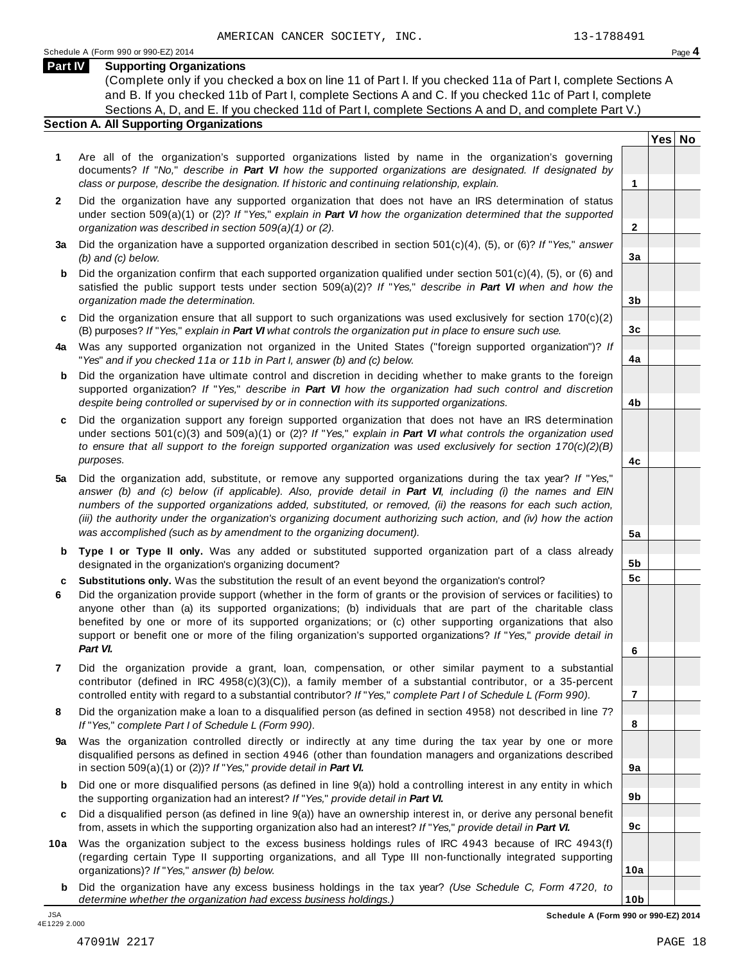### **Part IV Supporting Organizations**

(Complete only if you checked a box on line 11 of Part I. If you checked 11a of Part I, complete Sections A and B. If you checked 11b of Part I, complete Sections A and C. If you checked 11c of Part I, complete Sections A, D, and E. If you checked 11d of Part I, complete Sections A and D, and complete Part V.)

## **Section A. All Supporting Organizations**

- **1** Are all of the organization's supported organizations listed by name in the organization's governing documents? *If* "*No,*" *describe in Part VI how the supported organizations are designated. If designated by class or purpose, describe the designation. If historic and continuing relationship, explain.* **1**
- **2** Did the organization have any supported organization that does not have an IRS determination of status under section 509(a)(1) or (2)? *If*"*Yes,*" *explain in Part VI how the organization determined that the supported organization was described in section 509(a)(1) or (2).*
- **3 a** Did the organization have a supported organization described in section 501(c)(4), (5), or (6)? *If* "*Yes,*" *answer (b) and (c) below.*
- **b** Did the organization confirm that each supported organization qualified under section 501(c)(4), (5), or (6) and | satisfied the public support tests under section 509(a)(2)? *If* "*Yes,*" *describe in Part VI when and how the organization made the determination.*
- **c** Did the organization ensure that all support to such organizations was used exclusively for section 170(c)(2) (B) purposes? *If*"*Yes,*" *explain in Part VI what controls the organization put in place to ensure such use.*
- **4 a** Was any supported organization not organized in the United States ("foreign supported organization")? *If* "*Yes*" *and if you checked 11a or 11b in Part I, answer (b) and (c) below.*
- **b** Did the organization have ultimate control and discretion in deciding whether to make grants to the foreign | supported organization? *If* "*Yes,*" *describe in Part VI how the organization had such control and discretion despite being controlled or supervised by or in connection with its supported organizations.*
- **c** Did the organization support any foreign supported organization that does not have an IRS determination under sections 501(c)(3) and 509(a)(1) or (2)? *If* "*Yes,*" *explain in Part VI what controls the organization used to ensure that all support to the foreign supported organization was used exclusively for section 170(c)(2)(B) purposes.*
- **5 a** Did the organization add, substitute, or remove any supported organizations during the tax year? *If* "*Yes,*" answer (b) and (c) below (if applicable). Also, provide detail in Part VI, including (i) the names and EIN *numbers of the supported organizations added, substituted, or removed, (ii) the reasons for each such action,* (iii) the authority under the organization's organizing document authorizing such action, and (iv) how the action *was accomplished (such as by amendment to the organizing document).*
- **b** Type I or Type II only. Was any added or substituted supported organization part of a class already | designated in the organization's organizing document?
- **c Substitutions only.** Was the substitution the result of an event beyond the organization's control?
- **6** Did the organization provide support (whether in the form of grants or the provision of services or facilities) to anyone other than (a) its supported organizations; (b) individuals that are part of the charitable class benefited by one or more of its supported organizations; or (c) other supporting organizations that also support or benefit one or more of the filing organization's supported organizations? *If* "*Yes,*" *provide detail in Part VI.*
- **7** Did the organization provide a grant, loan, compensation, or other similar payment to a substantial contributor (defined in IRC 4958(c)(3)(C)), a family member of a substantial contributor, or a 35-percent controlled entity with regard to a substantial contributor? *If*"*Yes,*" *complete Part I of Schedule L (Form 990).*
- **8** Did the organization make a loan to a disqualified person (as defined in section 4958) not described in line 7? *If* "*Yes,*" *complete Part I of Schedule L (Form 990).*
- **9 a** Was the organization controlled directly or indirectly at any time during the tax year by one or more  $|$ disqualified persons as defined in section 4946 (other than foundation managers and organizations described in section 509(a)(1) or (2))? *If*"*Yes,*" *provide detail in Part VI.*
- **b** Did one or more disqualified persons (as defined in line 9(a)) hold a controlling interest in any entity in which | the supporting organization had an interest? *If*"*Yes,*" *provide detail in Part VI.*
- **c** Did a disqualified person (as defined in line 9(a)) have an ownership interest in, or derive any personal benefit from, assets in which the supporting organization also had an interest? *If*"*Yes,*" *provide detail in Part VI.*
- **10a** Was the organization subject to the excess business holdings rules of IRC 4943 because of IRC 4943(f) | (regarding certain Type II supporting organizations, and all Type III non-functionally integrated supporting organizations)? *If*"*Yes,*" *answer (b) below.*
	- **b** Did the organization have any excess business holdings in the tax year? *(Use Schedule C, Form 4720, to determine whether the organization had excess business holdings.)*

**Yes No**

**2**

**3a**

**3b**

**3c**

**4a**

**4b**

**4c**

**5a**

**5b 5c**

**6**

**7**

**8**

**9a**

**9b**

**9c**

**10a**

4E1229 2.000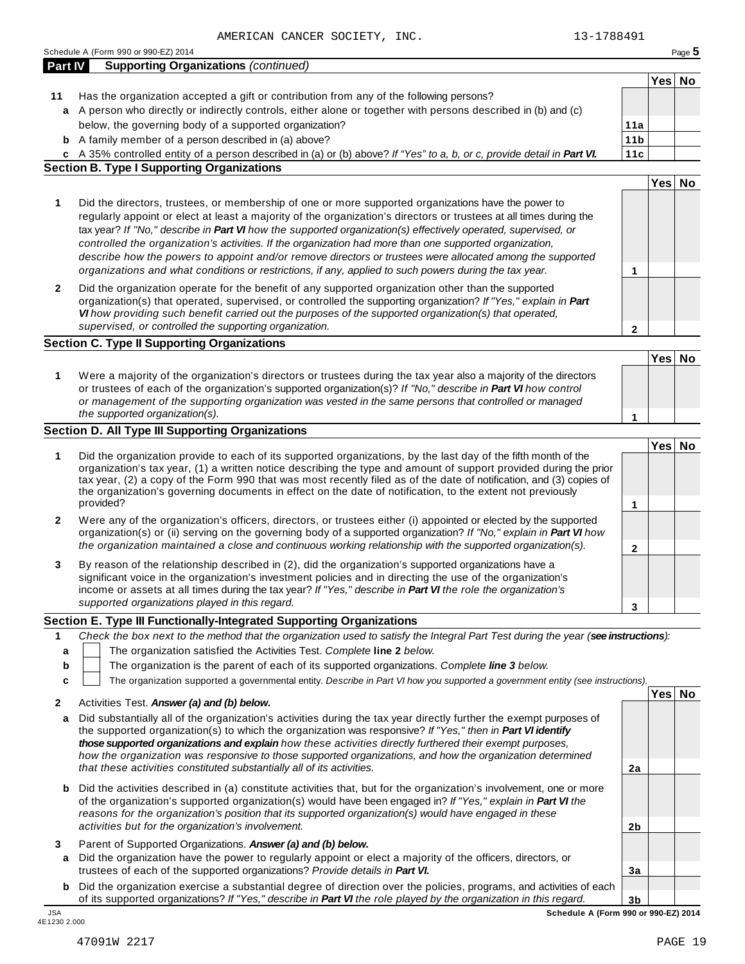**2b**

**3a**

**3b**

|         | 13-1788491<br>AMERICAN CANCER SOCIETY, INC.                                                                                                                                                                                            |                 |        |        |
|---------|----------------------------------------------------------------------------------------------------------------------------------------------------------------------------------------------------------------------------------------|-----------------|--------|--------|
|         | Schedule A (Form 990 or 990-EZ) 2014                                                                                                                                                                                                   |                 |        | Page 5 |
| Part IV | <b>Supporting Organizations (continued)</b>                                                                                                                                                                                            |                 |        |        |
|         |                                                                                                                                                                                                                                        |                 | Yes No |        |
| 11      | Has the organization accepted a gift or contribution from any of the following persons?                                                                                                                                                |                 |        |        |
| a       | A person who directly or indirectly controls, either alone or together with persons described in (b) and (c)                                                                                                                           |                 |        |        |
|         | below, the governing body of a supported organization?                                                                                                                                                                                 | 11a             |        |        |
|         | <b>b</b> A family member of a person described in (a) above?                                                                                                                                                                           | 11 <sub>b</sub> |        |        |
|         | c A 35% controlled entity of a person described in (a) or (b) above? If "Yes" to a, b, or c, provide detail in Part VI.                                                                                                                | 11c             |        |        |
|         | <b>Section B. Type I Supporting Organizations</b>                                                                                                                                                                                      |                 |        |        |
|         |                                                                                                                                                                                                                                        |                 | Yes No |        |
|         |                                                                                                                                                                                                                                        |                 |        |        |
| 1       | Did the directors, trustees, or membership of one or more supported organizations have the power to                                                                                                                                    |                 |        |        |
|         | regularly appoint or elect at least a majority of the organization's directors or trustees at all times during the                                                                                                                     |                 |        |        |
|         | tax year? If "No," describe in Part VI how the supported organization(s) effectively operated, supervised, or                                                                                                                          |                 |        |        |
|         | controlled the organization's activities. If the organization had more than one supported organization,                                                                                                                                |                 |        |        |
|         | describe how the powers to appoint and/or remove directors or trustees were allocated among the supported                                                                                                                              |                 |        |        |
|         | organizations and what conditions or restrictions, if any, applied to such powers during the tax year.                                                                                                                                 | 1               |        |        |
| 2       | Did the organization operate for the benefit of any supported organization other than the supported                                                                                                                                    |                 |        |        |
|         | organization(s) that operated, supervised, or controlled the supporting organization? If "Yes," explain in Part                                                                                                                        |                 |        |        |
|         | VI how providing such benefit carried out the purposes of the supported organization(s) that operated,                                                                                                                                 |                 |        |        |
|         | supervised, or controlled the supporting organization.                                                                                                                                                                                 | 2               |        |        |
|         | <b>Section C. Type II Supporting Organizations</b>                                                                                                                                                                                     |                 |        |        |
|         |                                                                                                                                                                                                                                        |                 | Yes No |        |
| 1       | Were a majority of the organization's directors or trustees during the tax year also a majority of the directors                                                                                                                       |                 |        |        |
|         | or trustees of each of the organization's supported organization(s)? If "No," describe in Part VI how control                                                                                                                          |                 |        |        |
|         | or management of the supporting organization was vested in the same persons that controlled or managed                                                                                                                                 |                 |        |        |
|         | the supported organization(s).                                                                                                                                                                                                         | 1               |        |        |
|         | <b>Section D. All Type III Supporting Organizations</b>                                                                                                                                                                                |                 |        |        |
|         |                                                                                                                                                                                                                                        |                 | Yes No |        |
| 1       | Did the organization provide to each of its supported organizations, by the last day of the fifth month of the                                                                                                                         |                 |        |        |
|         | organization's tax year, (1) a written notice describing the type and amount of support provided during the prior                                                                                                                      |                 |        |        |
|         | tax year, (2) a copy of the Form 990 that was most recently filed as of the date of notification, and (3) copies of<br>the organization's governing documents in effect on the date of notification, to the extent not previously      |                 |        |        |
|         | provided?                                                                                                                                                                                                                              | 1               |        |        |
|         |                                                                                                                                                                                                                                        |                 |        |        |
| 2       | Were any of the organization's officers, directors, or trustees either (i) appointed or elected by the supported<br>organization(s) or (ii) serving on the governing body of a supported organization? If "No," explain in Part VI how |                 |        |        |
|         | the organization maintained a close and continuous working relationship with the supported organization(s).                                                                                                                            |                 |        |        |
|         |                                                                                                                                                                                                                                        | 2               |        |        |
| 3       | By reason of the relationship described in (2), did the organization's supported organizations have a                                                                                                                                  |                 |        |        |
|         | significant voice in the organization's investment policies and in directing the use of the organization's                                                                                                                             |                 |        |        |
|         | income or assets at all times during the tax year? If "Yes," describe in Part VI the role the organization's                                                                                                                           |                 |        |        |
|         | supported organizations played in this regard.                                                                                                                                                                                         | 3               |        |        |
|         | Section E. Type III Functionally-Integrated Supporting Organizations                                                                                                                                                                   |                 |        |        |
| 1       | Check the box next to the method that the organization used to satisfy the Integral Part Test during the year (see instructions):                                                                                                      |                 |        |        |
| a       | The organization satisfied the Activities Test. Complete line 2 below.                                                                                                                                                                 |                 |        |        |
| b       | The organization is the parent of each of its supported organizations. Complete line 3 below.                                                                                                                                          |                 |        |        |
| c       | The organization supported a governmental entity. Describe in Part VI how you supported a government entity (see instructions).                                                                                                        |                 |        |        |
|         |                                                                                                                                                                                                                                        |                 | Yes No |        |
| 2       | Activities Test. Answer (a) and (b) below.                                                                                                                                                                                             |                 |        |        |
| a       | Did substantially all of the organization's activities during the tax year directly further the exempt purposes of<br>the supported organization(s) to which the organization was responsive? If "Yes," then in Part VI identify       |                 |        |        |
|         | those supported organizations and explain how these activities directly furthered their exempt purposes,                                                                                                                               |                 |        |        |

| <b>b</b> Did the activities described in (a) constitute activities that, but for the organization's involvement, one or more |
|------------------------------------------------------------------------------------------------------------------------------|
| of the organization's supported organization(s) would have been engaged in? If "Yes," explain in Part VI the                 |
| reasons for the organization's position that its supported organization(s) would have engaged in these                       |
| activities but for the organization's involvement.                                                                           |

*that these activities constituted substantially all of its activities.* **2a**

*how the organization was responsive to those supported organizations, and how the organization determined*

- **3** Parent of Supported Organizations. *Answer (a) and (b) below.*
- **a** Did the organization have the power to regularly appoint or elect a majority of the officers, directors, or trustees of each of the supported organizations? *Provide details in Part VI.*
- **b** Did the organization exercise a substantial degree of direction over the policies, programs, and activities of each of its supported organizations? *If"Yes," describe in Part VI the role played by the organization in this regard.* JSA **Schedule A (Form 990 or 990-EZ) 2014**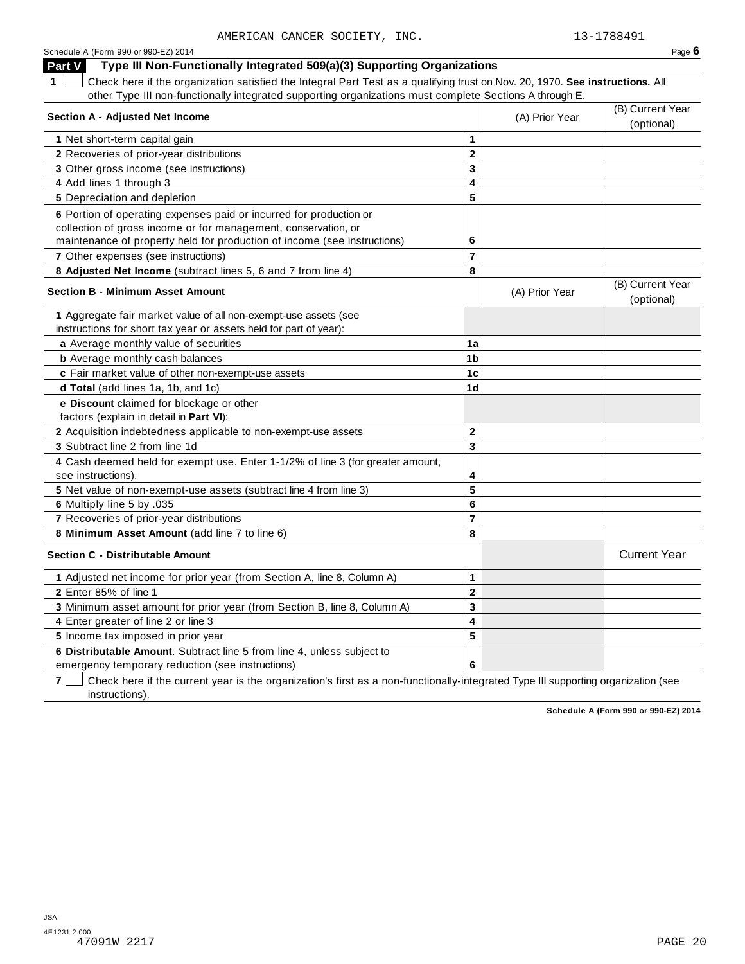| Schedule A (Form 990 or 990-EZ) 2014                                                                                               |                |                | Page $6$                       |
|------------------------------------------------------------------------------------------------------------------------------------|----------------|----------------|--------------------------------|
| Type III Non-Functionally Integrated 509(a)(3) Supporting Organizations<br>Part V                                                  |                |                |                                |
| Check here if the organization satisfied the Integral Part Test as a qualifying trust on Nov. 20, 1970. See instructions. All<br>1 |                |                |                                |
| other Type III non-functionally integrated supporting organizations must complete Sections A through E.                            |                |                |                                |
|                                                                                                                                    |                |                | (B) Current Year               |
| <b>Section A - Adjusted Net Income</b>                                                                                             |                | (A) Prior Year | (optional)                     |
| 1 Net short-term capital gain                                                                                                      | 1              |                |                                |
| 2 Recoveries of prior-year distributions                                                                                           | $\mathbf{2}$   |                |                                |
| 3 Other gross income (see instructions)                                                                                            | 3              |                |                                |
| 4 Add lines 1 through 3                                                                                                            | 4              |                |                                |
| <b>5</b> Depreciation and depletion                                                                                                | 5              |                |                                |
| 6 Portion of operating expenses paid or incurred for production or                                                                 |                |                |                                |
| collection of gross income or for management, conservation, or                                                                     |                |                |                                |
| maintenance of property held for production of income (see instructions)                                                           | 6              |                |                                |
| 7 Other expenses (see instructions)                                                                                                | $\overline{7}$ |                |                                |
| 8 Adjusted Net Income (subtract lines 5, 6 and 7 from line 4)                                                                      | 8              |                |                                |
| <b>Section B - Minimum Asset Amount</b>                                                                                            |                | (A) Prior Year | (B) Current Year<br>(optional) |
| 1 Aggregate fair market value of all non-exempt-use assets (see                                                                    |                |                |                                |
| instructions for short tax year or assets held for part of year):                                                                  |                |                |                                |
| a Average monthly value of securities                                                                                              | 1a             |                |                                |
| <b>b</b> Average monthly cash balances                                                                                             | 1 <sub>b</sub> |                |                                |
| c Fair market value of other non-exempt-use assets                                                                                 | 1c             |                |                                |
| d Total (add lines 1a, 1b, and 1c)                                                                                                 | 1 <sub>d</sub> |                |                                |
| e Discount claimed for blockage or other                                                                                           |                |                |                                |
| factors (explain in detail in Part VI):                                                                                            |                |                |                                |
| 2 Acquisition indebtedness applicable to non-exempt-use assets                                                                     | $\mathbf{2}$   |                |                                |
| <b>3</b> Subtract line 2 from line 1d                                                                                              | 3              |                |                                |
| 4 Cash deemed held for exempt use. Enter 1-1/2% of line 3 (for greater amount,                                                     |                |                |                                |
| see instructions).                                                                                                                 | 4<br>5         |                |                                |
| 5 Net value of non-exempt-use assets (subtract line 4 from line 3)                                                                 | 6              |                |                                |
| 6 Multiply line 5 by .035<br>7 Recoveries of prior-year distributions                                                              | $\overline{7}$ |                |                                |
| 8 Minimum Asset Amount (add line 7 to line 6)                                                                                      | 8              |                |                                |
|                                                                                                                                    |                |                |                                |
| <b>Section C - Distributable Amount</b>                                                                                            |                |                | <b>Current Year</b>            |
| 1 Adjusted net income for prior year (from Section A, line 8, Column A)                                                            | 1              |                |                                |
| 2 Enter 85% of line 1                                                                                                              | $\mathbf{2}$   |                |                                |
| 3 Minimum asset amount for prior year (from Section B, line 8, Column A)                                                           | 3              |                |                                |
| 4 Enter greater of line 2 or line 3                                                                                                | 4              |                |                                |
| 5 Income tax imposed in prior year                                                                                                 | 5              |                |                                |
| 6 Distributable Amount. Subtract line 5 from line 4, unless subject to                                                             |                |                |                                |
| emergency temporary reduction (see instructions)                                                                                   | 6              |                |                                |

**7** | Check here if the current year is the organization's first as a non-functionally-integrated Type III supporting organization (see instructions).

**Schedule A (Form 990 or 990-EZ) 2014**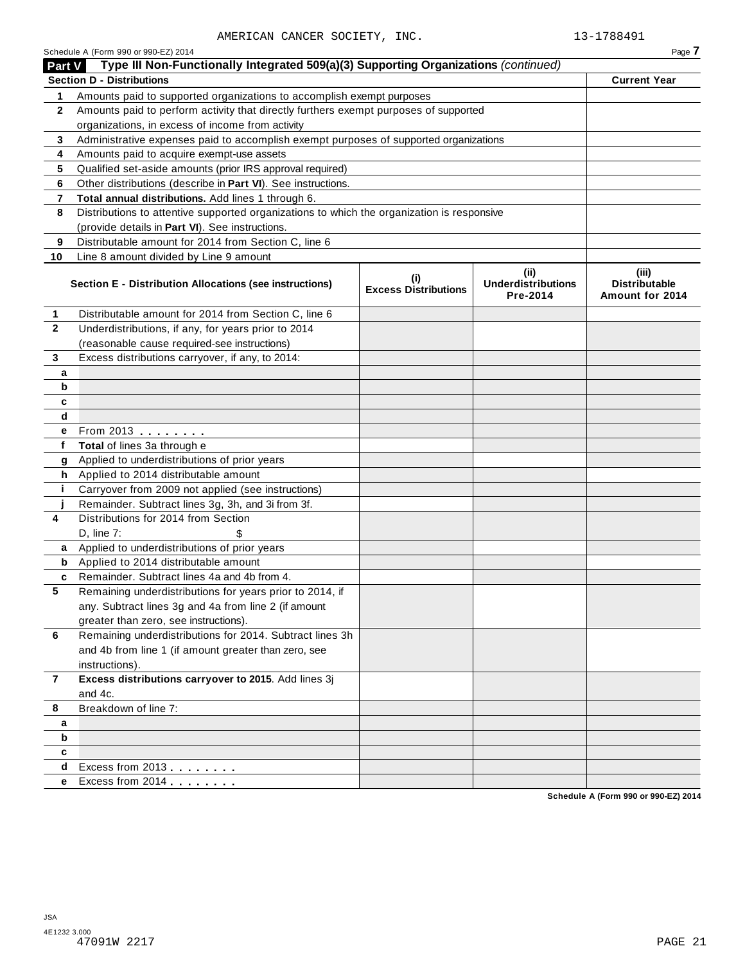|               | AMERICAN CANCER SOCIETY, INC.                                                                                               |                                             |                                               | 13-1788491                                       |
|---------------|-----------------------------------------------------------------------------------------------------------------------------|---------------------------------------------|-----------------------------------------------|--------------------------------------------------|
| <b>Part V</b> | Schedule A (Form 990 or 990-EZ) 2014<br>Type III Non-Functionally Integrated 509(a)(3) Supporting Organizations (continued) |                                             |                                               | Page 7                                           |
|               | <b>Section D - Distributions</b>                                                                                            |                                             |                                               | <b>Current Year</b>                              |
| 1             | Amounts paid to supported organizations to accomplish exempt purposes                                                       |                                             |                                               |                                                  |
| $\mathbf{2}$  | Amounts paid to perform activity that directly furthers exempt purposes of supported                                        |                                             |                                               |                                                  |
|               | organizations, in excess of income from activity                                                                            |                                             |                                               |                                                  |
| 3             | Administrative expenses paid to accomplish exempt purposes of supported organizations                                       |                                             |                                               |                                                  |
| 4             | Amounts paid to acquire exempt-use assets                                                                                   |                                             |                                               |                                                  |
| 5             | Qualified set-aside amounts (prior IRS approval required)                                                                   |                                             |                                               |                                                  |
| 6             | Other distributions (describe in Part VI). See instructions.                                                                |                                             |                                               |                                                  |
| 7             | Total annual distributions. Add lines 1 through 6.                                                                          |                                             |                                               |                                                  |
| 8             | Distributions to attentive supported organizations to which the organization is responsive                                  |                                             |                                               |                                                  |
|               | (provide details in Part VI). See instructions.                                                                             |                                             |                                               |                                                  |
| 9             | Distributable amount for 2014 from Section C, line 6                                                                        |                                             |                                               |                                                  |
| 10            | Line 8 amount divided by Line 9 amount                                                                                      |                                             |                                               |                                                  |
|               | Section E - Distribution Allocations (see instructions)                                                                     | $\mathbf{u}$<br><b>Excess Distributions</b> | (ii)<br><b>Underdistributions</b><br>Pre-2014 | (iii)<br><b>Distributable</b><br>Amount for 2014 |
| 1             | Distributable amount for 2014 from Section C, line 6                                                                        |                                             |                                               |                                                  |
| $\mathbf{2}$  | Underdistributions, if any, for years prior to 2014                                                                         |                                             |                                               |                                                  |
|               | (reasonable cause required-see instructions)                                                                                |                                             |                                               |                                                  |
| 3             | Excess distributions carryover, if any, to 2014:                                                                            |                                             |                                               |                                                  |
| a             |                                                                                                                             |                                             |                                               |                                                  |
| b             |                                                                                                                             |                                             |                                               |                                                  |
| C             |                                                                                                                             |                                             |                                               |                                                  |
| d             |                                                                                                                             |                                             |                                               |                                                  |
| е             | From 2013                                                                                                                   |                                             |                                               |                                                  |
| f             | Total of lines 3a through e                                                                                                 |                                             |                                               |                                                  |
| g             | Applied to underdistributions of prior years                                                                                |                                             |                                               |                                                  |
| h.            | Applied to 2014 distributable amount                                                                                        |                                             |                                               |                                                  |
| j.            | Carryover from 2009 not applied (see instructions)<br>Remainder. Subtract lines 3g, 3h, and 3i from 3f.                     |                                             |                                               |                                                  |
| j<br>4        | Distributions for 2014 from Section                                                                                         |                                             |                                               |                                                  |
|               | $D$ , line $7$ :<br>\$                                                                                                      |                                             |                                               |                                                  |
| a             | Applied to underdistributions of prior years                                                                                |                                             |                                               |                                                  |
| b             | Applied to 2014 distributable amount                                                                                        |                                             |                                               |                                                  |
| c             | Remainder. Subtract lines 4a and 4b from 4.                                                                                 |                                             |                                               |                                                  |
| 5             | Remaining underdistributions for years prior to 2014, if                                                                    |                                             |                                               |                                                  |
|               | any. Subtract lines 3g and 4a from line 2 (if amount                                                                        |                                             |                                               |                                                  |
|               | greater than zero, see instructions).                                                                                       |                                             |                                               |                                                  |
| 6             | Remaining underdistributions for 2014. Subtract lines 3h                                                                    |                                             |                                               |                                                  |
|               | and 4b from line 1 (if amount greater than zero, see                                                                        |                                             |                                               |                                                  |
|               | instructions).                                                                                                              |                                             |                                               |                                                  |
| 7             | Excess distributions carryover to 2015. Add lines 3j                                                                        |                                             |                                               |                                                  |
|               | and 4c.                                                                                                                     |                                             |                                               |                                                  |
| 8             | Breakdown of line 7:                                                                                                        |                                             |                                               |                                                  |
| а             |                                                                                                                             |                                             |                                               |                                                  |
| b             |                                                                                                                             |                                             |                                               |                                                  |
| c             |                                                                                                                             |                                             |                                               |                                                  |
| d             | Excess from 2013                                                                                                            |                                             |                                               |                                                  |
| е             | Excess from 2014 <b>Excess</b>                                                                                              |                                             |                                               |                                                  |
|               |                                                                                                                             |                                             |                                               | 000F21                                           |

**Schedule A (Form 990 or 990-EZ) 2014**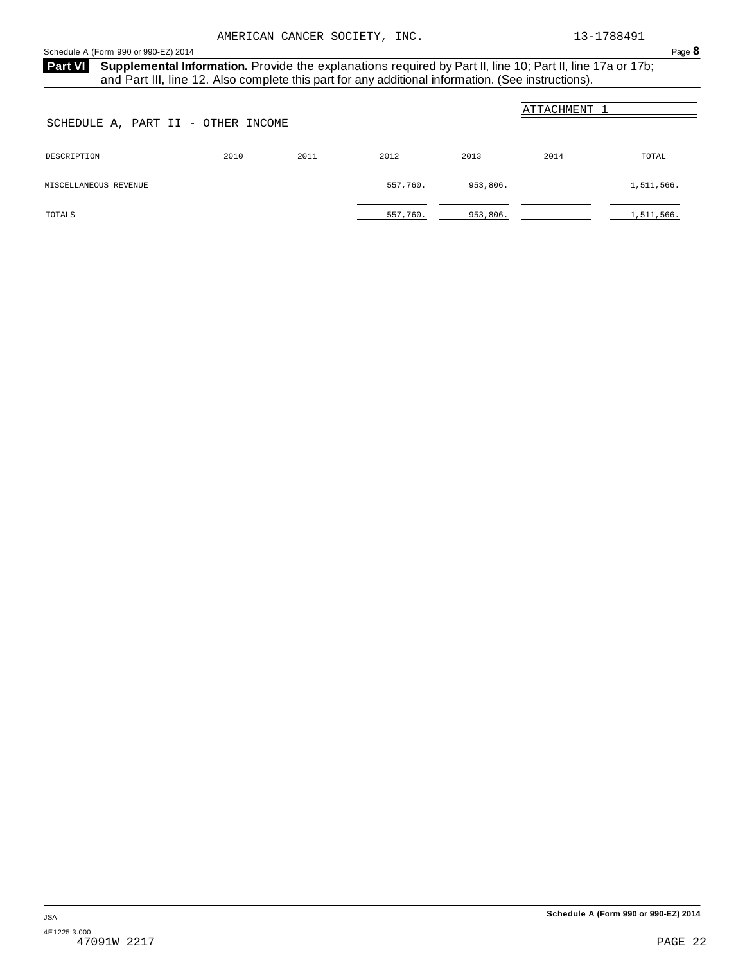<span id="page-20-0"></span>Schedule A (Form 990 or 990-EZ) 2014 Page 8

Part VI Supplemental Information. Provide the explanations required by Part II, line 10; Part II, line 17a or 17b; and Part III, line 12. Also complete this part for any additional information. (See instructions).

| SCHEDULE A, PART II - OTHER INCOME |      |      |          |          | ATTACHMENT |            |
|------------------------------------|------|------|----------|----------|------------|------------|
| DESCRIPTION                        | 2010 | 2011 | 2012     | 2013     | 2014       | TOTAL      |
| MISCELLANEOUS REVENUE              |      |      | 557,760. | 953,806. |            | 1,511,566. |
| TOTALS                             |      |      | 557,760. | 953,806. |            | 1,511,566. |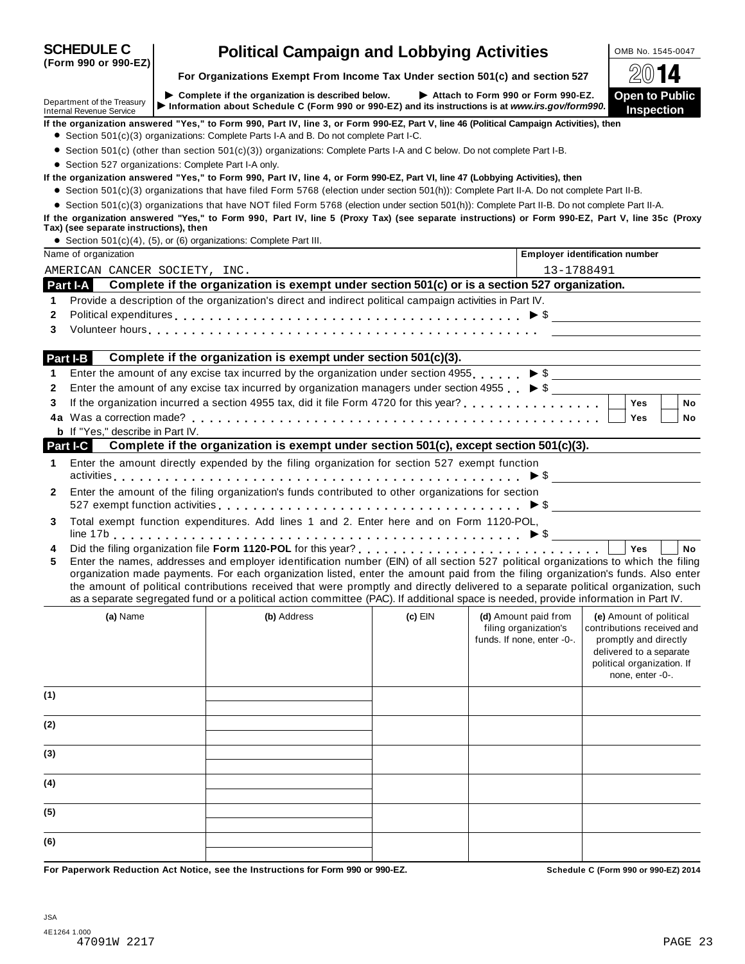| For Organizations Exempt From Income Tax Under section 501(c) and section 527<br><b>Open to Public</b><br>$\triangleright$ Complete if the organization is described below.<br>Attach to Form 990 or Form 990-EZ.<br>Information about Schedule C (Form 990 or 990-EZ) and its instructions is at www.irs.gov/form990.<br><b>Inspection</b><br>If the organization answered "Yes," to Form 990, Part IV, line 3, or Form 990-EZ, Part V, line 46 (Political Campaign Activities), then<br>• Section 501(c)(3) organizations: Complete Parts I-A and B. Do not complete Part I-C.<br>• Section 501(c) (other than section 501(c)(3)) organizations: Complete Parts I-A and C below. Do not complete Part I-B.<br>• Section 527 organizations: Complete Part I-A only.<br>If the organization answered "Yes," to Form 990, Part IV, line 4, or Form 990-EZ, Part VI, line 47 (Lobbying Activities), then<br>• Section 501(c)(3) organizations that have filed Form 5768 (election under section 501(h)): Complete Part II-A. Do not complete Part II-B.<br>• Section 501(c)(3) organizations that have NOT filed Form 5768 (election under section 501(h)): Complete Part II-B. Do not complete Part II-A.<br>If the organization answered "Yes," to Form 990, Part IV, line 5 (Proxy Tax) (see separate instructions) or Form 990-EZ, Part V, line 35c (Proxy<br>Tax) (see separate instructions), then<br>• Section $501(c)(4)$ , $(5)$ , or $(6)$ organizations: Complete Part III.<br>Name of organization<br><b>Employer identification number</b><br>13-1788491<br>AMERICAN CANCER SOCIETY, INC.<br>Complete if the organization is exempt under section 501(c) or is a section 527 organization.<br>Part I-A<br>Provide a description of the organization's direct and indirect political campaign activities in Part IV.<br>1<br>Political expenditures $\ldots \ldots \ldots \ldots \ldots \ldots \ldots \ldots \ldots \ldots \ldots \ldots$<br>Part I-B<br>Complete if the organization is exempt under section 501(c)(3).<br>Enter the amount of any excise tax incurred by the organization under section 4955 $\triangleright$ \$<br>Enter the amount of any excise tax incurred by organization managers under section 4955 $\triangleright$ \$<br><b>Yes</b><br><b>No</b><br>3<br>Yes<br>No<br><b>b</b> If "Yes," describe in Part IV.<br>Complete if the organization is exempt under section 501(c), except section 501(c)(3).<br>Part I-C<br>Enter the amount directly expended by the filing organization for section 527 exempt function<br>Enter the amount of the filing organization's funds contributed to other organizations for section<br>527 exempt function activities $\ldots \ldots \ldots \ldots \ldots \ldots \ldots \ldots \ldots \ldots \ldots \ldots \blacktriangleright$ \$ _______________________<br>Total exempt function expenditures. Add lines 1 and 2. Enter here and on Form 1120-POL,<br><b>Yes</b><br><b>No</b><br>Enter the names, addresses and employer identification number (EIN) of all section 527 political organizations to which the filing<br>organization made payments. For each organization listed, enter the amount paid from the filing organization's funds. Also enter<br>the amount of political contributions received that were promptly and directly delivered to a separate political organization, such<br>as a separate segregated fund or a political action committee (PAC). If additional space is needed, provide information in Part IV.<br>(a) Name<br>(b) Address<br>$(c)$ EIN<br>(d) Amount paid from<br>(e) Amount of political<br>filing organization's<br>contributions received and<br>funds. If none, enter -0-.<br>promptly and directly<br>delivered to a separate<br>political organization. If<br>none, enter -0-.<br>For Paperwork Reduction Act Notice, see the Instructions for Form 990 or 990-EZ.<br>Schedule C (Form 990 or 990-EZ) 2014 | <b>SCHEDULE C</b>                                             |  | <b>Political Campaign and Lobbying Activities</b> |  |  | OMB No. 1545-0047 |  |
|-----------------------------------------------------------------------------------------------------------------------------------------------------------------------------------------------------------------------------------------------------------------------------------------------------------------------------------------------------------------------------------------------------------------------------------------------------------------------------------------------------------------------------------------------------------------------------------------------------------------------------------------------------------------------------------------------------------------------------------------------------------------------------------------------------------------------------------------------------------------------------------------------------------------------------------------------------------------------------------------------------------------------------------------------------------------------------------------------------------------------------------------------------------------------------------------------------------------------------------------------------------------------------------------------------------------------------------------------------------------------------------------------------------------------------------------------------------------------------------------------------------------------------------------------------------------------------------------------------------------------------------------------------------------------------------------------------------------------------------------------------------------------------------------------------------------------------------------------------------------------------------------------------------------------------------------------------------------------------------------------------------------------------------------------------------------------------------------------------------------------------------------------------------------------------------------------------------------------------------------------------------------------------------------------------------------------------------------------------------------------------------------------------------------------------------------------------------------------------------------------------------------------------------------------------------------------------------------------------------------------------------------------------------------------------------------------------------------------------------------------------------------------------------------------------------------------------------------------------------------------------------------------------------------------------------------------------------------------------------------------------------------------------------------------------------------------------------------------------------------------------------------------------------------------------------------------------------------------------------------------------------------------------------------------------------------------------------------------------------------------------------------------------------------------------------------------------------------------------------------------------------------------------------------------------------------------------------------------------------------------------------------------------------------------------------------------------------------------------------------------------------------------------------------------------------------------------------------------------------------------------------------------------------------------------------------|---------------------------------------------------------------|--|---------------------------------------------------|--|--|-------------------|--|
|                                                                                                                                                                                                                                                                                                                                                                                                                                                                                                                                                                                                                                                                                                                                                                                                                                                                                                                                                                                                                                                                                                                                                                                                                                                                                                                                                                                                                                                                                                                                                                                                                                                                                                                                                                                                                                                                                                                                                                                                                                                                                                                                                                                                                                                                                                                                                                                                                                                                                                                                                                                                                                                                                                                                                                                                                                                                                                                                                                                                                                                                                                                                                                                                                                                                                                                                                                                                                                                                                                                                                                                                                                                                                                                                                                                                                                                                                                                                         | (Form 990 or 990-EZ)                                          |  |                                                   |  |  |                   |  |
|                                                                                                                                                                                                                                                                                                                                                                                                                                                                                                                                                                                                                                                                                                                                                                                                                                                                                                                                                                                                                                                                                                                                                                                                                                                                                                                                                                                                                                                                                                                                                                                                                                                                                                                                                                                                                                                                                                                                                                                                                                                                                                                                                                                                                                                                                                                                                                                                                                                                                                                                                                                                                                                                                                                                                                                                                                                                                                                                                                                                                                                                                                                                                                                                                                                                                                                                                                                                                                                                                                                                                                                                                                                                                                                                                                                                                                                                                                                                         | Department of the Treasury<br><b>Internal Revenue Service</b> |  |                                                   |  |  |                   |  |
|                                                                                                                                                                                                                                                                                                                                                                                                                                                                                                                                                                                                                                                                                                                                                                                                                                                                                                                                                                                                                                                                                                                                                                                                                                                                                                                                                                                                                                                                                                                                                                                                                                                                                                                                                                                                                                                                                                                                                                                                                                                                                                                                                                                                                                                                                                                                                                                                                                                                                                                                                                                                                                                                                                                                                                                                                                                                                                                                                                                                                                                                                                                                                                                                                                                                                                                                                                                                                                                                                                                                                                                                                                                                                                                                                                                                                                                                                                                                         |                                                               |  |                                                   |  |  |                   |  |
|                                                                                                                                                                                                                                                                                                                                                                                                                                                                                                                                                                                                                                                                                                                                                                                                                                                                                                                                                                                                                                                                                                                                                                                                                                                                                                                                                                                                                                                                                                                                                                                                                                                                                                                                                                                                                                                                                                                                                                                                                                                                                                                                                                                                                                                                                                                                                                                                                                                                                                                                                                                                                                                                                                                                                                                                                                                                                                                                                                                                                                                                                                                                                                                                                                                                                                                                                                                                                                                                                                                                                                                                                                                                                                                                                                                                                                                                                                                                         |                                                               |  |                                                   |  |  |                   |  |
|                                                                                                                                                                                                                                                                                                                                                                                                                                                                                                                                                                                                                                                                                                                                                                                                                                                                                                                                                                                                                                                                                                                                                                                                                                                                                                                                                                                                                                                                                                                                                                                                                                                                                                                                                                                                                                                                                                                                                                                                                                                                                                                                                                                                                                                                                                                                                                                                                                                                                                                                                                                                                                                                                                                                                                                                                                                                                                                                                                                                                                                                                                                                                                                                                                                                                                                                                                                                                                                                                                                                                                                                                                                                                                                                                                                                                                                                                                                                         |                                                               |  |                                                   |  |  |                   |  |
|                                                                                                                                                                                                                                                                                                                                                                                                                                                                                                                                                                                                                                                                                                                                                                                                                                                                                                                                                                                                                                                                                                                                                                                                                                                                                                                                                                                                                                                                                                                                                                                                                                                                                                                                                                                                                                                                                                                                                                                                                                                                                                                                                                                                                                                                                                                                                                                                                                                                                                                                                                                                                                                                                                                                                                                                                                                                                                                                                                                                                                                                                                                                                                                                                                                                                                                                                                                                                                                                                                                                                                                                                                                                                                                                                                                                                                                                                                                                         |                                                               |  |                                                   |  |  |                   |  |
|                                                                                                                                                                                                                                                                                                                                                                                                                                                                                                                                                                                                                                                                                                                                                                                                                                                                                                                                                                                                                                                                                                                                                                                                                                                                                                                                                                                                                                                                                                                                                                                                                                                                                                                                                                                                                                                                                                                                                                                                                                                                                                                                                                                                                                                                                                                                                                                                                                                                                                                                                                                                                                                                                                                                                                                                                                                                                                                                                                                                                                                                                                                                                                                                                                                                                                                                                                                                                                                                                                                                                                                                                                                                                                                                                                                                                                                                                                                                         |                                                               |  |                                                   |  |  |                   |  |
|                                                                                                                                                                                                                                                                                                                                                                                                                                                                                                                                                                                                                                                                                                                                                                                                                                                                                                                                                                                                                                                                                                                                                                                                                                                                                                                                                                                                                                                                                                                                                                                                                                                                                                                                                                                                                                                                                                                                                                                                                                                                                                                                                                                                                                                                                                                                                                                                                                                                                                                                                                                                                                                                                                                                                                                                                                                                                                                                                                                                                                                                                                                                                                                                                                                                                                                                                                                                                                                                                                                                                                                                                                                                                                                                                                                                                                                                                                                                         |                                                               |  |                                                   |  |  |                   |  |
|                                                                                                                                                                                                                                                                                                                                                                                                                                                                                                                                                                                                                                                                                                                                                                                                                                                                                                                                                                                                                                                                                                                                                                                                                                                                                                                                                                                                                                                                                                                                                                                                                                                                                                                                                                                                                                                                                                                                                                                                                                                                                                                                                                                                                                                                                                                                                                                                                                                                                                                                                                                                                                                                                                                                                                                                                                                                                                                                                                                                                                                                                                                                                                                                                                                                                                                                                                                                                                                                                                                                                                                                                                                                                                                                                                                                                                                                                                                                         |                                                               |  |                                                   |  |  |                   |  |
|                                                                                                                                                                                                                                                                                                                                                                                                                                                                                                                                                                                                                                                                                                                                                                                                                                                                                                                                                                                                                                                                                                                                                                                                                                                                                                                                                                                                                                                                                                                                                                                                                                                                                                                                                                                                                                                                                                                                                                                                                                                                                                                                                                                                                                                                                                                                                                                                                                                                                                                                                                                                                                                                                                                                                                                                                                                                                                                                                                                                                                                                                                                                                                                                                                                                                                                                                                                                                                                                                                                                                                                                                                                                                                                                                                                                                                                                                                                                         |                                                               |  |                                                   |  |  |                   |  |
|                                                                                                                                                                                                                                                                                                                                                                                                                                                                                                                                                                                                                                                                                                                                                                                                                                                                                                                                                                                                                                                                                                                                                                                                                                                                                                                                                                                                                                                                                                                                                                                                                                                                                                                                                                                                                                                                                                                                                                                                                                                                                                                                                                                                                                                                                                                                                                                                                                                                                                                                                                                                                                                                                                                                                                                                                                                                                                                                                                                                                                                                                                                                                                                                                                                                                                                                                                                                                                                                                                                                                                                                                                                                                                                                                                                                                                                                                                                                         |                                                               |  |                                                   |  |  |                   |  |
|                                                                                                                                                                                                                                                                                                                                                                                                                                                                                                                                                                                                                                                                                                                                                                                                                                                                                                                                                                                                                                                                                                                                                                                                                                                                                                                                                                                                                                                                                                                                                                                                                                                                                                                                                                                                                                                                                                                                                                                                                                                                                                                                                                                                                                                                                                                                                                                                                                                                                                                                                                                                                                                                                                                                                                                                                                                                                                                                                                                                                                                                                                                                                                                                                                                                                                                                                                                                                                                                                                                                                                                                                                                                                                                                                                                                                                                                                                                                         |                                                               |  |                                                   |  |  |                   |  |
|                                                                                                                                                                                                                                                                                                                                                                                                                                                                                                                                                                                                                                                                                                                                                                                                                                                                                                                                                                                                                                                                                                                                                                                                                                                                                                                                                                                                                                                                                                                                                                                                                                                                                                                                                                                                                                                                                                                                                                                                                                                                                                                                                                                                                                                                                                                                                                                                                                                                                                                                                                                                                                                                                                                                                                                                                                                                                                                                                                                                                                                                                                                                                                                                                                                                                                                                                                                                                                                                                                                                                                                                                                                                                                                                                                                                                                                                                                                                         |                                                               |  |                                                   |  |  |                   |  |
|                                                                                                                                                                                                                                                                                                                                                                                                                                                                                                                                                                                                                                                                                                                                                                                                                                                                                                                                                                                                                                                                                                                                                                                                                                                                                                                                                                                                                                                                                                                                                                                                                                                                                                                                                                                                                                                                                                                                                                                                                                                                                                                                                                                                                                                                                                                                                                                                                                                                                                                                                                                                                                                                                                                                                                                                                                                                                                                                                                                                                                                                                                                                                                                                                                                                                                                                                                                                                                                                                                                                                                                                                                                                                                                                                                                                                                                                                                                                         | 2                                                             |  |                                                   |  |  |                   |  |
|                                                                                                                                                                                                                                                                                                                                                                                                                                                                                                                                                                                                                                                                                                                                                                                                                                                                                                                                                                                                                                                                                                                                                                                                                                                                                                                                                                                                                                                                                                                                                                                                                                                                                                                                                                                                                                                                                                                                                                                                                                                                                                                                                                                                                                                                                                                                                                                                                                                                                                                                                                                                                                                                                                                                                                                                                                                                                                                                                                                                                                                                                                                                                                                                                                                                                                                                                                                                                                                                                                                                                                                                                                                                                                                                                                                                                                                                                                                                         | 3                                                             |  |                                                   |  |  |                   |  |
|                                                                                                                                                                                                                                                                                                                                                                                                                                                                                                                                                                                                                                                                                                                                                                                                                                                                                                                                                                                                                                                                                                                                                                                                                                                                                                                                                                                                                                                                                                                                                                                                                                                                                                                                                                                                                                                                                                                                                                                                                                                                                                                                                                                                                                                                                                                                                                                                                                                                                                                                                                                                                                                                                                                                                                                                                                                                                                                                                                                                                                                                                                                                                                                                                                                                                                                                                                                                                                                                                                                                                                                                                                                                                                                                                                                                                                                                                                                                         |                                                               |  |                                                   |  |  |                   |  |
|                                                                                                                                                                                                                                                                                                                                                                                                                                                                                                                                                                                                                                                                                                                                                                                                                                                                                                                                                                                                                                                                                                                                                                                                                                                                                                                                                                                                                                                                                                                                                                                                                                                                                                                                                                                                                                                                                                                                                                                                                                                                                                                                                                                                                                                                                                                                                                                                                                                                                                                                                                                                                                                                                                                                                                                                                                                                                                                                                                                                                                                                                                                                                                                                                                                                                                                                                                                                                                                                                                                                                                                                                                                                                                                                                                                                                                                                                                                                         |                                                               |  |                                                   |  |  |                   |  |
|                                                                                                                                                                                                                                                                                                                                                                                                                                                                                                                                                                                                                                                                                                                                                                                                                                                                                                                                                                                                                                                                                                                                                                                                                                                                                                                                                                                                                                                                                                                                                                                                                                                                                                                                                                                                                                                                                                                                                                                                                                                                                                                                                                                                                                                                                                                                                                                                                                                                                                                                                                                                                                                                                                                                                                                                                                                                                                                                                                                                                                                                                                                                                                                                                                                                                                                                                                                                                                                                                                                                                                                                                                                                                                                                                                                                                                                                                                                                         | 1                                                             |  |                                                   |  |  |                   |  |
|                                                                                                                                                                                                                                                                                                                                                                                                                                                                                                                                                                                                                                                                                                                                                                                                                                                                                                                                                                                                                                                                                                                                                                                                                                                                                                                                                                                                                                                                                                                                                                                                                                                                                                                                                                                                                                                                                                                                                                                                                                                                                                                                                                                                                                                                                                                                                                                                                                                                                                                                                                                                                                                                                                                                                                                                                                                                                                                                                                                                                                                                                                                                                                                                                                                                                                                                                                                                                                                                                                                                                                                                                                                                                                                                                                                                                                                                                                                                         | 2                                                             |  |                                                   |  |  |                   |  |
|                                                                                                                                                                                                                                                                                                                                                                                                                                                                                                                                                                                                                                                                                                                                                                                                                                                                                                                                                                                                                                                                                                                                                                                                                                                                                                                                                                                                                                                                                                                                                                                                                                                                                                                                                                                                                                                                                                                                                                                                                                                                                                                                                                                                                                                                                                                                                                                                                                                                                                                                                                                                                                                                                                                                                                                                                                                                                                                                                                                                                                                                                                                                                                                                                                                                                                                                                                                                                                                                                                                                                                                                                                                                                                                                                                                                                                                                                                                                         |                                                               |  |                                                   |  |  |                   |  |
|                                                                                                                                                                                                                                                                                                                                                                                                                                                                                                                                                                                                                                                                                                                                                                                                                                                                                                                                                                                                                                                                                                                                                                                                                                                                                                                                                                                                                                                                                                                                                                                                                                                                                                                                                                                                                                                                                                                                                                                                                                                                                                                                                                                                                                                                                                                                                                                                                                                                                                                                                                                                                                                                                                                                                                                                                                                                                                                                                                                                                                                                                                                                                                                                                                                                                                                                                                                                                                                                                                                                                                                                                                                                                                                                                                                                                                                                                                                                         |                                                               |  |                                                   |  |  |                   |  |
|                                                                                                                                                                                                                                                                                                                                                                                                                                                                                                                                                                                                                                                                                                                                                                                                                                                                                                                                                                                                                                                                                                                                                                                                                                                                                                                                                                                                                                                                                                                                                                                                                                                                                                                                                                                                                                                                                                                                                                                                                                                                                                                                                                                                                                                                                                                                                                                                                                                                                                                                                                                                                                                                                                                                                                                                                                                                                                                                                                                                                                                                                                                                                                                                                                                                                                                                                                                                                                                                                                                                                                                                                                                                                                                                                                                                                                                                                                                                         |                                                               |  |                                                   |  |  |                   |  |
|                                                                                                                                                                                                                                                                                                                                                                                                                                                                                                                                                                                                                                                                                                                                                                                                                                                                                                                                                                                                                                                                                                                                                                                                                                                                                                                                                                                                                                                                                                                                                                                                                                                                                                                                                                                                                                                                                                                                                                                                                                                                                                                                                                                                                                                                                                                                                                                                                                                                                                                                                                                                                                                                                                                                                                                                                                                                                                                                                                                                                                                                                                                                                                                                                                                                                                                                                                                                                                                                                                                                                                                                                                                                                                                                                                                                                                                                                                                                         |                                                               |  |                                                   |  |  |                   |  |
|                                                                                                                                                                                                                                                                                                                                                                                                                                                                                                                                                                                                                                                                                                                                                                                                                                                                                                                                                                                                                                                                                                                                                                                                                                                                                                                                                                                                                                                                                                                                                                                                                                                                                                                                                                                                                                                                                                                                                                                                                                                                                                                                                                                                                                                                                                                                                                                                                                                                                                                                                                                                                                                                                                                                                                                                                                                                                                                                                                                                                                                                                                                                                                                                                                                                                                                                                                                                                                                                                                                                                                                                                                                                                                                                                                                                                                                                                                                                         | 1                                                             |  |                                                   |  |  |                   |  |
|                                                                                                                                                                                                                                                                                                                                                                                                                                                                                                                                                                                                                                                                                                                                                                                                                                                                                                                                                                                                                                                                                                                                                                                                                                                                                                                                                                                                                                                                                                                                                                                                                                                                                                                                                                                                                                                                                                                                                                                                                                                                                                                                                                                                                                                                                                                                                                                                                                                                                                                                                                                                                                                                                                                                                                                                                                                                                                                                                                                                                                                                                                                                                                                                                                                                                                                                                                                                                                                                                                                                                                                                                                                                                                                                                                                                                                                                                                                                         | 2                                                             |  |                                                   |  |  |                   |  |
|                                                                                                                                                                                                                                                                                                                                                                                                                                                                                                                                                                                                                                                                                                                                                                                                                                                                                                                                                                                                                                                                                                                                                                                                                                                                                                                                                                                                                                                                                                                                                                                                                                                                                                                                                                                                                                                                                                                                                                                                                                                                                                                                                                                                                                                                                                                                                                                                                                                                                                                                                                                                                                                                                                                                                                                                                                                                                                                                                                                                                                                                                                                                                                                                                                                                                                                                                                                                                                                                                                                                                                                                                                                                                                                                                                                                                                                                                                                                         | 3                                                             |  |                                                   |  |  |                   |  |
|                                                                                                                                                                                                                                                                                                                                                                                                                                                                                                                                                                                                                                                                                                                                                                                                                                                                                                                                                                                                                                                                                                                                                                                                                                                                                                                                                                                                                                                                                                                                                                                                                                                                                                                                                                                                                                                                                                                                                                                                                                                                                                                                                                                                                                                                                                                                                                                                                                                                                                                                                                                                                                                                                                                                                                                                                                                                                                                                                                                                                                                                                                                                                                                                                                                                                                                                                                                                                                                                                                                                                                                                                                                                                                                                                                                                                                                                                                                                         | 4<br>5                                                        |  |                                                   |  |  |                   |  |
|                                                                                                                                                                                                                                                                                                                                                                                                                                                                                                                                                                                                                                                                                                                                                                                                                                                                                                                                                                                                                                                                                                                                                                                                                                                                                                                                                                                                                                                                                                                                                                                                                                                                                                                                                                                                                                                                                                                                                                                                                                                                                                                                                                                                                                                                                                                                                                                                                                                                                                                                                                                                                                                                                                                                                                                                                                                                                                                                                                                                                                                                                                                                                                                                                                                                                                                                                                                                                                                                                                                                                                                                                                                                                                                                                                                                                                                                                                                                         |                                                               |  |                                                   |  |  |                   |  |
|                                                                                                                                                                                                                                                                                                                                                                                                                                                                                                                                                                                                                                                                                                                                                                                                                                                                                                                                                                                                                                                                                                                                                                                                                                                                                                                                                                                                                                                                                                                                                                                                                                                                                                                                                                                                                                                                                                                                                                                                                                                                                                                                                                                                                                                                                                                                                                                                                                                                                                                                                                                                                                                                                                                                                                                                                                                                                                                                                                                                                                                                                                                                                                                                                                                                                                                                                                                                                                                                                                                                                                                                                                                                                                                                                                                                                                                                                                                                         | (1)                                                           |  |                                                   |  |  |                   |  |
|                                                                                                                                                                                                                                                                                                                                                                                                                                                                                                                                                                                                                                                                                                                                                                                                                                                                                                                                                                                                                                                                                                                                                                                                                                                                                                                                                                                                                                                                                                                                                                                                                                                                                                                                                                                                                                                                                                                                                                                                                                                                                                                                                                                                                                                                                                                                                                                                                                                                                                                                                                                                                                                                                                                                                                                                                                                                                                                                                                                                                                                                                                                                                                                                                                                                                                                                                                                                                                                                                                                                                                                                                                                                                                                                                                                                                                                                                                                                         | (2)                                                           |  |                                                   |  |  |                   |  |
|                                                                                                                                                                                                                                                                                                                                                                                                                                                                                                                                                                                                                                                                                                                                                                                                                                                                                                                                                                                                                                                                                                                                                                                                                                                                                                                                                                                                                                                                                                                                                                                                                                                                                                                                                                                                                                                                                                                                                                                                                                                                                                                                                                                                                                                                                                                                                                                                                                                                                                                                                                                                                                                                                                                                                                                                                                                                                                                                                                                                                                                                                                                                                                                                                                                                                                                                                                                                                                                                                                                                                                                                                                                                                                                                                                                                                                                                                                                                         | (3)                                                           |  |                                                   |  |  |                   |  |
|                                                                                                                                                                                                                                                                                                                                                                                                                                                                                                                                                                                                                                                                                                                                                                                                                                                                                                                                                                                                                                                                                                                                                                                                                                                                                                                                                                                                                                                                                                                                                                                                                                                                                                                                                                                                                                                                                                                                                                                                                                                                                                                                                                                                                                                                                                                                                                                                                                                                                                                                                                                                                                                                                                                                                                                                                                                                                                                                                                                                                                                                                                                                                                                                                                                                                                                                                                                                                                                                                                                                                                                                                                                                                                                                                                                                                                                                                                                                         | (4)                                                           |  |                                                   |  |  |                   |  |
|                                                                                                                                                                                                                                                                                                                                                                                                                                                                                                                                                                                                                                                                                                                                                                                                                                                                                                                                                                                                                                                                                                                                                                                                                                                                                                                                                                                                                                                                                                                                                                                                                                                                                                                                                                                                                                                                                                                                                                                                                                                                                                                                                                                                                                                                                                                                                                                                                                                                                                                                                                                                                                                                                                                                                                                                                                                                                                                                                                                                                                                                                                                                                                                                                                                                                                                                                                                                                                                                                                                                                                                                                                                                                                                                                                                                                                                                                                                                         | (5)                                                           |  |                                                   |  |  |                   |  |
|                                                                                                                                                                                                                                                                                                                                                                                                                                                                                                                                                                                                                                                                                                                                                                                                                                                                                                                                                                                                                                                                                                                                                                                                                                                                                                                                                                                                                                                                                                                                                                                                                                                                                                                                                                                                                                                                                                                                                                                                                                                                                                                                                                                                                                                                                                                                                                                                                                                                                                                                                                                                                                                                                                                                                                                                                                                                                                                                                                                                                                                                                                                                                                                                                                                                                                                                                                                                                                                                                                                                                                                                                                                                                                                                                                                                                                                                                                                                         | (6)                                                           |  |                                                   |  |  |                   |  |
|                                                                                                                                                                                                                                                                                                                                                                                                                                                                                                                                                                                                                                                                                                                                                                                                                                                                                                                                                                                                                                                                                                                                                                                                                                                                                                                                                                                                                                                                                                                                                                                                                                                                                                                                                                                                                                                                                                                                                                                                                                                                                                                                                                                                                                                                                                                                                                                                                                                                                                                                                                                                                                                                                                                                                                                                                                                                                                                                                                                                                                                                                                                                                                                                                                                                                                                                                                                                                                                                                                                                                                                                                                                                                                                                                                                                                                                                                                                                         |                                                               |  |                                                   |  |  |                   |  |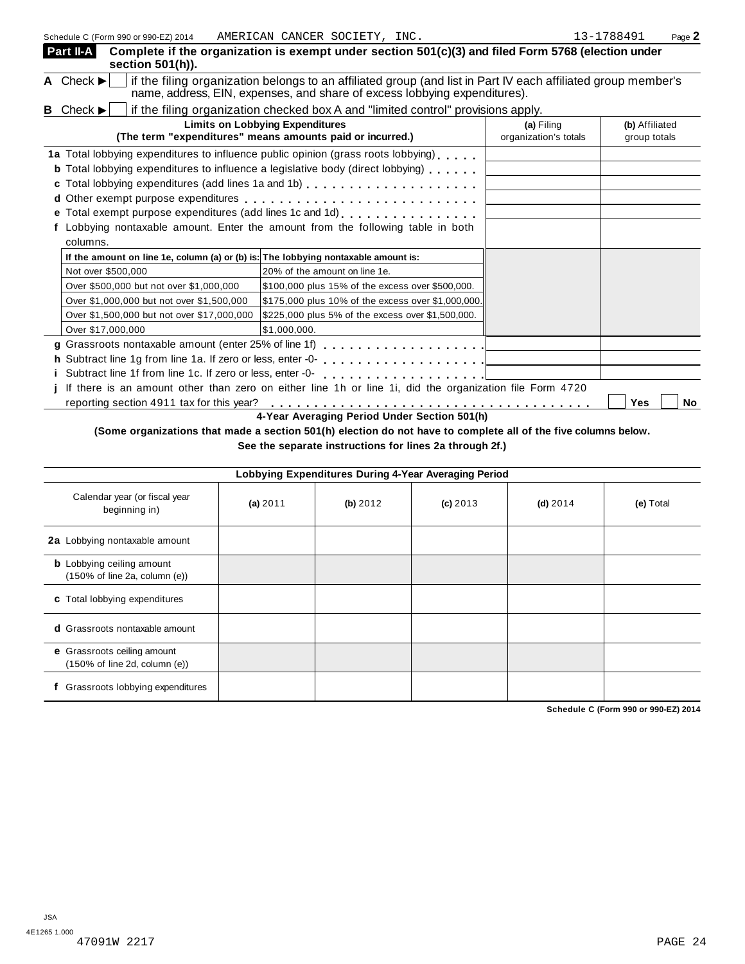| Schedule C (Form 990 or 990-EZ) 2014                                               | AMERICAN CANCER SOCIETY, INC.                                                                                                                                                              |                       | 13-1788491<br>Page 2 |
|------------------------------------------------------------------------------------|--------------------------------------------------------------------------------------------------------------------------------------------------------------------------------------------|-----------------------|----------------------|
| Part II-A<br>section 501(h)).                                                      | Complete if the organization is exempt under section 501(c)(3) and filed Form 5768 (election under                                                                                         |                       |                      |
| A Check $\blacktriangleright$                                                      | if the filing organization belongs to an affiliated group (and list in Part IV each affiliated group member's<br>name, address, EIN, expenses, and share of excess lobbying expenditures). |                       |                      |
| <b>B</b> Check $\blacktriangleright$                                               | if the filing organization checked box A and "limited control" provisions apply.                                                                                                           |                       |                      |
|                                                                                    | <b>Limits on Lobbying Expenditures</b>                                                                                                                                                     | (a) Filing            | (b) Affiliated       |
|                                                                                    | (The term "expenditures" means amounts paid or incurred.)                                                                                                                                  | organization's totals | group totals         |
|                                                                                    | 1a Total lobbying expenditures to influence public opinion (grass roots lobbying)                                                                                                          |                       |                      |
|                                                                                    | <b>b</b> Total lobbying expenditures to influence a legislative body (direct lobbying)                                                                                                     |                       |                      |
|                                                                                    |                                                                                                                                                                                            |                       |                      |
|                                                                                    |                                                                                                                                                                                            |                       |                      |
|                                                                                    | e Total exempt purpose expenditures (add lines 1c and 1d)                                                                                                                                  |                       |                      |
|                                                                                    | f Lobbying nontaxable amount. Enter the amount from the following table in both                                                                                                            |                       |                      |
| columns.                                                                           |                                                                                                                                                                                            |                       |                      |
| If the amount on line 1e, column (a) or (b) is: The lobbying nontaxable amount is: |                                                                                                                                                                                            |                       |                      |
| Not over \$500,000                                                                 | 20% of the amount on line 1e.                                                                                                                                                              |                       |                      |
| Over \$500,000 but not over \$1,000,000                                            | \$100,000 plus 15% of the excess over \$500,000.                                                                                                                                           |                       |                      |
| Over \$1,000,000 but not over \$1,500,000                                          | \$175,000 plus 10% of the excess over \$1,000,000.                                                                                                                                         |                       |                      |
| Over \$1,500,000 but not over \$17,000,000                                         | \$225,000 plus 5% of the excess over \$1,500,000.                                                                                                                                          |                       |                      |
| Over \$17,000,000                                                                  | \$1,000,000.                                                                                                                                                                               |                       |                      |
|                                                                                    | g Grassroots nontaxable amount (enter 25% of line 1f)<br>g Crassroots nontaxable amount (enter 25% of line 1f)                                                                             |                       |                      |
|                                                                                    |                                                                                                                                                                                            |                       |                      |
| i Subtract line 1f from line 1c. If zero or less, enter -0-                        |                                                                                                                                                                                            |                       |                      |
|                                                                                    | If there is an amount other than zero on either line 1h or line 1i, did the organization file Form 4720                                                                                    |                       |                      |
| reporting section 4911 tax for this year?                                          |                                                                                                                                                                                            |                       | <b>Yes</b><br>No     |

**4-Year Averaging Period Under Section 501(h)**

(Some organizations that made a section 501(h) election do not have to complete all of the five columns below.

**See the separate instructions for lines 2a through 2f.)**

|                                                                   |          |          | Lobbying Expenditures During 4-Year Averaging Period |            |           |
|-------------------------------------------------------------------|----------|----------|------------------------------------------------------|------------|-----------|
| Calendar year (or fiscal year<br>beginning in)                    | (a) 2011 | (b) 2012 | $(c)$ 2013                                           | $(d)$ 2014 | (e) Total |
| 2a Lobbying nontaxable amount                                     |          |          |                                                      |            |           |
| <b>b</b> Lobbying ceiling amount<br>(150% of line 2a, column (e)) |          |          |                                                      |            |           |
| c Total lobbying expenditures                                     |          |          |                                                      |            |           |
| <b>d</b> Grassroots nontaxable amount                             |          |          |                                                      |            |           |
| e Grassroots ceiling amount<br>(150% of line 2d, column (e))      |          |          |                                                      |            |           |
| Grassroots lobbying expenditures                                  |          |          |                                                      |            |           |

**Schedule C (Form 990 or 990-EZ) 2014**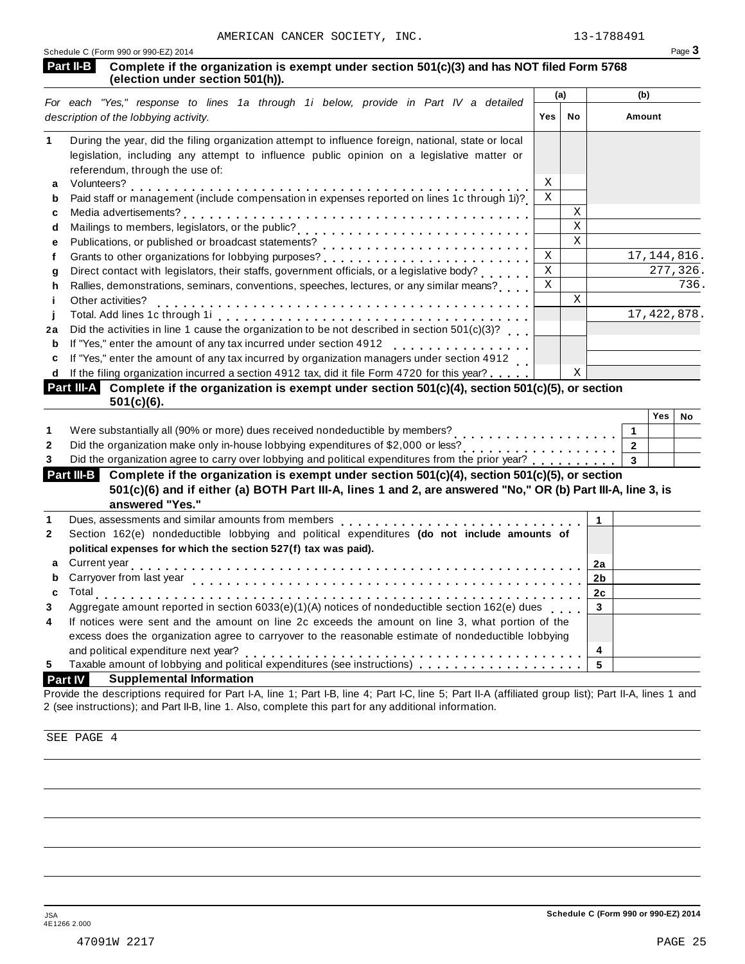|    | AMERICAN CANCER SOCIETY, INC.<br>Schedule C (Form 990 or 990-EZ) 2014                                                                                                                                                               |             |             | T2-T1994AT     |                | Page 3   |
|----|-------------------------------------------------------------------------------------------------------------------------------------------------------------------------------------------------------------------------------------|-------------|-------------|----------------|----------------|----------|
|    | Complete if the organization is exempt under section 501(c)(3) and has NOT filed Form 5768<br>Part II-B<br>(election under section 501(h)).                                                                                         |             |             |                |                |          |
|    |                                                                                                                                                                                                                                     | (a)         |             |                | (b)            |          |
|    | For each "Yes," response to lines 1a through 1i below, provide in Part IV a detailed<br>description of the lobbying activity.                                                                                                       | Yes         | No          |                | Amount         |          |
| 1. | During the year, did the filing organization attempt to influence foreign, national, state or local<br>legislation, including any attempt to influence public opinion on a legislative matter or<br>referendum, through the use of: |             |             |                |                |          |
| a  | Volunteers?                                                                                                                                                                                                                         | X           |             |                |                |          |
| b  | Volunteers?<br>Paid staff or management (include compensation in expenses reported on lines 1c through 1i)?                                                                                                                         | $\mathbf X$ |             |                |                |          |
| c  |                                                                                                                                                                                                                                     |             | $\mathbf X$ |                |                |          |
| d  |                                                                                                                                                                                                                                     |             | $\mathbf X$ |                |                |          |
| e  |                                                                                                                                                                                                                                     |             | $\rm X$     |                |                |          |
| f  |                                                                                                                                                                                                                                     | $\mathbf X$ |             |                | 17, 144, 816.  |          |
| g  | Direct contact with legislators, their staffs, government officials, or a legislative body?                                                                                                                                         | $\mathbf X$ |             |                |                | 277,326. |
| h  | Rallies, demonstrations, seminars, conventions, speeches, lectures, or any similar means?                                                                                                                                           | $\rm X$     |             |                |                | 736.     |
| Ť  | Other activities?                                                                                                                                                                                                                   |             | $\mathbf X$ |                |                |          |
|    |                                                                                                                                                                                                                                     |             |             |                | 17, 422, 878.  |          |
| 2a | Did the activities in line 1 cause the organization to be not described in section $501(c)(3)$ ?                                                                                                                                    |             |             |                |                |          |
| b  | If "Yes," enter the amount of any tax incurred under section 4912<br>.                                                                                                                                                              |             |             |                |                |          |
| c  | If "Yes," enter the amount of any tax incurred by organization managers under section 4912                                                                                                                                          |             |             |                |                |          |
| d  | If the filing organization incurred a section 4912 tax, did it file Form 4720 for this year?                                                                                                                                        |             | $\mathbf X$ |                |                |          |
|    | Part III-A Complete if the organization is exempt under section $501(c)(4)$ , section $501(c)(5)$ , or section<br>$501(c)(6)$ .                                                                                                     |             |             |                |                |          |
|    |                                                                                                                                                                                                                                     |             |             |                | $Yes \mid$     | No       |
| 1  | Were substantially all (90% or more) dues received nondeductible by members?                                                                                                                                                        |             |             |                | $\mathbf{1}$   |          |
| 2  | Did the organization make only in-house lobbying expenditures of \$2,000 or less?                                                                                                                                                   |             |             |                | $\overline{2}$ |          |
| 3  | Did the organization agree to carry over lobbying and political expenditures from the prior year?                                                                                                                                   |             |             |                | 3              |          |
|    | Part III-B Complete if the organization is exempt under section 501(c)(4), section 501(c)(5), or section                                                                                                                            |             |             |                |                |          |
|    | 501(c)(6) and if either (a) BOTH Part III-A, lines 1 and 2, are answered "No," OR (b) Part III-A, line 3, is                                                                                                                        |             |             |                |                |          |
|    | answered "Yes."                                                                                                                                                                                                                     |             |             |                |                |          |
| 1  | Dues, assessments and similar amounts from members                                                                                                                                                                                  |             |             | $\mathbf{1}$   |                |          |
| 2  | Section 162(e) nondeductible lobbying and political expenditures (do not include amounts of                                                                                                                                         |             |             |                |                |          |
|    | political expenses for which the section 527(f) tax was paid).                                                                                                                                                                      |             |             |                |                |          |
| а  | Current year                                                                                                                                                                                                                        |             |             | <u>2a</u>      |                |          |
| b  | Carryover from last year                                                                                                                                                                                                            |             |             | 2b             |                |          |
| c  | Total<br>$\mathbf{1} \cdot \mathbf{1} \cdot \mathbf{1} \cdot \mathbf{1} \cdot \mathbf{1} \cdot \mathbf{1} \cdot \mathbf{1} \cdot \mathbf{1}$                                                                                        |             |             | 2 <sub>c</sub> |                |          |
| 3  | Aggregate amount reported in section 6033(e)(1)(A) notices of nondeductible section 162(e) dues                                                                                                                                     |             |             | $\mathbf{3}$   |                |          |
| 4  | If notices were sent and the amount on line 2c exceeds the amount on line 3, what portion of the                                                                                                                                    |             |             |                |                |          |
|    | excess does the organization agree to carryover to the reasonable estimate of nondeductible lobbying                                                                                                                                |             |             |                |                |          |
|    | and political expenditure next year?                                                                                                                                                                                                |             |             | 4              |                |          |
| 5  | Taxable amount of lobbying and political expenditures (see instructions)                                                                                                                                                            |             |             | 5              |                |          |
|    | <b>Supplemental Information</b><br><b>Part IV</b>                                                                                                                                                                                   |             |             |                |                |          |
|    |                                                                                                                                                                                                                                     |             |             |                |                |          |

Provide the descriptions required for Part I-A, line 1; Part I-B, line 4; Part I-C, line 5; Part II-A (affiliated group list); Part II-A, lines 1 and 2 (see instructions); and Part II-B, line 1. Also, complete this part for any additional information.

SEE PAGE 4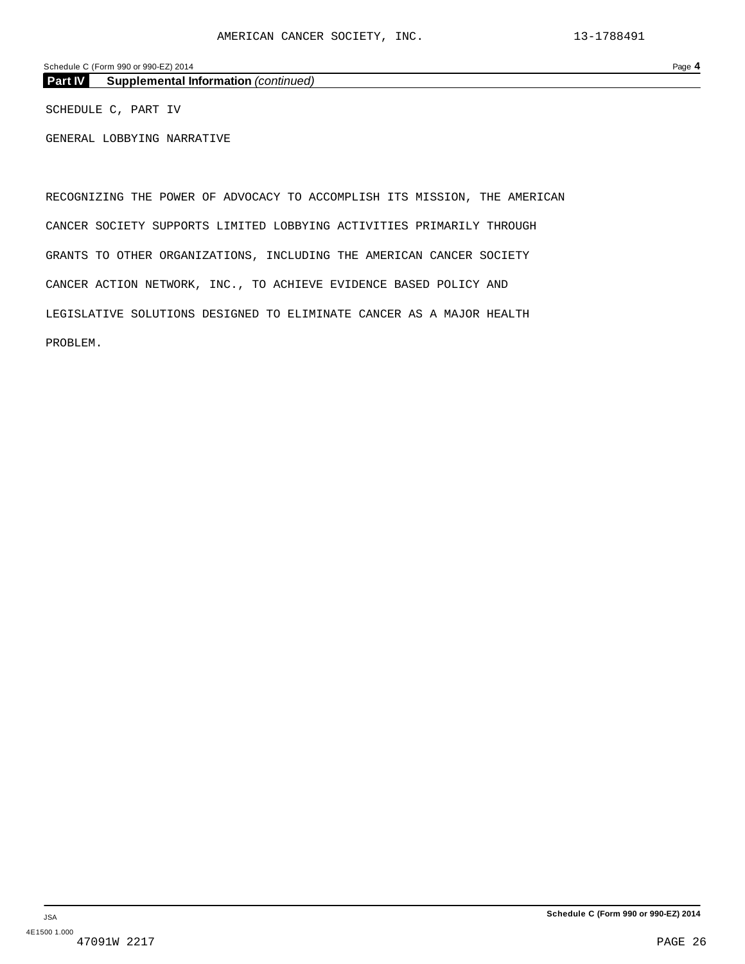Schedule C (Form 990 or 990-EZ) 2014 Page **4**

**Part IV Supplemental Information** *(continued)*

SCHEDULE C, PART IV

GENERAL LOBBYING NARRATIVE

RECOGNIZING THE POWER OF ADVOCACY TO ACCOMPLISH ITS MISSION, THE AMERICAN CANCER SOCIETY SUPPORTS LIMITED LOBBYING ACTIVITIES PRIMARILY THROUGH GRANTS TO OTHER ORGANIZATIONS, INCLUDING THE AMERICAN CANCER SOCIETY CANCER ACTION NETWORK, INC., TO ACHIEVE EVIDENCE BASED POLICY AND LEGISLATIVE SOLUTIONS DESIGNED TO ELIMINATE CANCER AS A MAJOR HEALTH PROBLEM.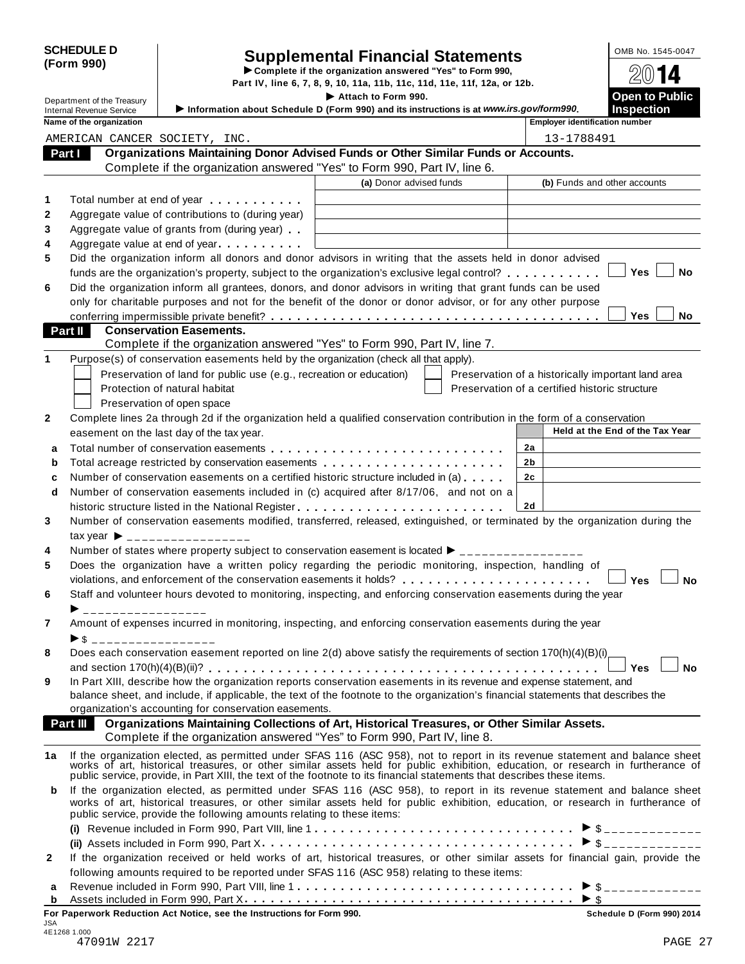|                                                                                                                    | <b>SCHEDULE D</b>               |                                                                                                                                                                                                                                                              |                                                                          |  |                                                    | OMB No. 1545-0047               |
|--------------------------------------------------------------------------------------------------------------------|---------------------------------|--------------------------------------------------------------------------------------------------------------------------------------------------------------------------------------------------------------------------------------------------------------|--------------------------------------------------------------------------|--|----------------------------------------------------|---------------------------------|
| <b>Supplemental Financial Statements</b><br>(Form 990)<br>Complete if the organization answered "Yes" to Form 990, |                                 |                                                                                                                                                                                                                                                              |                                                                          |  |                                                    |                                 |
|                                                                                                                    |                                 |                                                                                                                                                                                                                                                              | Part IV, line 6, 7, 8, 9, 10, 11a, 11b, 11c, 11d, 11e, 11f, 12a, or 12b. |  |                                                    |                                 |
|                                                                                                                    | Department of the Treasury      |                                                                                                                                                                                                                                                              | Attach to Form 990.                                                      |  |                                                    | <b>Open to Public</b>           |
|                                                                                                                    | <b>Internal Revenue Service</b> | Information about Schedule D (Form 990) and its instructions is at www.irs.gov/form990.                                                                                                                                                                      |                                                                          |  |                                                    | <b>Inspection</b>               |
|                                                                                                                    | Name of the organization        |                                                                                                                                                                                                                                                              |                                                                          |  | <b>Employer identification number</b>              |                                 |
|                                                                                                                    |                                 | AMERICAN CANCER SOCIETY, INC.                                                                                                                                                                                                                                |                                                                          |  | 13-1788491                                         |                                 |
|                                                                                                                    | Part I                          | Organizations Maintaining Donor Advised Funds or Other Similar Funds or Accounts.                                                                                                                                                                            |                                                                          |  |                                                    |                                 |
|                                                                                                                    |                                 | Complete if the organization answered "Yes" to Form 990, Part IV, line 6.                                                                                                                                                                                    | (a) Donor advised funds                                                  |  |                                                    |                                 |
|                                                                                                                    |                                 |                                                                                                                                                                                                                                                              |                                                                          |  | (b) Funds and other accounts                       |                                 |
| 1                                                                                                                  |                                 | Total number at end of year                                                                                                                                                                                                                                  |                                                                          |  |                                                    |                                 |
| 2                                                                                                                  |                                 | Aggregate value of contributions to (during year)                                                                                                                                                                                                            |                                                                          |  |                                                    |                                 |
| 3                                                                                                                  |                                 | Aggregate value of grants from (during year)                                                                                                                                                                                                                 |                                                                          |  |                                                    |                                 |
| 4                                                                                                                  |                                 | Aggregate value at end of year                                                                                                                                                                                                                               |                                                                          |  |                                                    |                                 |
| 5                                                                                                                  |                                 | Did the organization inform all donors and donor advisors in writing that the assets held in donor advised                                                                                                                                                   |                                                                          |  |                                                    | Yes<br>No                       |
|                                                                                                                    |                                 | funds are the organization's property, subject to the organization's exclusive legal control?                                                                                                                                                                |                                                                          |  |                                                    |                                 |
| 6                                                                                                                  |                                 | Did the organization inform all grantees, donors, and donor advisors in writing that grant funds can be used<br>only for charitable purposes and not for the benefit of the donor or donor advisor, or for any other purpose                                 |                                                                          |  |                                                    |                                 |
|                                                                                                                    |                                 |                                                                                                                                                                                                                                                              |                                                                          |  |                                                    | <b>Yes</b><br><b>No</b>         |
|                                                                                                                    | Part II                         | <b>Conservation Easements.</b>                                                                                                                                                                                                                               |                                                                          |  |                                                    |                                 |
|                                                                                                                    |                                 | Complete if the organization answered "Yes" to Form 990, Part IV, line 7.                                                                                                                                                                                    |                                                                          |  |                                                    |                                 |
| 1                                                                                                                  |                                 | Purpose(s) of conservation easements held by the organization (check all that apply).                                                                                                                                                                        |                                                                          |  |                                                    |                                 |
|                                                                                                                    |                                 | Preservation of land for public use (e.g., recreation or education)                                                                                                                                                                                          |                                                                          |  | Preservation of a historically important land area |                                 |
|                                                                                                                    |                                 | Protection of natural habitat                                                                                                                                                                                                                                |                                                                          |  | Preservation of a certified historic structure     |                                 |
|                                                                                                                    |                                 | Preservation of open space                                                                                                                                                                                                                                   |                                                                          |  |                                                    |                                 |
| 2                                                                                                                  |                                 | Complete lines 2a through 2d if the organization held a qualified conservation contribution in the form of a conservation                                                                                                                                    |                                                                          |  |                                                    |                                 |
|                                                                                                                    |                                 | easement on the last day of the tax year.                                                                                                                                                                                                                    |                                                                          |  |                                                    | Held at the End of the Tax Year |
| a                                                                                                                  |                                 |                                                                                                                                                                                                                                                              |                                                                          |  | 2a                                                 |                                 |
| b                                                                                                                  |                                 |                                                                                                                                                                                                                                                              |                                                                          |  | 2b                                                 |                                 |
| c                                                                                                                  |                                 | Number of conservation easements on a certified historic structure included in (a)                                                                                                                                                                           |                                                                          |  | 2c                                                 |                                 |
| d                                                                                                                  |                                 | Number of conservation easements included in (c) acquired after 8/17/06, and not on a                                                                                                                                                                        |                                                                          |  |                                                    |                                 |
|                                                                                                                    |                                 | historic structure listed in the National Register                                                                                                                                                                                                           |                                                                          |  | 2d                                                 |                                 |
| 3                                                                                                                  |                                 | Number of conservation easements modified, transferred, released, extinguished, or terminated by the organization during the                                                                                                                                 |                                                                          |  |                                                    |                                 |
|                                                                                                                    |                                 | $\text{tax year}$ $\rightarrow$ _________________                                                                                                                                                                                                            |                                                                          |  |                                                    |                                 |
| 4                                                                                                                  |                                 | Number of states where property subject to conservation easement is located $\blacktriangleright$ ______                                                                                                                                                     |                                                                          |  |                                                    |                                 |
| 5                                                                                                                  |                                 | Does the organization have a written policy regarding the periodic monitoring, inspection, handling of                                                                                                                                                       |                                                                          |  |                                                    |                                 |
|                                                                                                                    |                                 |                                                                                                                                                                                                                                                              |                                                                          |  |                                                    | <b>Yes</b><br><b>No</b>         |
| 6                                                                                                                  |                                 | Staff and volunteer hours devoted to monitoring, inspecting, and enforcing conservation easements during the year                                                                                                                                            |                                                                          |  |                                                    |                                 |
|                                                                                                                    | _________________               |                                                                                                                                                                                                                                                              |                                                                          |  |                                                    |                                 |
| 7                                                                                                                  |                                 | Amount of expenses incurred in monitoring, inspecting, and enforcing conservation easements during the year                                                                                                                                                  |                                                                          |  |                                                    |                                 |
|                                                                                                                    | ▶ \$ ___________________        |                                                                                                                                                                                                                                                              |                                                                          |  |                                                    |                                 |
| 8                                                                                                                  |                                 | Does each conservation easement reported on line 2(d) above satisfy the requirements of section 170(h)(4)(B)(i)                                                                                                                                              |                                                                          |  |                                                    |                                 |
|                                                                                                                    |                                 |                                                                                                                                                                                                                                                              |                                                                          |  |                                                    | <b>No</b><br>Yes                |
| 9                                                                                                                  |                                 | In Part XIII, describe how the organization reports conservation easements in its revenue and expense statement, and                                                                                                                                         |                                                                          |  |                                                    |                                 |
|                                                                                                                    |                                 | balance sheet, and include, if applicable, the text of the footnote to the organization's financial statements that describes the                                                                                                                            |                                                                          |  |                                                    |                                 |
|                                                                                                                    |                                 | organization's accounting for conservation easements.                                                                                                                                                                                                        |                                                                          |  |                                                    |                                 |
|                                                                                                                    | Part III                        | Organizations Maintaining Collections of Art, Historical Treasures, or Other Similar Assets.                                                                                                                                                                 |                                                                          |  |                                                    |                                 |
|                                                                                                                    |                                 | Complete if the organization answered "Yes" to Form 990, Part IV, line 8.                                                                                                                                                                                    |                                                                          |  |                                                    |                                 |
| 1a                                                                                                                 |                                 |                                                                                                                                                                                                                                                              |                                                                          |  |                                                    |                                 |
|                                                                                                                    |                                 | If the organization elected, as permitted under SFAS 116 (ASC 958), not to report in its revenue statement and balance sheet works of art, historical treasures, or other similar assets held for public exhibition, education                               |                                                                          |  |                                                    |                                 |
|                                                                                                                    |                                 | public service, provide, in Part XIII, the text of the footnote to its financial statements that describes these items.                                                                                                                                      |                                                                          |  |                                                    |                                 |
| b                                                                                                                  |                                 | If the organization elected, as permitted under SFAS 116 (ASC 958), to report in its revenue statement and balance sheet<br>works of art, historical treasures, or other similar assets held for public exhibition, education, or research in furtherance of |                                                                          |  |                                                    |                                 |
|                                                                                                                    |                                 | public service, provide the following amounts relating to these items:                                                                                                                                                                                       |                                                                          |  |                                                    |                                 |
|                                                                                                                    |                                 |                                                                                                                                                                                                                                                              |                                                                          |  |                                                    |                                 |
|                                                                                                                    |                                 |                                                                                                                                                                                                                                                              |                                                                          |  |                                                    |                                 |
| $\mathbf{2}$                                                                                                       |                                 | If the organization received or held works of art, historical treasures, or other similar assets for financial gain, provide the                                                                                                                             |                                                                          |  |                                                    |                                 |
|                                                                                                                    |                                 | following amounts required to be reported under SFAS 116 (ASC 958) relating to these items:                                                                                                                                                                  |                                                                          |  |                                                    |                                 |
| a                                                                                                                  |                                 |                                                                                                                                                                                                                                                              |                                                                          |  |                                                    |                                 |
| b                                                                                                                  |                                 |                                                                                                                                                                                                                                                              |                                                                          |  |                                                    |                                 |
|                                                                                                                    |                                 | For Paperwork Reduction Act Notice, see the Instructions for Form 990.                                                                                                                                                                                       |                                                                          |  |                                                    | Schedule D (Form 990) 2014      |
| JSA                                                                                                                | 4E1268 1.000                    |                                                                                                                                                                                                                                                              |                                                                          |  |                                                    |                                 |
|                                                                                                                    | 47091W 2217                     |                                                                                                                                                                                                                                                              |                                                                          |  |                                                    | PAGE 27                         |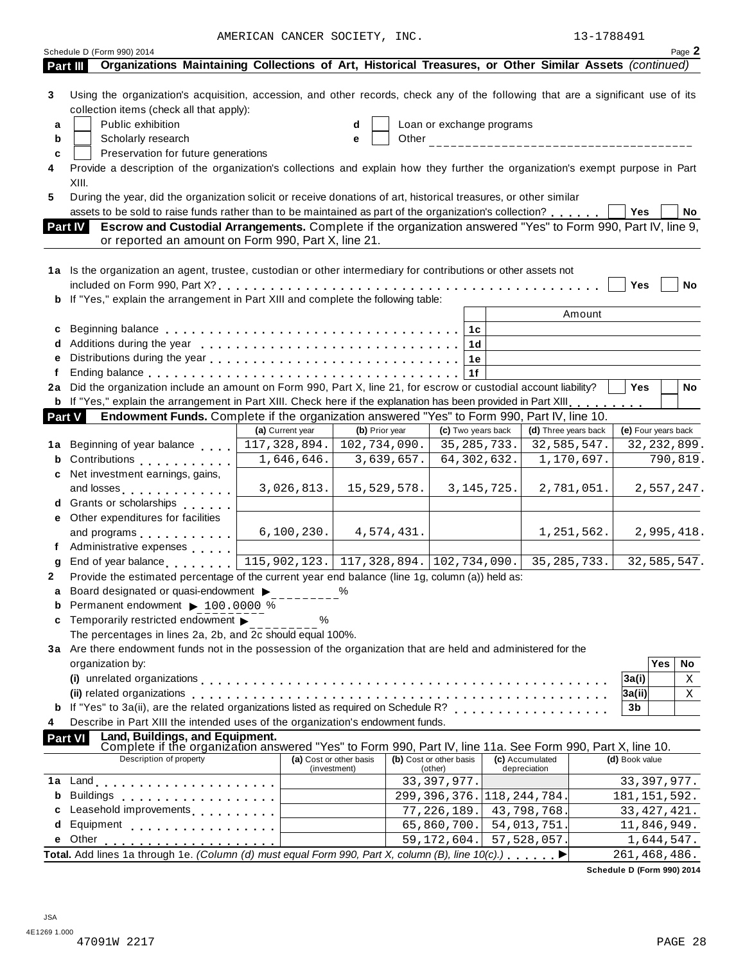AMERICAN CANCER SOCIETY, INC. 13-1788491

|               | Schedule D (Form 990) 2014                                                                                                                                                                                                     |                  |                                              |                                  |                      |                                            | Page 2        |
|---------------|--------------------------------------------------------------------------------------------------------------------------------------------------------------------------------------------------------------------------------|------------------|----------------------------------------------|----------------------------------|----------------------|--------------------------------------------|---------------|
|               | Organizations Maintaining Collections of Art, Historical Treasures, or Other Similar Assets (continued)<br>Part III                                                                                                            |                  |                                              |                                  |                      |                                            |               |
| 3<br>a<br>b   | Using the organization's acquisition, accession, and other records, check any of the following that are a significant use of its<br>collection items (check all that apply):<br>Public exhibition<br>Scholarly research        |                  | d                                            | Loan or exchange programs        |                      |                                            |               |
| c             | Preservation for future generations<br>Provide a description of the organization's collections and explain how they further the organization's exempt purpose in Part                                                          |                  |                                              |                                  |                      |                                            |               |
|               | XIII.                                                                                                                                                                                                                          |                  |                                              |                                  |                      |                                            |               |
| 5             | During the year, did the organization solicit or receive donations of art, historical treasures, or other similar                                                                                                              |                  |                                              |                                  |                      |                                            |               |
|               | assets to be sold to raise funds rather than to be maintained as part of the organization's collection?                                                                                                                        |                  |                                              |                                  |                      | Yes                                        | No            |
|               | Escrow and Custodial Arrangements. Complete if the organization answered "Yes" to Form 990, Part IV, line 9,<br><b>Part IV</b>                                                                                                 |                  |                                              |                                  |                      |                                            |               |
|               | or reported an amount on Form 990, Part X, line 21.                                                                                                                                                                            |                  |                                              |                                  |                      |                                            |               |
|               |                                                                                                                                                                                                                                |                  |                                              |                                  |                      |                                            |               |
|               | 1a Is the organization an agent, trustee, custodian or other intermediary for contributions or other assets not                                                                                                                |                  |                                              |                                  |                      |                                            |               |
|               |                                                                                                                                                                                                                                |                  |                                              |                                  |                      | Yes                                        | No            |
|               | b If "Yes," explain the arrangement in Part XIII and complete the following table:                                                                                                                                             |                  |                                              |                                  |                      |                                            |               |
|               |                                                                                                                                                                                                                                |                  |                                              |                                  | Amount               |                                            |               |
| c             |                                                                                                                                                                                                                                |                  |                                              | 1c                               |                      |                                            |               |
|               |                                                                                                                                                                                                                                |                  |                                              | 1d                               |                      |                                            |               |
|               |                                                                                                                                                                                                                                |                  |                                              | 1e                               |                      |                                            |               |
|               |                                                                                                                                                                                                                                |                  |                                              | 1f                               |                      |                                            |               |
| 2a            | Did the organization include an amount on Form 990, Part X, line 21, for escrow or custodial account liability?                                                                                                                |                  |                                              |                                  |                      | <b>Yes</b>                                 | No            |
|               | <b>b</b> If "Yes," explain the arrangement in Part XIII. Check here if the explanation has been provided in Part XIII.                                                                                                         |                  |                                              |                                  |                      |                                            |               |
| <b>Part V</b> | Endowment Funds. Complete if the organization answered "Yes" to Form 990, Part IV, line 10.                                                                                                                                    |                  |                                              |                                  |                      |                                            |               |
|               |                                                                                                                                                                                                                                | (a) Current year | (b) Prior year                               | (c) Two years back               | (d) Three years back | (e) Four years back                        |               |
| 1a            | Beginning of year balance                                                                                                                                                                                                      | 117,328,894.     | 102,734,090.                                 | 35,285,733.                      | 32,585,547.          |                                            | 32, 232, 899. |
| b             | Contributions <b>Contributions</b>                                                                                                                                                                                             | 1,646,646.       | 3,639,657.                                   | 64,302,632.                      | 1,170,697.           |                                            | 790,819.      |
|               | Net investment earnings, gains,                                                                                                                                                                                                |                  |                                              |                                  |                      |                                            |               |
|               | and losses experience and losses                                                                                                                                                                                               | 3,026,813.       | 15,529,578.                                  | 3, 145, 725.                     | 2,781,051.           |                                            | 2,557,247.    |
|               | d Grants or scholarships and can be a set of the set of the set of the set of the set of the set of the set of the set of the set of the set of the set of the set of the set of the set of the set of the set of the set of t |                  |                                              |                                  |                      |                                            |               |
|               | e Other expenditures for facilities                                                                                                                                                                                            |                  |                                              |                                  |                      |                                            |               |
|               | and programs experience and programs                                                                                                                                                                                           | 6,100,230.       | 4,574,431.                                   |                                  | 1,251,562.           |                                            | 2,995,418.    |
|               | Administrative expenses                                                                                                                                                                                                        |                  | 115, 902, 123. 117, 328, 894. 102, 734, 090. |                                  |                      |                                            |               |
| g             | End of year balance                                                                                                                                                                                                            |                  |                                              |                                  | 35, 285, 733.        |                                            | 32,585,547.   |
| $\mathbf{z}$  | Provide the estimated percentage of the current year end balance (line 1g, column (a)) held as:<br>Board designated or quasi-endowment > %                                                                                     |                  |                                              |                                  |                      |                                            |               |
| b             |                                                                                                                                                                                                                                |                  |                                              |                                  |                      |                                            |               |
|               | Permanent endowment > 100.0000 %<br>Temporarily restricted endowment                                                                                                                                                           | ℅                |                                              |                                  |                      |                                            |               |
|               | The percentages in lines 2a, 2b, and 2c should equal 100%.                                                                                                                                                                     |                  |                                              |                                  |                      |                                            |               |
|               | 3a Are there endowment funds not in the possession of the organization that are held and administered for the                                                                                                                  |                  |                                              |                                  |                      |                                            |               |
|               | organization by:                                                                                                                                                                                                               |                  |                                              |                                  |                      | Yes                                        | No            |
|               |                                                                                                                                                                                                                                |                  |                                              |                                  |                      | 3a(i)                                      | Χ             |
|               | (ii) related organizations                                                                                                                                                                                                     |                  |                                              |                                  |                      | 3a(ii)                                     | Χ             |
|               | <b>b</b> If "Yes" to 3a(ii), are the related organizations listed as required on Schedule R?                                                                                                                                   |                  |                                              | di di di di di di di di di di di |                      | 3b                                         |               |
| 4             | Describe in Part XIII the intended uses of the organization's endowment funds.                                                                                                                                                 |                  |                                              |                                  |                      |                                            |               |
|               | Land, Buildings, and Equipment.<br>Complete if the organization answered "Yes" to Form 990, Part IV, line 11a. See Form 990, Part X, line 10.<br><b>Part VI</b>                                                                |                  |                                              |                                  |                      |                                            |               |
|               | Description of property                                                                                                                                                                                                        |                  | (a) Cost or other basis                      | (b) Cost or other basis          | (c) Accumulated      | (d) Book value                             |               |
|               |                                                                                                                                                                                                                                |                  | (investment)                                 | (other)                          | depreciation         |                                            |               |
| 1a            | <b>Buildings</b>                                                                                                                                                                                                               |                  |                                              | 33, 397, 977.                    |                      | 33, 397, 977.                              |               |
| b             | .                                                                                                                                                                                                                              |                  |                                              | 299, 396, 376.                   | 118, 244, 784.       | 181, 151, 592.                             |               |
|               | Leasehold improvements entitled and the set of                                                                                                                                                                                 |                  |                                              | 77, 226, 189.                    | 43,798,768.          | 33, 427, 421.                              |               |
| d             | Equipment                                                                                                                                                                                                                      |                  |                                              | 65,860,700.                      | 54,013,751.          | 11,846,949.                                |               |
| е             | Other<br><u>.</u><br>Total. Add lines 1a through 1e. (Column (d) must equal Form 990, Part X, column (B), line $10(c)$ .)                                                                                                      |                  |                                              | 59, 172, 604.                    | 57,528,057.          | 1,644,547.                                 |               |
|               |                                                                                                                                                                                                                                |                  |                                              |                                  |                      | 261, 468, 486.<br>$0.11 \pm 0.11 \pm 0.07$ |               |

**Schedule D (Form 990) 2014**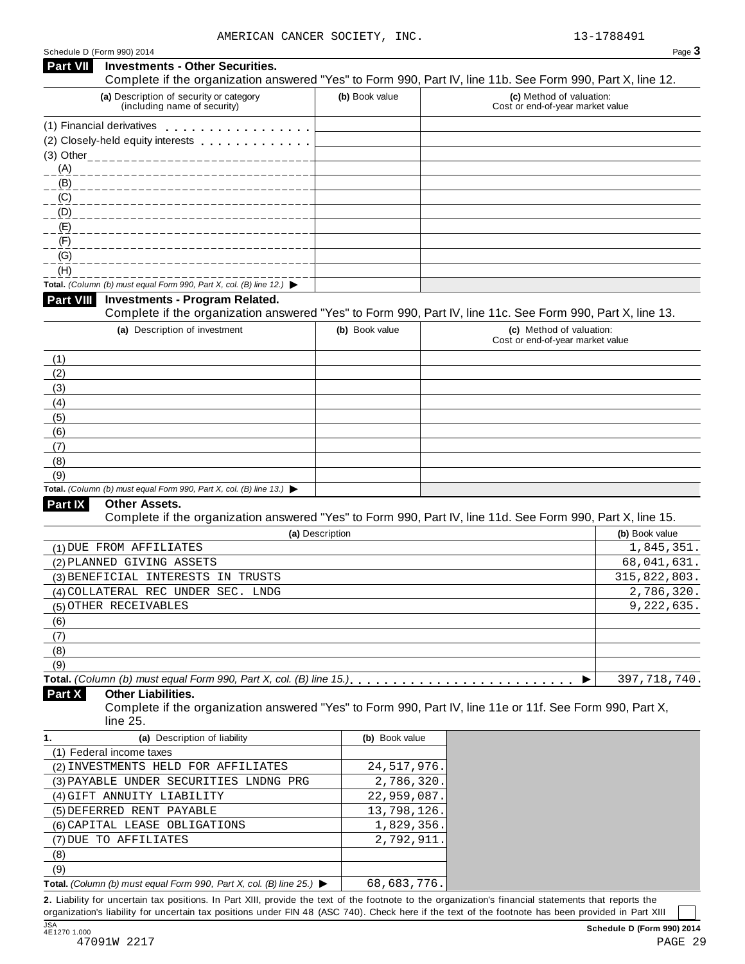| Schedule D (Form 990) 2014 |                                                                                                                                                                                                                                |                 | Page 3                                                                                                     |
|----------------------------|--------------------------------------------------------------------------------------------------------------------------------------------------------------------------------------------------------------------------------|-----------------|------------------------------------------------------------------------------------------------------------|
| <b>Part VII</b>            | <b>Investments - Other Securities.</b>                                                                                                                                                                                         |                 | Complete if the organization answered "Yes" to Form 990, Part IV, line 11b. See Form 990, Part X, line 12. |
|                            | (a) Description of security or category<br>(including name of security)                                                                                                                                                        | (b) Book value  | (c) Method of valuation:<br>Cost or end-of-year market value                                               |
|                            | (1) Financial derivatives                                                                                                                                                                                                      |                 |                                                                                                            |
|                            | (2) Closely-held equity interests entitled as a set of the control of the control of the control of the control of the control of the control of the control of the control of the control of the control of the control of th |                 |                                                                                                            |
|                            |                                                                                                                                                                                                                                |                 |                                                                                                            |
| (A)                        |                                                                                                                                                                                                                                |                 |                                                                                                            |
| (B)                        |                                                                                                                                                                                                                                |                 |                                                                                                            |
| $\underline{(C)}$          |                                                                                                                                                                                                                                |                 |                                                                                                            |
| (D)                        |                                                                                                                                                                                                                                |                 |                                                                                                            |
| (E)                        |                                                                                                                                                                                                                                |                 |                                                                                                            |
| (F)                        |                                                                                                                                                                                                                                |                 |                                                                                                            |
| $\underline{(G)}$          |                                                                                                                                                                                                                                |                 |                                                                                                            |
| (H)                        |                                                                                                                                                                                                                                |                 |                                                                                                            |
|                            | Total. (Column (b) must equal Form 990, Part X, col. (B) line 12.) $\blacktriangleright$                                                                                                                                       |                 |                                                                                                            |
| <b>Part VIII</b>           | <b>Investments - Program Related.</b>                                                                                                                                                                                          |                 | Complete if the organization answered "Yes" to Form 990, Part IV, line 11c. See Form 990, Part X, line 13. |
|                            | (a) Description of investment                                                                                                                                                                                                  | (b) Book value  | (c) Method of valuation:                                                                                   |
|                            |                                                                                                                                                                                                                                |                 | Cost or end-of-year market value                                                                           |
| (1)                        |                                                                                                                                                                                                                                |                 |                                                                                                            |
| (2)                        |                                                                                                                                                                                                                                |                 |                                                                                                            |
| (3)                        |                                                                                                                                                                                                                                |                 |                                                                                                            |
| (4)                        |                                                                                                                                                                                                                                |                 |                                                                                                            |
| (5)                        |                                                                                                                                                                                                                                |                 |                                                                                                            |
| (6)                        |                                                                                                                                                                                                                                |                 |                                                                                                            |
| (7)                        |                                                                                                                                                                                                                                |                 |                                                                                                            |
| (8)                        |                                                                                                                                                                                                                                |                 |                                                                                                            |
| (9)                        |                                                                                                                                                                                                                                |                 |                                                                                                            |
|                            | Total. (Column (b) must equal Form 990, Part X, col. (B) line 13.) $\blacktriangleright$                                                                                                                                       |                 |                                                                                                            |
| <b>Part IX</b>             | <b>Other Assets.</b>                                                                                                                                                                                                           |                 | Complete if the organization answered "Yes" to Form 990, Part IV, line 11d. See Form 990, Part X, line 15. |
|                            |                                                                                                                                                                                                                                | (a) Description | (b) Book value                                                                                             |
|                            | (1) DUE FROM AFFILIATES                                                                                                                                                                                                        |                 | 1,845,351.                                                                                                 |
|                            | (2) PLANNED GIVING ASSETS                                                                                                                                                                                                      |                 | 68,041,631.                                                                                                |
|                            | (3) BENEFICIAL INTERESTS IN TRUSTS                                                                                                                                                                                             |                 | 315,822,803.                                                                                               |
|                            | (4) COLLATERAL REC UNDER SEC. LNDG                                                                                                                                                                                             |                 | 2,786,320.                                                                                                 |
|                            | (5) OTHER RECEIVABLES                                                                                                                                                                                                          |                 | 9,222,635.                                                                                                 |
| (6)                        |                                                                                                                                                                                                                                |                 |                                                                                                            |
| (7)                        |                                                                                                                                                                                                                                |                 |                                                                                                            |
| (8)                        |                                                                                                                                                                                                                                |                 |                                                                                                            |
| (9)                        |                                                                                                                                                                                                                                |                 |                                                                                                            |
|                            |                                                                                                                                                                                                                                |                 | 397, 718, 740.<br>▶                                                                                        |
| Part X                     | <b>Other Liabilities.</b><br>line 25.                                                                                                                                                                                          |                 | Complete if the organization answered "Yes" to Form 990, Part IV, line 11e or 11f. See Form 990, Part X,   |
| 1.                         | (a) Description of liability                                                                                                                                                                                                   | (b) Book value  |                                                                                                            |
|                            | (1) Federal income taxes                                                                                                                                                                                                       |                 |                                                                                                            |
|                            | (2) INVESTMENTS HELD FOR AFFILIATES                                                                                                                                                                                            | 24, 517, 976.   |                                                                                                            |
|                            | (3) PAYABLE UNDER SECURITIES LNDNG PRG                                                                                                                                                                                         | 2,786,320.      |                                                                                                            |
|                            | (4) GIFT ANNUITY LIABILITY                                                                                                                                                                                                     | 22,959,087.     |                                                                                                            |
|                            | (5) DEFERRED RENT PAYABLE                                                                                                                                                                                                      | 13,798,126.     |                                                                                                            |
|                            | (6) CAPITAL LEASE OBLIGATIONS                                                                                                                                                                                                  | 1,829,356.      |                                                                                                            |
|                            | (7) DUE TO AFFILIATES                                                                                                                                                                                                          | 2,792,911       |                                                                                                            |
| (8)                        |                                                                                                                                                                                                                                |                 |                                                                                                            |
| (9)                        |                                                                                                                                                                                                                                |                 |                                                                                                            |
|                            |                                                                                                                                                                                                                                |                 |                                                                                                            |

**Total.** *(Column (b) must* equal Form 990, Part *X*, col. (B) line 25.)  $\triangleright$ 68,683,776.

**2.** Liability for uncertain tax positions. In Part XIII, provide the text of the footnote to the organization's financial statements that reports the organization's liability for uncertain tax positions under FIN 48 (ASC 740). Check here ifthe text of the footnote has been provided in Part XIII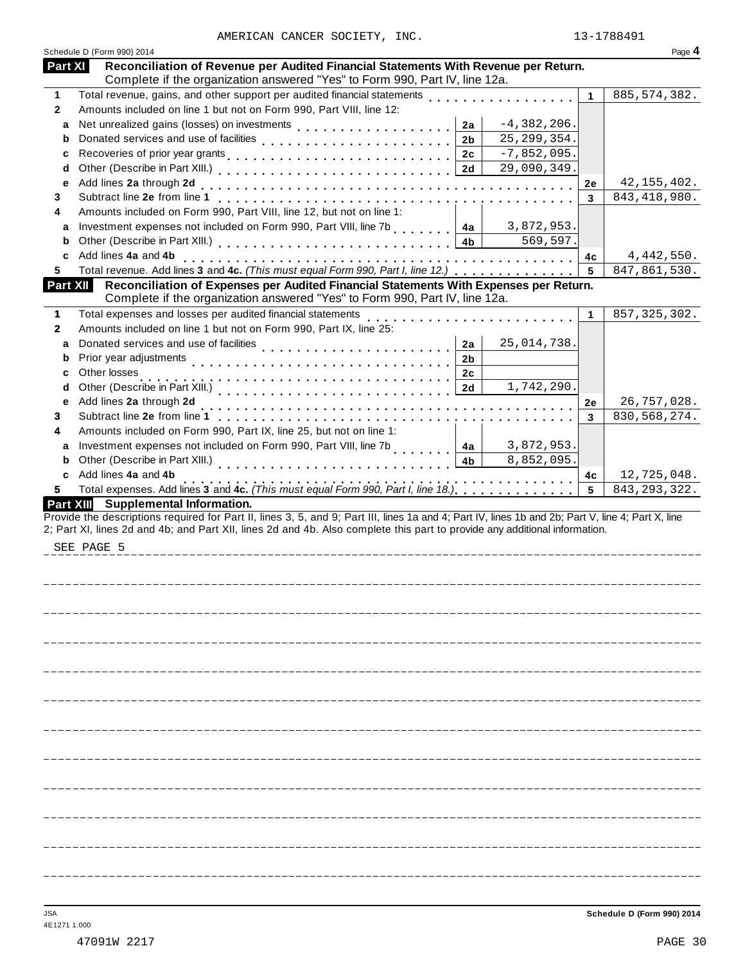|              | Schedule D (Form 990) 2014                                                                                                                                                                                                                                                                     |              | Page 4         |
|--------------|------------------------------------------------------------------------------------------------------------------------------------------------------------------------------------------------------------------------------------------------------------------------------------------------|--------------|----------------|
| Part XI      | Reconciliation of Revenue per Audited Financial Statements With Revenue per Return.<br>Complete if the organization answered "Yes" to Form 990, Part IV, line 12a.                                                                                                                             |              |                |
| 1            | Total revenue, gains, and other support per audited financial statements [1] [1]                                                                                                                                                                                                               | $\mathbf{1}$ | 885, 574, 382. |
| $\mathbf{2}$ | Amounts included on line 1 but not on Form 990, Part VIII, line 12:                                                                                                                                                                                                                            |              |                |
| a            | $-4,382,206.$<br>2a                                                                                                                                                                                                                                                                            |              |                |
| b            | Donated services and use of facilities<br>25, 299, 354.<br>2 <sub>b</sub>                                                                                                                                                                                                                      |              |                |
| с            | $-7,852,095.$<br>2c                                                                                                                                                                                                                                                                            |              |                |
| d            | 29,090,349.<br>2d                                                                                                                                                                                                                                                                              |              |                |
| e            |                                                                                                                                                                                                                                                                                                | 2e           | 42, 155, 402.  |
| 3            |                                                                                                                                                                                                                                                                                                | 3            | 843, 418, 980. |
| 4            | Amounts included on Form 990, Part VIII, line 12, but not on line 1:                                                                                                                                                                                                                           |              |                |
| a            | Investment expenses not included on Form 990, Part VIII, line 7b           4a<br>3,872,953.                                                                                                                                                                                                    |              |                |
| b            | Other (Describe in Part XIII.) [1] [2] Letter Letter Letter Letter Letter Letter Letter Letter Letter Letter Le<br>569,597.                                                                                                                                                                    |              |                |
| c            | Add lines 4a and 4b                                                                                                                                                                                                                                                                            | 4c           | 4,442,550.     |
| 5            | Total revenue. Add lines 3 and 4c. (This must equal Form 990, Part I, line 12.)                                                                                                                                                                                                                | 5            | 847,861,530.   |
| Part XII     | Reconciliation of Expenses per Audited Financial Statements With Expenses per Return.<br>Complete if the organization answered "Yes" to Form 990, Part IV, line 12a.                                                                                                                           |              |                |
| 1            | Total expenses and losses per audited financial statements                                                                                                                                                                                                                                     | 1            | 857, 325, 302. |
| $\mathbf{2}$ | na na karama na karama na karama na karama<br>Amounts included on line 1 but not on Form 990, Part IX, line 25:                                                                                                                                                                                |              |                |
| a            | 25,014,738.                                                                                                                                                                                                                                                                                    |              |                |
|              | Donated services and use of facilities<br>2a                                                                                                                                                                                                                                                   |              |                |
| b            | 2b                                                                                                                                                                                                                                                                                             |              |                |
| с            | Other losses<br>2c                                                                                                                                                                                                                                                                             |              |                |
| d            | 2d<br>1,742,290.                                                                                                                                                                                                                                                                               |              |                |
| e            | Add lines 2a through 2d                                                                                                                                                                                                                                                                        | 2e           | 26,757,028.    |
| 3            |                                                                                                                                                                                                                                                                                                | 3            | 830, 568, 274. |
| 4            | Amounts included on Form 990, Part IX, line 25, but not on line 1:                                                                                                                                                                                                                             |              |                |
| a            | Investment expenses not included on Form 990, Part VIII, line 7b<br>3,872,953.<br>4a                                                                                                                                                                                                           |              |                |
| b            | 8,852,095.<br>4 <sub>b</sub>                                                                                                                                                                                                                                                                   |              |                |
| c            | Add lines 4a and 4b<br>.                                                                                                                                                                                                                                                                       | 4c           | 12,725,048.    |
| 5            | Total expenses. Add lines 3 and 4c. (This must equal Form 990, Part I, line 18.)                                                                                                                                                                                                               | 5            | 843, 293, 322. |
|              | Provide the descriptions required for Part II, lines 3, 5, and 9; Part III, lines 1a and 4; Part IV, lines 1b and 2b; Part V, line 4; Part X, line<br>2; Part XI, lines 2d and 4b; and Part XII, lines 2d and 4b. Also complete this part to provide any additional information.<br>SEE PAGE 5 |              |                |
|              |                                                                                                                                                                                                                                                                                                |              |                |
|              |                                                                                                                                                                                                                                                                                                |              |                |
|              |                                                                                                                                                                                                                                                                                                |              |                |
|              |                                                                                                                                                                                                                                                                                                |              |                |
|              |                                                                                                                                                                                                                                                                                                |              |                |
|              |                                                                                                                                                                                                                                                                                                |              |                |
|              |                                                                                                                                                                                                                                                                                                |              |                |
|              |                                                                                                                                                                                                                                                                                                |              |                |
|              |                                                                                                                                                                                                                                                                                                |              |                |
|              |                                                                                                                                                                                                                                                                                                |              |                |
|              |                                                                                                                                                                                                                                                                                                |              |                |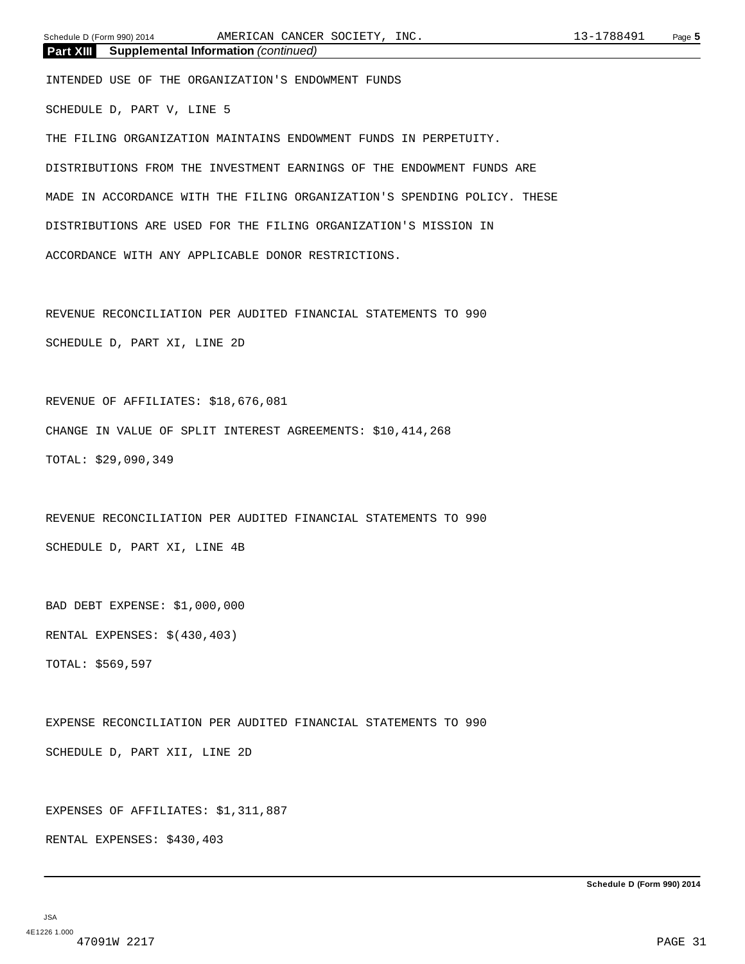INTENDED USE OF THE ORGANIZATION'S ENDOWMENT FUNDS

SCHEDULE D, PART V, LINE 5

THE FILING ORGANIZATION MAINTAINS ENDOWMENT FUNDS IN PERPETUITY. DISTRIBUTIONS FROM THE INVESTMENT EARNINGS OF THE ENDOWMENT FUNDS ARE MADE IN ACCORDANCE WITH THE FILING ORGANIZATION'S SPENDING POLICY. THESE DISTRIBUTIONS ARE USED FOR THE FILING ORGANIZATION'S MISSION IN ACCORDANCE WITH ANY APPLICABLE DONOR RESTRICTIONS.

REVENUE RECONCILIATION PER AUDITED FINANCIAL STATEMENTS TO 990 SCHEDULE D, PART XI, LINE 2D

REVENUE OF AFFILIATES: \$18,676,081 CHANGE IN VALUE OF SPLIT INTEREST AGREEMENTS: \$10,414,268 TOTAL: \$29,090,349

REVENUE RECONCILIATION PER AUDITED FINANCIAL STATEMENTS TO 990 SCHEDULE D, PART XI, LINE 4B

BAD DEBT EXPENSE: \$1,000,000 RENTAL EXPENSES: \$(430,403) TOTAL: \$569,597

EXPENSE RECONCILIATION PER AUDITED FINANCIAL STATEMENTS TO 990 SCHEDULE D, PART XII, LINE 2D

EXPENSES OF AFFILIATES: \$1,311,887

RENTAL EXPENSES: \$430,403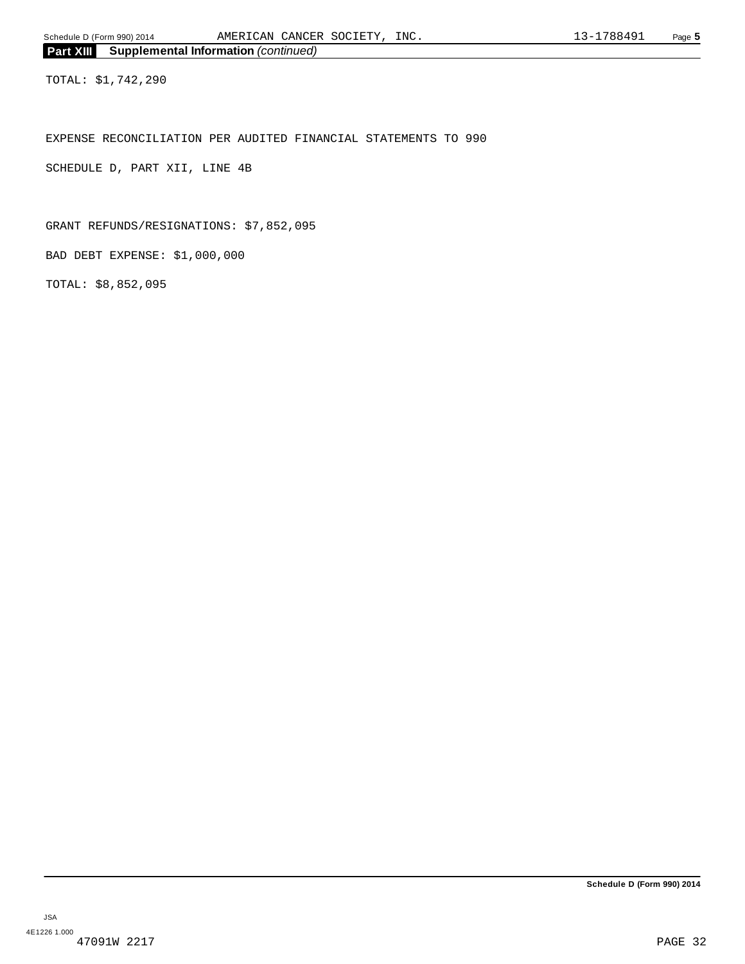TOTAL: \$1,742,290

EXPENSE RECONCILIATION PER AUDITED FINANCIAL STATEMENTS TO 990

SCHEDULE D, PART XII, LINE 4B

GRANT REFUNDS/RESIGNATIONS: \$7,852,095

BAD DEBT EXPENSE: \$1,000,000

TOTAL: \$8,852,095

**Schedule D (Form 990) 2014**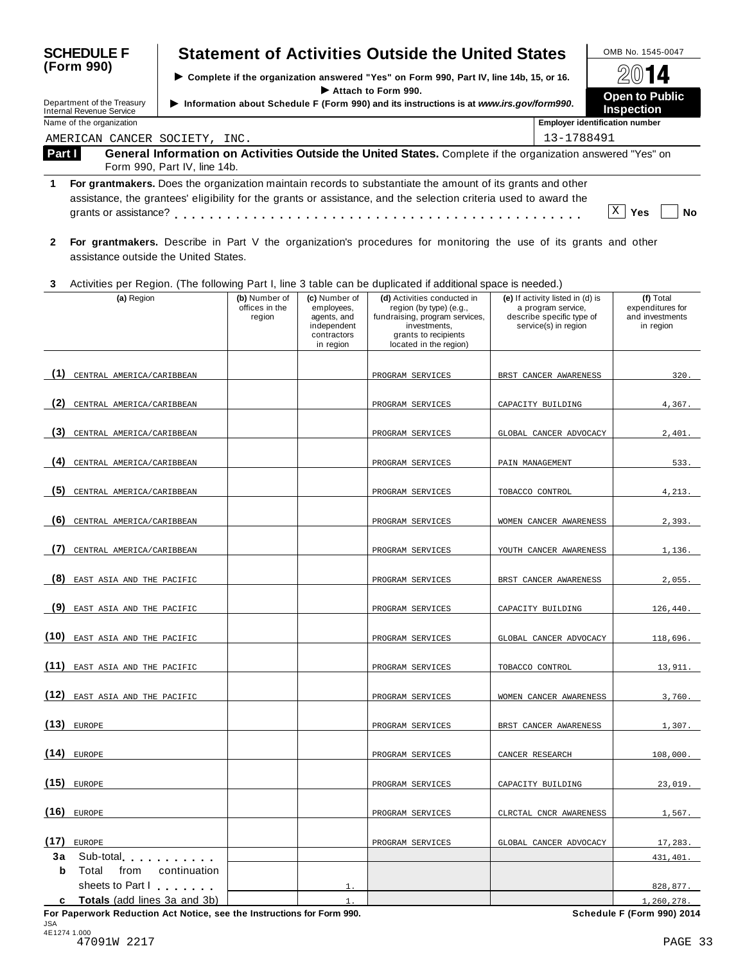| <b>SCHEDULE F</b>               |                                                                                                                                                                                                                                |                                                                                          |                                                                                         |                                                                                       | <b>Statement of Activities Outside the United States</b>                                                                                                   |                                                                                                             | OMB No. 1545-0047                                             |  |
|---------------------------------|--------------------------------------------------------------------------------------------------------------------------------------------------------------------------------------------------------------------------------|------------------------------------------------------------------------------------------|-----------------------------------------------------------------------------------------|---------------------------------------------------------------------------------------|------------------------------------------------------------------------------------------------------------------------------------------------------------|-------------------------------------------------------------------------------------------------------------|---------------------------------------------------------------|--|
| (Form 990)                      |                                                                                                                                                                                                                                | ▶ Complete if the organization answered "Yes" on Form 990, Part IV, line 14b, 15, or 16. |                                                                                         |                                                                                       |                                                                                                                                                            |                                                                                                             |                                                               |  |
|                                 | Department of the Treasury                                                                                                                                                                                                     |                                                                                          | Information about Schedule F (Form 990) and its instructions is at www.irs.gov/form990. | <b>Open to Public</b>                                                                 |                                                                                                                                                            |                                                                                                             |                                                               |  |
| <b>Internal Revenue Service</b> |                                                                                                                                                                                                                                | <b>Inspection</b>                                                                        |                                                                                         |                                                                                       |                                                                                                                                                            |                                                                                                             |                                                               |  |
|                                 | Name of the organization<br>AMERICAN CANCER SOCIETY, INC.                                                                                                                                                                      |                                                                                          |                                                                                         |                                                                                       |                                                                                                                                                            | 13-1788491                                                                                                  | <b>Employer identification number</b>                         |  |
| Part I                          |                                                                                                                                                                                                                                |                                                                                          |                                                                                         |                                                                                       | General Information on Activities Outside the United States. Complete if the organization answered "Yes" on                                                |                                                                                                             |                                                               |  |
|                                 |                                                                                                                                                                                                                                | Form 990, Part IV, line 14b.                                                             |                                                                                         |                                                                                       |                                                                                                                                                            |                                                                                                             |                                                               |  |
| 1                               | For grantmakers. Does the organization maintain records to substantiate the amount of its grants and other<br>assistance, the grantees' eligibility for the grants or assistance, and the selection criteria used to award the |                                                                                          |                                                                                         |                                                                                       |                                                                                                                                                            |                                                                                                             |                                                               |  |
| $\mathbf{2}$                    | assistance outside the United States.                                                                                                                                                                                          |                                                                                          |                                                                                         |                                                                                       | For grantmakers. Describe in Part V the organization's procedures for monitoring the use of its grants and other                                           |                                                                                                             |                                                               |  |
| 3                               |                                                                                                                                                                                                                                |                                                                                          |                                                                                         |                                                                                       | Activities per Region. (The following Part I, line 3 table can be duplicated if additional space is needed.)                                               |                                                                                                             |                                                               |  |
|                                 | (a) Region                                                                                                                                                                                                                     |                                                                                          | (b) Number of<br>offices in the<br>region                                               | (c) Number of<br>employees,<br>agents, and<br>independent<br>contractors<br>in region | (d) Activities conducted in<br>region (by type) (e.g.,<br>fundraising, program services,<br>investments,<br>grants to recipients<br>located in the region) | (e) If activity listed in (d) is<br>a program service,<br>describe specific type of<br>service(s) in region | (f) Total<br>expenditures for<br>and investments<br>in region |  |
| (1)                             | CENTRAL AMERICA/CARIBBEAN                                                                                                                                                                                                      |                                                                                          |                                                                                         |                                                                                       | PROGRAM SERVICES                                                                                                                                           | BRST CANCER AWARENESS                                                                                       | 320.                                                          |  |
|                                 |                                                                                                                                                                                                                                |                                                                                          |                                                                                         |                                                                                       |                                                                                                                                                            |                                                                                                             |                                                               |  |
| (2)                             | CENTRAL AMERICA/CARIBBEAN                                                                                                                                                                                                      |                                                                                          |                                                                                         |                                                                                       | PROGRAM SERVICES                                                                                                                                           | CAPACITY BUILDING                                                                                           | 4,367.                                                        |  |
| (3)                             | CENTRAL AMERICA/CARIBBEAN                                                                                                                                                                                                      |                                                                                          |                                                                                         |                                                                                       | PROGRAM SERVICES                                                                                                                                           | GLOBAL CANCER ADVOCACY                                                                                      | 2,401.                                                        |  |
| (4)                             | CENTRAL AMERICA/CARIBBEAN                                                                                                                                                                                                      |                                                                                          |                                                                                         |                                                                                       | PROGRAM SERVICES                                                                                                                                           | PAIN MANAGEMENT                                                                                             | 533.                                                          |  |
| (5)                             | CENTRAL AMERICA/CARIBBEAN                                                                                                                                                                                                      |                                                                                          |                                                                                         |                                                                                       | PROGRAM SERVICES                                                                                                                                           | TOBACCO CONTROL                                                                                             | 4,213.                                                        |  |
| (6)                             | CENTRAL AMERICA/CARIBBEAN                                                                                                                                                                                                      |                                                                                          |                                                                                         |                                                                                       | PROGRAM SERVICES                                                                                                                                           | WOMEN CANCER AWARENESS                                                                                      | 2,393.                                                        |  |
| (7)                             | CENTRAL AMERICA/CARIBBEAN                                                                                                                                                                                                      |                                                                                          |                                                                                         |                                                                                       | PROGRAM SERVICES                                                                                                                                           | YOUTH CANCER AWARENESS                                                                                      | 1,136.                                                        |  |
|                                 | (8) EAST ASIA AND THE PACIFIC                                                                                                                                                                                                  |                                                                                          |                                                                                         |                                                                                       | PROGRAM SERVICES                                                                                                                                           | BRST CANCER AWARENESS                                                                                       | 2,055.                                                        |  |
|                                 | (9) EAST ASIA AND THE PACIFIC                                                                                                                                                                                                  |                                                                                          |                                                                                         |                                                                                       | PROGRAM SERVICES                                                                                                                                           | CAPACITY BUILDING                                                                                           | 126,440.                                                      |  |
|                                 | (10) EAST ASIA AND THE PACIFIC                                                                                                                                                                                                 |                                                                                          |                                                                                         |                                                                                       | PROGRAM SERVICES                                                                                                                                           | GLOBAL CANCER ADVOCACY                                                                                      | 118,696.                                                      |  |
|                                 | (11) EAST ASIA AND THE PACIFIC                                                                                                                                                                                                 |                                                                                          |                                                                                         |                                                                                       | PROGRAM SERVICES                                                                                                                                           | TOBACCO CONTROL                                                                                             | 13,911.                                                       |  |
|                                 | (12) EAST ASIA AND THE PACIFIC                                                                                                                                                                                                 |                                                                                          |                                                                                         |                                                                                       | PROGRAM SERVICES                                                                                                                                           | WOMEN CANCER AWARENESS                                                                                      | 3,760.                                                        |  |
| $(13)$ EUROPE                   |                                                                                                                                                                                                                                |                                                                                          |                                                                                         |                                                                                       | PROGRAM SERVICES                                                                                                                                           | BRST CANCER AWARENESS                                                                                       | 1,307.                                                        |  |
| $(14)$ EUROPE                   |                                                                                                                                                                                                                                |                                                                                          |                                                                                         |                                                                                       | PROGRAM SERVICES                                                                                                                                           | CANCER RESEARCH                                                                                             | 108,000.                                                      |  |
| $(15)$ EUROPE                   |                                                                                                                                                                                                                                |                                                                                          |                                                                                         |                                                                                       | PROGRAM SERVICES                                                                                                                                           | CAPACITY BUILDING                                                                                           | 23,019.                                                       |  |
| $(16)$ EUROPE                   |                                                                                                                                                                                                                                |                                                                                          |                                                                                         |                                                                                       | PROGRAM SERVICES                                                                                                                                           | CLRCTAL CNCR AWARENESS                                                                                      | 1,567.                                                        |  |
|                                 |                                                                                                                                                                                                                                |                                                                                          |                                                                                         |                                                                                       |                                                                                                                                                            |                                                                                                             |                                                               |  |
| $(17)$ EUROPE                   | 3a Sub-total and the state of the state of the state of the state of the state of the state of the state of the state of the state of the state of the state of the state of the state of the state of the state of the state  |                                                                                          |                                                                                         |                                                                                       | PROGRAM SERVICES                                                                                                                                           | GLOBAL CANCER ADVOCACY                                                                                      | 17,283.                                                       |  |
| b                               | Total<br>from                                                                                                                                                                                                                  | continuation                                                                             |                                                                                         |                                                                                       |                                                                                                                                                            |                                                                                                             | 431,401.                                                      |  |
|                                 | sheets to Part I                                                                                                                                                                                                               |                                                                                          |                                                                                         |                                                                                       |                                                                                                                                                            |                                                                                                             | 828,877.                                                      |  |
|                                 | c Totals (add lines 3a and 3b)                                                                                                                                                                                                 |                                                                                          |                                                                                         | $\mathbf{1}$ .                                                                        |                                                                                                                                                            |                                                                                                             | 1,260,278.                                                    |  |

**For Paperwork Reduction Act Notice, see the Instructions for Form 990. Schedule F (Form 990) 2014** JSA 4E1274 1.000 47091W 2217 PAGE 33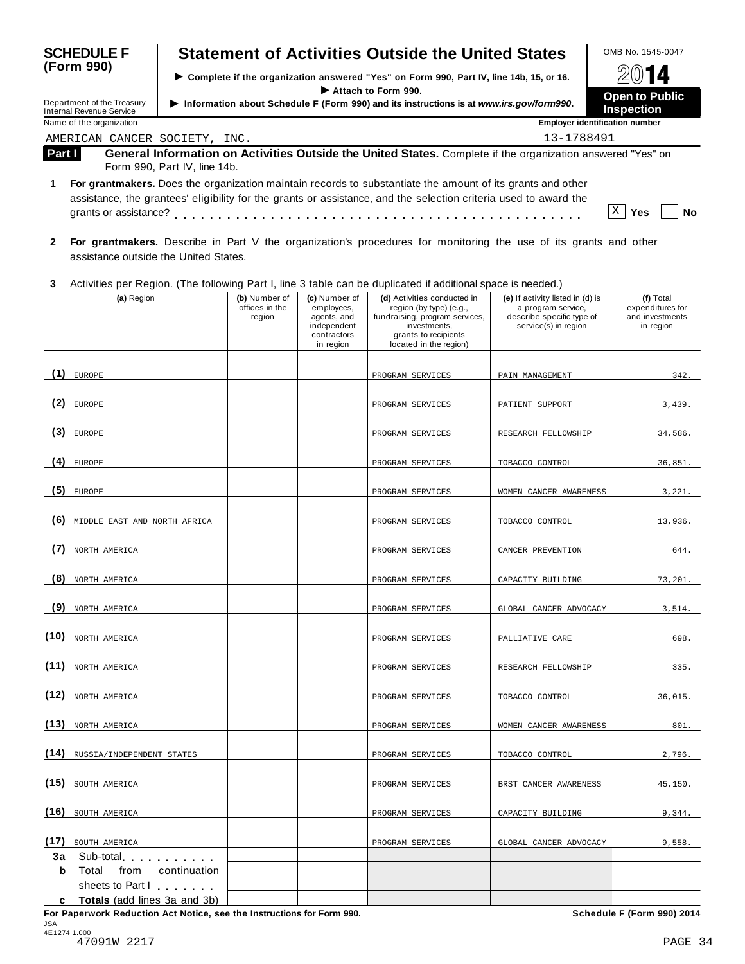| <b>SCHEDULE F</b> |                                                                 |                                                                                        |                                                                                         |                                                                                       | <b>Statement of Activities Outside the United States</b>                                                                                                                                                                       |                                                                                                             | OMB No. 1545-0047                                             |
|-------------------|-----------------------------------------------------------------|----------------------------------------------------------------------------------------|-----------------------------------------------------------------------------------------|---------------------------------------------------------------------------------------|--------------------------------------------------------------------------------------------------------------------------------------------------------------------------------------------------------------------------------|-------------------------------------------------------------------------------------------------------------|---------------------------------------------------------------|
|                   | (Form 990)                                                      | Complete if the organization answered "Yes" on Form 990, Part IV, line 14b, 15, or 16. |                                                                                         |                                                                                       |                                                                                                                                                                                                                                |                                                                                                             |                                                               |
|                   | Department of the Treasury<br><b>Internal Revenue Service</b>   |                                                                                        | Information about Schedule F (Form 990) and its instructions is at www.irs.gov/form990. | Attach to Form 990.                                                                   | <b>Open to Public</b><br><b>Inspection</b>                                                                                                                                                                                     |                                                                                                             |                                                               |
|                   | Name of the organization                                        |                                                                                        |                                                                                         |                                                                                       |                                                                                                                                                                                                                                |                                                                                                             | <b>Employer identification number</b>                         |
|                   | AMERICAN CANCER SOCIETY, INC.                                   |                                                                                        |                                                                                         |                                                                                       |                                                                                                                                                                                                                                | 13-1788491                                                                                                  |                                                               |
| Part I            |                                                                 | Form 990, Part IV, line 14b.                                                           |                                                                                         |                                                                                       | General Information on Activities Outside the United States. Complete if the organization answered "Yes" on                                                                                                                    |                                                                                                             |                                                               |
| 1                 |                                                                 |                                                                                        |                                                                                         |                                                                                       | For grantmakers. Does the organization maintain records to substantiate the amount of its grants and other<br>assistance, the grantees' eligibility for the grants or assistance, and the selection criteria used to award the |                                                                                                             | $\overline{X}$   Yes<br><b>No</b>                             |
| $\mathbf{2}$      | assistance outside the United States.                           |                                                                                        |                                                                                         |                                                                                       | For grantmakers. Describe in Part V the organization's procedures for monitoring the use of its grants and other                                                                                                               |                                                                                                             |                                                               |
| 3                 |                                                                 |                                                                                        |                                                                                         |                                                                                       | Activities per Region. (The following Part I, line 3 table can be duplicated if additional space is needed.)                                                                                                                   |                                                                                                             |                                                               |
|                   | (a) Region                                                      |                                                                                        | (b) Number of<br>offices in the<br>region                                               | (c) Number of<br>employees,<br>agents, and<br>independent<br>contractors<br>in region | (d) Activities conducted in<br>region (by type) (e.g.,<br>fundraising, program services,<br>investments,<br>grants to recipients<br>located in the region)                                                                     | (e) If activity listed in (d) is<br>a program service,<br>describe specific type of<br>service(s) in region | (f) Total<br>expenditures for<br>and investments<br>in region |
| (1)               | <b>EUROPE</b>                                                   |                                                                                        |                                                                                         |                                                                                       | PROGRAM SERVICES                                                                                                                                                                                                               |                                                                                                             |                                                               |
|                   |                                                                 |                                                                                        |                                                                                         |                                                                                       |                                                                                                                                                                                                                                | PAIN MANAGEMENT                                                                                             | 342.                                                          |
| (2)               | <b>EUROPE</b>                                                   |                                                                                        |                                                                                         |                                                                                       | PROGRAM SERVICES                                                                                                                                                                                                               | PATIENT SUPPORT                                                                                             | 3,439.                                                        |
| (3)               | <b>EUROPE</b>                                                   |                                                                                        |                                                                                         |                                                                                       | PROGRAM SERVICES                                                                                                                                                                                                               | RESEARCH FELLOWSHIP                                                                                         | 34,586.                                                       |
| (4)               | <b>EUROPE</b>                                                   |                                                                                        |                                                                                         |                                                                                       | PROGRAM SERVICES                                                                                                                                                                                                               | TOBACCO CONTROL                                                                                             | 36,851.                                                       |
| (5)               | <b>EUROPE</b>                                                   |                                                                                        |                                                                                         |                                                                                       | PROGRAM SERVICES                                                                                                                                                                                                               | WOMEN CANCER AWARENESS                                                                                      | 3,221.                                                        |
| (6)               | MIDDLE EAST AND NORTH AFRICA                                    |                                                                                        |                                                                                         |                                                                                       | PROGRAM SERVICES                                                                                                                                                                                                               | TOBACCO CONTROL                                                                                             | 13,936.                                                       |
| (7)               | NORTH AMERICA                                                   |                                                                                        |                                                                                         |                                                                                       | PROGRAM SERVICES                                                                                                                                                                                                               | CANCER PREVENTION                                                                                           | 644.                                                          |
|                   | (8) NORTH AMERICA                                               |                                                                                        |                                                                                         |                                                                                       | PROGRAM SERVICES                                                                                                                                                                                                               | CAPACITY BUILDING                                                                                           | 73,201.                                                       |
|                   | NORTH AMERICA                                                   |                                                                                        |                                                                                         |                                                                                       | PROGRAM SERVICES                                                                                                                                                                                                               | GLOBAL CANCER ADVOCACY                                                                                      | 3,514.                                                        |
|                   | (10) NORTH AMERICA                                              |                                                                                        |                                                                                         |                                                                                       | PROGRAM SERVICES                                                                                                                                                                                                               | PALLIATIVE CARE                                                                                             | 698.                                                          |
|                   | (11) NORTH AMERICA                                              |                                                                                        |                                                                                         |                                                                                       | PROGRAM SERVICES                                                                                                                                                                                                               | RESEARCH FELLOWSHIP                                                                                         | 335.                                                          |
|                   | (12) NORTH AMERICA                                              |                                                                                        |                                                                                         |                                                                                       | PROGRAM SERVICES                                                                                                                                                                                                               | TOBACCO CONTROL                                                                                             | 36,015.                                                       |
|                   | (13) NORTH AMERICA                                              |                                                                                        |                                                                                         |                                                                                       | PROGRAM SERVICES                                                                                                                                                                                                               | WOMEN CANCER AWARENESS                                                                                      | 801.                                                          |
|                   | (14) RUSSIA/INDEPENDENT STATES                                  |                                                                                        |                                                                                         |                                                                                       | PROGRAM SERVICES                                                                                                                                                                                                               | TOBACCO CONTROL                                                                                             | 2,796.                                                        |
|                   | (15) SOUTH AMERICA                                              |                                                                                        |                                                                                         |                                                                                       | PROGRAM SERVICES                                                                                                                                                                                                               | BRST CANCER AWARENESS                                                                                       | 45,150.                                                       |
|                   | (16) SOUTH AMERICA                                              |                                                                                        |                                                                                         |                                                                                       | PROGRAM SERVICES                                                                                                                                                                                                               | CAPACITY BUILDING                                                                                           | 9,344.                                                        |
| За<br>b           | (17) SOUTH AMERICA<br>Sub-total services and sub-<br>Total from | continuation                                                                           |                                                                                         |                                                                                       | PROGRAM SERVICES                                                                                                                                                                                                               | GLOBAL CANCER ADVOCACY                                                                                      | 9,558.                                                        |
|                   | sheets to Part I<br>c Totals (add lines 3a and 3b)              |                                                                                        |                                                                                         |                                                                                       |                                                                                                                                                                                                                                |                                                                                                             |                                                               |

**For Paperwork Reduction Act Notice, see the Instructions for Form 990. Schedule F (Form 990) 2014** JSA 4E1274 1.000 47091W 2217 PAGE 34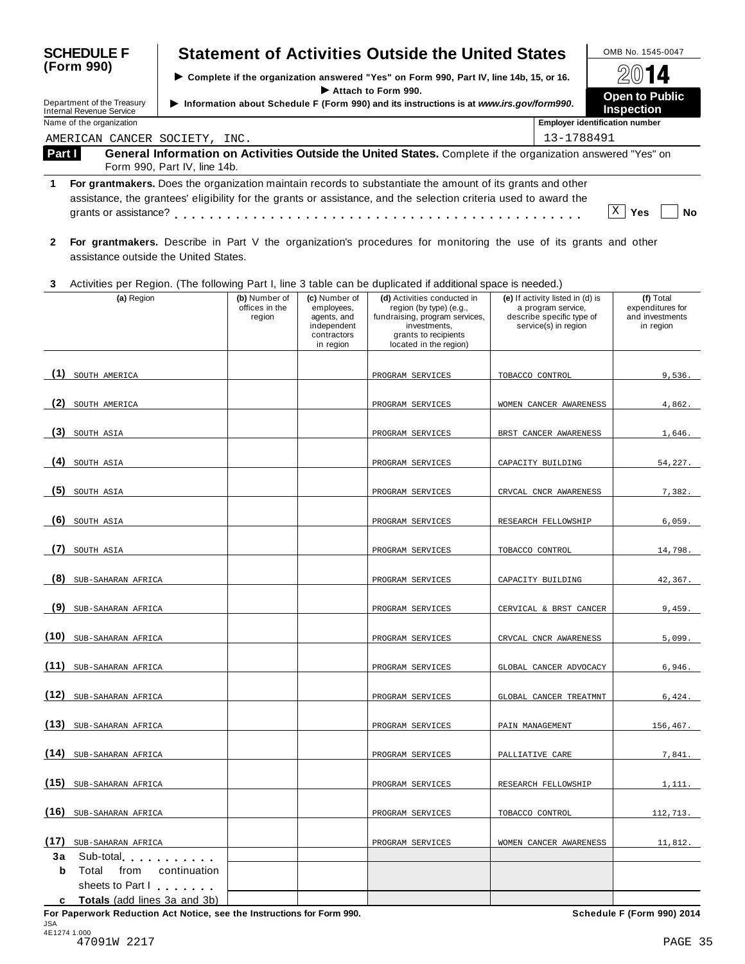| <b>SCHEDULE F</b>                                                                                                                                                         |                                                                                                           |                                                                                          |                                                                                         |                                                                                       | <b>Statement of Activities Outside the United States</b>                                                                                                   |                                                                                                             | OMB No. 1545-0047                                             |  |  |
|---------------------------------------------------------------------------------------------------------------------------------------------------------------------------|-----------------------------------------------------------------------------------------------------------|------------------------------------------------------------------------------------------|-----------------------------------------------------------------------------------------|---------------------------------------------------------------------------------------|------------------------------------------------------------------------------------------------------------------------------------------------------------|-------------------------------------------------------------------------------------------------------------|---------------------------------------------------------------|--|--|
| (Form 990)                                                                                                                                                                |                                                                                                           | > Complete if the organization answered "Yes" on Form 990, Part IV, line 14b, 15, or 16. |                                                                                         |                                                                                       |                                                                                                                                                            |                                                                                                             |                                                               |  |  |
| Department of the Treasury<br><b>Internal Revenue Service</b>                                                                                                             |                                                                                                           |                                                                                          | Information about Schedule F (Form 990) and its instructions is at www.irs.gov/form990. | <b>Open to Public</b><br><b>Inspection</b>                                            |                                                                                                                                                            |                                                                                                             |                                                               |  |  |
|                                                                                                                                                                           | Name of the organization                                                                                  |                                                                                          |                                                                                         |                                                                                       | <b>Employer identification number</b>                                                                                                                      |                                                                                                             |                                                               |  |  |
|                                                                                                                                                                           | AMERICAN CANCER SOCIETY, INC.                                                                             |                                                                                          |                                                                                         |                                                                                       |                                                                                                                                                            | 13-1788491                                                                                                  |                                                               |  |  |
| Part I                                                                                                                                                                    |                                                                                                           | Form 990, Part IV, line 14b.                                                             |                                                                                         |                                                                                       | General Information on Activities Outside the United States. Complete if the organization answered "Yes" on                                                |                                                                                                             |                                                               |  |  |
| For grantmakers. Does the organization maintain records to substantiate the amount of its grants and other<br>1                                                           |                                                                                                           |                                                                                          |                                                                                         |                                                                                       |                                                                                                                                                            |                                                                                                             |                                                               |  |  |
| assistance, the grantees' eligibility for the grants or assistance, and the selection criteria used to award the<br>X<br>Yes                                              |                                                                                                           |                                                                                          |                                                                                         |                                                                                       |                                                                                                                                                            |                                                                                                             |                                                               |  |  |
| For grantmakers. Describe in Part V the organization's procedures for monitoring the use of its grants and other<br>$\mathbf{2}$<br>assistance outside the United States. |                                                                                                           |                                                                                          |                                                                                         |                                                                                       |                                                                                                                                                            |                                                                                                             |                                                               |  |  |
| 3                                                                                                                                                                         |                                                                                                           |                                                                                          |                                                                                         |                                                                                       | Activities per Region. (The following Part I, line 3 table can be duplicated if additional space is needed.)                                               |                                                                                                             |                                                               |  |  |
|                                                                                                                                                                           | (a) Region                                                                                                |                                                                                          | (b) Number of<br>offices in the<br>region                                               | (c) Number of<br>employees,<br>agents, and<br>independent<br>contractors<br>in region | (d) Activities conducted in<br>region (by type) (e.g.,<br>fundraising, program services,<br>investments.<br>grants to recipients<br>located in the region) | (e) If activity listed in (d) is<br>a program service,<br>describe specific type of<br>service(s) in region | (f) Total<br>expenditures for<br>and investments<br>in region |  |  |
| (1)                                                                                                                                                                       | SOUTH AMERICA                                                                                             |                                                                                          |                                                                                         |                                                                                       | PROGRAM SERVICES                                                                                                                                           | TOBACCO CONTROL                                                                                             | 9,536.                                                        |  |  |
| (2)                                                                                                                                                                       | SOUTH AMERICA                                                                                             |                                                                                          |                                                                                         |                                                                                       | PROGRAM SERVICES                                                                                                                                           | WOMEN CANCER AWARENESS                                                                                      | 4,862.                                                        |  |  |
| (3)                                                                                                                                                                       | SOUTH ASIA                                                                                                |                                                                                          |                                                                                         |                                                                                       | PROGRAM SERVICES                                                                                                                                           | BRST CANCER AWARENESS                                                                                       | 1,646.                                                        |  |  |
| (4)                                                                                                                                                                       | SOUTH ASIA                                                                                                |                                                                                          |                                                                                         |                                                                                       | PROGRAM SERVICES                                                                                                                                           | CAPACITY BUILDING                                                                                           | 54,227.                                                       |  |  |
| (5)                                                                                                                                                                       | SOUTH ASIA                                                                                                |                                                                                          |                                                                                         |                                                                                       | PROGRAM SERVICES                                                                                                                                           | CRVCAL CNCR AWARENESS                                                                                       | 7,382.                                                        |  |  |
| (6)                                                                                                                                                                       | SOUTH ASIA                                                                                                |                                                                                          |                                                                                         |                                                                                       | PROGRAM SERVICES                                                                                                                                           | RESEARCH FELLOWSHIP                                                                                         | 6,059.                                                        |  |  |
| (7)                                                                                                                                                                       | SOUTH ASIA                                                                                                |                                                                                          |                                                                                         |                                                                                       | PROGRAM SERVICES                                                                                                                                           | TOBACCO CONTROL                                                                                             | 14,798.                                                       |  |  |
|                                                                                                                                                                           | (8) SUB-SAHARAN AFRICA                                                                                    |                                                                                          |                                                                                         |                                                                                       | PROGRAM SERVICES                                                                                                                                           | CAPACITY BUILDING                                                                                           | 42,367.                                                       |  |  |
| (9)                                                                                                                                                                       | SUB-SAHARAN AFRICA                                                                                        |                                                                                          |                                                                                         |                                                                                       | PROGRAM SERVICES                                                                                                                                           | CERVICAL & BRST CANCER                                                                                      | 9,459.                                                        |  |  |
|                                                                                                                                                                           | (10) SUB-SAHARAN AFRICA                                                                                   |                                                                                          |                                                                                         |                                                                                       | PROGRAM SERVICES                                                                                                                                           | CRVCAL CNCR AWARENESS                                                                                       | 5,099.                                                        |  |  |
| (11)                                                                                                                                                                      | SUB-SAHARAN AFRICA                                                                                        |                                                                                          |                                                                                         |                                                                                       | PROGRAM SERVICES                                                                                                                                           | GLOBAL CANCER ADVOCACY                                                                                      | 6,946.                                                        |  |  |
| (12)                                                                                                                                                                      | SUB-SAHARAN AFRICA                                                                                        |                                                                                          |                                                                                         |                                                                                       | PROGRAM SERVICES                                                                                                                                           | GLOBAL CANCER TREATMNT                                                                                      | 6,424.                                                        |  |  |
| (13)                                                                                                                                                                      | SUB-SAHARAN AFRICA                                                                                        |                                                                                          |                                                                                         |                                                                                       | PROGRAM SERVICES                                                                                                                                           | PAIN MANAGEMENT                                                                                             | 156,467.                                                      |  |  |
| (14)                                                                                                                                                                      | SUB-SAHARAN AFRICA                                                                                        |                                                                                          |                                                                                         |                                                                                       | PROGRAM SERVICES                                                                                                                                           | PALLIATIVE CARE                                                                                             | 7,841.                                                        |  |  |
| (15)                                                                                                                                                                      | SUB-SAHARAN AFRICA                                                                                        |                                                                                          |                                                                                         |                                                                                       | PROGRAM SERVICES                                                                                                                                           | RESEARCH FELLOWSHIP                                                                                         | 1,111.                                                        |  |  |
| (16)                                                                                                                                                                      | SUB-SAHARAN AFRICA                                                                                        |                                                                                          |                                                                                         |                                                                                       | PROGRAM SERVICES                                                                                                                                           | TOBACCO CONTROL                                                                                             | 112,713.                                                      |  |  |
| (17)<br>Зa<br>b                                                                                                                                                           | SUB-SAHARAN AFRICA<br>Sub-total Sub-<br>Total<br>from<br>sheets to Part I<br>Totals (add lines 3a and 3b) | continuation                                                                             |                                                                                         |                                                                                       | PROGRAM SERVICES                                                                                                                                           | WOMEN CANCER AWARENESS                                                                                      | 11,812.                                                       |  |  |

**For Paperwork Reduction Act Notice, see the Instructions for Form 990. Schedule F (Form 990) 2014** JSA 4E1274 1.000 47091W 2217 PAGE 35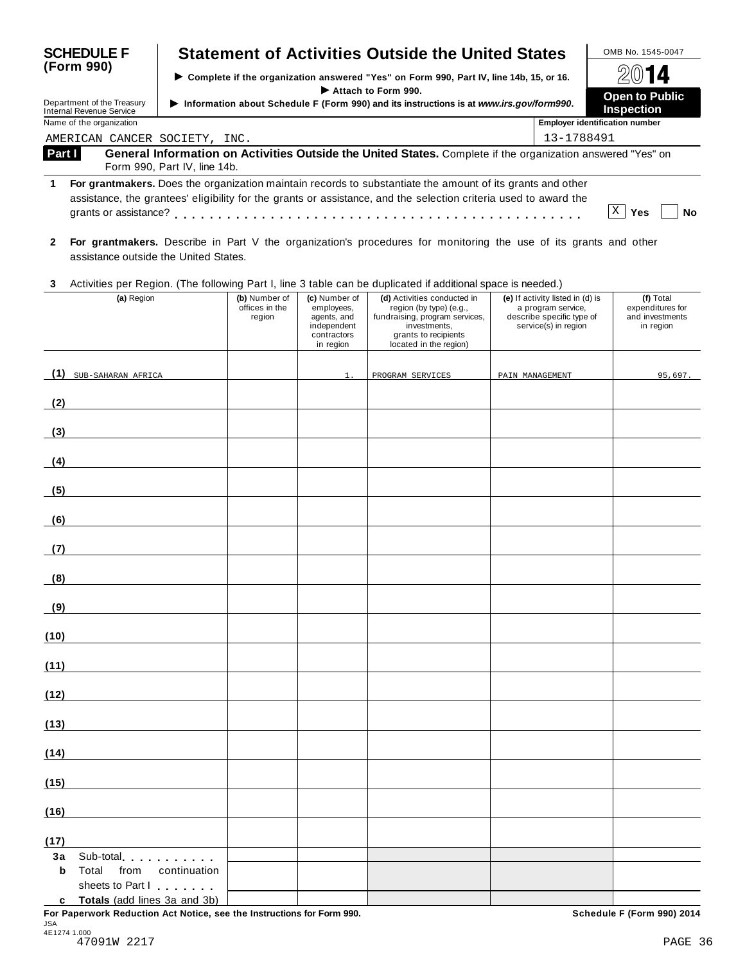|                                                                                                                 | <b>SCHEDULE F</b>                                           |                                           |                                                                                                                | <b>Statement of Activities Outside the United States</b>                                                                                                   |                                                                                                             | OMB No. 1545-0047                                             |  |  |
|-----------------------------------------------------------------------------------------------------------------|-------------------------------------------------------------|-------------------------------------------|----------------------------------------------------------------------------------------------------------------|------------------------------------------------------------------------------------------------------------------------------------------------------------|-------------------------------------------------------------------------------------------------------------|---------------------------------------------------------------|--|--|
| (Form 990)                                                                                                      |                                                             |                                           |                                                                                                                | Complete if the organization answered "Yes" on Form 990, Part IV, line 14b, 15, or 16.                                                                     |                                                                                                             |                                                               |  |  |
|                                                                                                                 | Department of the Treasury                                  |                                           | Attach to Form 990.<br>Information about Schedule F (Form 990) and its instructions is at www.irs.gov/form990. |                                                                                                                                                            |                                                                                                             |                                                               |  |  |
|                                                                                                                 | <b>Internal Revenue Service</b><br>Name of the organization |                                           |                                                                                                                |                                                                                                                                                            | <b>Inspection</b><br><b>Employer identification number</b>                                                  |                                                               |  |  |
|                                                                                                                 | AMERICAN CANCER SOCIETY, INC.                               |                                           |                                                                                                                |                                                                                                                                                            | 13-1788491                                                                                                  |                                                               |  |  |
| Part I                                                                                                          | Form 990, Part IV, line 14b.                                |                                           |                                                                                                                | General Information on Activities Outside the United States. Complete if the organization answered "Yes" on                                                |                                                                                                             |                                                               |  |  |
| For grantmakers. Does the organization maintain records to substantiate the amount of its grants and other<br>1 |                                                             |                                           |                                                                                                                |                                                                                                                                                            |                                                                                                             |                                                               |  |  |
|                                                                                                                 |                                                             |                                           |                                                                                                                | assistance, the grantees' eligibility for the grants or assistance, and the selection criteria used to award the                                           |                                                                                                             | $ X $ Yes<br>No                                               |  |  |
| $\mathbf{2}$                                                                                                    | assistance outside the United States.                       |                                           |                                                                                                                | For grantmakers. Describe in Part V the organization's procedures for monitoring the use of its grants and other                                           |                                                                                                             |                                                               |  |  |
| 3                                                                                                               |                                                             |                                           |                                                                                                                | Activities per Region. (The following Part I, line 3 table can be duplicated if additional space is needed.)                                               |                                                                                                             |                                                               |  |  |
|                                                                                                                 | (a) Region                                                  | (b) Number of<br>offices in the<br>region | (c) Number of<br>employees,<br>agents, and<br>independent<br>contractors<br>in region                          | (d) Activities conducted in<br>region (by type) (e.g.,<br>fundraising, program services,<br>investments,<br>grants to recipients<br>located in the region) | (e) If activity listed in (d) is<br>a program service,<br>describe specific type of<br>service(s) in region | (f) Total<br>expenditures for<br>and investments<br>in region |  |  |
| (1)                                                                                                             | SUB-SAHARAN AFRICA                                          |                                           | 1.                                                                                                             | PROGRAM SERVICES                                                                                                                                           | PAIN MANAGEMENT                                                                                             | 95,697.                                                       |  |  |
| (2)                                                                                                             |                                                             |                                           |                                                                                                                |                                                                                                                                                            |                                                                                                             |                                                               |  |  |
| (3)                                                                                                             |                                                             |                                           |                                                                                                                |                                                                                                                                                            |                                                                                                             |                                                               |  |  |
| (4)                                                                                                             |                                                             |                                           |                                                                                                                |                                                                                                                                                            |                                                                                                             |                                                               |  |  |
| (5)                                                                                                             |                                                             |                                           |                                                                                                                |                                                                                                                                                            |                                                                                                             |                                                               |  |  |
| (6)                                                                                                             |                                                             |                                           |                                                                                                                |                                                                                                                                                            |                                                                                                             |                                                               |  |  |
| (7)                                                                                                             |                                                             |                                           |                                                                                                                |                                                                                                                                                            |                                                                                                             |                                                               |  |  |
| (8)                                                                                                             |                                                             |                                           |                                                                                                                |                                                                                                                                                            |                                                                                                             |                                                               |  |  |
| (9)                                                                                                             |                                                             |                                           |                                                                                                                |                                                                                                                                                            |                                                                                                             |                                                               |  |  |
| (10)                                                                                                            |                                                             |                                           |                                                                                                                |                                                                                                                                                            |                                                                                                             |                                                               |  |  |
| (11)                                                                                                            |                                                             |                                           |                                                                                                                |                                                                                                                                                            |                                                                                                             |                                                               |  |  |
| (12)                                                                                                            |                                                             |                                           |                                                                                                                |                                                                                                                                                            |                                                                                                             |                                                               |  |  |
| (13)                                                                                                            |                                                             |                                           |                                                                                                                |                                                                                                                                                            |                                                                                                             |                                                               |  |  |
| (14)                                                                                                            |                                                             |                                           |                                                                                                                |                                                                                                                                                            |                                                                                                             |                                                               |  |  |
| (15)                                                                                                            |                                                             |                                           |                                                                                                                |                                                                                                                                                            |                                                                                                             |                                                               |  |  |
| (16)                                                                                                            |                                                             |                                           |                                                                                                                |                                                                                                                                                            |                                                                                                             |                                                               |  |  |
| (17)                                                                                                            |                                                             |                                           |                                                                                                                |                                                                                                                                                            |                                                                                                             |                                                               |  |  |
| Зa<br>b                                                                                                         | Sub-total extension and sub-<br>Total<br>from               | continuation                              |                                                                                                                |                                                                                                                                                            |                                                                                                             |                                                               |  |  |
|                                                                                                                 | sheets to Part I<br>c Totals (add lines 3a and 3b)          |                                           |                                                                                                                |                                                                                                                                                            |                                                                                                             |                                                               |  |  |

| JSA |              |  |  |  |
|-----|--------------|--|--|--|
|     | 4E1274 1.000 |  |  |  |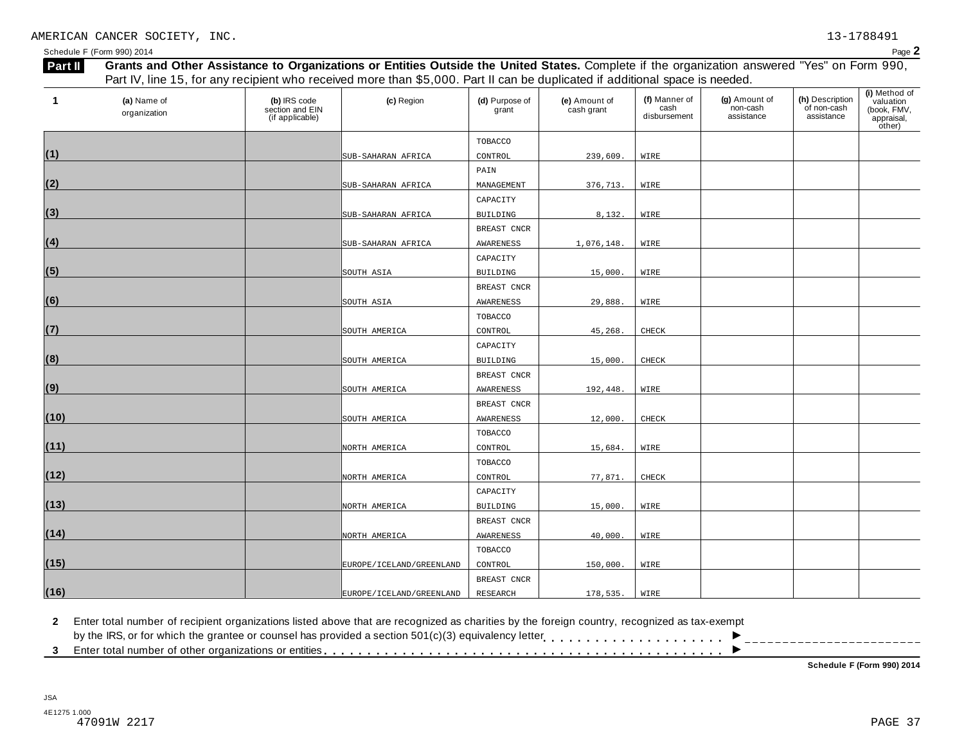Schedule F (Form 990) 2014  $P_{\text{age}} \textbf{2}$ 

| 1    | (a) Name of  |                                                    | (c) Region                   | (d) Purpose of  | (e) Amount of | (f) Manner of        | (g) Amount of          | (h) Description           | (i) Method of<br>valuation          |
|------|--------------|----------------------------------------------------|------------------------------|-----------------|---------------|----------------------|------------------------|---------------------------|-------------------------------------|
|      | organization | (b) IRS code<br>section and EIN<br>(if applicable) |                              | grant           | cash grant    | cash<br>disbursement | non-cash<br>assistance | of non-cash<br>assistance | (book, FMV,<br>appraisal,<br>other) |
|      |              |                                                    |                              | TOBACCO         |               |                      |                        |                           |                                     |
| (1)  |              |                                                    | SUB-SAHARAN AFRICA           | CONTROL         | 239,609.      | WIRE                 |                        |                           |                                     |
|      |              |                                                    |                              | PAIN            |               |                      |                        |                           |                                     |
| (2)  |              |                                                    | SUB-SAHARAN AFRICA           | MANAGEMENT      | 376,713.      | WIRE                 |                        |                           |                                     |
|      |              |                                                    |                              | CAPACITY        |               |                      |                        |                           |                                     |
| (3)  |              |                                                    | SUB-SAHARAN AFRICA           | <b>BUILDING</b> | 8,132.        | WIRE                 |                        |                           |                                     |
|      |              |                                                    |                              | BREAST CNCR     |               |                      |                        |                           |                                     |
| (4)  |              |                                                    | SUB-SAHARAN AFRICA           | AWARENESS       | 1,076,148.    | WIRE                 |                        |                           |                                     |
|      |              |                                                    |                              | CAPACITY        |               |                      |                        |                           |                                     |
| (5)  |              |                                                    | SOUTH ASIA                   | <b>BUILDING</b> | 15,000.       | WIRE                 |                        |                           |                                     |
|      |              |                                                    |                              | BREAST CNCR     |               |                      |                        |                           |                                     |
| (6)  |              |                                                    | SOUTH ASIA                   | AWARENESS       | 29,888.       | WIRE                 |                        |                           |                                     |
|      |              |                                                    |                              | TOBACCO         |               |                      |                        |                           |                                     |
| (7)  |              |                                                    | SOUTH AMERICA                | CONTROL         | 45,268.       | CHECK                |                        |                           |                                     |
|      |              |                                                    |                              | CAPACITY        |               |                      |                        |                           |                                     |
| (8)  |              |                                                    | SOUTH AMERICA                | BUILDING        | 15,000.       | CHECK                |                        |                           |                                     |
|      |              |                                                    |                              | BREAST CNCR     |               |                      |                        |                           |                                     |
| (9)  |              |                                                    | SOUTH AMERICA                | AWARENESS       | 192,448.      | WIRE                 |                        |                           |                                     |
|      |              |                                                    |                              | BREAST CNCR     |               |                      |                        |                           |                                     |
| (10) |              |                                                    | SOUTH AMERICA                | AWARENESS       | 12,000.       | CHECK                |                        |                           |                                     |
|      |              |                                                    |                              | TOBACCO         |               |                      |                        |                           |                                     |
| (11) |              |                                                    | NORTH AMERICA                | CONTROL         | 15,684.       | WIRE                 |                        |                           |                                     |
|      |              |                                                    |                              | TOBACCO         |               |                      |                        |                           |                                     |
| (12) |              |                                                    | NORTH AMERICA                | CONTROL         | 77,871.       | CHECK                |                        |                           |                                     |
|      |              |                                                    |                              | CAPACITY        |               |                      |                        |                           |                                     |
| (13) |              |                                                    | NORTH AMERICA                | <b>BUILDING</b> | 15,000.       | WIRE                 |                        |                           |                                     |
|      |              |                                                    |                              | BREAST CNCR     |               |                      |                        |                           |                                     |
| (14) |              |                                                    | NORTH AMERICA                | AWARENESS       | 40,000.       | WIRE                 |                        |                           |                                     |
|      |              |                                                    |                              | TOBACCO         |               |                      |                        |                           |                                     |
| (15) |              |                                                    | EUROPE / ICELAND / GREENLAND | CONTROL         | 150,000.      | WIRE                 |                        |                           |                                     |
|      |              |                                                    |                              | BREAST CNCR     |               |                      |                        |                           |                                     |
| (16) |              |                                                    | EUROPE/ICELAND/GREENLAND     | RESEARCH        | 178,535.      | WIRE                 |                        |                           |                                     |
|      |              |                                                    |                              |                 |               |                      |                        |                           |                                     |

**2** Enter total number of recipient organizations listed above that are recognized as charities by the foreign country, recognized as tax-exempt

2 Enter total number of recipient organizations listed above that are recognized as charities by the foreign country, recognized as tax-exempt<br>by the IRS, or for which the grantee or counsel has provided a section 501(c)( ▶<br>▶

**Schedule F (Form 990) 2014**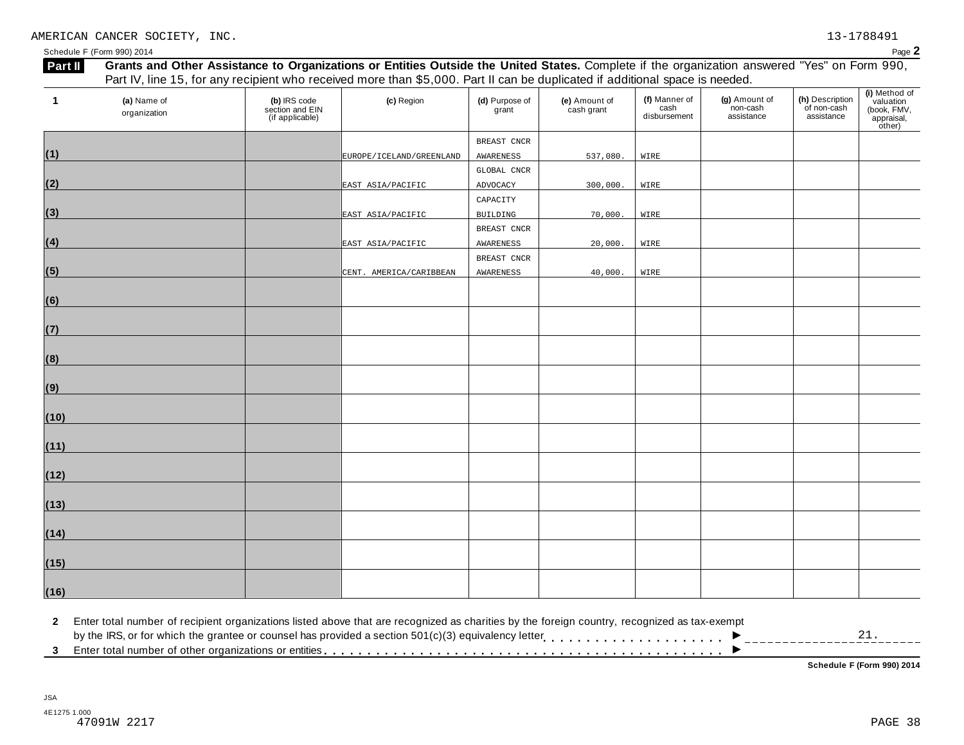Schedule F (Form 990) 2014  $P_{\text{age}} \textbf{2}$ 

| Part II |                             |                                                    | Grants and Other Assistance to Organizations or Entities Outside the United States. Complete if the organization answered "Yes" on Form 990,<br>Part IV, line 15, for any recipient who received more than \$5,000. Part II can be duplicated if additional space is needed. |                         |                             |                                       |                                         |                                              |                                                                   |
|---------|-----------------------------|----------------------------------------------------|------------------------------------------------------------------------------------------------------------------------------------------------------------------------------------------------------------------------------------------------------------------------------|-------------------------|-----------------------------|---------------------------------------|-----------------------------------------|----------------------------------------------|-------------------------------------------------------------------|
|         | (a) Name of<br>organization | (b) IRS code<br>section and EIN<br>(if applicable) | (c) Region                                                                                                                                                                                                                                                                   | (d) Purpose of<br>grant | (e) Amount of<br>cash grant | (f) Manner of<br>cash<br>disbursement | (g) Amount of<br>non-cash<br>assistance | (h) Description<br>of non-cash<br>assistance | (i) Method of<br>valuation<br>(book, FMV,<br>appraisal,<br>other) |
|         |                             |                                                    |                                                                                                                                                                                                                                                                              | BREAST CNCR             |                             |                                       |                                         |                                              |                                                                   |
| (1)     |                             |                                                    | EUROPE/ICELAND/GREENLAND                                                                                                                                                                                                                                                     | AWARENESS               | 537,080.                    | WIRE                                  |                                         |                                              |                                                                   |
|         |                             |                                                    |                                                                                                                                                                                                                                                                              | GLOBAL CNCR             |                             |                                       |                                         |                                              |                                                                   |
| (2)     |                             |                                                    | EAST ASIA/PACIFIC                                                                                                                                                                                                                                                            | ADVOCACY                | 300,000.                    | WIRE                                  |                                         |                                              |                                                                   |
|         |                             |                                                    |                                                                                                                                                                                                                                                                              | CAPACITY                |                             |                                       |                                         |                                              |                                                                   |
| (3)     |                             |                                                    | EAST ASIA/PACIFIC                                                                                                                                                                                                                                                            | BUILDING                | 70,000.                     | WIRE                                  |                                         |                                              |                                                                   |
|         |                             |                                                    |                                                                                                                                                                                                                                                                              | BREAST CNCR             |                             |                                       |                                         |                                              |                                                                   |
| (4)     |                             |                                                    | EAST ASIA/PACIFIC                                                                                                                                                                                                                                                            | AWARENESS               | 20,000.                     | WIRE                                  |                                         |                                              |                                                                   |
|         |                             |                                                    |                                                                                                                                                                                                                                                                              | BREAST CNCR             |                             |                                       |                                         |                                              |                                                                   |
| (5)     |                             |                                                    | CENT. AMERICA/CARIBBEAN                                                                                                                                                                                                                                                      | AWARENESS               | 40,000.                     | WIRE                                  |                                         |                                              |                                                                   |
| (6)     |                             |                                                    |                                                                                                                                                                                                                                                                              |                         |                             |                                       |                                         |                                              |                                                                   |
| (7)     |                             |                                                    |                                                                                                                                                                                                                                                                              |                         |                             |                                       |                                         |                                              |                                                                   |
| (8)     |                             |                                                    |                                                                                                                                                                                                                                                                              |                         |                             |                                       |                                         |                                              |                                                                   |
| (9)     |                             |                                                    |                                                                                                                                                                                                                                                                              |                         |                             |                                       |                                         |                                              |                                                                   |
| (10)    |                             |                                                    |                                                                                                                                                                                                                                                                              |                         |                             |                                       |                                         |                                              |                                                                   |
| (11)    |                             |                                                    |                                                                                                                                                                                                                                                                              |                         |                             |                                       |                                         |                                              |                                                                   |
| (12)    |                             |                                                    |                                                                                                                                                                                                                                                                              |                         |                             |                                       |                                         |                                              |                                                                   |
| (13)    |                             |                                                    |                                                                                                                                                                                                                                                                              |                         |                             |                                       |                                         |                                              |                                                                   |
| (14)    |                             |                                                    |                                                                                                                                                                                                                                                                              |                         |                             |                                       |                                         |                                              |                                                                   |
| (15)    |                             |                                                    |                                                                                                                                                                                                                                                                              |                         |                             |                                       |                                         |                                              |                                                                   |
| (16)    |                             |                                                    |                                                                                                                                                                                                                                                                              |                         |                             |                                       |                                         |                                              |                                                                   |

**2** Enter total number of recipient organizations listed above that are recognized as charities by the foreign country, recognized as tax-exempt 2 Enter total number of recipient organizations listed above that are recognized as charities by the foreign country, recognized as tax-exempt<br>by the IRS, or for which the grantee or counsel has provided a section 501(c)( D<br>D<br>D<br>T<br>T<br>T<br>T<br>T<br>T<br>T<br>T<br>T<br>T<br>T<br>T 21.

**Schedule F (Form 990) 2014**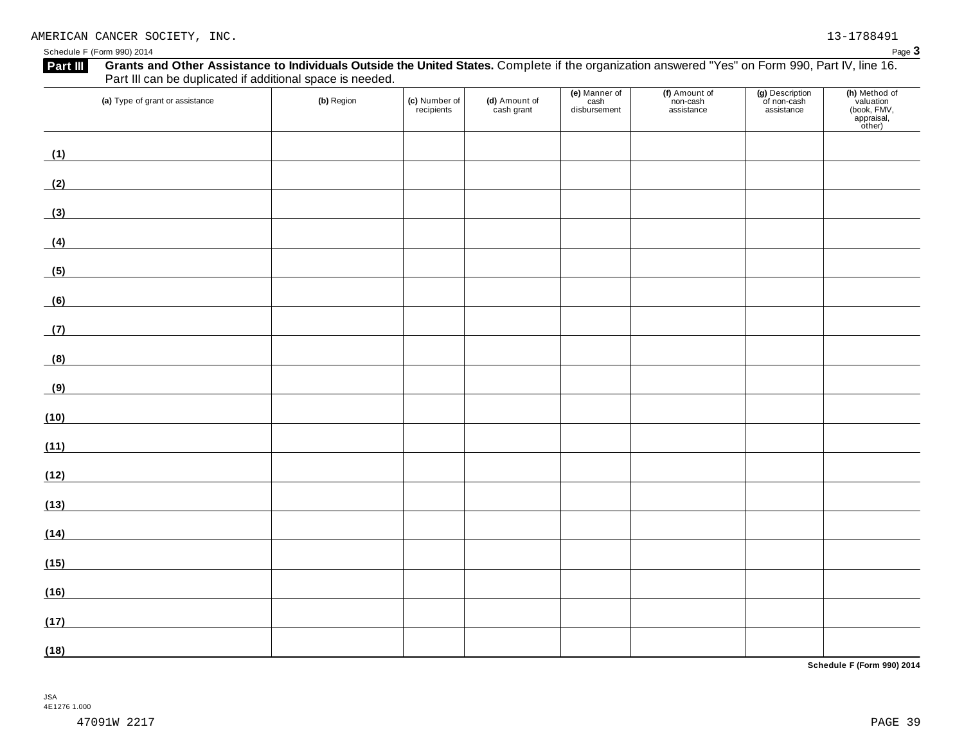#### Schedule F (Form 990) 2014 Page 3

| Part III can be duplicated if additional space is needed.<br>(a) Type of grant or assistance                                 | (b) Region | (c) Number of<br>recipients | (d) Amount of<br>cash grant | (e) Manner of<br>cash<br>disbursement | (f) Amount of<br>non-cash<br>assistance | (g) Description<br>of non-cash<br>assistance | (h) Method of<br>valuation<br>(book, FMV,<br>appraisal,<br>other) |
|------------------------------------------------------------------------------------------------------------------------------|------------|-----------------------------|-----------------------------|---------------------------------------|-----------------------------------------|----------------------------------------------|-------------------------------------------------------------------|
| (1)<br><u> 1980 - Johann Barbara, martxa a</u>                                                                               |            |                             |                             |                                       |                                         |                                              |                                                                   |
| (2)<br><u> 1989 - Johann Barn, mars ann an t-Amhair an t-A</u>                                                               |            |                             |                             |                                       |                                         |                                              |                                                                   |
| (3)                                                                                                                          |            |                             |                             |                                       |                                         |                                              |                                                                   |
| (4)                                                                                                                          |            |                             |                             |                                       |                                         |                                              |                                                                   |
| <u> Terminal de la propincia de la propincia de la propincia de la propincia de la propincia de la propincia de l</u><br>(5) |            |                             |                             |                                       |                                         |                                              |                                                                   |
| (6)                                                                                                                          |            |                             |                             |                                       |                                         |                                              |                                                                   |
| (7)                                                                                                                          |            |                             |                             |                                       |                                         |                                              |                                                                   |
| (8)                                                                                                                          |            |                             |                             |                                       |                                         |                                              |                                                                   |
| (9)<br><u> 1989 - Johann Barn, mars eta bainar eta industrial eta industrial eta industrial eta industrial eta industria</u> |            |                             |                             |                                       |                                         |                                              |                                                                   |
| (10)                                                                                                                         |            |                             |                             |                                       |                                         |                                              |                                                                   |
| (11)<br><u> 1980 - Johann Barbara, martin a</u>                                                                              |            |                             |                             |                                       |                                         |                                              |                                                                   |
| (12)                                                                                                                         |            |                             |                             |                                       |                                         |                                              |                                                                   |
| (13)<br><u> 1980 - Andrea Station Barbara, amerikan per</u>                                                                  |            |                             |                             |                                       |                                         |                                              |                                                                   |
| (14)<br><u> 1980 - Johann Barbara, martxa alemaniar a</u>                                                                    |            |                             |                             |                                       |                                         |                                              |                                                                   |
| (15)                                                                                                                         |            |                             |                             |                                       |                                         |                                              |                                                                   |
| (16)<br><u> 1980 - Johann Barbara, martxa alemaniar a</u>                                                                    |            |                             |                             |                                       |                                         |                                              |                                                                   |
| (17)<br><u> 1989 - Jan Barbara Barbara, prima popular popular popular popular popular popular popular popular popular po</u> |            |                             |                             |                                       |                                         |                                              |                                                                   |
| (18)                                                                                                                         |            |                             |                             |                                       |                                         |                                              |                                                                   |

**Schedule F (Form 990) 2014**

JSA 4E1276 1.000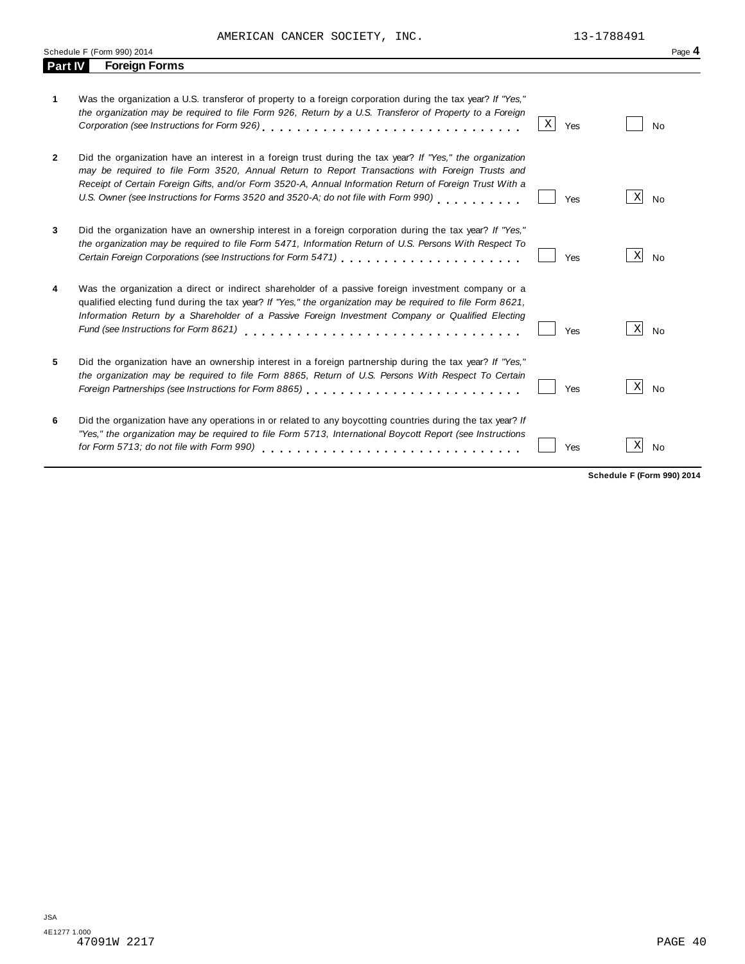AMERICAN CANCER SOCIETY, INC. 13-1788491

|         |                                                                                                                                                                                                                                                                                                                                                                                                              |   |     |                 | Page 4                          |
|---------|--------------------------------------------------------------------------------------------------------------------------------------------------------------------------------------------------------------------------------------------------------------------------------------------------------------------------------------------------------------------------------------------------------------|---|-----|-----------------|---------------------------------|
| Part IV | <b>Foreign Forms</b>                                                                                                                                                                                                                                                                                                                                                                                         |   |     |                 |                                 |
| 1       | Was the organization a U.S. transferor of property to a foreign corporation during the tax year? If "Yes,"<br>the organization may be required to file Form 926, Return by a U.S. Transferor of Property to a Foreign                                                                                                                                                                                        | Χ | Yes |                 | <b>No</b>                       |
| 2       | Did the organization have an interest in a foreign trust during the tax year? If "Yes," the organization<br>may be required to file Form 3520, Annual Return to Report Transactions with Foreign Trusts and<br>Receipt of Certain Foreign Gifts, and/or Form 3520-A, Annual Information Return of Foreign Trust With a<br>U.S. Owner (see Instructions for Forms 3520 and 3520-A; do not file with Form 990) |   | Yes | $\vert X \vert$ | No                              |
| 3       | Did the organization have an ownership interest in a foreign corporation during the tax year? If "Yes,"<br>the organization may be required to file Form 5471, Information Return of U.S. Persons With Respect To                                                                                                                                                                                            |   | Yes | X               | No                              |
| 4       | Was the organization a direct or indirect shareholder of a passive foreign investment company or a<br>qualified electing fund during the tax year? If "Yes," the organization may be required to file Form 8621,<br>Information Return by a Shareholder of a Passive Foreign Investment Company or Qualified Electing<br>Fund (see Instructions for Form 8621)                                               |   | Yes | X               | No                              |
| 5       | Did the organization have an ownership interest in a foreign partnership during the tax year? If "Yes,"<br>the organization may be required to file Form 8865, Return of U.S. Persons With Respect To Certain<br>Foreign Partnerships (see Instructions for Form 8865)                                                                                                                                       |   | Yes | $\mathbf{x}$    | <b>No</b>                       |
| 6       | Did the organization have any operations in or related to any boycotting countries during the tax year? If<br>"Yes," the organization may be required to file Form 5713, International Boycott Report (see Instructions<br>for Form 5713; do not file with Form 990)                                                                                                                                         |   | Yes | $\vert X \vert$ | No<br>Cahadula E (Carm 000) 204 |

**Schedule F (Form 990) 2014**

 $\overline{a}$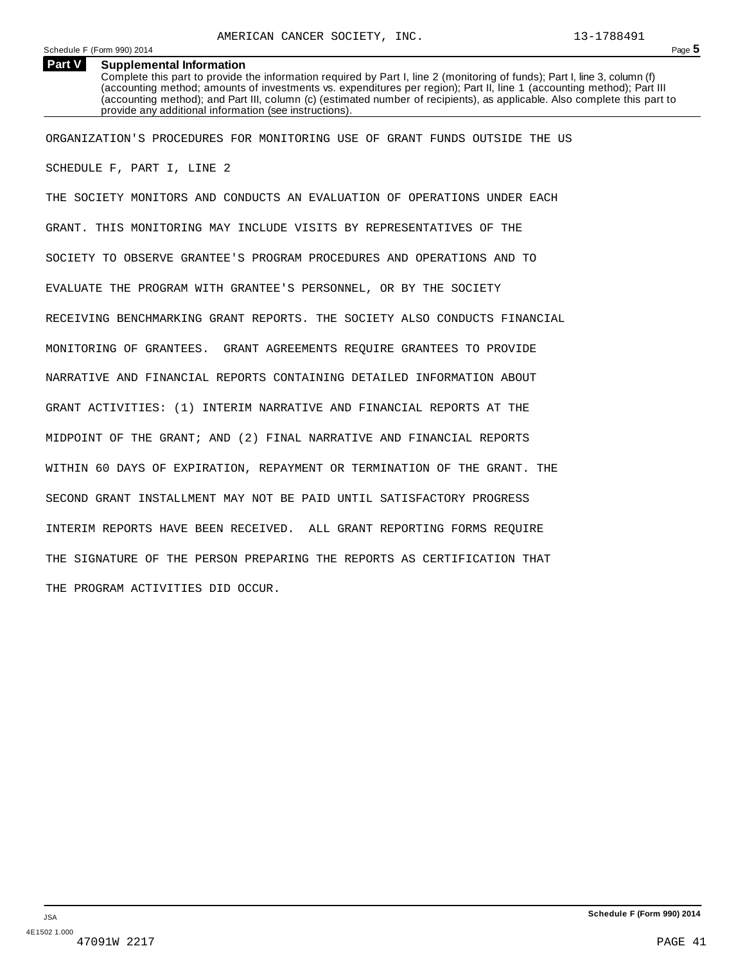#### **Supplemental Information Part V**

Complete this part to provide the information required by Part I, line 2 (monitoring of funds); Part I, line 3, column (f) (accounting method; amounts of investments vs. expenditures per region); Part II, line 1 (accounting method); Part III (accounting method); and Part III, column (c) (estimated number of recipients), as applicable. Also complete this part to provide any additional information (see instructions).

ORGANIZATION'S PROCEDURES FOR MONITORING USE OF GRANT FUNDS OUTSIDE THE US SCHEDULE F, PART I, LINE 2

THE SOCIETY MONITORS AND CONDUCTS AN EVALUATION OF OPERATIONS UNDER EACH GRANT. THIS MONITORING MAY INCLUDE VISITS BY REPRESENTATIVES OF THE SOCIETY TO OBSERVE GRANTEE'S PROGRAM PROCEDURES AND OPERATIONS AND TO EVALUATE THE PROGRAM WITH GRANTEE'S PERSONNEL, OR BY THE SOCIETY RECEIVING BENCHMARKING GRANT REPORTS. THE SOCIETY ALSO CONDUCTS FINANCIAL MONITORING OF GRANTEES. GRANT AGREEMENTS REQUIRE GRANTEES TO PROVIDE NARRATIVE AND FINANCIAL REPORTS CONTAINING DETAILED INFORMATION ABOUT GRANT ACTIVITIES: (1) INTERIM NARRATIVE AND FINANCIAL REPORTS AT THE MIDPOINT OF THE GRANT; AND (2) FINAL NARRATIVE AND FINANCIAL REPORTS WITHIN 60 DAYS OF EXPIRATION, REPAYMENT OR TERMINATION OF THE GRANT. THE SECOND GRANT INSTALLMENT MAY NOT BE PAID UNTIL SATISFACTORY PROGRESS INTERIM REPORTS HAVE BEEN RECEIVED. ALL GRANT REPORTING FORMS REQUIRE THE SIGNATURE OF THE PERSON PREPARING THE REPORTS AS CERTIFICATION THAT THE PROGRAM ACTIVITIES DID OCCUR.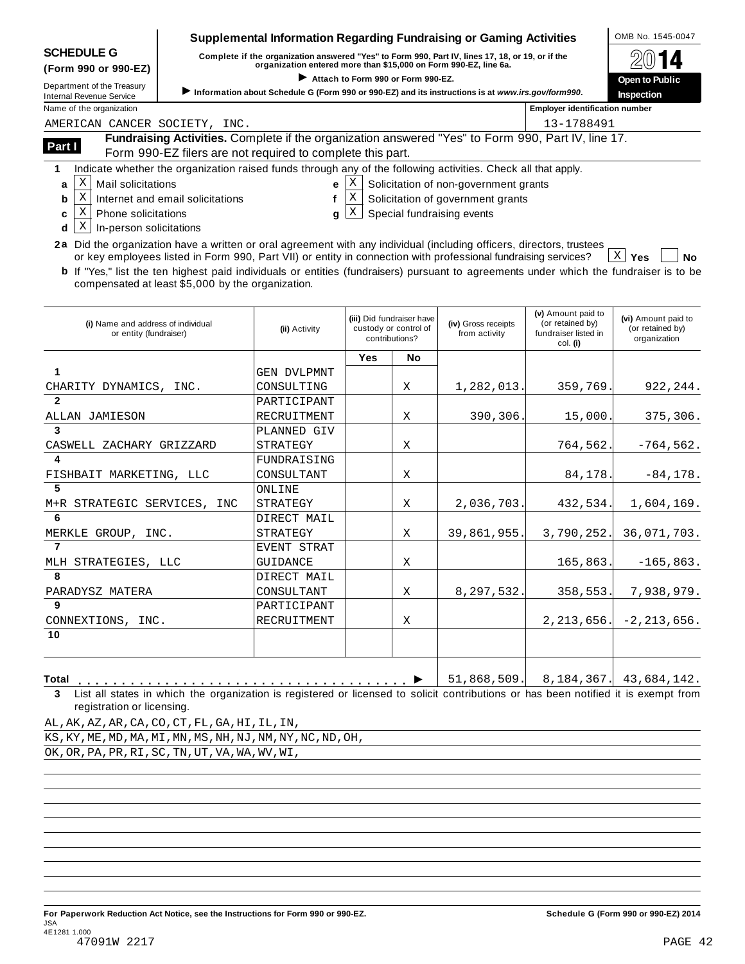| <b>SCHEDULE G</b> |  |
|-------------------|--|
|-------------------|--|

## **Supplemental Information Regarding Fundraising or Gaming Activities**  $\vert$  **OMB No. 1545-0047**

SCHEDULE G complete if the organization answered "Yes" to Form 990, Part IV, lines 17, 18, or 19, or if the  $\otimes$  0 14

| (Form 990 or 990-EZ)                                   | <u>administer in the anderest and the second theory is a second that the second the second in the second theory of</u><br>organization entered more than \$15,000 on Form 990-EZ, line 6a. | $\boxtimes$ VI $\blacksquare$                                                                     |  |  |  |
|--------------------------------------------------------|--------------------------------------------------------------------------------------------------------------------------------------------------------------------------------------------|---------------------------------------------------------------------------------------------------|--|--|--|
| Department of the Treasury<br>Internal Revenue Service | Attach to Form 990 or Form 990-EZ.                                                                                                                                                         | Information about Schedule G (Form 990 or 990-EZ) and its instructions is at www.irs.gov/form990. |  |  |  |
| Name of the organization                               |                                                                                                                                                                                            | <b>Employer identification number</b>                                                             |  |  |  |
| MEDICAN CANCER COCIERV                                 | ר אדר                                                                                                                                                                                      | 12 1700401                                                                                        |  |  |  |

|        | AMERICAN CANCER SOCIETY, INC.                                                                                                                                    | 13-1788491 |
|--------|------------------------------------------------------------------------------------------------------------------------------------------------------------------|------------|
| Part I | Fundraising Activities. Complete if the organization answered "Yes" to Form 990, Part IV, line 17.<br>Form 990-EZ filers are not required to complete this part. |            |
|        |                                                                                                                                                                  |            |

**1** Indicate whether the organization raised funds through any of the following activities. Check all that apply.

 $a \mid X$  $\overline{\text{M}}$  Mail solicitations  $\begin{array}{ccc} \text{E} & \text{E} & \text{E} \end{array}$ 

**e** Solicitation of non-government grants

- $\mathbf{b}$  |  $\mathbf{X}$  $X$  Internet and email solicitations  $f[X]$ 
	- f  $|X|$ Solicitation of government grants
- $c \mid X$ **d**  $\lfloor \frac{X}{2} \rfloor$  In-person solicitations  $\mathbf{X}$  Phone solicitations and  $\mathbf{g}$  if  $\mathbf{X}$
- **g**  $[X]$  Special fundraising events
- **2a** Did the organization have a written or oral agreement with any individual (including officers, directors, trustees or key employees listed in Form 990, Part VII) or entity in connection with professional fundraising services? **Yes No**

**b** If "Yes," list the ten highest paid individuals or entities (fundraisers) pursuant to agreements under which the fundraiser is to be compensated at least \$5,000 by the organization.  $X \mid Y$ es

| (i) Name and address of individual<br>or entity (fundraiser) | (ii) Activity      |            | (iii) Did fundraiser have<br>custody or control of<br>contributions? | (iv) Gross receipts<br>from activity | (v) Amount paid to<br>(or retained by)<br>fundraiser listed in<br>col. (i) | (vi) Amount paid to<br>(or retained by)<br>organization |
|--------------------------------------------------------------|--------------------|------------|----------------------------------------------------------------------|--------------------------------------|----------------------------------------------------------------------------|---------------------------------------------------------|
|                                                              |                    | <b>Yes</b> | No                                                                   |                                      |                                                                            |                                                         |
|                                                              | GEN DVLPMNT        |            |                                                                      |                                      |                                                                            |                                                         |
| CHARITY DYNAMICS, INC.                                       | CONSULTING         |            | X                                                                    | 1,282,013.                           | 359,769                                                                    | 922, 244.                                               |
| $\overline{2}$                                               | PARTICIPANT        |            |                                                                      |                                      |                                                                            |                                                         |
| ALLAN JAMIESON                                               | RECRUITMENT        |            | X                                                                    | 390,306.                             | 15,000                                                                     | 375,306.                                                |
| 3                                                            | PLANNED GIV        |            |                                                                      |                                      |                                                                            |                                                         |
| CASWELL ZACHARY GRIZZARD                                     | STRATEGY           |            | Χ                                                                    |                                      | 764,562.                                                                   | $-764,562.$                                             |
| 4                                                            | FUNDRAISING        |            |                                                                      |                                      |                                                                            |                                                         |
| FISHBAIT MARKETING, LLC                                      | CONSULTANT         |            | Χ                                                                    |                                      | 84,178                                                                     | $-84, 178.$                                             |
| 5                                                            | ONLINE             |            |                                                                      |                                      |                                                                            |                                                         |
| M+R STRATEGIC SERVICES, INC                                  | STRATEGY           |            | X                                                                    | 2,036,703.                           | 432,534.                                                                   | 1,604,169.                                              |
| -6                                                           | DIRECT MAIL        |            |                                                                      |                                      |                                                                            |                                                         |
| MERKLE GROUP, INC.                                           | STRATEGY           |            | X                                                                    | 39,861,955.                          | 3,790,252.                                                                 | 36,071,703.                                             |
|                                                              | <b>EVENT STRAT</b> |            |                                                                      |                                      |                                                                            |                                                         |
| MLH STRATEGIES, LLC                                          | GUIDANCE           |            | X                                                                    |                                      | 165,863.                                                                   | $-165,863.$                                             |
| -8                                                           | DIRECT MAIL        |            |                                                                      |                                      |                                                                            |                                                         |
| PARADYSZ MATERA                                              | CONSULTANT         |            | X                                                                    | 8,297,532.                           | 358,553.                                                                   | 7,938,979.                                              |
| 9                                                            | PARTICIPANT        |            |                                                                      |                                      |                                                                            |                                                         |
| CONNEXTIONS, INC.                                            | RECRUITMENT        |            | X                                                                    |                                      | 2, 213, 656.                                                               | $-2, 213, 656.$                                         |
| 10                                                           |                    |            |                                                                      |                                      |                                                                            |                                                         |
|                                                              |                    |            |                                                                      |                                      |                                                                            |                                                         |
|                                                              |                    |            |                                                                      |                                      |                                                                            |                                                         |

**Total** m m m m m m m m m m m m m m m m m m m m m m m m m m m m m m m m m m m m m m I **3** List all states in which the organization is registered or licensed to solicit contributions or has been notified it is exempt from registration or licensing. 51,868,509. 8,184,367. 43,684,142.

AL,AK,AZ,AR,CA,CO,CT,FL,GA,HI,IL,IN,

KS,KY,ME,MD,MA,MI,MN,MS,NH,NJ,NM,NY,NC,ND,OH,

OK,OR,PA,PR,RI,SC,TN,UT,VA,WA,WV,WI,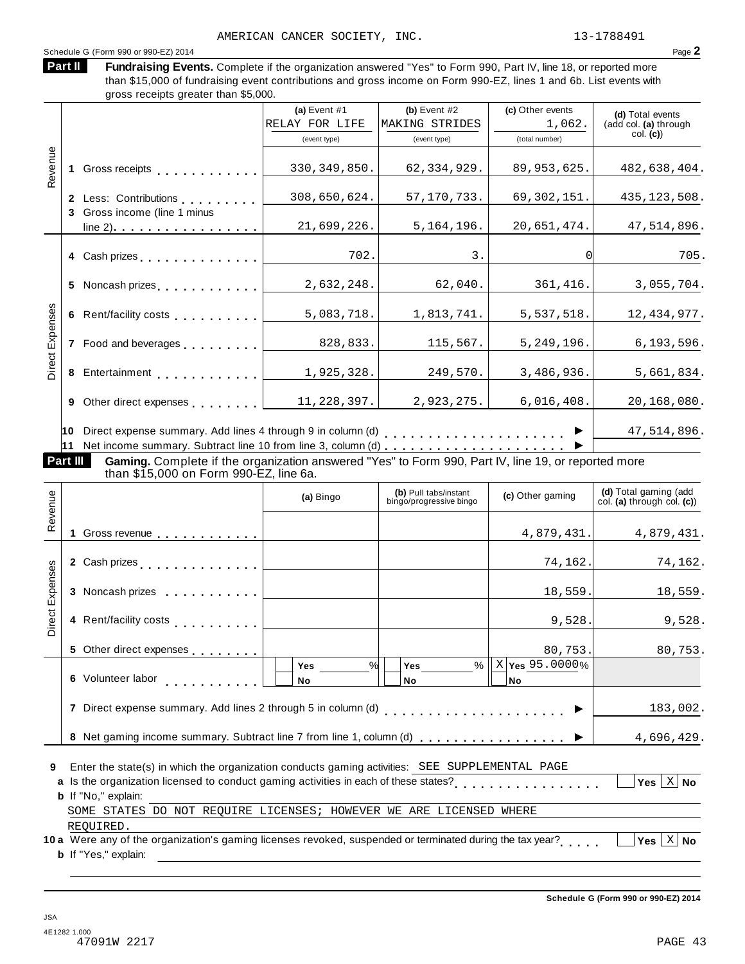### Schedule G (Form 990 or 990-EZ) 2014 Page 2

Fundraising Events. Complete if the organization answered "Yes" to Form 990, Part IV, line 18, or reported more than \$15,000 of fundraising event contributions and gross income on Form 990-EZ, lines 1 and 6b. List events with gross receipts greater than \$5,000. **Part II**

|          |   |                                                                 | (a) Event $#1$ | (b) Event $#2$ | (c) Other events | (d) Total events      |
|----------|---|-----------------------------------------------------------------|----------------|----------------|------------------|-----------------------|
|          |   |                                                                 | RELAY FOR LIFE | MAKING STRIDES | 1,062.           | (add col. (a) through |
|          |   |                                                                 | (event type)   | (event type)   | (total number)   | col. (c)              |
|          |   |                                                                 |                |                |                  |                       |
| Revenue  |   | Gross receipts <b>Container and Street Street Street Street</b> | 330, 349, 850. | 62, 334, 929.  | 89, 953, 625.    | 482,638,404.          |
|          |   |                                                                 |                |                |                  |                       |
|          |   | 2 Less: Contributions                                           | 308,650,624.   | 57, 170, 733.  | 69, 302, 151.    | 435, 123, 508.        |
|          |   | 3 Gross income (line 1 minus                                    |                |                |                  |                       |
|          |   | $line 2)$                                                       | 21,699,226.    | 5, 164, 196.   | 20,651,474.      | 47,514,896.           |
|          |   |                                                                 |                |                |                  |                       |
|          |   | 4 Cash prizes <b>contained</b> Cash prizes                      | 702.           | 3.             |                  | 705.                  |
|          |   |                                                                 |                |                |                  |                       |
|          |   | 5 Noncash prizes                                                | 2,632,248.     | 62,040.        | 361,416.         | 3,055,704.            |
| Expenses |   |                                                                 |                |                |                  |                       |
|          |   | 6 Rent/facility costs                                           | 5,083,718.     | 1,813,741.     | 5,537,518.       | 12, 434, 977.         |
|          |   |                                                                 |                |                |                  |                       |
|          |   | 7 Food and beverages                                            | 828,833.       | 115,567.       | 5, 249, 196.     | 6, 193, 596.          |
| Direct I |   |                                                                 |                |                |                  |                       |
|          |   | 8 Entertainment                                                 | 1,925,328.     | 249,570.       | 3,486,936.       | 5,661,834.            |
|          |   |                                                                 |                |                |                  |                       |
|          | 9 | Other direct expenses examples                                  | 11,228,397.    | 2,923,275.     | 6,016,408.       | 20,168,080.           |
|          |   |                                                                 |                |                |                  |                       |
|          |   | 10 Direct expense summary. Add lines 4 through 9 in column (d)  |                |                |                  | 47,514,896.           |
|          |   |                                                                 |                |                |                  |                       |

**Part III Gaming.** Complete if the organization answered "Yes" to Form 990, Part IV, line 19, or reported more<br>than \$15,000 on Form 990-EZ, line 6a.

| Revenue         |                                                                                                                                                                                                                                      | (a) Bingo                | (b) Pull tabs/instant<br>bingo/progressive bingo | (c) Other gaming                      | (d) Total gaming (add<br>col. (a) through col. (c)) |  |
|-----------------|--------------------------------------------------------------------------------------------------------------------------------------------------------------------------------------------------------------------------------------|--------------------------|--------------------------------------------------|---------------------------------------|-----------------------------------------------------|--|
|                 | 1 Gross revenue                                                                                                                                                                                                                      |                          |                                                  | 4,879,431.                            | 4,879,431.                                          |  |
|                 | 2 Cash prizes <b>contained 2</b> Cash prizes                                                                                                                                                                                         |                          |                                                  | 74,162.                               | 74,162.                                             |  |
| Direct Expenses | 3 Noncash prizes                                                                                                                                                                                                                     |                          |                                                  | 18,559.                               | 18,559.                                             |  |
|                 |                                                                                                                                                                                                                                      |                          |                                                  | 9,528.                                | 9,528.                                              |  |
|                 | 5 Other direct expenses                                                                                                                                                                                                              |                          |                                                  | 80,753.                               | 80,753.                                             |  |
|                 | 6 Volunteer labor                                                                                                                                                                                                                    | $\%$<br><b>Yes</b><br>No | %<br>Yes<br><b>No</b>                            | $X$ $\gamma$ es 95.0000%<br><b>No</b> |                                                     |  |
|                 |                                                                                                                                                                                                                                      |                          |                                                  |                                       | 183,002.                                            |  |
|                 |                                                                                                                                                                                                                                      |                          |                                                  |                                       | 4,696,429.                                          |  |
| 9               | Enter the state(s) in which the organization conducts gaming activities: SEE SUPPLEMENTAL PAGE<br>a Is the organization licensed to conduct gaming activities in each of these states?<br>Yes $ X $ No<br><b>b</b> If "No." explain: |                          |                                                  |                                       |                                                     |  |
|                 | SOME STATES DO NOT REQUIRE LICENSES; HOWEVER WE ARE LICENSED WHERE<br>REOUIRED.                                                                                                                                                      |                          |                                                  |                                       |                                                     |  |
|                 | 10 a Were any of the organization's gaming licenses revoked, suspended or terminated during the tax year?<br><b>b</b> If "Yes," explain:                                                                                             |                          |                                                  |                                       | Yes $ X $ No                                        |  |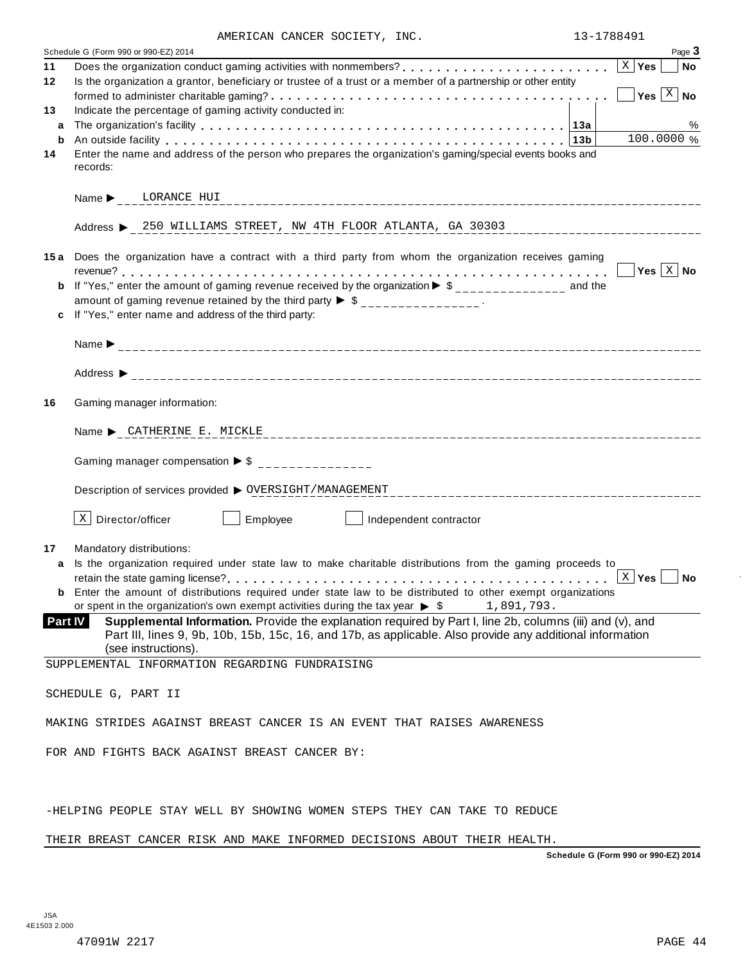| AMERICAN CANCER SOCIETY, |  |  | INC. |
|--------------------------|--|--|------|
|--------------------------|--|--|------|

|                | AMERICAN CANCER SOCIETY, INC.                                                                                                                                                                                                  | 13-1/88491            |                           |
|----------------|--------------------------------------------------------------------------------------------------------------------------------------------------------------------------------------------------------------------------------|-----------------------|---------------------------|
|                | Schedule G (Form 990 or 990-EZ) 2014                                                                                                                                                                                           |                       | Page 3                    |
| 11             | Does the organization conduct gaming activities with nonmembers?<br>$\ldots, \ldots, \ldots, \ldots, \lfloor x \rfloor$ Yes                                                                                                    |                       | $ $ No                    |
| 12             | Is the organization a grantor, beneficiary or trustee of a trust or a member of a partnership or other entity                                                                                                                  |                       |                           |
|                |                                                                                                                                                                                                                                |                       | Yes $\boxed{\text{X}}$ No |
| 13             | Indicate the percentage of gaming activity conducted in:                                                                                                                                                                       |                       |                           |
|                |                                                                                                                                                                                                                                |                       |                           |
| a              |                                                                                                                                                                                                                                |                       | %                         |
| b              | An outside facility enterpretence in the set of the contract of the contract of the contract of the contract of the contract of the contract of the contract of the contract of the contract of the contract of the contract o |                       | 100.0000 %                |
| 14             | Enter the name and address of the person who prepares the organization's gaming/special events books and                                                                                                                       |                       |                           |
|                | records:                                                                                                                                                                                                                       |                       |                           |
|                |                                                                                                                                                                                                                                |                       |                           |
|                | Name b LORANCE HUI                                                                                                                                                                                                             |                       |                           |
|                |                                                                                                                                                                                                                                |                       |                           |
|                | Address > 250 WILLIAMS STREET, NW 4TH FLOOR ATLANTA, GA 30303                                                                                                                                                                  |                       |                           |
|                |                                                                                                                                                                                                                                |                       |                           |
|                | 15a Does the organization have a contract with a third party from whom the organization receives gaming                                                                                                                        |                       |                           |
|                |                                                                                                                                                                                                                                |                       | Yes $\vert$ X $\vert$ No  |
|                |                                                                                                                                                                                                                                |                       |                           |
|                | <b>b</b> If "Yes," enter the amount of gaming revenue received by the organization $\triangleright$ \$______________ and the                                                                                                   |                       |                           |
|                | amount of gaming revenue retained by the third party $\triangleright$ \$ _______________.                                                                                                                                      |                       |                           |
|                | If "Yes," enter name and address of the third party:                                                                                                                                                                           |                       |                           |
|                |                                                                                                                                                                                                                                |                       |                           |
|                |                                                                                                                                                                                                                                |                       |                           |
|                |                                                                                                                                                                                                                                |                       |                           |
|                |                                                                                                                                                                                                                                |                       |                           |
|                |                                                                                                                                                                                                                                |                       |                           |
| 16             | Gaming manager information:                                                                                                                                                                                                    |                       |                           |
|                |                                                                                                                                                                                                                                |                       |                           |
|                | Name > CATHERINE E. MICKLE                                                                                                                                                                                                     |                       |                           |
|                |                                                                                                                                                                                                                                |                       |                           |
|                |                                                                                                                                                                                                                                |                       |                           |
|                | Gaming manager compensation $\triangleright$ \$ ______________                                                                                                                                                                 |                       |                           |
|                |                                                                                                                                                                                                                                |                       |                           |
|                | Description of services provided $\triangleright$ OVERSIGHT/MANAGEMENT                                                                                                                                                         |                       |                           |
|                |                                                                                                                                                                                                                                |                       |                           |
|                | $X$ Director/officer<br>Employee<br>Independent contractor                                                                                                                                                                     |                       |                           |
|                |                                                                                                                                                                                                                                |                       |                           |
| 17             | Mandatory distributions:                                                                                                                                                                                                       |                       |                           |
| a              | Is the organization required under state law to make charitable distributions from the gaming proceeds to                                                                                                                      |                       |                           |
|                |                                                                                                                                                                                                                                | $\vert$ X $\vert$ Yes | <b>No</b>                 |
|                | <b>b</b> Enter the amount of distributions required under state law to be distributed to other exempt organizations                                                                                                            |                       |                           |
|                | or spent in the organization's own exempt activities during the tax year $\triangleright$ \$<br>1,891,793.                                                                                                                     |                       |                           |
| <b>Part IV</b> | Supplemental Information. Provide the explanation required by Part I, line 2b, columns (iii) and (v), and                                                                                                                      |                       |                           |
|                | Part III, lines 9, 9b, 10b, 15b, 15c, 16, and 17b, as applicable. Also provide any additional information                                                                                                                      |                       |                           |
|                | (see instructions).                                                                                                                                                                                                            |                       |                           |
|                |                                                                                                                                                                                                                                |                       |                           |
|                | SUPPLEMENTAL INFORMATION REGARDING FUNDRAISING                                                                                                                                                                                 |                       |                           |
|                |                                                                                                                                                                                                                                |                       |                           |
|                | SCHEDULE G, PART II                                                                                                                                                                                                            |                       |                           |
|                |                                                                                                                                                                                                                                |                       |                           |
|                | MAKING STRIDES AGAINST BREAST CANCER IS AN EVENT THAT RAISES AWARENESS                                                                                                                                                         |                       |                           |
|                |                                                                                                                                                                                                                                |                       |                           |
|                | FOR AND FIGHTS BACK AGAINST BREAST CANCER BY:                                                                                                                                                                                  |                       |                           |
|                |                                                                                                                                                                                                                                |                       |                           |
|                |                                                                                                                                                                                                                                |                       |                           |
|                |                                                                                                                                                                                                                                |                       |                           |
|                | -HELPING PEOPLE STAY WELL BY SHOWING WOMEN STEPS THEY CAN TAKE TO REDUCE                                                                                                                                                       |                       |                           |
|                |                                                                                                                                                                                                                                |                       |                           |
|                |                                                                                                                                                                                                                                |                       |                           |
|                | THEIR BREAST CANCER RISK AND MAKE INFORMED DECISIONS ABOUT THEIR HEALTH.                                                                                                                                                       |                       |                           |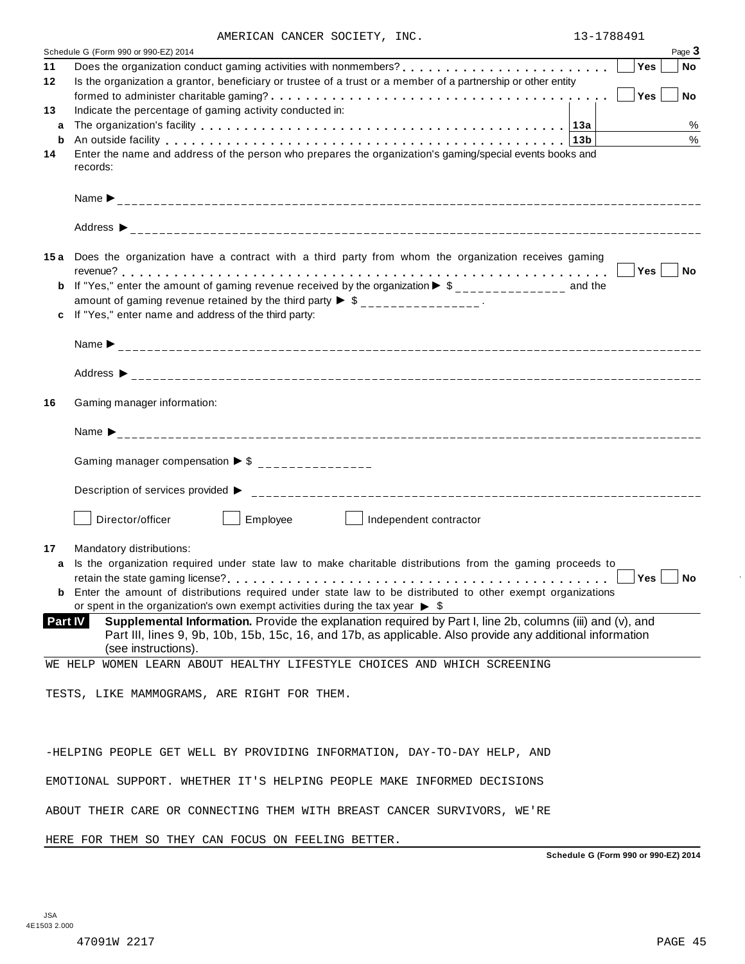| AMERICAN CANCER SOCIETY, INC. |  |  |
|-------------------------------|--|--|
|-------------------------------|--|--|

|    | AMERICAN CANCER SOCIETY, INC.                                                                                                | 13-1788491 |             |
|----|------------------------------------------------------------------------------------------------------------------------------|------------|-------------|
|    | Schedule G (Form 990 or 990-EZ) 2014                                                                                         |            | Page 3      |
| 11 |                                                                                                                              |            | Yes<br>  No |
| 12 | Is the organization a grantor, beneficiary or trustee of a trust or a member of a partnership or other entity                |            |             |
|    |                                                                                                                              |            | No<br>Yes   |
| 13 | Indicate the percentage of gaming activity conducted in:                                                                     |            |             |
| a  |                                                                                                                              |            | %           |
| b  | An outside facility enterpretation of the control of the control of the control of the control of the control o              |            | $\%$        |
| 14 | Enter the name and address of the person who prepares the organization's gaming/special events books and                     |            |             |
|    | records:                                                                                                                     |            |             |
|    |                                                                                                                              |            |             |
|    |                                                                                                                              |            |             |
|    |                                                                                                                              |            |             |
|    |                                                                                                                              |            |             |
|    |                                                                                                                              |            |             |
|    | 15a Does the organization have a contract with a third party from whom the organization receives gaming                      |            |             |
|    |                                                                                                                              |            | Yes No      |
|    | <b>b</b> If "Yes," enter the amount of gaming revenue received by the organization $\triangleright$ \$______________ and the |            |             |
|    | amount of gaming revenue retained by the third party $\triangleright$ \$ _______________.                                    |            |             |
|    | If "Yes," enter name and address of the third party:                                                                         |            |             |
|    |                                                                                                                              |            |             |
|    |                                                                                                                              |            |             |
|    |                                                                                                                              |            |             |
|    |                                                                                                                              |            |             |
|    |                                                                                                                              |            |             |
| 16 | Gaming manager information:                                                                                                  |            |             |
|    |                                                                                                                              |            |             |
|    |                                                                                                                              |            |             |
|    | Gaming manager compensation $\triangleright$ \$ ________________                                                             |            |             |
|    |                                                                                                                              |            |             |
|    | Description of services provided $\triangleright$                                                                            |            |             |
|    |                                                                                                                              |            |             |
|    | Director/officer<br>Employee<br>Independent contractor                                                                       |            |             |
|    |                                                                                                                              |            |             |
| 17 | Mandatory distributions:                                                                                                     |            |             |
| a  | Is the organization required under state law to make charitable distributions from the gaming proceeds to                    |            |             |
|    |                                                                                                                              |            |             |
|    | <b>b</b> Enter the amount of distributions required under state law to be distributed to other exempt organizations          |            |             |
|    | or spent in the organization's own exempt activities during the tax year $\triangleright$ \$                                 |            |             |
|    | Supplemental Information. Provide the explanation required by Part I, line 2b, columns (iii) and (v), and<br>Part IV         |            |             |
|    | Part III, lines 9, 9b, 10b, 15b, 15c, 16, and 17b, as applicable. Also provide any additional information                    |            |             |
|    | (see instructions).                                                                                                          |            |             |
|    | WE HELP WOMEN LEARN ABOUT HEALTHY LIFESTYLE CHOICES AND WHICH SCREENING                                                      |            |             |
|    |                                                                                                                              |            |             |
|    | TESTS, LIKE MAMMOGRAMS, ARE RIGHT FOR THEM.                                                                                  |            |             |
|    |                                                                                                                              |            |             |
|    |                                                                                                                              |            |             |
|    |                                                                                                                              |            |             |
|    | -HELPING PEOPLE GET WELL BY PROVIDING INFORMATION, DAY-TO-DAY HELP, AND                                                      |            |             |
|    |                                                                                                                              |            |             |
|    | EMOTIONAL SUPPORT. WHETHER IT'S HELPING PEOPLE MAKE INFORMED DECISIONS                                                       |            |             |
|    |                                                                                                                              |            |             |
|    | ABOUT THEIR CARE OR CONNECTING THEM WITH BREAST CANCER SURVIVORS, WE'RE                                                      |            |             |
|    |                                                                                                                              |            |             |
|    | HERE FOR THEM SO THEY CAN FOCUS ON FEELING BETTER.                                                                           |            |             |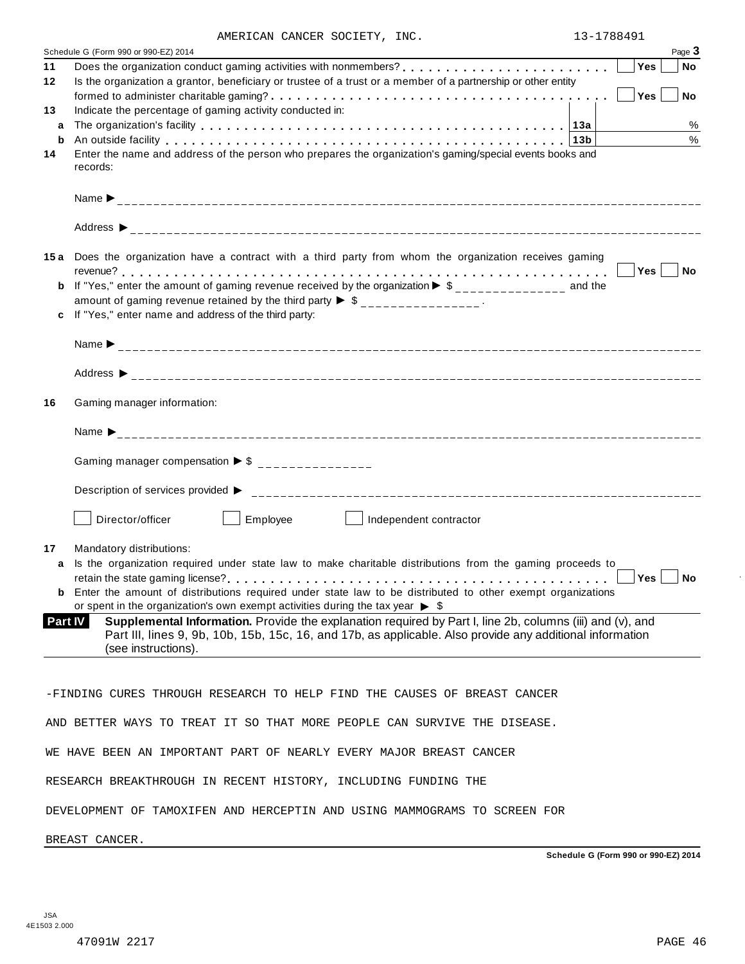|                | AMERICAN CANCER SOCIETY, INC.                                                                                                                                                                                                  | 13-1/88491 |           |
|----------------|--------------------------------------------------------------------------------------------------------------------------------------------------------------------------------------------------------------------------------|------------|-----------|
|                | Schedule G (Form 990 or 990-EZ) 2014                                                                                                                                                                                           |            | Page 3    |
| 11             | Does the organization conduct gaming activities with nonmembers?                                                                                                                                                               | Yes        | <b>No</b> |
| 12             | Is the organization a grantor, beneficiary or trustee of a trust or a member of a partnership or other entity                                                                                                                  |            |           |
|                | formed to administer charitable gaming? $\ldots \ldots \ldots \ldots \ldots \ldots \ldots \ldots \ldots \ldots \ldots \ldots \ldots$                                                                                           | Yes        | <b>No</b> |
| 13             | Indicate the percentage of gaming activity conducted in:                                                                                                                                                                       |            |           |
|                |                                                                                                                                                                                                                                |            | $\%$      |
| a              |                                                                                                                                                                                                                                |            |           |
| b              | An outside facility enterpreteration of the control of the control of the control of the control of the control of the control of the control of the control of the control of the control of the control of the control of th |            | $\%$      |
| 14             | Enter the name and address of the person who prepares the organization's gaming/special events books and                                                                                                                       |            |           |
|                | records:                                                                                                                                                                                                                       |            |           |
|                |                                                                                                                                                                                                                                |            |           |
|                |                                                                                                                                                                                                                                |            |           |
|                |                                                                                                                                                                                                                                |            |           |
|                |                                                                                                                                                                                                                                |            |           |
|                |                                                                                                                                                                                                                                |            |           |
|                | 15a Does the organization have a contract with a third party from whom the organization receives gaming                                                                                                                        |            |           |
|                |                                                                                                                                                                                                                                |            | $Yes$ No  |
| b              | If "Yes," enter the amount of gaming revenue received by the organization $\blacktriangleright$ \$______________ and the                                                                                                       |            |           |
|                | amount of gaming revenue retained by the third party $\triangleright$ \$ _______________.                                                                                                                                      |            |           |
|                | If "Yes," enter name and address of the third party:                                                                                                                                                                           |            |           |
|                |                                                                                                                                                                                                                                |            |           |
|                |                                                                                                                                                                                                                                |            |           |
|                |                                                                                                                                                                                                                                |            |           |
|                |                                                                                                                                                                                                                                |            |           |
|                |                                                                                                                                                                                                                                |            |           |
| 16             | Gaming manager information:                                                                                                                                                                                                    |            |           |
|                |                                                                                                                                                                                                                                |            |           |
|                |                                                                                                                                                                                                                                |            |           |
|                |                                                                                                                                                                                                                                |            |           |
|                | Gaming manager compensation $\triangleright$ \$ ________________                                                                                                                                                               |            |           |
|                |                                                                                                                                                                                                                                |            |           |
|                |                                                                                                                                                                                                                                |            |           |
|                |                                                                                                                                                                                                                                |            |           |
|                | Director/officer<br>Employee<br>Independent contractor                                                                                                                                                                         |            |           |
|                |                                                                                                                                                                                                                                |            |           |
| 17             | Mandatory distributions:                                                                                                                                                                                                       |            |           |
| a              | Is the organization required under state law to make charitable distributions from the gaming proceeds to                                                                                                                      |            |           |
|                |                                                                                                                                                                                                                                | Yes        | No        |
|                | <b>b</b> Enter the amount of distributions required under state law to be distributed to other exempt organizations                                                                                                            |            |           |
|                | or spent in the organization's own exempt activities during the tax year $\triangleright$ \$                                                                                                                                   |            |           |
| <b>Part IV</b> | Supplemental Information. Provide the explanation required by Part I, line 2b, columns (iii) and (v), and                                                                                                                      |            |           |
|                | Part III, lines 9, 9b, 10b, 15b, 15c, 16, and 17b, as applicable. Also provide any additional information                                                                                                                      |            |           |
|                | (see instructions).                                                                                                                                                                                                            |            |           |
|                |                                                                                                                                                                                                                                |            |           |
|                |                                                                                                                                                                                                                                |            |           |
|                |                                                                                                                                                                                                                                |            |           |
|                | -FINDING CURES THROUGH RESEARCH TO HELP FIND THE CAUSES OF BREAST CANCER                                                                                                                                                       |            |           |
|                |                                                                                                                                                                                                                                |            |           |
|                | AND BETTER WAYS TO TREAT IT SO THAT MORE PEOPLE CAN SURVIVE THE DISEASE.                                                                                                                                                       |            |           |
|                |                                                                                                                                                                                                                                |            |           |
|                | WE HAVE BEEN AN IMPORTANT PART OF NEARLY EVERY MAJOR BREAST CANCER                                                                                                                                                             |            |           |
|                |                                                                                                                                                                                                                                |            |           |
|                | RESEARCH BREAKTHROUGH IN RECENT HISTORY, INCLUDING FUNDING THE                                                                                                                                                                 |            |           |
|                |                                                                                                                                                                                                                                |            |           |
|                | DEVELOPMENT OF TAMOXIFEN AND HERCEPTIN AND USING MAMMOGRAMS TO SCREEN FOR                                                                                                                                                      |            |           |
|                |                                                                                                                                                                                                                                |            |           |

BREAST CANCER.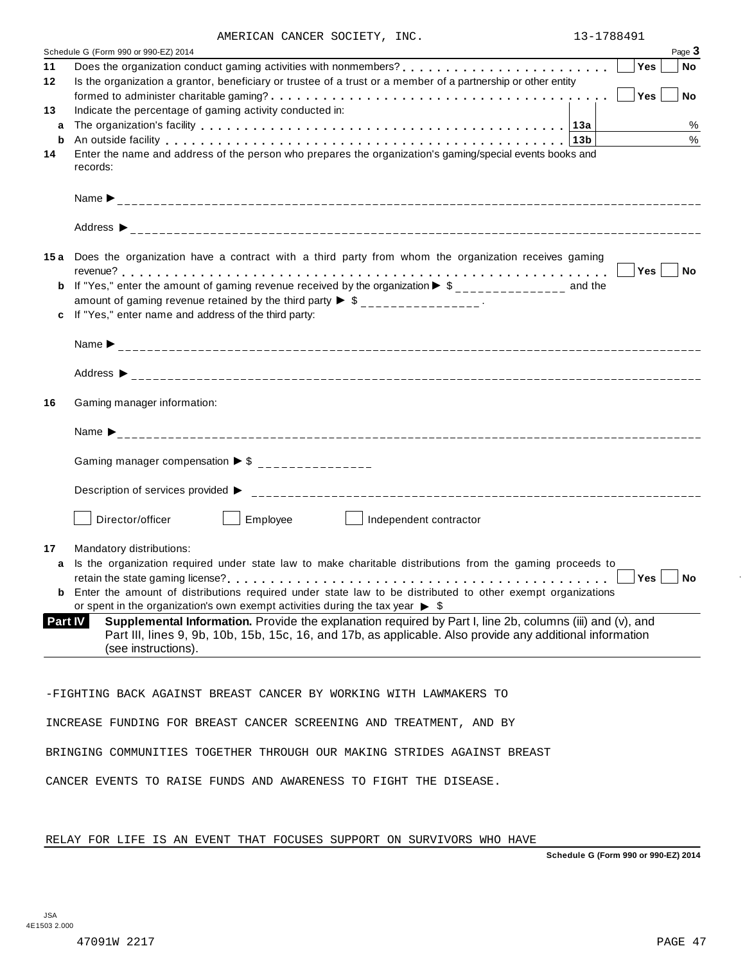|  |  |  | AMERICAN CANCER SOCIETY, INC. |  |
|--|--|--|-------------------------------|--|
|--|--|--|-------------------------------|--|

|    | AMERICAN CANCER SOCIETY, INC.                                                                                                                                                                                                  | 13-1788491    |
|----|--------------------------------------------------------------------------------------------------------------------------------------------------------------------------------------------------------------------------------|---------------|
|    | Schedule G (Form 990 or 990-EZ) 2014                                                                                                                                                                                           | Page 3        |
| 11 |                                                                                                                                                                                                                                | Yes<br>No     |
| 12 | Is the organization a grantor, beneficiary or trustee of a trust or a member of a partnership or other entity                                                                                                                  |               |
|    |                                                                                                                                                                                                                                | No<br>Yes     |
| 13 | Indicate the percentage of gaming activity conducted in:                                                                                                                                                                       |               |
| a  |                                                                                                                                                                                                                                | %             |
| b  | An outside facility enterpretence in the series of the series of the series of the series of the series of the series of the series of the series of the series of the series of the series of the series of the series of the | $\%$          |
| 14 | Enter the name and address of the person who prepares the organization's gaming/special events books and                                                                                                                       |               |
|    | records:                                                                                                                                                                                                                       |               |
|    |                                                                                                                                                                                                                                |               |
|    |                                                                                                                                                                                                                                |               |
|    |                                                                                                                                                                                                                                |               |
|    |                                                                                                                                                                                                                                |               |
|    |                                                                                                                                                                                                                                |               |
|    | 15a Does the organization have a contract with a third party from whom the organization receives gaming                                                                                                                        |               |
|    |                                                                                                                                                                                                                                | Yes  <br>  No |
|    | <b>b</b> If "Yes," enter the amount of gaming revenue received by the organization $\triangleright$ \$______________ and the                                                                                                   |               |
|    | amount of gaming revenue retained by the third party $\triangleright$ \$ _______________.                                                                                                                                      |               |
|    | If "Yes," enter name and address of the third party:                                                                                                                                                                           |               |
|    |                                                                                                                                                                                                                                |               |
|    |                                                                                                                                                                                                                                |               |
|    |                                                                                                                                                                                                                                |               |
|    |                                                                                                                                                                                                                                |               |
|    |                                                                                                                                                                                                                                |               |
| 16 | Gaming manager information:                                                                                                                                                                                                    |               |
|    |                                                                                                                                                                                                                                |               |
|    |                                                                                                                                                                                                                                |               |
|    | Gaming manager compensation $\triangleright$ \$ ________________                                                                                                                                                               |               |
|    |                                                                                                                                                                                                                                |               |
|    |                                                                                                                                                                                                                                |               |
|    |                                                                                                                                                                                                                                |               |
|    | Director/officer<br>Employee<br>Independent contractor                                                                                                                                                                         |               |
|    |                                                                                                                                                                                                                                |               |
| 17 | Mandatory distributions:                                                                                                                                                                                                       |               |
| a  | Is the organization required under state law to make charitable distributions from the gaming proceeds to                                                                                                                      |               |
|    |                                                                                                                                                                                                                                |               |
|    | <b>b</b> Enter the amount of distributions required under state law to be distributed to other exempt organizations                                                                                                            |               |
|    | or spent in the organization's own exempt activities during the tax year $\triangleright$ \$                                                                                                                                   |               |
|    | Supplemental Information. Provide the explanation required by Part I, line 2b, columns (iii) and (v), and<br>Part IV                                                                                                           |               |
|    | Part III, lines 9, 9b, 10b, 15b, 15c, 16, and 17b, as applicable. Also provide any additional information                                                                                                                      |               |
|    | (see instructions).                                                                                                                                                                                                            |               |
|    |                                                                                                                                                                                                                                |               |
|    |                                                                                                                                                                                                                                |               |
|    | -FIGHTING BACK AGAINST BREAST CANCER BY WORKING WITH LAWMAKERS TO                                                                                                                                                              |               |
|    |                                                                                                                                                                                                                                |               |
|    | INCREASE FUNDING FOR BREAST CANCER SCREENING AND TREATMENT, AND BY                                                                                                                                                             |               |
|    |                                                                                                                                                                                                                                |               |
|    | BRINGING COMMUNITIES TOGETHER THROUGH OUR MAKING STRIDES AGAINST BREAST                                                                                                                                                        |               |
|    |                                                                                                                                                                                                                                |               |
|    | CANCER EVENTS TO RAISE FUNDS AND AWARENESS TO FIGHT THE DISEASE.                                                                                                                                                               |               |

RELAY FOR LIFE IS AN EVENT THAT FOCUSES SUPPORT ON SURVIVORS WHO HAVE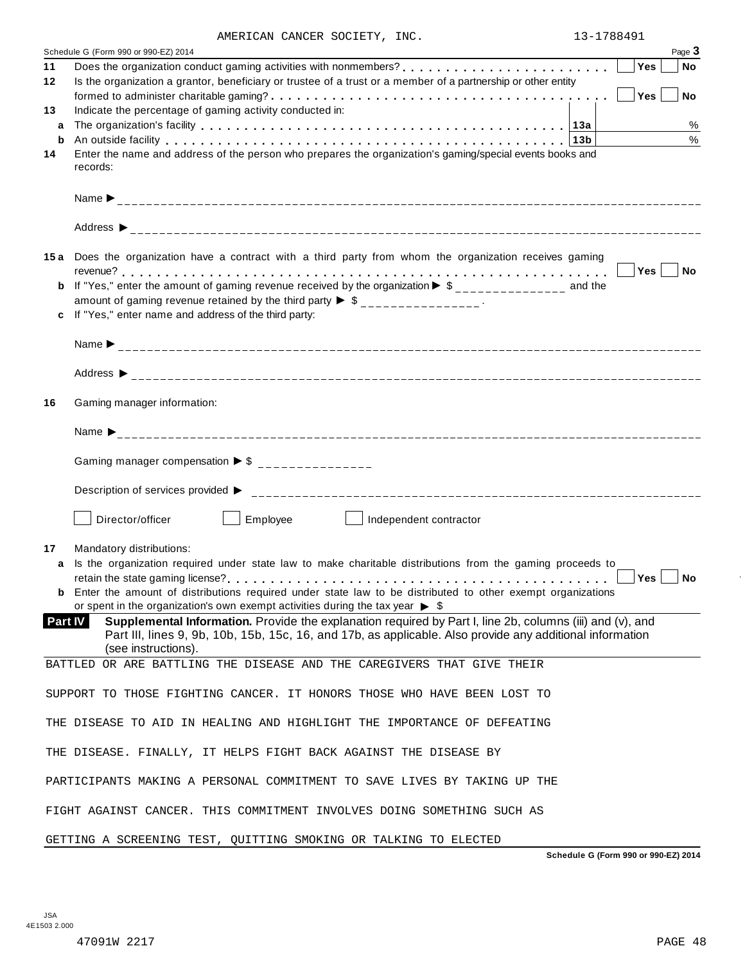|  |  |  | AMERICAN CANCER SOCIETY, INC. |  |
|--|--|--|-------------------------------|--|
|--|--|--|-------------------------------|--|

|    | AMERICAN CANCER SOCIETY, INC.                                                                                                                                                                                                  | 13-1788491 |        |
|----|--------------------------------------------------------------------------------------------------------------------------------------------------------------------------------------------------------------------------------|------------|--------|
|    | Schedule G (Form 990 or 990-EZ) 2014                                                                                                                                                                                           |            | Page 3 |
| 11 |                                                                                                                                                                                                                                | <b>Yes</b> | No     |
| 12 | Is the organization a grantor, beneficiary or trustee of a trust or a member of a partnership or other entity                                                                                                                  |            |        |
|    |                                                                                                                                                                                                                                | Yes        | No     |
| 13 | Indicate the percentage of gaming activity conducted in:                                                                                                                                                                       |            |        |
| a  |                                                                                                                                                                                                                                |            | $\%$   |
| b  | An outside facility enterpreteration of the control of the control of the control of the control of the control of the control of the control of the control of the control of the control of the control of the control of th |            | $\%$   |
| 14 | Enter the name and address of the person who prepares the organization's gaming/special events books and                                                                                                                       |            |        |
|    | records:                                                                                                                                                                                                                       |            |        |
|    |                                                                                                                                                                                                                                |            |        |
|    |                                                                                                                                                                                                                                |            |        |
|    | 15a Does the organization have a contract with a third party from whom the organization receives gaming                                                                                                                        |            |        |
|    |                                                                                                                                                                                                                                | $Yes \mid$ | No     |
|    | <b>b</b> If "Yes," enter the amount of gaming revenue received by the organization $\triangleright$ \$______________ and the                                                                                                   |            |        |
|    | amount of gaming revenue retained by the third party $\triangleright$ \$ _______________.                                                                                                                                      |            |        |
| c  | If "Yes," enter name and address of the third party:                                                                                                                                                                           |            |        |
|    |                                                                                                                                                                                                                                |            |        |
|    |                                                                                                                                                                                                                                |            |        |
|    |                                                                                                                                                                                                                                |            |        |
| 16 | Gaming manager information:                                                                                                                                                                                                    |            |        |
|    | Name $\sum_{-1}^{1}$                                                                                                                                                                                                           |            |        |
|    | Gaming manager compensation $\triangleright$ \$ _______________                                                                                                                                                                |            |        |
|    |                                                                                                                                                                                                                                |            |        |
|    | Director/officer<br>Employee<br>Independent contractor                                                                                                                                                                         |            |        |
|    |                                                                                                                                                                                                                                |            |        |
| 17 | Mandatory distributions:                                                                                                                                                                                                       |            |        |
| a  | Is the organization required under state law to make charitable distributions from the gaming proceeds to                                                                                                                      |            |        |
|    | <b>b</b> Enter the amount of distributions required under state law to be distributed to other exempt organizations                                                                                                            |            |        |
|    | or spent in the organization's own exempt activities during the tax year $\triangleright$ \$                                                                                                                                   |            |        |
|    | Supplemental Information. Provide the explanation required by Part I, line 2b, columns (iii) and (v), and<br><b>Part IV</b>                                                                                                    |            |        |
|    | Part III, lines 9, 9b, 10b, 15b, 15c, 16, and 17b, as applicable. Also provide any additional information<br>(see instructions).                                                                                               |            |        |
|    | BATTLED OR ARE BATTLING THE DISEASE AND THE CAREGIVERS THAT GIVE THEIR                                                                                                                                                         |            |        |
|    |                                                                                                                                                                                                                                |            |        |
|    | SUPPORT TO THOSE FIGHTING CANCER. IT HONORS THOSE WHO HAVE BEEN LOST TO                                                                                                                                                        |            |        |
|    |                                                                                                                                                                                                                                |            |        |
|    | THE DISEASE TO AID IN HEALING AND HIGHLIGHT THE IMPORTANCE OF DEFEATING                                                                                                                                                        |            |        |
|    | THE DISEASE. FINALLY, IT HELPS FIGHT BACK AGAINST THE DISEASE BY                                                                                                                                                               |            |        |
|    | PARTICIPANTS MAKING A PERSONAL COMMITMENT TO SAVE LIVES BY TAKING UP THE                                                                                                                                                       |            |        |
|    | FIGHT AGAINST CANCER. THIS COMMITMENT INVOLVES DOING SOMETHING SUCH AS                                                                                                                                                         |            |        |
|    | GETTING A SCREENING TEST, QUITTING SMOKING OR TALKING TO ELECTED                                                                                                                                                               |            |        |
|    |                                                                                                                                                                                                                                |            |        |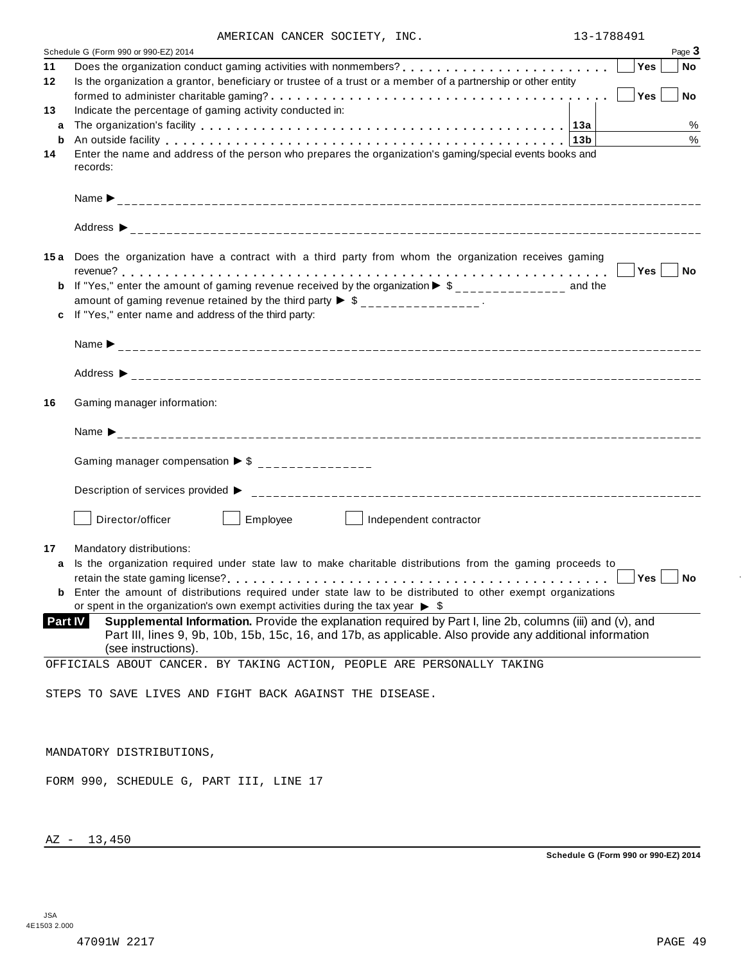|  | AMERICAN CANCER SOCIETY, INC. |  |
|--|-------------------------------|--|
|  |                               |  |

|         | AMERICAN CANCER SOCIETY, INC.                                                                                                | 13-1788491  |
|---------|------------------------------------------------------------------------------------------------------------------------------|-------------|
|         | Schedule G (Form 990 or 990-EZ) 2014                                                                                         | Page 3      |
| 11      |                                                                                                                              | Yes<br>  No |
| 12      | Is the organization a grantor, beneficiary or trustee of a trust or a member of a partnership or other entity                |             |
|         |                                                                                                                              | No<br>Yes   |
|         |                                                                                                                              |             |
| 13      | Indicate the percentage of gaming activity conducted in:                                                                     |             |
| a       |                                                                                                                              | %           |
| b       | An outside facility enterpretation of the control of the control of the control of the control of the control o              | $\%$        |
| 14      | Enter the name and address of the person who prepares the organization's gaming/special events books and                     |             |
|         | records:                                                                                                                     |             |
|         |                                                                                                                              |             |
|         |                                                                                                                              |             |
|         |                                                                                                                              |             |
|         |                                                                                                                              |             |
|         |                                                                                                                              |             |
|         | 15a Does the organization have a contract with a third party from whom the organization receives gaming                      |             |
|         |                                                                                                                              | Yes No      |
|         | <b>b</b> If "Yes," enter the amount of gaming revenue received by the organization $\triangleright$ \$______________ and the |             |
|         | amount of gaming revenue retained by the third party $\triangleright$ \$ _______________.                                    |             |
|         | If "Yes," enter name and address of the third party:                                                                         |             |
|         |                                                                                                                              |             |
|         |                                                                                                                              |             |
|         |                                                                                                                              |             |
|         |                                                                                                                              |             |
|         |                                                                                                                              |             |
| 16      | Gaming manager information:                                                                                                  |             |
|         |                                                                                                                              |             |
|         |                                                                                                                              |             |
|         |                                                                                                                              |             |
|         | Gaming manager compensation $\triangleright$ \$ ________________                                                             |             |
|         |                                                                                                                              |             |
|         |                                                                                                                              |             |
|         | Description of services provided $\triangleright$                                                                            |             |
|         |                                                                                                                              |             |
|         | Director/officer<br>Employee<br>Independent contractor                                                                       |             |
|         |                                                                                                                              |             |
| 17      | Mandatory distributions:                                                                                                     |             |
| a       | Is the organization required under state law to make charitable distributions from the gaming proceeds to                    |             |
|         |                                                                                                                              |             |
|         | <b>b</b> Enter the amount of distributions required under state law to be distributed to other exempt organizations          |             |
|         | or spent in the organization's own exempt activities during the tax year $\triangleright$ \$                                 |             |
| Part IV | Supplemental Information. Provide the explanation required by Part I, line 2b, columns (iii) and (v), and                    |             |
|         | Part III, lines 9, 9b, 10b, 15b, 15c, 16, and 17b, as applicable. Also provide any additional information                    |             |
|         | (see instructions).                                                                                                          |             |
|         | OFFICIALS ABOUT CANCER. BY TAKING ACTION, PEOPLE ARE PERSONALLY TAKING                                                       |             |
|         |                                                                                                                              |             |
|         | STEPS TO SAVE LIVES AND FIGHT BACK AGAINST THE DISEASE.                                                                      |             |
|         |                                                                                                                              |             |
|         |                                                                                                                              |             |
|         |                                                                                                                              |             |
|         | MANDATORY DISTRIBUTIONS,                                                                                                     |             |
|         |                                                                                                                              |             |
|         | FORM 990, SCHEDULE G, PART III, LINE 17                                                                                      |             |
|         |                                                                                                                              |             |
|         |                                                                                                                              |             |

AZ - 13,450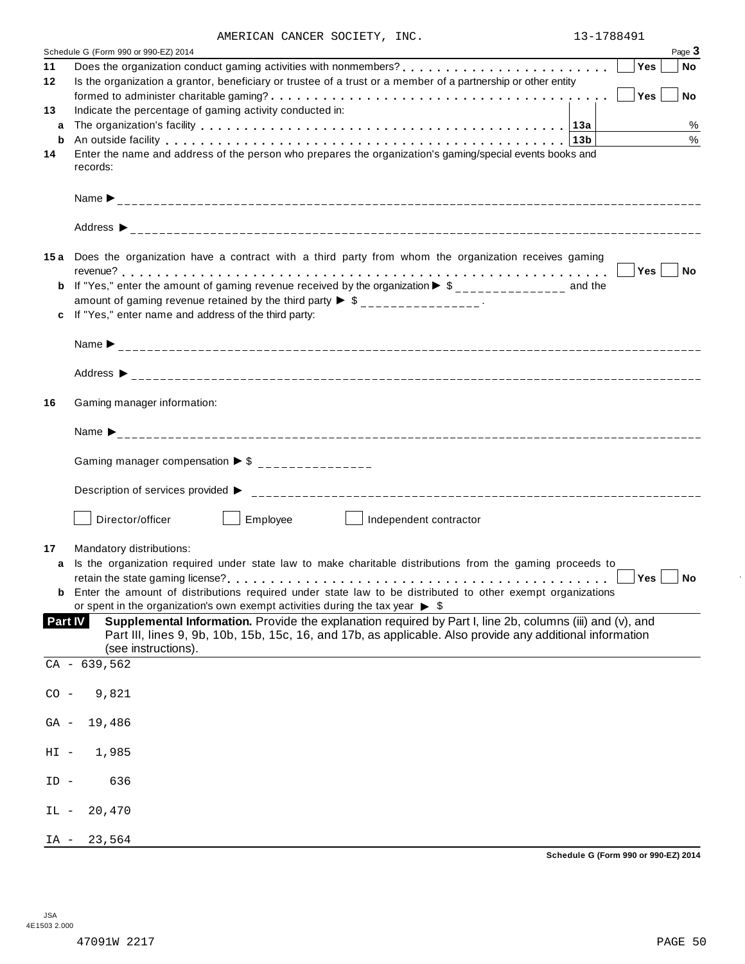|  |  |  | AMERICAN CANCER SOCIETY, INC. |  |
|--|--|--|-------------------------------|--|
|--|--|--|-------------------------------|--|

|         | AMERICAN CANCER SUCIEII, INC.                                                                                                                                                                                                 | 1. <del>.</del> |            |                     |
|---------|-------------------------------------------------------------------------------------------------------------------------------------------------------------------------------------------------------------------------------|-----------------|------------|---------------------|
| 11      | Schedule G (Form 990 or 990-EZ) 2014                                                                                                                                                                                          |                 | <b>Yes</b> | Page 3<br><b>No</b> |
| 12      | Is the organization a grantor, beneficiary or trustee of a trust or a member of a partnership or other entity                                                                                                                 |                 |            |                     |
|         |                                                                                                                                                                                                                               |                 | Yes        | $ $ No              |
| 13      | Indicate the percentage of gaming activity conducted in:                                                                                                                                                                      |                 |            |                     |
| a       |                                                                                                                                                                                                                               |                 |            | %                   |
| b       | An outside facility enterpretation of the control of the control of the control of the control of the control of the control of the control of the control of the control of the control of the control of the control of the | 13 <sub>b</sub> |            | $\%$                |
| 14      | Enter the name and address of the person who prepares the organization's gaming/special events books and<br>records:                                                                                                          |                 |            |                     |
|         |                                                                                                                                                                                                                               |                 |            |                     |
|         |                                                                                                                                                                                                                               |                 |            |                     |
|         | 15a Does the organization have a contract with a third party from whom the organization receives gaming                                                                                                                       |                 |            |                     |
|         |                                                                                                                                                                                                                               |                 |            |                     |
|         | <b>b</b> If "Yes," enter the amount of gaming revenue received by the organization $\triangleright$ \$______________ and the<br>amount of gaming revenue retained by the third party $\triangleright$ \$ _______________.     |                 |            |                     |
| c       | If "Yes," enter name and address of the third party:                                                                                                                                                                          |                 |            |                     |
|         |                                                                                                                                                                                                                               |                 |            |                     |
|         |                                                                                                                                                                                                                               |                 |            |                     |
| 16      | Gaming manager information:                                                                                                                                                                                                   |                 |            |                     |
|         |                                                                                                                                                                                                                               |                 |            |                     |
|         | Gaming manager compensation $\triangleright$ \$ _______________                                                                                                                                                               |                 |            |                     |
|         |                                                                                                                                                                                                                               |                 |            |                     |
|         | Employee<br>Director/officer<br>Independent contractor                                                                                                                                                                        |                 |            |                     |
| 17      | Mandatory distributions:                                                                                                                                                                                                      |                 |            |                     |
| a       | Is the organization required under state law to make charitable distributions from the gaming proceeds to                                                                                                                     |                 |            |                     |
|         |                                                                                                                                                                                                                               |                 | Yes        | ∣ No                |
|         | <b>b</b> Enter the amount of distributions required under state law to be distributed to other exempt organizations                                                                                                           |                 |            |                     |
|         | or spent in the organization's own exempt activities during the tax year $\triangleright$ \$                                                                                                                                  |                 |            |                     |
| Part IV | Supplemental Information. Provide the explanation required by Part I, line 2b, columns (iii) and (v), and<br>Part III, lines 9, 9b, 10b, 15b, 15c, 16, and 17b, as applicable. Also provide any additional information        |                 |            |                     |
|         | (see instructions).<br>$CA - 639, 562$                                                                                                                                                                                        |                 |            |                     |
| $CO -$  | 9,821                                                                                                                                                                                                                         |                 |            |                     |
| GA -    | 19,486                                                                                                                                                                                                                        |                 |            |                     |
| $HI -$  | 1,985                                                                                                                                                                                                                         |                 |            |                     |
| ID -    | 636                                                                                                                                                                                                                           |                 |            |                     |
| IL -    | 20,470                                                                                                                                                                                                                        |                 |            |                     |
| IA -    | 23,564                                                                                                                                                                                                                        |                 |            |                     |

 $\bar{ }$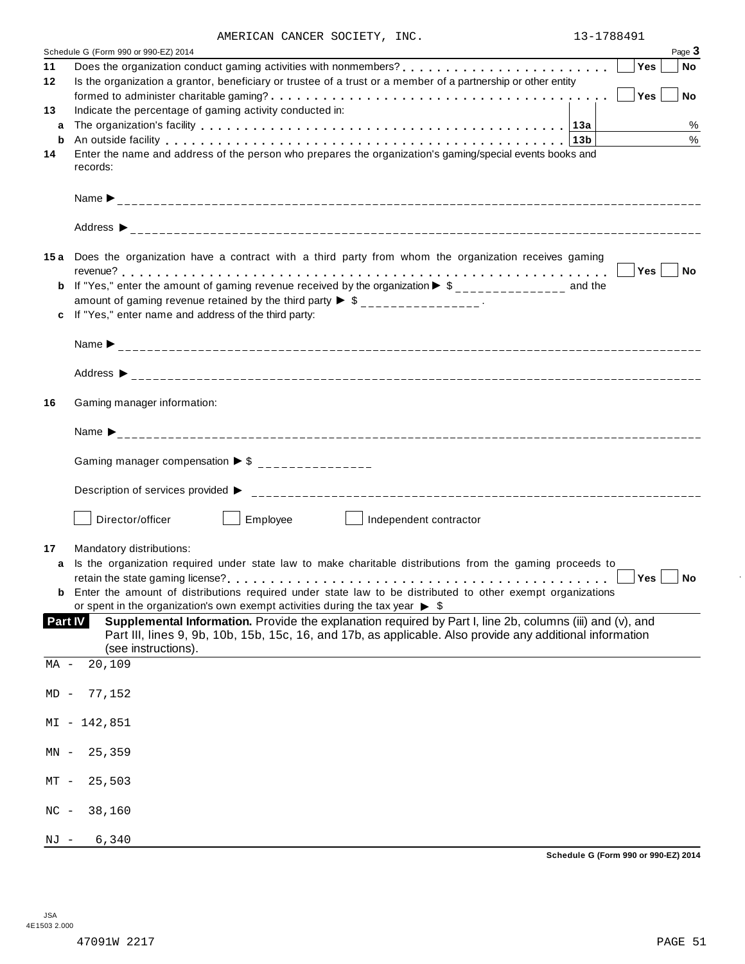|  |  |  | AMERICAN CANCER SOCIETY, INC. |  |
|--|--|--|-------------------------------|--|
|--|--|--|-------------------------------|--|

|        | AMERICAN CANCER SUCIEII, INC.<br>Schedule G (Form 990 or 990-EZ) 2014                                                                                                                                                     | エコニエノロロコフエ |     | Page 3 |
|--------|---------------------------------------------------------------------------------------------------------------------------------------------------------------------------------------------------------------------------|------------|-----|--------|
| 11     | Does the organization conduct gaming activities with nonmembers?<br><br><u> </u>                                                                                                                                          |            | Yes | ∣ No   |
| 12     | Is the organization a grantor, beneficiary or trustee of a trust or a member of a partnership or other entity                                                                                                             |            |     |        |
|        |                                                                                                                                                                                                                           |            | Yes | $ $ No |
| 13     | Indicate the percentage of gaming activity conducted in:                                                                                                                                                                  |            |     |        |
| a      |                                                                                                                                                                                                                           |            |     | $\%$   |
| b      | An outside facility enterpretation of the control of the control of the control of the control of the control o                                                                                                           |            |     | %      |
| 14     | Enter the name and address of the person who prepares the organization's gaming/special events books and<br>records:                                                                                                      |            |     |        |
|        |                                                                                                                                                                                                                           |            |     |        |
|        |                                                                                                                                                                                                                           |            |     |        |
|        | 15a Does the organization have a contract with a third party from whom the organization receives gaming                                                                                                                   |            |     |        |
|        |                                                                                                                                                                                                                           |            |     |        |
|        | <b>b</b> If "Yes," enter the amount of gaming revenue received by the organization $\triangleright$ \$______________ and the<br>amount of gaming revenue retained by the third party $\triangleright$ \$ _______________. |            |     |        |
| c      | If "Yes," enter name and address of the third party:                                                                                                                                                                      |            |     |        |
|        |                                                                                                                                                                                                                           |            |     |        |
|        |                                                                                                                                                                                                                           |            |     |        |
| 16     | Gaming manager information:                                                                                                                                                                                               |            |     |        |
|        |                                                                                                                                                                                                                           |            |     |        |
|        | Gaming manager compensation $\triangleright$ \$ _______________                                                                                                                                                           |            |     |        |
|        |                                                                                                                                                                                                                           |            |     |        |
|        | Employee<br>Director/officer<br>Independent contractor                                                                                                                                                                    |            |     |        |
| 17     | Mandatory distributions:                                                                                                                                                                                                  |            |     |        |
| a      | Is the organization required under state law to make charitable distributions from the gaming proceeds to                                                                                                                 |            |     |        |
|        |                                                                                                                                                                                                                           |            | Yes | $ $ No |
|        | <b>b</b> Enter the amount of distributions required under state law to be distributed to other exempt organizations                                                                                                       |            |     |        |
|        | or spent in the organization's own exempt activities during the tax year $\triangleright$ \$                                                                                                                              |            |     |        |
|        | <b>Part IV</b><br>Supplemental Information. Provide the explanation required by Part I, line 2b, columns (iii) and (v), and                                                                                               |            |     |        |
|        | Part III, lines 9, 9b, 10b, 15b, 15c, 16, and 17b, as applicable. Also provide any additional information                                                                                                                 |            |     |        |
|        | (see instructions).                                                                                                                                                                                                       |            |     |        |
| $MA -$ | 20,109                                                                                                                                                                                                                    |            |     |        |
| $MD -$ | 77,152                                                                                                                                                                                                                    |            |     |        |
|        | $MI - 142,851$                                                                                                                                                                                                            |            |     |        |
| $MN -$ | 25,359                                                                                                                                                                                                                    |            |     |        |
| MT -   | 25,503                                                                                                                                                                                                                    |            |     |        |
| $NC -$ | 38,160                                                                                                                                                                                                                    |            |     |        |
| NJ -   | 6,340                                                                                                                                                                                                                     |            |     |        |

 $\ddot{\phantom{a}}$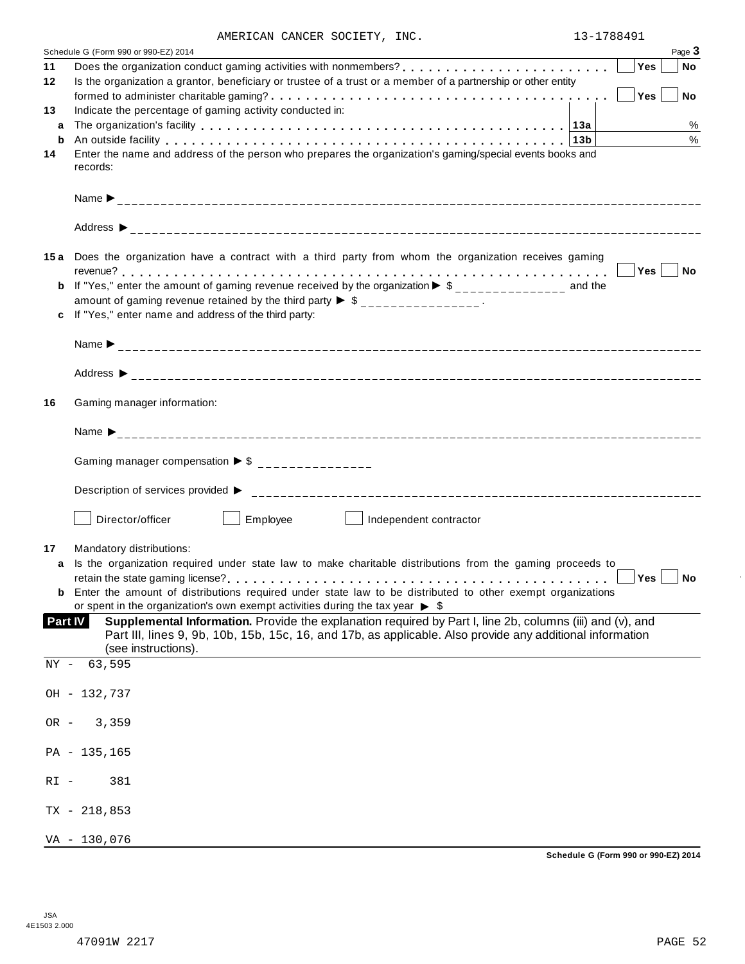|  |  |  | AMERICAN CANCER SOCIETY, INC. |  |
|--|--|--|-------------------------------|--|
|--|--|--|-------------------------------|--|

|                | AMERICAN CANCER SUCIEII, INC.<br>$13 - 100491$                                                                                                                                                                                                        |
|----------------|-------------------------------------------------------------------------------------------------------------------------------------------------------------------------------------------------------------------------------------------------------|
|                | Page 3<br>Schedule G (Form 990 or 990-EZ) 2014                                                                                                                                                                                                        |
| 11             | Yes<br><b>No</b>                                                                                                                                                                                                                                      |
| 12             | Is the organization a grantor, beneficiary or trustee of a trust or a member of a partnership or other entity                                                                                                                                         |
|                | Yes <br>$ $ No<br>formed to administer charitable gaming? $\ldots \ldots \ldots \ldots \ldots \ldots \ldots \ldots \ldots \ldots \ldots \ldots \ldots$                                                                                                |
| 13             | Indicate the percentage of gaming activity conducted in:                                                                                                                                                                                              |
| a              | %                                                                                                                                                                                                                                                     |
| b              | $\frac{0}{0}$<br>An outside facility enterpretation of the control of the control of the control of the control of the control of the control of the control of the control of the control of the control of the control of the control of the<br>13b |
| 14             | Enter the name and address of the person who prepares the organization's gaming/special events books and<br>records:                                                                                                                                  |
|                |                                                                                                                                                                                                                                                       |
|                |                                                                                                                                                                                                                                                       |
|                | 15a Does the organization have a contract with a third party from whom the organization receives gaming                                                                                                                                               |
|                |                                                                                                                                                                                                                                                       |
|                | If "Yes," enter the amount of gaming revenue received by the organization $\blacktriangleright$ \$______________ and the                                                                                                                              |
|                | amount of gaming revenue retained by the third party $\triangleright$ \$ _______________.                                                                                                                                                             |
|                | If "Yes," enter name and address of the third party:                                                                                                                                                                                                  |
|                |                                                                                                                                                                                                                                                       |
|                |                                                                                                                                                                                                                                                       |
|                |                                                                                                                                                                                                                                                       |
| 16             | Gaming manager information:                                                                                                                                                                                                                           |
|                |                                                                                                                                                                                                                                                       |
|                | Gaming manager compensation $\triangleright$ \$ _______________                                                                                                                                                                                       |
|                |                                                                                                                                                                                                                                                       |
|                | Employee<br>Director/officer<br>Independent contractor                                                                                                                                                                                                |
| 17             | Mandatory distributions:                                                                                                                                                                                                                              |
| a              | Is the organization required under state law to make charitable distributions from the gaming proceeds to                                                                                                                                             |
|                | Yes<br>∣ No                                                                                                                                                                                                                                           |
|                | <b>b</b> Enter the amount of distributions required under state law to be distributed to other exempt organizations                                                                                                                                   |
|                | or spent in the organization's own exempt activities during the tax year $\triangleright$ \$                                                                                                                                                          |
| <b>Part IV</b> | Supplemental Information. Provide the explanation required by Part I, line 2b, columns (iii) and (v), and                                                                                                                                             |
|                | Part III, lines 9, 9b, 10b, 15b, 15c, 16, and 17b, as applicable. Also provide any additional information                                                                                                                                             |
|                | (see instructions).                                                                                                                                                                                                                                   |
| NY -           | 63,595                                                                                                                                                                                                                                                |
|                |                                                                                                                                                                                                                                                       |
|                | OH - 132,737                                                                                                                                                                                                                                          |
|                |                                                                                                                                                                                                                                                       |
| $OR -$         | 3,359                                                                                                                                                                                                                                                 |
|                |                                                                                                                                                                                                                                                       |
|                | PA - 135,165                                                                                                                                                                                                                                          |
|                |                                                                                                                                                                                                                                                       |
| $RI -$         | 381                                                                                                                                                                                                                                                   |
|                |                                                                                                                                                                                                                                                       |
|                | $TX - 218,853$                                                                                                                                                                                                                                        |
|                |                                                                                                                                                                                                                                                       |
|                | VA - 130,076                                                                                                                                                                                                                                          |

 $\ddot{\phantom{a}}$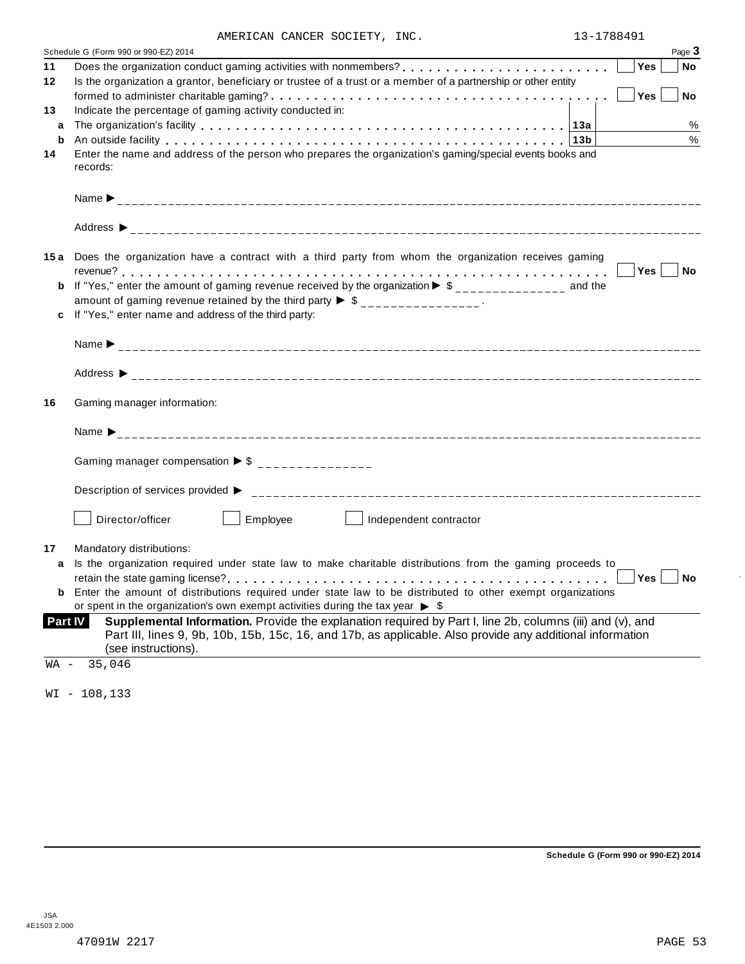|  |  | AMERICAN CANCER SOCIETY, INC. |  |
|--|--|-------------------------------|--|
|--|--|-------------------------------|--|

|                | AMERICAN CANCER SOCIETY, INC.                                                                                                | 13-1788491 |                                                                                                            |        |
|----------------|------------------------------------------------------------------------------------------------------------------------------|------------|------------------------------------------------------------------------------------------------------------|--------|
|                | Schedule G (Form 990 or 990-EZ) 2014                                                                                         |            |                                                                                                            | Page 3 |
| 11             |                                                                                                                              |            | Yes                                                                                                        | No     |
| 12             | Is the organization a grantor, beneficiary or trustee of a trust or a member of a partnership or other entity                |            |                                                                                                            |        |
|                |                                                                                                                              |            | Yes                                                                                                        | No     |
| 13             | Indicate the percentage of gaming activity conducted in:                                                                     |            |                                                                                                            |        |
| a              |                                                                                                                              |            |                                                                                                            | %      |
| b              | An outside facility enterpretation of the control of the control of the control of the control of the control o              |            |                                                                                                            | $\%$   |
| 14             | Enter the name and address of the person who prepares the organization's gaming/special events books and                     |            |                                                                                                            |        |
|                | records:                                                                                                                     |            |                                                                                                            |        |
|                |                                                                                                                              |            |                                                                                                            |        |
|                |                                                                                                                              |            |                                                                                                            |        |
|                |                                                                                                                              |            |                                                                                                            |        |
|                |                                                                                                                              |            |                                                                                                            |        |
|                |                                                                                                                              |            |                                                                                                            |        |
|                |                                                                                                                              |            |                                                                                                            |        |
|                | 15a Does the organization have a contract with a third party from whom the organization receives gaming                      |            |                                                                                                            |        |
|                |                                                                                                                              |            | Yes No                                                                                                     |        |
|                | <b>b</b> If "Yes," enter the amount of gaming revenue received by the organization $\triangleright$ \$______________ and the |            |                                                                                                            |        |
|                | amount of gaming revenue retained by the third party $\triangleright$ \$ _______________.                                    |            |                                                                                                            |        |
|                | If "Yes," enter name and address of the third party:                                                                         |            |                                                                                                            |        |
|                |                                                                                                                              |            |                                                                                                            |        |
|                |                                                                                                                              |            |                                                                                                            |        |
|                |                                                                                                                              |            |                                                                                                            |        |
|                |                                                                                                                              |            |                                                                                                            |        |
|                |                                                                                                                              |            |                                                                                                            |        |
| 16             | Gaming manager information:                                                                                                  |            |                                                                                                            |        |
|                |                                                                                                                              |            |                                                                                                            |        |
|                |                                                                                                                              |            |                                                                                                            |        |
|                | Gaming manager compensation $\triangleright$ \$ ________________                                                             |            |                                                                                                            |        |
|                |                                                                                                                              |            |                                                                                                            |        |
|                |                                                                                                                              |            |                                                                                                            |        |
|                | Description of services provided $\triangleright$                                                                            |            |                                                                                                            |        |
|                | Director/officer<br>Employee<br>Independent contractor                                                                       |            |                                                                                                            |        |
|                |                                                                                                                              |            |                                                                                                            |        |
| 17             | Mandatory distributions:                                                                                                     |            |                                                                                                            |        |
|                | Is the organization required under state law to make charitable distributions from the gaming proceeds to                    |            |                                                                                                            |        |
| a              |                                                                                                                              |            | $\begin{array}{ c c c }\n\hline\n\hline\n\end{array}$ Yes $\begin{array}{ c c c }\n\hline\n\end{array}$ No |        |
|                | <b>b</b> Enter the amount of distributions required under state law to be distributed to other exempt organizations          |            |                                                                                                            |        |
|                | or spent in the organization's own exempt activities during the tax year $\triangleright$ \$                                 |            |                                                                                                            |        |
| <b>Part IV</b> | Supplemental Information. Provide the explanation required by Part I, line 2b, columns (iii) and (v), and                    |            |                                                                                                            |        |
|                | Part III, lines 9, 9b, 10b, 15b, 15c, 16, and 17b, as applicable. Also provide any additional information                    |            |                                                                                                            |        |
|                | (see instructions).                                                                                                          |            |                                                                                                            |        |
|                |                                                                                                                              |            |                                                                                                            |        |
| WA -           | 35,046                                                                                                                       |            |                                                                                                            |        |
|                |                                                                                                                              |            |                                                                                                            |        |
|                | $WI - 108, 133$                                                                                                              |            |                                                                                                            |        |
|                |                                                                                                                              |            |                                                                                                            |        |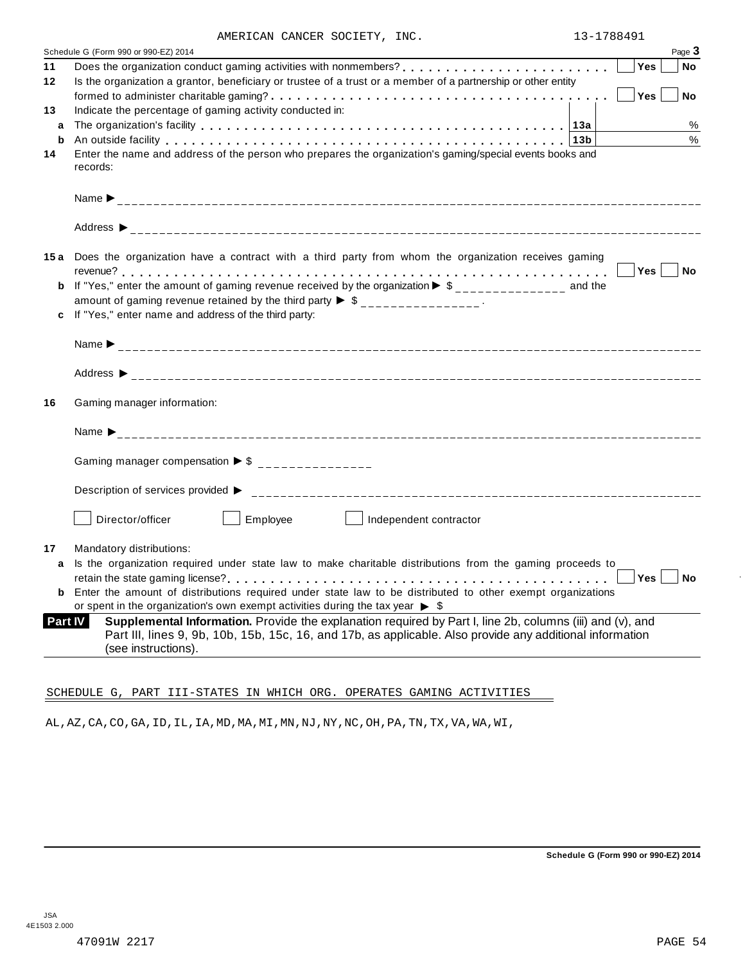|  |  | AMERICAN CANCER SOCIETY, INC. |  |
|--|--|-------------------------------|--|
|--|--|-------------------------------|--|

|                | Page 3<br>Schedule G (Form 990 or 990-EZ) 2014                                                                                                                                                                                               |
|----------------|----------------------------------------------------------------------------------------------------------------------------------------------------------------------------------------------------------------------------------------------|
| 11             | Yes<br><b>No</b>                                                                                                                                                                                                                             |
| 12             | Is the organization a grantor, beneficiary or trustee of a trust or a member of a partnership or other entity                                                                                                                                |
|                | Yes<br><b>No</b>                                                                                                                                                                                                                             |
| 13             | Indicate the percentage of gaming activity conducted in:                                                                                                                                                                                     |
| a              | %                                                                                                                                                                                                                                            |
| b              | $\%$<br>An outside facility enterpretation of the control of the control of the control of the control of the control of the control of the control of the control of the control of the control of the control of the control of the<br>13b |
| 14             | Enter the name and address of the person who prepares the organization's gaming/special events books and<br>records:                                                                                                                         |
|                |                                                                                                                                                                                                                                              |
|                |                                                                                                                                                                                                                                              |
|                |                                                                                                                                                                                                                                              |
|                |                                                                                                                                                                                                                                              |
|                | 15a Does the organization have a contract with a third party from whom the organization receives gaming<br>Yes  <br>  No                                                                                                                     |
| b              | If "Yes," enter the amount of gaming revenue received by the organization $\blacktriangleright$ \$______________ and the                                                                                                                     |
|                | amount of gaming revenue retained by the third party $\triangleright$ \$ _______________.                                                                                                                                                    |
| c              | If "Yes," enter name and address of the third party:                                                                                                                                                                                         |
|                |                                                                                                                                                                                                                                              |
|                |                                                                                                                                                                                                                                              |
|                |                                                                                                                                                                                                                                              |
| 16             | Gaming manager information:                                                                                                                                                                                                                  |
|                |                                                                                                                                                                                                                                              |
|                |                                                                                                                                                                                                                                              |
|                | Gaming manager compensation $\triangleright$ \$ _______________                                                                                                                                                                              |
|                |                                                                                                                                                                                                                                              |
|                |                                                                                                                                                                                                                                              |
|                | Employee<br>Director/officer<br>Independent contractor                                                                                                                                                                                       |
| 17             | Mandatory distributions:                                                                                                                                                                                                                     |
| a              | Is the organization required under state law to make charitable distributions from the gaming proceeds to                                                                                                                                    |
|                | Yes<br>No                                                                                                                                                                                                                                    |
| b              | Enter the amount of distributions required under state law to be distributed to other exempt organizations                                                                                                                                   |
|                | or spent in the organization's own exempt activities during the tax year $\triangleright$ \$                                                                                                                                                 |
| <b>Part IV</b> | Supplemental Information. Provide the explanation required by Part I, line 2b, columns (iii) and (v), and                                                                                                                                    |
|                | Part III, lines 9, 9b, 10b, 15b, 15c, 16, and 17b, as applicable. Also provide any additional information                                                                                                                                    |
|                | (see instructions).                                                                                                                                                                                                                          |

# SCHEDULE G, PART III-STATES IN WHICH ORG. OPERATES GAMING ACTIVITIES

AL,AZ,CA,CO,GA,ID,IL,IA,MD,MA,MI,MN,NJ,NY,NC,OH,PA,TN,TX,VA,WA,WI,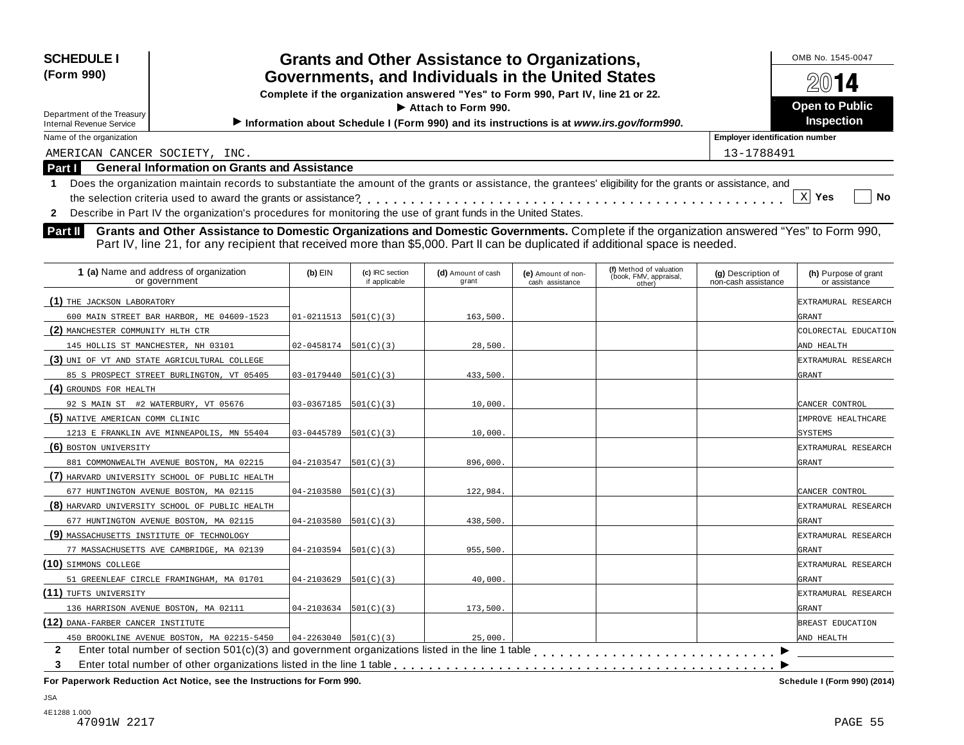| <b>SCHEDULE I</b><br>(Form 990)<br>Department of the Treasury<br><b>Internal Revenue Service</b> | OMB No. 1545-0047<br>2014<br><b>Open to Public</b><br>Inspection                                                                                                                                                                                                            |           |  |  |  |  |
|--------------------------------------------------------------------------------------------------|-----------------------------------------------------------------------------------------------------------------------------------------------------------------------------------------------------------------------------------------------------------------------------|-----------|--|--|--|--|
| Name of the organization<br><b>Employer identification number</b>                                |                                                                                                                                                                                                                                                                             |           |  |  |  |  |
| AMERICAN CANCER SOCIETY, INC.                                                                    | 13-1788491                                                                                                                                                                                                                                                                  |           |  |  |  |  |
| Part I                                                                                           | <b>General Information on Grants and Assistance</b>                                                                                                                                                                                                                         |           |  |  |  |  |
|                                                                                                  | Does the organization maintain records to substantiate the amount of the grants or assistance, the grantees' eligibility for the grants or assistance, and<br>Describe in Part IV the organization's procedures for monitoring the use of grant funds in the United States. | No<br>Yes |  |  |  |  |
| <b>Part II</b>                                                                                   | Grants and Other Assistance to Domestic Organizations and Domestic Governments. Complete if the organization answered "Yes" to Form 990,<br>Part IV, line 21, for any recipient that received more than \$5,000. Part II can be duplicated if additional space is needed.   |           |  |  |  |  |

| 1 (a) Name and address of organization<br>or government | $(b)$ EIN                  | (c) IRC section<br>if applicable | (d) Amount of cash<br>grant | (e) Amount of non-<br>cash assistance | (f) Method of valuation<br>(book, FMV, appraisal,<br>other) | (g) Description of<br>non-cash assistance | (h) Purpose of grant<br>or assistance |
|---------------------------------------------------------|----------------------------|----------------------------------|-----------------------------|---------------------------------------|-------------------------------------------------------------|-------------------------------------------|---------------------------------------|
| (1) THE JACKSON LABORATORY                              |                            |                                  |                             |                                       |                                                             |                                           | EXTRAMURAL RESEARCH                   |
| 600 MAIN STREET BAR HARBOR, ME 04609-1523               | $01-0211513$ $501(C)(3)$   |                                  | 163,500.                    |                                       |                                                             |                                           | GRANT                                 |
| (2) MANCHESTER COMMUNITY HLTH CTR                       |                            |                                  |                             |                                       |                                                             |                                           | COLORECTAL EDUCATION                  |
| 145 HOLLIS ST MANCHESTER, NH 03101                      | $ 02-0458174 501(C)(3)$    |                                  | 28,500.                     |                                       |                                                             |                                           | AND HEALTH                            |
| (3) UNI OF VT AND STATE AGRICULTURAL COLLEGE            |                            |                                  |                             |                                       |                                                             |                                           | EXTRAMURAL RESEARCH                   |
| 85 S PROSPECT STREET BURLINGTON, VT 05405               | 03-0179440                 | 501(C)(3)                        | 433,500.                    |                                       |                                                             |                                           | GRANT                                 |
| (4) GROUNDS FOR HEALTH                                  |                            |                                  |                             |                                       |                                                             |                                           |                                       |
| 92 S MAIN ST #2 WATERBURY, VT 05676                     | $03-0367185$ 501(C)(3)     |                                  | 10,000.                     |                                       |                                                             |                                           | CANCER CONTROL                        |
| (5) NATIVE AMERICAN COMM CLINIC                         |                            |                                  |                             |                                       |                                                             |                                           | IMPROVE HEALTHCARE                    |
| 1213 E FRANKLIN AVE MINNEAPOLIS, MN 55404               | $03-0445789$ 501(C)(3)     |                                  | 10,000.                     |                                       |                                                             |                                           | <b>SYSTEMS</b>                        |
| (6) BOSTON UNIVERSITY                                   |                            |                                  |                             |                                       |                                                             |                                           | EXTRAMURAL RESEARCH                   |
| 881 COMMONWEALTH AVENUE BOSTON, MA 02215                | 04-2103547                 | 501(C)(3)                        | 896,000.                    |                                       |                                                             |                                           | GRANT                                 |
| (7) HARVARD UNIVERSITY SCHOOL OF PUBLIC HEALTH          |                            |                                  |                             |                                       |                                                             |                                           |                                       |
| 677 HUNTINGTON AVENUE BOSTON, MA 02115                  | $04 - 2103580$  501(C)(3)  |                                  | 122,984.                    |                                       |                                                             |                                           | CANCER CONTROL                        |
| (8) HARVARD UNIVERSITY SCHOOL OF PUBLIC HEALTH          |                            |                                  |                             |                                       |                                                             |                                           | EXTRAMURAL RESEARCH                   |
| 677 HUNTINGTON AVENUE BOSTON, MA 02115                  | $04 - 2103580$ $501(C)(3)$ |                                  | 438,500.                    |                                       |                                                             |                                           | GRANT                                 |
| (9) MASSACHUSETTS INSTITUTE OF TECHNOLOGY               |                            |                                  |                             |                                       |                                                             |                                           | EXTRAMURAL RESEARCH                   |
| 77 MASSACHUSETTS AVE CAMBRIDGE, MA 02139                | $04 - 2103594$ 501(C)(3)   |                                  | 955,500.                    |                                       |                                                             |                                           | GRANT                                 |
| (10) SIMMONS COLLEGE                                    |                            |                                  |                             |                                       |                                                             |                                           | EXTRAMURAL RESEARCH                   |
| 51 GREENLEAF CIRCLE FRAMINGHAM, MA 01701                | 04-2103629                 | 501(C)(3)                        | 40,000.                     |                                       |                                                             |                                           | GRANT                                 |
| (11) TUFTS UNIVERSITY                                   |                            |                                  |                             |                                       |                                                             |                                           | EXTRAMURAL RESEARCH                   |
| 136 HARRISON AVENUE BOSTON, MA 02111                    | $04 - 2103634$ 501(C)(3)   |                                  | 173,500.                    |                                       |                                                             |                                           | GRANT                                 |
| (12) DANA-FARBER CANCER INSTITUTE                       |                            |                                  |                             |                                       |                                                             |                                           | BREAST EDUCATION                      |
| 450 BROOKLINE AVENUE BOSTON, MA 02215-5450              | $04 - 2263040$ 501(C)(3)   |                                  | 25,000.                     |                                       |                                                             |                                           | AND HEALTH                            |
| $\mathbf{2}$                                            |                            |                                  |                             |                                       |                                                             |                                           |                                       |
| 3                                                       |                            |                                  |                             |                                       |                                                             |                                           |                                       |

**For Paperwork Reduction Act Notice, see the Instructions for Form 990. Schedule I (Form 990) (2014)**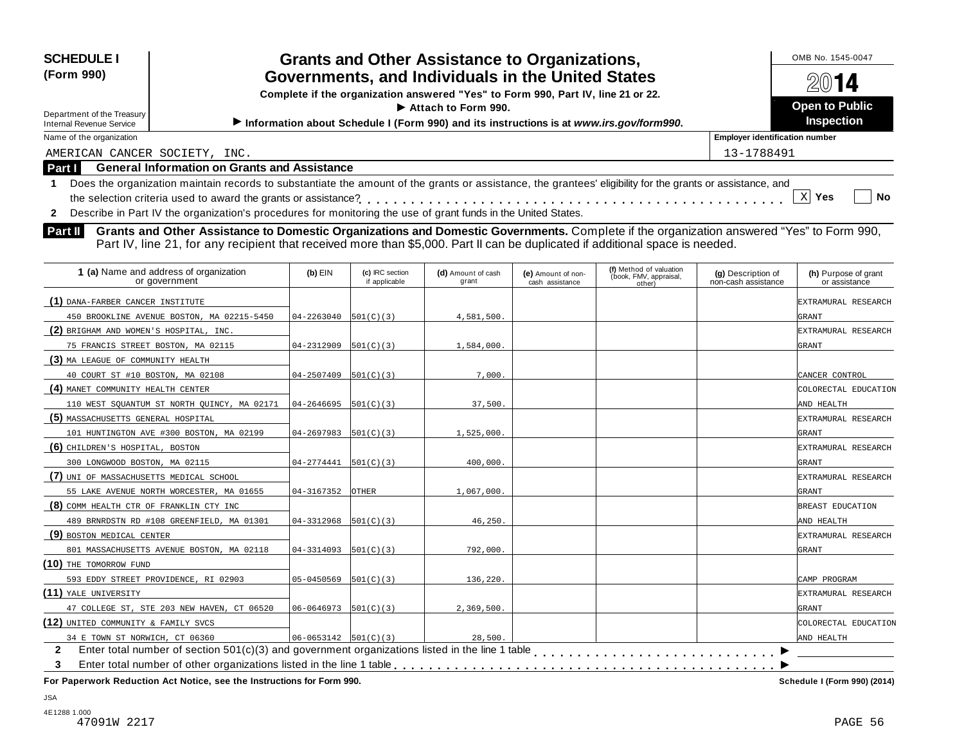| <b>SCHEDULE I</b><br><b>Grants and Other Assistance to Organizations,</b><br>Governments, and Individuals in the United States<br>(Form 990)<br>Complete if the organization answered "Yes" to Form 990, Part IV, line 21 or 22.<br>$\blacktriangleright$ Attach to Form 990.<br>Department of the Treasury<br>Information about Schedule I (Form 990) and its instructions is at www.irs.gov/form990.<br><b>Internal Revenue Service</b> |                                                         |                         |                                  |                             |                                       |                                                             |                                           | OMB No. 1545-0047<br><b>Open to Public</b><br><b>Inspection</b> |
|-------------------------------------------------------------------------------------------------------------------------------------------------------------------------------------------------------------------------------------------------------------------------------------------------------------------------------------------------------------------------------------------------------------------------------------------|---------------------------------------------------------|-------------------------|----------------------------------|-----------------------------|---------------------------------------|-------------------------------------------------------------|-------------------------------------------|-----------------------------------------------------------------|
| Name of the organization                                                                                                                                                                                                                                                                                                                                                                                                                  |                                                         |                         |                                  |                             |                                       |                                                             | <b>Employer identification number</b>     |                                                                 |
| AMERICAN CANCER SOCIETY, INC.                                                                                                                                                                                                                                                                                                                                                                                                             |                                                         |                         |                                  |                             |                                       |                                                             | 13-1788491                                |                                                                 |
| <b>Part I</b>                                                                                                                                                                                                                                                                                                                                                                                                                             | <b>General Information on Grants and Assistance</b>     |                         |                                  |                             |                                       |                                                             |                                           |                                                                 |
| Does the organization maintain records to substantiate the amount of the grants or assistance, the grantees' eligibility for the grants or assistance, and<br>X<br>No<br>Yes<br>Describe in Part IV the organization's procedures for monitoring the use of grant funds in the United States.<br>$\mathbf{2}$                                                                                                                             |                                                         |                         |                                  |                             |                                       |                                                             |                                           |                                                                 |
| <b>Part II</b><br>Grants and Other Assistance to Domestic Organizations and Domestic Governments. Complete if the organization answered "Yes" to Form 990,<br>Part IV, line 21, for any recipient that received more than \$5,000. Part II can be duplicated if additional space is needed.                                                                                                                                               |                                                         |                         |                                  |                             |                                       |                                                             |                                           |                                                                 |
|                                                                                                                                                                                                                                                                                                                                                                                                                                           | 1 (a) Name and address of organization<br>or government | $(b)$ EIN               | (c) IRC section<br>if applicable | (d) Amount of cash<br>grant | (e) Amount of non-<br>cash assistance | (f) Method of valuation<br>(book, FMV, appraisal,<br>other) | (g) Description of<br>non-cash assistance | (h) Purpose of grant<br>or assistance                           |
| (1) DANA-FARBER CANCER INSTITUTE                                                                                                                                                                                                                                                                                                                                                                                                          |                                                         |                         |                                  |                             |                                       |                                                             |                                           | EXTRAMURAL RESEARCH                                             |
|                                                                                                                                                                                                                                                                                                                                                                                                                                           | 450 BROOKLINE AVENUE BOSTON, MA 02215-5450              | $ 04-2263040 501(C)(3)$ |                                  | 4,581,500.                  |                                       |                                                             |                                           | GRANT                                                           |

**(2)** BRIGHAM AND WOMEN'S HOSPITAL, INC. EXTRAMURAL RESEARCH

75 FRANCIS STREET BOSTON, MA 02115  $04-2312909 \big| 501(C)(3)$  1,584,000.

**(4)** MANET COMMUNITY HEALTH CENTER COLORECTAL EDUCATION

40 COURT ST #10 BOSTON, MA 02108 04-2507409 501(C)(3) 7,000. CANCER CONTROL

110 WEST SQUANTUM ST NORTH QUINCY, MA 02171 04-2646695 501(C)(3) 37,500. 337,500.

101 HUNTINGTON AVE #300 BOSTON, MA 02199 04-2697983 501(C)(3) 1,525,000.

**(5)** MASSACHUSETTS GENERAL HOSPITAL EXTRAMURAL RESEARCH

**(6)** CHILDREN'S HOSPITAL, BOSTON EXTRAMURAL RESEARCH

| 300 LONGWOOD BOSTON, MA 02115              | $04-2774441$ 501(C)(3)       |              | 400,000.   | <b>GRANT</b>     |
|--------------------------------------------|------------------------------|--------------|------------|------------------|
| (7) UNI OF MASSACHUSETTS MEDICAL SCHOOL    |                              |              |            | EXTRAMURAL RESEA |
| 55 LAKE AVENUE NORTH WORCESTER, MA 01655   | 04-3167352                   | <b>OTHER</b> | 1,067,000. | <b>GRANT</b>     |
| (8) COMM HEALTH CTR OF FRANKLIN CTY INC    |                              |              |            | BREAST EDUCATION |
| 489 BRNRDSTN RD #108 GREENFIELD, MA 01301  | 04-3312968                   | 501(C)(3)    | 46,250.    | AND HEALTH       |
| (9) BOSTON MEDICAL CENTER                  |                              |              |            | EXTRAMURAL RESEA |
| 801 MASSACHUSETTS AVENUE BOSTON, MA 02118  | 04-3314093                   | 501(C)(3)    | 792,000.   | <b>GRANT</b>     |
| (10) THE TOMORROW FUND                     |                              |              |            |                  |
| 593 EDDY STREET PROVIDENCE, RI 02903       | 05-0450569                   | 501(C)(3)    | 136,220.   | CAMP PROGRAM     |
| (11) YALE UNIVERSITY                       |                              |              |            | EXTRAMURAL RESEA |
| 47 COLLEGE ST, STE 203 NEW HAVEN, CT 06520 | $06 - 0646973$ $[501(C)(3)]$ |              | 2,369,500. | <b>GRANT</b>     |
| (12) UNITED COMMUNITY & FAMILY SVCS        |                              |              |            | COLORECTAL EDUCA |
| 34 E TOWN ST NORWICH, CT 06360             | $ 06-0653142 501(C)(3)$      |              | 28,500.    | AND HEALTH       |
| $\mathbf{2}$                               |                              |              |            |                  |
| 3                                          |                              |              |            |                  |
|                                            |                              |              |            |                  |

**For Paperwork Reduction Act Notice, see the Instructions for Form 990. Schedule I (Form 990) (2014)**

 $\overline{\phantom{1}}$ 

EXTRAMURAL RESEARCH

EXTRAMURAL RESEARCH

EXTRAMURAL RESEARCH

COLORECTAL EDUCATION

**(3)** MA LEAGUE OF COMMUNITY HEALTH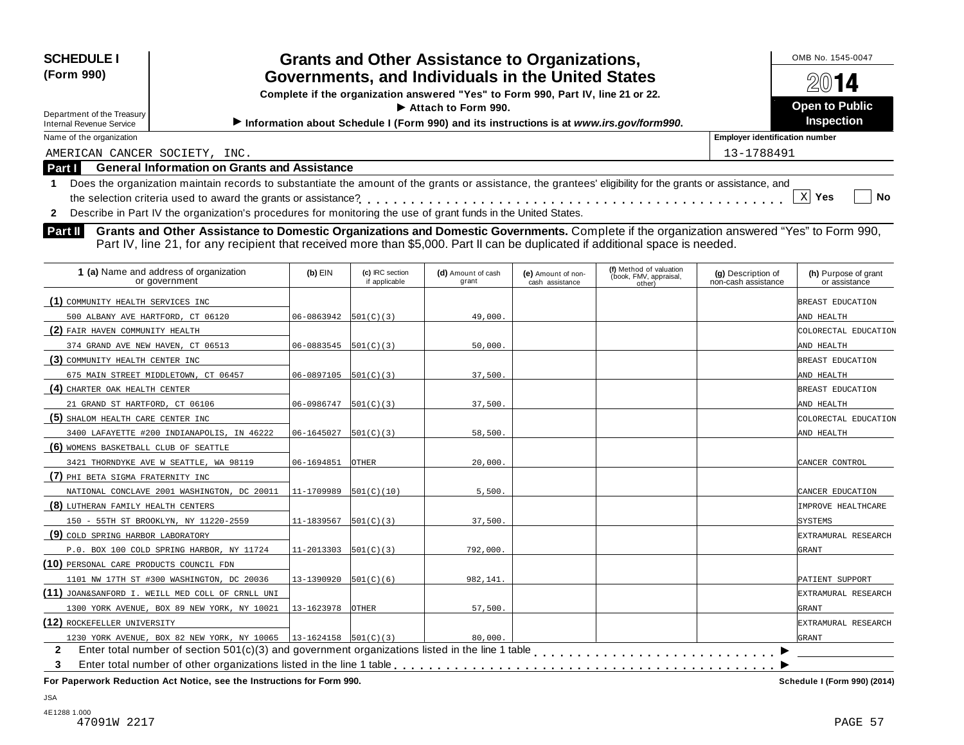| <b>SCHEDULE I</b><br>(Form 990)<br>Department of the Treasury<br><b>Internal Revenue Service</b> | <b>Grants and Other Assistance to Organizations,</b><br>Governments, and Individuals in the United States<br>Complete if the organization answered "Yes" to Form 990, Part IV, line 21 or 22.<br>$\blacktriangleright$ Attach to Form 990.<br>Information about Schedule I (Form 990) and its instructions is at www.irs.gov/form990. | OMB No. 1545-0047<br>2014<br><b>Open to Public</b><br><b>Inspection</b> |  |  |  |  |  |  |
|--------------------------------------------------------------------------------------------------|---------------------------------------------------------------------------------------------------------------------------------------------------------------------------------------------------------------------------------------------------------------------------------------------------------------------------------------|-------------------------------------------------------------------------|--|--|--|--|--|--|
| Name of the organization                                                                         | <b>Employer identification number</b>                                                                                                                                                                                                                                                                                                 |                                                                         |  |  |  |  |  |  |
| AMERICAN CANCER SOCIETY, INC.                                                                    |                                                                                                                                                                                                                                                                                                                                       | 13-1788491                                                              |  |  |  |  |  |  |
| <b>Part I</b>                                                                                    | <b>General Information on Grants and Assistance</b>                                                                                                                                                                                                                                                                                   |                                                                         |  |  |  |  |  |  |
| $\mathbf{2}$                                                                                     | Does the organization maintain records to substantiate the amount of the grants or assistance, the grantees' eligibility for the grants or assistance, and<br>x <sub>l</sub><br><b>No</b><br>Yes<br>Describe in Part IV the organization's procedures for monitoring the use of grant funds in the United States.                     |                                                                         |  |  |  |  |  |  |
| <b>Part II</b>                                                                                   | Grants and Other Assistance to Domestic Organizations and Domestic Governments. Complete if the organization answered "Yes" to Form 990,<br>Part IV, line 21, for any recipient that received more than \$5,000. Part II can be duplicated if additional space is needed.                                                             |                                                                         |  |  |  |  |  |  |

| 1 (a) Name and address of organization<br>or government          | $(b)$ EIN                  | (c) IRC section<br>if applicable | (d) Amount of cash<br>grant | (e) Amount of non-<br>cash assistance | (f) Method of valuation<br>(book, FMV, appraisal,<br>other) | (g) Description of<br>non-cash assistance | (h) Purpose of grant<br>or assistance |
|------------------------------------------------------------------|----------------------------|----------------------------------|-----------------------------|---------------------------------------|-------------------------------------------------------------|-------------------------------------------|---------------------------------------|
| (1) COMMUNITY HEALTH SERVICES INC                                |                            |                                  |                             |                                       |                                                             |                                           | BREAST EDUCATION                      |
| 500 ALBANY AVE HARTFORD, CT 06120                                | $06 - 0863942$ 501(C)(3)   |                                  | 49,000.                     |                                       |                                                             |                                           | AND HEALTH                            |
| (2) FAIR HAVEN COMMUNITY HEALTH                                  |                            |                                  |                             |                                       |                                                             |                                           | COLORECTAL EDUCATION                  |
| 374 GRAND AVE NEW HAVEN, CT 06513                                | $06 - 0883545$  501(C)(3)  |                                  | 50,000.                     |                                       |                                                             |                                           | AND HEALTH                            |
| (3) COMMUNITY HEALTH CENTER INC                                  |                            |                                  |                             |                                       |                                                             |                                           | BREAST EDUCATION                      |
| 675 MAIN STREET MIDDLETOWN, CT 06457                             | 06-0897105                 | 501(C)(3)                        | 37,500                      |                                       |                                                             |                                           | AND HEALTH                            |
| (4) CHARTER OAK HEALTH CENTER                                    |                            |                                  |                             |                                       |                                                             |                                           | BREAST EDUCATION                      |
| 21 GRAND ST HARTFORD, CT 06106                                   | $06-0986747$ 501(C)(3)     |                                  | 37,500.                     |                                       |                                                             |                                           | AND HEALTH                            |
| (5) SHALOM HEALTH CARE CENTER INC                                |                            |                                  |                             |                                       |                                                             |                                           | COLORECTAL EDUCATION                  |
| 3400 LAFAYETTE #200 INDIANAPOLIS, IN 46222                       | 06-1645027                 | 501(C)(3)                        | 58,500                      |                                       |                                                             |                                           | AND HEALTH                            |
| (6) WOMENS BASKETBALL CLUB OF SEATTLE                            |                            |                                  |                             |                                       |                                                             |                                           |                                       |
| 3421 THORNDYKE AVE W SEATTLE, WA 98119                           | 06-1694851                 | <b>OTHER</b>                     | 20,000                      |                                       |                                                             |                                           | CANCER CONTROL                        |
| (7) PHI BETA SIGMA FRATERNITY INC                                |                            |                                  |                             |                                       |                                                             |                                           |                                       |
| NATIONAL CONCLAVE 2001 WASHINGTON, DC 20011                      | 11-1709989                 | 501(C)(10)                       | 5,500.                      |                                       |                                                             |                                           | CANCER EDUCATION                      |
| (8) LUTHERAN FAMILY HEALTH CENTERS                               |                            |                                  |                             |                                       |                                                             |                                           | <b>IMPROVE HEALTHCARE</b>             |
| 150 - 55TH ST BROOKLYN, NY 11220-2559                            | 11-1839567                 | 501(C)(3)                        | 37,500.                     |                                       |                                                             |                                           | SYSTEMS                               |
| (9) COLD SPRING HARBOR LABORATORY                                |                            |                                  |                             |                                       |                                                             |                                           | EXTRAMURAL RESEARCH                   |
| P.O. BOX 100 COLD SPRING HARBOR, NY 11724                        | $11-2013303$ $ 501(C)(3) $ |                                  | 792,000                     |                                       |                                                             |                                           | GRANT                                 |
| (10) PERSONAL CARE PRODUCTS COUNCIL FDN                          |                            |                                  |                             |                                       |                                                             |                                           |                                       |
| 1101 NW 17TH ST #300 WASHINGTON, DC 20036                        | 13-1390920                 | 501(C)(6)                        | 982,141.                    |                                       |                                                             |                                           | PATIENT SUPPORT                       |
| (11) JOAN&SANFORD I. WEILL MED COLL OF CRNLL UNI                 |                            |                                  |                             |                                       |                                                             |                                           | EXTRAMURAL RESEARCH                   |
| 1300 YORK AVENUE, BOX 89 NEW YORK, NY 10021                      | 13-1623978                 | <b>OTHER</b>                     | 57,500.                     |                                       |                                                             |                                           | GRANT                                 |
| (12) ROCKEFELLER UNIVERSITY                                      |                            |                                  |                             |                                       |                                                             |                                           | EXTRAMURAL RESEARCH                   |
| 1230 YORK AVENUE, BOX 82 NEW YORK, NY 10065 13-1624158 501(C)(3) |                            |                                  | 80,000                      |                                       |                                                             |                                           | GRANT                                 |
| $\mathbf{2}$                                                     |                            |                                  |                             |                                       |                                                             |                                           |                                       |
| 3                                                                |                            |                                  |                             |                                       |                                                             |                                           |                                       |

JSA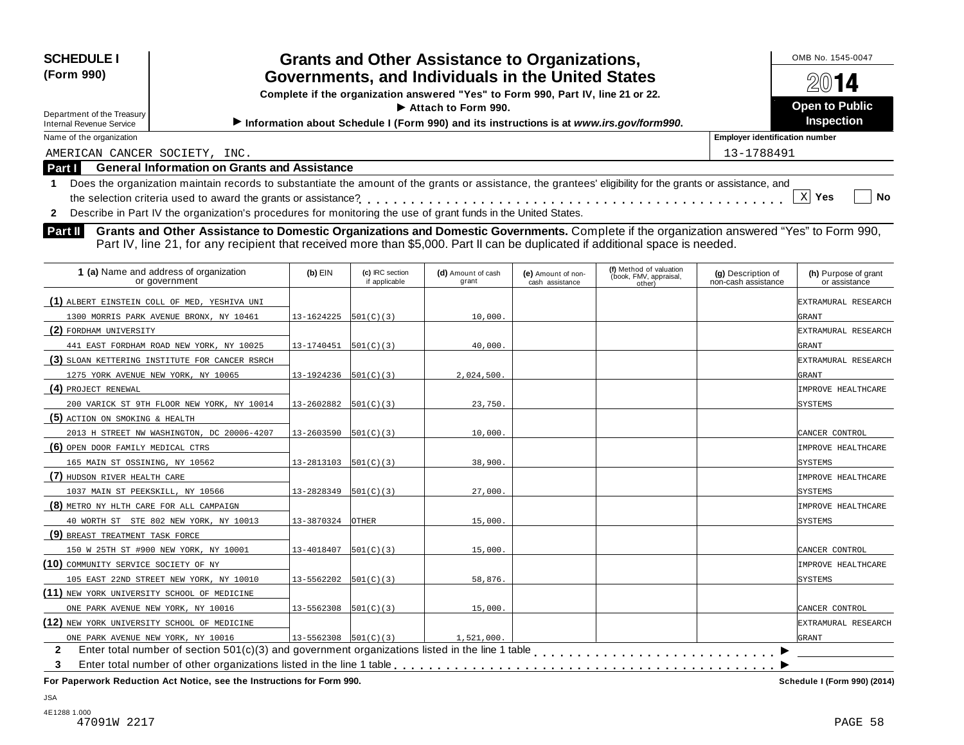| <b>SCHEDULE I</b>                                                                                                                                                |                            |                                  | <b>Grants and Other Assistance to Organizations,</b>                                    |                                       |                                                             |                                           | OMB No. 1545-0047                     |  |
|------------------------------------------------------------------------------------------------------------------------------------------------------------------|----------------------------|----------------------------------|-----------------------------------------------------------------------------------------|---------------------------------------|-------------------------------------------------------------|-------------------------------------------|---------------------------------------|--|
| (Form 990)                                                                                                                                                       |                            |                                  | Governments, and Individuals in the United States                                       |                                       |                                                             |                                           | $20$ 14                               |  |
|                                                                                                                                                                  |                            |                                  | Complete if the organization answered "Yes" to Form 990, Part IV, line 21 or 22.        |                                       |                                                             |                                           |                                       |  |
| Attach to Form 990.<br>Department of the Treasury                                                                                                                |                            |                                  |                                                                                         |                                       |                                                             |                                           | <b>Open to Public</b>                 |  |
| <b>Internal Revenue Service</b>                                                                                                                                  |                            |                                  | Information about Schedule I (Form 990) and its instructions is at www.irs.gov/form990. |                                       |                                                             |                                           | Inspection                            |  |
| Name of the organization                                                                                                                                         |                            |                                  |                                                                                         |                                       |                                                             | <b>Employer identification number</b>     |                                       |  |
| AMERICAN CANCER SOCIETY, INC.                                                                                                                                    |                            |                                  |                                                                                         |                                       |                                                             | 13-1788491                                |                                       |  |
| <b>General Information on Grants and Assistance</b><br>Part I                                                                                                    |                            |                                  |                                                                                         |                                       |                                                             |                                           |                                       |  |
| Does the organization maintain records to substantiate the amount of the grants or assistance, the grantees' eligibility for the grants or assistance, and<br>-1 |                            |                                  |                                                                                         |                                       |                                                             |                                           |                                       |  |
| the selection criteria used to award the grants or assistance?                                                                                                   |                            |                                  |                                                                                         |                                       |                                                             |                                           | $\mathbf{x}$<br>Yes<br><b>No</b>      |  |
| Describe in Part IV the organization's procedures for monitoring the use of grant funds in the United States.<br>$\mathbf{2}$                                    |                            |                                  |                                                                                         |                                       |                                                             |                                           |                                       |  |
| Grants and Other Assistance to Domestic Organizations and Domestic Governments. Complete if the organization answered "Yes" to Form 990,<br>Part II              |                            |                                  |                                                                                         |                                       |                                                             |                                           |                                       |  |
| Part IV, line 21, for any recipient that received more than \$5,000. Part II can be duplicated if additional space is needed.                                    |                            |                                  |                                                                                         |                                       |                                                             |                                           |                                       |  |
|                                                                                                                                                                  |                            |                                  |                                                                                         |                                       |                                                             |                                           |                                       |  |
| 1 (a) Name and address of organization<br>or government                                                                                                          | $(b)$ EIN                  | (c) IRC section<br>if applicable | (d) Amount of cash<br>grant                                                             | (e) Amount of non-<br>cash assistance | (f) Method of valuation<br>(book, FMV, appraisal,<br>other) | (g) Description of<br>non-cash assistance | (h) Purpose of grant<br>or assistance |  |
| (1) ALBERT EINSTEIN COLL OF MED, YESHIVA UNI                                                                                                                     |                            |                                  |                                                                                         |                                       |                                                             |                                           | EXTRAMURAL RESEARCH                   |  |
| 1300 MORRIS PARK AVENUE BRONX, NY 10461                                                                                                                          | 13-1624225                 | 501(C)(3)                        | 10,000.                                                                                 |                                       |                                                             |                                           | GRANT                                 |  |
| (2) FORDHAM UNIVERSITY                                                                                                                                           |                            |                                  |                                                                                         |                                       |                                                             |                                           | EXTRAMURAL RESEARCH                   |  |
| 441 EAST FORDHAM ROAD NEW YORK, NY 10025                                                                                                                         | 13-1740451                 | 501(C)(3)                        | 40,000.                                                                                 |                                       |                                                             |                                           | GRANT                                 |  |
| (3) SLOAN KETTERING INSTITUTE FOR CANCER RSRCH                                                                                                                   |                            |                                  |                                                                                         |                                       |                                                             |                                           | EXTRAMURAL RESEARCH                   |  |
| 1275 YORK AVENUE NEW YORK, NY 10065                                                                                                                              | 13-1924236                 | 501(C)(3)                        | 2,024,500.                                                                              |                                       |                                                             |                                           | GRANT                                 |  |
| (4) PROJECT RENEWAL                                                                                                                                              |                            |                                  |                                                                                         |                                       |                                                             |                                           | IMPROVE HEALTHCARE                    |  |
| 200 VARICK ST 9TH FLOOR NEW YORK, NY 10014                                                                                                                       | 13-2602882                 | 501(C)(3)                        | 23,750.                                                                                 |                                       |                                                             |                                           | SYSTEMS                               |  |
| (5) ACTION ON SMOKING & HEALTH                                                                                                                                   |                            |                                  |                                                                                         |                                       |                                                             |                                           |                                       |  |
| 2013 H STREET NW WASHINGTON, DC 20006-4207                                                                                                                       | $13 - 2603590$ $501(C)(3)$ |                                  | 10,000.                                                                                 |                                       |                                                             |                                           | CANCER CONTROL                        |  |
| (6) OPEN DOOR FAMILY MEDICAL CTRS                                                                                                                                |                            |                                  |                                                                                         |                                       |                                                             |                                           | IMPROVE HEALTHCARE                    |  |
| 165 MAIN ST OSSINING, NY 10562                                                                                                                                   | 13-2813103                 | 501(C)(3)                        | 38,900.                                                                                 |                                       |                                                             |                                           | <b>SYSTEMS</b>                        |  |
| (7) HUDSON RIVER HEALTH CARE                                                                                                                                     |                            |                                  |                                                                                         |                                       |                                                             |                                           | IMPROVE HEALTHCARE                    |  |
| 1037 MAIN ST PEEKSKILL, NY 10566                                                                                                                                 | 13-2828349                 | 501(C)(3)                        | 27,000.                                                                                 |                                       |                                                             |                                           | <b>SYSTEMS</b>                        |  |
| (8) METRO NY HLTH CARE FOR ALL CAMPAIGN                                                                                                                          |                            |                                  |                                                                                         |                                       |                                                             |                                           | IMPROVE HEALTHCARE                    |  |
| 40 WORTH ST STE 802 NEW YORK, NY 10013                                                                                                                           | 13-3870324                 | <b>OTHER</b>                     | 15,000.                                                                                 |                                       |                                                             |                                           | <b>SYSTEMS</b>                        |  |
| (9) BREAST TREATMENT TASK FORCE                                                                                                                                  |                            |                                  |                                                                                         |                                       |                                                             |                                           |                                       |  |
| 150 W 25TH ST #900 NEW YORK, NY 10001                                                                                                                            | $13-4018407$ 501(C)(3)     |                                  | 15,000.                                                                                 |                                       |                                                             |                                           | CANCER CONTROL                        |  |

**(10)** COMMUNITY SERVICE SOCIETY OF NY IMPROVE HEALTHCARE

105 EAST 22ND STREET NEW YORK, NY 10010 13-5562202 501(C)(3) 58,876.

**(12)** NEW YORK UNIVERSITY SCHOOL OF MEDICINE EXTRAMURAL RESEARCH

ONE PARK AVENUE NEW YORK, NY 10016 13-5562308 501(C)(3) 15,000. 15,000.

Enter total number of section 501(c)(3) and government organizations listed in the line 1 table m m m m m m m m m m m m m m m m m m m m m m m m m m m m m m m m m m m m m m m m m m m m

Enter total number of other organizations listed in the line 1 table

ONE PARK AVENUE NEW YORK, NY 10016 13-5562308 501(C)(3) 1,521,000.

 $\overline{\phantom{1}}$ 

GRANT

m m m m m m m m m m m m m m m m m m m m m m m m m m m m

**2 3**

**(11)** NEW YORK UNIVERSITY SCHOOL OF MEDICINE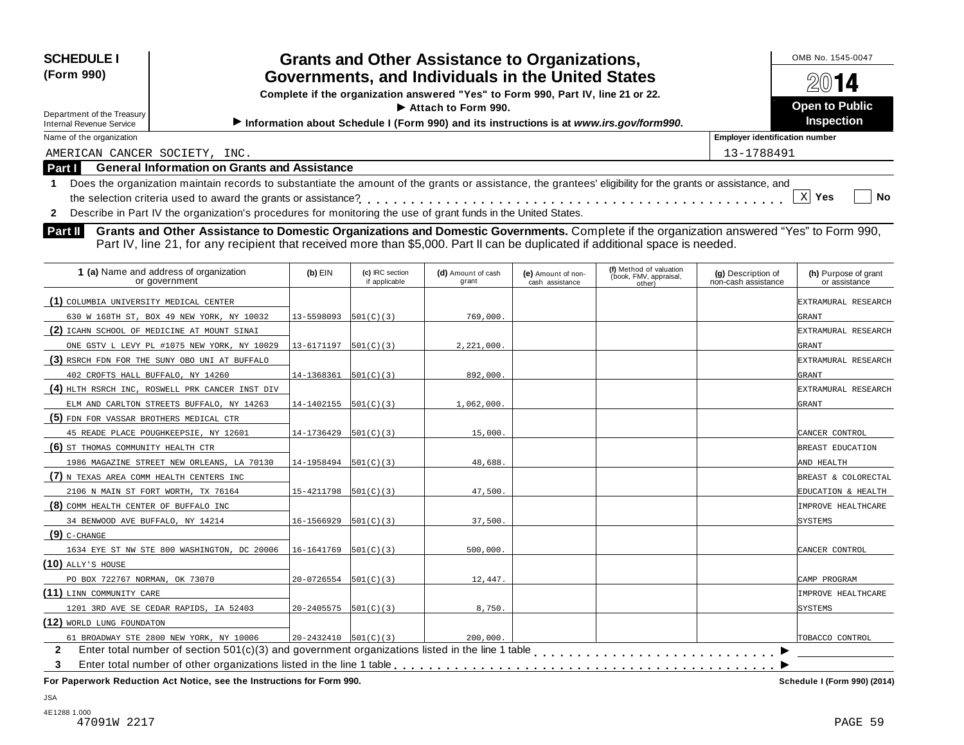| <b>SCHEDULE I</b>                                                                                                                                                |                            |                                  | <b>Grants and Other Assistance to Organizations,</b>                                    |                                                                                        |                                                             |                                           | OMB No. 1545-0047                     |  |
|------------------------------------------------------------------------------------------------------------------------------------------------------------------|----------------------------|----------------------------------|-----------------------------------------------------------------------------------------|----------------------------------------------------------------------------------------|-------------------------------------------------------------|-------------------------------------------|---------------------------------------|--|
| (Form 990)                                                                                                                                                       |                            |                                  | Governments, and Individuals in the United States                                       |                                                                                        |                                                             |                                           |                                       |  |
|                                                                                                                                                                  |                            |                                  |                                                                                         | 14<br>Complete if the organization answered "Yes" to Form 990, Part IV, line 21 or 22. |                                                             |                                           |                                       |  |
|                                                                                                                                                                  | Attach to Form 990.        |                                  |                                                                                         |                                                                                        |                                                             |                                           |                                       |  |
| Department of the Treasury<br><b>Internal Revenue Service</b>                                                                                                    |                            |                                  | Information about Schedule I (Form 990) and its instructions is at www.irs.gov/form990. |                                                                                        |                                                             |                                           | Inspection                            |  |
| Name of the organization                                                                                                                                         |                            |                                  |                                                                                         |                                                                                        |                                                             | <b>Employer identification number</b>     |                                       |  |
| AMERICAN CANCER SOCIETY, INC.                                                                                                                                    |                            |                                  |                                                                                         |                                                                                        |                                                             | 13-1788491                                |                                       |  |
| <b>General Information on Grants and Assistance</b><br>Part I                                                                                                    |                            |                                  |                                                                                         |                                                                                        |                                                             |                                           |                                       |  |
| Does the organization maintain records to substantiate the amount of the grants or assistance, the grantees' eligibility for the grants or assistance, and<br>-1 |                            |                                  |                                                                                         |                                                                                        |                                                             |                                           |                                       |  |
|                                                                                                                                                                  |                            |                                  |                                                                                         |                                                                                        |                                                             |                                           | $\mathbf{x}$<br><b>No</b><br>Yes      |  |
| Describe in Part IV the organization's procedures for monitoring the use of grant funds in the United States.<br>$\mathbf{2}$                                    |                            |                                  |                                                                                         |                                                                                        |                                                             |                                           |                                       |  |
| Grants and Other Assistance to Domestic Organizations and Domestic Governments. Complete if the organization answered "Yes" to Form 990,<br>Part II              |                            |                                  |                                                                                         |                                                                                        |                                                             |                                           |                                       |  |
| Part IV, line 21, for any recipient that received more than \$5,000. Part II can be duplicated if additional space is needed.                                    |                            |                                  |                                                                                         |                                                                                        |                                                             |                                           |                                       |  |
|                                                                                                                                                                  |                            |                                  |                                                                                         |                                                                                        |                                                             |                                           |                                       |  |
| 1 (a) Name and address of organization<br>or government                                                                                                          | $(b)$ EIN                  | (c) IRC section<br>if applicable | (d) Amount of cash<br>grant                                                             | (e) Amount of non-<br>cash assistance                                                  | (f) Method of valuation<br>(book, FMV, appraisal,<br>other) | (g) Description of<br>non-cash assistance | (h) Purpose of grant<br>or assistance |  |
| (1) COLUMBIA UNIVERSITY MEDICAL CENTER                                                                                                                           |                            |                                  |                                                                                         |                                                                                        |                                                             |                                           | EXTRAMURAL RESEARCH                   |  |
| 630 W 168TH ST, BOX 49 NEW YORK, NY 10032                                                                                                                        | 13-5598093                 | 501(C)(3)                        | 769,000.                                                                                |                                                                                        |                                                             |                                           | GRANT                                 |  |
| (2) ICAHN SCHOOL OF MEDICINE AT MOUNT SINAI                                                                                                                      |                            |                                  |                                                                                         |                                                                                        |                                                             |                                           | EXTRAMURAL RESEARCH                   |  |
| ONE GSTV L LEVY PL #1075 NEW YORK, NY 10029                                                                                                                      | 13-6171197                 | 501(C)(3)                        | 2.221.000.                                                                              |                                                                                        |                                                             |                                           | GRANT                                 |  |
| (3) RSRCH FDN FOR THE SUNY OBO UNI AT BUFFALO                                                                                                                    |                            |                                  |                                                                                         |                                                                                        |                                                             |                                           | EXTRAMURAL RESEARCH                   |  |
| 402 CROFTS HALL BUFFALO, NY 14260                                                                                                                                | 14-1368361                 | 501(C)(3)                        | 892,000.                                                                                |                                                                                        |                                                             |                                           | GRANT                                 |  |
| (4) HLTH RSRCH INC, ROSWELL PRK CANCER INST DIV                                                                                                                  |                            |                                  |                                                                                         |                                                                                        |                                                             |                                           | EXTRAMURAL RESEARCH                   |  |
| ELM AND CARLTON STREETS BUFFALO, NY 14263                                                                                                                        | 14-1402155                 | 501(C)(3)                        | 1,062,000.                                                                              |                                                                                        |                                                             |                                           | GRANT                                 |  |
| (5) FDN FOR VASSAR BROTHERS MEDICAL CTR                                                                                                                          |                            |                                  |                                                                                         |                                                                                        |                                                             |                                           |                                       |  |
| 45 READE PLACE POUGHKEEPSIE, NY 12601                                                                                                                            | 14-1736429                 | 501(C)(3)                        | 15,000.                                                                                 |                                                                                        |                                                             |                                           | CANCER CONTROL                        |  |
| (6) ST THOMAS COMMUNITY HEALTH CTR                                                                                                                               |                            |                                  |                                                                                         |                                                                                        |                                                             |                                           | BREAST EDUCATION                      |  |
| 1986 MAGAZINE STREET NEW ORLEANS, LA 70130                                                                                                                       | 14-1958494                 | 501(C)(3)                        | 48,688                                                                                  |                                                                                        |                                                             |                                           | AND HEALTH                            |  |
| (7) N TEXAS AREA COMM HEALTH CENTERS INC                                                                                                                         |                            |                                  |                                                                                         |                                                                                        |                                                             |                                           | BREAST & COLORECTAL                   |  |
| 2106 N MAIN ST FORT WORTH, TX 76164                                                                                                                              | 15-4211798                 | 501(C)(3)                        | 47,500.                                                                                 |                                                                                        |                                                             |                                           | EDUCATION & HEALTH                    |  |
| (8) COMM HEALTH CENTER OF BUFFALO INC                                                                                                                            |                            |                                  |                                                                                         |                                                                                        |                                                             |                                           | IMPROVE HEALTHCARE                    |  |
| 34 BENWOOD AVE BUFFALO, NY 14214                                                                                                                                 | 16-1566929                 | 501(C)(3)                        | 37,500.                                                                                 |                                                                                        |                                                             |                                           | SYSTEMS                               |  |
| $(9)$ C-CHANGE                                                                                                                                                   |                            |                                  |                                                                                         |                                                                                        |                                                             |                                           |                                       |  |
| 1634 EYE ST NW STE 800 WASHINGTON, DC 20006                                                                                                                      | $16-1641769$ $ 501(C)(3) $ |                                  | 500,000.                                                                                |                                                                                        |                                                             |                                           | CANCER CONTROL                        |  |
| $(10)$ ally's house                                                                                                                                              |                            |                                  |                                                                                         |                                                                                        |                                                             |                                           |                                       |  |
|                                                                                                                                                                  |                            |                                  |                                                                                         |                                                                                        |                                                             |                                           |                                       |  |

**(11)** LINN COMMUNITY CARE **IMPROVE HEALTHCARE (12)** WORLD LUNG FOUNDATON TOBACCO CONTROL  $\overline{\phantom{1}}$ 2 Enter total number of section 501(c)(3) and government organizations listed in the line 1 table<br>3 Enter total number of other organizations listed in the line 1 table **with the line 1 table of the Concernment 3** Enter total number of other organizations listed in the line 1 table m m m m m m m m m m m m m m m m m m m m m m m m m m m m PO BOX 722767 NORMAN, OK 73070 20-0726554 501(C)(3) 12,447. 1201 3RD AVE SE CEDAR RAPIDS, IA 52403 20-2405575 501(C)(3) 8,750. 61 BROADWAY STE 2800 NEW YORK, NY 10006 20-2432410 501(C)(3) 200,000.

**For Paperwork Reduction Act Notice, see the Instructions for Form 990. Schedule I (Form 990) (2014)**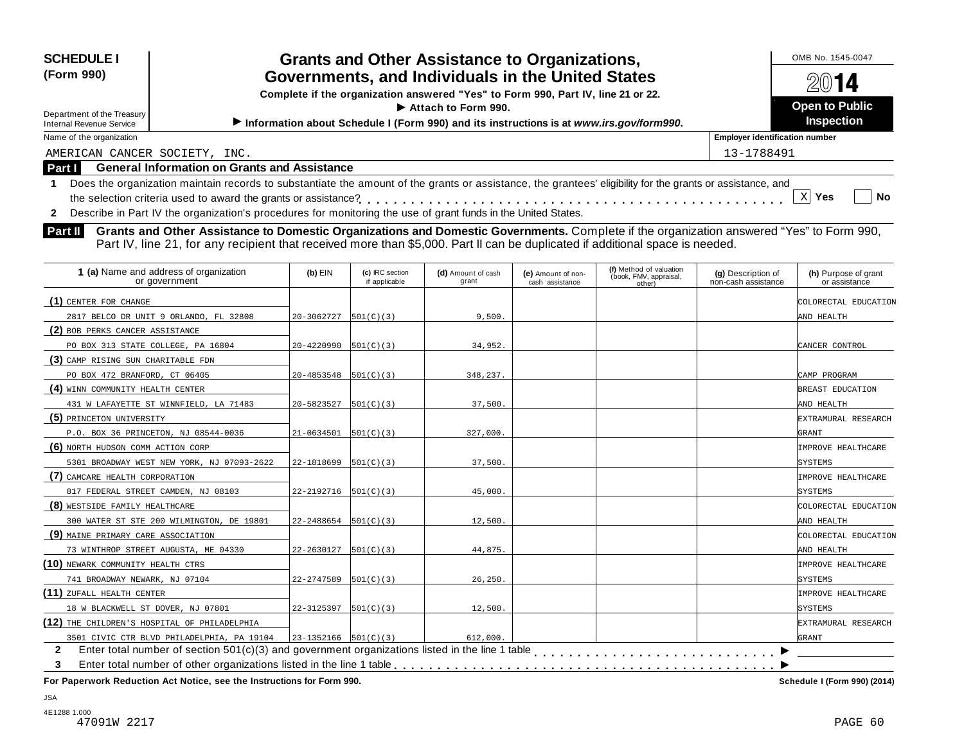| <b>SCHEDULE I</b><br>(Form 990)<br>Department of the Treasury<br>Internal Revenue Service | <b>Grants and Other Assistance to Organizations,</b><br>Governments, and Individuals in the United States<br>Complete if the organization answered "Yes" to Form 990, Part IV, line 21 or 22.<br>$\triangleright$ Attach to Form 990.<br>Information about Schedule I (Form 990) and its instructions is at www.irs.gov/form990. | OMB No. 1545-0047<br>2014<br><b>Open to Public</b><br><b>Inspection</b> |
|-------------------------------------------------------------------------------------------|----------------------------------------------------------------------------------------------------------------------------------------------------------------------------------------------------------------------------------------------------------------------------------------------------------------------------------|-------------------------------------------------------------------------|
| Name of the organization                                                                  |                                                                                                                                                                                                                                                                                                                                  | <b>Employer identification number</b>                                   |
| AMERICAN CANCER SOCIETY, INC.                                                             |                                                                                                                                                                                                                                                                                                                                  | 13-1788491                                                              |
| Part I                                                                                    | <b>General Information on Grants and Assistance</b>                                                                                                                                                                                                                                                                              |                                                                         |
|                                                                                           | Does the organization maintain records to substantiate the amount of the grants or assistance, the grantees' eligibility for the grants or assistance, and                                                                                                                                                                       | No<br>Yes                                                               |
|                                                                                           | Describe in Part IV the organization's procedures for monitoring the use of grant funds in the United States.                                                                                                                                                                                                                    |                                                                         |

**Grants and Other Assistance to Domestic Organizations and Domestic Governments.** Complete if the organization answered "Yes" to Form 990, **Part II** Grants and Other Assistance to Domestic Organizations and Domestic Governments. Complete if the organization and Domestic Governments Part II's and Part IV, line 21, for any recipient that received more than \$5,0

| 1 (a) Name and address of organization<br>or government | $(b)$ EIN                  | (c) IRC section<br>if applicable | (d) Amount of cash<br>grant | (e) Amount of non-<br>cash assistance | (f) Method of valuation<br>(book, FMV, appraisal,<br>other) | (g) Description of<br>non-cash assistance | (h) Purpose of grant<br>or assistance |
|---------------------------------------------------------|----------------------------|----------------------------------|-----------------------------|---------------------------------------|-------------------------------------------------------------|-------------------------------------------|---------------------------------------|
| (1) CENTER FOR CHANGE                                   |                            |                                  |                             |                                       |                                                             |                                           | COLORECTAL EDUCATION                  |
| 2817 BELCO DR UNIT 9 ORLANDO, FL 32808                  | 20-3062727                 | 501(C)(3)                        | 9,500.                      |                                       |                                                             |                                           | AND HEALTH                            |
| (2) BOB PERKS CANCER ASSISTANCE                         |                            |                                  |                             |                                       |                                                             |                                           |                                       |
| PO BOX 313 STATE COLLEGE, PA 16804                      | 20-4220990                 | 501(C)(3)                        | 34,952.                     |                                       |                                                             |                                           | CANCER CONTROL                        |
| (3) CAMP RISING SUN CHARITABLE FDN                      |                            |                                  |                             |                                       |                                                             |                                           |                                       |
| PO BOX 472 BRANFORD, CT 06405                           | 20-4853548                 | 501(C)(3)                        | 348,237.                    |                                       |                                                             |                                           | CAMP PROGRAM                          |
| (4) WINN COMMUNITY HEALTH CENTER                        |                            |                                  |                             |                                       |                                                             |                                           | BREAST EDUCATION                      |
| 431 W LAFAYETTE ST WINNFIELD, LA 71483                  | 20-5823527                 | 501(C)(3)                        | 37,500.                     |                                       |                                                             |                                           | AND HEALTH                            |
| (5) PRINCETON UNIVERSITY                                |                            |                                  |                             |                                       |                                                             |                                           | EXTRAMURAL RESEARCH                   |
| P.O. BOX 36 PRINCETON, NJ 08544-0036                    | 21-0634501                 | 501(C)(3)                        | 327,000.                    |                                       |                                                             |                                           | <b>GRANT</b>                          |
| (6) NORTH HUDSON COMM ACTION CORP                       |                            |                                  |                             |                                       |                                                             |                                           | IMPROVE HEALTHCARE                    |
| 5301 BROADWAY WEST NEW YORK, NJ 07093-2622              | 22-1818699                 | 501(C)(3)                        | 37,500.                     |                                       |                                                             |                                           | SYSTEMS                               |
| (7) CAMCARE HEALTH CORPORATION                          |                            |                                  |                             |                                       |                                                             |                                           | IMPROVE HEALTHCARE                    |
| 817 FEDERAL STREET CAMDEN, NJ 08103                     | 22-2192716                 | 501(C)(3)                        | 45,000.                     |                                       |                                                             |                                           | SYSTEMS                               |
| (8) WESTSIDE FAMILY HEALTHCARE                          |                            |                                  |                             |                                       |                                                             |                                           | COLORECTAL EDUCATION                  |
| 300 WATER ST STE 200 WILMINGTON, DE 19801               | 22-2488654                 | 501(C)(3)                        | 12,500.                     |                                       |                                                             |                                           | AND HEALTH                            |
| (9) MAINE PRIMARY CARE ASSOCIATION                      |                            |                                  |                             |                                       |                                                             |                                           | COLORECTAL EDUCATION                  |
| 73 WINTHROP STREET AUGUSTA, ME 04330                    | 22-2630127                 | 501(C)(3)                        | 44,875                      |                                       |                                                             |                                           | AND HEALTH                            |
| (10) NEWARK COMMUNITY HEALTH CTRS                       |                            |                                  |                             |                                       |                                                             |                                           | IMPROVE HEALTHCARE                    |
| 741 BROADWAY NEWARK, NJ 07104                           | 22-2747589                 | 501(C)(3)                        | 26,250.                     |                                       |                                                             |                                           | SYSTEMS                               |
| (11) ZUFALL HEALTH CENTER                               |                            |                                  |                             |                                       |                                                             |                                           | IMPROVE HEALTHCARE                    |
| 18 W BLACKWELL ST DOVER, NJ 07801                       | 22-3125397                 | 501(C)(3)                        | 12,500.                     |                                       |                                                             |                                           | SYSTEMS                               |
| (12) THE CHILDREN'S HOSPITAL OF PHILADELPHIA            |                            |                                  |                             |                                       |                                                             |                                           | EXTRAMURAL RESEARCH                   |
| 3501 CIVIC CTR BLVD PHILADELPHIA, PA 19104              | $23-1352166$ $[501(C)(3)]$ |                                  | 612,000                     |                                       |                                                             |                                           | <b>GRANT</b>                          |
| $\mathbf{2}$                                            |                            |                                  |                             |                                       |                                                             |                                           |                                       |
| 3                                                       |                            |                                  |                             |                                       |                                                             |                                           |                                       |
|                                                         |                            |                                  |                             |                                       |                                                             |                                           |                                       |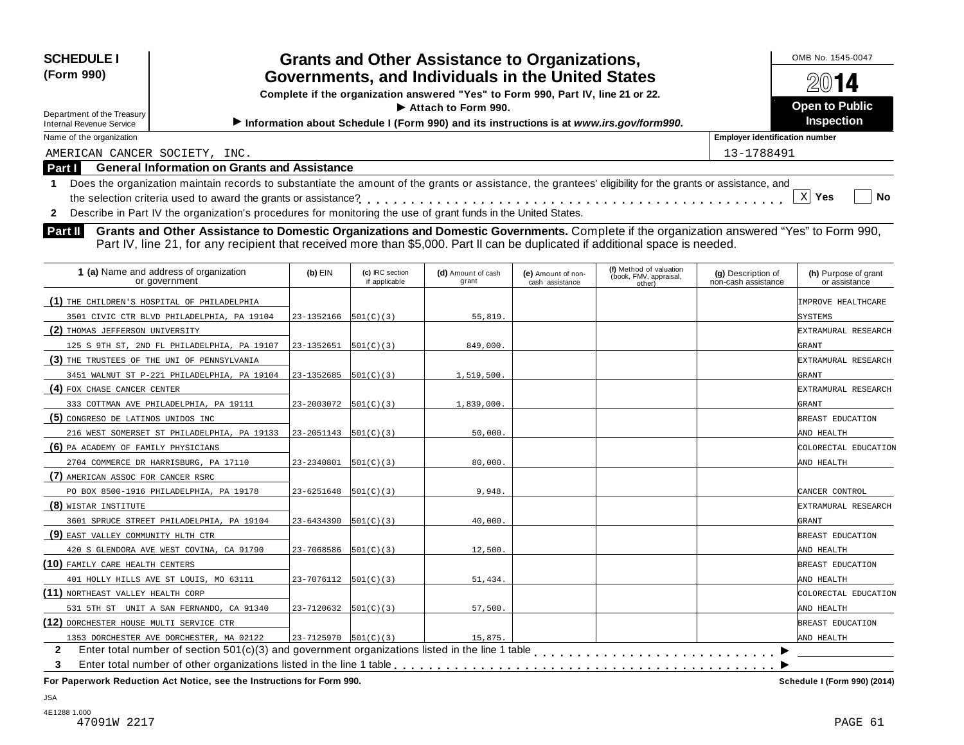| <b>SCHEDULE I</b>                                                                                                                                                                                                                                                                    |                                                                                                                |                                  | <b>Grants and Other Assistance to Organizations,</b> |                                       |                                  |                                           | OMB No. 1545-0047                     |  |
|--------------------------------------------------------------------------------------------------------------------------------------------------------------------------------------------------------------------------------------------------------------------------------------|----------------------------------------------------------------------------------------------------------------|----------------------------------|------------------------------------------------------|---------------------------------------|----------------------------------|-------------------------------------------|---------------------------------------|--|
| (Form 990)<br>Governments, and Individuals in the United States<br>Complete if the organization answered "Yes" to Form 990, Part IV, line 21 or 22.                                                                                                                                  |                                                                                                                |                                  |                                                      |                                       |                                  |                                           | $20$ 14<br><b>Open to Public</b>      |  |
| Department of the Treasury<br><b>Internal Revenue Service</b>                                                                                                                                                                                                                        | Attach to Form 990.<br>Information about Schedule I (Form 990) and its instructions is at www.irs.gov/form990. |                                  |                                                      |                                       |                                  |                                           |                                       |  |
| Name of the organization                                                                                                                                                                                                                                                             |                                                                                                                |                                  |                                                      |                                       |                                  | <b>Employer identification number</b>     | Inspection                            |  |
|                                                                                                                                                                                                                                                                                      |                                                                                                                |                                  |                                                      |                                       |                                  | 13-1788491                                |                                       |  |
| AMERICAN CANCER SOCIETY, INC.<br><b>General Information on Grants and Assistance</b><br>Part I                                                                                                                                                                                       |                                                                                                                |                                  |                                                      |                                       |                                  |                                           |                                       |  |
| Does the organization maintain records to substantiate the amount of the grants or assistance, the grantees' eligibility for the grants or assistance, and                                                                                                                           |                                                                                                                |                                  |                                                      |                                       |                                  |                                           |                                       |  |
| $\mathbf 1$<br>the selection criteria used to award the grants or assistance?                                                                                                                                                                                                        |                                                                                                                |                                  |                                                      |                                       |                                  |                                           | $X$ Yes<br><b>No</b>                  |  |
| Describe in Part IV the organization's procedures for monitoring the use of grant funds in the United States.                                                                                                                                                                        |                                                                                                                |                                  |                                                      |                                       |                                  |                                           |                                       |  |
| $\mathbf{2}$                                                                                                                                                                                                                                                                         |                                                                                                                |                                  |                                                      |                                       |                                  |                                           |                                       |  |
| Grants and Other Assistance to Domestic Organizations and Domestic Governments. Complete if the organization answered "Yes" to Form 990,<br>Part II<br>Part IV, line 21, for any recipient that received more than \$5,000. Part II can be duplicated if additional space is needed. |                                                                                                                |                                  |                                                      |                                       | (f) Method of valuation          |                                           |                                       |  |
| 1 (a) Name and address of organization<br>or government                                                                                                                                                                                                                              | (b) EIN                                                                                                        | (c) IRC section<br>if applicable | (d) Amount of cash<br>grant                          | (e) Amount of non-<br>cash assistance | (book, FMV, appraisal,<br>other) | (g) Description of<br>non-cash assistance | (h) Purpose of grant<br>or assistance |  |
| (1) THE CHILDREN'S HOSPITAL OF PHILADELPHIA                                                                                                                                                                                                                                          |                                                                                                                |                                  |                                                      |                                       |                                  |                                           | IMPROVE HEALTHCARE                    |  |
| 3501 CIVIC CTR BLVD PHILADELPHIA, PA 19104                                                                                                                                                                                                                                           | 23-1352166                                                                                                     | $501(C)$ (3)                     | 55,819                                               |                                       |                                  |                                           | SYSTEMS                               |  |
| (2) THOMAS JEFFERSON UNIVERSITY                                                                                                                                                                                                                                                      |                                                                                                                |                                  |                                                      |                                       |                                  |                                           | EXTRAMURAL RESEARCH                   |  |
| 125 S 9TH ST, 2ND FL PHILADELPHIA, PA 19107                                                                                                                                                                                                                                          | 23-1352651                                                                                                     | 501(C)(3)                        | 849,000.                                             |                                       |                                  |                                           | GRANT                                 |  |
| (3) THE TRUSTEES OF THE UNI OF PENNSYLVANIA                                                                                                                                                                                                                                          |                                                                                                                |                                  |                                                      |                                       |                                  |                                           | EXTRAMURAL RESEARCH                   |  |
| 3451 WALNUT ST P-221 PHILADELPHIA, PA 19104                                                                                                                                                                                                                                          | 23-1352685                                                                                                     | 501(C)(3)                        | 1,519,500.                                           |                                       |                                  |                                           | GRANT                                 |  |
| (4) FOX CHASE CANCER CENTER                                                                                                                                                                                                                                                          |                                                                                                                |                                  |                                                      |                                       |                                  |                                           | EXTRAMURAL RESEARCH                   |  |
| 333 COTTMAN AVE PHILADELPHIA, PA 19111                                                                                                                                                                                                                                               | 23-2003072                                                                                                     | 501(C)(3)                        | 1,839,000                                            |                                       |                                  |                                           | GRANT                                 |  |
| (5) CONGRESO DE LATINOS UNIDOS INC                                                                                                                                                                                                                                                   |                                                                                                                |                                  |                                                      |                                       |                                  |                                           | BREAST EDUCATION                      |  |
| 216 WEST SOMERSET ST PHILADELPHIA, PA 19133                                                                                                                                                                                                                                          | 23-2051143                                                                                                     | 501(C)(3)                        | 50,000                                               |                                       |                                  |                                           | AND HEALTH                            |  |
| (6) PA ACADEMY OF FAMILY PHYSICIANS                                                                                                                                                                                                                                                  |                                                                                                                |                                  |                                                      |                                       |                                  |                                           | COLORECTAL EDUCATION                  |  |
| 2704 COMMERCE DR HARRISBURG, PA 17110                                                                                                                                                                                                                                                | 23-2340801                                                                                                     | 501(C)(3)                        | 80,000                                               |                                       |                                  |                                           | AND HEALTH                            |  |
| (7) AMERICAN ASSOC FOR CANCER RSRC                                                                                                                                                                                                                                                   |                                                                                                                |                                  |                                                      |                                       |                                  |                                           |                                       |  |
| PO BOX 8500-1916 PHILADELPHIA, PA 19178                                                                                                                                                                                                                                              | 23-6251648                                                                                                     | 501(C)(3)                        | 9,948                                                |                                       |                                  |                                           | CANCER CONTROL                        |  |
| (8) WISTAR INSTITUTE                                                                                                                                                                                                                                                                 |                                                                                                                |                                  |                                                      |                                       |                                  |                                           | EXTRAMURAL RESEARCH                   |  |
| 3601 SPRUCE STREET PHILADELPHIA, PA 19104                                                                                                                                                                                                                                            | 23-6434390                                                                                                     | 501(C)(3)                        | 40,000                                               |                                       |                                  |                                           | GRANT                                 |  |
| (9) EAST VALLEY COMMUNITY HLTH CTR                                                                                                                                                                                                                                                   |                                                                                                                |                                  |                                                      |                                       |                                  |                                           | BREAST EDUCATION                      |  |
| 420 S GLENDORA AVE WEST COVINA, CA 91790                                                                                                                                                                                                                                             | 23-7068586                                                                                                     | 501(C)(3)                        | 12,500                                               |                                       |                                  |                                           | AND HEALTH                            |  |
| (10) FAMILY CARE HEALTH CENTERS                                                                                                                                                                                                                                                      |                                                                                                                |                                  |                                                      |                                       |                                  |                                           | BREAST EDUCATION                      |  |
| 401 HOLLY HILLS AVE ST LOUIS, MO 63111                                                                                                                                                                                                                                               | 23-7076112                                                                                                     | 501(C)(3)                        | 51,434                                               |                                       |                                  |                                           | AND HEALTH                            |  |
| (11) NORTHEAST VALLEY HEALTH CORP                                                                                                                                                                                                                                                    |                                                                                                                |                                  |                                                      |                                       |                                  |                                           | COLORECTAL EDUCATION                  |  |
| 531 5TH ST UNIT A SAN FERNANDO, CA 91340                                                                                                                                                                                                                                             | 23-7120632                                                                                                     | 501(C)(3)                        | 57,500                                               |                                       |                                  |                                           | AND HEALTH                            |  |
| (12) DORCHESTER HOUSE MULTI SERVICE CTR                                                                                                                                                                                                                                              |                                                                                                                |                                  |                                                      |                                       |                                  |                                           | BREAST EDUCATION                      |  |
| 1353 DORCHESTER AVE DORCHESTER, MA 02122                                                                                                                                                                                                                                             | $23 - 7125970$ 501(C)(3)                                                                                       |                                  | 15,875                                               |                                       |                                  |                                           | AND HEALTH                            |  |
| Enter total number of section 501(c)(3) and government organizations listed in the line 1 table<br>$\mathbf{2}$                                                                                                                                                                      |                                                                                                                |                                  |                                                      |                                       |                                  |                                           |                                       |  |
| 3                                                                                                                                                                                                                                                                                    |                                                                                                                |                                  |                                                      |                                       |                                  |                                           |                                       |  |

 $F$  **Paperwork** Reduction Act Notice, see the Instructions for Form 990.

Schedule I (Form 990) (2014)

JSA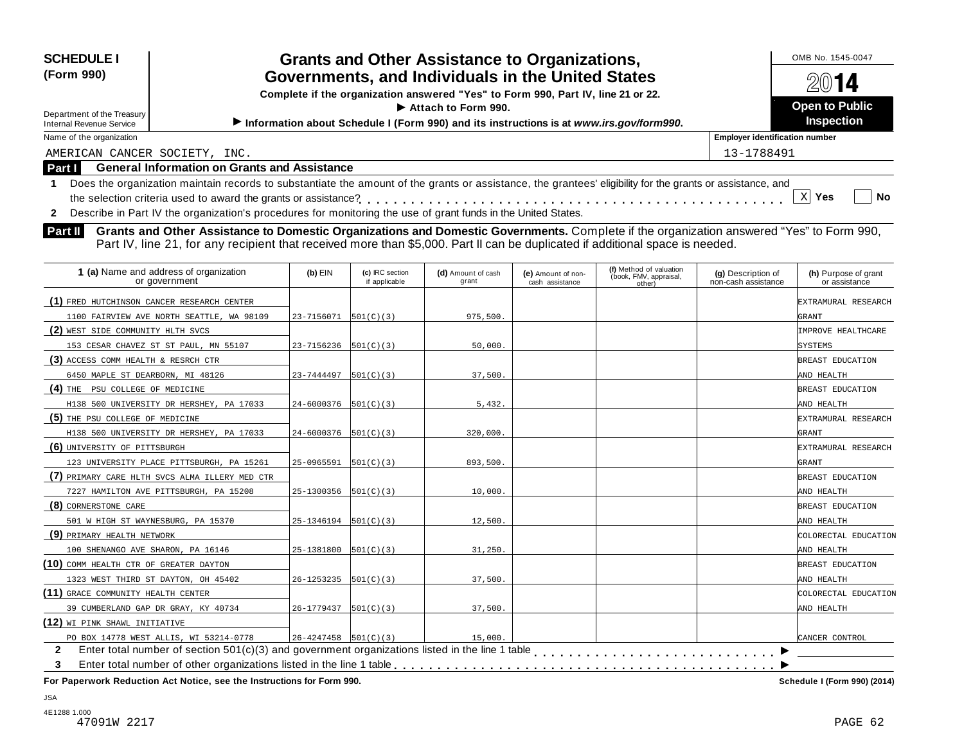| <b>SCHEDULE I</b><br><b>Grants and Other Assistance to Organizations,</b><br>(Form 990)<br>Governments, and Individuals in the United States<br>Complete if the organization answered "Yes" to Form 990, Part IV, line 21 or 22.<br>Attach to Form 990. |                                                                                                                                                                                                                                                                                                                                                                                            |                            |                                  |                             |                                       |                                                             |                                           | OMB No. 1545-0047<br>$20$ 14<br><b>Open to Public</b> |  |
|---------------------------------------------------------------------------------------------------------------------------------------------------------------------------------------------------------------------------------------------------------|--------------------------------------------------------------------------------------------------------------------------------------------------------------------------------------------------------------------------------------------------------------------------------------------------------------------------------------------------------------------------------------------|----------------------------|----------------------------------|-----------------------------|---------------------------------------|-------------------------------------------------------------|-------------------------------------------|-------------------------------------------------------|--|
| Department of the Treasury<br><b>Internal Revenue Service</b>                                                                                                                                                                                           | Information about Schedule I (Form 990) and its instructions is at www.irs.gov/form990.                                                                                                                                                                                                                                                                                                    |                            |                                  |                             |                                       |                                                             |                                           |                                                       |  |
| Name of the organization                                                                                                                                                                                                                                |                                                                                                                                                                                                                                                                                                                                                                                            |                            |                                  |                             |                                       |                                                             | <b>Employer identification number</b>     |                                                       |  |
| AMERICAN CANCER SOCIETY, INC.                                                                                                                                                                                                                           |                                                                                                                                                                                                                                                                                                                                                                                            |                            |                                  |                             |                                       |                                                             | 13-1788491                                |                                                       |  |
| Part I                                                                                                                                                                                                                                                  | <b>General Information on Grants and Assistance</b>                                                                                                                                                                                                                                                                                                                                        |                            |                                  |                             |                                       |                                                             |                                           |                                                       |  |
| $\mathbf{2}$<br>Part II                                                                                                                                                                                                                                 | Describe in Part IV the organization's procedures for monitoring the use of grant funds in the United States.<br>Grants and Other Assistance to Domestic Organizations and Domestic Governments. Complete if the organization answered "Yes" to Form 990,<br>Part IV, line 21, for any recipient that received more than \$5,000. Part II can be duplicated if additional space is needed. |                            |                                  |                             |                                       |                                                             |                                           | $\mathbf{x}$<br>Yes<br><b>No</b>                      |  |
|                                                                                                                                                                                                                                                         | 1 (a) Name and address of organization<br>or government                                                                                                                                                                                                                                                                                                                                    | $(b)$ EIN                  | (c) IRC section<br>if applicable | (d) Amount of cash<br>grant | (e) Amount of non-<br>cash assistance | (f) Method of valuation<br>(book, FMV, appraisal,<br>other) | (g) Description of<br>non-cash assistance | (h) Purpose of grant<br>or assistance                 |  |
| (1) FRED HUTCHINSON CANCER RESEARCH CENTER                                                                                                                                                                                                              |                                                                                                                                                                                                                                                                                                                                                                                            |                            |                                  |                             |                                       |                                                             |                                           | EXTRAMURAL RESEARCH                                   |  |
|                                                                                                                                                                                                                                                         | 1100 FAIRVIEW AVE NORTH SEATTLE, WA 98109                                                                                                                                                                                                                                                                                                                                                  | 23-7156071                 | 501(C)(3)                        | 975,500.                    |                                       |                                                             |                                           | GRANT                                                 |  |
| (2) WEST SIDE COMMUNITY HLTH SVCS                                                                                                                                                                                                                       |                                                                                                                                                                                                                                                                                                                                                                                            |                            |                                  |                             |                                       |                                                             |                                           | IMPROVE HEALTHCARE                                    |  |
|                                                                                                                                                                                                                                                         | 153 CESAR CHAVEZ ST ST PAUL, MN 55107                                                                                                                                                                                                                                                                                                                                                      | $23 - 7156236$   501(C)(3) |                                  | 50,000.                     |                                       |                                                             |                                           | <b>SYSTEMS</b>                                        |  |
| (3) ACCESS COMM HEALTH & RESRCH CTR                                                                                                                                                                                                                     |                                                                                                                                                                                                                                                                                                                                                                                            |                            |                                  |                             |                                       |                                                             |                                           | BREAST EDUCATION                                      |  |
| 6450 MAPLE ST DEARBORN, MI 48126                                                                                                                                                                                                                        |                                                                                                                                                                                                                                                                                                                                                                                            | 23-7444497                 | 501(C)(3)                        | 37,500.                     |                                       |                                                             |                                           | AND HEALTH                                            |  |
| (4) THE PSU COLLEGE OF MEDICINE                                                                                                                                                                                                                         |                                                                                                                                                                                                                                                                                                                                                                                            |                            |                                  |                             |                                       |                                                             |                                           | BREAST EDUCATION                                      |  |
|                                                                                                                                                                                                                                                         | H138 500 UNIVERSITY DR HERSHEY, PA 17033                                                                                                                                                                                                                                                                                                                                                   | $24 - 6000376$ 501(C)(3)   |                                  | 5,432.                      |                                       |                                                             |                                           | AND HEALTH                                            |  |
| (5) THE PSU COLLEGE OF MEDICINE                                                                                                                                                                                                                         |                                                                                                                                                                                                                                                                                                                                                                                            |                            |                                  |                             |                                       |                                                             |                                           | EXTRAMURAL RESEARCH                                   |  |
|                                                                                                                                                                                                                                                         | H138 500 UNIVERSITY DR HERSHEY, PA 17033                                                                                                                                                                                                                                                                                                                                                   | $24 - 6000376$   501(C)(3) |                                  | 320,000.                    |                                       |                                                             |                                           | GRANT                                                 |  |
| (6) UNIVERSITY OF PITTSBURGH                                                                                                                                                                                                                            |                                                                                                                                                                                                                                                                                                                                                                                            |                            |                                  |                             |                                       |                                                             |                                           | EXTRAMURAL RESEARCH                                   |  |
|                                                                                                                                                                                                                                                         | 123 UNIVERSITY PLACE PITTSBURGH, PA 15261                                                                                                                                                                                                                                                                                                                                                  | 25-0965591                 | 501(C)(3)                        | 893,500.                    |                                       |                                                             |                                           | GRANT                                                 |  |
|                                                                                                                                                                                                                                                         | (7) PRIMARY CARE HLTH SVCS ALMA ILLERY MED CTR                                                                                                                                                                                                                                                                                                                                             |                            |                                  |                             |                                       |                                                             |                                           | BREAST EDUCATION                                      |  |
|                                                                                                                                                                                                                                                         | 7227 HAMILTON AVE PITTSBURGH, PA 15208                                                                                                                                                                                                                                                                                                                                                     | $25-1300356$ $ 501(C)(3) $ |                                  | 10,000.                     |                                       |                                                             |                                           | AND HEALTH                                            |  |
| (8) CORNERSTONE CARE                                                                                                                                                                                                                                    |                                                                                                                                                                                                                                                                                                                                                                                            |                            |                                  |                             |                                       |                                                             |                                           | BREAST EDUCATION                                      |  |
| 501 W HIGH ST WAYNESBURG, PA 15370                                                                                                                                                                                                                      |                                                                                                                                                                                                                                                                                                                                                                                            | $25-1346194$   501(C)(3)   |                                  | 12,500.                     |                                       |                                                             |                                           | AND HEALTH                                            |  |

**(9)** PRIMARY HEALTH NETWORK COLORECTAL EDUCATION **(10)** COMM HEALTH CTR OF GREATER DAYTON **BREAST EDUCATION (11)** GRACE COMMUNITY HEALTH CENTER COLORECTAL EDUCATION **(12)** WI PINK SHAWL INITIATIVE CANCER CONTROL  $\overline{\phantom{1}}$ 2 Enter total number of section 501(c)(3) and government organizations listed in the line 1 table<br>3 Enter total number of other organizations listed in the line 1 table **with the line 1 table of the Concernment 3** Enter total number of other organizations listed in the line 1 table m m m m m m m m m m m m m m m m m m m m m m m m m m m m 100 SHENANGO AVE SHARON, PA 16146 25-1381800 501(C)(3) 31,250. 1323 WEST THIRD ST DAYTON, OH 45402 26-1253235 501(C)(3) 37,500. 39 CUMBERLAND GAP DR GRAY, KY 40734 26-1779437 501(C)(3) 37,500. PO BOX 14778 WEST ALLIS, WI 53214-0778 26-4247458  $501(C)(3)$  15,000.

**For Paperwork Reduction Act Notice, see the Instructions for Form 990. Schedule I (Form 990) (2014)**

JSA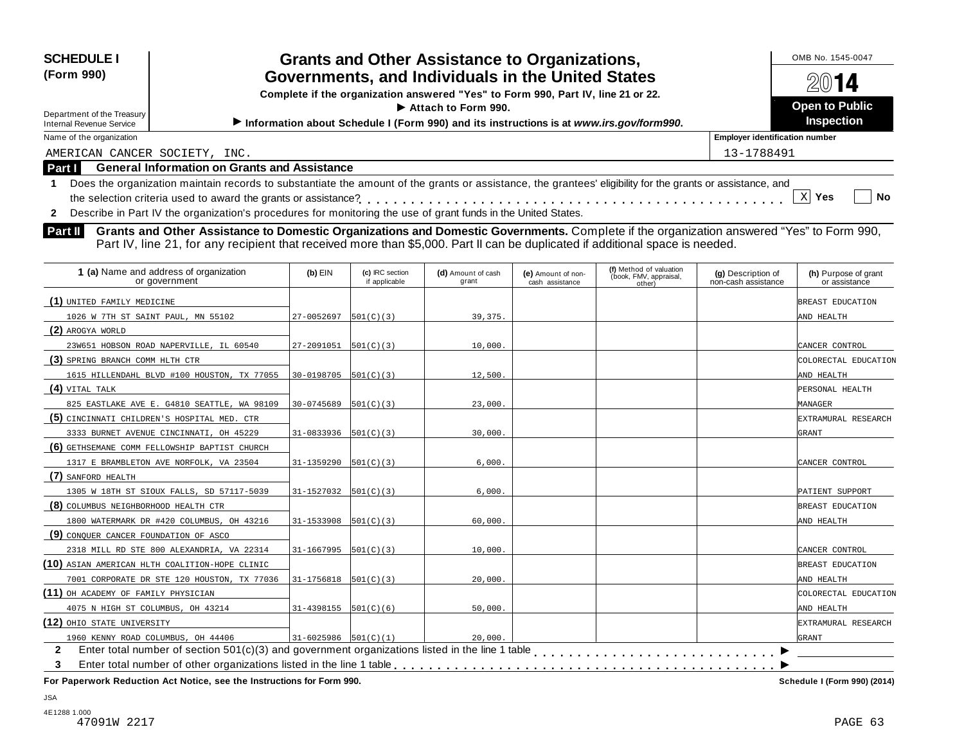| <b>SCHEDULE I</b><br>(Form 990)<br>Department of the Treasury<br><b>Internal Revenue Service</b> | <b>Grants and Other Assistance to Organizations,</b><br>Governments, and Individuals in the United States<br>Complete if the organization answered "Yes" to Form 990, Part IV, line 21 or 22.<br>$\blacktriangleright$ Attach to Form 990.<br>Information about Schedule I (Form 990) and its instructions is at www.irs.gov/form990. | OMB No. 1545-0047<br>2014<br><b>Open to Public</b><br><b>Inspection</b> |
|--------------------------------------------------------------------------------------------------|---------------------------------------------------------------------------------------------------------------------------------------------------------------------------------------------------------------------------------------------------------------------------------------------------------------------------------------|-------------------------------------------------------------------------|
| Name of the organization                                                                         |                                                                                                                                                                                                                                                                                                                                       | <b>Employer identification number</b>                                   |
| AMERICAN CANCER SOCIETY, INC.                                                                    |                                                                                                                                                                                                                                                                                                                                       | 13-1788491                                                              |
| Part I                                                                                           | <b>General Information on Grants and Assistance</b>                                                                                                                                                                                                                                                                                   |                                                                         |
|                                                                                                  | Does the organization maintain records to substantiate the amount of the grants or assistance, the grantees' eligibility for the grants or assistance, and                                                                                                                                                                            | No<br><b>Yes</b>                                                        |
|                                                                                                  | Describe in Part IV the organization's procedures for monitoring the use of grant funds in the United States.                                                                                                                                                                                                                         |                                                                         |

**Part II** Grants and Other Assistance to Domestic Organizations and Domestic Governments. Complete if the organization answered "Yes" to Form 990,<br>Part IV, line 21, for any recipient that received more than \$5,000. Part II

| 1 (a) Name and address of organization<br>or government | $(b)$ EIN                    | (c) IRC section<br>if applicable | (d) Amount of cash<br>grant | (e) Amount of non-<br>cash assistance | (f) Method of valuation<br>(book, FMV, appraisal,<br>other) | (g) Description of<br>non-cash assistance | (h) Purpose of grant<br>or assistance |
|---------------------------------------------------------|------------------------------|----------------------------------|-----------------------------|---------------------------------------|-------------------------------------------------------------|-------------------------------------------|---------------------------------------|
| (1) UNITED FAMILY MEDICINE                              |                              |                                  |                             |                                       |                                                             |                                           | BREAST EDUCATION                      |
| 1026 W 7TH ST SAINT PAUL, MN 55102                      | 27-0052697                   | 501(C)(3)                        | 39, 375.                    |                                       |                                                             |                                           | AND HEALTH                            |
| (2) AROGYA WORLD                                        |                              |                                  |                             |                                       |                                                             |                                           |                                       |
| 23W651 HOBSON ROAD NAPERVILLE, IL 60540                 | 27-2091051                   | 501(C)(3)                        | 10,000.                     |                                       |                                                             |                                           | CANCER CONTROL                        |
| (3) SPRING BRANCH COMM HLTH CTR                         |                              |                                  |                             |                                       |                                                             |                                           | COLORECTAL EDUCATION                  |
| 1615 HILLENDAHL BLVD #100 HOUSTON, TX 77055             | 30-0198705                   | 501(C)(3)                        | 12,500.                     |                                       |                                                             |                                           | AND HEALTH                            |
| $(4)$ VITAL TALK                                        |                              |                                  |                             |                                       |                                                             |                                           | PERSONAL HEALTH                       |
| 825 EASTLAKE AVE E. G4810 SEATTLE, WA 98109             | 30-0745689                   | 501(C)(3)                        | 23,000.                     |                                       |                                                             |                                           | MANAGER                               |
| (5) CINCINNATI CHILDREN'S HOSPITAL MED. CTR             |                              |                                  |                             |                                       |                                                             |                                           | EXTRAMURAL RESEARCH                   |
| 3333 BURNET AVENUE CINCINNATI, OH 45229                 | 31-0833936                   | 501(C)(3)                        | 30,000.                     |                                       |                                                             |                                           | GRANT                                 |
| (6) GETHSEMANE COMM FELLOWSHIP BAPTIST CHURCH           |                              |                                  |                             |                                       |                                                             |                                           |                                       |
| 1317 E BRAMBLETON AVE NORFOLK, VA 23504                 | 31-1359290                   | 501(C)(3)                        | 6,000.                      |                                       |                                                             |                                           | CANCER CONTROL                        |
| (7) SANFORD HEALTH                                      |                              |                                  |                             |                                       |                                                             |                                           |                                       |
| 1305 W 18TH ST SIOUX FALLS, SD 57117-5039               | $31 - 1527032$ $[501(C)(3)]$ |                                  | 6,000.                      |                                       |                                                             |                                           | PATIENT SUPPORT                       |
| (8) COLUMBUS NEIGHBORHOOD HEALTH CTR                    |                              |                                  |                             |                                       |                                                             |                                           | BREAST EDUCATION                      |
| 1800 WATERMARK DR #420 COLUMBUS, OH 43216               | 31-1533908                   | 501(C)(3)                        | 60,000.                     |                                       |                                                             |                                           | AND HEALTH                            |
| (9) CONQUER CANCER FOUNDATION OF ASCO                   |                              |                                  |                             |                                       |                                                             |                                           |                                       |
| 2318 MILL RD STE 800 ALEXANDRIA, VA 22314               | 31-1667995                   | 501(C)(3)                        | 10,000.                     |                                       |                                                             |                                           | CANCER CONTROL                        |
| (10) ASIAN AMERICAN HLTH COALITION-HOPE CLINIC          |                              |                                  |                             |                                       |                                                             |                                           | BREAST EDUCATION                      |
| 7001 CORPORATE DR STE 120 HOUSTON, TX 77036             | 31-1756818                   | 501(C)(3)                        | 20,000.                     |                                       |                                                             |                                           | AND HEALTH                            |
| (11) OH ACADEMY OF FAMILY PHYSICIAN                     |                              |                                  |                             |                                       |                                                             |                                           | COLORECTAL EDUCATION                  |
| 4075 N HIGH ST COLUMBUS, OH 43214                       | $31-4398155$  501(C)(6)      |                                  | 50,000.                     |                                       |                                                             |                                           | AND HEALTH                            |
| (12) OHIO STATE UNIVERSITY                              |                              |                                  |                             |                                       |                                                             |                                           | EXTRAMURAL RESEARCH                   |
| 1960 KENNY ROAD COLUMBUS, OH 44406                      | $31-6025986$ $ 501(C)(1) $   |                                  | 20,000.                     |                                       |                                                             |                                           | GRANT                                 |
| $\mathbf{2}$                                            |                              |                                  |                             |                                       |                                                             |                                           |                                       |
| 3                                                       |                              |                                  |                             |                                       |                                                             |                                           |                                       |
|                                                         |                              |                                  |                             |                                       |                                                             |                                           |                                       |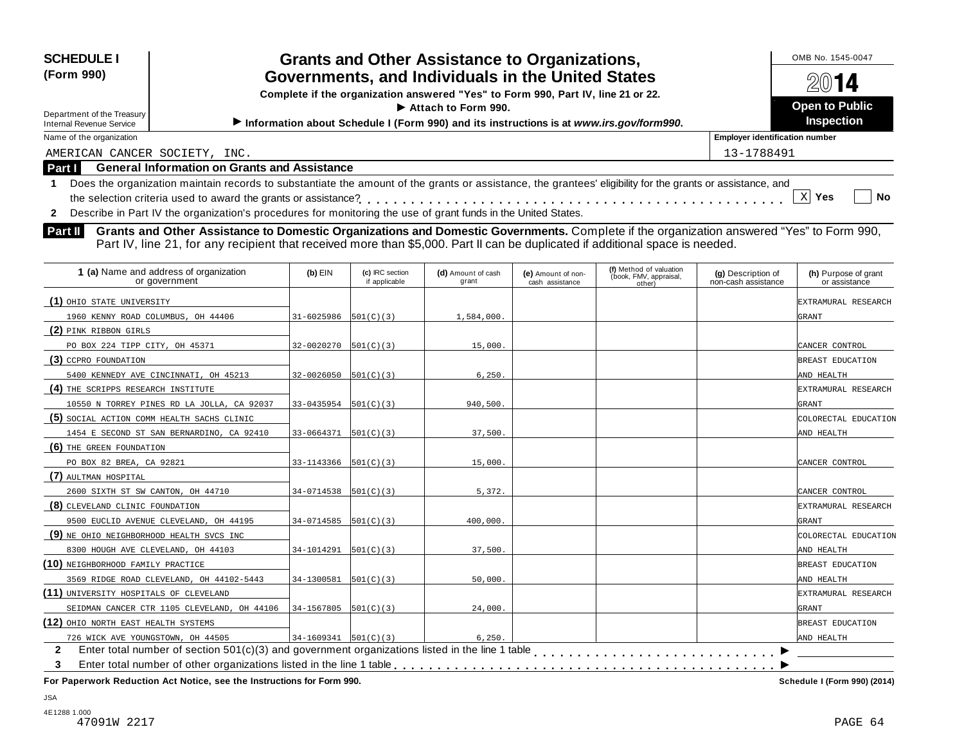| <b>SCHEDULE I</b><br>(Form 990)<br>Department of the Treasury<br><b>Internal Revenue Service</b> | <b>Grants and Other Assistance to Organizations,</b><br>Governments, and Individuals in the United States<br>Complete if the organization answered "Yes" to Form 990, Part IV, line 21 or 22.<br>$\blacktriangleright$ Attach to Form 990.<br>Information about Schedule I (Form 990) and its instructions is at www.irs.gov/form990. | OMB No. 1545-0047<br>2014<br>Open to Public<br><b>Inspection</b> |
|--------------------------------------------------------------------------------------------------|---------------------------------------------------------------------------------------------------------------------------------------------------------------------------------------------------------------------------------------------------------------------------------------------------------------------------------------|------------------------------------------------------------------|
| Name of the organization                                                                         |                                                                                                                                                                                                                                                                                                                                       | <b>Employer identification number</b>                            |
| AMERICAN CANCER SOCIETY, INC.                                                                    |                                                                                                                                                                                                                                                                                                                                       | 13-1788491                                                       |
| Part I                                                                                           | <b>General Information on Grants and Assistance</b>                                                                                                                                                                                                                                                                                   |                                                                  |
|                                                                                                  | Does the organization maintain records to substantiate the amount of the grants or assistance, the grantees' eligibility for the grants or assistance, and                                                                                                                                                                            |                                                                  |
|                                                                                                  |                                                                                                                                                                                                                                                                                                                                       | <b>No</b><br>Yes                                                 |
|                                                                                                  | Describe in Part IV the organization's procedures for monitoring the use of grant funds in the United States.                                                                                                                                                                                                                         |                                                                  |

**Part II** Grants and Other Assistance to Domestic Organizations and Domestic Governments. Complete if the organization answered "Yes" to Form 990,<br>Part IV, line 21, for any recipient that received more than \$5,000. Part II

| 1 (a) Name and address of organization<br>or government | $(b)$ EIN                  | (c) IRC section<br>if applicable | (d) Amount of cash<br>grant | (e) Amount of non-<br>cash assistance | (f) Method of valuation<br>(book, FMV, appraisal,<br>other) | (g) Description of<br>non-cash assistance | (h) Purpose of grant<br>or assistance |
|---------------------------------------------------------|----------------------------|----------------------------------|-----------------------------|---------------------------------------|-------------------------------------------------------------|-------------------------------------------|---------------------------------------|
| (1) OHIO STATE UNIVERSITY                               |                            |                                  |                             |                                       |                                                             |                                           | EXTRAMURAL RESEARCH                   |
| 1960 KENNY ROAD COLUMBUS, OH 44406                      | 31-6025986                 | 501(C)(3)                        | 1,584,000.                  |                                       |                                                             |                                           | GRANT                                 |
| (2) PINK RIBBON GIRLS                                   |                            |                                  |                             |                                       |                                                             |                                           |                                       |
| PO BOX 224 TIPP CITY, OH 45371                          | 32-0020270                 | 501(C)(3)                        | 15,000                      |                                       |                                                             |                                           | CANCER CONTROL                        |
| (3) CCPRO FOUNDATION                                    |                            |                                  |                             |                                       |                                                             |                                           | BREAST EDUCATION                      |
| 5400 KENNEDY AVE CINCINNATI, OH 45213                   | 32-0026050                 | 501(C)(3)                        | 6,250.                      |                                       |                                                             |                                           | AND HEALTH                            |
| (4) THE SCRIPPS RESEARCH INSTITUTE                      |                            |                                  |                             |                                       |                                                             |                                           | EXTRAMURAL RESEARCH                   |
| 10550 N TORREY PINES RD LA JOLLA, CA 92037              | $33-0435954$ $ 501(C)(3) $ |                                  | 940,500.                    |                                       |                                                             |                                           | GRANT                                 |
| (5) SOCIAL ACTION COMM HEALTH SACHS CLINIC              |                            |                                  |                             |                                       |                                                             |                                           | COLORECTAL EDUCATION                  |
| 1454 E SECOND ST SAN BERNARDINO, CA 92410               | 33-0664371                 | 501(C)(3)                        | 37,500.                     |                                       |                                                             |                                           | AND HEALTH                            |
| (6) THE GREEN FOUNDATION                                |                            |                                  |                             |                                       |                                                             |                                           |                                       |
| PO BOX 82 BREA, CA 92821                                | 33-1143366                 | 501(C)(3)                        | 15,000                      |                                       |                                                             |                                           | CANCER CONTROL                        |
| (7) AULTMAN HOSPITAL                                    |                            |                                  |                             |                                       |                                                             |                                           |                                       |
| 2600 SIXTH ST SW CANTON, OH 44710                       | $34-0714538$ $ 501(C)(3) $ |                                  | 5,372.                      |                                       |                                                             |                                           | CANCER CONTROL                        |
| (8) CLEVELAND CLINIC FOUNDATION                         |                            |                                  |                             |                                       |                                                             |                                           | EXTRAMURAL RESEARCH                   |
| 9500 EUCLID AVENUE CLEVELAND, OH 44195                  | 34-0714585                 | 501(C)(3)                        | 400,000.                    |                                       |                                                             |                                           | GRANT                                 |
| (9) NE OHIO NEIGHBORHOOD HEALTH SVCS INC                |                            |                                  |                             |                                       |                                                             |                                           | COLORECTAL EDUCATION                  |
| 8300 HOUGH AVE CLEVELAND, OH 44103                      | 34-1014291                 | 501(C)(3)                        | 37,500                      |                                       |                                                             |                                           | AND HEALTH                            |
| (10) NEIGHBORHOOD FAMILY PRACTICE                       |                            |                                  |                             |                                       |                                                             |                                           | BREAST EDUCATION                      |
| 3569 RIDGE ROAD CLEVELAND, OH 44102-5443                | 34-1300581                 | 501(C)(3)                        | 50,000.                     |                                       |                                                             |                                           | AND HEALTH                            |
| (11) UNIVERSITY HOSPITALS OF CLEVELAND                  |                            |                                  |                             |                                       |                                                             |                                           | EXTRAMURAL RESEARCH                   |
| SEIDMAN CANCER CTR 1105 CLEVELAND, OH 44106             | 34-1567805                 | 501(C)(3)                        | 24,000.                     |                                       |                                                             |                                           | GRANT                                 |
| (12) OHIO NORTH EAST HEALTH SYSTEMS                     |                            |                                  |                             |                                       |                                                             |                                           | BREAST EDUCATION                      |
| 726 WICK AVE YOUNGSTOWN, OH 44505                       | $34-1609341$ 501(C)(3)     |                                  | 6, 250.                     |                                       |                                                             |                                           | AND HEALTH                            |
| $\overline{2}$                                          |                            |                                  |                             |                                       |                                                             |                                           |                                       |
| 3                                                       |                            |                                  |                             |                                       |                                                             |                                           |                                       |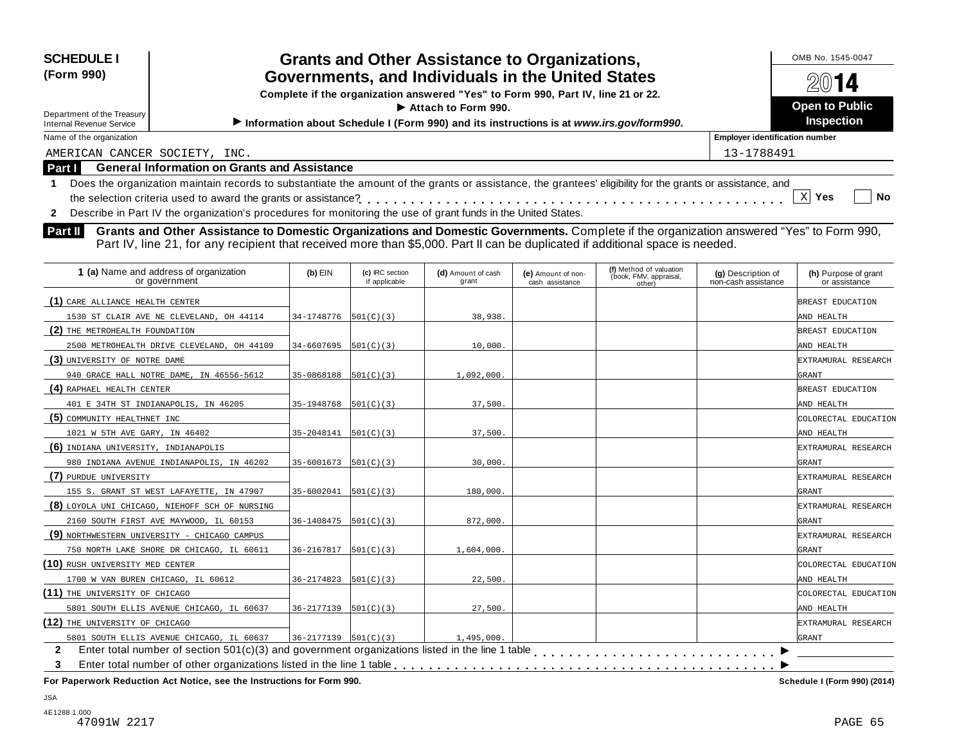| <b>SCHEDULE I</b><br>(Form 990)<br>Department of the Treasury<br><b>Internal Revenue Service</b> | <b>Grants and Other Assistance to Organizations,</b><br>Governments, and Individuals in the United States<br>Complete if the organization answered "Yes" to Form 990, Part IV, line 21 or 22.<br>$\blacktriangleright$ Attach to Form 990.<br>Information about Schedule I (Form 990) and its instructions is at www.irs.gov/form990. | OMB No. 1545-0047<br>2014<br><b>Open to Public</b><br><b>Inspection</b> |
|--------------------------------------------------------------------------------------------------|---------------------------------------------------------------------------------------------------------------------------------------------------------------------------------------------------------------------------------------------------------------------------------------------------------------------------------------|-------------------------------------------------------------------------|
| Name of the organization                                                                         |                                                                                                                                                                                                                                                                                                                                       | <b>Employer identification number</b>                                   |
| AMERICAN CANCER SOCIETY, INC.                                                                    |                                                                                                                                                                                                                                                                                                                                       | 13-1788491                                                              |
| <b>Part I</b>                                                                                    | <b>General Information on Grants and Assistance</b>                                                                                                                                                                                                                                                                                   |                                                                         |
|                                                                                                  | Does the organization maintain records to substantiate the amount of the grants or assistance, the grantees' eligibility for the grants or assistance, and<br>Describe in Part IV the organization's procedures for monitoring the use of grant funds in the United States.                                                           | No<br>Yes                                                               |

**Part II** Grants and Other Assistance to Domestic Organizations and Domestic Governments. Complete if the organization answered "Yes" to Form 990,<br>Part IV, line 21, for any recipient that received more than \$5,000. Part II

| 1 (a) Name and address of organization<br>or government | $(b)$ EIN                  | (c) IRC section<br>if applicable | (d) Amount of cash<br>grant | (e) Amount of non-<br>cash assistance | (f) Method of valuation<br>(book, FMV, appraisal,<br>other) | (g) Description of<br>non-cash assistance | (h) Purpose of grant<br>or assistance |
|---------------------------------------------------------|----------------------------|----------------------------------|-----------------------------|---------------------------------------|-------------------------------------------------------------|-------------------------------------------|---------------------------------------|
| (1) CARE ALLIANCE HEALTH CENTER                         |                            |                                  |                             |                                       |                                                             |                                           | BREAST EDUCATION                      |
| 1530 ST CLAIR AVE NE CLEVELAND, OH 44114                | 34-1748776                 | 501(C)(3)                        | 38,938.                     |                                       |                                                             |                                           | AND HEALTH                            |
| (2) THE METROHEALTH FOUNDATION                          |                            |                                  |                             |                                       |                                                             |                                           | BREAST EDUCATION                      |
| 2500 METROHEALTH DRIVE CLEVELAND, OH 44109              | 34-6607695                 | 501(C)(3)                        | 10,000.                     |                                       |                                                             |                                           | AND HEALTH                            |
| (3) UNIVERSITY OF NOTRE DAME                            |                            |                                  |                             |                                       |                                                             |                                           | <b>EXTRAMURAL RESEARCH</b>            |
| 940 GRACE HALL NOTRE DAME, IN 46556-5612                | 35-0868188                 | 501(C)(3)                        | 1,092,000.                  |                                       |                                                             |                                           | GRANT                                 |
| (4) RAPHAEL HEALTH CENTER                               |                            |                                  |                             |                                       |                                                             |                                           | BREAST EDUCATION                      |
| 401 E 34TH ST INDIANAPOLIS, IN 46205                    | 35-1948768                 | 501(C)(3)                        | 37,500.                     |                                       |                                                             |                                           | AND HEALTH                            |
| (5) COMMUNITY HEALTHNET INC                             |                            |                                  |                             |                                       |                                                             |                                           | COLORECTAL EDUCATION                  |
| 1021 W 5TH AVE GARY, IN 46402                           | 35-2048141                 | 501(C)(3)                        | 37,500.                     |                                       |                                                             |                                           | AND HEALTH                            |
| (6) INDIANA UNIVERSITY, INDIANAPOLIS                    |                            |                                  |                             |                                       |                                                             |                                           | EXTRAMURAL RESEARCH                   |
| 980 INDIANA AVENUE INDIANAPOLIS, IN 46202               | 35-6001673                 | 501(C)(3)                        | 30,000.                     |                                       |                                                             |                                           | GRANT                                 |
| (7) PURDUE UNIVERSITY                                   |                            |                                  |                             |                                       |                                                             |                                           | EXTRAMURAL RESEARCH                   |
| 155 S. GRANT ST WEST LAFAYETTE, IN 47907                | 35-6002041                 | 501(C)(3)                        | 180,000.                    |                                       |                                                             |                                           | GRANT                                 |
| (8) LOYOLA UNI CHICAGO, NIEHOFF SCH OF NURSING          |                            |                                  |                             |                                       |                                                             |                                           | EXTRAMURAL RESEARCH                   |
| 2160 SOUTH FIRST AVE MAYWOOD, IL 60153                  | 36-1408475                 | 501(C)(3)                        | 872,000.                    |                                       |                                                             |                                           | GRANT                                 |
| (9) NORTHWESTERN UNIVERSITY - CHICAGO CAMPUS            |                            |                                  |                             |                                       |                                                             |                                           | EXTRAMURAL RESEARCH                   |
| 750 NORTH LAKE SHORE DR CHICAGO, IL 60611               | 36-2167817                 | 501(C)(3)                        | 1,604,000.                  |                                       |                                                             |                                           | GRANT                                 |
| (10) RUSH UNIVERSITY MED CENTER                         |                            |                                  |                             |                                       |                                                             |                                           | COLORECTAL EDUCATION                  |
| 1700 W VAN BUREN CHICAGO, IL 60612                      | 36-2174823                 | 501(C)(3)                        | 22,500.                     |                                       |                                                             |                                           | AND HEALTH                            |
| (11) THE UNIVERSITY OF CHICAGO                          |                            |                                  |                             |                                       |                                                             |                                           | COLORECTAL EDUCATION                  |
| 5801 SOUTH ELLIS AVENUE CHICAGO, IL 60637               | 36-2177139                 | 501(C)(3)                        | 27,500.                     |                                       |                                                             |                                           | AND HEALTH                            |
| (12) THE UNIVERSITY OF CHICAGO                          |                            |                                  |                             |                                       |                                                             |                                           | EXTRAMURAL RESEARCH                   |
| 5801 SOUTH ELLIS AVENUE CHICAGO, IL 60637               | $36 - 2177139$ $501(C)(3)$ |                                  | 1,495,000.                  |                                       |                                                             |                                           | <b>GRANT</b>                          |
| $\mathbf{2}$                                            |                            |                                  |                             |                                       |                                                             |                                           |                                       |
| 3                                                       |                            |                                  |                             |                                       |                                                             |                                           |                                       |
|                                                         |                            |                                  |                             |                                       |                                                             |                                           |                                       |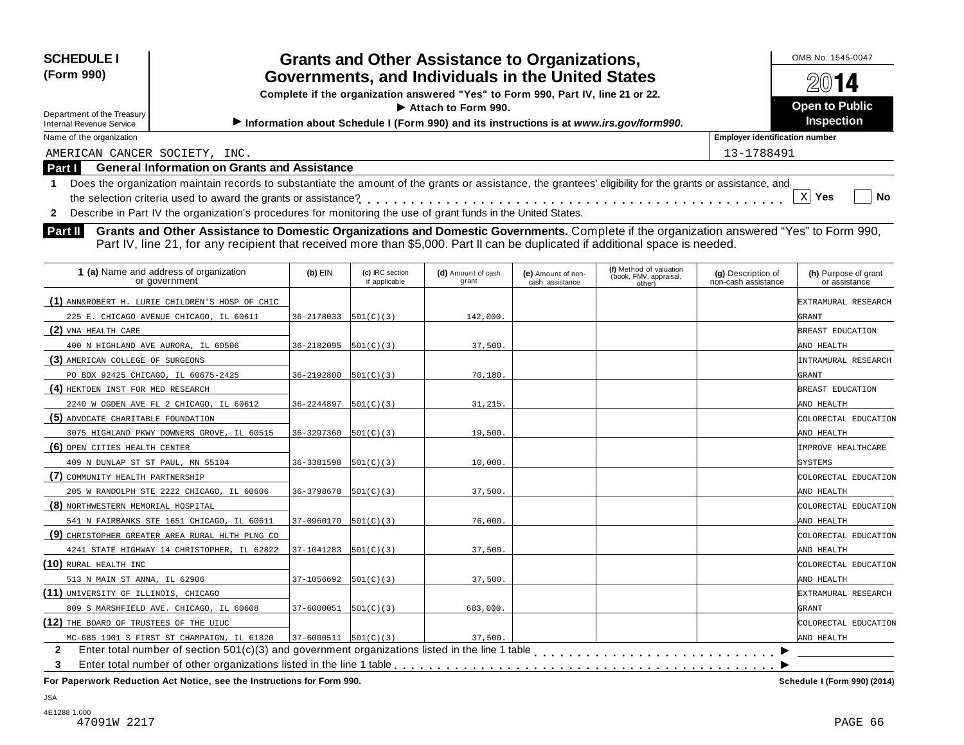| <b>SCHEDULE I</b><br>(Form 990)                                                                                                                                                                                                                                                             |                            |                                  | <b>Grants and Other Assistance to Organizations,</b><br>Governments, and Individuals in the United States |                                       |                                                             |                                           | OMB No. 1545-0047                     |
|---------------------------------------------------------------------------------------------------------------------------------------------------------------------------------------------------------------------------------------------------------------------------------------------|----------------------------|----------------------------------|-----------------------------------------------------------------------------------------------------------|---------------------------------------|-------------------------------------------------------------|-------------------------------------------|---------------------------------------|
|                                                                                                                                                                                                                                                                                             |                            |                                  |                                                                                                           |                                       |                                                             |                                           |                                       |
|                                                                                                                                                                                                                                                                                             |                            |                                  | Complete if the organization answered "Yes" to Form 990, Part IV, line 21 or 22.<br>Attach to Form 990.   |                                       |                                                             |                                           | <b>Open to Public</b>                 |
| Department of the Treasury<br><b>Internal Revenue Service</b>                                                                                                                                                                                                                               |                            |                                  | Information about Schedule I (Form 990) and its instructions is at www.irs.gov/form990.                   |                                       |                                                             |                                           | <b>Inspection</b>                     |
| Name of the organization                                                                                                                                                                                                                                                                    |                            |                                  |                                                                                                           |                                       |                                                             | <b>Employer identification number</b>     |                                       |
| AMERICAN CANCER SOCIETY, INC.                                                                                                                                                                                                                                                               |                            |                                  |                                                                                                           |                                       |                                                             | 13-1788491                                |                                       |
| <b>General Information on Grants and Assistance</b><br>Part I                                                                                                                                                                                                                               |                            |                                  |                                                                                                           |                                       |                                                             |                                           |                                       |
| Does the organization maintain records to substantiate the amount of the grants or assistance, the grantees' eligibility for the grants or assistance, and<br>Describe in Part IV the organization's procedures for monitoring the use of grant funds in the United States.<br>$\mathbf{2}$ |                            |                                  |                                                                                                           |                                       |                                                             |                                           | X <br>Yes<br><b>No</b>                |
| Part IV, line 21, for any recipient that received more than \$5,000. Part II can be duplicated if additional space is needed.<br>1 (a) Name and address of organization<br>or government                                                                                                    | $(b)$ EIN                  | (c) IRC section<br>if applicable | (d) Amount of cash<br>grant                                                                               | (e) Amount of non-<br>cash assistance | (f) Method of valuation<br>(book, FMV, appraisal,<br>other) | (g) Description of<br>non-cash assistance | (h) Purpose of grant<br>or assistance |
|                                                                                                                                                                                                                                                                                             |                            |                                  |                                                                                                           |                                       |                                                             |                                           |                                       |
| (1) ANN&ROBERT H. LURIE CHILDREN'S HOSP OF CHIC<br>225 E. CHICAGO AVENUE CHICAGO, IL 60611                                                                                                                                                                                                  | 36-2178033                 | 501(C)(3)                        | 142,000.                                                                                                  |                                       |                                                             |                                           | EXTRAMURAL RESEARCH<br>GRANT          |
| (2) VNA HEALTH CARE                                                                                                                                                                                                                                                                         |                            |                                  |                                                                                                           |                                       |                                                             |                                           | BREAST EDUCATION                      |
| 400 N HIGHLAND AVE AURORA, IL 60506                                                                                                                                                                                                                                                         | 36-2182095                 | 501(C)(3)                        | 37,500.                                                                                                   |                                       |                                                             |                                           | AND HEALTH                            |
| (3) AMERICAN COLLEGE OF SURGEONS                                                                                                                                                                                                                                                            |                            |                                  |                                                                                                           |                                       |                                                             |                                           | INTRAMURAL RESEARCH                   |
| PO BOX 92425 CHICAGO, IL 60675-2425                                                                                                                                                                                                                                                         | 36-2192800                 | 501(C)(3)                        | 70,180.                                                                                                   |                                       |                                                             |                                           | GRANT                                 |
| (4) HEKTOEN INST FOR MED RESEARCH                                                                                                                                                                                                                                                           |                            |                                  |                                                                                                           |                                       |                                                             |                                           | BREAST EDUCATION                      |
| 2240 W OGDEN AVE FL 2 CHICAGO, IL 60612                                                                                                                                                                                                                                                     | 36-2244897                 | 501(C)(3)                        | 31, 215.                                                                                                  |                                       |                                                             |                                           | AND HEALTH                            |
| (5) ADVOCATE CHARITABLE FOUNDATION                                                                                                                                                                                                                                                          |                            |                                  |                                                                                                           |                                       |                                                             |                                           | COLORECTAL EDUCATION                  |
| 3075 HIGHLAND PKWY DOWNERS GROVE, IL 60515                                                                                                                                                                                                                                                  | $36 - 3297360$ $501(C)(3)$ |                                  | 19,500.                                                                                                   |                                       |                                                             |                                           | AND HEALTH                            |
| (6) OPEN CITIES HEALTH CENTER                                                                                                                                                                                                                                                               |                            |                                  |                                                                                                           |                                       |                                                             |                                           | IMPROVE HEALTHCARE                    |

| 3075 HIGHLAND PKWY DOWNERS GROVE, IL 60515                                                                        | 36-3297360                 | 501(C)(3) | 19,500.  | AND HEALTH           |
|-------------------------------------------------------------------------------------------------------------------|----------------------------|-----------|----------|----------------------|
| (6) OPEN CITIES HEALTH CENTER                                                                                     |                            |           |          | IMPROVE HEALTHCARE   |
| 409 N DUNLAP ST ST PAUL, MN 55104                                                                                 | 36-3381598                 | 501(C)(3) | 10,000.  | <b>SYSTEMS</b>       |
| (7) COMMUNITY HEALTH PARTNERSHIP                                                                                  |                            |           |          | COLORECTAL EDUCATION |
| 205 W RANDOLPH STE 2222 CHICAGO, IL 60606                                                                         | 36-3798678                 | 501(C)(3) | 37,500.  | AND HEALTH           |
| (8) NORTHWESTERN MEMORIAL HOSPITAL                                                                                |                            |           |          | COLORECTAL EDUCATION |
| 541 N FAIRBANKS STE 1651 CHICAGO, IL 60611                                                                        | 37-0960170                 | 501(C)(3) | 76,000.  | AND HEALTH           |
| (9) CHRISTOPHER GREATER AREA RURAL HLTH PLNG CO                                                                   |                            |           |          | COLORECTAL EDUCATION |
| 4241 STATE HIGHWAY 14 CHRISTOPHER, IL 62822                                                                       | 37-1041283                 | 501(C)(3) | 37,500.  | AND HEALTH           |
| $(10)$ rural health inc                                                                                           |                            |           |          | COLORECTAL EDUCATION |
| 513 N MAIN ST ANNA, IL 62906                                                                                      | $37-1056692$ $[501(C)(3)]$ |           | 37,500.  | AND HEALTH           |
| (11) UNIVERSITY OF ILLINOIS, CHICAGO                                                                              |                            |           |          | EXTRAMURAL RESEARCH  |
| 809 S MARSHFIELD AVE. CHICAGO, IL 60608                                                                           | $37-6000051$ $ 501(C)(3) $ |           | 683,000. | GRANT                |
| (12) THE BOARD OF TRUSTEES OF THE UIUC                                                                            |                            |           |          | COLORECTAL EDUCATION |
| MC-685 1901 S FIRST ST CHAMPAIGN, IL 61820                                                                        | $37-6000511$ $501(C)(3)$   |           | 37,500.  | AND HEALTH           |
| Enter total number of section $501(c)(3)$ and government organizations listed in the line 1 table<br>$\mathbf{2}$ |                            |           |          |                      |
| 3                                                                                                                 |                            |           |          |                      |

 **For Paperwork Reduction Act Notice, see the Instructions for Form 990.** 

Schedule I (Form 990) (2014)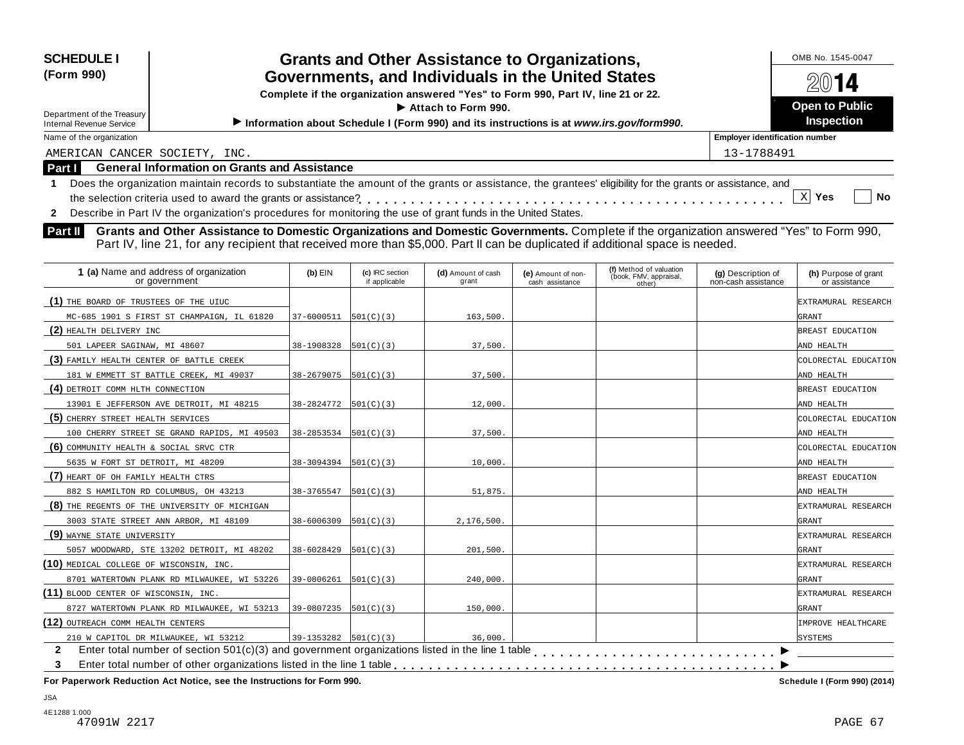| <b>SCHEDULE I</b><br>(Form 990)<br>Department of the Treasury<br><b>Internal Revenue Service</b> | <b>Grants and Other Assistance to Organizations,</b><br>Governments, and Individuals in the United States<br>Complete if the organization answered "Yes" to Form 990, Part IV, line 21 or 22.<br>$\blacktriangleright$ Attach to Form 990.<br>Information about Schedule I (Form 990) and its instructions is at www.irs.gov/form990. |           |                                  |                             |                                       |                                                             |                                           | OMB No. 1545-0047<br>2014<br><b>Open to Public</b><br><b>Inspection</b> |
|--------------------------------------------------------------------------------------------------|---------------------------------------------------------------------------------------------------------------------------------------------------------------------------------------------------------------------------------------------------------------------------------------------------------------------------------------|-----------|----------------------------------|-----------------------------|---------------------------------------|-------------------------------------------------------------|-------------------------------------------|-------------------------------------------------------------------------|
| Name of the organization                                                                         |                                                                                                                                                                                                                                                                                                                                       |           |                                  |                             |                                       |                                                             | <b>Employer identification number</b>     |                                                                         |
| AMERICAN CANCER SOCIETY, INC.                                                                    |                                                                                                                                                                                                                                                                                                                                       |           |                                  |                             |                                       |                                                             | 13-1788491                                |                                                                         |
| Part I                                                                                           | <b>General Information on Grants and Assistance</b>                                                                                                                                                                                                                                                                                   |           |                                  |                             |                                       |                                                             |                                           |                                                                         |
| $\overline{2}$                                                                                   | Does the organization maintain records to substantiate the amount of the grants or assistance, the grantees' eligibility for the grants or assistance, and<br>Describe in Part IV the organization's procedures for monitoring the use of grant funds in the United States.                                                           |           |                                  |                             |                                       |                                                             |                                           | $X$ Yes<br>No                                                           |
| Part II                                                                                          | Grants and Other Assistance to Domestic Organizations and Domestic Governments. Complete if the organization answered "Yes" to Form 990,<br>Part IV, line 21, for any recipient that received more than \$5,000. Part II can be duplicated if additional space is needed.                                                             |           |                                  |                             |                                       |                                                             |                                           |                                                                         |
|                                                                                                  | 1 (a) Name and address of organization<br>or government                                                                                                                                                                                                                                                                               | $(b)$ EIN | (c) IRC section<br>if applicable | (d) Amount of cash<br>grant | (e) Amount of non-<br>cash assistance | (f) Method of valuation<br>(book, FMV, appraisal,<br>(other | (g) Description of<br>non-cash assistance | (h) Purpose of grant<br>or assistance                                   |

| <b>I</b> (a) Name and address or organization<br>or government                                                             | יוום (ש                                | (C) IRC Section<br>if applicable | <b>(u)</b> Amount of cash<br>grant | (e) Amount of non-<br>cash assistance | (book, FMV, appraisal,<br>other) | (g) Description of<br>non-cash assistance | (n) Purpose or grant<br>or assistance |
|----------------------------------------------------------------------------------------------------------------------------|----------------------------------------|----------------------------------|------------------------------------|---------------------------------------|----------------------------------|-------------------------------------------|---------------------------------------|
| (1) THE BOARD OF TRUSTEES OF THE UIUC                                                                                      |                                        |                                  |                                    |                                       |                                  |                                           | EXTRAMURAL RESEARCH                   |
| MC-685 1901 S FIRST ST CHAMPAIGN, IL 61820                                                                                 | 37-6000511                             | 501(C)(3)                        | 163,500                            |                                       |                                  |                                           | GRANT                                 |
| (2) HEALTH DELIVERY INC                                                                                                    |                                        |                                  |                                    |                                       |                                  |                                           | BREAST EDUCATION                      |
| 501 LAPEER SAGINAW, MI 48607                                                                                               | 38-1908328                             | 501(C)(3)                        | 37,500.                            |                                       |                                  |                                           | AND HEALTH                            |
| (3) FAMILY HEALTH CENTER OF BATTLE CREEK                                                                                   |                                        |                                  |                                    |                                       |                                  |                                           | COLORECTAL EDUCATION                  |
| 181 W EMMETT ST BATTLE CREEK, MI 49037                                                                                     | 38-2679075                             | 501(C)(3)                        | 37,500.                            |                                       |                                  |                                           | AND HEALTH                            |
| (4) DETROIT COMM HLTH CONNECTION                                                                                           |                                        |                                  |                                    |                                       |                                  |                                           | BREAST EDUCATION                      |
| 13901 E JEFFERSON AVE DETROIT, MI 48215                                                                                    | $38 - 2824772$ 501(C)(3)               |                                  | 12,000                             |                                       |                                  |                                           | AND HEALTH                            |
| (5) CHERRY STREET HEALTH SERVICES                                                                                          |                                        |                                  |                                    |                                       |                                  |                                           | COLORECTAL EDUCATION                  |
| 100 CHERRY STREET SE GRAND RAPIDS, MI 49503                                                                                | $38 - 2853534$ $\vert 501(C)(3) \vert$ |                                  | 37,500.                            |                                       |                                  |                                           | AND HEALTH                            |
| (6) COMMUNITY HEALTH & SOCIAL SRVC CTR                                                                                     |                                        |                                  |                                    |                                       |                                  |                                           | COLORECTAL EDUCATION                  |
| 5635 W FORT ST DETROIT, MI 48209                                                                                           | 38-3094394                             | 501(C)(3)                        | 10,000                             |                                       |                                  |                                           | AND HEALTH                            |
| (7) HEART OF OH FAMILY HEALTH CTRS                                                                                         |                                        |                                  |                                    |                                       |                                  |                                           | BREAST EDUCATION                      |
| 882 S HAMILTON RD COLUMBUS, OH 43213                                                                                       | 38-3765547                             | 501(C)(3)                        | 51,875                             |                                       |                                  |                                           | AND HEALTH                            |
| (8) THE REGENTS OF THE UNIVERSITY OF MICHIGAN                                                                              |                                        |                                  |                                    |                                       |                                  |                                           | EXTRAMURAL RESEARCH                   |
| 3003 STATE STREET ANN ARBOR, MI 48109                                                                                      | 38-6006309                             | 501(C)(3)                        | 2,176,500.                         |                                       |                                  |                                           | GRANT                                 |
| (9) WAYNE STATE UNIVERSITY                                                                                                 |                                        |                                  |                                    |                                       |                                  |                                           | EXTRAMURAL RESEARCH                   |
| 5057 WOODWARD, STE 13202 DETROIT, MI 48202                                                                                 | 38-6028429                             | 501(C)(3)                        | 201,500                            |                                       |                                  |                                           | GRANT                                 |
| (10) MEDICAL COLLEGE OF WISCONSIN, INC.                                                                                    |                                        |                                  |                                    |                                       |                                  |                                           | EXTRAMURAL RESEARCH                   |
| 8701 WATERTOWN PLANK RD MILWAUKEE, WI 53226                                                                                | 39-0806261                             | 501(C)(3)                        | 240,000                            |                                       |                                  |                                           | GRANT                                 |
| (11) BLOOD CENTER OF WISCONSIN, INC.                                                                                       |                                        |                                  |                                    |                                       |                                  |                                           | EXTRAMURAL RESEARCH                   |
| 8727 WATERTOWN PLANK RD MILWAUKEE, WI 53213                                                                                | 39-0807235                             | 501(C)(3)                        | 150,000                            |                                       |                                  |                                           | GRANT                                 |
| (12) OUTREACH COMM HEALTH CENTERS                                                                                          |                                        |                                  |                                    |                                       |                                  |                                           | IMPROVE HEALTHCARE                    |
| 210 W CAPITOL DR MILWAUKEE, WI 53212                                                                                       | $39-1353282$ $501(C)(3)$               |                                  | 36.000.                            |                                       |                                  |                                           | SYSTEMS                               |
| Enter total number of section $501(c)(3)$ and government organizations listed in the line 1 table $\ldots$<br>$\mathbf{2}$ |                                        |                                  |                                    |                                       |                                  |                                           |                                       |
| 3                                                                                                                          |                                        |                                  |                                    |                                       |                                  |                                           |                                       |
|                                                                                                                            |                                        |                                  |                                    |                                       |                                  |                                           |                                       |

**For Paperwork Reduction Act Notice, see the Instructions for Form 990. Schedule I (Form 990) (2014)**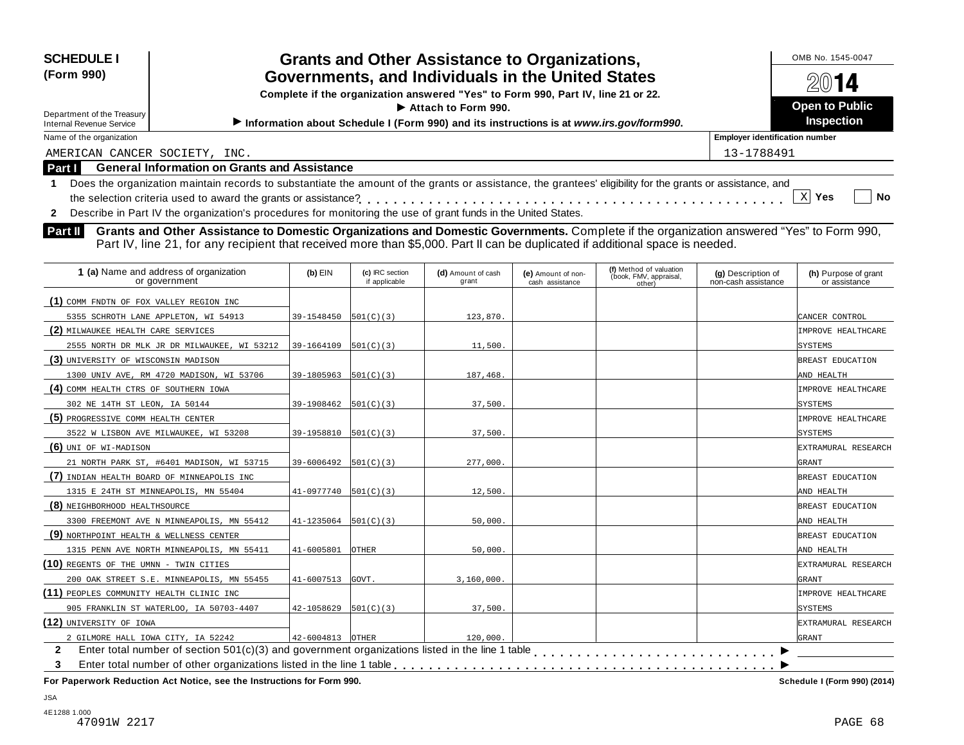| <b>SCHEDULE I</b><br>(Form 990)<br>Department of the Treasury<br><b>Internal Revenue Service</b> |                                                                                                                                                                                                                                                                                                                                                                                            |            |                                  | <b>Grants and Other Assistance to Organizations,</b><br>Governments, and Individuals in the United States<br>Complete if the organization answered "Yes" to Form 990, Part IV, line 21 or 22.<br>Attach to Form 990.<br>Information about Schedule I (Form 990) and its instructions is at www.irs.gov/form990. |                                       |                                                             |                                           | OMB No. 1545-0047<br>14<br><b>Open to Public</b><br><b>Inspection</b> |
|--------------------------------------------------------------------------------------------------|--------------------------------------------------------------------------------------------------------------------------------------------------------------------------------------------------------------------------------------------------------------------------------------------------------------------------------------------------------------------------------------------|------------|----------------------------------|-----------------------------------------------------------------------------------------------------------------------------------------------------------------------------------------------------------------------------------------------------------------------------------------------------------------|---------------------------------------|-------------------------------------------------------------|-------------------------------------------|-----------------------------------------------------------------------|
| Name of the organization                                                                         |                                                                                                                                                                                                                                                                                                                                                                                            |            |                                  |                                                                                                                                                                                                                                                                                                                 |                                       |                                                             | <b>Employer identification number</b>     |                                                                       |
| AMERICAN CANCER SOCIETY, INC.                                                                    |                                                                                                                                                                                                                                                                                                                                                                                            |            |                                  |                                                                                                                                                                                                                                                                                                                 |                                       |                                                             | 13-1788491                                |                                                                       |
| Part I                                                                                           | <b>General Information on Grants and Assistance</b>                                                                                                                                                                                                                                                                                                                                        |            |                                  |                                                                                                                                                                                                                                                                                                                 |                                       |                                                             |                                           |                                                                       |
| Part II                                                                                          | Describe in Part IV the organization's procedures for monitoring the use of grant funds in the United States.<br>Grants and Other Assistance to Domestic Organizations and Domestic Governments. Complete if the organization answered "Yes" to Form 990,<br>Part IV, line 21, for any recipient that received more than \$5,000. Part II can be duplicated if additional space is needed. |            |                                  |                                                                                                                                                                                                                                                                                                                 |                                       |                                                             |                                           |                                                                       |
| 1 (a) Name and address of organization<br>or government                                          |                                                                                                                                                                                                                                                                                                                                                                                            | $(b)$ EIN  | (c) IRC section<br>if applicable | (d) Amount of cash<br>grant                                                                                                                                                                                                                                                                                     | (e) Amount of non-<br>cash assistance | (f) Method of valuation<br>(book, FMV, appraisal,<br>other) | (g) Description of<br>non-cash assistance | (h) Purpose of grant<br>or assistance                                 |
| (1) COMM FNDTN OF FOX VALLEY REGION INC                                                          |                                                                                                                                                                                                                                                                                                                                                                                            |            |                                  |                                                                                                                                                                                                                                                                                                                 |                                       |                                                             |                                           |                                                                       |
| 5355 SCHROTH LANE APPLETON, WI 54913                                                             |                                                                                                                                                                                                                                                                                                                                                                                            | 39-1548450 | 501(C)(3)                        | 123,870.                                                                                                                                                                                                                                                                                                        |                                       |                                                             |                                           | CANCER CONTROL                                                        |
| (2) MILWAUKEE HEALTH CARE SERVICES                                                               |                                                                                                                                                                                                                                                                                                                                                                                            |            |                                  |                                                                                                                                                                                                                                                                                                                 |                                       |                                                             |                                           | IMPROVE HEALTHCARE                                                    |
|                                                                                                  | 2555 NORTH DR MLK JR DR MILWAUKEE, WI 53212                                                                                                                                                                                                                                                                                                                                                | 39-1664109 | 501(C)(3)                        | 11,500.                                                                                                                                                                                                                                                                                                         |                                       |                                                             |                                           | <b>SYSTEMS</b>                                                        |
| (3) UNIVERSITY OF WISCONSIN MADISON                                                              |                                                                                                                                                                                                                                                                                                                                                                                            |            |                                  |                                                                                                                                                                                                                                                                                                                 |                                       |                                                             |                                           | BREAST EDUCATION                                                      |
| 1300 UNIV AVE, RM 4720 MADISON, WI 53706                                                         |                                                                                                                                                                                                                                                                                                                                                                                            | 39-1805963 | 501(C)(3)                        | 187,468.                                                                                                                                                                                                                                                                                                        |                                       |                                                             |                                           | AND HEALTH                                                            |
| $\left( \mathbf{A} \right)$ gour universe and on community vous                                  |                                                                                                                                                                                                                                                                                                                                                                                            |            |                                  |                                                                                                                                                                                                                                                                                                                 |                                       |                                                             |                                           | $\ldots$                                                              |

| (3) UNIVERSITY OF WISCONSIN MADISON                                                                               |                         |              |            |  | BREAST EDUCATION    |
|-------------------------------------------------------------------------------------------------------------------|-------------------------|--------------|------------|--|---------------------|
| 1300 UNIV AVE, RM 4720 MADISON, WI 53706                                                                          | 39-1805963              | 501(C)(3)    | 187,468.   |  | AND HEALTH          |
| (4) COMM HEALTH CTRS OF SOUTHERN IOWA                                                                             |                         |              |            |  | IMPROVE HEALTHCARE  |
| 302 NE 14TH ST LEON, IA 50144                                                                                     | 39-1908462              | 501(C)(3)    | 37,500.    |  | SYSTEMS             |
| (5) PROGRESSIVE COMM HEALTH CENTER                                                                                |                         |              |            |  | IMPROVE HEALTHCARE  |
| 3522 W LISBON AVE MILWAUKEE, WI 53208                                                                             | 39-1958810              | 501(C)(3)    | 37,500.    |  | SYSTEMS             |
| (6) UNI OF WI-MADISON                                                                                             |                         |              |            |  | EXTRAMURAL RESEARCH |
| 21 NORTH PARK ST, #6401 MADISON, WI 53715                                                                         | $39-6006492$ 501(C)(3)  |              | 277,000.   |  | <b>GRANT</b>        |
| (7) INDIAN HEALTH BOARD OF MINNEAPOLIS INC                                                                        |                         |              |            |  | BREAST EDUCATION    |
| 1315 E 24TH ST MINNEAPOLIS, MN 55404                                                                              | 41-0977740              | 501(C)(3)    | 12,500.    |  | AND HEALTH          |
| (8) NEIGHBORHOOD HEALTHSOURCE                                                                                     |                         |              |            |  | BREAST EDUCATION    |
| 3300 FREEMONT AVE N MINNEAPOLIS, MN 55412                                                                         | $ 41-1235064 501(C)(3)$ |              | 50,000.    |  | AND HEALTH          |
| (9) NORTHPOINT HEALTH & WELLNESS CENTER                                                                           |                         |              |            |  | BREAST EDUCATION    |
| 1315 PENN AVE NORTH MINNEAPOLIS, MN 55411                                                                         | 41-6005801              | <b>OTHER</b> | 50,000.    |  | AND HEALTH          |
| (10) REGENTS OF THE UMNN - TWIN CITIES                                                                            |                         |              |            |  | EXTRAMURAL RESEARCH |
| 200 OAK STREET S.E. MINNEAPOLIS, MN 55455                                                                         | 41-6007513              | GOVT.        | 3,160,000. |  | GRANT               |
| (11) PEOPLES COMMUNITY HEALTH CLINIC INC                                                                          |                         |              |            |  | IMPROVE HEALTHCARE  |
| 905 FRANKLIN ST WATERLOO, IA 50703-4407                                                                           | 42-1058629              | 501(C)(3)    | 37,500.    |  | SYSTEMS             |
| (12) UNIVERSITY OF IOWA                                                                                           |                         |              |            |  | EXTRAMURAL RESEARCH |
| 2 GILMORE HALL IOWA CITY, IA 52242                                                                                | 42-6004813              | <b>OTHER</b> | 120,000.   |  | <b>GRANT</b>        |
| Enter total number of section $501(c)(3)$ and government organizations listed in the line 1 table<br>$\mathbf{2}$ |                         |              |            |  |                     |
| 3                                                                                                                 |                         |              |            |  |                     |
|                                                                                                                   |                         |              |            |  |                     |

**For Paperwork Reduction Act Notice, see the Instructions for Form 990.** 

Schedule I (Form 990) (2014)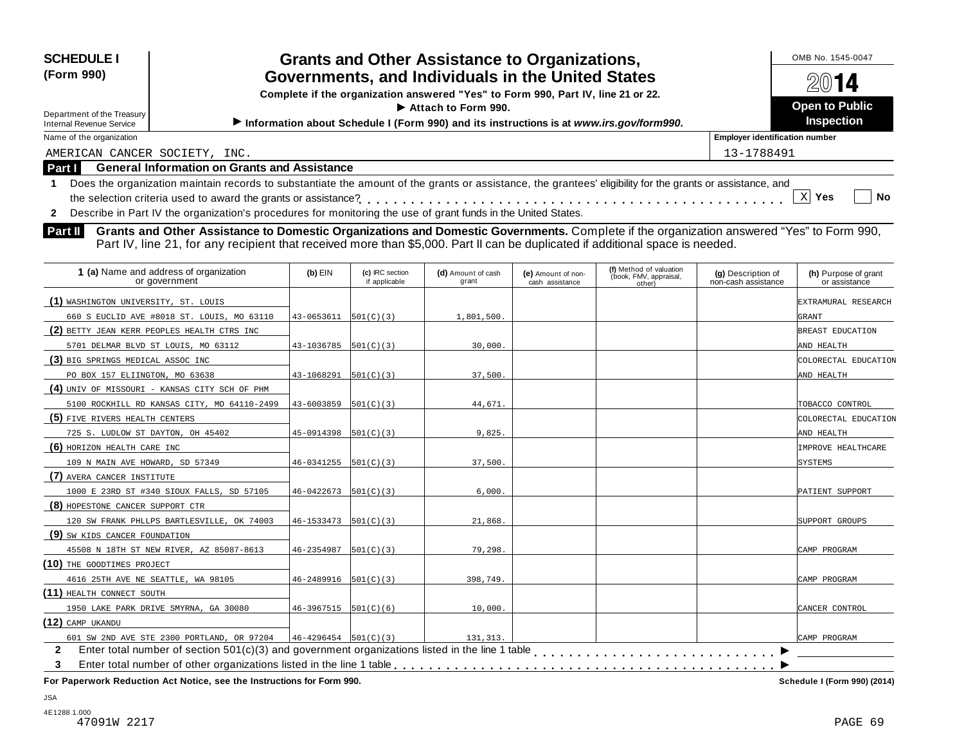| <b>SCHEDULE I</b>                                                                                                                                               |                                        |                                  | <b>Grants and Other Assistance to Organizations,</b>                                    |                                       |                                                             |                                           | OMB No. 1545-0047                     |
|-----------------------------------------------------------------------------------------------------------------------------------------------------------------|----------------------------------------|----------------------------------|-----------------------------------------------------------------------------------------|---------------------------------------|-------------------------------------------------------------|-------------------------------------------|---------------------------------------|
| (Form 990)                                                                                                                                                      |                                        |                                  | Governments, and Individuals in the United States                                       |                                       |                                                             |                                           | 14                                    |
|                                                                                                                                                                 |                                        |                                  | Complete if the organization answered "Yes" to Form 990, Part IV, line 21 or 22.        |                                       |                                                             |                                           |                                       |
| Department of the Treasury                                                                                                                                      |                                        |                                  | Attach to Form 990.                                                                     |                                       |                                                             |                                           | <b>Open to Public</b>                 |
| <b>Internal Revenue Service</b>                                                                                                                                 |                                        |                                  | Information about Schedule I (Form 990) and its instructions is at www.irs.gov/form990. |                                       |                                                             |                                           | <b>Inspection</b>                     |
| Name of the organization                                                                                                                                        |                                        |                                  |                                                                                         |                                       |                                                             | <b>Employer identification number</b>     |                                       |
| AMERICAN CANCER SOCIETY, INC.                                                                                                                                   |                                        |                                  |                                                                                         |                                       |                                                             | 13-1788491                                |                                       |
| <b>General Information on Grants and Assistance</b><br>Part I                                                                                                   |                                        |                                  |                                                                                         |                                       |                                                             |                                           |                                       |
| Does the organization maintain records to substantiate the amount of the grants or assistance, the grantees' eligibility for the grants or assistance, and<br>1 |                                        |                                  |                                                                                         |                                       |                                                             |                                           |                                       |
|                                                                                                                                                                 |                                        |                                  |                                                                                         |                                       |                                                             |                                           | $X$ Yes<br><b>No</b>                  |
| 2 Describe in Part IV the organization's procedures for monitoring the use of grant funds in the United States.                                                 |                                        |                                  |                                                                                         |                                       |                                                             |                                           |                                       |
| Part II<br>Grants and Other Assistance to Domestic Organizations and Domestic Governments. Complete if the organization answered "Yes" to Form 990,             |                                        |                                  |                                                                                         |                                       |                                                             |                                           |                                       |
| Part IV, line 21, for any recipient that received more than \$5,000. Part II can be duplicated if additional space is needed.                                   |                                        |                                  |                                                                                         |                                       |                                                             |                                           |                                       |
|                                                                                                                                                                 |                                        |                                  |                                                                                         |                                       |                                                             |                                           |                                       |
| 1 (a) Name and address of organization<br>or government                                                                                                         | $(b)$ EIN                              | (c) IRC section<br>if applicable | (d) Amount of cash<br>grant                                                             | (e) Amount of non-<br>cash assistance | (f) Method of valuation<br>(book, FMV, appraisal,<br>other) | (g) Description of<br>non-cash assistance | (h) Purpose of grant<br>or assistance |
| (1) WASHINGTON UNIVERSITY, ST. LOUIS                                                                                                                            |                                        |                                  |                                                                                         |                                       |                                                             |                                           | EXTRAMURAL RESEARCH                   |
| 660 S EUCLID AVE #8018 ST. LOUIS, MO 63110                                                                                                                      | $43 - 0653611$ $[501(C)(3)]$           |                                  | 1,801,500.                                                                              |                                       |                                                             |                                           | GRANT                                 |
| (2) BETTY JEAN KERR PEOPLES HEALTH CTRS INC                                                                                                                     |                                        |                                  |                                                                                         |                                       |                                                             |                                           | BREAST EDUCATION                      |
| 5701 DELMAR BLVD ST LOUIS, MO 63112                                                                                                                             | $43 - 1036785$ $\vert 501(C)(3) \vert$ |                                  | 30,000.                                                                                 |                                       |                                                             |                                           | AND HEALTH                            |
| (3) BIG SPRINGS MEDICAL ASSOC INC                                                                                                                               |                                        |                                  |                                                                                         |                                       |                                                             |                                           | COLORECTAL EDUCATION                  |
| PO BOX 157 ELIINGTON, MO 63638                                                                                                                                  | 43-1068291                             | 501(C)(3)                        | 37,500.                                                                                 |                                       |                                                             |                                           | AND HEALTH                            |
| (4) UNIV OF MISSOURI - KANSAS CITY SCH OF PHM                                                                                                                   |                                        |                                  |                                                                                         |                                       |                                                             |                                           |                                       |
| 5100 ROCKHILL RD KANSAS CITY, MO 64110-2499                                                                                                                     | 43-6003859                             | 501(C)(3)                        | 44,671.                                                                                 |                                       |                                                             |                                           | TOBACCO CONTROL                       |
| (5) FIVE RIVERS HEALTH CENTERS                                                                                                                                  |                                        |                                  |                                                                                         |                                       |                                                             |                                           | COLORECTAL EDUCATION                  |
| 725 S. LUDLOW ST DAYTON, OH 45402                                                                                                                               | 45-0914398                             | 501(C)(3)                        | 9,825                                                                                   |                                       |                                                             |                                           | AND HEALTH                            |
| (6) HORIZON HEALTH CARE INC                                                                                                                                     |                                        |                                  |                                                                                         |                                       |                                                             |                                           | IMPROVE HEALTHCARE                    |
| 109 N MAIN AVE HOWARD, SD 57349                                                                                                                                 | $46 - 0341255$ $ 501(C)(3) $           |                                  | 37,500.                                                                                 |                                       |                                                             |                                           | <b>SYSTEMS</b>                        |
| (7) AVERA CANCER INSTITUTE                                                                                                                                      |                                        |                                  |                                                                                         |                                       |                                                             |                                           |                                       |
| 1000 E 23RD ST #340 SIOUX FALLS, SD 57105                                                                                                                       | $46 - 0422673$   $501(C)(3)$           |                                  | 6,000.                                                                                  |                                       |                                                             |                                           | PATIENT SUPPORT                       |
| (8) HOPESTONE CANCER SUPPORT CTR                                                                                                                                |                                        |                                  |                                                                                         |                                       |                                                             |                                           |                                       |
| 120 SW FRANK PHLLPS BARTLESVILLE, OK 74003                                                                                                                      | $46 - 1533473$ $ 501(C)(3) $           |                                  | 21,868.                                                                                 |                                       |                                                             |                                           | SUPPORT GROUPS                        |
| (9) SW KIDS CANCER FOUNDATION                                                                                                                                   |                                        |                                  |                                                                                         |                                       |                                                             |                                           |                                       |
| 45508 N 18TH ST NEW RIVER, AZ 85087-8613                                                                                                                        | 46-2354987                             | 501(C)(3)                        | 79,298.                                                                                 |                                       |                                                             |                                           | CAMP PROGRAM                          |
| (10) THE GOODTIMES PROJECT                                                                                                                                      |                                        |                                  |                                                                                         |                                       |                                                             |                                           |                                       |
| 4616 25TH AVE NE SEATTLE, WA 98105                                                                                                                              | $46 - 2489916$ $501(C)(3)$             |                                  | 398,749.                                                                                |                                       |                                                             |                                           | CAMP PROGRAM                          |

1950 LAKE PARK DRIVE SMYRNA, GA 30080 46-3967515 501(C)(6) 10,000.

2 Enter total number of section 501(c)(3) and government organizations listed in the line 1 table<br>3 Enter total number of other organizations listed in the line 1 table **with the line 1 table of the Concernment For Paperwork Reduction Act Notice, see the Instructions for Form 990. Schedule I (Form 990) (2014)**

Enter total number of other organizations listed in the line 1 table

601 SW 2ND AVE STE 2300 PORTLAND, OR 97204  $46-4296454$  501(C)(3) 131,313.

 $\overline{\phantom{1}}$ 

CAMP PROGRAM

m m m m m m m m m m m m m m m m m m m m m m m m m m m m

**3**

**(11)** HEALTH CONNECT SOUTH

**(12)** CAMP UKANDU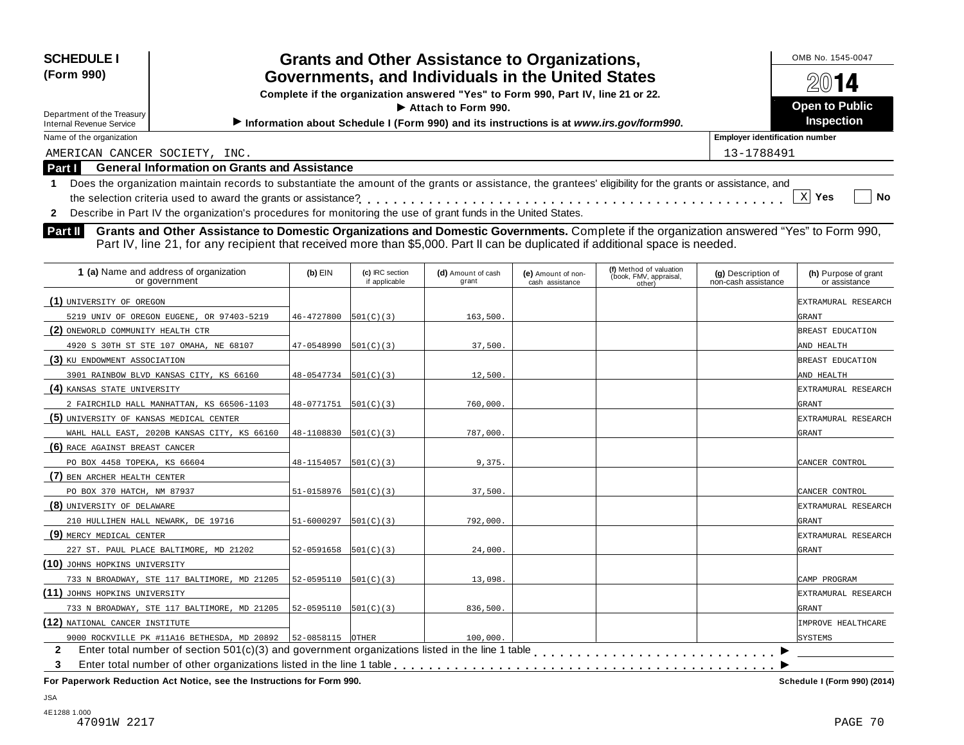| <b>SCHEDULE I</b><br>(Form 990)<br>Department of the Treasury<br><b>Internal Revenue Service</b> | <b>Grants and Other Assistance to Organizations,</b><br>Governments, and Individuals in the United States<br>Complete if the organization answered "Yes" to Form 990, Part IV, line 21 or 22.<br>$\blacktriangleright$ Attach to Form 990.<br>Information about Schedule I (Form 990) and its instructions is at www.irs.gov/form990. | OMB No. 1545-0047<br>2014<br><b>Open to Public</b><br><b>Inspection</b> |
|--------------------------------------------------------------------------------------------------|---------------------------------------------------------------------------------------------------------------------------------------------------------------------------------------------------------------------------------------------------------------------------------------------------------------------------------------|-------------------------------------------------------------------------|
| Name of the organization                                                                         |                                                                                                                                                                                                                                                                                                                                       | <b>Employer identification number</b>                                   |
| AMERICAN CANCER SOCIETY, INC.                                                                    |                                                                                                                                                                                                                                                                                                                                       | 13-1788491                                                              |
| Part I                                                                                           | <b>General Information on Grants and Assistance</b>                                                                                                                                                                                                                                                                                   |                                                                         |
|                                                                                                  | Does the organization maintain records to substantiate the amount of the grants or assistance, the grantees' eligibility for the grants or assistance, and                                                                                                                                                                            | No<br><b>Yes</b>                                                        |
|                                                                                                  | Describe in Part IV the organization's procedures for monitoring the use of grant funds in the United States.                                                                                                                                                                                                                         |                                                                         |

**Part II** Grants and Other Assistance to Domestic Organizations and Domestic Governments. Complete if the organization answered "Yes" to Form 990,<br>Part IV, line 21, for any recipient that received more than \$5,000. Part II

| 1 (a) Name and address of organization<br>or government        | $(b)$ EIN                  | (c) IRC section<br>if applicable | (d) Amount of cash<br>grant | (e) Amount of non-<br>cash assistance | (f) Method of valuation<br>(book, FMV, appraisal,<br>other) | (g) Description of<br>non-cash assistance | (h) Purpose of grant<br>or assistance |
|----------------------------------------------------------------|----------------------------|----------------------------------|-----------------------------|---------------------------------------|-------------------------------------------------------------|-------------------------------------------|---------------------------------------|
| (1) UNIVERSITY OF OREGON                                       |                            |                                  |                             |                                       |                                                             |                                           | EXTRAMURAL RESEARCH                   |
| 5219 UNIV OF OREGON EUGENE, OR 97403-5219                      | 46-4727800                 | 501(C)(3)                        | 163,500                     |                                       |                                                             |                                           | GRANT                                 |
| (2) ONEWORLD COMMUNITY HEALTH CTR                              |                            |                                  |                             |                                       |                                                             |                                           | BREAST EDUCATION                      |
| 4920 S 30TH ST STE 107 OMAHA, NE 68107                         | $47-0548990$ $ 501(C)(3) $ |                                  | 37,500.                     |                                       |                                                             |                                           | AND HEALTH                            |
| (3) KU ENDOWMENT ASSOCIATION                                   |                            |                                  |                             |                                       |                                                             |                                           | BREAST EDUCATION                      |
| 3901 RAINBOW BLVD KANSAS CITY, KS 66160                        | $48-0547734$ $[501(C)(3)]$ |                                  | 12,500.                     |                                       |                                                             |                                           | AND HEALTH                            |
| (4) KANSAS STATE UNIVERSITY                                    |                            |                                  |                             |                                       |                                                             |                                           | EXTRAMURAL RESEARCH                   |
| 2 FAIRCHILD HALL MANHATTAN, KS 66506-1103                      | $48-0771751$ $501(C)(3)$   |                                  | 760,000                     |                                       |                                                             |                                           | <b>GRANT</b>                          |
| (5) UNIVERSITY OF KANSAS MEDICAL CENTER                        |                            |                                  |                             |                                       |                                                             |                                           | EXTRAMURAL RESEARCH                   |
| WAHL HALL EAST, 2020B KANSAS CITY, KS 66160                    | 48-1108830                 | 501(C)(3)                        | 787,000                     |                                       |                                                             |                                           | <b>GRANT</b>                          |
| (6) RACE AGAINST BREAST CANCER                                 |                            |                                  |                             |                                       |                                                             |                                           |                                       |
| PO BOX 4458 TOPEKA, KS 66604                                   | 48-1154057                 | 501(C)(3)                        | 9,375.                      |                                       |                                                             |                                           | CANCER CONTROL                        |
| (7) BEN ARCHER HEALTH CENTER                                   |                            |                                  |                             |                                       |                                                             |                                           |                                       |
| PO BOX 370 HATCH, NM 87937                                     | $51-0158976$ $501(C)(3)$   |                                  | 37,500.                     |                                       |                                                             |                                           | CANCER CONTROL                        |
| (8) UNIVERSITY OF DELAWARE                                     |                            |                                  |                             |                                       |                                                             |                                           | EXTRAMURAL RESEARCH                   |
| 210 HULLIHEN HALL NEWARK, DE 19716                             | 51-6000297                 | 501(C)(3)                        | 792,000                     |                                       |                                                             |                                           | <b>GRANT</b>                          |
| (9) MERCY MEDICAL CENTER                                       |                            |                                  |                             |                                       |                                                             |                                           | EXTRAMURAL RESEARCH                   |
| 227 ST. PAUL PLACE BALTIMORE, MD 21202                         | $52-0591658$ $[501(C)(3)]$ |                                  | 24,000.                     |                                       |                                                             |                                           | GRANT                                 |
| (10) JOHNS HOPKINS UNIVERSITY                                  |                            |                                  |                             |                                       |                                                             |                                           |                                       |
| 733 N BROADWAY, STE 117 BALTIMORE, MD 21205                    | $52-0595110$ $[501(C)(3)]$ |                                  | 13,098.                     |                                       |                                                             |                                           | CAMP PROGRAM                          |
| (11) JOHNS HOPKINS UNIVERSITY                                  |                            |                                  |                             |                                       |                                                             |                                           | EXTRAMURAL RESEARCH                   |
| 733 N BROADWAY, STE 117 BALTIMORE, MD 21205                    | $52-0595110$ $501(C)(3)$   |                                  | 836,500.                    |                                       |                                                             |                                           | <b>GRANT</b>                          |
| (12) NATIONAL CANCER INSTITUTE                                 |                            |                                  |                             |                                       |                                                             |                                           | IMPROVE HEALTHCARE                    |
| 9000 ROCKVILLE PK #11A16 BETHESDA, MD 20892   52-0858115 OTHER |                            |                                  | 100,000                     |                                       |                                                             |                                           | <b>SYSTEMS</b>                        |
| $\mathbf{2}$                                                   |                            |                                  |                             |                                       |                                                             |                                           |                                       |
| 3                                                              |                            |                                  |                             |                                       |                                                             |                                           |                                       |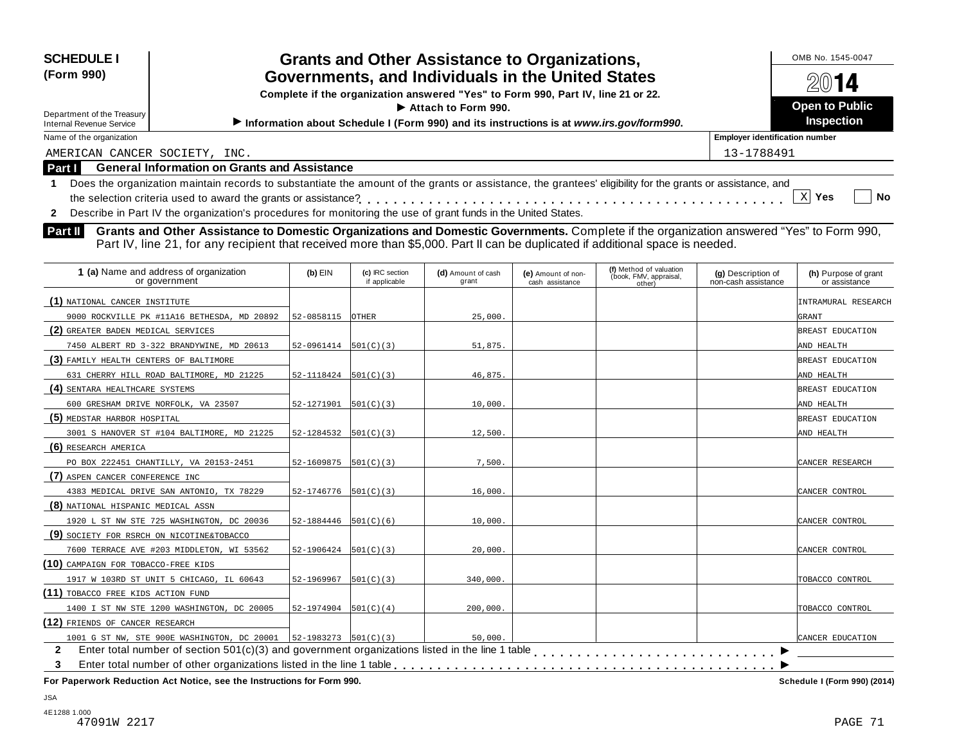| <b>SCHEDULE I</b><br>(Form 990) | <b>Grants and Other Assistance to Organizations,</b><br>Governments, and Individuals in the United States<br>Complete if the organization answered "Yes" to Form 990, Part IV, line 21 or 22. | OMB No. 1545-0047<br>2014                  |
|---------------------------------|-----------------------------------------------------------------------------------------------------------------------------------------------------------------------------------------------|--------------------------------------------|
| Department of the Treasury      | $\blacktriangleright$ Attach to Form 990.                                                                                                                                                     | <b>Open to Public</b><br><b>Inspection</b> |
| Internal Revenue Service        | Information about Schedule I (Form 990) and its instructions is at www.irs.gov/form990.                                                                                                       |                                            |
| Name of the organization        |                                                                                                                                                                                               | <b>Employer identification number</b>      |
| AMERICAN CANCER SOCIETY, INC.   |                                                                                                                                                                                               | 13-1788491                                 |
| <b>Part I</b>                   | <b>General Information on Grants and Assistance</b>                                                                                                                                           |                                            |
|                                 | Does the organization maintain records to substantiate the amount of the grants or assistance, the grantees' eligibility for the grants or assistance, and                                    | No<br>Yes                                  |

**2** Describe in Part IV the organization's procedures for monitoring the use of grant funds in the United States.

**Part II** Grants and Other Assistance to Domestic Organizations and Domestic Governments. Complete if the organization answered "Yes" to Form 990,<br>Part IV, line 21, for any recipient that received more than \$5,000. Part II

| 1 (a) Name and address of organization<br>or government | $(b)$ EIN                    | (c) IRC section<br>if applicable | (d) Amount of cash<br>grant | (e) Amount of non-<br>cash assistance | (f) Method of valuation<br>(book, FMV, appraisal,<br>other) | (g) Description of<br>non-cash assistance | (h) Purpose of grant<br>or assistance |
|---------------------------------------------------------|------------------------------|----------------------------------|-----------------------------|---------------------------------------|-------------------------------------------------------------|-------------------------------------------|---------------------------------------|
| (1) NATIONAL CANCER INSTITUTE                           |                              |                                  |                             |                                       |                                                             |                                           | INTRAMURAL RESEARCH                   |
| 9000 ROCKVILLE PK #11A16 BETHESDA, MD 20892             | 52-0858115                   | <b>OTHER</b>                     | 25,000.                     |                                       |                                                             |                                           | GRANT                                 |
| (2) GREATER BADEN MEDICAL SERVICES                      |                              |                                  |                             |                                       |                                                             |                                           | BREAST EDUCATION                      |
| 7450 ALBERT RD 3-322 BRANDYWINE, MD 20613               | $52-0961414$ $501(C)(3)$     |                                  | 51,875.                     |                                       |                                                             |                                           | AND HEALTH                            |
| (3) FAMILY HEALTH CENTERS OF BALTIMORE                  |                              |                                  |                             |                                       |                                                             |                                           | BREAST EDUCATION                      |
| 631 CHERRY HILL ROAD BALTIMORE, MD 21225                | $52-1118424$ $501(C)(3)$     |                                  | 46,875.                     |                                       |                                                             |                                           | AND HEALTH                            |
| (4) SENTARA HEALTHCARE SYSTEMS                          |                              |                                  |                             |                                       |                                                             |                                           | BREAST EDUCATION                      |
| 600 GRESHAM DRIVE NORFOLK, VA 23507                     | $52-1271901$ $501(C)(3)$     |                                  | 10,000.                     |                                       |                                                             |                                           | AND HEALTH                            |
| (5) MEDSTAR HARBOR HOSPITAL                             |                              |                                  |                             |                                       |                                                             |                                           | BREAST EDUCATION                      |
| 3001 S HANOVER ST #104 BALTIMORE, MD 21225              | $52-1284532$ $[501(C)(3)]$   |                                  | 12,500.                     |                                       |                                                             |                                           | AND HEALTH                            |
| (6) RESEARCH AMERICA                                    |                              |                                  |                             |                                       |                                                             |                                           |                                       |
| PO BOX 222451 CHANTILLY, VA 20153-2451                  | 52-1609875                   | 501(C)(3)                        | 7,500.                      |                                       |                                                             |                                           | CANCER RESEARCH                       |
| (7) ASPEN CANCER CONFERENCE INC                         |                              |                                  |                             |                                       |                                                             |                                           |                                       |
| 4383 MEDICAL DRIVE SAN ANTONIO, TX 78229                | $52-1746776$ $501(C)(3)$     |                                  | 16,000.                     |                                       |                                                             |                                           | CANCER CONTROL                        |
| (8) NATIONAL HISPANIC MEDICAL ASSN                      |                              |                                  |                             |                                       |                                                             |                                           |                                       |
| 1920 L ST NW STE 725 WASHINGTON, DC 20036               | $52 - 1884446$ $501(C)(6)$   |                                  | 10,000.                     |                                       |                                                             |                                           | CANCER CONTROL                        |
| (9) SOCIETY FOR RSRCH ON NICOTINE&TOBACCO               |                              |                                  |                             |                                       |                                                             |                                           |                                       |
| 7600 TERRACE AVE #203 MIDDLETON, WI 53562               | $52-1906424$ $501(C)(3)$     |                                  | 20,000.                     |                                       |                                                             |                                           | CANCER CONTROL                        |
| (10) CAMPAIGN FOR TOBACCO-FREE KIDS                     |                              |                                  |                             |                                       |                                                             |                                           |                                       |
| 1917 W 103RD ST UNIT 5 CHICAGO, IL 60643                | $52 - 1969967$   $501(C)(3)$ |                                  | 340,000.                    |                                       |                                                             |                                           | TOBACCO CONTROL                       |
| (11) TOBACCO FREE KIDS ACTION FUND                      |                              |                                  |                             |                                       |                                                             |                                           |                                       |
| 1400 I ST NW STE 1200 WASHINGTON, DC 20005              | $52-1974904$ $501(C)(4)$     |                                  | 200,000.                    |                                       |                                                             |                                           | TOBACCO CONTROL                       |
| (12) FRIENDS OF CANCER RESEARCH                         |                              |                                  |                             |                                       |                                                             |                                           |                                       |
| 1001 G ST NW, STE 900E WASHINGTON, DC 20001             | $ 52-1983273 501(C)(3)$      |                                  | 50,000.                     |                                       |                                                             |                                           | CANCER EDUCATION                      |
| $\mathbf{2}$                                            |                              |                                  |                             |                                       |                                                             |                                           |                                       |
| 3                                                       |                              |                                  |                             |                                       |                                                             |                                           |                                       |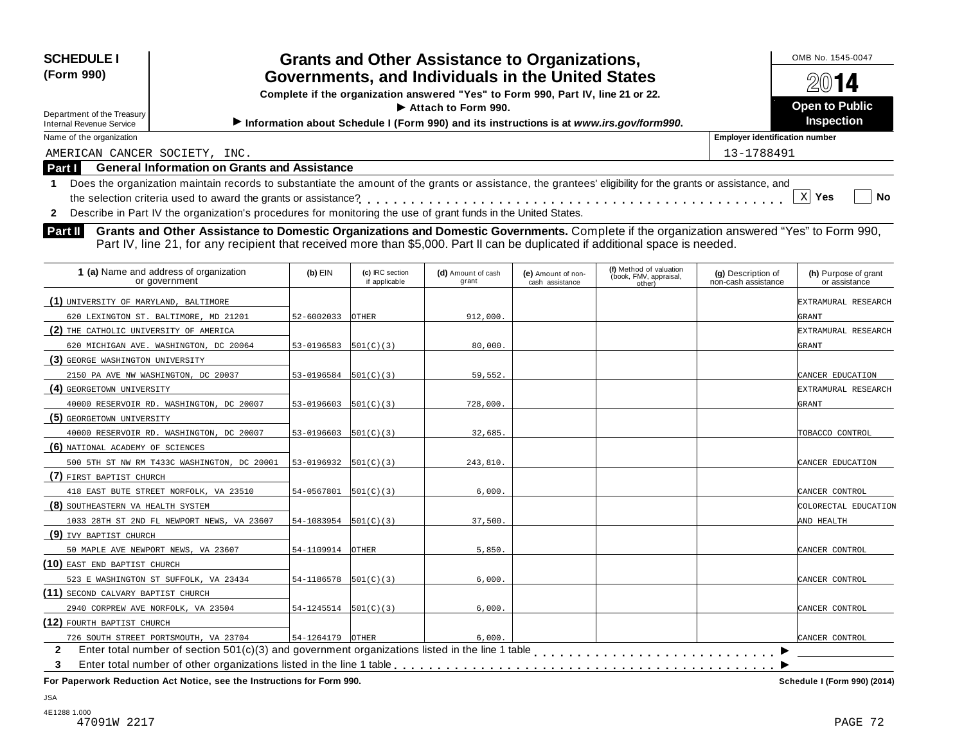| <b>SCHEDULE I</b><br><b>Grants and Other Assistance to Organizations,</b>                                                                                                                                         |                            |                 |                                                                                         |                                       |                                  | OMB No. 1545-0047<br>$20$ 14              |                                       |
|-------------------------------------------------------------------------------------------------------------------------------------------------------------------------------------------------------------------|----------------------------|-----------------|-----------------------------------------------------------------------------------------|---------------------------------------|----------------------------------|-------------------------------------------|---------------------------------------|
| (Form 990)<br>Governments, and Individuals in the United States                                                                                                                                                   |                            |                 |                                                                                         |                                       |                                  |                                           |                                       |
| Complete if the organization answered "Yes" to Form 990, Part IV, line 21 or 22.                                                                                                                                  |                            |                 |                                                                                         |                                       |                                  |                                           |                                       |
| Department of the Treasury                                                                                                                                                                                        |                            |                 | Attach to Form 990.                                                                     |                                       |                                  |                                           | <b>Open to Public</b>                 |
| Internal Revenue Service                                                                                                                                                                                          |                            |                 | Information about Schedule I (Form 990) and its instructions is at www.irs.gov/form990. |                                       |                                  |                                           | <b>Inspection</b>                     |
| Name of the organization                                                                                                                                                                                          |                            |                 |                                                                                         |                                       |                                  | <b>Employer identification number</b>     |                                       |
| AMERICAN CANCER SOCIETY, INC.                                                                                                                                                                                     |                            |                 |                                                                                         |                                       |                                  | 13-1788491                                |                                       |
| <b>General Information on Grants and Assistance</b><br>Part I                                                                                                                                                     |                            |                 |                                                                                         |                                       |                                  |                                           |                                       |
| Does the organization maintain records to substantiate the amount of the grants or assistance, the grantees' eligibility for the grants or assistance, and<br>$\mathbf 1$                                         |                            |                 |                                                                                         |                                       |                                  |                                           |                                       |
| the selection criteria used to award the grants or assistance?                                                                                                                                                    |                            |                 |                                                                                         |                                       |                                  |                                           | X Yes<br><b>No</b>                    |
| 2 Describe in Part IV the organization's procedures for monitoring the use of grant funds in the United States.                                                                                                   |                            |                 |                                                                                         |                                       |                                  |                                           |                                       |
| Grants and Other Assistance to Domestic Organizations and Domestic Governments. Complete if the organization answered "Yes" to Form 990,<br>Part II                                                               |                            |                 |                                                                                         |                                       |                                  |                                           |                                       |
| Part IV, line 21, for any recipient that received more than \$5,000. Part II can be duplicated if additional space is needed.                                                                                     |                            |                 |                                                                                         |                                       |                                  |                                           |                                       |
|                                                                                                                                                                                                                   |                            |                 |                                                                                         |                                       |                                  |                                           |                                       |
| 1 (a) Name and address of organization                                                                                                                                                                            | $(b)$ EIN                  | (c) IRC section |                                                                                         |                                       | (f) Method of valuation          |                                           |                                       |
|                                                                                                                                                                                                                   |                            |                 |                                                                                         |                                       |                                  |                                           |                                       |
| or government                                                                                                                                                                                                     |                            | if applicable   | (d) Amount of cash<br>grant                                                             | (e) Amount of non-<br>cash assistance | (book, FMV, appraisal,<br>other) | (g) Description of<br>non-cash assistance | (h) Purpose of grant<br>or assistance |
|                                                                                                                                                                                                                   |                            |                 |                                                                                         |                                       |                                  |                                           | EXTRAMURAL RESEARCH                   |
| 620 LEXINGTON ST. BALTIMORE, MD 21201                                                                                                                                                                             | 52-6002033                 | OTHER           | 912,000.                                                                                |                                       |                                  |                                           | GRANT                                 |
|                                                                                                                                                                                                                   |                            |                 |                                                                                         |                                       |                                  |                                           |                                       |
| 620 MICHIGAN AVE. WASHINGTON, DC 20064                                                                                                                                                                            | 53-0196583                 | 501(C)(3)       | 80,000                                                                                  |                                       |                                  |                                           | EXTRAMURAL RESEARCH<br>GRANT          |
|                                                                                                                                                                                                                   |                            |                 |                                                                                         |                                       |                                  |                                           |                                       |
| 2150 PA AVE NW WASHINGTON, DC 20037                                                                                                                                                                               | $53-0196584$ $ 501(C)(3) $ |                 | 59,552.                                                                                 |                                       |                                  |                                           | CANCER EDUCATION                      |
|                                                                                                                                                                                                                   |                            |                 |                                                                                         |                                       |                                  |                                           | EXTRAMURAL RESEARCH                   |
| 40000 RESERVOIR RD. WASHINGTON, DC 20007                                                                                                                                                                          | 53-0196603                 | 501(C)(3)       | 728,000.                                                                                |                                       |                                  |                                           | GRANT                                 |
|                                                                                                                                                                                                                   |                            |                 |                                                                                         |                                       |                                  |                                           |                                       |
| 40000 RESERVOIR RD. WASHINGTON, DC 20007                                                                                                                                                                          | 53-0196603                 | 501(C)(3)       | 32,685.                                                                                 |                                       |                                  |                                           | TOBACCO CONTROL                       |
|                                                                                                                                                                                                                   |                            |                 |                                                                                         |                                       |                                  |                                           |                                       |
| 500 5TH ST NW RM T433C WASHINGTON, DC 20001                                                                                                                                                                       | $53-0196932$ $[501(C)(3)]$ |                 | 243,810.                                                                                |                                       |                                  |                                           | CANCER EDUCATION                      |
| (1) UNIVERSITY OF MARYLAND, BALTIMORE<br>(2) THE CATHOLIC UNIVERSITY OF AMERICA<br>(3) GEORGE WASHINGTON UNIVERSITY<br>(4) GEORGETOWN UNIVERSITY<br>(5) GEORGETOWN UNIVERSITY<br>(6) NATIONAL ACADEMY OF SCIENCES |                            |                 |                                                                                         |                                       |                                  |                                           |                                       |
| (7) FIRST BAPTIST CHURCH<br>418 EAST BUTE STREET NORFOLK, VA 23510                                                                                                                                                | 54-0567801                 | 501(C)(3)       | 6,000.                                                                                  |                                       |                                  |                                           | CANCER CONTROL                        |

1033 28TH ST 2ND FL NEWPORT NEWS, VA 23607 54-1083954 501(C)(3) 37,500.

50 MAPLE AVE NEWPORT NEWS, VA 23607 54-1109914 OTHER 5,850.

523 E WASHINGTON ST SUFFOLK, VA 23434 54-1186578 501(C)(3) 6,000. 65.000.

2940 CORPREW AVE NORFOLK, VA 23504 54-1245514 501(C)(3) 6,000.

726 SOUTH STREET PORTSMOUTH, VA 23704 54-1264179 OTHER 6,000.

**For Paperwork Reduction Act Notice, see the Instructions for Form 990. Schedule I (Form 990) (2014)**

 $\overline{\phantom{1}}$ 

CANCER CONTROL

**(9)** IVY BAPTIST CHURCH

**(10)** EAST END BAPTIST CHURCH

**(12)** FOURTH BAPTIST CHURCH

**(11)** SECOND CALVARY BAPTIST CHURCH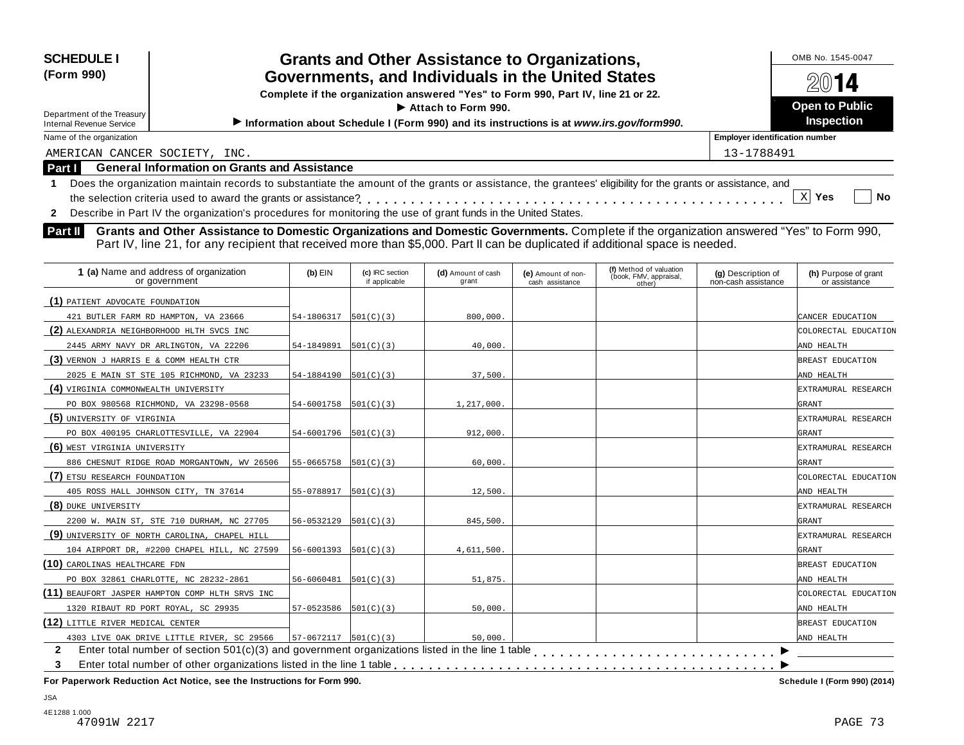| <b>Grants and Other Assistance to Organizations,</b><br><b>SCHEDULE I</b><br>Governments, and Individuals in the United States<br>(Form 990)<br>Complete if the organization answered "Yes" to Form 990, Part IV, line 21 or 22.<br>$\blacktriangleright$ Attach to Form 990. |                                                                                                                                                                                                                                                                             | OMB No. 1545-0047<br>2014<br><b>Open to Public</b> |  |
|-------------------------------------------------------------------------------------------------------------------------------------------------------------------------------------------------------------------------------------------------------------------------------|-----------------------------------------------------------------------------------------------------------------------------------------------------------------------------------------------------------------------------------------------------------------------------|----------------------------------------------------|--|
| Department of the Treasury<br><b>Internal Revenue Service</b>                                                                                                                                                                                                                 | Information about Schedule I (Form 990) and its instructions is at www.irs.gov/form990.                                                                                                                                                                                     | <b>Inspection</b>                                  |  |
| Name of the organization                                                                                                                                                                                                                                                      | <b>Employer identification number</b>                                                                                                                                                                                                                                       |                                                    |  |
| AMERICAN CANCER SOCIETY, INC.                                                                                                                                                                                                                                                 |                                                                                                                                                                                                                                                                             | 13-1788491                                         |  |
| <b>Part I</b>                                                                                                                                                                                                                                                                 | <b>General Information on Grants and Assistance</b>                                                                                                                                                                                                                         |                                                    |  |
| $\mathbf{2}$                                                                                                                                                                                                                                                                  | Does the organization maintain records to substantiate the amount of the grants or assistance, the grantees' eligibility for the grants or assistance, and<br>Describe in Part IV the organization's procedures for monitoring the use of grant funds in the United States. | No<br>Yes                                          |  |

**Part II** Grants and Other Assistance to Domestic Organizations and Domestic Governments. Complete if the organization answered "Yes" to Form 990,<br>Part IV, line 21, for any recipient that received more than \$5,000. Part II

| 1 (a) Name and address of organization<br>or government | $(b)$ EIN                       | (c) IRC section<br>if applicable | (d) Amount of cash<br>grant | (e) Amount of non-<br>cash assistance | (f) Method of valuation<br>(book, FMV, appraisal,<br>other) | (g) Description of<br>non-cash assistance | (h) Purpose of grant<br>or assistance |
|---------------------------------------------------------|---------------------------------|----------------------------------|-----------------------------|---------------------------------------|-------------------------------------------------------------|-------------------------------------------|---------------------------------------|
| (1) PATIENT ADVOCATE FOUNDATION                         |                                 |                                  |                             |                                       |                                                             |                                           |                                       |
| 421 BUTLER FARM RD HAMPTON, VA 23666                    | 54-1806317                      | 501(C)(3)                        | 800,000                     |                                       |                                                             |                                           | CANCER EDUCATION                      |
| (2) ALEXANDRIA NEIGHBORHOOD HLTH SVCS INC               |                                 |                                  |                             |                                       |                                                             |                                           | COLORECTAL EDUCATION                  |
| 2445 ARMY NAVY DR ARLINGTON, VA 22206                   | 54-1849891                      | 501(C)(3)                        | 40,000.                     |                                       |                                                             |                                           | AND HEALTH                            |
| (3) VERNON J HARRIS E & COMM HEALTH CTR                 |                                 |                                  |                             |                                       |                                                             |                                           | BREAST EDUCATION                      |
| 2025 E MAIN ST STE 105 RICHMOND, VA 23233               | 54-1884190                      | 501(C)(3)                        | 37,500.                     |                                       |                                                             |                                           | AND HEALTH                            |
| (4) VIRGINIA COMMONWEALTH UNIVERSITY                    |                                 |                                  |                             |                                       |                                                             |                                           | EXTRAMURAL RESEARCH                   |
| PO BOX 980568 RICHMOND, VA 23298-0568                   | $54 - 6001758$ $[501(C)(3)]$    |                                  | 1,217,000.                  |                                       |                                                             |                                           | GRANT                                 |
| (5) UNIVERSITY OF VIRGINIA                              |                                 |                                  |                             |                                       |                                                             |                                           | EXTRAMURAL RESEARCH                   |
| PO BOX 400195 CHARLOTTESVILLE, VA 22904                 | $54-6001796$ $[501(C)(3)]$      |                                  | 912,000.                    |                                       |                                                             |                                           | <b>GRANT</b>                          |
| (6) WEST VIRGINIA UNIVERSITY                            |                                 |                                  |                             |                                       |                                                             |                                           | EXTRAMURAL RESEARCH                   |
| 886 CHESNUT RIDGE ROAD MORGANTOWN, WV 26506             | 55-0665758                      | 501(C)(3)                        | 60,000                      |                                       |                                                             |                                           | <b>GRANT</b>                          |
| (7) ETSU RESEARCH FOUNDATION                            |                                 |                                  |                             |                                       |                                                             |                                           | COLORECTAL EDUCATION                  |
| 405 ROSS HALL JOHNSON CITY, TN 37614                    | $55-0788917$ $[501(C)(3)]$      |                                  | 12,500                      |                                       |                                                             |                                           | AND HEALTH                            |
| (8) DUKE UNIVERSITY                                     |                                 |                                  |                             |                                       |                                                             |                                           | EXTRAMURAL RESEARCH                   |
| 2200 W. MAIN ST, STE 710 DURHAM, NC 27705               | 56-0532129                      | 501(C)(3)                        | 845,500.                    |                                       |                                                             |                                           | GRANT                                 |
| (9) UNIVERSITY OF NORTH CAROLINA, CHAPEL HILL           |                                 |                                  |                             |                                       |                                                             |                                           | EXTRAMURAL RESEARCH                   |
| 104 AIRPORT DR, #2200 CHAPEL HILL, NC 27599             | 56-6001393                      | 501(C)(3)                        | 4,611,500.                  |                                       |                                                             |                                           | GRANT                                 |
| (10) CAROLINAS HEALTHCARE FDN                           |                                 |                                  |                             |                                       |                                                             |                                           | BREAST EDUCATION                      |
| PO BOX 32861 CHARLOTTE, NC 28232-2861                   | $56 - 6060481$ $[501(C)(3)]$    |                                  | 51,875.                     |                                       |                                                             |                                           | AND HEALTH                            |
| (11) BEAUFORT JASPER HAMPTON COMP HLTH SRVS INC         |                                 |                                  |                             |                                       |                                                             |                                           | COLORECTAL EDUCATION                  |
| 1320 RIBAUT RD PORT ROYAL, SC 29935                     | $57-0523586$ $\vert 501($ C)(3) |                                  | 50,000.                     |                                       |                                                             |                                           | AND HEALTH                            |
| (12) LITTLE RIVER MEDICAL CENTER                        |                                 |                                  |                             |                                       |                                                             |                                           | BREAST EDUCATION                      |
| 4303 LIVE OAK DRIVE LITTLE RIVER, SC 29566              | $57-0672117$ $[501(C)(3)]$      |                                  | 50,000                      |                                       |                                                             |                                           | AND HEALTH                            |
| $\mathbf{2}$                                            |                                 |                                  |                             |                                       |                                                             |                                           |                                       |
| 3                                                       |                                 |                                  |                             |                                       |                                                             |                                           |                                       |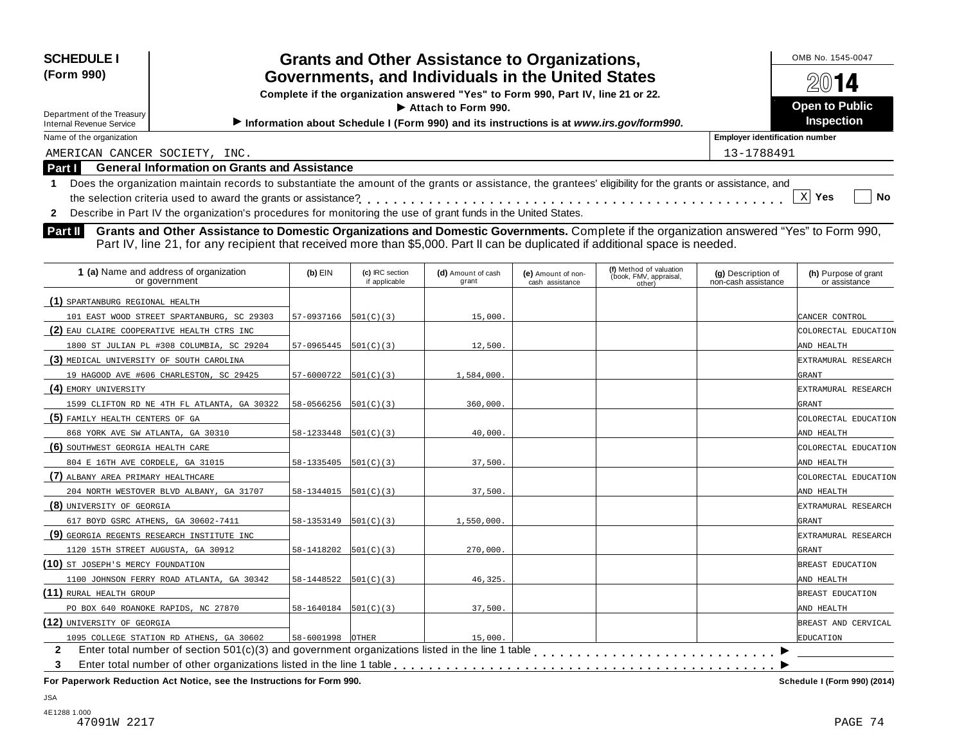| <b>SCHEDULE I</b><br>(Form 990)                               | <b>Grants and Other Assistance to Organizations,</b><br>Governments, and Individuals in the United States<br>Complete if the organization answered "Yes" to Form 990, Part IV, line 21 or 22.                                                                               |            | OMB No. 1545-0047<br>2014                  |
|---------------------------------------------------------------|-----------------------------------------------------------------------------------------------------------------------------------------------------------------------------------------------------------------------------------------------------------------------------|------------|--------------------------------------------|
| Department of the Treasury<br><b>Internal Revenue Service</b> | $\blacktriangleright$ Attach to Form 990.<br>Information about Schedule I (Form 990) and its instructions is at www.irs.gov/form990.                                                                                                                                        |            | <b>Open to Public</b><br><b>Inspection</b> |
| Name of the organization                                      |                                                                                                                                                                                                                                                                             |            | <b>Employer identification number</b>      |
| AMERICAN CANCER SOCIETY, INC.                                 |                                                                                                                                                                                                                                                                             | 13-1788491 |                                            |
| Part I                                                        | <b>General Information on Grants and Assistance</b>                                                                                                                                                                                                                         |            |                                            |
|                                                               | Does the organization maintain records to substantiate the amount of the grants or assistance, the grantees' eligibility for the grants or assistance, and<br>Describe in Part IV the organization's procedures for monitoring the use of grant funds in the United States. |            | $\mathbf{x}$<br><b>No</b><br>Yes           |

**Part II** Grants and Other Assistance to Domestic Organizations and Domestic Governments. Complete if the organization answered "Yes" to Form 990,<br>Part IV, line 21, for any recipient that received more than \$5,000. Part II

| 1 (a) Name and address of organization<br>or government | $(b)$ EIN                                 | (c) IRC section<br>if applicable | (d) Amount of cash<br>grant | (e) Amount of non-<br>cash assistance | (f) Method of valuation<br>(book, FMV, appraisal,<br>other) | (g) Description of<br>non-cash assistance | (h) Purpose of grant<br>or assistance |
|---------------------------------------------------------|-------------------------------------------|----------------------------------|-----------------------------|---------------------------------------|-------------------------------------------------------------|-------------------------------------------|---------------------------------------|
| (1) SPARTANBURG REGIONAL HEALTH                         |                                           |                                  |                             |                                       |                                                             |                                           |                                       |
| 101 EAST WOOD STREET SPARTANBURG, SC 29303              | $57-0937166$ $501(C)(3)$                  |                                  | 15,000.                     |                                       |                                                             |                                           | CANCER CONTROL                        |
| (2) EAU CLAIRE COOPERATIVE HEALTH CTRS INC              |                                           |                                  |                             |                                       |                                                             |                                           | COLORECTAL EDUCATION                  |
| 1800 ST JULIAN PL #308 COLUMBIA, SC 29204               | 57-0965445                                | 501(C)(3)                        | 12,500.                     |                                       |                                                             |                                           | AND HEALTH                            |
| (3) MEDICAL UNIVERSITY OF SOUTH CAROLINA                |                                           |                                  |                             |                                       |                                                             |                                           | EXTRAMURAL RESEARCH                   |
| 19 HAGOOD AVE #606 CHARLESTON, SC 29425                 | $57 - 6000722$ $501(C)(3)$                |                                  | 1,584,000.                  |                                       |                                                             |                                           | GRANT                                 |
| (4) EMORY UNIVERSITY                                    |                                           |                                  |                             |                                       |                                                             |                                           | EXTRAMURAL RESEARCH                   |
| 1599 CLIFTON RD NE 4TH FL ATLANTA, GA 30322             | $58 - 0566256$ $\vert 501(C)(3) \vert$    |                                  | 360,000.                    |                                       |                                                             |                                           | GRANT                                 |
| (5) FAMILY HEALTH CENTERS OF GA                         |                                           |                                  |                             |                                       |                                                             |                                           | COLORECTAL EDUCATION                  |
| 868 YORK AVE SW ATLANTA, GA 30310                       | $58 - 1233448$ $\left  501(C)(3) \right $ |                                  | 40,000.                     |                                       |                                                             |                                           | AND HEALTH                            |
| (6) SOUTHWEST GEORGIA HEALTH CARE                       |                                           |                                  |                             |                                       |                                                             |                                           | COLORECTAL EDUCATION                  |
| 804 E 16TH AVE CORDELE, GA 31015                        | 58-1335405                                | 501(C)(3)                        | 37,500.                     |                                       |                                                             |                                           | AND HEALTH                            |
| (7) ALBANY AREA PRIMARY HEALTHCARE                      |                                           |                                  |                             |                                       |                                                             |                                           | COLORECTAL EDUCATION                  |
| 204 NORTH WESTOVER BLVD ALBANY, GA 31707                | $58-1344015$ $501(C)(3)$                  |                                  | 37,500.                     |                                       |                                                             |                                           | AND HEALTH                            |
| (8) UNIVERSITY OF GEORGIA                               |                                           |                                  |                             |                                       |                                                             |                                           | EXTRAMURAL RESEARCH                   |
| 617 BOYD GSRC ATHENS, GA 30602-7411                     | 58-1353149                                | 501(C)(3)                        | 1,550,000.                  |                                       |                                                             |                                           | GRANT                                 |
| (9) GEORGIA REGENTS RESEARCH INSTITUTE INC              |                                           |                                  |                             |                                       |                                                             |                                           | EXTRAMURAL RESEARCH                   |
| 1120 15TH STREET AUGUSTA, GA 30912                      | $58-1418202$ $501(C)(3)$                  |                                  | 270,000.                    |                                       |                                                             |                                           | <b>GRANT</b>                          |
| (10) ST JOSEPH'S MERCY FOUNDATION                       |                                           |                                  |                             |                                       |                                                             |                                           | BREAST EDUCATION                      |
| 1100 JOHNSON FERRY ROAD ATLANTA, GA 30342               | $58-1448522$ $501(C)(3)$                  |                                  | 46,325.                     |                                       |                                                             |                                           | AND HEALTH                            |
| (11) RURAL HEALTH GROUP                                 |                                           |                                  |                             |                                       |                                                             |                                           | BREAST EDUCATION                      |
| PO BOX 640 ROANOKE RAPIDS, NC 27870                     | $58-1640184$ $501(C)(3)$                  |                                  | 37,500.                     |                                       |                                                             |                                           | AND HEALTH                            |
| (12) UNIVERSITY OF GEORGIA                              |                                           |                                  |                             |                                       |                                                             |                                           | BREAST AND CERVICAL                   |
| 1095 COLLEGE STATION RD ATHENS, GA 30602                | 58-6001998 OTHER                          |                                  | 15,000.                     |                                       |                                                             |                                           | <b>EDUCATION</b>                      |
| $\mathbf{2}$<br>3                                       |                                           |                                  |                             |                                       |                                                             |                                           |                                       |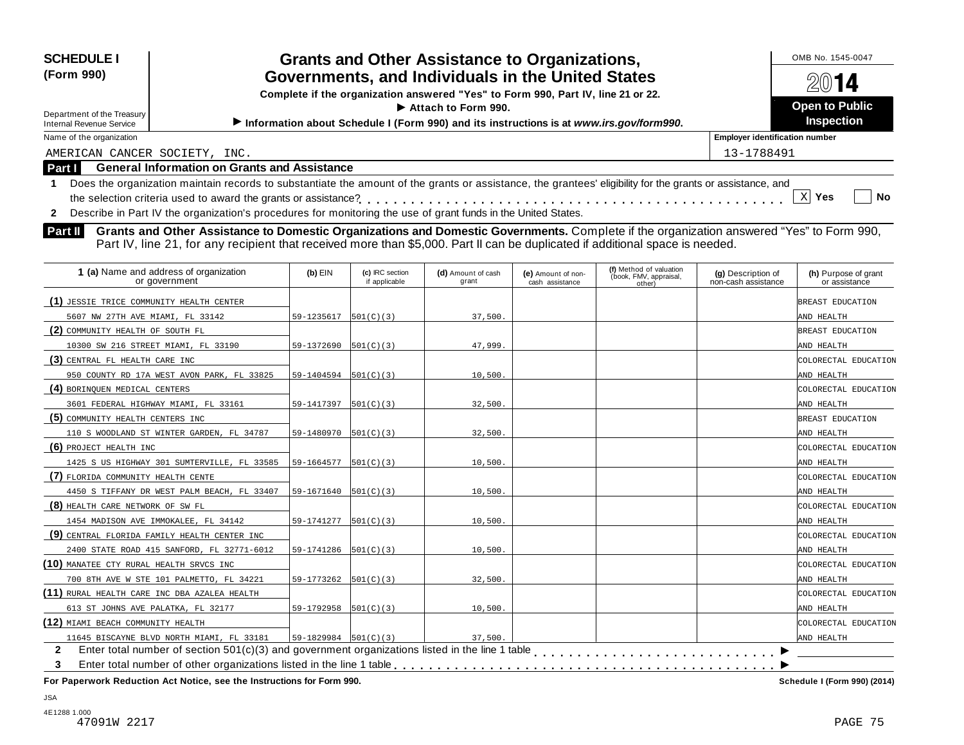| <b>SCHEDULE I</b><br>(Form 990)<br>Department of the Treasury<br><b>Internal Revenue Service</b>                                                                                                                                                                                                               | <b>Grants and Other Assistance to Organizations,</b><br>Governments, and Individuals in the United States<br>Complete if the organization answered "Yes" to Form 990, Part IV, line 21 or 22.<br>$\blacktriangleright$ Attach to Form 990.<br>Information about Schedule I (Form 990) and its instructions is at www.irs.gov/form990. |            |  |  |  |  |
|----------------------------------------------------------------------------------------------------------------------------------------------------------------------------------------------------------------------------------------------------------------------------------------------------------------|---------------------------------------------------------------------------------------------------------------------------------------------------------------------------------------------------------------------------------------------------------------------------------------------------------------------------------------|------------|--|--|--|--|
| Name of the organization                                                                                                                                                                                                                                                                                       | <b>Employer identification number</b>                                                                                                                                                                                                                                                                                                 |            |  |  |  |  |
|                                                                                                                                                                                                                                                                                                                | AMERICAN CANCER SOCIETY, INC.                                                                                                                                                                                                                                                                                                         | 13-1788491 |  |  |  |  |
| Part I                                                                                                                                                                                                                                                                                                         | <b>General Information on Grants and Assistance</b>                                                                                                                                                                                                                                                                                   |            |  |  |  |  |
| Does the organization maintain records to substantiate the amount of the grants or assistance, the grantees' eligibility for the grants or assistance, and<br>xl<br>No<br>Yes<br>Describe in Part IV the organization's procedures for monitoring the use of grant funds in the United States.<br>$\mathbf{2}$ |                                                                                                                                                                                                                                                                                                                                       |            |  |  |  |  |
| Grants and Other Assistance to Domestic Organizations and Domestic Governments. Complete if the organization answered "Yes" to Form 990,<br><b>Part II</b><br>Part IV, line 21, for any recipient that received more than \$5,000. Part II can be duplicated if additional space is needed.                    |                                                                                                                                                                                                                                                                                                                                       |            |  |  |  |  |

| or government                                |                          | (c) IRC section<br>if applicable | (d) Amount of cash<br>grant | (e) Amount of non-<br>cash assistance | (f) Method of valuation<br>(book, FMV, appraisal,<br>other) | (g) Description of<br>non-cash assistance | (h) Purpose of grant<br>or assistance |
|----------------------------------------------|--------------------------|----------------------------------|-----------------------------|---------------------------------------|-------------------------------------------------------------|-------------------------------------------|---------------------------------------|
| (1) JESSIE TRICE COMMUNITY HEALTH CENTER     |                          |                                  |                             |                                       |                                                             |                                           | BREAST EDUCATION                      |
| 5607 NW 27TH AVE MIAMI, FL 33142             | 59-1235617               | 501(C)(3)                        | 37,500.                     |                                       |                                                             |                                           | AND HEALTH                            |
| (2) COMMUNITY HEALTH OF SOUTH FL             |                          |                                  |                             |                                       |                                                             |                                           | BREAST EDUCATION                      |
| 10300 SW 216 STREET MIAMI, FL 33190          | 59-1372690               | 501(C)(3)                        | 47,999.                     |                                       |                                                             |                                           | AND HEALTH                            |
| (3) CENTRAL FL HEALTH CARE INC               |                          |                                  |                             |                                       |                                                             |                                           | COLORECTAL EDUCATION                  |
| 950 COUNTY RD 17A WEST AVON PARK, FL 33825   | 59-1404594               | 501(C)(3)                        | 10,500.                     |                                       |                                                             |                                           | AND HEALTH                            |
| (4) BORINQUEN MEDICAL CENTERS                |                          |                                  |                             |                                       |                                                             |                                           | COLORECTAL EDUCATION                  |
| 3601 FEDERAL HIGHWAY MIAMI, FL 33161         | 59-1417397               | 501(C)(3)                        | 32,500.                     |                                       |                                                             |                                           | AND HEALTH                            |
| (5) COMMUNITY HEALTH CENTERS INC             |                          |                                  |                             |                                       |                                                             |                                           | BREAST EDUCATION                      |
| 110 S WOODLAND ST WINTER GARDEN, FL 34787    | 59-1480970               | 501(C)(3)                        | 32,500.                     |                                       |                                                             |                                           | AND HEALTH                            |
| (6) PROJECT HEALTH INC                       |                          |                                  |                             |                                       |                                                             |                                           | COLORECTAL EDUCATION                  |
| 1425 S US HIGHWAY 301 SUMTERVILLE, FL 33585  | 59-1664577               | 501(C)(3)                        | 10,500.                     |                                       |                                                             |                                           | AND HEALTH                            |
| (7) FLORIDA COMMUNITY HEALTH CENTE           |                          |                                  |                             |                                       |                                                             |                                           | COLORECTAL EDUCATION                  |
| 4450 S TIFFANY DR WEST PALM BEACH, FL 33407  | 59-1671640               | 501(C)(3)                        | 10.500.                     |                                       |                                                             |                                           | AND HEALTH                            |
| (8) HEALTH CARE NETWORK OF SW FL             |                          |                                  |                             |                                       |                                                             |                                           | COLORECTAL EDUCATION                  |
| 1454 MADISON AVE IMMOKALEE, FL 34142         | 59-1741277               | 501(C)(3)                        | 10,500.                     |                                       |                                                             |                                           | AND HEALTH                            |
| (9) CENTRAL FLORIDA FAMILY HEALTH CENTER INC |                          |                                  |                             |                                       |                                                             |                                           | COLORECTAL EDUCATION                  |
| 2400 STATE ROAD 415 SANFORD, FL 32771-6012   | 59-1741286               | 501(C)(3)                        | 10,500.                     |                                       |                                                             |                                           | AND HEALTH                            |
| (10) MANATEE CTY RURAL HEALTH SRVCS INC      |                          |                                  |                             |                                       |                                                             |                                           | COLORECTAL EDUCATION                  |
| 700 8TH AVE W STE 101 PALMETTO, FL 34221     | 59-1773262               | 501(C)(3)                        | 32,500.                     |                                       |                                                             |                                           | AND HEALTH                            |
| (11) RURAL HEALTH CARE INC DBA AZALEA HEALTH |                          |                                  |                             |                                       |                                                             |                                           | COLORECTAL EDUCATION                  |
| 613 ST JOHNS AVE PALATKA, FL 32177           | 59-1792958               | 501(C)(3)                        | 10,500.                     |                                       |                                                             |                                           | AND HEALTH                            |
| (12) MIAMI BEACH COMMUNITY HEALTH            |                          |                                  |                             |                                       |                                                             |                                           | COLORECTAL EDUCATION                  |
| 11645 BISCAYNE BLVD NORTH MIAMI, FL 33181    | $59-1829984$ $501(C)(3)$ |                                  | 37.500.                     |                                       |                                                             |                                           | AND HEALTH                            |
| $\mathbf{2}$                                 |                          |                                  |                             |                                       |                                                             |                                           |                                       |
| 3                                            |                          |                                  |                             |                                       |                                                             |                                           |                                       |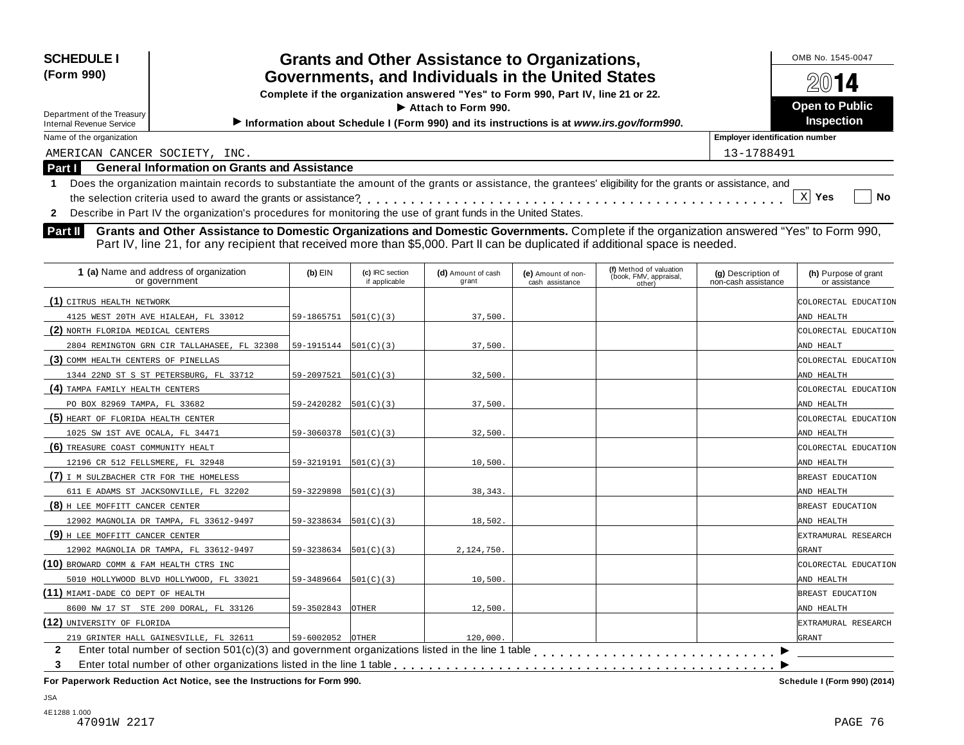| <b>SCHEDULE I</b><br>(Form 990)<br>Department of the Treasury<br><b>Internal Revenue Service</b> | <b>Grants and Other Assistance to Organizations,</b><br>Governments, and Individuals in the United States<br>Complete if the organization answered "Yes" to Form 990, Part IV, line 21 or 22.<br>$\blacktriangleright$ Attach to Form 990.<br>Information about Schedule I (Form 990) and its instructions is at www.irs.gov/form990. | OMB No. 1545-0047<br>2014<br><b>Open to Public</b><br><b>Inspection</b> |
|--------------------------------------------------------------------------------------------------|---------------------------------------------------------------------------------------------------------------------------------------------------------------------------------------------------------------------------------------------------------------------------------------------------------------------------------------|-------------------------------------------------------------------------|
| Name of the organization                                                                         |                                                                                                                                                                                                                                                                                                                                       | <b>Employer identification number</b>                                   |
| AMERICAN CANCER SOCIETY, INC.                                                                    |                                                                                                                                                                                                                                                                                                                                       | 13-1788491                                                              |
| Part I                                                                                           | <b>General Information on Grants and Assistance</b>                                                                                                                                                                                                                                                                                   |                                                                         |
|                                                                                                  | Does the organization maintain records to substantiate the amount of the grants or assistance, the grantees' eligibility for the grants or assistance, and                                                                                                                                                                            | <b>No</b><br>Yes                                                        |
|                                                                                                  | Describe in Part IV the organization's procedures for monitoring the use of grant funds in the United States.                                                                                                                                                                                                                         |                                                                         |

**Grants and Other Assistance to Domestic Organizations and Domestic Governments.** Complete if the organization answered "Yes" to Form 990, **Part II** Grants and Other Assistance to Domestic Organizations and Domestic Governments. Complete if the organization and Domestic Governments Part II's and Part IV, line 21, for any recipient that received more than \$5,0

| 1 (a) Name and address of organization<br>or government | $(b)$ EIN                  | (c) IRC section<br>if applicable | (d) Amount of cash<br>grant | (e) Amount of non-<br>cash assistance | (f) Method of valuation<br>(book, FMV, appraisal,<br>other) | (g) Description of<br>non-cash assistance | (h) Purpose of grant<br>or assistance |
|---------------------------------------------------------|----------------------------|----------------------------------|-----------------------------|---------------------------------------|-------------------------------------------------------------|-------------------------------------------|---------------------------------------|
| (1) CITRUS HEALTH NETWORK                               |                            |                                  |                             |                                       |                                                             |                                           | COLORECTAL EDUCATION                  |
| 4125 WEST 20TH AVE HIALEAH, FL 33012                    | 59-1865751                 | 501(C)(3)                        | 37,500.                     |                                       |                                                             |                                           | AND HEALTH                            |
| (2) NORTH FLORIDA MEDICAL CENTERS                       |                            |                                  |                             |                                       |                                                             |                                           | COLORECTAL EDUCATION                  |
| 2804 REMINGTON GRN CIR TALLAHASEE, FL 32308             | $59-1915144$ $501(C)(3)$   |                                  | 37,500.                     |                                       |                                                             |                                           | AND HEALT                             |
| (3) COMM HEALTH CENTERS OF PINELLAS                     |                            |                                  |                             |                                       |                                                             |                                           | COLORECTAL EDUCATION                  |
| 1344 22ND ST S ST PETERSBURG, FL 33712                  | 59-2097521                 | 501(C)(3)                        | 32,500.                     |                                       |                                                             |                                           | AND HEALTH                            |
| (4) TAMPA FAMILY HEALTH CENTERS                         |                            |                                  |                             |                                       |                                                             |                                           | COLORECTAL EDUCATION                  |
| PO BOX 82969 TAMPA, FL 33682                            | 59-2420282                 | 501(C)(3)                        | 37,500.                     |                                       |                                                             |                                           | AND HEALTH                            |
| (5) HEART OF FLORIDA HEALTH CENTER                      |                            |                                  |                             |                                       |                                                             |                                           | COLORECTAL EDUCATION                  |
| 1025 SW 1ST AVE OCALA, FL 34471                         | 59-3060378                 | 501(C)(3)                        | 32,500.                     |                                       |                                                             |                                           | AND HEALTH                            |
| (6) TREASURE COAST COMMUNITY HEALT                      |                            |                                  |                             |                                       |                                                             |                                           | COLORECTAL EDUCATION                  |
| 12196 CR 512 FELLSMERE, FL 32948                        | 59-3219191                 | 501(C)(3)                        | 10,500                      |                                       |                                                             |                                           | AND HEALTH                            |
| (7) I M SULZBACHER CTR FOR THE HOMELESS                 |                            |                                  |                             |                                       |                                                             |                                           | BREAST EDUCATION                      |
| 611 E ADAMS ST JACKSONVILLE, FL 32202                   | $59-3229898$   $501(C)(3)$ |                                  | 38, 343.                    |                                       |                                                             |                                           | AND HEALTH                            |
| (8) H LEE MOFFITT CANCER CENTER                         |                            |                                  |                             |                                       |                                                             |                                           | BREAST EDUCATION                      |
| 12902 MAGNOLIA DR TAMPA, FL 33612-9497                  | 59-3238634                 | 501(C)(3)                        | 18,502.                     |                                       |                                                             |                                           | AND HEALTH                            |
| (9) H LEE MOFFITT CANCER CENTER                         |                            |                                  |                             |                                       |                                                             |                                           | EXTRAMURAL RESEARCH                   |
| 12902 MAGNOLIA DR TAMPA, FL 33612-9497                  | 59-3238634                 | 501(C)(3)                        | 2,124,750.                  |                                       |                                                             |                                           | GRANT                                 |
| (10) BROWARD COMM & FAM HEALTH CTRS INC                 |                            |                                  |                             |                                       |                                                             |                                           | COLORECTAL EDUCATION                  |
| 5010 HOLLYWOOD BLVD HOLLYWOOD, FL 33021                 | 59-3489664                 | 501(C)(3)                        | 10,500.                     |                                       |                                                             |                                           | AND HEALTH                            |
| (11) MIAMI-DADE CO DEPT OF HEALTH                       |                            |                                  |                             |                                       |                                                             |                                           | BREAST EDUCATION                      |
| 8600 NW 17 ST STE 200 DORAL, FL 33126                   | 59-3502843                 | OTHER                            | 12,500.                     |                                       |                                                             |                                           | AND HEALTH                            |
| (12) UNIVERSITY OF FLORIDA                              |                            |                                  |                             |                                       |                                                             |                                           | EXTRAMURAL RESEARCH                   |
| 219 GRINTER HALL GAINESVILLE, FL 32611                  | 59-6002052                 | OTHER                            | 120,000.                    |                                       |                                                             |                                           | GRANT                                 |
| $\mathbf{2}$                                            |                            |                                  |                             |                                       |                                                             |                                           |                                       |
| 3                                                       |                            |                                  |                             |                                       |                                                             |                                           |                                       |

**For Paperwork Reduction Act Notice, see the Instructions for Form 990. Schedule I (Form 990) (2014)**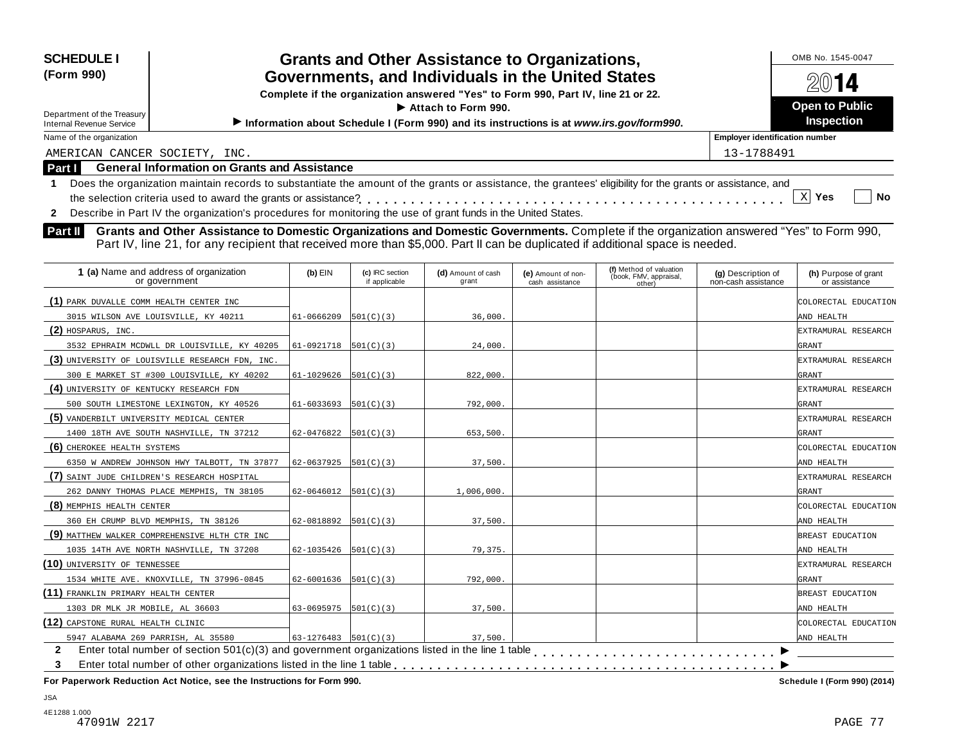| <b>SCHEDULE I</b>                                                                                                                                               |                            |                                  | <b>Grants and Other Assistance to Organizations,</b>                                    |                                       |                                                             |                                           | OMB No. 1545-0047                     |
|-----------------------------------------------------------------------------------------------------------------------------------------------------------------|----------------------------|----------------------------------|-----------------------------------------------------------------------------------------|---------------------------------------|-------------------------------------------------------------|-------------------------------------------|---------------------------------------|
| (Form 990)                                                                                                                                                      |                            |                                  | Governments, and Individuals in the United States                                       |                                       |                                                             |                                           | 14                                    |
|                                                                                                                                                                 |                            |                                  | Complete if the organization answered "Yes" to Form 990, Part IV, line 21 or 22.        |                                       |                                                             |                                           |                                       |
| Department of the Treasury                                                                                                                                      |                            |                                  | Attach to Form 990.                                                                     |                                       |                                                             |                                           | <b>Open to Public</b>                 |
| <b>Internal Revenue Service</b>                                                                                                                                 |                            |                                  | Information about Schedule I (Form 990) and its instructions is at www.irs.gov/form990. |                                       |                                                             |                                           | <b>Inspection</b>                     |
| Name of the organization                                                                                                                                        |                            |                                  |                                                                                         |                                       |                                                             | <b>Employer identification number</b>     |                                       |
| AMERICAN CANCER SOCIETY, INC.                                                                                                                                   |                            |                                  |                                                                                         |                                       |                                                             | 13-1788491                                |                                       |
| <b>General Information on Grants and Assistance</b><br>Part I                                                                                                   |                            |                                  |                                                                                         |                                       |                                                             |                                           |                                       |
| Does the organization maintain records to substantiate the amount of the grants or assistance, the grantees' eligibility for the grants or assistance, and<br>1 |                            |                                  |                                                                                         |                                       |                                                             |                                           |                                       |
|                                                                                                                                                                 |                            |                                  |                                                                                         |                                       |                                                             |                                           | X Yes<br>No                           |
| Describe in Part IV the organization's procedures for monitoring the use of grant funds in the United States.<br>$\mathbf{2}$                                   |                            |                                  |                                                                                         |                                       |                                                             |                                           |                                       |
| Grants and Other Assistance to Domestic Organizations and Domestic Governments. Complete if the organization answered "Yes" to Form 990,<br>Part II             |                            |                                  |                                                                                         |                                       |                                                             |                                           |                                       |
| Part IV, line 21, for any recipient that received more than \$5,000. Part II can be duplicated if additional space is needed.                                   |                            |                                  |                                                                                         |                                       |                                                             |                                           |                                       |
|                                                                                                                                                                 |                            |                                  |                                                                                         |                                       |                                                             |                                           |                                       |
| 1 (a) Name and address of organization<br>or government                                                                                                         | $(b)$ EIN                  | (c) IRC section<br>if applicable | (d) Amount of cash<br>grant                                                             | (e) Amount of non-<br>cash assistance | (f) Method of valuation<br>(book, FMV, appraisal,<br>other) | (g) Description of<br>non-cash assistance | (h) Purpose of grant<br>or assistance |
| (1) PARK DUVALLE COMM HEALTH CENTER INC                                                                                                                         |                            |                                  |                                                                                         |                                       |                                                             |                                           | COLORECTAL EDUCATION                  |
| 3015 WILSON AVE LOUISVILLE, KY 40211                                                                                                                            | 61-0666209                 | 501(C)(3)                        | 36,000.                                                                                 |                                       |                                                             |                                           | AND HEALTH                            |
| (2) HOSPARUS, INC.                                                                                                                                              |                            |                                  |                                                                                         |                                       |                                                             |                                           | EXTRAMURAL RESEARCH                   |
| 3532 EPHRAIM MCDWLL DR LOUISVILLE, KY 40205                                                                                                                     | $61-0921718$ $501(C)(3)$   |                                  | 24,000.                                                                                 |                                       |                                                             |                                           | GRANT                                 |
| (3) UNIVERSITY OF LOUISVILLE RESEARCH FDN, INC.                                                                                                                 |                            |                                  |                                                                                         |                                       |                                                             |                                           | EXTRAMURAL RESEARCH                   |
| 300 E MARKET ST #300 LOUISVILLE, KY 40202                                                                                                                       | 61-1029626                 | 501(C)(3)                        | 822,000.                                                                                |                                       |                                                             |                                           | GRANT                                 |
| (4) UNIVERSITY OF KENTUCKY RESEARCH FDN                                                                                                                         |                            |                                  |                                                                                         |                                       |                                                             |                                           | EXTRAMURAL RESEARCH                   |
| 500 SOUTH LIMESTONE LEXINGTON, KY 40526                                                                                                                         | 61-6033693                 | 501(C)(3)                        | 792,000.                                                                                |                                       |                                                             |                                           | GRANT                                 |
| (5) VANDERBILT UNIVERSITY MEDICAL CENTER                                                                                                                        |                            |                                  |                                                                                         |                                       |                                                             |                                           | EXTRAMURAL RESEARCH                   |
| 1400 18TH AVE SOUTH NASHVILLE, TN 37212                                                                                                                         | 62-0476822                 | 501(C)(3)                        | 653,500                                                                                 |                                       |                                                             |                                           | GRANT                                 |
| (6) CHEROKEE HEALTH SYSTEMS                                                                                                                                     |                            |                                  |                                                                                         |                                       |                                                             |                                           | COLORECTAL EDUCATION                  |
| 6350 W ANDREW JOHNSON HWY TALBOTT, TN 37877                                                                                                                     | 62-0637925                 | 501(C)(3)                        | 37,500.                                                                                 |                                       |                                                             |                                           | AND HEALTH                            |
| (7) SAINT JUDE CHILDREN'S RESEARCH HOSPITAL                                                                                                                     |                            |                                  |                                                                                         |                                       |                                                             |                                           | EXTRAMURAL RESEARCH                   |
| 262 DANNY THOMAS PLACE MEMPHIS, TN 38105                                                                                                                        | 62-0646012                 | 501(C)(3)                        | 1,006,000.                                                                              |                                       |                                                             |                                           | GRANT                                 |
| (8) MEMPHIS HEALTH CENTER                                                                                                                                       |                            |                                  |                                                                                         |                                       |                                                             |                                           | COLORECTAL EDUCATION                  |
| 360 EH CRUMP BLVD MEMPHIS, TN 38126                                                                                                                             | 62-0818892                 | 501(C)(3)                        | 37,500.                                                                                 |                                       |                                                             |                                           | AND HEALTH                            |
| (9) MATTHEW WALKER COMPREHENSIVE HLTH CTR INC                                                                                                                   |                            |                                  |                                                                                         |                                       |                                                             |                                           | BREAST EDUCATION                      |
| 1035 14TH AVE NORTH NASHVILLE, TN 37208                                                                                                                         | 62-1035426                 | 501(C)(3)                        | 79,375.                                                                                 |                                       |                                                             |                                           | AND HEALTH                            |
| (10) UNIVERSITY OF TENNESSEE                                                                                                                                    |                            |                                  |                                                                                         |                                       |                                                             |                                           | EXTRAMURAL RESEARCH                   |
| 1534 WHITE AVE. KNOXVILLE, TN 37996-0845                                                                                                                        | $62 - 6001636$ $501(C)(3)$ |                                  | 792,000.                                                                                |                                       |                                                             |                                           | GRANT                                 |

**(11)** FRANKLIN PRIMARY HEALTH CENTER **BREAST EDUCATION** 

1303 DR MLK JR MOBILE, AL 36603 63-0695975 501(C)(3) 37,500.

**(12)** CAPSTONE RURAL HEALTH CLINIC COLORECTAL EDUCATION

**For Paperwork Reduction Act Notice, see the Instructions for Form 990. Schedule I (Form 990) (2014)**

 $\overline{\phantom{1}}$ 

AND HEALTH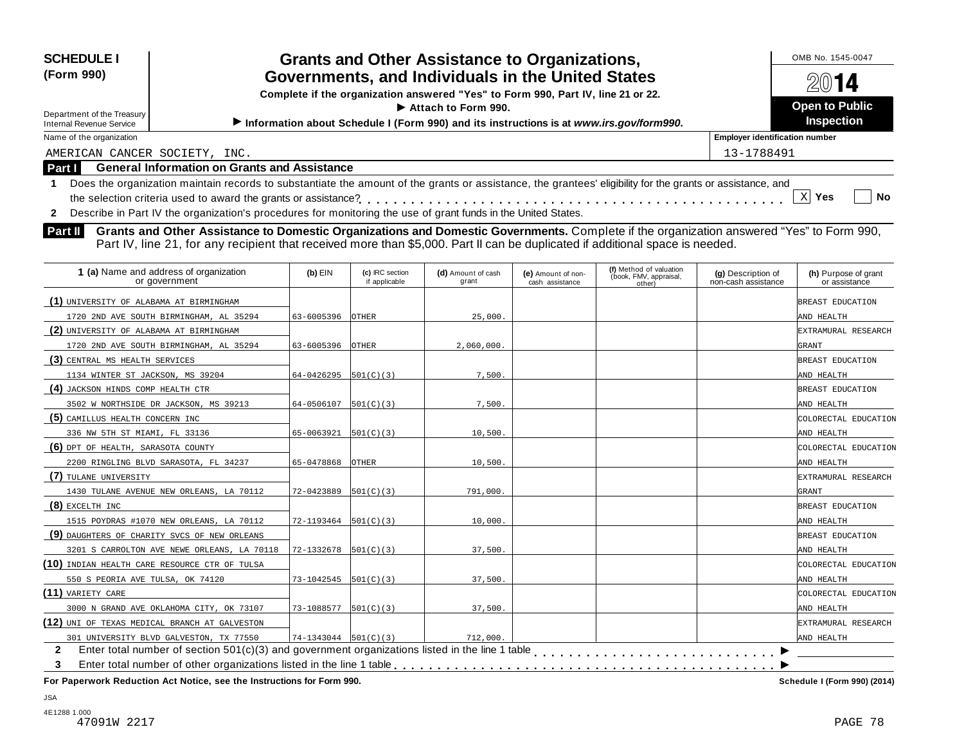| <b>SCHEDULE I</b><br>(Form 990)<br>Department of the Treasury<br><b>Internal Revenue Service</b> |                                                                                                                                                                                                                                                                                                                                                                                                                         | <b>Grants and Other Assistance to Organizations,</b><br>Governments, and Individuals in the United States<br>Complete if the organization answered "Yes" to Form 990, Part IV, line 21 or 22.<br>$\triangleright$ Attach to Form 990.<br>Information about Schedule I (Form 990) and its instructions is at www.irs.gov/form990. |                                  |                             |                                       |                                                             |                                           | OMB No. 1545-0047<br>72(U) <b>14</b><br><b>Open to Public</b><br><b>Inspection</b> |
|--------------------------------------------------------------------------------------------------|-------------------------------------------------------------------------------------------------------------------------------------------------------------------------------------------------------------------------------------------------------------------------------------------------------------------------------------------------------------------------------------------------------------------------|----------------------------------------------------------------------------------------------------------------------------------------------------------------------------------------------------------------------------------------------------------------------------------------------------------------------------------|----------------------------------|-----------------------------|---------------------------------------|-------------------------------------------------------------|-------------------------------------------|------------------------------------------------------------------------------------|
| Name of the organization                                                                         |                                                                                                                                                                                                                                                                                                                                                                                                                         |                                                                                                                                                                                                                                                                                                                                  |                                  |                             |                                       |                                                             | <b>Employer identification number</b>     |                                                                                    |
| AMERICAN CANCER SOCIETY, INC.                                                                    |                                                                                                                                                                                                                                                                                                                                                                                                                         |                                                                                                                                                                                                                                                                                                                                  |                                  |                             |                                       |                                                             | 13-1788491                                |                                                                                    |
| Part I                                                                                           | <b>General Information on Grants and Assistance</b>                                                                                                                                                                                                                                                                                                                                                                     |                                                                                                                                                                                                                                                                                                                                  |                                  |                             |                                       |                                                             |                                           |                                                                                    |
| $\mathbf{2}$<br><b>Part II</b>                                                                   | Does the organization maintain records to substantiate the amount of the grants or assistance, the grantees' eligibility for the grants or assistance, and<br>Describe in Part IV the organization's procedures for monitoring the use of grant funds in the United States.<br>Grants and Other Assistance to Domestic Organizations and Domestic Governments. Complete if the organization answered "Yes" to Form 990, |                                                                                                                                                                                                                                                                                                                                  |                                  |                             |                                       |                                                             |                                           | X<br>No<br><b>Yes</b>                                                              |
|                                                                                                  | Part IV, line 21, for any recipient that received more than \$5,000. Part II can be duplicated if additional space is needed.                                                                                                                                                                                                                                                                                           |                                                                                                                                                                                                                                                                                                                                  |                                  |                             |                                       |                                                             |                                           |                                                                                    |
|                                                                                                  | 1 (a) Name and address of organization<br>or government                                                                                                                                                                                                                                                                                                                                                                 | $(b)$ EIN                                                                                                                                                                                                                                                                                                                        | (c) IRC section<br>if applicable | (d) Amount of cash<br>grant | (e) Amount of non-<br>cash assistance | (f) Method of valuation<br>(book, FMV, appraisal,<br>other) | (g) Description of<br>non-cash assistance | (h) Purpose of grant<br>or assistance                                              |
| (1) UNIVERSITY OF ALABAMA AT BIRMINGHAM                                                          |                                                                                                                                                                                                                                                                                                                                                                                                                         |                                                                                                                                                                                                                                                                                                                                  |                                  |                             |                                       |                                                             |                                           | BREAST EDUCATION                                                                   |
|                                                                                                  | 1720 2ND AVE SOUTH BIRMINGHAM, AL 35294                                                                                                                                                                                                                                                                                                                                                                                 | 63-6005396                                                                                                                                                                                                                                                                                                                       | <b>OTHER</b>                     | 25.000.                     |                                       |                                                             |                                           | AND HEALTH                                                                         |

**(2)** UNIVERSITY OF ALABAMA AT BIRMINGHAM EXTRAMURAL RESEARCH

**(3)** CENTRAL MS HEALTH SERVICES **BREAST EDUCATION** 

1134 WINTER ST JACKSON, MS 39204 64-0426295 501(C)(3) 7,500. 7,500.

3502 W NORTHSIDE DR JACKSON, MS 39213 64-0506107 501(C)(3) 7,500. AND HEALTH

336 NW 5TH ST MIAMI, FL 33136 65-0063921 501(C)(3) 10,500. AND HEALTH

2200 RINGLING BLVD SARASOTA, FL 34237 65-0478868 OTHER 10,500. AND HEALTH

1430 TULANE AVENUE NEW ORLEANS, LA 70112 72-0423889 501(C)(3) 791,000.

1720 2ND AVE SOUTH BIRMINGHAM, AL 35294 63-6005396 OTHER 2,060,000.

**(4)** JACKSON HINDS COMP HEALTH CTR BREAST EDUCATION

**(5)** CAMILLUS HEALTH CONCERN INC COLORECTAL EDUCATION

**(6)** DPT OF HEALTH, SARASOTA COUNTY COLORECTAL EDUCATION

EXCELTH INC BREAST EDUCATION 1515 POYDRAS #1070 NEW ORLEANS, LA 70112 72-1193464 501(C)(3) 10,000. 1

TULANE UNIVERSITY EXTRAMURAL RESEARCH

**(9)** DAUGHTERS OF CHARITY SVCS OF NEW ORLEANS

3201 S CARROLTON AVE NEWE ORLEANS, LA 70118 72-1332678  $501(C)(3)$  37,500.

550 S PEORIA AVE TULSA, OK 74120 73-1042545 501(C)(3) 37,500.

3000 N GRAND AVE OKLAHOMA CITY, OK 73107 73-1088577 501(C)(3) 37,500.

**(10)** INDIAN HEALTH CARE RESOURCE CTR OF TULSA COLORECTAL COLORECTAL EDUCATION

VARIETY CARE COLORECTAL EDUCATION

**(12)** UNI OF TEXAS MEDICAL BRANCH AT GALVESTON EXTRAMURAL RESEARCH EXTRAMURAL RESEARCH

**For Paperwork Reduction Act Notice, see the Instructions for Form 990. Schedule I (Form 990) (2014)**

Enter total number of section 501(c)(3) and government organizations listed in the line 1 table m m m m m m m m m m m m m m m m m m m m m m m m m m m m m m m m m m m m m m m m m m m m

**2 3**

Enter total number of other organizations listed in the line 1 table

301 UNIVERSITY BLVD GALVESTON, TX 77550  $\begin{array}{|c|c|c|c|c|}\n\hline\n\text{74-1343044} & \text{501(C)(3)}\n\end{array}$  712,000

**(7)**

**(8)**

**(11)**

AND HEALTH  $\overline{\phantom{1}}$ 

m m m m m m m m m m m m m m m m m m m m m m m m m m m m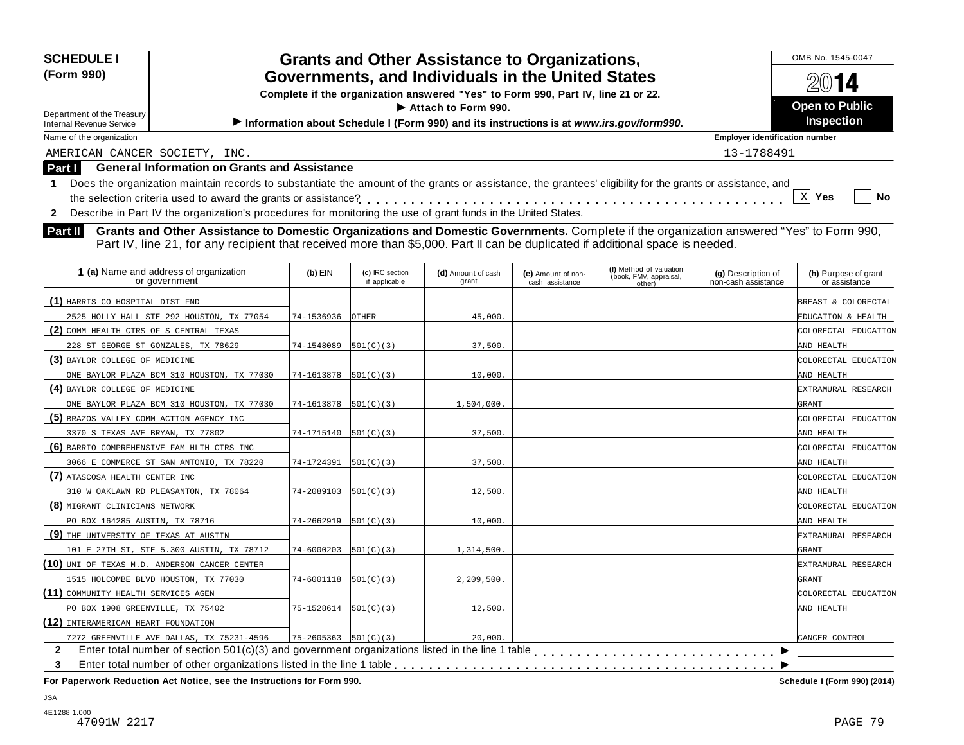| <b>SCHEDULE I</b><br><b>Grants and Other Assistance to Organizations,</b><br>(Form 990)<br>Governments, and Individuals in the United States<br>Complete if the organization answered "Yes" to Form 990, Part IV, line 21 or 22.<br>Attach to Form 990.<br>Department of the Treasury<br>Information about Schedule I (Form 990) and its instructions is at www.irs.gov/form990.<br>Internal Revenue Service |                                                                                                                                                                                                                                                                             | 2014<br><b>Open to Public</b><br>Inspection |
|--------------------------------------------------------------------------------------------------------------------------------------------------------------------------------------------------------------------------------------------------------------------------------------------------------------------------------------------------------------------------------------------------------------|-----------------------------------------------------------------------------------------------------------------------------------------------------------------------------------------------------------------------------------------------------------------------------|---------------------------------------------|
| Name of the organization                                                                                                                                                                                                                                                                                                                                                                                     |                                                                                                                                                                                                                                                                             | <b>Employer identification number</b>       |
| AMERICAN CANCER SOCIETY, INC.                                                                                                                                                                                                                                                                                                                                                                                |                                                                                                                                                                                                                                                                             | 13-1788491                                  |
| <b>Part I</b>                                                                                                                                                                                                                                                                                                                                                                                                | <b>General Information on Grants and Assistance</b>                                                                                                                                                                                                                         |                                             |
|                                                                                                                                                                                                                                                                                                                                                                                                              | Does the organization maintain records to substantiate the amount of the grants or assistance, the grantees' eligibility for the grants or assistance, and<br>Describe in Part IV the organization's procedures for monitoring the use of grant funds in the United States. | $X$ Yes<br><b>No</b>                        |

| 1 (a) Name and address of organization<br>or government | $(b)$ EIN                              | (c) IRC section<br>if applicable | (d) Amount of cash<br>grant | (e) Amount of non-<br>cash assistance | (f) Method of valuation<br>(book, FMV, appraisal,<br>other) | (g) Description of<br>non-cash assistance | (h) Purpose of grant<br>or assistance |
|---------------------------------------------------------|----------------------------------------|----------------------------------|-----------------------------|---------------------------------------|-------------------------------------------------------------|-------------------------------------------|---------------------------------------|
| (1) HARRIS CO HOSPITAL DIST FND                         |                                        |                                  |                             |                                       |                                                             |                                           | BREAST & COLORECTAL                   |
| 2525 HOLLY HALL STE 292 HOUSTON, TX 77054               | 74-1536936                             | <b>OTHER</b>                     | 45,000                      |                                       |                                                             |                                           | EDUCATION & HEALTH                    |
| (2) COMM HEALTH CTRS OF S CENTRAL TEXAS                 |                                        |                                  |                             |                                       |                                                             |                                           | COLORECTAL EDUCATION                  |
| 228 ST GEORGE ST GONZALES, TX 78629                     | 74-1548089                             | 501(C)(3)                        | 37,500.                     |                                       |                                                             |                                           | AND HEALTH                            |
| (3) BAYLOR COLLEGE OF MEDICINE                          |                                        |                                  |                             |                                       |                                                             |                                           | COLORECTAL EDUCATION                  |
| ONE BAYLOR PLAZA BCM 310 HOUSTON, TX 77030              | 74-1613878                             | 501(C)(3)                        | 10,000.                     |                                       |                                                             |                                           | AND HEALTH                            |
| (4) BAYLOR COLLEGE OF MEDICINE                          |                                        |                                  |                             |                                       |                                                             |                                           | EXTRAMURAL RESEARCH                   |
| ONE BAYLOR PLAZA BCM 310 HOUSTON, TX 77030              | $74-1613878$ 501(C)(3)                 |                                  | 1,504,000.                  |                                       |                                                             |                                           | GRANT                                 |
| (5) BRAZOS VALLEY COMM ACTION AGENCY INC                |                                        |                                  |                             |                                       |                                                             |                                           | COLORECTAL EDUCATION                  |
| 3370 S TEXAS AVE BRYAN, TX 77802                        | $74-1715140$ 501(C)(3)                 |                                  | 37,500.                     |                                       |                                                             |                                           | AND HEALTH                            |
| (6) BARRIO COMPREHENSIVE FAM HLTH CTRS INC              |                                        |                                  |                             |                                       |                                                             |                                           | COLORECTAL EDUCATION                  |
| 3066 E COMMERCE ST SAN ANTONIO, TX 78220                | 74-1724391                             | 501(C)(3)                        | 37.500.                     |                                       |                                                             |                                           | AND HEALTH                            |
| (7) ATASCOSA HEALTH CENTER INC                          |                                        |                                  |                             |                                       |                                                             |                                           | COLORECTAL EDUCATION                  |
| 310 W OAKLAWN RD PLEASANTON, TX 78064                   | $74 - 2089103$ 501(C)(3)               |                                  | 12,500                      |                                       |                                                             |                                           | AND HEALTH                            |
| (8) MIGRANT CLINICIANS NETWORK                          |                                        |                                  |                             |                                       |                                                             |                                           | COLORECTAL EDUCATION                  |
| PO BOX 164285 AUSTIN, TX 78716                          | $74 - 2662919$ $501(C)(3)$             |                                  | 10,000.                     |                                       |                                                             |                                           | AND HEALTH                            |
| (9) THE UNIVERSITY OF TEXAS AT AUSTIN                   |                                        |                                  |                             |                                       |                                                             |                                           | EXTRAMURAL RESEARCH                   |
| 101 E 27TH ST, STE 5.300 AUSTIN, TX 78712               | $74 - 6000203$ 501(C)(3)               |                                  | 1,314,500.                  |                                       |                                                             |                                           | GRANT                                 |
| (10) UNI OF TEXAS M.D. ANDERSON CANCER CENTER           |                                        |                                  |                             |                                       |                                                             |                                           | EXTRAMURAL RESEARCH                   |
| 1515 HOLCOMBE BLVD HOUSTON, TX 77030                    | $74-6001118$ $ 501(C)(3) $             |                                  | 2,209,500.                  |                                       |                                                             |                                           | GRANT                                 |
| (11) COMMUNITY HEALTH SERVICES AGEN                     |                                        |                                  |                             |                                       |                                                             |                                           | COLORECTAL EDUCATION                  |
| PO BOX 1908 GREENVILLE, TX 75402                        | $75 - 1528614$ $501(C)(3)$             |                                  | 12,500.                     |                                       |                                                             |                                           | AND HEALTH                            |
| (12) INTERAMERICAN HEART FOUNDATION                     |                                        |                                  |                             |                                       |                                                             |                                           |                                       |
| 7272 GREENVILLE AVE DALLAS, TX 75231-4596               | $75 - 2605363$ $\vert 501(C)(3) \vert$ |                                  | 20,000.                     |                                       |                                                             |                                           | CANCER CONTROL                        |
| $\mathbf{2}$                                            |                                        |                                  |                             |                                       |                                                             |                                           |                                       |
| 3                                                       |                                        |                                  |                             |                                       |                                                             |                                           |                                       |

**For Paperwork Reduction Act Notice, see the Instructions for Form 990. Schedule I (Form 990) (2014)**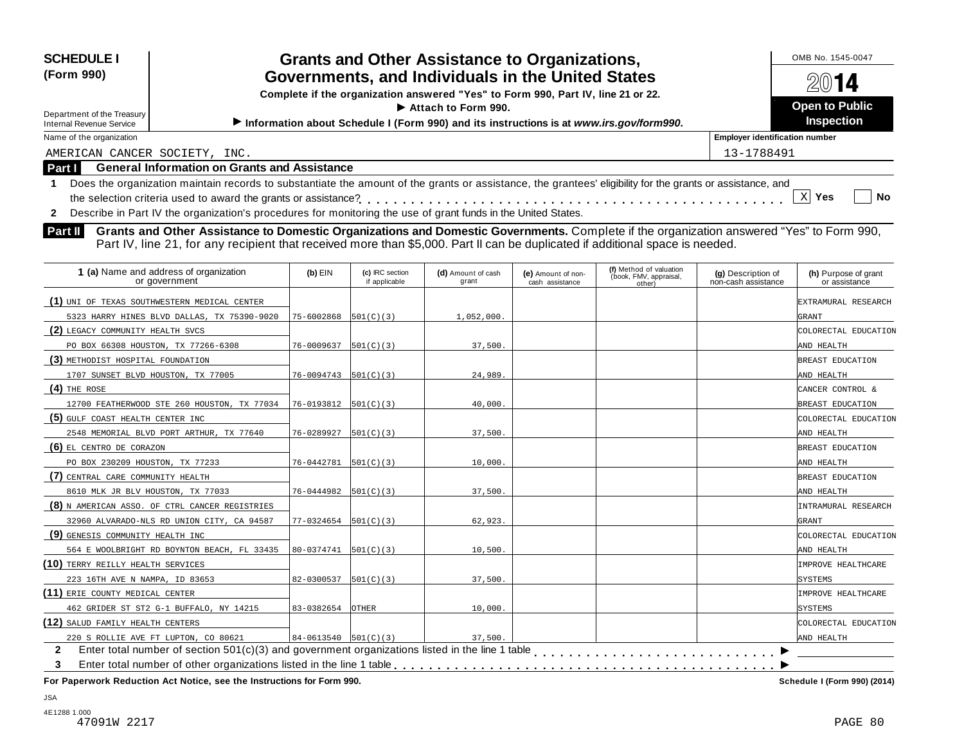| <b>SCHEDULE I</b>                                                                                                                                                                                                                                                                                                                               |            |                                  |                                                                                         |                                       |                                                   |                                           | OMB No. 1545-0047                     |
|-------------------------------------------------------------------------------------------------------------------------------------------------------------------------------------------------------------------------------------------------------------------------------------------------------------------------------------------------|------------|----------------------------------|-----------------------------------------------------------------------------------------|---------------------------------------|---------------------------------------------------|-------------------------------------------|---------------------------------------|
| <b>Grants and Other Assistance to Organizations,</b><br>(Form 990)<br>Governments, and Individuals in the United States<br>Complete if the organization answered "Yes" to Form 990, Part IV, line 21 or 22.<br>Attach to Form 990.                                                                                                              |            |                                  |                                                                                         |                                       |                                                   |                                           | $20$ 14<br><b>Open to Public</b>      |
| Department of the Treasury<br><b>Internal Revenue Service</b>                                                                                                                                                                                                                                                                                   |            |                                  | Information about Schedule I (Form 990) and its instructions is at www.irs.gov/form990. |                                       |                                                   |                                           | Inspection                            |
| Name of the organization                                                                                                                                                                                                                                                                                                                        |            |                                  |                                                                                         |                                       |                                                   | <b>Employer identification number</b>     |                                       |
| AMERICAN CANCER SOCIETY, INC.                                                                                                                                                                                                                                                                                                                   |            |                                  |                                                                                         |                                       |                                                   | 13-1788491                                |                                       |
| <b>General Information on Grants and Assistance</b><br>Part I                                                                                                                                                                                                                                                                                   |            |                                  |                                                                                         |                                       |                                                   |                                           |                                       |
| Does the organization maintain records to substantiate the amount of the grants or assistance, the grantees' eligibility for the grants or assistance, and<br>$\mathbf 1$                                                                                                                                                                       |            |                                  |                                                                                         |                                       |                                                   |                                           |                                       |
|                                                                                                                                                                                                                                                                                                                                                 |            |                                  |                                                                                         |                                       |                                                   |                                           | $X$ Yes<br>No                         |
| Describe in Part IV the organization's procedures for monitoring the use of grant funds in the United States.<br>$\mathbf{2}$                                                                                                                                                                                                                   |            |                                  |                                                                                         |                                       |                                                   |                                           |                                       |
| Grants and Other Assistance to Domestic Organizations and Domestic Governments. Complete if the organization answered "Yes" to Form 990,<br>Part II<br>Part IV, line 21, for any recipient that received more than \$5,000. Part II can be duplicated if additional space is needed.<br>1 (a) Name and address of organization<br>or government | $(b)$ EIN  | (c) IRC section<br>if applicable | (d) Amount of cash<br>grant                                                             | (e) Amount of non-<br>cash assistance | (f) Method of valuation<br>(book, FMV, appraisal, | (g) Description of<br>non-cash assistance | (h) Purpose of grant<br>or assistance |
|                                                                                                                                                                                                                                                                                                                                                 |            |                                  |                                                                                         |                                       | other)                                            |                                           |                                       |
| (1) UNI OF TEXAS SOUTHWESTERN MEDICAL CENTER                                                                                                                                                                                                                                                                                                    |            |                                  |                                                                                         |                                       |                                                   |                                           | EXTRAMURAL RESEARCH                   |
| 5323 HARRY HINES BLVD DALLAS, TX 75390-9020                                                                                                                                                                                                                                                                                                     | 75-6002868 | 501(C)(3)                        | 1,052,000                                                                               |                                       |                                                   |                                           | GRANT                                 |
| (2) LEGACY COMMUNITY HEALTH SVCS                                                                                                                                                                                                                                                                                                                |            |                                  |                                                                                         |                                       |                                                   |                                           | COLORECTAL EDUCATION                  |
| PO BOX 66308 HOUSTON, TX 77266-6308                                                                                                                                                                                                                                                                                                             | 76-0009637 | 501(C)(3)                        | 37,500                                                                                  |                                       |                                                   |                                           | AND HEALTH                            |
| (3) METHODIST HOSPITAL FOUNDATION                                                                                                                                                                                                                                                                                                               |            |                                  |                                                                                         |                                       |                                                   |                                           | BREAST EDUCATION                      |
| 1707 SUNSET BLVD HOUSTON, TX 77005                                                                                                                                                                                                                                                                                                              | 76-0094743 | 501(C)(3)                        | 24,989                                                                                  |                                       |                                                   |                                           | AND HEALTH                            |
| (4) THE ROSE                                                                                                                                                                                                                                                                                                                                    |            |                                  |                                                                                         |                                       |                                                   |                                           | CANCER CONTROL &                      |
| 12700 FEATHERWOOD STE 260 HOUSTON, TX 77034                                                                                                                                                                                                                                                                                                     | 76-0193812 | 501(C)(3)                        | 40,000                                                                                  |                                       |                                                   |                                           | BREAST EDUCATION                      |
| (5) GULF COAST HEALTH CENTER INC                                                                                                                                                                                                                                                                                                                |            |                                  |                                                                                         |                                       |                                                   |                                           | COLORECTAL EDUCATION                  |
| 2548 MEMORIAL BLVD PORT ARTHUR, TX 77640                                                                                                                                                                                                                                                                                                        | 76-0289927 | 501(C)(3)                        | 37,500                                                                                  |                                       |                                                   |                                           | AND HEALTH                            |
| (6) EL CENTRO DE CORAZON                                                                                                                                                                                                                                                                                                                        |            |                                  |                                                                                         |                                       |                                                   |                                           | BREAST EDUCATION                      |
| PO BOX 230209 HOUSTON, TX 77233                                                                                                                                                                                                                                                                                                                 | 76-0442781 | 501(C)(3)                        | 10,000                                                                                  |                                       |                                                   |                                           | AND HEALTH                            |
| (7) CENTRAL CARE COMMUNITY HEALTH                                                                                                                                                                                                                                                                                                               |            |                                  |                                                                                         |                                       |                                                   |                                           | BREAST EDUCATION                      |
| 8610 MLK JR BLV HOUSTON, TX 77033                                                                                                                                                                                                                                                                                                               | 76-0444982 | 501(C)(3)                        | 37,500                                                                                  |                                       |                                                   |                                           | AND HEALTH                            |
| (8) N AMERICAN ASSO. OF CTRL CANCER REGISTRIES                                                                                                                                                                                                                                                                                                  |            |                                  |                                                                                         |                                       |                                                   |                                           | INTRAMURAL RESEARCH                   |
| 32960 ALVARADO-NLS RD UNION CITY, CA 94587                                                                                                                                                                                                                                                                                                      | 77-0324654 | 501(C)(3)                        | 62,923                                                                                  |                                       |                                                   |                                           | GRANT                                 |
| (9) GENESIS COMMUNITY HEALTH INC                                                                                                                                                                                                                                                                                                                |            |                                  |                                                                                         |                                       |                                                   |                                           | COLORECTAL EDUCATION                  |
| 564 E WOOLBRIGHT RD BOYNTON BEACH, FL 33435                                                                                                                                                                                                                                                                                                     | 80-0374741 | 501(C)(3)                        | 10,500                                                                                  |                                       |                                                   |                                           | AND HEALTH                            |
| (10) TERRY REILLY HEALTH SERVICES                                                                                                                                                                                                                                                                                                               |            |                                  |                                                                                         |                                       |                                                   |                                           | IMPROVE HEALTHCARE                    |
| 223 16TH AVE N NAMPA, ID 83653                                                                                                                                                                                                                                                                                                                  | 82-0300537 | 501(C)(3)                        | 37,500                                                                                  |                                       |                                                   |                                           | SYSTEMS                               |
| (11) ERIE COUNTY MEDICAL CENTER                                                                                                                                                                                                                                                                                                                 |            |                                  |                                                                                         |                                       |                                                   |                                           | IMPROVE HEALTHCARE                    |
| 462 GRIDER ST ST2 G-1 BUFFALO, NY 14215                                                                                                                                                                                                                                                                                                         | 83-0382654 | <b>OTHER</b>                     | 10,000                                                                                  |                                       |                                                   |                                           | SYSTEMS                               |
|                                                                                                                                                                                                                                                                                                                                                 |            |                                  |                                                                                         |                                       |                                                   |                                           |                                       |
| (12) SALUD FAMILY HEALTH CENTERS                                                                                                                                                                                                                                                                                                                |            |                                  |                                                                                         |                                       |                                                   |                                           | COLORECTAL EDUCATION                  |

**3** Enter total number of other organizations listed in the line 1 table m m m m m m m m m m m m m m m m m m m m m m m m m m m m m m m m m m m m m m m m m m m m

**For Paperwork Reduction Act Notice, see the Instructions for Form 990.** 

<del>■ ■ ■ ■ ■ ■ ■</del><br>Schedule I (Form 990) (2014)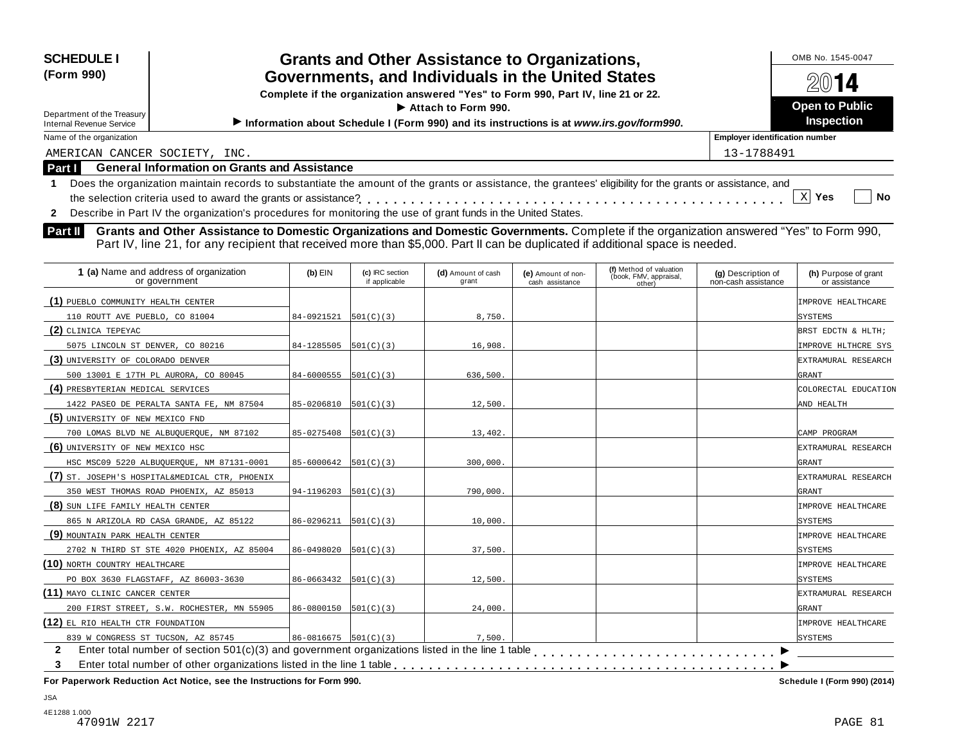| <b>SCHEDULE I</b><br>(Form 990)<br>Department of the Treasury<br><b>Internal Revenue Service</b> | <b>Grants and Other Assistance to Organizations,</b><br>Governments, and Individuals in the United States<br>Complete if the organization answered "Yes" to Form 990, Part IV, line 21 or 22.<br>$\blacktriangleright$ Attach to Form 990.<br>Information about Schedule I (Form 990) and its instructions is at www.irs.gov/form990. | OMB No. 1545-0047<br>2014<br><b>Open to Public</b><br><b>Inspection</b> |
|--------------------------------------------------------------------------------------------------|---------------------------------------------------------------------------------------------------------------------------------------------------------------------------------------------------------------------------------------------------------------------------------------------------------------------------------------|-------------------------------------------------------------------------|
| Name of the organization                                                                         |                                                                                                                                                                                                                                                                                                                                       | <b>Employer identification number</b>                                   |
| AMERICAN CANCER SOCIETY, INC.                                                                    |                                                                                                                                                                                                                                                                                                                                       | 13-1788491                                                              |
| Part I                                                                                           | <b>General Information on Grants and Assistance</b>                                                                                                                                                                                                                                                                                   |                                                                         |
|                                                                                                  | Does the organization maintain records to substantiate the amount of the grants or assistance, the grantees' eligibility for the grants or assistance, and<br>Describe in Part IV the organization's procedures for monitoring the use of grant funds in the United States.                                                           | <b>No</b><br>Yes                                                        |

**Part II** Grants and Other Assistance to Domestic Organizations and Domestic Governments. Complete if the organization answered "Yes" to Form 990,<br>Part IV, line 21, for any recipient that received more than \$5,000. Part II

| 1 (a) Name and address of organization<br>or government | $(b)$ EIN                    | (c) IRC section<br>if applicable | (d) Amount of cash<br>grant | (e) Amount of non-<br>cash assistance | (f) Method of valuation<br>(book, FMV, appraisal,<br>other) | (g) Description of<br>non-cash assistance | (h) Purpose of grant<br>or assistance |
|---------------------------------------------------------|------------------------------|----------------------------------|-----------------------------|---------------------------------------|-------------------------------------------------------------|-------------------------------------------|---------------------------------------|
| (1) PUEBLO COMMUNITY HEALTH CENTER                      |                              |                                  |                             |                                       |                                                             |                                           | <b>IMPROVE HEALTHCARE</b>             |
| 110 ROUTT AVE PUEBLO, CO 81004                          | 84-0921521                   | 501(C)(3)                        | 8,750                       |                                       |                                                             |                                           | SYSTEMS                               |
| (2) CLINICA TEPEYAC                                     |                              |                                  |                             |                                       |                                                             |                                           | BRST EDCTN & HLTH;                    |
| 5075 LINCOLN ST DENVER, CO 80216                        | 84-1285505                   | 501(C)(3)                        | 16,908                      |                                       |                                                             |                                           | IMPROVE HLTHCRE SYS                   |
| (3) UNIVERSITY OF COLORADO DENVER                       |                              |                                  |                             |                                       |                                                             |                                           | EXTRAMURAL RESEARCH                   |
| 500 13001 E 17TH PL AURORA, CO 80045                    | $84-6000555$ $[501(C)(3)]$   |                                  | 636,500                     |                                       |                                                             |                                           | GRANT                                 |
| (4) PRESBYTERIAN MEDICAL SERVICES                       |                              |                                  |                             |                                       |                                                             |                                           | COLORECTAL EDUCATION                  |
| 1422 PASEO DE PERALTA SANTA FE, NM 87504                | $85 - 0206810$ $[501(C)(3)]$ |                                  | 12,500.                     |                                       |                                                             |                                           | AND HEALTH                            |
| (5) UNIVERSITY OF NEW MEXICO FND                        |                              |                                  |                             |                                       |                                                             |                                           |                                       |
| 700 LOMAS BLVD NE ALBUQUERQUE, NM 87102                 | 85-0275408                   | 501(C)(3)                        | 13,402.                     |                                       |                                                             |                                           | CAMP PROGRAM                          |
| (6) UNIVERSITY OF NEW MEXICO HSC                        |                              |                                  |                             |                                       |                                                             |                                           | EXTRAMURAL RESEARCH                   |
| HSC MSC09 5220 ALBUQUERQUE, NM 87131-0001               | 85-6000642                   | 501(C)(3)                        | 300,000                     |                                       |                                                             |                                           | GRANT                                 |
| (7) ST. JOSEPH'S HOSPITAL&MEDICAL CTR, PHOENIX          |                              |                                  |                             |                                       |                                                             |                                           | EXTRAMURAL RESEARCH                   |
| 350 WEST THOMAS ROAD PHOENIX, AZ 85013                  | $94-1196203$ $ 501(C)(3) $   |                                  | 790,000.                    |                                       |                                                             |                                           | GRANT                                 |
| (8) SUN LIFE FAMILY HEALTH CENTER                       |                              |                                  |                             |                                       |                                                             |                                           | IMPROVE HEALTHCARE                    |
| 865 N ARIZOLA RD CASA GRANDE, AZ 85122                  | $86 - 0296211$ $501(C)(3)$   |                                  | 10,000.                     |                                       |                                                             |                                           | <b>SYSTEMS</b>                        |
| (9) MOUNTAIN PARK HEALTH CENTER                         |                              |                                  |                             |                                       |                                                             |                                           | IMPROVE HEALTHCARE                    |
| 2702 N THIRD ST STE 4020 PHOENIX, AZ 85004              | 86-0498020                   | 501(C)(3)                        | 37,500.                     |                                       |                                                             |                                           | SYSTEMS                               |
| (10) NORTH COUNTRY HEALTHCARE                           |                              |                                  |                             |                                       |                                                             |                                           | IMPROVE HEALTHCARE                    |
| PO BOX 3630 FLAGSTAFF, AZ 86003-3630                    | $86 - 0663432$ $ 501(C)(3) $ |                                  | 12,500.                     |                                       |                                                             |                                           | <b>SYSTEMS</b>                        |
| (11) MAYO CLINIC CANCER CENTER                          |                              |                                  |                             |                                       |                                                             |                                           | EXTRAMURAL RESEARCH                   |
| 200 FIRST STREET, S.W. ROCHESTER, MN 55905              | $86 - 0800150$ $ 501(C)(3) $ |                                  | 24,000.                     |                                       |                                                             |                                           | GRANT                                 |
| (12) EL RIO HEALTH CTR FOUNDATION                       |                              |                                  |                             |                                       |                                                             |                                           | IMPROVE HEALTHCARE                    |
| 839 W CONGRESS ST TUCSON, AZ 85745                      | $86 - 0816675$ 501(C)(3)     |                                  | 7,500.                      |                                       |                                                             |                                           | <b>SYSTEMS</b>                        |
| 2                                                       |                              |                                  |                             |                                       |                                                             |                                           |                                       |
| 3                                                       |                              |                                  |                             |                                       |                                                             |                                           |                                       |
|                                                         |                              |                                  |                             |                                       |                                                             |                                           |                                       |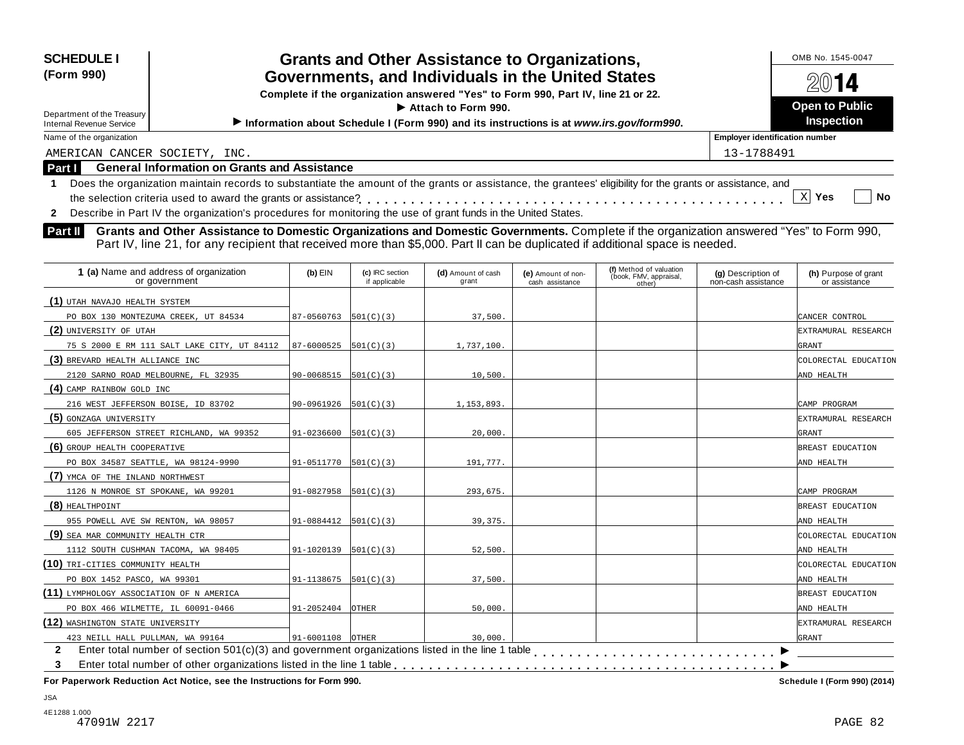| <b>SCHEDULE I</b><br>(Form 990)                                                                                                                                                                                                                                                                          | <b>Grants and Other Assistance to Organizations,</b><br>Governments, and Individuals in the United States<br>Complete if the organization answered "Yes" to Form 990, Part IV, line 21 or 22.<br>$\blacktriangleright$ Attach to Form 990. | OMB No. 1545-0047<br>2014<br><b>Open to Public</b> |  |  |  |  |
|----------------------------------------------------------------------------------------------------------------------------------------------------------------------------------------------------------------------------------------------------------------------------------------------------------|--------------------------------------------------------------------------------------------------------------------------------------------------------------------------------------------------------------------------------------------|----------------------------------------------------|--|--|--|--|
| Department of the Treasury<br><b>Internal Revenue Service</b>                                                                                                                                                                                                                                            | <b>Inspection</b>                                                                                                                                                                                                                          |                                                    |  |  |  |  |
| Name of the organization                                                                                                                                                                                                                                                                                 | <b>Employer identification number</b>                                                                                                                                                                                                      |                                                    |  |  |  |  |
| AMERICAN CANCER SOCIETY, INC.                                                                                                                                                                                                                                                                            |                                                                                                                                                                                                                                            | 13-1788491                                         |  |  |  |  |
| <b>Part I</b>                                                                                                                                                                                                                                                                                            | <b>General Information on Grants and Assistance</b>                                                                                                                                                                                        |                                                    |  |  |  |  |
| Does the organization maintain records to substantiate the amount of the grants or assistance, the grantees' eligibility for the grants or assistance, and<br>No<br>Yes<br>Describe in Part IV the organization's procedures for monitoring the use of grant funds in the United States.<br>$\mathbf{2}$ |                                                                                                                                                                                                                                            |                                                    |  |  |  |  |

**Part II** Grants and Other Assistance to Domestic Organizations and Domestic Governments. Complete if the organization answered "Yes" to Form 990,<br>Part IV, line 21, for any recipient that received more than \$5,000. Part II

| $(b)$ EIN  | (c) IRC section<br>if applicable            | (d) Amount of cash<br>grant                                                                                   | (e) Amount of non-<br>cash assistance | (f) Method of valuation<br>(book, FMV, appraisal,<br>other) | (g) Description of<br>non-cash assistance | (h) Purpose of grant<br>or assistance |
|------------|---------------------------------------------|---------------------------------------------------------------------------------------------------------------|---------------------------------------|-------------------------------------------------------------|-------------------------------------------|---------------------------------------|
|            |                                             |                                                                                                               |                                       |                                                             |                                           |                                       |
| 87-0560763 | 501(C)(3)                                   | 37,500.                                                                                                       |                                       |                                                             |                                           | CANCER CONTROL                        |
|            |                                             |                                                                                                               |                                       |                                                             |                                           | EXTRAMURAL RESEARCH                   |
| 87-6000525 |                                             | 1,737,100.                                                                                                    |                                       |                                                             |                                           | GRANT                                 |
|            |                                             |                                                                                                               |                                       |                                                             |                                           | COLORECTAL EDUCATION                  |
| 90-0068515 |                                             | 10,500.                                                                                                       |                                       |                                                             |                                           | AND HEALTH                            |
|            |                                             |                                                                                                               |                                       |                                                             |                                           |                                       |
| 90-0961926 |                                             | 1,153,893.                                                                                                    |                                       |                                                             |                                           | CAMP PROGRAM                          |
|            |                                             |                                                                                                               |                                       |                                                             |                                           | EXTRAMURAL RESEARCH                   |
| 91-0236600 | 501(C)(3)                                   | 20,000.                                                                                                       |                                       |                                                             |                                           | <b>GRANT</b>                          |
|            |                                             |                                                                                                               |                                       |                                                             |                                           | BREAST EDUCATION                      |
| 91-0511770 |                                             | 191,777.                                                                                                      |                                       |                                                             |                                           | AND HEALTH                            |
|            |                                             |                                                                                                               |                                       |                                                             |                                           |                                       |
| 91-0827958 |                                             | 293,675.                                                                                                      |                                       |                                                             |                                           | CAMP PROGRAM                          |
|            |                                             |                                                                                                               |                                       |                                                             |                                           | BREAST EDUCATION                      |
| 91-0884412 |                                             | 39, 375.                                                                                                      |                                       |                                                             |                                           | AND HEALTH                            |
|            |                                             |                                                                                                               |                                       |                                                             |                                           | COLORECTAL EDUCATION                  |
| 91-1020139 |                                             | 52,500.                                                                                                       |                                       |                                                             |                                           | AND HEALTH                            |
|            |                                             |                                                                                                               |                                       |                                                             |                                           | COLORECTAL EDUCATION                  |
| 91-1138675 |                                             | 37,500.                                                                                                       |                                       |                                                             |                                           | AND HEALTH                            |
|            |                                             |                                                                                                               |                                       |                                                             |                                           | BREAST EDUCATION                      |
| 91-2052404 | <b>OTHER</b>                                | 50,000.                                                                                                       |                                       |                                                             |                                           | AND HEALTH                            |
|            |                                             |                                                                                                               |                                       |                                                             |                                           | EXTRAMURAL RESEARCH                   |
| 91-6001108 |                                             | 30,000.                                                                                                       |                                       |                                                             |                                           | <b>GRANT</b>                          |
|            |                                             |                                                                                                               |                                       |                                                             |                                           |                                       |
|            |                                             |                                                                                                               |                                       |                                                             |                                           |                                       |
|            | 75 S 2000 E RM 111 SALT LAKE CITY, UT 84112 | 501(C)(3)<br>501(C)(3)<br>501(C)(3)<br>501(C)(3)<br>501(C)(3)<br>501(C)(3)<br>501(C)(3)<br>501(C)(3)<br>OTHER |                                       |                                                             |                                           |                                       |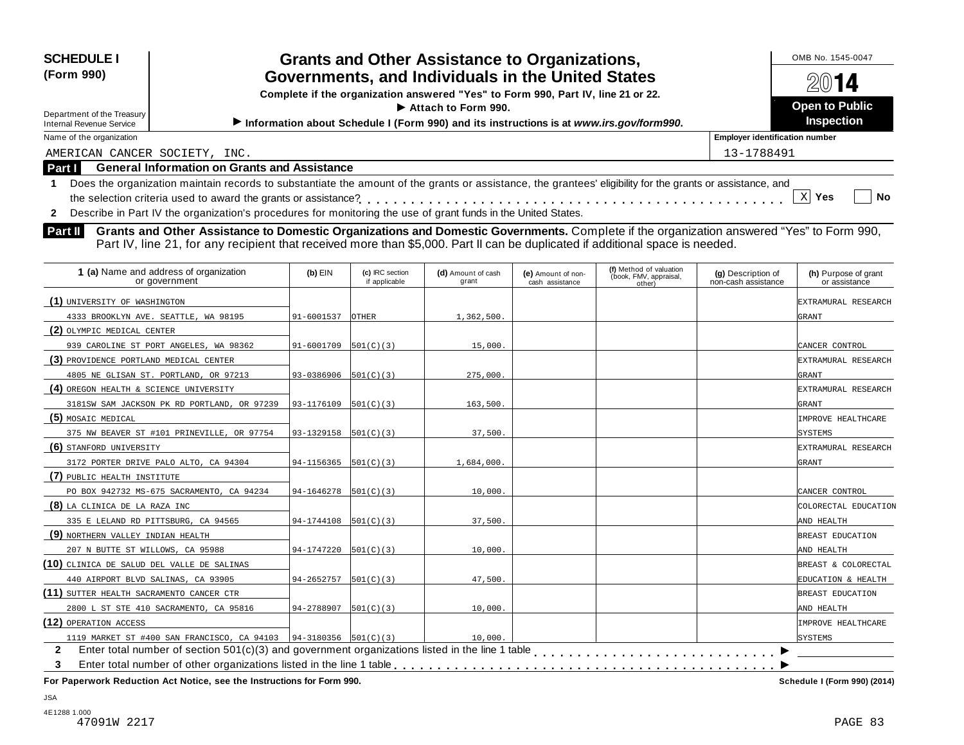| <b>SCHEDULE I</b><br><b>Grants and Other Assistance to Organizations,</b><br>(Form 990)<br>Governments, and Individuals in the United States<br>Complete if the organization answered "Yes" to Form 990, Part IV, line 21 or 22.<br>$\blacktriangleright$ Attach to Form 990. |                                                                                                                                                            | OMB No. 1545-0047<br>2014             |
|-------------------------------------------------------------------------------------------------------------------------------------------------------------------------------------------------------------------------------------------------------------------------------|------------------------------------------------------------------------------------------------------------------------------------------------------------|---------------------------------------|
| Department of the Treasury                                                                                                                                                                                                                                                    | <b>Open to Public</b><br><b>Inspection</b>                                                                                                                 |                                       |
| Internal Revenue Service                                                                                                                                                                                                                                                      | Information about Schedule I (Form 990) and its instructions is at www.irs.gov/form990.                                                                    |                                       |
| Name of the organization                                                                                                                                                                                                                                                      |                                                                                                                                                            | <b>Employer identification number</b> |
| AMERICAN CANCER SOCIETY, INC.                                                                                                                                                                                                                                                 |                                                                                                                                                            | 13-1788491                            |
| <b>Part I</b>                                                                                                                                                                                                                                                                 | <b>General Information on Grants and Assistance</b>                                                                                                        |                                       |
|                                                                                                                                                                                                                                                                               | Does the organization maintain records to substantiate the amount of the grants or assistance, the grantees' eligibility for the grants or assistance, and | No<br>Yes                             |

**2** Describe in Part IV the organization's procedures for monitoring the use of grant funds in the United States.

**Part II** Grants and Other Assistance to Domestic Organizations and Domestic Governments. Complete if the organization answered "Yes" to Form 990,<br>Part IV, line 21, for any recipient that received more than \$5,000. Part II

| 1 (a) Name and address of organization<br>or government              | $(b)$ EIN               | (c) IRC section<br>if applicable | (d) Amount of cash<br>grant | (e) Amount of non-<br>cash assistance | (f) Method of valuation<br>(book, FMV, appraisal,<br>other) | (g) Description of<br>non-cash assistance | (h) Purpose of grant<br>or assistance |
|----------------------------------------------------------------------|-------------------------|----------------------------------|-----------------------------|---------------------------------------|-------------------------------------------------------------|-------------------------------------------|---------------------------------------|
| (1) UNIVERSITY OF WASHINGTON                                         |                         |                                  |                             |                                       |                                                             |                                           | EXTRAMURAL RESEARCH                   |
| 4333 BROOKLYN AVE. SEATTLE, WA 98195                                 | 91-6001537              | <b>OTHER</b>                     | 1,362,500.                  |                                       |                                                             |                                           | GRANT                                 |
| (2) OLYMPIC MEDICAL CENTER                                           |                         |                                  |                             |                                       |                                                             |                                           |                                       |
| 939 CAROLINE ST PORT ANGELES, WA 98362                               | 91-6001709              | 501(C)(3)                        | 15,000                      |                                       |                                                             |                                           | CANCER CONTROL                        |
| (3) PROVIDENCE PORTLAND MEDICAL CENTER                               |                         |                                  |                             |                                       |                                                             |                                           | EXTRAMURAL RESEARCH                   |
| 4805 NE GLISAN ST. PORTLAND, OR 97213                                | 93-0386906              | 501(C)(3)                        | 275,000.                    |                                       |                                                             |                                           | GRANT                                 |
| (4) OREGON HEALTH & SCIENCE UNIVERSITY                               |                         |                                  |                             |                                       |                                                             |                                           | EXTRAMURAL RESEARCH                   |
| 3181SW SAM JACKSON PK RD PORTLAND, OR 97239                          | 93-1176109              | 501(C)(3)                        | 163,500.                    |                                       |                                                             |                                           | GRANT                                 |
| (5) MOSAIC MEDICAL                                                   |                         |                                  |                             |                                       |                                                             |                                           | IMPROVE HEALTHCARE                    |
| 375 NW BEAVER ST #101 PRINEVILLE, OR 97754                           | 93-1329158              | 501(C)(3)                        | 37,500.                     |                                       |                                                             |                                           | <b>SYSTEMS</b>                        |
| (6) STANFORD UNIVERSITY                                              |                         |                                  |                             |                                       |                                                             |                                           | EXTRAMURAL RESEARCH                   |
| 3172 PORTER DRIVE PALO ALTO, CA 94304                                | 94-1156365              | 501(C)(3)                        | 1,684,000.                  |                                       |                                                             |                                           | GRANT                                 |
| (7) PUBLIC HEALTH INSTITUTE                                          |                         |                                  |                             |                                       |                                                             |                                           |                                       |
| PO BOX 942732 MS-675 SACRAMENTO, CA 94234                            | $94-1646278$  501(C)(3) |                                  | 10,000.                     |                                       |                                                             |                                           | CANCER CONTROL                        |
| (8) LA CLINICA DE LA RAZA INC                                        |                         |                                  |                             |                                       |                                                             |                                           | COLORECTAL EDUCATION                  |
| 335 E LELAND RD PITTSBURG, CA 94565                                  | 94-1744108              | 501(C)(3)                        | 37,500                      |                                       |                                                             |                                           | AND HEALTH                            |
| (9) NORTHERN VALLEY INDIAN HEALTH                                    |                         |                                  |                             |                                       |                                                             |                                           | BREAST EDUCATION                      |
| 207 N BUTTE ST WILLOWS, CA 95988                                     | 94-1747220              | 501(C)(3)                        | 10,000                      |                                       |                                                             |                                           | AND HEALTH                            |
| (10) CLINICA DE SALUD DEL VALLE DE SALINAS                           |                         |                                  |                             |                                       |                                                             |                                           | BREAST & COLORECTAL                   |
| 440 AIRPORT BLVD SALINAS, CA 93905                                   | 94-2652757              | 501(C)(3)                        | 47,500.                     |                                       |                                                             |                                           | EDUCATION & HEALTH                    |
| (11) SUTTER HEALTH SACRAMENTO CANCER CTR                             |                         |                                  |                             |                                       |                                                             |                                           | BREAST EDUCATION                      |
| 2800 L ST STE 410 SACRAMENTO, CA 95816                               | 94-2788907              | 501(C)(3)                        | 10,000.                     |                                       |                                                             |                                           | AND HEALTH                            |
| (12) OPERATION ACCESS                                                |                         |                                  |                             |                                       |                                                             |                                           | <b>IMPROVE HEALTHCARE</b>             |
| 1119 MARKET ST #400 SAN FRANCISCO, CA 94103   94-3180356   501(C)(3) |                         |                                  | 10,000.                     |                                       |                                                             |                                           | SYSTEMS                               |
| $\mathbf{2}$                                                         |                         |                                  |                             |                                       |                                                             |                                           |                                       |
| 3                                                                    |                         |                                  |                             |                                       |                                                             |                                           |                                       |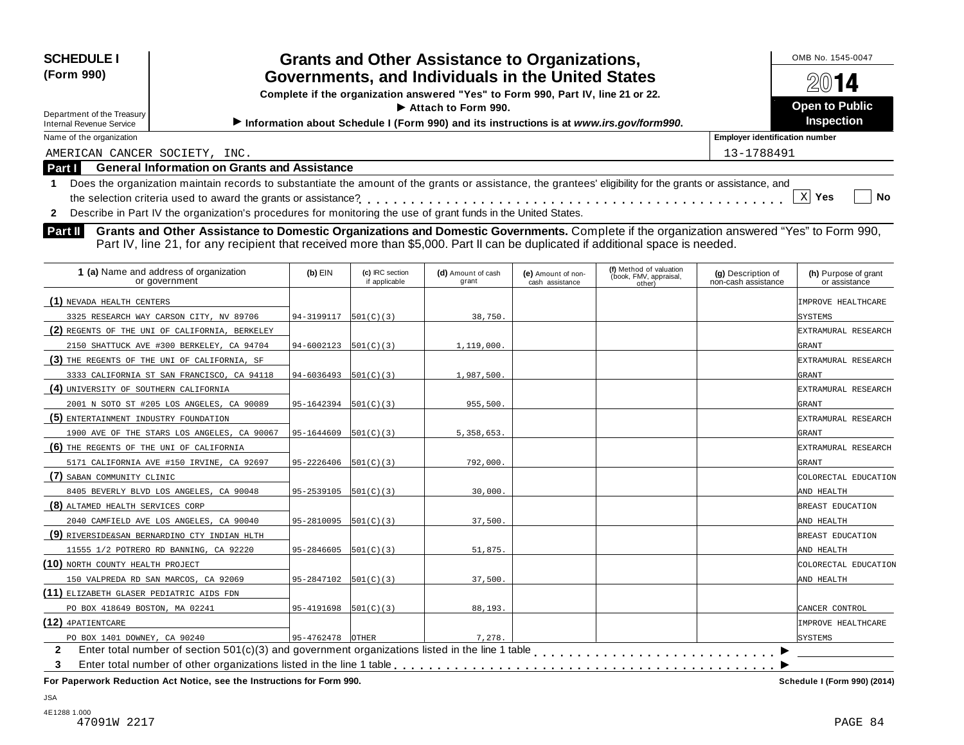| <b>SCHEDULE I</b><br>(Form 990)<br>Department of the Treasury<br><b>Internal Revenue Service</b> | <b>Grants and Other Assistance to Organizations,</b><br>Governments, and Individuals in the United States<br>Complete if the organization answered "Yes" to Form 990, Part IV, line 21 or 22.<br>$\blacktriangleright$ Attach to Form 990.<br>Information about Schedule I (Form 990) and its instructions is at www.irs.gov/form990. |                                       |  |  |  |  |  |
|--------------------------------------------------------------------------------------------------|---------------------------------------------------------------------------------------------------------------------------------------------------------------------------------------------------------------------------------------------------------------------------------------------------------------------------------------|---------------------------------------|--|--|--|--|--|
| Name of the organization                                                                         |                                                                                                                                                                                                                                                                                                                                       | <b>Employer identification number</b> |  |  |  |  |  |
| AMERICAN CANCER SOCIETY, INC.                                                                    |                                                                                                                                                                                                                                                                                                                                       | 13-1788491                            |  |  |  |  |  |
| Part I                                                                                           | <b>General Information on Grants and Assistance</b>                                                                                                                                                                                                                                                                                   |                                       |  |  |  |  |  |
|                                                                                                  | Does the organization maintain records to substantiate the amount of the grants or assistance, the grantees' eligibility for the grants or assistance, and                                                                                                                                                                            | <b>No</b><br><b>Yes</b>               |  |  |  |  |  |
|                                                                                                  | Describe in Part IV the organization's procedures for monitoring the use of grant funds in the United States.                                                                                                                                                                                                                         |                                       |  |  |  |  |  |

**Grants and Other Assistance to Domestic Organizations and Domestic Governments.** Complete if the organization answered "Yes" to Form 990, **Part II** Grants and Other Assistance to Domestic Organizations and Domestic Governments. Complete if the organization and Domestic Governments Part II's and Part IV, line 21, for any recipient that received more than \$5,0

| 1 (a) Name and address of organization<br>or government | $(b)$ EIN                  | (c) IRC section<br>if applicable | (d) Amount of cash<br>grant | (e) Amount of non-<br>cash assistance | (f) Method of valuation<br>(book, FMV, appraisal,<br>other) | (g) Description of<br>non-cash assistance | (h) Purpose of grant<br>or assistance |
|---------------------------------------------------------|----------------------------|----------------------------------|-----------------------------|---------------------------------------|-------------------------------------------------------------|-------------------------------------------|---------------------------------------|
| (1) NEVADA HEALTH CENTERS                               |                            |                                  |                             |                                       |                                                             |                                           | IMPROVE HEALTHCARE                    |
| 3325 RESEARCH WAY CARSON CITY, NV 89706                 | 94-3199117                 | 501(C)(3)                        | 38,750.                     |                                       |                                                             |                                           | SYSTEMS                               |
| (2) REGENTS OF THE UNI OF CALIFORNIA, BERKELEY          |                            |                                  |                             |                                       |                                                             |                                           | EXTRAMURAL RESEARCH                   |
| 2150 SHATTUCK AVE #300 BERKELEY, CA 94704               | 94-6002123                 | 501(C)(3)                        | 1,119,000.                  |                                       |                                                             |                                           | GRANT                                 |
| (3) THE REGENTS OF THE UNI OF CALIFORNIA, SF            |                            |                                  |                             |                                       |                                                             |                                           | EXTRAMURAL RESEARCH                   |
| 3333 CALIFORNIA ST SAN FRANCISCO, CA 94118              | 94-6036493                 | 501(C)(3)                        | 1,987,500                   |                                       |                                                             |                                           | GRANT                                 |
| (4) UNIVERSITY OF SOUTHERN CALIFORNIA                   |                            |                                  |                             |                                       |                                                             |                                           | EXTRAMURAL RESEARCH                   |
| 2001 N SOTO ST #205 LOS ANGELES, CA 90089               | 95-1642394                 | 501(C)(3)                        | 955,500.                    |                                       |                                                             |                                           | GRANT                                 |
| (5) ENTERTAINMENT INDUSTRY FOUNDATION                   |                            |                                  |                             |                                       |                                                             |                                           | EXTRAMURAL RESEARCH                   |
| 1900 AVE OF THE STARS LOS ANGELES, CA 90067             | 95-1644609                 | 501(C)(3)                        | 5, 358, 653.                |                                       |                                                             |                                           | GRANT                                 |
| (6) THE REGENTS OF THE UNI OF CALIFORNIA                |                            |                                  |                             |                                       |                                                             |                                           | EXTRAMURAL RESEARCH                   |
| 5171 CALIFORNIA AVE #150 IRVINE, CA 92697               | 95-2226406                 | 501(C)(3)                        | 792,000.                    |                                       |                                                             |                                           | GRANT                                 |
| (7) SABAN COMMUNITY CLINIC                              |                            |                                  |                             |                                       |                                                             |                                           | COLORECTAL EDUCATION                  |
| 8405 BEVERLY BLVD LOS ANGELES, CA 90048                 | 95-2539105                 | 501(C)(3)                        | 30,000                      |                                       |                                                             |                                           | AND HEALTH                            |
| (8) ALTAMED HEALTH SERVICES CORP                        |                            |                                  |                             |                                       |                                                             |                                           | BREAST EDUCATION                      |
| 2040 CAMFIELD AVE LOS ANGELES, CA 90040                 | 95-2810095                 | 501(C)(3)                        | 37,500                      |                                       |                                                             |                                           | AND HEALTH                            |
| (9) RIVERSIDE&SAN BERNARDINO CTY INDIAN HLTH            |                            |                                  |                             |                                       |                                                             |                                           | BREAST EDUCATION                      |
| 11555 1/2 POTRERO RD BANNING, CA 92220                  | 95-2846605                 | 501(C)(3)                        | 51,875                      |                                       |                                                             |                                           | AND HEALTH                            |
| (10) NORTH COUNTY HEALTH PROJECT                        |                            |                                  |                             |                                       |                                                             |                                           | COLORECTAL EDUCATION                  |
| 150 VALPREDA RD SAN MARCOS, CA 92069                    | $95-2847102$ $[501(C)(3)]$ |                                  | 37,500                      |                                       |                                                             |                                           | AND HEALTH                            |
| (11) ELIZABETH GLASER PEDIATRIC AIDS FDN                |                            |                                  |                             |                                       |                                                             |                                           |                                       |
| PO BOX 418649 BOSTON, MA 02241                          | 95-4191698                 | 501(C)(3)                        | 88,193.                     |                                       |                                                             |                                           | CANCER CONTROL                        |
| $(12)$ 4PATIENTCARE                                     |                            |                                  |                             |                                       |                                                             |                                           | <b>IMPROVE HEALTHCARE</b>             |
| PO BOX 1401 DOWNEY, CA 90240                            | 95-4762478                 | <b>OTHER</b>                     | 7.278.                      |                                       |                                                             |                                           | <b>SYSTEMS</b>                        |
| $\mathbf{2}$                                            |                            |                                  |                             |                                       |                                                             |                                           |                                       |
| 3                                                       |                            |                                  |                             |                                       |                                                             |                                           |                                       |
|                                                         |                            |                                  |                             |                                       |                                                             |                                           |                                       |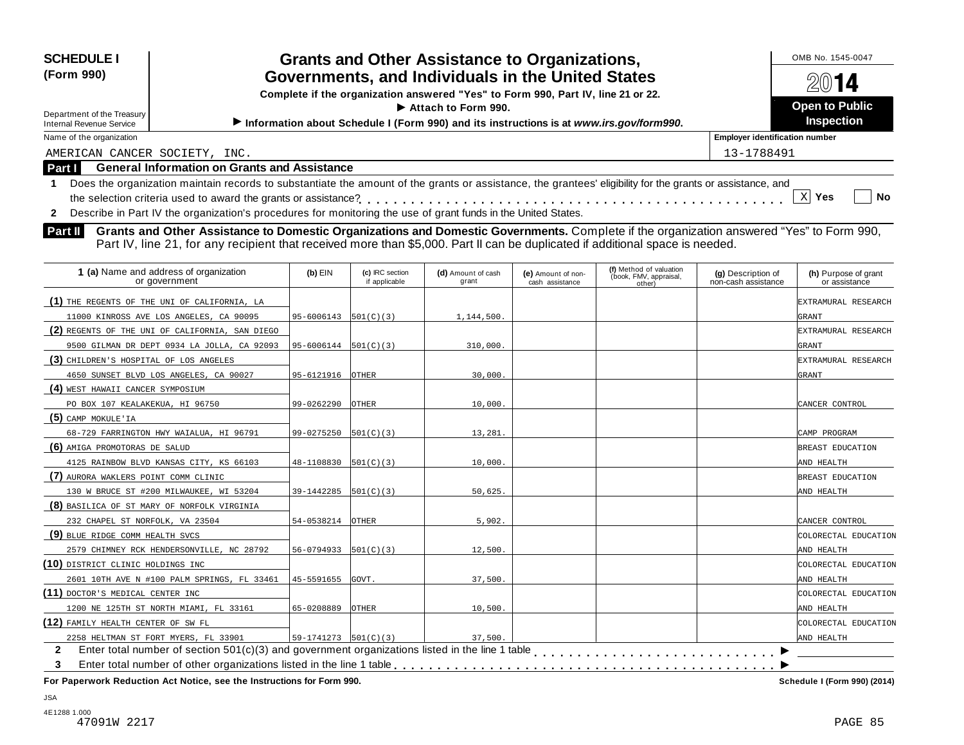| <b>SCHEDULE I</b>                                                                                                                                                         |                                                                                                         |                 | <b>Grants and Other Assistance to Organizations,</b> |                    |                                  |                                       | OMB No. 1545-0047    |  |
|---------------------------------------------------------------------------------------------------------------------------------------------------------------------------|---------------------------------------------------------------------------------------------------------|-----------------|------------------------------------------------------|--------------------|----------------------------------|---------------------------------------|----------------------|--|
| (Form 990)                                                                                                                                                                |                                                                                                         |                 |                                                      |                    |                                  |                                       | 14                   |  |
|                                                                                                                                                                           | Governments, and Individuals in the United States                                                       |                 |                                                      |                    |                                  |                                       |                      |  |
|                                                                                                                                                                           | Complete if the organization answered "Yes" to Form 990, Part IV, line 21 or 22.<br>Attach to Form 990. |                 |                                                      |                    |                                  |                                       |                      |  |
| Department of the Treasury                                                                                                                                                | Information about Schedule I (Form 990) and its instructions is at www.irs.gov/form990.                 |                 |                                                      |                    |                                  |                                       |                      |  |
| <b>Internal Revenue Service</b><br>Name of the organization                                                                                                               |                                                                                                         |                 |                                                      |                    |                                  | <b>Employer identification number</b> | <b>Inspection</b>    |  |
|                                                                                                                                                                           |                                                                                                         |                 |                                                      |                    |                                  | 13-1788491                            |                      |  |
| AMERICAN CANCER SOCIETY, INC.<br><b>General Information on Grants and Assistance</b><br>Part I                                                                            |                                                                                                         |                 |                                                      |                    |                                  |                                       |                      |  |
|                                                                                                                                                                           |                                                                                                         |                 |                                                      |                    |                                  |                                       |                      |  |
| Does the organization maintain records to substantiate the amount of the grants or assistance, the grantees' eligibility for the grants or assistance, and<br>$\mathbf 1$ |                                                                                                         |                 |                                                      |                    |                                  |                                       | $X$ Yes<br><b>No</b> |  |
|                                                                                                                                                                           |                                                                                                         |                 |                                                      |                    |                                  |                                       |                      |  |
| Describe in Part IV the organization's procedures for monitoring the use of grant funds in the United States.<br>$\mathbf{2}$                                             |                                                                                                         |                 |                                                      |                    |                                  |                                       |                      |  |
| Grants and Other Assistance to Domestic Organizations and Domestic Governments. Complete if the organization answered "Yes" to Form 990,<br>Part II                       |                                                                                                         |                 |                                                      |                    |                                  |                                       |                      |  |
| Part IV, line 21, for any recipient that received more than \$5,000. Part II can be duplicated if additional space is needed.                                             |                                                                                                         |                 |                                                      |                    |                                  |                                       |                      |  |
| 1 (a) Name and address of organization                                                                                                                                    | $(b)$ EIN                                                                                               | (c) IRC section | (d) Amount of cash                                   | (e) Amount of non- | (f) Method of valuation          | (g) Description of                    | (h) Purpose of grant |  |
| or government                                                                                                                                                             |                                                                                                         | if applicable   | grant                                                | cash assistance    | (book, FMV, appraisal,<br>other) | non-cash assistance                   | or assistance        |  |
| (1) THE REGENTS OF THE UNI OF CALIFORNIA, LA                                                                                                                              |                                                                                                         |                 |                                                      |                    |                                  |                                       | EXTRAMURAL RESEARCH  |  |
| 11000 KINROSS AVE LOS ANGELES, CA 90095                                                                                                                                   | 95-6006143                                                                                              | 501(C)(3)       | 1,144,500.                                           |                    |                                  |                                       | GRANT                |  |
| (2) REGENTS OF THE UNI OF CALIFORNIA, SAN DIEGO                                                                                                                           |                                                                                                         |                 |                                                      |                    |                                  |                                       | EXTRAMURAL RESEARCH  |  |
| 9500 GILMAN DR DEPT 0934 LA JOLLA, CA 92093                                                                                                                               | 95-6006144                                                                                              | 501(C)(3)       | 310,000.                                             |                    |                                  |                                       | GRANT                |  |
| (3) CHILDREN'S HOSPITAL OF LOS ANGELES                                                                                                                                    |                                                                                                         |                 |                                                      |                    |                                  |                                       | EXTRAMURAL RESEARCH  |  |
| 4650 SUNSET BLVD LOS ANGELES, CA 90027                                                                                                                                    | 95-6121916                                                                                              | OTHER           | 30,000                                               |                    |                                  |                                       | GRANT                |  |
| (4) WEST HAWAII CANCER SYMPOSIUM                                                                                                                                          |                                                                                                         |                 |                                                      |                    |                                  |                                       |                      |  |
| PO BOX 107 KEALAKEKUA, HI 96750                                                                                                                                           | 99-0262290                                                                                              | OTHER           | 10,000.                                              |                    |                                  |                                       | CANCER CONTROL       |  |
| $(5)$ CAMP MOKULE'IA                                                                                                                                                      |                                                                                                         |                 |                                                      |                    |                                  |                                       |                      |  |
| 68-729 FARRINGTON HWY WAIALUA, HI 96791                                                                                                                                   | 99-0275250                                                                                              | 501(C)(3)       | 13,281                                               |                    |                                  |                                       | CAMP PROGRAM         |  |
| (6) AMIGA PROMOTORAS DE SALUD                                                                                                                                             |                                                                                                         |                 |                                                      |                    |                                  |                                       | BREAST EDUCATION     |  |
| 4125 RAINBOW BLVD KANSAS CITY, KS 66103                                                                                                                                   | 48-1108830                                                                                              | 501(C)(3)       | 10,000.                                              |                    |                                  |                                       | AND HEALTH           |  |
| (7) AURORA WAKLERS POINT COMM CLINIC                                                                                                                                      |                                                                                                         |                 |                                                      |                    |                                  |                                       | BREAST EDUCATION     |  |
| 130 W BRUCE ST #200 MILWAUKEE, WI 53204                                                                                                                                   | 39-1442285                                                                                              | 501(C)(3)       | 50,625                                               |                    |                                  |                                       | AND HEALTH           |  |
| (8) BASILICA OF ST MARY OF NORFOLK VIRGINIA                                                                                                                               |                                                                                                         |                 |                                                      |                    |                                  |                                       |                      |  |
| 232 CHAPEL ST NORFOLK, VA 23504                                                                                                                                           | 54-0538214                                                                                              | <b>OTHER</b>    | 5,902.                                               |                    |                                  |                                       | CANCER CONTROL       |  |
| (9) BLUE RIDGE COMM HEALTH SVCS                                                                                                                                           |                                                                                                         |                 |                                                      |                    |                                  |                                       | COLORECTAL EDUCATION |  |
| 2579 CHIMNEY RCK HENDERSONVILLE, NC 28792                                                                                                                                 | 56-0794933                                                                                              | 501(C)(3)       | 12,500                                               |                    |                                  |                                       | AND HEALTH           |  |
| (10) DISTRICT CLINIC HOLDINGS INC                                                                                                                                         |                                                                                                         |                 |                                                      |                    |                                  |                                       | COLORECTAL EDUCATION |  |
| 2601 10TH AVE N #100 PALM SPRINGS, FL 33461                                                                                                                               | 45-5591655                                                                                              | GOVT.           | 37,500.                                              |                    |                                  |                                       | AND HEALTH           |  |

| 2601 10TH AVE N #100 PALM SPRINGS, FL 33461 45-5591655 GOVT.                                           |                         |              | 37.500. |  |  |  | AND HEALTH           |
|--------------------------------------------------------------------------------------------------------|-------------------------|--------------|---------|--|--|--|----------------------|
| (11) DOCTOR'S MEDICAL CENTER INC                                                                       |                         |              |         |  |  |  | COLORECTAL EDUCATION |
| 1200 NE 125TH ST NORTH MIAMI, FL 33161                                                                 | 65-0208889              | <b>OTHER</b> | 10,500. |  |  |  | AND HEALTH           |
| (12) FAMILY HEALTH CENTER OF SW FL                                                                     |                         |              |         |  |  |  | COLORECTAL EDUCATION |
| 2258 HELTMAN ST FORT MYERS, FL 33901                                                                   | $ 59-1741273 501(C)(3)$ |              | 37.500. |  |  |  | AND HEALTH           |
| Enter total number of section $501(c)(3)$ and government organizations listed in the line 1 table<br>2 |                         |              |         |  |  |  |                      |
|                                                                                                        |                         |              |         |  |  |  |                      |
|                                                                                                        |                         |              |         |  |  |  |                      |

**For Paperwork Reduction Act Notice, see the Instructions for Form 990. Schedule I (Form 990) (2014)**

JSA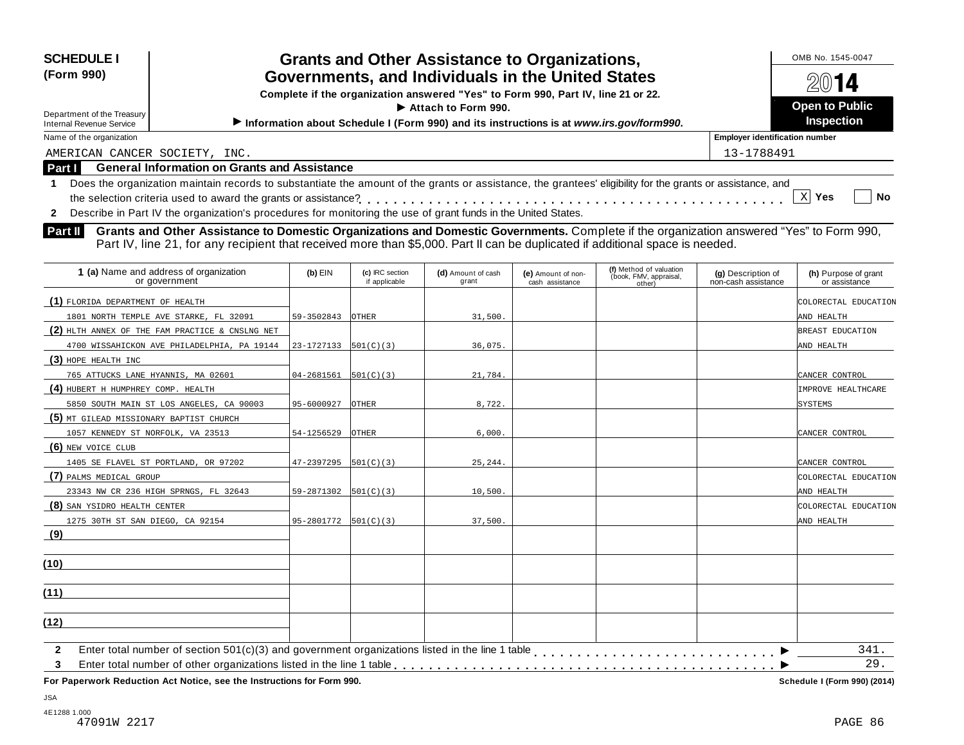| <b>SCHEDULE I</b><br>(Form 990)<br>Department of the Treasury<br><b>Internal Revenue Service</b> | <b>Grants and Other Assistance to Organizations,</b><br>Governments, and Individuals in the United States<br>Complete if the organization answered "Yes" to Form 990, Part IV, line 21 or 22.<br>Information about Schedule I (Form 990) and its instructions is at www.irs.gov/form990.                                                                                                                                                                                                                                                                                                                                                                 |            | OMB No. 1545-0047<br><b>Open to Public</b><br><b>Inspection</b> |                             |                                       |                                                             |                                           |                                       |
|--------------------------------------------------------------------------------------------------|----------------------------------------------------------------------------------------------------------------------------------------------------------------------------------------------------------------------------------------------------------------------------------------------------------------------------------------------------------------------------------------------------------------------------------------------------------------------------------------------------------------------------------------------------------------------------------------------------------------------------------------------------------|------------|-----------------------------------------------------------------|-----------------------------|---------------------------------------|-------------------------------------------------------------|-------------------------------------------|---------------------------------------|
| Name of the organization                                                                         | <b>Employer identification number</b>                                                                                                                                                                                                                                                                                                                                                                                                                                                                                                                                                                                                                    |            |                                                                 |                             |                                       |                                                             |                                           |                                       |
| AMERICAN CANCER SOCIETY, INC.                                                                    |                                                                                                                                                                                                                                                                                                                                                                                                                                                                                                                                                                                                                                                          |            |                                                                 |                             |                                       |                                                             | 13-1788491                                |                                       |
| $\mathbf{2}$<br><b>Part II</b>                                                                   | <b>General Information on Grants and Assistance</b><br><b>Part I</b><br>Does the organization maintain records to substantiate the amount of the grants or assistance, the grantees' eligibility for the grants or assistance, and<br>$X$ Yes<br><b>No</b><br>Describe in Part IV the organization's procedures for monitoring the use of grant funds in the United States.<br>Grants and Other Assistance to Domestic Organizations and Domestic Governments. Complete if the organization answered "Yes" to Form 990,<br>Part IV, line 21, for any recipient that received more than \$5,000. Part II can be duplicated if additional space is needed. |            |                                                                 |                             |                                       |                                                             |                                           |                                       |
|                                                                                                  | 1 (a) Name and address of organization<br>or government                                                                                                                                                                                                                                                                                                                                                                                                                                                                                                                                                                                                  | $(b)$ EIN  | (c) IRC section<br>if applicable                                | (d) Amount of cash<br>grant | (e) Amount of non-<br>cash assistance | (f) Method of valuation<br>(book, FMV, appraisal,<br>other) | (g) Description of<br>non-cash assistance | (h) Purpose of grant<br>or assistance |
| (1) FLORIDA DEPARTMENT OF HEALTH                                                                 | 1801 NORTH TEMPLE AVE STARKE, FL 32091                                                                                                                                                                                                                                                                                                                                                                                                                                                                                                                                                                                                                   | 59-3502843 | <b>OTHER</b>                                                    | 31,500.                     |                                       |                                                             |                                           | COLORECTAL EDUCATION<br>AND HEALTH    |
|                                                                                                  | (2) HLTH ANNEX OF THE FAM PRACTICE & CNSLNG NET                                                                                                                                                                                                                                                                                                                                                                                                                                                                                                                                                                                                          |            |                                                                 |                             |                                       |                                                             |                                           | BREAST EDUCATION                      |

| 1801 NORTH TEMPLE AVE STARKE, FL 32091          | 59-3502843                             | OTHER        | 31,500.  | AND HEALTH           |
|-------------------------------------------------|----------------------------------------|--------------|----------|----------------------|
| (2) HLTH ANNEX OF THE FAM PRACTICE & CNSLNG NET |                                        |              |          | BREAST EDUCATION     |
| 4700 WISSAHICKON AVE PHILADELPHIA, PA 19144     | $23-1727133$ $501(C)(3)$               |              | 36,075.  | AND HEALTH           |
| $(3)$ HOPE HEALTH INC                           |                                        |              |          |                      |
| 765 ATTUCKS LANE HYANNIS, MA 02601              | $04 - 2681561$   501(C)(3)             |              | 21,784.  | CANCER CONTROL       |
| (4) HUBERT H HUMPHREY COMP. HEALTH              |                                        |              |          | IMPROVE HEALTHCARE   |
| 5850 SOUTH MAIN ST LOS ANGELES, CA 90003        | 95-6000927                             | <b>OTHER</b> | 8,722.   | <b>SYSTEMS</b>       |
| (5) MT GILEAD MISSIONARY BAPTIST CHURCH         |                                        |              |          |                      |
| 1057 KENNEDY ST NORFOLK, VA 23513               | 54-1256529                             | OTHER        | 6,000.   | CANCER CONTROL       |
| (6) NEW VOICE CLUB                              |                                        |              |          |                      |
| 1405 SE FLAVEL ST PORTLAND, OR 97202            | $47 - 2397295$ $\vert 501(C)(3) \vert$ |              | 25, 244. | CANCER CONTROL       |
| (7) PALMS MEDICAL GROUP                         |                                        |              |          | COLORECTAL EDUCATION |
| 23343 NW CR 236 HIGH SPRNGS, FL 32643           | $59-2871302$ $501(C)(3)$               |              | 10,500.  | AND HEALTH           |
| (8) SAN YSIDRO HEALTH CENTER                    |                                        |              |          | COLORECTAL EDUCATION |
| 1275 30TH ST SAN DIEGO, CA 92154                | $95-2801772$ 501(C)(3)                 |              | 37,500.  | AND HEALTH           |
| (9)                                             |                                        |              |          |                      |
|                                                 |                                        |              |          |                      |
| (10)                                            |                                        |              |          |                      |
|                                                 |                                        |              |          |                      |
| (11)                                            |                                        |              |          |                      |
|                                                 |                                        |              |          |                      |
| (12)                                            |                                        |              |          |                      |
| $\overline{2}$                                  |                                        |              |          | 341.                 |
| 3                                               |                                        |              |          | 29.                  |
|                                                 |                                        |              |          |                      |

**For Paperwork Reduction Act Notice, see the Instructions for Form 990.** 

Schedule I (Form 990) (2014)

JSA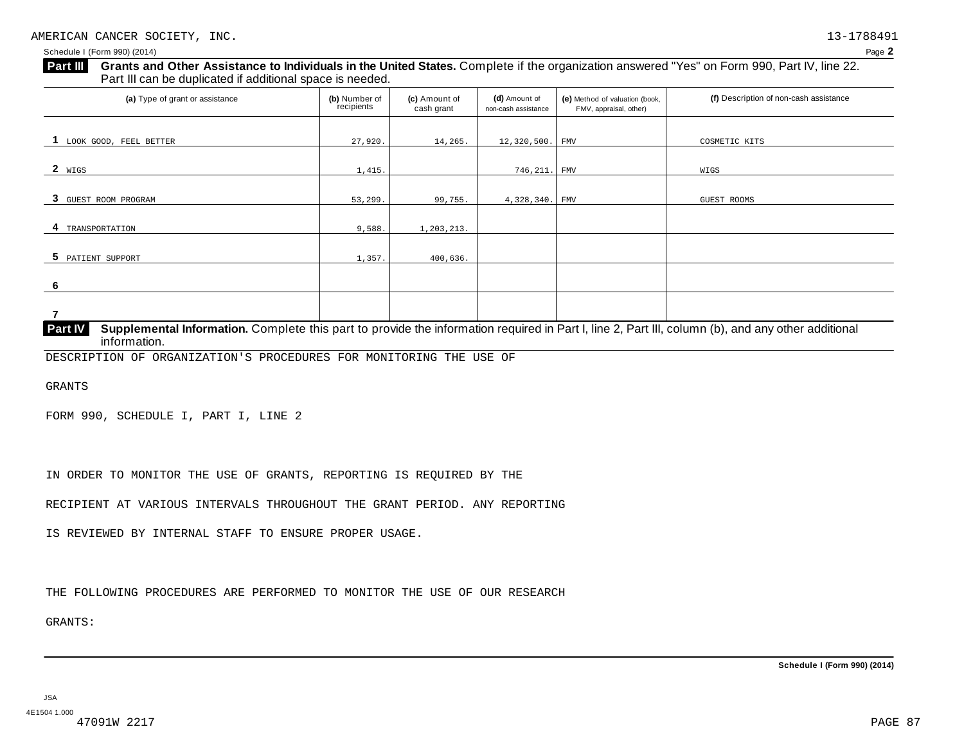**Grants and Other Assistance to Individuals in the United States.** Complete ifthe organization answered "Yes" on Form 990, Part IV, line 22. **Part III** Grants and Other Assistance to Individuals in the Ure Part III can be duplicated if additional space is needed.

| (a) Type of grant or assistance | (b) Number of<br>recipients | (c) Amount of<br>cash grant | (d) Amount of<br>non-cash assistance | (e) Method of valuation (book,<br>FMV, appraisal, other) | (f) Description of non-cash assistance |
|---------------------------------|-----------------------------|-----------------------------|--------------------------------------|----------------------------------------------------------|----------------------------------------|
|                                 |                             |                             |                                      |                                                          |                                        |
| LOOK GOOD, FEEL BETTER          | 27,920.                     | 14,265.                     | 12, 320, 500.                        | <b>FMV</b>                                               | COSMETIC KITS                          |
|                                 |                             |                             |                                      |                                                          |                                        |
| $2 \frac{\text{WIGS}}{}$        | 1,415.                      |                             | 746, 211. FMV                        |                                                          | WIGS                                   |
|                                 |                             |                             |                                      |                                                          |                                        |
| 3 GUEST ROOM PROGRAM            | 53,299.                     | 99,755.                     | 4,328,340.                           | $\ensuremath{\mathsf{FMV}}$                              | GUEST ROOMS                            |
|                                 |                             |                             |                                      |                                                          |                                        |
| TRANSPORTATION<br>4             | 9,588.                      | 1,203,213.                  |                                      |                                                          |                                        |
|                                 |                             |                             |                                      |                                                          |                                        |
| 5 PATIENT SUPPORT               | 1,357.                      | 400,636.                    |                                      |                                                          |                                        |
|                                 |                             |                             |                                      |                                                          |                                        |
| 6                               |                             |                             |                                      |                                                          |                                        |
|                                 |                             |                             |                                      |                                                          |                                        |
|                                 |                             |                             |                                      |                                                          |                                        |

**Supplemental Information.** Complete this part to provide the information required in Part I, line 2, Part III, column (b), and any other additional information. **Part IV**

DESCRIPTION OF ORGANIZATION'S PROCEDURES FOR MONITORING THE USE OF

GRANTS

FORM 990, SCHEDULE I, PART I, LINE 2

IN ORDER TO MONITOR THE USE OF GRANTS, REPORTING IS REQUIRED BY THE

RECIPIENT AT VARIOUS INTERVALS THROUGHOUT THE GRANT PERIOD. ANY REPORTING

IS REVIEWED BY INTERNAL STAFF TO ENSURE PROPER USAGE.

THE FOLLOWING PROCEDURES ARE PERFORMED TO MONITOR THE USE OF OUR RESEARCH

GRANTS: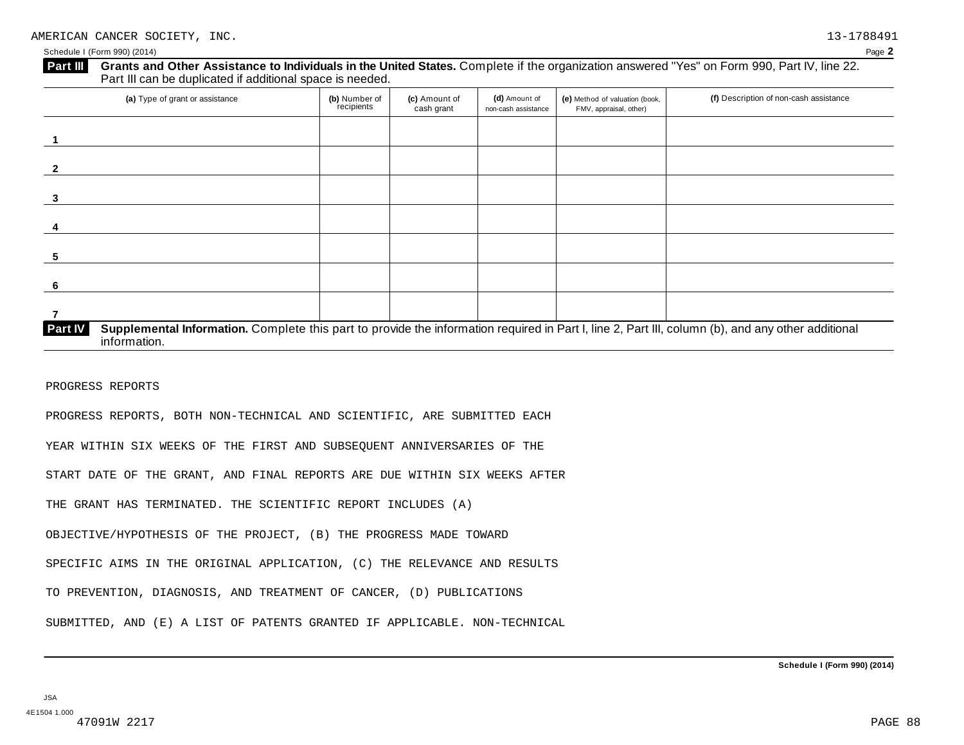| (a) Type of grant or assistance | (b) Number of<br>recipients | (c) Amount of<br>cash grant | (d) Amount of<br>non-cash assistance | (e) Method of valuation (book,<br>FMV, appraisal, other) | (f) Description of non-cash assistance |
|---------------------------------|-----------------------------|-----------------------------|--------------------------------------|----------------------------------------------------------|----------------------------------------|
|                                 |                             |                             |                                      |                                                          |                                        |
|                                 |                             |                             |                                      |                                                          |                                        |
|                                 |                             |                             |                                      |                                                          |                                        |
|                                 |                             |                             |                                      |                                                          |                                        |
|                                 |                             |                             |                                      |                                                          |                                        |
|                                 |                             |                             |                                      |                                                          |                                        |
|                                 |                             |                             |                                      |                                                          |                                        |

PROGRESS REPORTS

PROGRESS REPORTS, BOTH NON-TECHNICAL AND SCIENTIFIC, ARE SUBMITTED EACH

YEAR WITHIN SIX WEEKS OF THE FIRST AND SUBSEQUENT ANNIVERSARIES OF THE

START DATE OF THE GRANT, AND FINAL REPORTS ARE DUE WITHIN SIX WEEKS AFTER

THE GRANT HAS TERMINATED. THE SCIENTIFIC REPORT INCLUDES (A)

OBJECTIVE/HYPOTHESIS OF THE PROJECT, (B) THE PROGRESS MADE TOWARD

SPECIFIC AIMS IN THE ORIGINAL APPLICATION, (C) THE RELEVANCE AND RESULTS

TO PREVENTION, DIAGNOSIS, AND TREATMENT OF CANCER, (D) PUBLICATIONS

SUBMITTED, AND (E) A LIST OF PATENTS GRANTED IF APPLICABLE. NON-TECHNICAL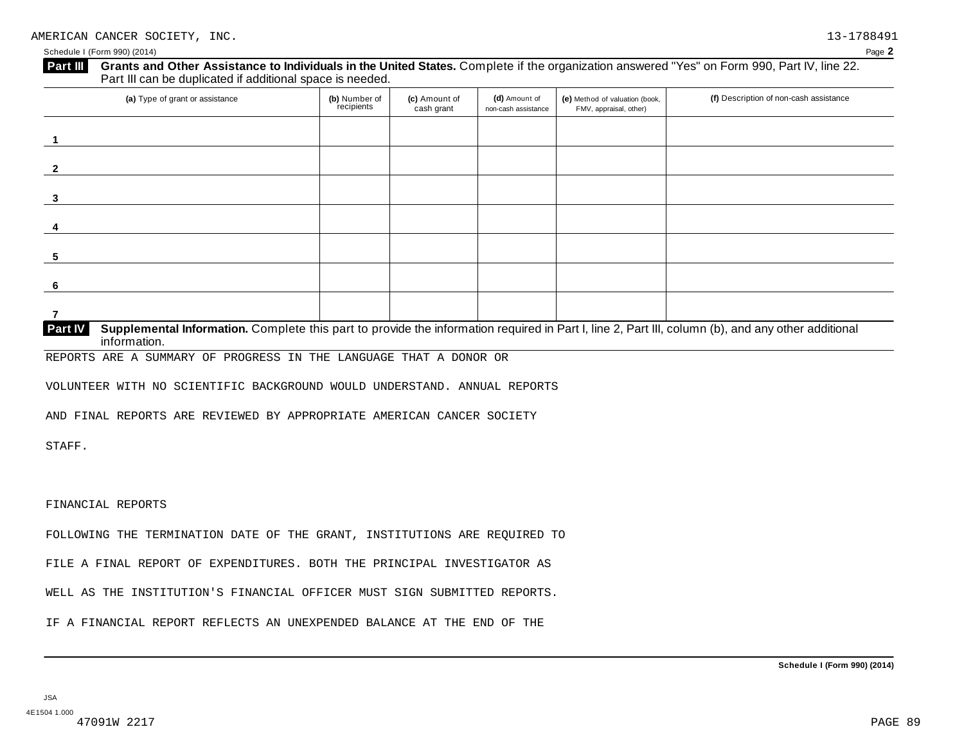| (a) Type of grant or assistance                                                                                                                                                      | (b) Number of<br>recipients | (c) Amount of<br>cash grant | (d) Amount of<br>non-cash assistance | (e) Method of valuation (book,<br>FMV, appraisal, other) | (f) Description of non-cash assistance |
|--------------------------------------------------------------------------------------------------------------------------------------------------------------------------------------|-----------------------------|-----------------------------|--------------------------------------|----------------------------------------------------------|----------------------------------------|
|                                                                                                                                                                                      |                             |                             |                                      |                                                          |                                        |
|                                                                                                                                                                                      |                             |                             |                                      |                                                          |                                        |
|                                                                                                                                                                                      |                             |                             |                                      |                                                          |                                        |
|                                                                                                                                                                                      |                             |                             |                                      |                                                          |                                        |
|                                                                                                                                                                                      |                             |                             |                                      |                                                          |                                        |
|                                                                                                                                                                                      |                             |                             |                                      |                                                          |                                        |
|                                                                                                                                                                                      |                             |                             |                                      |                                                          |                                        |
| <b>Part IV</b><br>Supplemental Information. Complete this part to provide the information required in Part I, line 2, Part III, column (b), and any other additional<br>information. |                             |                             |                                      |                                                          |                                        |

REPORTS ARE A SUMMARY OF PROGRESS IN THE LANGUAGE THAT A DONOR OR

VOLUNTEER WITH NO SCIENTIFIC BACKGROUND WOULD UNDERSTAND. ANNUAL REPORTS

AND FINAL REPORTS ARE REVIEWED BY APPROPRIATE AMERICAN CANCER SOCIETY

STAFF.

FINANCIAL REPORTS

FOLLOWING THE TERMINATION DATE OF THE GRANT, INSTITUTIONS ARE REQUIRED TO

FILE A FINAL REPORT OF EXPENDITURES. BOTH THE PRINCIPAL INVESTIGATOR AS

WELL AS THE INSTITUTION'S FINANCIAL OFFICER MUST SIGN SUBMITTED REPORTS.

IF A FINANCIAL REPORT REFLECTS AN UNEXPENDED BALANCE AT THE END OF THE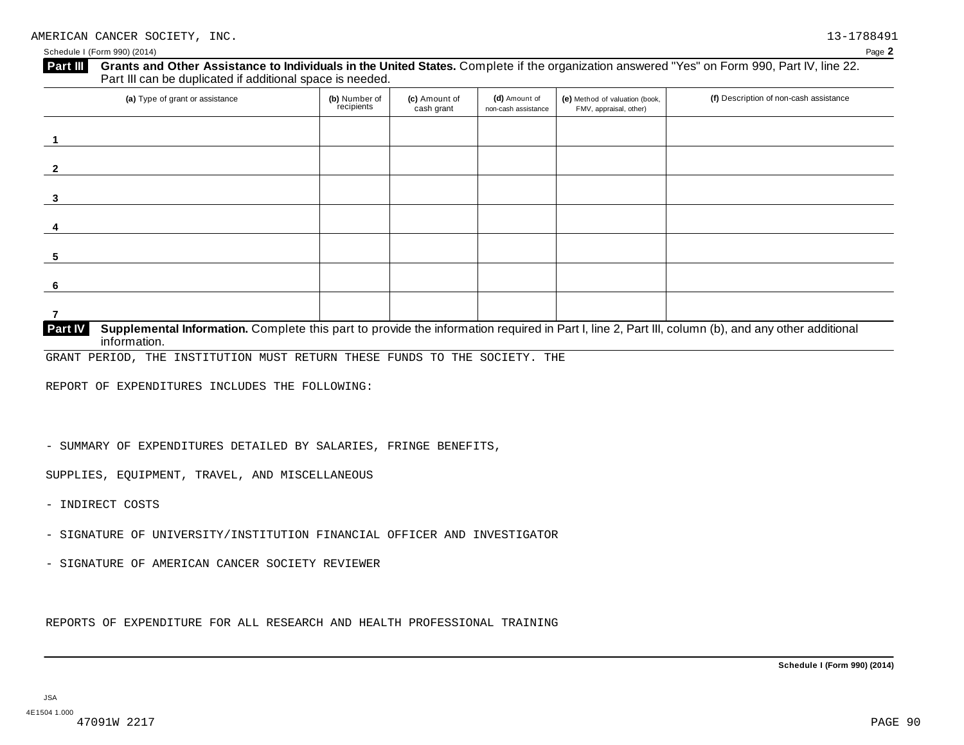| (a) Type of grant or assistance | (b) Number of<br>recipients | (c) Amount of<br>cash grant | (d) Amount of<br>non-cash assistance | (e) Method of valuation (book,<br>FMV, appraisal, other) | (f) Description of non-cash assistance |
|---------------------------------|-----------------------------|-----------------------------|--------------------------------------|----------------------------------------------------------|----------------------------------------|
|                                 |                             |                             |                                      |                                                          |                                        |
|                                 |                             |                             |                                      |                                                          |                                        |
|                                 |                             |                             |                                      |                                                          |                                        |
|                                 |                             |                             |                                      |                                                          |                                        |
|                                 |                             |                             |                                      |                                                          |                                        |
|                                 |                             |                             |                                      |                                                          |                                        |
|                                 |                             |                             |                                      |                                                          |                                        |
|                                 |                             |                             |                                      |                                                          |                                        |
|                                 |                             |                             |                                      |                                                          |                                        |

**Supplemental Information.** Complete this part to provide the information required in Part I, line 2, Part III, column (b), and any other additional information. **Part IV**

GRANT PERIOD, THE INSTITUTION MUST RETURN THESE FUNDS TO THE SOCIETY. THE

REPORT OF EXPENDITURES INCLUDES THE FOLLOWING:

- SUMMARY OF EXPENDITURES DETAILED BY SALARIES, FRINGE BENEFITS,

SUPPLIES, EQUIPMENT, TRAVEL, AND MISCELLANEOUS

- INDIRECT COSTS
- SIGNATURE OF UNIVERSITY/INSTITUTION FINANCIAL OFFICER AND INVESTIGATOR
- SIGNATURE OF AMERICAN CANCER SOCIETY REVIEWER

REPORTS OF EXPENDITURE FOR ALL RESEARCH AND HEALTH PROFESSIONAL TRAINING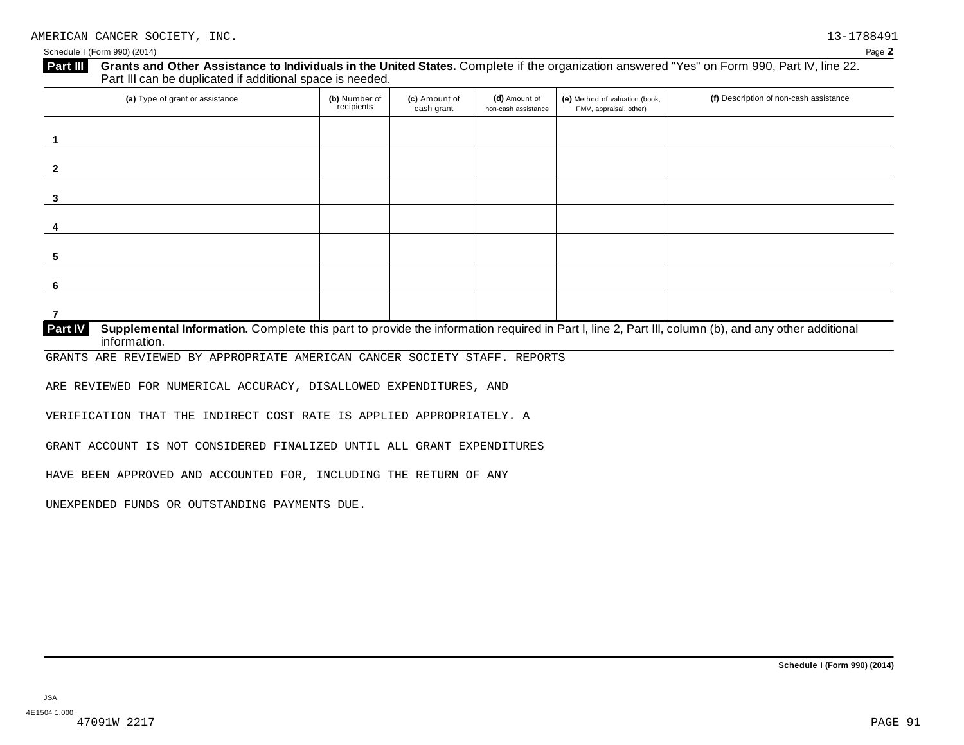| (a) Type of grant or assistance | (b) Number of<br>recipients | (c) Amount of<br>cash grant | (d) Amount of<br>non-cash assistance | (e) Method of valuation (book,<br>FMV, appraisal, other) | (f) Description of non-cash assistance |
|---------------------------------|-----------------------------|-----------------------------|--------------------------------------|----------------------------------------------------------|----------------------------------------|
|                                 |                             |                             |                                      |                                                          |                                        |
|                                 |                             |                             |                                      |                                                          |                                        |
|                                 |                             |                             |                                      |                                                          |                                        |
|                                 |                             |                             |                                      |                                                          |                                        |
|                                 |                             |                             |                                      |                                                          |                                        |
|                                 |                             |                             |                                      |                                                          |                                        |
|                                 |                             |                             |                                      |                                                          |                                        |

**Supplemental Information.** Complete this part to provide the information required in Part I, line 2, Part III, column (b), and any other additional information. **Part IV**

GRANTS ARE REVIEWED BY APPROPRIATE AMERICAN CANCER SOCIETY STAFF. REPORTS

ARE REVIEWED FOR NUMERICAL ACCURACY, DISALLOWED EXPENDITURES, AND

VERIFICATION THAT THE INDIRECT COST RATE IS APPLIED APPROPRIATELY. A

GRANT ACCOUNT IS NOT CONSIDERED FINALIZED UNTIL ALL GRANT EXPENDITURES

HAVE BEEN APPROVED AND ACCOUNTED FOR, INCLUDING THE RETURN OF ANY

UNEXPENDED FUNDS OR OUTSTANDING PAYMENTS DUE.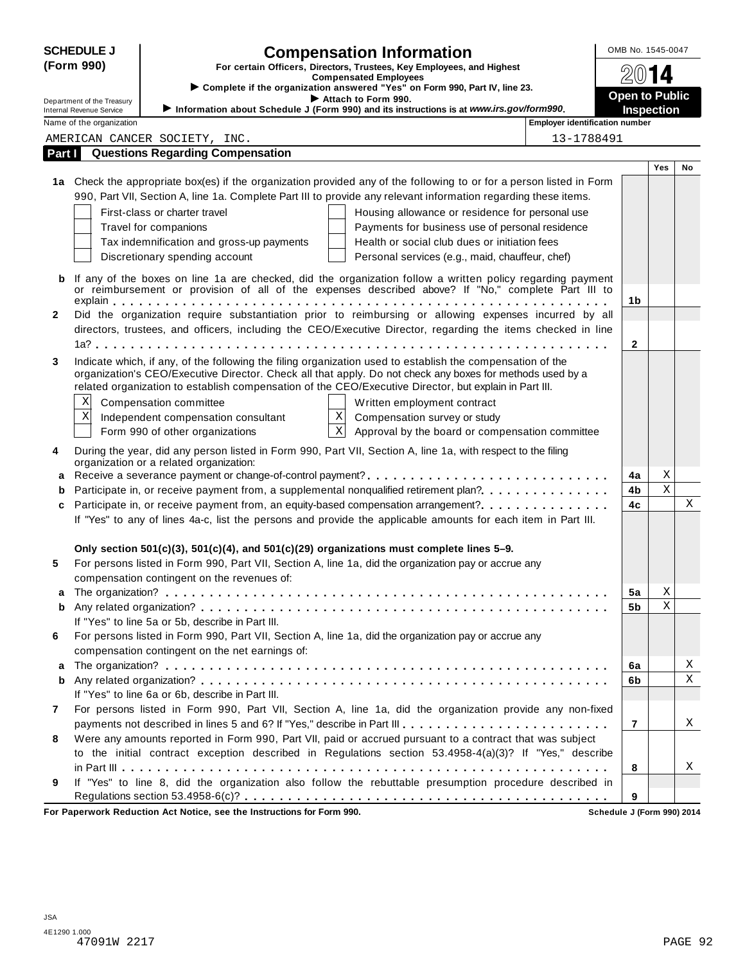|        | <b>SCHEDULE J</b>               |                                                                                          | <b>Compensation Information</b>                                                                                                                                                                                         |                                       | OMB No. 1545-0047     |             |             |
|--------|---------------------------------|------------------------------------------------------------------------------------------|-------------------------------------------------------------------------------------------------------------------------------------------------------------------------------------------------------------------------|---------------------------------------|-----------------------|-------------|-------------|
|        | (Form 990)                      |                                                                                          | For certain Officers, Directors, Trustees, Key Employees, and Highest                                                                                                                                                   |                                       |                       |             |             |
|        |                                 |                                                                                          | <b>Compensated Employees</b><br>> Complete if the organization answered "Yes" on Form 990, Part IV, line 23.                                                                                                            |                                       |                       | 14          |             |
|        | Department of the Treasury      |                                                                                          | Attach to Form 990.                                                                                                                                                                                                     |                                       | <b>Open to Public</b> |             |             |
|        | <b>Internal Revenue Service</b> |                                                                                          | Information about Schedule J (Form 990) and its instructions is at www.irs.gov/form990.                                                                                                                                 |                                       | <b>Inspection</b>     |             |             |
|        | Name of the organization        |                                                                                          |                                                                                                                                                                                                                         | <b>Employer identification number</b> |                       |             |             |
|        |                                 | AMERICAN CANCER SOCIETY, INC.                                                            |                                                                                                                                                                                                                         | 13-1788491                            |                       |             |             |
| Part I |                                 | <b>Questions Regarding Compensation</b>                                                  |                                                                                                                                                                                                                         |                                       |                       |             |             |
|        |                                 |                                                                                          | 1a Check the appropriate box(es) if the organization provided any of the following to or for a person listed in Form                                                                                                    |                                       |                       | Yes         | No          |
|        |                                 |                                                                                          | 990, Part VII, Section A, line 1a. Complete Part III to provide any relevant information regarding these items.                                                                                                         |                                       |                       |             |             |
|        |                                 | First-class or charter travel                                                            |                                                                                                                                                                                                                         |                                       |                       |             |             |
|        |                                 | Travel for companions                                                                    | Housing allowance or residence for personal use<br>Payments for business use of personal residence                                                                                                                      |                                       |                       |             |             |
|        |                                 | Tax indemnification and gross-up payments                                                | Health or social club dues or initiation fees                                                                                                                                                                           |                                       |                       |             |             |
|        |                                 | Discretionary spending account                                                           | Personal services (e.g., maid, chauffeur, chef)                                                                                                                                                                         |                                       |                       |             |             |
|        |                                 |                                                                                          |                                                                                                                                                                                                                         |                                       |                       |             |             |
| b      |                                 |                                                                                          | If any of the boxes on line 1a are checked, did the organization follow a written policy regarding payment                                                                                                              |                                       |                       |             |             |
|        |                                 |                                                                                          | or reimbursement or provision of all of the expenses described above? If "No," complete Part III to                                                                                                                     |                                       | 1b                    |             |             |
| 2      |                                 |                                                                                          | Did the organization require substantiation prior to reimbursing or allowing expenses incurred by all                                                                                                                   |                                       |                       |             |             |
|        |                                 |                                                                                          | directors, trustees, and officers, including the CEO/Executive Director, regarding the items checked in line                                                                                                            |                                       |                       |             |             |
|        |                                 |                                                                                          |                                                                                                                                                                                                                         |                                       | $\mathbf{2}$          |             |             |
|        |                                 |                                                                                          |                                                                                                                                                                                                                         |                                       |                       |             |             |
| 3      |                                 |                                                                                          | Indicate which, if any, of the following the filing organization used to establish the compensation of the<br>organization's CEO/Executive Director. Check all that apply. Do not check any boxes for methods used by a |                                       |                       |             |             |
|        |                                 |                                                                                          | related organization to establish compensation of the CEO/Executive Director, but explain in Part III.                                                                                                                  |                                       |                       |             |             |
|        | X                               | Compensation committee                                                                   | Written employment contract                                                                                                                                                                                             |                                       |                       |             |             |
|        | Х                               | Independent compensation consultant                                                      | $\mathbf X$<br>Compensation survey or study                                                                                                                                                                             |                                       |                       |             |             |
|        |                                 | Form 990 of other organizations                                                          | $\mathbf X$<br>Approval by the board or compensation committee                                                                                                                                                          |                                       |                       |             |             |
|        |                                 |                                                                                          |                                                                                                                                                                                                                         |                                       |                       |             |             |
| 4      |                                 | organization or a related organization:                                                  | During the year, did any person listed in Form 990, Part VII, Section A, line 1a, with respect to the filing                                                                                                            |                                       |                       |             |             |
| а      |                                 |                                                                                          |                                                                                                                                                                                                                         |                                       | 4a                    | Χ           |             |
| b      |                                 |                                                                                          | Participate in, or receive payment from, a supplemental nonqualified retirement plan?                                                                                                                                   |                                       | 4b                    | $\rm X$     |             |
| c      |                                 |                                                                                          | Participate in, or receive payment from, an equity-based compensation arrangement?                                                                                                                                      |                                       | 4c                    |             | $\mathbf X$ |
|        |                                 |                                                                                          | If "Yes" to any of lines 4a-c, list the persons and provide the applicable amounts for each item in Part III.                                                                                                           |                                       |                       |             |             |
|        |                                 |                                                                                          |                                                                                                                                                                                                                         |                                       |                       |             |             |
|        |                                 | Only section 501(c)(3), 501(c)(4), and 501(c)(29) organizations must complete lines 5-9. |                                                                                                                                                                                                                         |                                       |                       |             |             |
| 5      |                                 |                                                                                          | For persons listed in Form 990, Part VII, Section A, line 1a, did the organization pay or accrue any                                                                                                                    |                                       |                       |             |             |
|        |                                 | compensation contingent on the revenues of:                                              |                                                                                                                                                                                                                         |                                       |                       |             |             |
| a      |                                 |                                                                                          |                                                                                                                                                                                                                         |                                       | 5a                    | Χ           |             |
| b      |                                 |                                                                                          |                                                                                                                                                                                                                         |                                       | 5b                    | $\mathbf X$ |             |
|        |                                 | If "Yes" to line 5a or 5b, describe in Part III.                                         |                                                                                                                                                                                                                         |                                       |                       |             |             |
| 6      |                                 |                                                                                          | For persons listed in Form 990, Part VII, Section A, line 1a, did the organization pay or accrue any                                                                                                                    |                                       |                       |             |             |
|        |                                 | compensation contingent on the net earnings of:                                          |                                                                                                                                                                                                                         |                                       |                       |             |             |
| a      |                                 |                                                                                          |                                                                                                                                                                                                                         |                                       | 6a                    |             | $\mathbf X$ |
| b      |                                 |                                                                                          |                                                                                                                                                                                                                         |                                       | 6b                    |             | $\mathbf X$ |
|        |                                 | If "Yes" to line 6a or 6b, describe in Part III.                                         |                                                                                                                                                                                                                         |                                       |                       |             |             |
| 7      |                                 |                                                                                          | For persons listed in Form 990, Part VII, Section A, line 1a, did the organization provide any non-fixed                                                                                                                |                                       |                       |             |             |
|        |                                 |                                                                                          | payments not described in lines 5 and 6? If "Yes," describe in Part III.                                                                                                                                                |                                       | 7                     |             | Χ           |
| 8      |                                 |                                                                                          | Were any amounts reported in Form 990, Part VII, paid or accrued pursuant to a contract that was subject                                                                                                                |                                       |                       |             |             |
|        |                                 |                                                                                          | to the initial contract exception described in Regulations section 53.4958-4(a)(3)? If "Yes," describe                                                                                                                  |                                       |                       |             |             |
|        |                                 |                                                                                          |                                                                                                                                                                                                                         |                                       | 8                     |             | X           |
| 9      |                                 |                                                                                          | If "Yes" to line 8, did the organization also follow the rebuttable presumption procedure described in                                                                                                                  |                                       |                       |             |             |
|        |                                 |                                                                                          |                                                                                                                                                                                                                         |                                       | 9                     |             |             |
|        |                                 | For Paperwork Reduction Act Notice, see the Instructions for Form 990.                   |                                                                                                                                                                                                                         | Schedule J (Form 990) 2014            |                       |             |             |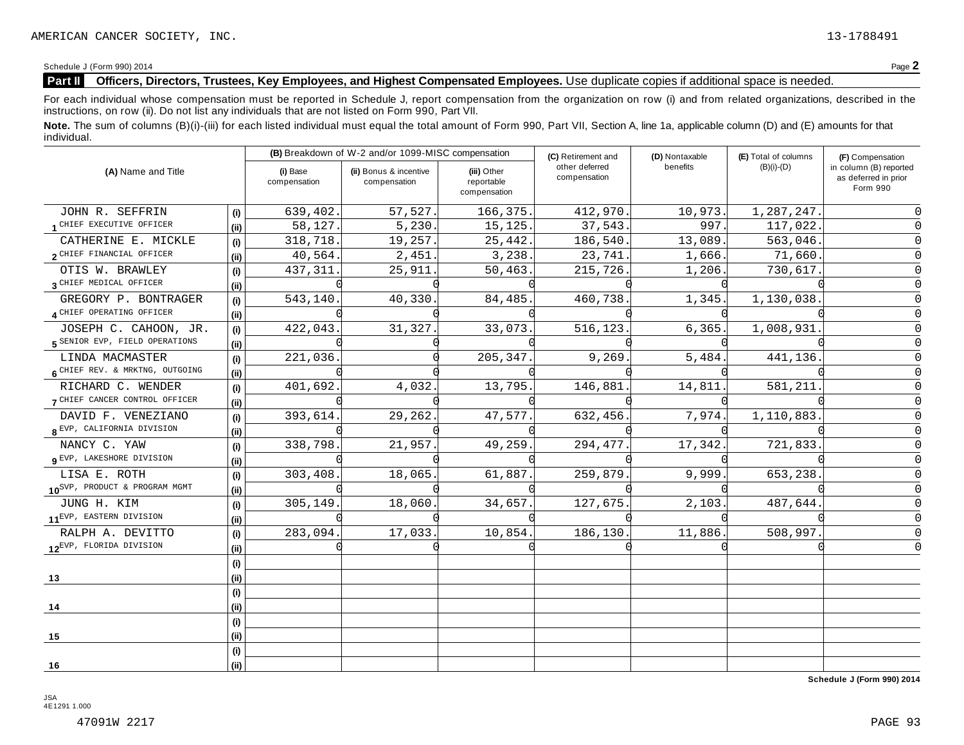#### **Part II Officers, Directors, Trustees, Key Employees, and Highest Compensated Employees.** Use duplicate copies ifadditional space is needed.

For each individual whose compensation must be reported in Schedule J, report compensation from the organization on row (i) and from related organizations, described in the instructions, on row (ii). Do not list any individuals that are not listed on Form 990, Part VII.

Note. The sum of columns (B)(i)-(iii) for each listed individual must equal the total amount of Form 990, Part VII, Section A, line 1a, applicable column (D) and (E) amounts for that individual.

|                                               |      |                          | (B) Breakdown of W-2 and/or 1099-MISC compensation |                                           | (C) Retirement and             | (D) Nontaxable | (E) Total of columns | (F) Compensation                                           |
|-----------------------------------------------|------|--------------------------|----------------------------------------------------|-------------------------------------------|--------------------------------|----------------|----------------------|------------------------------------------------------------|
| (A) Name and Title                            |      | (i) Base<br>compensation | (ii) Bonus & incentive<br>compensation             | (iii) Other<br>reportable<br>compensation | other deferred<br>compensation | benefits       | $(B)(i)-(D)$         | in column (B) reported<br>as deferred in prior<br>Form 990 |
| JOHN R. SEFFRIN                               | (i)  | 639,402.                 | 57,527.                                            | 166,375.                                  | 412,970.                       | 10,973.        | 1,287,247.           |                                                            |
| 1 CHIEF EXECUTIVE OFFICER                     | (ii) | 58,127.                  | 5,230.                                             | 15, 125.                                  | 37,543.                        | 997.           | 117,022.             |                                                            |
| CATHERINE E. MICKLE                           | (i)  | 318,718.                 | 19,257.                                            | 25,442.                                   | 186,540.                       | 13,089.        | 563,046.             |                                                            |
| 2 CHIEF FINANCIAL OFFICER                     | (ii) | 40,564.                  | 2,451.                                             | 3,238.                                    | 23,741.                        | 1,666.         | 71,660.              |                                                            |
| OTIS W. BRAWLEY                               | (i)  | 437,311.                 | 25,911.                                            | 50,463.                                   | 215,726.                       | 1,206.         | 730,617.             |                                                            |
| 3 CHIEF MEDICAL OFFICER                       | (ii) |                          |                                                    |                                           |                                |                |                      |                                                            |
| GREGORY P. BONTRAGER                          | (i)  | 543,140                  | 40,330.                                            | 84,485                                    | 460,738                        | 1,345          | 1,130,038            |                                                            |
| 4 CHIEF OPERATING OFFICER                     | (ii) |                          |                                                    |                                           |                                |                |                      |                                                            |
| JOSEPH C. CAHOON, JR.                         | (i)  | 422,043.                 | 31,327.                                            | 33,073                                    | 516,123                        | 6, 365.        | 1,008,931            |                                                            |
| 5 SENIOR EVP, FIELD OPERATIONS                | (ii) |                          |                                                    |                                           |                                |                |                      |                                                            |
| LINDA MACMASTER                               | (i)  | 221,036.                 |                                                    | 205, 347.                                 | 9,269                          | 5,484.         | 441,136.             |                                                            |
| 6 CHIEF REV. & MRKTNG, OUTGOING               | (ii) |                          |                                                    |                                           |                                |                |                      |                                                            |
| RICHARD C. WENDER                             | (i)  | 401,692.                 | 4,032.                                             | 13,795.                                   | 146,881                        | 14,811         | 581,211              |                                                            |
| 7 CHIEF CANCER CONTROL OFFICER                | (ii) |                          |                                                    |                                           |                                |                |                      |                                                            |
| DAVID F. VENEZIANO                            | (i)  | 393,614.                 | 29,262.                                            | 47,577.                                   | 632,456.                       | 7,974.         | 1,110,883            |                                                            |
| 8 EVP, CALIFORNIA DIVISION                    | (ii) |                          |                                                    |                                           |                                |                |                      |                                                            |
| NANCY C. YAW                                  | (i)  | 338,798.                 | 21,957.                                            | 49,259.                                   | 294,477                        | 17,342.        | 721,833              |                                                            |
| Q EVP, LAKESHORE DIVISION                     | (ii) |                          |                                                    |                                           |                                |                |                      |                                                            |
| LISA E. ROTH                                  | (i)  | 303,408.                 | 18,065.                                            | 61,887.                                   | 259,879                        | 9,999          | 653,238              |                                                            |
| 10 <sup>SVP, PRODUCT &amp; PROGRAM MGMT</sup> | (ii) |                          |                                                    |                                           |                                |                |                      |                                                            |
| JUNG H. KIM                                   | (i)  | 305,149.                 | 18,060                                             | 34,657.                                   | 127,675                        | 2,103.         | 487,644.             |                                                            |
| 11 <sup>EVP, EASTERN</sup> DIVISION           | (ii) |                          |                                                    |                                           |                                |                |                      |                                                            |
| RALPH A. DEVITTO                              | (i)  | 283,094.                 | 17,033.                                            | 10,854.                                   | 186,130                        | 11,886.        | 508,997              |                                                            |
| 12EVP, FLORIDA DIVISION                       | (ii) |                          |                                                    |                                           |                                |                |                      |                                                            |
|                                               | (i)  |                          |                                                    |                                           |                                |                |                      |                                                            |
| 13                                            | (i)  |                          |                                                    |                                           |                                |                |                      |                                                            |
|                                               | (i)  |                          |                                                    |                                           |                                |                |                      |                                                            |
| 14                                            | (ii) |                          |                                                    |                                           |                                |                |                      |                                                            |
|                                               | (i)  |                          |                                                    |                                           |                                |                |                      |                                                            |
| 15                                            | (ii) |                          |                                                    |                                           |                                |                |                      |                                                            |
|                                               | (i)  |                          |                                                    |                                           |                                |                |                      |                                                            |
| 16                                            | (ii) |                          |                                                    |                                           |                                |                |                      |                                                            |

**Schedule J (Form 990) 2014**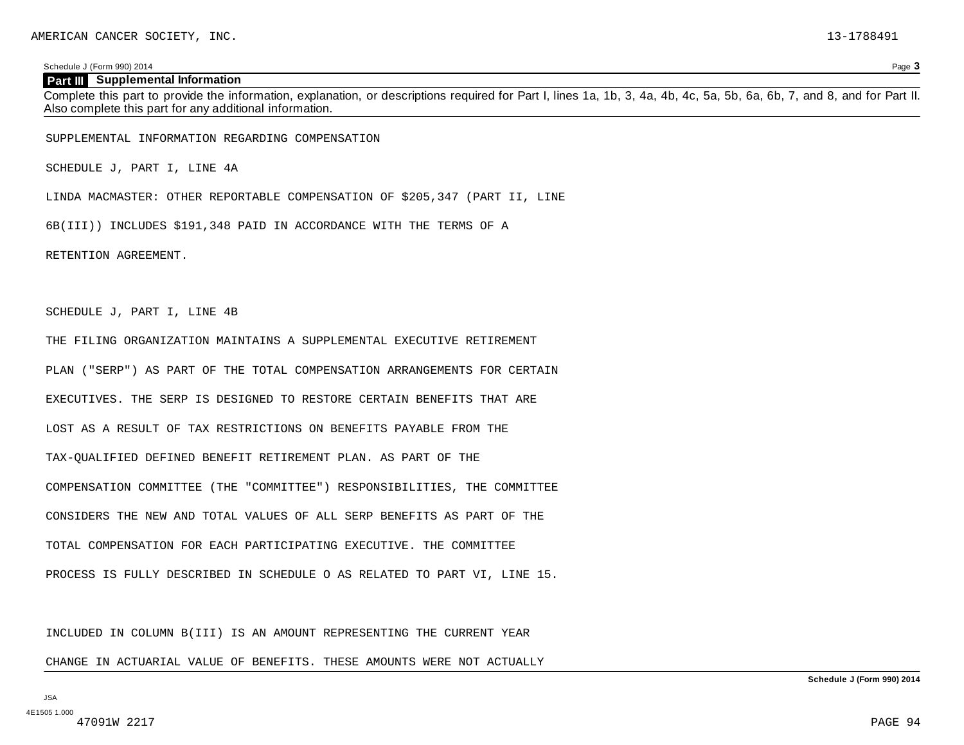#### **Part III Supplemental Information**

Complete this part to provide the information, explanation, or descriptions required for Part I, lines 1a, 1b, 3, 4a, 4b, 4c, 5a, 5b, 6a, 6b, 7, and 8, and for Part II. Also complete this part for any additional information.

SUPPLEMENTAL INFORMATION REGARDING COMPENSATION

SCHEDULE J, PART I, LINE 4A

LINDA MACMASTER: OTHER REPORTABLE COMPENSATION OF \$205,347 (PART II, LINE

6B(III)) INCLUDES \$191,348 PAID IN ACCORDANCE WITH THE TERMS OF A

RETENTION AGREEMENT.

SCHEDULE J, PART I, LINE 4B

THE FILING ORGANIZATION MAINTAINS A SUPPLEMENTAL EXECUTIVE RETIREMENT PLAN ("SERP") AS PART OF THE TOTAL COMPENSATION ARRANGEMENTS FOR CERTAIN EXECUTIVES. THE SERP IS DESIGNED TO RESTORE CERTAIN BENEFITS THAT ARE LOST AS A RESULT OF TAX RESTRICTIONS ON BENEFITS PAYABLE FROM THE TAX-QUALIFIED DEFINED BENEFIT RETIREMENT PLAN. AS PART OF THE COMPENSATION COMMITTEE (THE "COMMITTEE") RESPONSIBILITIES, THE COMMITTEE CONSIDERS THE NEW AND TOTAL VALUES OF ALL SERP BENEFITS AS PART OF THE TOTAL COMPENSATION FOR EACH PARTICIPATING EXECUTIVE. THE COMMITTEE PROCESS IS FULLY DESCRIBED IN SCHEDULE O AS RELATED TO PART VI, LINE 15.

INCLUDED IN COLUMN B(III) IS AN AMOUNT REPRESENTING THE CURRENT YEAR

CHANGE IN ACTUARIAL VALUE OF BENEFITS. THESE AMOUNTS WERE NOT ACTUALLY

**Schedule J (Form 990) 2014**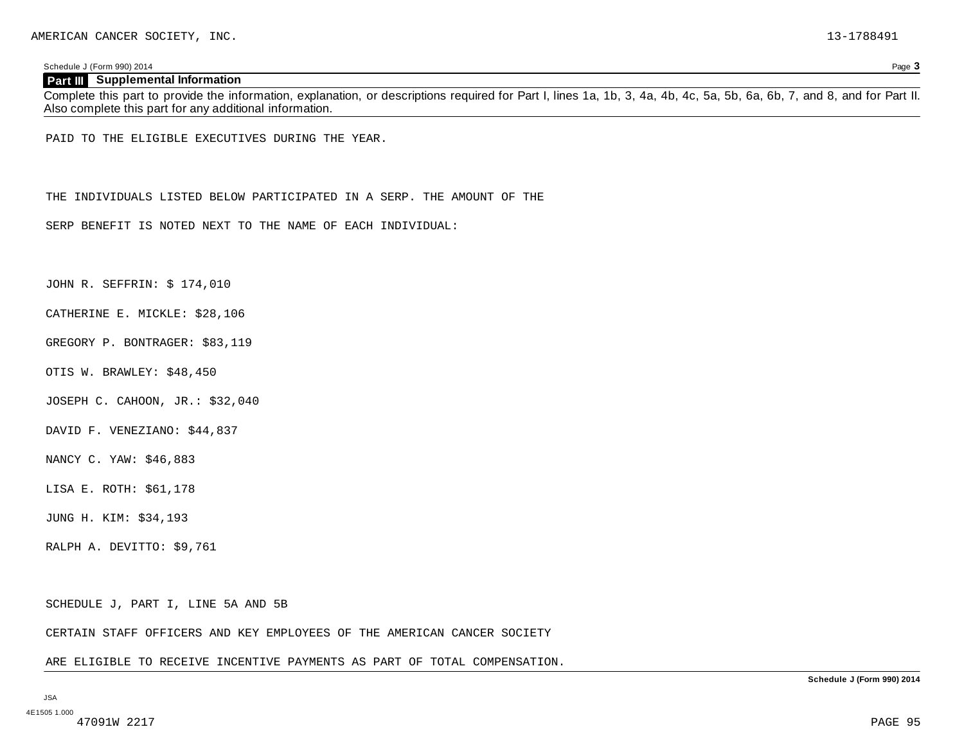#### **Part III Supplemental Information**

Complete this part to provide the information, explanation, or descriptions required for Part I, lines 1a, 1b, 3, 4a, 4b, 4c, 5a, 5b, 6a, 6b, 7, and 8, and for Part II. Also complete this part for any additional information.

PAID TO THE ELIGIBLE EXECUTIVES DURING THE YEAR.

THE INDIVIDUALS LISTED BELOW PARTICIPATED IN A SERP. THE AMOUNT OF THE

SERP BENEFIT IS NOTED NEXT TO THE NAME OF EACH INDIVIDUAL:

JOHN R. SEFFRIN: \$ 174,010

CATHERINE E. MICKLE: \$28,106

GREGORY P. BONTRAGER: \$83,119

OTIS W. BRAWLEY: \$48,450

JOSEPH C. CAHOON, JR.: \$32,040

DAVID F. VENEZIANO: \$44,837

NANCY C. YAW: \$46,883

LISA E. ROTH: \$61,178

JUNG H. KIM: \$34,193

RALPH A. DEVITTO: \$9,761

SCHEDULE J, PART I, LINE 5A AND 5B

CERTAIN STAFF OFFICERS AND KEY EMPLOYEES OF THE AMERICAN CANCER SOCIETY

ARE ELIGIBLE TO RECEIVE INCENTIVE PAYMENTS AS PART OF TOTAL COMPENSATION.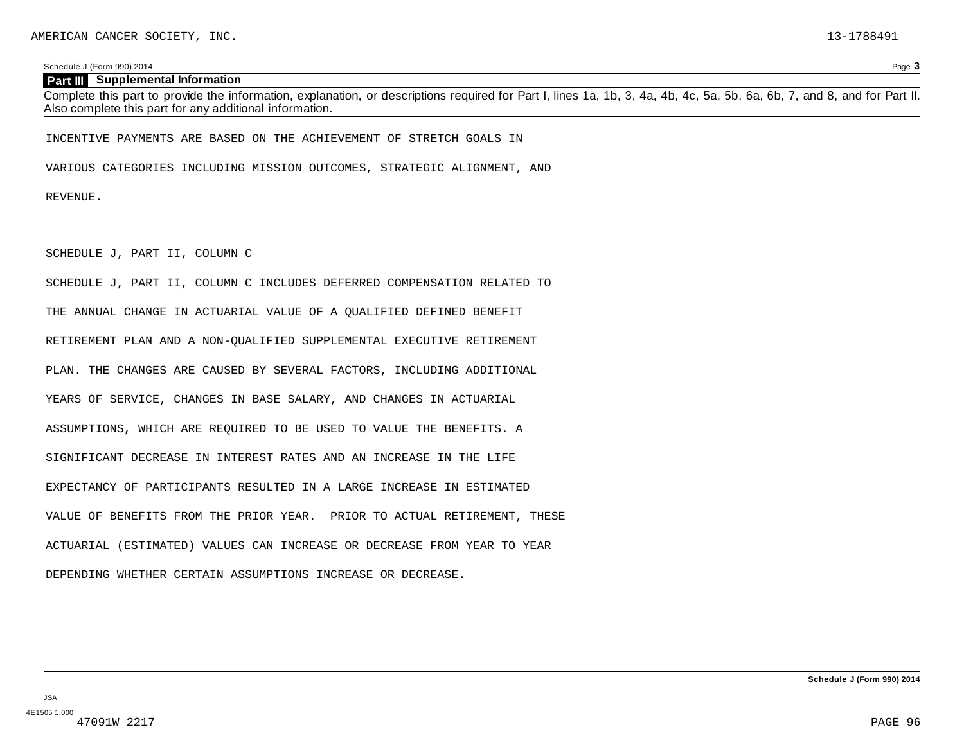#### **Part III Supplemental Information**

Complete this part to provide the information, explanation, or descriptions required for Part I, lines 1a, 1b, 3, 4a, 4b, 4c, 5a, 5b, 6a, 6b, 7, and 8, and for Part II. Also complete this part for any additional information.

INCENTIVE PAYMENTS ARE BASED ON THE ACHIEVEMENT OF STRETCH GOALS IN

VARIOUS CATEGORIES INCLUDING MISSION OUTCOMES, STRATEGIC ALIGNMENT, AND

REVENUE.

SCHEDULE J, PART II, COLUMN C

SCHEDULE J, PART II, COLUMN C INCLUDES DEFERRED COMPENSATION RELATED TO THE ANNUAL CHANGE IN ACTUARIAL VALUE OF A QUALIFIED DEFINED BENEFIT RETIREMENT PLAN AND A NON-QUALIFIED SUPPLEMENTAL EXECUTIVE RETIREMENT PLAN. THE CHANGES ARE CAUSED BY SEVERAL FACTORS, INCLUDING ADDITIONAL YEARS OF SERVICE, CHANGES IN BASE SALARY, AND CHANGES IN ACTUARIAL ASSUMPTIONS, WHICH ARE REQUIRED TO BE USED TO VALUE THE BENEFITS. A SIGNIFICANT DECREASE IN INTEREST RATES AND AN INCREASE IN THE LIFE EXPECTANCY OF PARTICIPANTS RESULTED IN A LARGE INCREASE IN ESTIMATED VALUE OF BENEFITS FROM THE PRIOR YEAR. PRIOR TO ACTUAL RETIREMENT, THESE ACTUARIAL (ESTIMATED) VALUES CAN INCREASE OR DECREASE FROM YEAR TO YEAR DEPENDING WHETHER CERTAIN ASSUMPTIONS INCREASE OR DECREASE.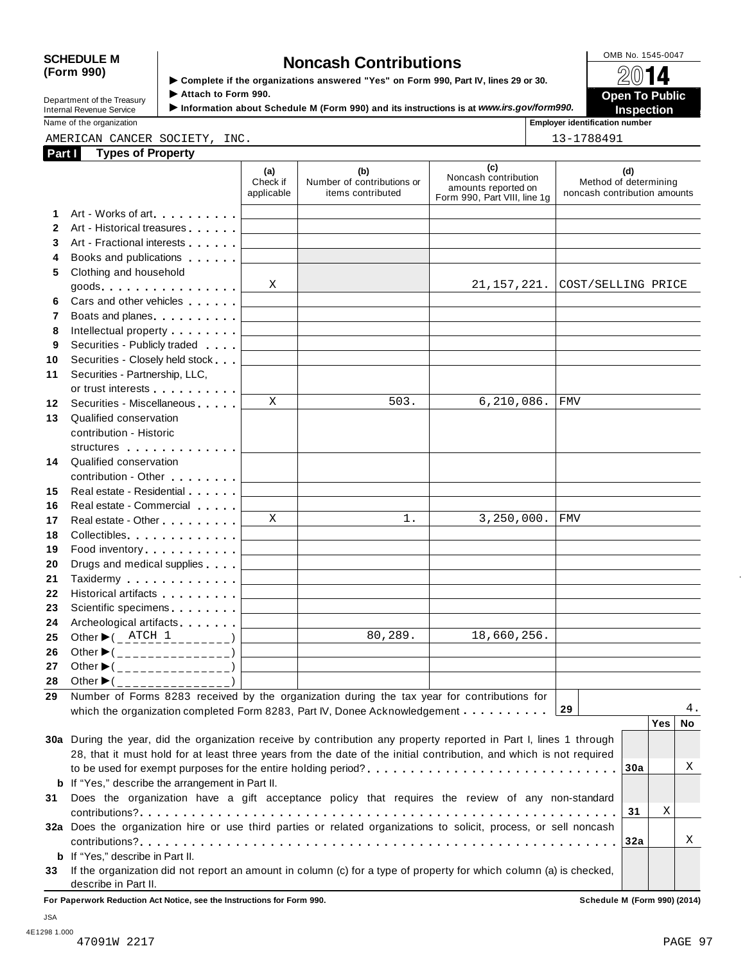## SCHEDULE M<br>
(Form 990) **Somplete if the organizations answered** "Yes" on Form 990, Part IV, lines 29 or 30. 2014 **(Form 990) is a complete** if the organizations answered "Yes" on Form 990, Part IV, lines 29 or 30. ● ② ● △ △ △

| Department of the Treasury |  |
|----------------------------|--|
| Internal Revenue Service   |  |

**I ► Complete it the organizations answered "Yes" on Form 990, Part IV, lines 29 or 30.<br>Department of the Treasury Attach to Form 990.<br>Department of the Treasury Attach to Form 990. Internal Revenue Service** I<br>
Information about Schedule M (Form 990) and its instructions is at *www.irs.gov/form990.* Inspection<br>
Inspection<br>
Inspection<br>
Imployer identification number

Name of the organization **Employer identification number**

| AMERICAN CANCER SOCIETY, INC. |  |  | 13-1788491 |
|-------------------------------|--|--|------------|
|-------------------------------|--|--|------------|

| Part I       | <b>Types of Property</b>                                                                                                                                                                                                       |                               |                                                        |                                                                                    |                                                              |
|--------------|--------------------------------------------------------------------------------------------------------------------------------------------------------------------------------------------------------------------------------|-------------------------------|--------------------------------------------------------|------------------------------------------------------------------------------------|--------------------------------------------------------------|
|              |                                                                                                                                                                                                                                | (a)<br>Check if<br>applicable | (b)<br>Number of contributions or<br>items contributed | (c)<br>Noncash contribution<br>amounts reported on<br>Form 990, Part VIII, line 1g | (d)<br>Method of determining<br>noncash contribution amounts |
| 1            |                                                                                                                                                                                                                                |                               |                                                        |                                                                                    |                                                              |
| $\mathbf{2}$ | Art - Historical treasures                                                                                                                                                                                                     |                               |                                                        |                                                                                    |                                                              |
| 3            | Art - Fractional interests                                                                                                                                                                                                     |                               |                                                        |                                                                                    |                                                              |
| 4            | Books and publications <b>contains</b>                                                                                                                                                                                         |                               |                                                        |                                                                                    |                                                              |
| 5            | Clothing and household                                                                                                                                                                                                         |                               |                                                        |                                                                                    |                                                              |
|              |                                                                                                                                                                                                                                | X                             |                                                        | 21, 157, 221.                                                                      | COST/SELLING PRICE                                           |
| 6            | Cars and other vehicles <b>Cars</b>                                                                                                                                                                                            |                               |                                                        |                                                                                    |                                                              |
| 7            | Boats and planes                                                                                                                                                                                                               |                               |                                                        |                                                                                    |                                                              |
| 8            | Intellectual property                                                                                                                                                                                                          |                               |                                                        |                                                                                    |                                                              |
| 9            | Securities - Publicly traded                                                                                                                                                                                                   |                               |                                                        |                                                                                    |                                                              |
| 10           | Securities - Closely held stock                                                                                                                                                                                                |                               |                                                        |                                                                                    |                                                              |
| 11           | Securities - Partnership, LLC,                                                                                                                                                                                                 |                               |                                                        |                                                                                    |                                                              |
|              | or trust interests experience that the set of the set of the set of the set of the set of the set of the set of the set of the set of the set of the set of the set of the set of the set of the set of the set of the set of  |                               |                                                        |                                                                                    |                                                              |
| 12           | Securities - Miscellaneous                                                                                                                                                                                                     | X                             | 503.                                                   | 6, 210, 086.                                                                       | <b>FMV</b>                                                   |
| 13           | Qualified conservation                                                                                                                                                                                                         |                               |                                                        |                                                                                    |                                                              |
|              | contribution - Historic                                                                                                                                                                                                        |                               |                                                        |                                                                                    |                                                              |
|              | structures                                                                                                                                                                                                                     |                               |                                                        |                                                                                    |                                                              |
| 14           | Qualified conservation                                                                                                                                                                                                         |                               |                                                        |                                                                                    |                                                              |
|              | contribution - Other <b>Canadian Contribution</b>                                                                                                                                                                              |                               |                                                        |                                                                                    |                                                              |
| 15           | Real estate - Residential                                                                                                                                                                                                      |                               |                                                        |                                                                                    |                                                              |
| 16           | Real estate - Commercial                                                                                                                                                                                                       |                               |                                                        |                                                                                    |                                                              |
| 17           |                                                                                                                                                                                                                                | X                             | 1.                                                     | 3,250,000.                                                                         | <b>FMV</b>                                                   |
| 18           | Collectibles.                                                                                                                                                                                                                  |                               |                                                        |                                                                                    |                                                              |
| 19           | Food inventory entertainment of the state of the state of the state of the state of the state of the state of the state of the state of the state of the state of the state of the state of the state of the state of the stat |                               |                                                        |                                                                                    |                                                              |
| 20           | Drugs and medical supplies                                                                                                                                                                                                     |                               |                                                        |                                                                                    |                                                              |
| 21           | Taxidermy                                                                                                                                                                                                                      |                               |                                                        |                                                                                    |                                                              |
| 22           | Historical artifacts <b>All Accords</b>                                                                                                                                                                                        |                               |                                                        |                                                                                    |                                                              |
| 23           | Scientific specimens <b>Scientific specimens</b>                                                                                                                                                                               |                               |                                                        |                                                                                    |                                                              |
| 24           | Archeological artifacts <b>Archeological</b>                                                                                                                                                                                   |                               |                                                        |                                                                                    |                                                              |
| 25           | Other $\blacktriangleright$ ( $\_$ ATCH 1                                                                                                                                                                                      |                               | 80,289.                                                | 18,660,256.                                                                        |                                                              |
| 26           | Other $\blacktriangleright$ (_______________)                                                                                                                                                                                  |                               |                                                        |                                                                                    |                                                              |
| 27           | Other $\blacktriangleright$ (_______________)                                                                                                                                                                                  |                               |                                                        |                                                                                    |                                                              |
| 28           | Other $\blacktriangleright$ (_______________)                                                                                                                                                                                  |                               |                                                        |                                                                                    |                                                              |
| 29           | Number of Forms 8283 received by the organization during the tax year for contributions for                                                                                                                                    |                               |                                                        |                                                                                    | 4.                                                           |
|              | which the organization completed Form 8283, Part IV, Donee Acknowledgement                                                                                                                                                     |                               |                                                        |                                                                                    | 29<br><b>Yes</b><br>No                                       |
|              | 30a During the year, did the organization receive by contribution any property reported in Part I, lines 1 through                                                                                                             |                               |                                                        |                                                                                    |                                                              |
|              | 28, that it must hold for at least three years from the date of the initial contribution, and which is not required                                                                                                            |                               |                                                        |                                                                                    |                                                              |
|              |                                                                                                                                                                                                                                |                               |                                                        |                                                                                    | Χ<br>30a                                                     |
|              | <b>b</b> If "Yes," describe the arrangement in Part II.                                                                                                                                                                        |                               |                                                        |                                                                                    |                                                              |
| 31           | Does the organization have a gift acceptance policy that requires the review of any non-standard                                                                                                                               |                               |                                                        |                                                                                    |                                                              |
|              |                                                                                                                                                                                                                                |                               |                                                        |                                                                                    | Χ<br>31                                                      |
|              | 32a Does the organization hire or use third parties or related organizations to solicit, process, or sell noncash                                                                                                              |                               |                                                        |                                                                                    |                                                              |
|              |                                                                                                                                                                                                                                |                               |                                                        |                                                                                    | Χ<br>32a                                                     |
|              | <b>b</b> If "Yes," describe in Part II.                                                                                                                                                                                        |                               |                                                        |                                                                                    |                                                              |
| 33           | If the organization did not report an amount in column (c) for a type of property for which column (a) is checked,                                                                                                             |                               |                                                        |                                                                                    |                                                              |
|              | describe in Part II.                                                                                                                                                                                                           |                               |                                                        |                                                                                    |                                                              |
|              | For Paperwork Reduction Act Notice, see the Instructions for Form 990.                                                                                                                                                         |                               |                                                        |                                                                                    | Schedule M (Form 990) (2014)                                 |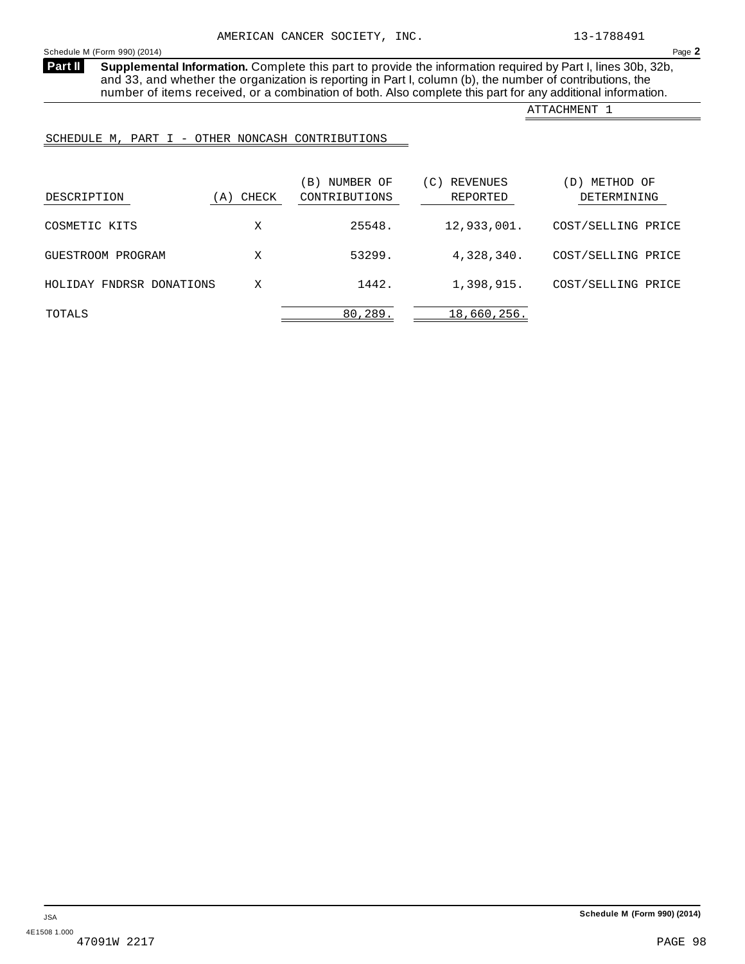<span id="page-96-0"></span>**Supplemental Information.** Complete this part to provide the information required by Part I, lines 30b, 32b, and 33, and whether the organization is reporting in Part I, column (b), the number of contributions, the number of items received, or a combination of both. Also complete this part for any additional information. **Part II**

ATTACHMENT 1

SCHEDULE M, PART I - OTHER NONCASH CONTRIBUTIONS

| DESCRIPTION              | CHECK<br>A) | NUMBER OF<br>$\vert B \rangle$<br>CONTRIBUTIONS | REVENUES<br>$\overline{C}$ )<br>REPORTED | METHOD OF<br>DETERMINING |
|--------------------------|-------------|-------------------------------------------------|------------------------------------------|--------------------------|
| COSMETIC KITS            | Х           | 25548.                                          | 12,933,001.                              | COST/SELLING PRICE       |
| GUESTROOM PROGRAM        | X           | 53299.                                          | 4,328,340.                               | COST/SELLING PRICE       |
| HOLIDAY FNDRSR DONATIONS | Χ           | 1442.                                           | 1,398,915.                               | COST/SELLING PRICE       |
| TOTALS                   |             | 80,289.                                         | 18,660,256.                              |                          |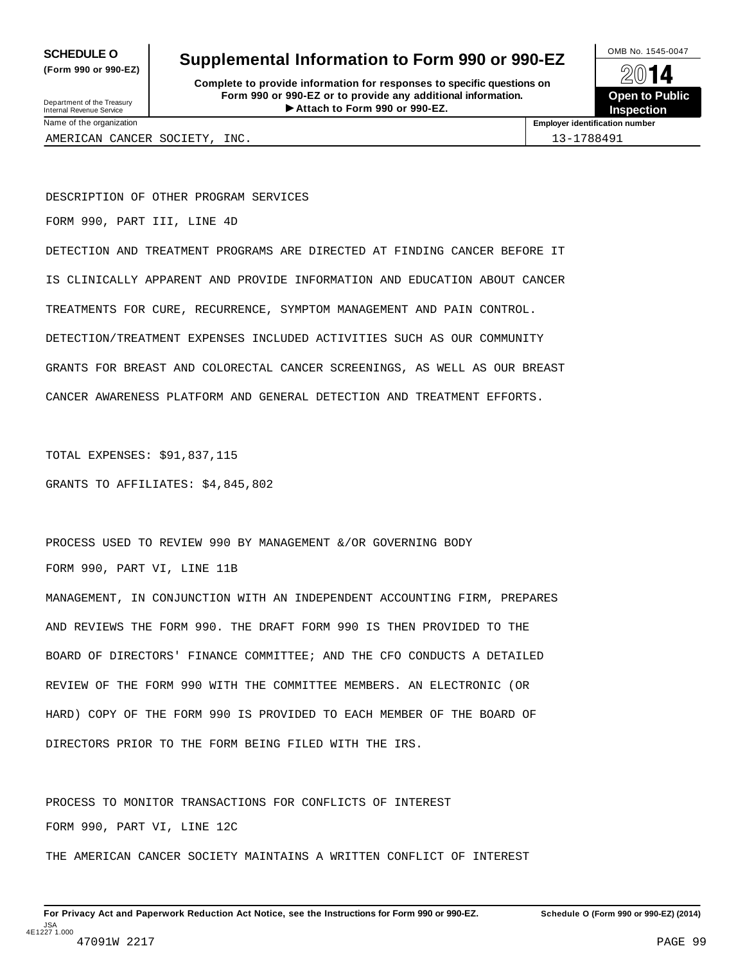**(Form 990 or 990-EZ)**

## **SCHEDULE O** Supplemental Information to Form 990 or 990-EZ  $\frac{100\text{dB No. }1545-0047}{\text{O}}$

**Complete to provide information for responses to specific questions on Form 990 or 990-EZ or to provide any additional information.** Fraction of the **Formation of the COVID COVID COVID COVID COVID COVID COVID COVID COVID COVID COVID COVID COVID COVID COVID COVID COVID COVID COVID COVID COVID COVID COVID COVID COVID COVID COVID COVID COVID COVID COVID CO** Department of the Treasury Internal Revenue Service I



AMERICAN CANCER SOCIETY, INC. 13-1788491

Name of the organization **Employer identification number**

DESCRIPTION OF OTHER PROGRAM SERVICES

FORM 990, PART III, LINE 4D

DETECTION AND TREATMENT PROGRAMS ARE DIRECTED AT FINDING CANCER BEFORE IT IS CLINICALLY APPARENT AND PROVIDE INFORMATION AND EDUCATION ABOUT CANCER TREATMENTS FOR CURE, RECURRENCE, SYMPTOM MANAGEMENT AND PAIN CONTROL. DETECTION/TREATMENT EXPENSES INCLUDED ACTIVITIES SUCH AS OUR COMMUNITY GRANTS FOR BREAST AND COLORECTAL CANCER SCREENINGS, AS WELL AS OUR BREAST CANCER AWARENESS PLATFORM AND GENERAL DETECTION AND TREATMENT EFFORTS.

TOTAL EXPENSES: \$91,837,115

GRANTS TO AFFILIATES: \$4,845,802

PROCESS USED TO REVIEW 990 BY MANAGEMENT &/OR GOVERNING BODY FORM 990, PART VI, LINE 11B

MANAGEMENT, IN CONJUNCTION WITH AN INDEPENDENT ACCOUNTING FIRM, PREPARES AND REVIEWS THE FORM 990. THE DRAFT FORM 990 IS THEN PROVIDED TO THE BOARD OF DIRECTORS' FINANCE COMMITTEE; AND THE CFO CONDUCTS A DETAILED REVIEW OF THE FORM 990 WITH THE COMMITTEE MEMBERS. AN ELECTRONIC (OR HARD) COPY OF THE FORM 990 IS PROVIDED TO EACH MEMBER OF THE BOARD OF DIRECTORS PRIOR TO THE FORM BEING FILED WITH THE IRS.

PROCESS TO MONITOR TRANSACTIONS FOR CONFLICTS OF INTEREST FORM 990, PART VI, LINE 12C THE AMERICAN CANCER SOCIETY MAINTAINS A WRITTEN CONFLICT OF INTEREST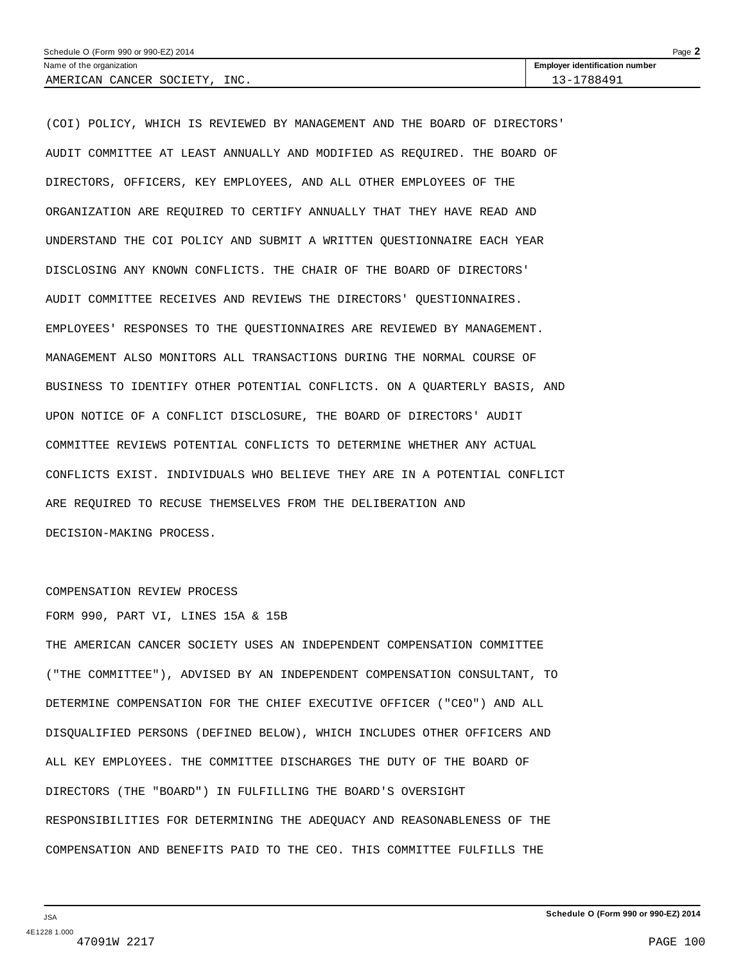| Schedule O (Form 990 or 990-EZ) 2014 |                                       |  |  |  |
|--------------------------------------|---------------------------------------|--|--|--|
| Name of the organization             | <b>Employer identification number</b> |  |  |  |
| INC.<br>SOCIETY<br>AMERICAN CANCER   | 1788491<br>$-3$ $-1$                  |  |  |  |

(COI) POLICY, WHICH IS REVIEWED BY MANAGEMENT AND THE BOARD OF DIRECTORS' AUDIT COMMITTEE AT LEAST ANNUALLY AND MODIFIED AS REQUIRED. THE BOARD OF DIRECTORS, OFFICERS, KEY EMPLOYEES, AND ALL OTHER EMPLOYEES OF THE ORGANIZATION ARE REQUIRED TO CERTIFY ANNUALLY THAT THEY HAVE READ AND UNDERSTAND THE COI POLICY AND SUBMIT A WRITTEN QUESTIONNAIRE EACH YEAR DISCLOSING ANY KNOWN CONFLICTS. THE CHAIR OF THE BOARD OF DIRECTORS' AUDIT COMMITTEE RECEIVES AND REVIEWS THE DIRECTORS' QUESTIONNAIRES. EMPLOYEES' RESPONSES TO THE QUESTIONNAIRES ARE REVIEWED BY MANAGEMENT. MANAGEMENT ALSO MONITORS ALL TRANSACTIONS DURING THE NORMAL COURSE OF BUSINESS TO IDENTIFY OTHER POTENTIAL CONFLICTS. ON A QUARTERLY BASIS, AND UPON NOTICE OF A CONFLICT DISCLOSURE, THE BOARD OF DIRECTORS' AUDIT COMMITTEE REVIEWS POTENTIAL CONFLICTS TO DETERMINE WHETHER ANY ACTUAL CONFLICTS EXIST. INDIVIDUALS WHO BELIEVE THEY ARE IN A POTENTIAL CONFLICT ARE REQUIRED TO RECUSE THEMSELVES FROM THE DELIBERATION AND DECISION-MAKING PROCESS.

#### COMPENSATION REVIEW PROCESS

FORM 990, PART VI, LINES 15A & 15B

THE AMERICAN CANCER SOCIETY USES AN INDEPENDENT COMPENSATION COMMITTEE ("THE COMMITTEE"), ADVISED BY AN INDEPENDENT COMPENSATION CONSULTANT, TO DETERMINE COMPENSATION FOR THE CHIEF EXECUTIVE OFFICER ("CEO") AND ALL DISQUALIFIED PERSONS (DEFINED BELOW), WHICH INCLUDES OTHER OFFICERS AND ALL KEY EMPLOYEES. THE COMMITTEE DISCHARGES THE DUTY OF THE BOARD OF DIRECTORS (THE "BOARD") IN FULFILLING THE BOARD'S OVERSIGHT RESPONSIBILITIES FOR DETERMINING THE ADEQUACY AND REASONABLENESS OF THE COMPENSATION AND BENEFITS PAID TO THE CEO. THIS COMMITTEE FULFILLS THE

JSA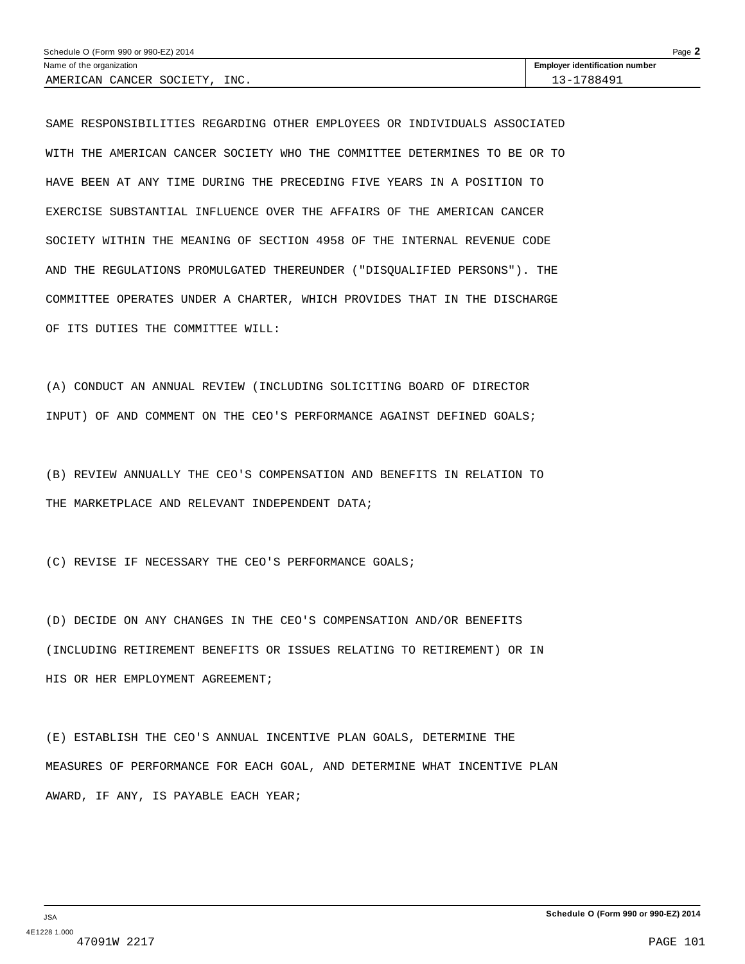| Schedule O (Form 990 or 990-EZ) 2014 |                                       |  |  |  |
|--------------------------------------|---------------------------------------|--|--|--|
| Name of the organization             | <b>Employer identification number</b> |  |  |  |
| INC.<br>. SOCIETY<br>AMERICAN CANCER | 13-1788491                            |  |  |  |

SAME RESPONSIBILITIES REGARDING OTHER EMPLOYEES OR INDIVIDUALS ASSOCIATED WITH THE AMERICAN CANCER SOCIETY WHO THE COMMITTEE DETERMINES TO BE OR TO HAVE BEEN AT ANY TIME DURING THE PRECEDING FIVE YEARS IN A POSITION TO EXERCISE SUBSTANTIAL INFLUENCE OVER THE AFFAIRS OF THE AMERICAN CANCER SOCIETY WITHIN THE MEANING OF SECTION 4958 OF THE INTERNAL REVENUE CODE AND THE REGULATIONS PROMULGATED THEREUNDER ("DISQUALIFIED PERSONS"). THE COMMITTEE OPERATES UNDER A CHARTER, WHICH PROVIDES THAT IN THE DISCHARGE OF ITS DUTIES THE COMMITTEE WILL:

(A) CONDUCT AN ANNUAL REVIEW (INCLUDING SOLICITING BOARD OF DIRECTOR INPUT) OF AND COMMENT ON THE CEO'S PERFORMANCE AGAINST DEFINED GOALS;

(B) REVIEW ANNUALLY THE CEO'S COMPENSATION AND BENEFITS IN RELATION TO THE MARKETPLACE AND RELEVANT INDEPENDENT DATA;

(C) REVISE IF NECESSARY THE CEO'S PERFORMANCE GOALS;

(D) DECIDE ON ANY CHANGES IN THE CEO'S COMPENSATION AND/OR BENEFITS (INCLUDING RETIREMENT BENEFITS OR ISSUES RELATING TO RETIREMENT) OR IN HIS OR HER EMPLOYMENT AGREEMENT;

(E) ESTABLISH THE CEO'S ANNUAL INCENTIVE PLAN GOALS, DETERMINE THE MEASURES OF PERFORMANCE FOR EACH GOAL, AND DETERMINE WHAT INCENTIVE PLAN AWARD, IF ANY, IS PAYABLE EACH YEAR;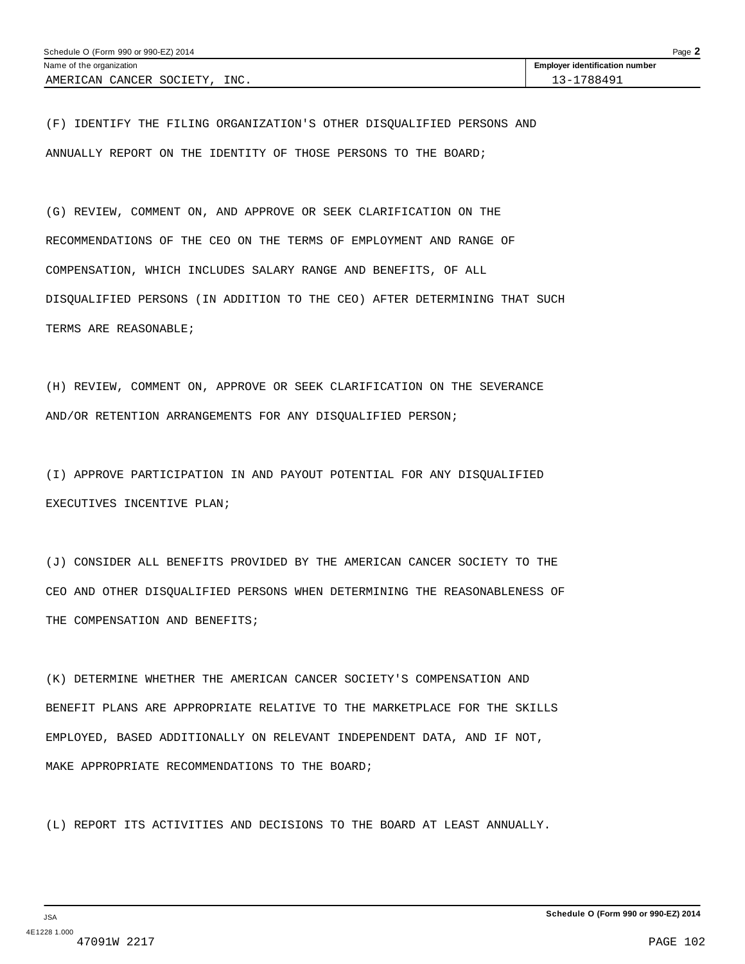| Page $\blacktriangle$<br>Schedule O (Form 990 or 990-EZ) 2014 |                                       |  |  |  |  |
|---------------------------------------------------------------|---------------------------------------|--|--|--|--|
| Name of the organization                                      | <b>Employer identification number</b> |  |  |  |  |
| INC.<br>AMERICAN CANCER SOCIETY                               | 13-1788491                            |  |  |  |  |

(F) IDENTIFY THE FILING ORGANIZATION'S OTHER DISQUALIFIED PERSONS AND ANNUALLY REPORT ON THE IDENTITY OF THOSE PERSONS TO THE BOARD;

(G) REVIEW, COMMENT ON, AND APPROVE OR SEEK CLARIFICATION ON THE RECOMMENDATIONS OF THE CEO ON THE TERMS OF EMPLOYMENT AND RANGE OF COMPENSATION, WHICH INCLUDES SALARY RANGE AND BENEFITS, OF ALL DISQUALIFIED PERSONS (IN ADDITION TO THE CEO) AFTER DETERMINING THAT SUCH TERMS ARE REASONABLE;

(H) REVIEW, COMMENT ON, APPROVE OR SEEK CLARIFICATION ON THE SEVERANCE AND/OR RETENTION ARRANGEMENTS FOR ANY DISQUALIFIED PERSON;

(I) APPROVE PARTICIPATION IN AND PAYOUT POTENTIAL FOR ANY DISQUALIFIED EXECUTIVES INCENTIVE PLAN;

(J) CONSIDER ALL BENEFITS PROVIDED BY THE AMERICAN CANCER SOCIETY TO THE CEO AND OTHER DISQUALIFIED PERSONS WHEN DETERMINING THE REASONABLENESS OF THE COMPENSATION AND BENEFITS;

(K) DETERMINE WHETHER THE AMERICAN CANCER SOCIETY'S COMPENSATION AND BENEFIT PLANS ARE APPROPRIATE RELATIVE TO THE MARKETPLACE FOR THE SKILLS EMPLOYED, BASED ADDITIONALLY ON RELEVANT INDEPENDENT DATA, AND IF NOT, MAKE APPROPRIATE RECOMMENDATIONS TO THE BOARD;

(L) REPORT ITS ACTIVITIES AND DECISIONS TO THE BOARD AT LEAST ANNUALLY.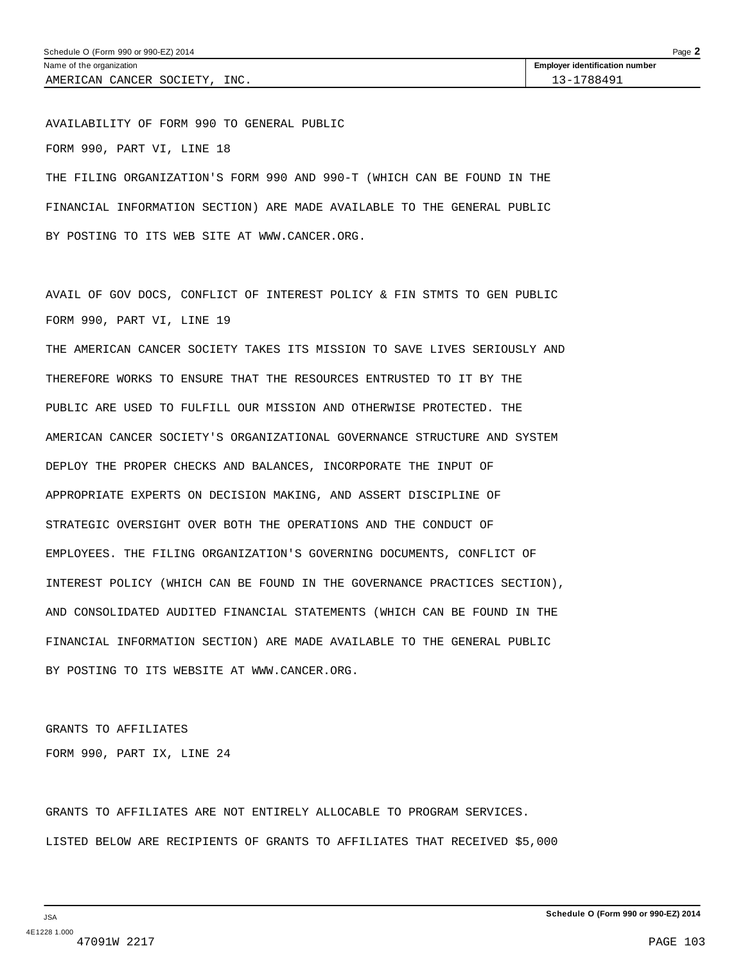AVAILABILITY OF FORM 990 TO GENERAL PUBLIC FORM 990, PART VI, LINE 18 THE FILING ORGANIZATION'S FORM 990 AND 990-T (WHICH CAN BE FOUND IN THE FINANCIAL INFORMATION SECTION) ARE MADE AVAILABLE TO THE GENERAL PUBLIC

BY POSTING TO ITS WEB SITE AT WWW.CANCER.ORG.

AVAIL OF GOV DOCS, CONFLICT OF INTEREST POLICY & FIN STMTS TO GEN PUBLIC FORM 990, PART VI, LINE 19

THE AMERICAN CANCER SOCIETY TAKES ITS MISSION TO SAVE LIVES SERIOUSLY AND THEREFORE WORKS TO ENSURE THAT THE RESOURCES ENTRUSTED TO IT BY THE PUBLIC ARE USED TO FULFILL OUR MISSION AND OTHERWISE PROTECTED. THE AMERICAN CANCER SOCIETY'S ORGANIZATIONAL GOVERNANCE STRUCTURE AND SYSTEM DEPLOY THE PROPER CHECKS AND BALANCES, INCORPORATE THE INPUT OF APPROPRIATE EXPERTS ON DECISION MAKING, AND ASSERT DISCIPLINE OF STRATEGIC OVERSIGHT OVER BOTH THE OPERATIONS AND THE CONDUCT OF EMPLOYEES. THE FILING ORGANIZATION'S GOVERNING DOCUMENTS, CONFLICT OF INTEREST POLICY (WHICH CAN BE FOUND IN THE GOVERNANCE PRACTICES SECTION), AND CONSOLIDATED AUDITED FINANCIAL STATEMENTS (WHICH CAN BE FOUND IN THE FINANCIAL INFORMATION SECTION) ARE MADE AVAILABLE TO THE GENERAL PUBLIC BY POSTING TO ITS WEBSITE AT WWW.CANCER.ORG.

GRANTS TO AFFILIATES FORM 990, PART IX, LINE 24

GRANTS TO AFFILIATES ARE NOT ENTIRELY ALLOCABLE TO PROGRAM SERVICES. LISTED BELOW ARE RECIPIENTS OF GRANTS TO AFFILIATES THAT RECEIVED \$5,000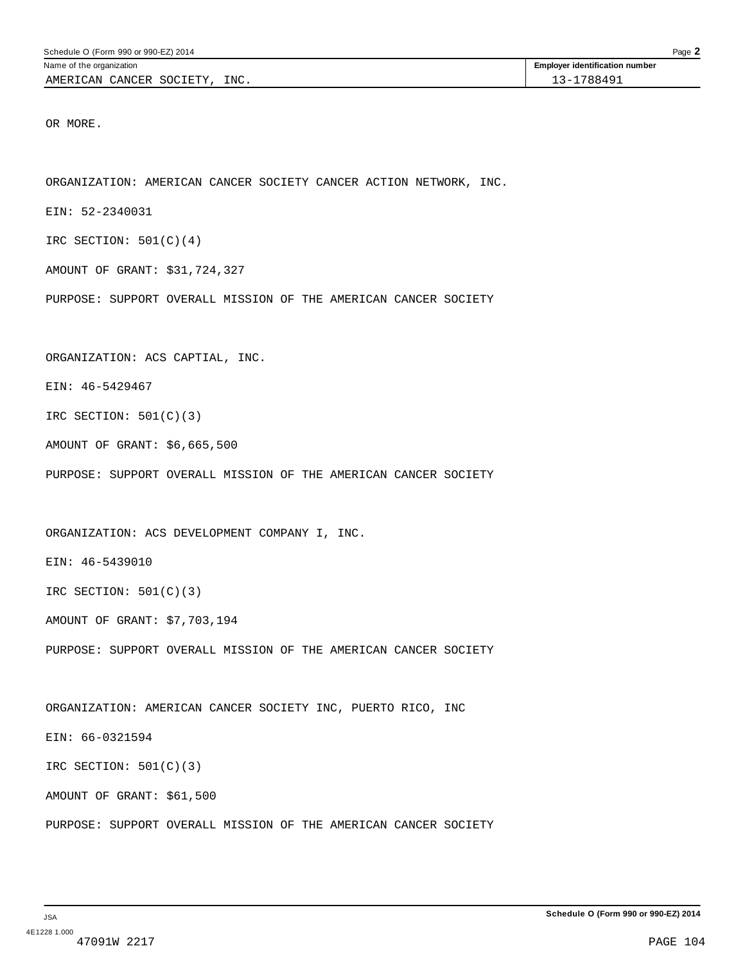OR MORE.

ORGANIZATION: AMERICAN CANCER SOCIETY CANCER ACTION NETWORK, INC.

EIN: 52-2340031

IRC SECTION:  $501(C)(4)$ 

AMOUNT OF GRANT: \$31,724,327

PURPOSE: SUPPORT OVERALL MISSION OF THE AMERICAN CANCER SOCIETY

ORGANIZATION: ACS CAPTIAL, INC.

EIN: 46-5429467

IRC SECTION: 501(C)(3)

AMOUNT OF GRANT: \$6,665,500

PURPOSE: SUPPORT OVERALL MISSION OF THE AMERICAN CANCER SOCIETY

ORGANIZATION: ACS DEVELOPMENT COMPANY I, INC.

EIN: 46-5439010

IRC SECTION:  $501(C)(3)$ 

AMOUNT OF GRANT: \$7,703,194

PURPOSE: SUPPORT OVERALL MISSION OF THE AMERICAN CANCER SOCIETY

ORGANIZATION: AMERICAN CANCER SOCIETY INC, PUERTO RICO, INC

EIN: 66-0321594

IRC SECTION: 501(C)(3)

AMOUNT OF GRANT: \$61,500

PURPOSE: SUPPORT OVERALL MISSION OF THE AMERICAN CANCER SOCIETY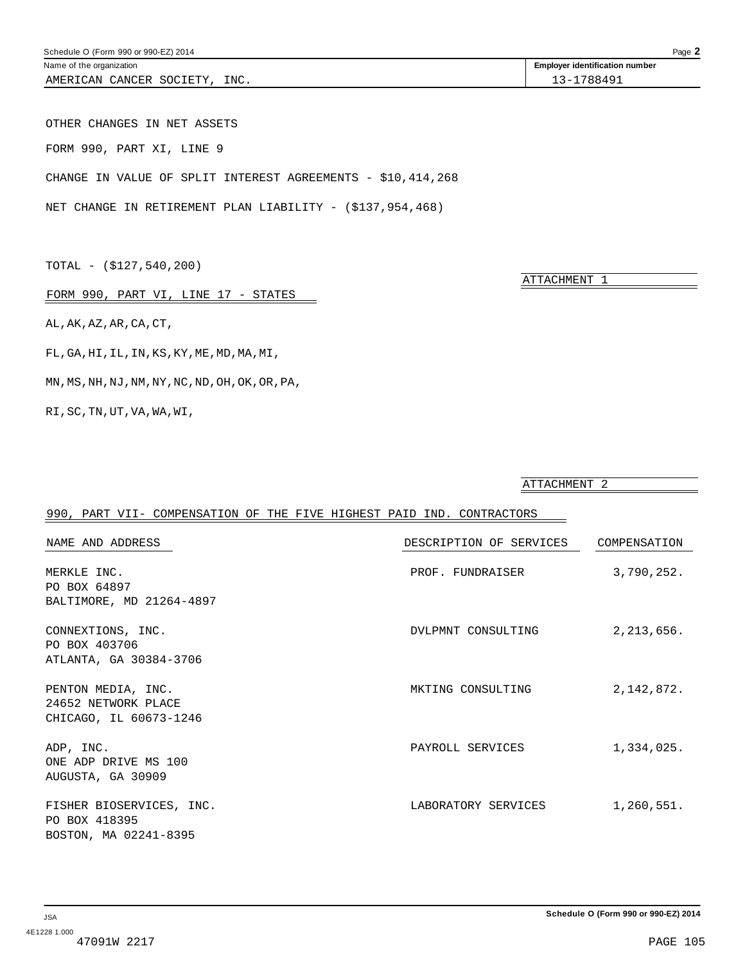Name of the organization **intervalse of the organization intervalse of the organization intervalse of the organization intervalse of the organization intervalse of the organization intervalse of the organization** AMERICAN CANCER SOCIETY, INC. 13-1788491

OTHER CHANGES IN NET ASSETS FORM 990, PART XI, LINE 9 CHANGE IN VALUE OF SPLIT INTEREST AGREEMENTS - \$10,414,268

NET CHANGE IN RETIREMENT PLAN LIABILITY - (\$137,954,468)

TOTAL - (\$127,540,200)

Schedule O (Form 990 or 990-EZ) 2014

FORM 990, PART VI, LINE 17 - STATES

AL,AK,AZ,AR,CA,CT,

FL,GA,HI,IL,IN,KS,KY,ME,MD,MA,MI,

MN,MS,NH,NJ,NM,NY,NC,ND,OH,OK,OR,PA,

RI,SC,TN,UT,VA,WA,WI,

990, PART VII- COMPENSATION OF THE FIVE HIGHEST PAID IND. CONTRACTORS NAME AND ADDRESS DESCRIPTION OF SERVICES COMPENSATION MERKLE INC. 252. PO BOX 64897 BALTIMORE, MD 21264-4897 CONNEXTIONS, INC. DVLPMNT CONSULTING 2,213,656. PO BOX 403706 ATLANTA, GA 30384-3706 PENTON MEDIA, INC.  $MKTING CONSULTING$  2,142,872. 24652 NETWORK PLACE CHICAGO, IL 60673-1246 ADP, INC. ADP, INC. ADP, INC. ONE ADP DRIVE MS 100 AUGUSTA, GA 30909 FISHER BIOSERVICES, INC. THE RESOLUTION OF THE RESOLUTION OF SERVICES THE RESOLUTION OF  $\sim$  1,260,551. PO BOX 418395 BOSTON, MA 02241-8395

ATTACHMENT 1

ATTACHMENT 2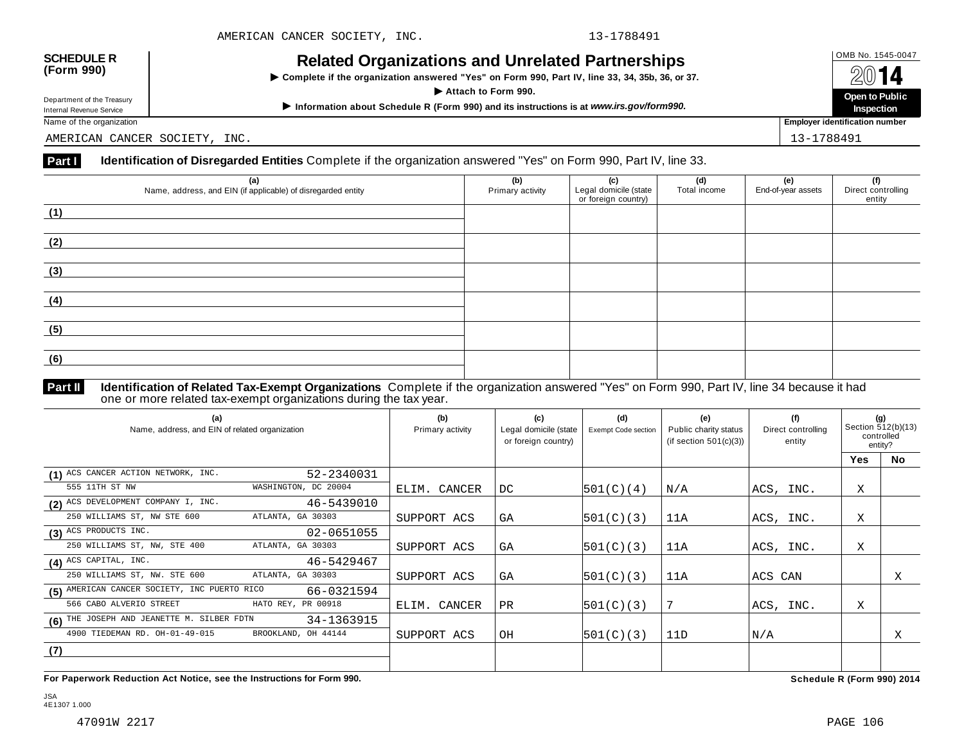# **OMB No. 1545-0047**<br>
(Form 990) **Related Organizations and Unrelated Partnerships
(Form 990) <b>South A**

**Example 18 AVELATION** Complete if the organization answered "Yes" on Form 990, Part IV, line 33, 34, 35b, 36, or 37. I **Department of the Treasury**<br>Department of the Treasury<br>Department of the Treasury

Department of the Treasury<br>
Information about Schedule R (Form 990) and its instructions is at www.irs.gov/form990.<br>
Name of the organization **about Schedule R** (Form 990) and its instructions is at www.irs.gov/form990.

AMERICAN CANCER SOCIETY, INC. 13-1788491

### **Part I Identification of Disregarded Entities** Complete if the organization answered "Yes" on Form 990, Part IV, line 33.

| (a)<br>Name, address, and EIN (if applicable) of disregarded entity | (b)<br>Primary activity | (c)<br>Legal domicile (state<br>or foreign country) | (d)<br>Total income | (e)<br>End-of-year assets | (f)<br>Direct controlling<br>entity |
|---------------------------------------------------------------------|-------------------------|-----------------------------------------------------|---------------------|---------------------------|-------------------------------------|
| (1)                                                                 |                         |                                                     |                     |                           |                                     |
| (2)                                                                 |                         |                                                     |                     |                           |                                     |
| (3)                                                                 |                         |                                                     |                     |                           |                                     |
| (4)                                                                 |                         |                                                     |                     |                           |                                     |
| (5)                                                                 |                         |                                                     |                     |                           |                                     |
| (6)                                                                 |                         |                                                     |                     |                           |                                     |

#### **Identification of Related Tax-Exempt Organizations** Complete if the organization answered "Yes" on Form 990, Part IV, line 34 because it had **Part II Identification of Related Tax-Exempt Organizations** Complete i<br>one or more related tax-exempt organizations during the tax year.

| (a)<br>Name, address, and EIN of related organization | (b)<br>Primary activity | (c)<br>Legal domicile (state<br>or foreign country) | (d)<br>Exempt Code section | (e)<br>Public charity status<br>(if section $501(c)(3)$ ) | (f)<br>Direct controlling<br>entity | (g)<br>Section 512(b)(13)<br>controlled<br>entity? |            |           |
|-------------------------------------------------------|-------------------------|-----------------------------------------------------|----------------------------|-----------------------------------------------------------|-------------------------------------|----------------------------------------------------|------------|-----------|
|                                                       |                         |                                                     |                            |                                                           |                                     |                                                    | <b>Yes</b> | <b>No</b> |
| (1) ACS CANCER ACTION NETWORK, INC.                   | 52-2340031              |                                                     |                            |                                                           |                                     |                                                    |            |           |
| 555 11TH ST NW                                        | WASHINGTON, DC 20004    | ELIM. CANCER                                        | DC.                        | 501(C)(4)                                                 | N/A                                 | ACS, INC.                                          | Χ          |           |
| (2) ACS DEVELOPMENT COMPANY I, INC.                   | 46-5439010              |                                                     |                            |                                                           |                                     |                                                    |            |           |
| 250 WILLIAMS ST, NW STE 600                           | ATLANTA, GA 30303       | SUPPORT ACS                                         | GA                         | 501(C)(3)                                                 | 11A                                 | ACS, INC.                                          | X          |           |
| (3) ACS PRODUCTS INC.                                 | 02-0651055              |                                                     |                            |                                                           |                                     |                                                    |            |           |
| 250 WILLIAMS ST, NW, STE 400                          | ATLANTA, GA 30303       | SUPPORT ACS                                         | GА                         | 501(C)(3)                                                 | 11A                                 | ACS, INC.                                          | Χ          |           |
| $(4)$ ACS CAPITAL, INC.                               | 46-5429467              |                                                     |                            |                                                           |                                     |                                                    |            |           |
| 250 WILLIAMS ST, NW. STE 600                          | ATLANTA, GA 30303       | SUPPORT ACS                                         | GA                         | 501(C)(3)                                                 | 11A                                 | ACS CAN                                            |            | X         |
| (5) AMERICAN CANCER SOCIETY, INC PUERTO RICO          | 66-0321594              |                                                     |                            |                                                           |                                     |                                                    |            |           |
| 566 CABO ALVERIO STREET                               | HATO REY, PR 00918      | ELIM. CANCER                                        | <b>PR</b>                  | 501(C)(3)                                                 | 7                                   | ACS, INC.                                          | X          |           |
| (6) THE JOSEPH AND JEANETTE M. SILBER FDTN            | 34-1363915              |                                                     |                            |                                                           |                                     |                                                    |            |           |
| 4900 TIEDEMAN RD. OH-01-49-015                        | BROOKLAND, OH 44144     | SUPPORT ACS                                         | OН                         | 501(C)(3)                                                 | 11D                                 | N/A                                                |            | Χ         |
| (7)                                                   |                         |                                                     |                            |                                                           |                                     |                                                    |            |           |
|                                                       |                         |                                                     |                            |                                                           |                                     |                                                    |            |           |

**For Paperwork Reduction Act Notice, see the Instructions for Form 990. Schedule R (Form 990) 2014**

JSA 4E1307 1.000



**Employer identification number**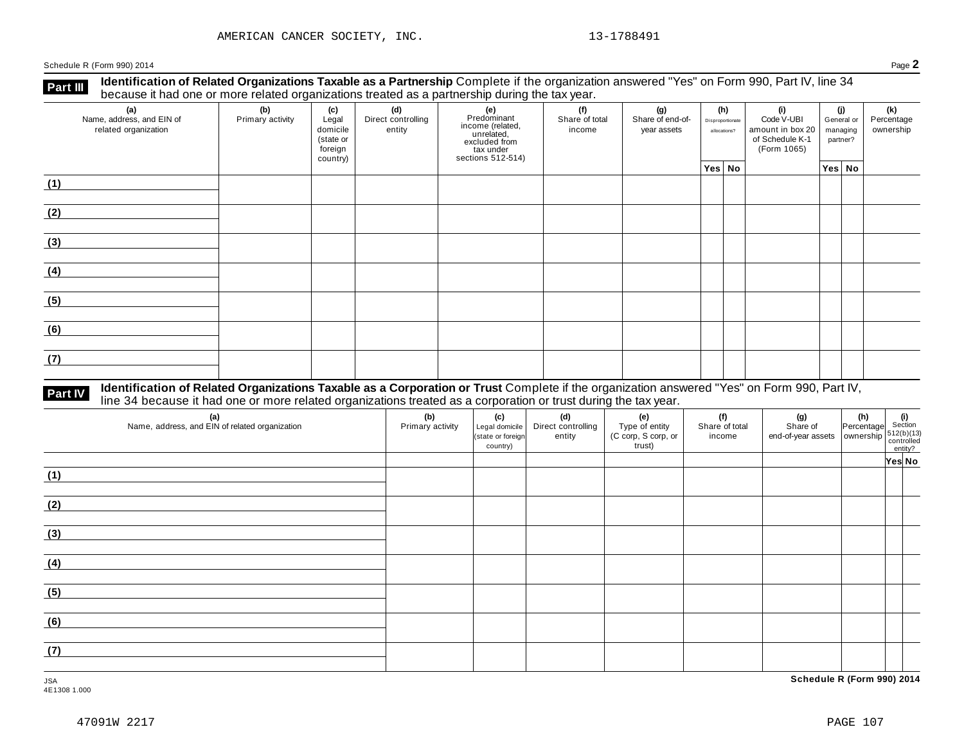**Identification of Related Organizations Taxable as a Partnership** Complete if the organization answered "Yes" on Form 990, Part IV, line 34 **because it had one or more related organizations Taxable as a Partnership** Complete it the organization of Related organizations treated as a partnership during the tax year.

| (a)<br>Name, address, and EIN of<br>related organization | (b)<br>Primary activity | (c)<br>Legal<br>domicile<br>(state or<br>foreign<br>country) | (d)<br>Direct controlling<br>entity | (e)<br>Predominant<br>From (related,<br>income (related,<br>excluded from<br>tax under<br>sections 512-514) | (f)<br>Share of total<br>income | (h)<br>(g)<br>(i)<br>Share of end-of-<br>Disproportionate<br>year assets<br>allocations? |        | Code V-UBI<br>amount in box 20<br>of Schedule K-1<br>(Form 1065) | (j)<br>General or<br>managing<br>partner? |        | (k)<br>Percentage<br>ownership |  |
|----------------------------------------------------------|-------------------------|--------------------------------------------------------------|-------------------------------------|-------------------------------------------------------------------------------------------------------------|---------------------------------|------------------------------------------------------------------------------------------|--------|------------------------------------------------------------------|-------------------------------------------|--------|--------------------------------|--|
|                                                          |                         |                                                              |                                     |                                                                                                             |                                 |                                                                                          | Yes No |                                                                  |                                           | Yes No |                                |  |
| (1)                                                      |                         |                                                              |                                     |                                                                                                             |                                 |                                                                                          |        |                                                                  |                                           |        |                                |  |
| (2)                                                      |                         |                                                              |                                     |                                                                                                             |                                 |                                                                                          |        |                                                                  |                                           |        |                                |  |
| (3)                                                      |                         |                                                              |                                     |                                                                                                             |                                 |                                                                                          |        |                                                                  |                                           |        |                                |  |
| (4)                                                      |                         |                                                              |                                     |                                                                                                             |                                 |                                                                                          |        |                                                                  |                                           |        |                                |  |
| (5)                                                      |                         |                                                              |                                     |                                                                                                             |                                 |                                                                                          |        |                                                                  |                                           |        |                                |  |
| (6)                                                      |                         |                                                              |                                     |                                                                                                             |                                 |                                                                                          |        |                                                                  |                                           |        |                                |  |
| (7)                                                      |                         |                                                              |                                     |                                                                                                             |                                 |                                                                                          |        |                                                                  |                                           |        |                                |  |

# **Part IV** Identification of Related Organizations Taxable as a Corporation or Trust Complete if the organization answered "Yes" on Form 990, Part IV,<br>line 34 because it had one or more related organizations treated as a co

| (a)<br>Name, address, and EIN of related organization | (b)<br>Primary activity | (c)<br>Legal domicile<br>(state or foreign<br>country) | (d)<br>Direct controlling<br>entity | (e)<br>Type of entity<br>(C corp, S corp, or<br>trust) | (f)<br>Share of total<br>income | (g)<br>Share of<br>end-of-year assets   ownership | $\begin{vmatrix} \mathbf{h} \end{vmatrix}$ (i)<br>Percentage Section | $\begin{array}{c}\n 512(b)(13)\n  \  \  \text{controlled} \\   \  \  \text{entity?} \n\end{array}$ |
|-------------------------------------------------------|-------------------------|--------------------------------------------------------|-------------------------------------|--------------------------------------------------------|---------------------------------|---------------------------------------------------|----------------------------------------------------------------------|----------------------------------------------------------------------------------------------------|
|                                                       |                         |                                                        |                                     |                                                        |                                 |                                                   |                                                                      | Yes No                                                                                             |
| (1)                                                   |                         |                                                        |                                     |                                                        |                                 |                                                   |                                                                      |                                                                                                    |
| (2)                                                   |                         |                                                        |                                     |                                                        |                                 |                                                   |                                                                      |                                                                                                    |
| (3)                                                   |                         |                                                        |                                     |                                                        |                                 |                                                   |                                                                      |                                                                                                    |
| (4)                                                   |                         |                                                        |                                     |                                                        |                                 |                                                   |                                                                      |                                                                                                    |
| (5)                                                   |                         |                                                        |                                     |                                                        |                                 |                                                   |                                                                      |                                                                                                    |
| (6)                                                   |                         |                                                        |                                     |                                                        |                                 |                                                   |                                                                      |                                                                                                    |
| (7)                                                   |                         |                                                        |                                     |                                                        |                                 |                                                   |                                                                      |                                                                                                    |

JSA **Schedule R (Form 990) 2014**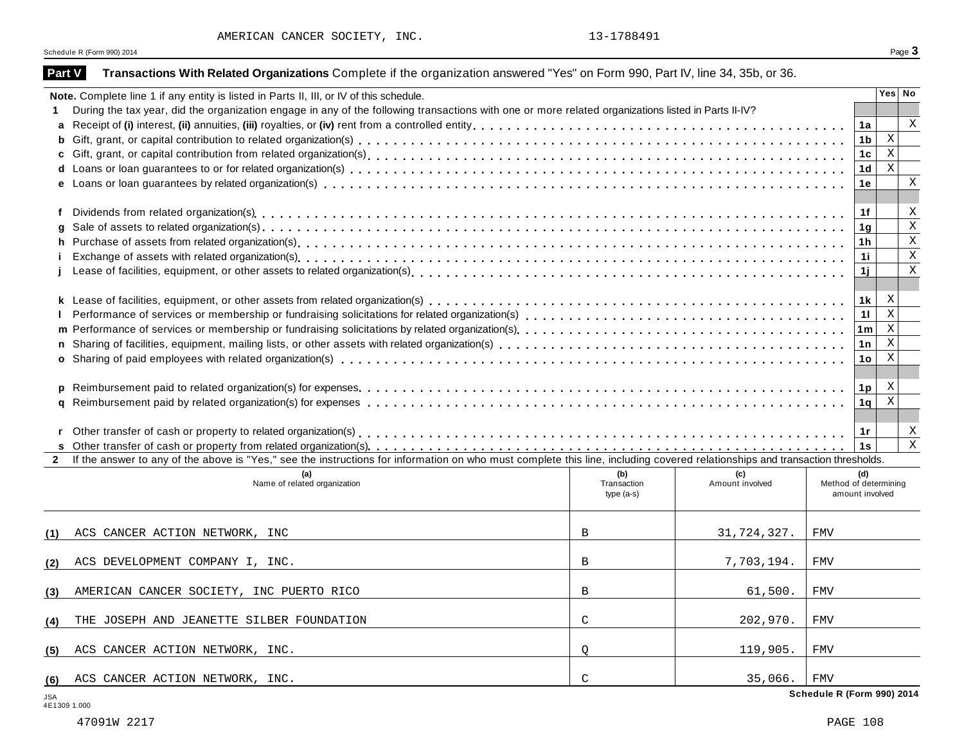AMERICAN CANCER SOCIETY, INC. 13-1788491

Schedule R (Form 990) 2014 **Page**  $3$ 

| Part V       | Transactions With Related Organizations Complete if the organization answered "Yes" on Form 990, Part IV, line 34, 35b, or 36.                                                                                                   |                    |                        |                            |                |                                                    |                         |  |  |  |
|--------------|----------------------------------------------------------------------------------------------------------------------------------------------------------------------------------------------------------------------------------|--------------------|------------------------|----------------------------|----------------|----------------------------------------------------|-------------------------|--|--|--|
|              | Note. Complete line 1 if any entity is listed in Parts II, III, or IV of this schedule.                                                                                                                                          |                    |                        |                            |                | Yes No                                             |                         |  |  |  |
|              | During the tax year, did the organization engage in any of the following transactions with one or more related organizations listed in Parts II-IV?                                                                              |                    |                        |                            |                |                                                    |                         |  |  |  |
|              |                                                                                                                                                                                                                                  |                    |                        |                            | 1a             |                                                    | X                       |  |  |  |
| b            |                                                                                                                                                                                                                                  |                    |                        |                            | 1 <sub>b</sub> | $\,$ X                                             |                         |  |  |  |
|              |                                                                                                                                                                                                                                  |                    |                        |                            | 1 <sub>c</sub> | $\overline{\mathbf{x}}$                            |                         |  |  |  |
| d            |                                                                                                                                                                                                                                  |                    |                        |                            | 1 <sub>d</sub> | $\rm X$                                            |                         |  |  |  |
|              |                                                                                                                                                                                                                                  |                    |                        |                            | 1e             |                                                    | X                       |  |  |  |
|              |                                                                                                                                                                                                                                  |                    |                        |                            |                |                                                    |                         |  |  |  |
|              |                                                                                                                                                                                                                                  |                    |                        |                            | 1f             |                                                    | Χ                       |  |  |  |
| q            |                                                                                                                                                                                                                                  |                    |                        |                            | 1 <sub>q</sub> |                                                    | $\rm X$<br>$\mathbf X$  |  |  |  |
| h.           | Purchase of assets from related organization(s)<br>interaction by content to content the content of assets from the content or contract of the content of the content of the content of the content of the content of the conten |                    |                        |                            |                |                                                    |                         |  |  |  |
|              |                                                                                                                                                                                                                                  |                    |                        |                            | 1i             |                                                    | $\rm X$                 |  |  |  |
|              |                                                                                                                                                                                                                                  |                    |                        |                            | 1j             |                                                    | $\rm X$                 |  |  |  |
|              |                                                                                                                                                                                                                                  |                    |                        |                            |                | $\boldsymbol{\mathrm{X}}$                          |                         |  |  |  |
|              | 1k                                                                                                                                                                                                                               |                    |                        |                            |                |                                                    |                         |  |  |  |
|              |                                                                                                                                                                                                                                  |                    |                        |                            | 11             | $\overline{\mathbf{x}}$<br>$\overline{\mathbf{x}}$ |                         |  |  |  |
|              | 1 <sub>m</sub>                                                                                                                                                                                                                   |                    |                        |                            |                |                                                    |                         |  |  |  |
|              |                                                                                                                                                                                                                                  |                    |                        |                            | 1n             | $\overline{X}$                                     |                         |  |  |  |
|              |                                                                                                                                                                                                                                  |                    |                        |                            | 1 <sub>o</sub> | $\mathbf{X}$                                       |                         |  |  |  |
|              |                                                                                                                                                                                                                                  |                    |                        |                            |                |                                                    |                         |  |  |  |
| p            |                                                                                                                                                                                                                                  |                    |                        |                            | 1 <sub>p</sub> | X                                                  |                         |  |  |  |
|              |                                                                                                                                                                                                                                  |                    |                        |                            | 1 <sub>q</sub> | $\overline{\mathbf{x}}$                            |                         |  |  |  |
|              |                                                                                                                                                                                                                                  |                    |                        |                            |                |                                                    |                         |  |  |  |
| r            |                                                                                                                                                                                                                                  |                    |                        |                            | 1r             |                                                    | X                       |  |  |  |
| s.           |                                                                                                                                                                                                                                  |                    |                        |                            | 1s             |                                                    | $\overline{\mathbf{x}}$ |  |  |  |
| $\mathbf{2}$ | If the answer to any of the above is "Yes," see the instructions for information on who must complete this line, including covered relationships and transaction thresholds.                                                     |                    |                        |                            |                |                                                    |                         |  |  |  |
|              | (a)<br>Name of related organization                                                                                                                                                                                              | (b)<br>Transaction | (c)<br>Amount involved | Method of determining      | (d)            |                                                    |                         |  |  |  |
|              |                                                                                                                                                                                                                                  | type (a-s)         |                        | amount involved            |                |                                                    |                         |  |  |  |
|              |                                                                                                                                                                                                                                  |                    |                        |                            |                |                                                    |                         |  |  |  |
| (1)          | ACS CANCER ACTION NETWORK, INC                                                                                                                                                                                                   | B                  | 31,724,327.            | <b>FMV</b>                 |                |                                                    |                         |  |  |  |
|              |                                                                                                                                                                                                                                  |                    |                        |                            |                |                                                    |                         |  |  |  |
| (2)          | ACS DEVELOPMENT COMPANY I, INC.                                                                                                                                                                                                  | $\mathbf B$        | 7,703,194.             | <b>FMV</b>                 |                |                                                    |                         |  |  |  |
| (3)          | AMERICAN CANCER SOCIETY, INC PUERTO RICO                                                                                                                                                                                         | B                  | 61,500.                | <b>FMV</b>                 |                |                                                    |                         |  |  |  |
|              |                                                                                                                                                                                                                                  |                    |                        |                            |                |                                                    |                         |  |  |  |
| (4)          | THE JOSEPH AND JEANETTE SILBER FOUNDATION                                                                                                                                                                                        | C                  | 202,970.               | <b>FMV</b>                 |                |                                                    |                         |  |  |  |
|              |                                                                                                                                                                                                                                  |                    |                        |                            |                |                                                    |                         |  |  |  |
| (5)          | ACS CANCER ACTION NETWORK, INC.                                                                                                                                                                                                  | Q                  | 119,905.               | <b>FMV</b>                 |                |                                                    |                         |  |  |  |
|              |                                                                                                                                                                                                                                  |                    |                        |                            |                |                                                    |                         |  |  |  |
| (6)          | ACS CANCER ACTION NETWORK, INC.                                                                                                                                                                                                  | C                  | 35,066.                | <b>FMV</b>                 |                |                                                    |                         |  |  |  |
| JSA          |                                                                                                                                                                                                                                  |                    |                        | Schedule R (Form 990) 2014 |                |                                                    |                         |  |  |  |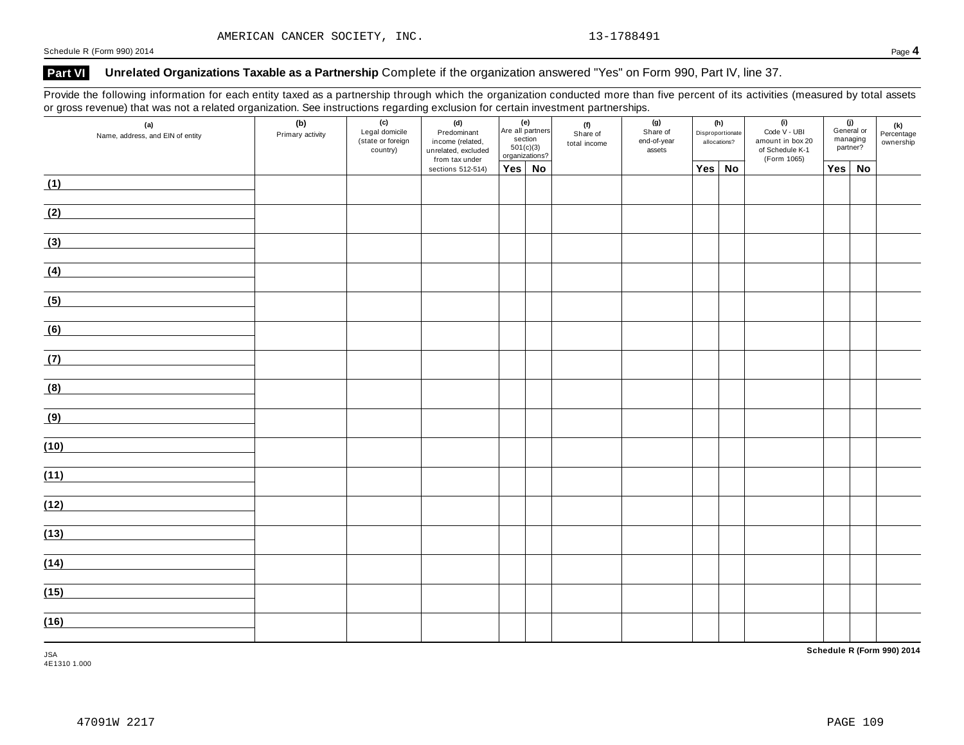### **Part VI Unrelated Organizations Taxable as a Partnership** Complete if the organization answered "Yes" on Form 990, Part IV, line 37.

Provide the following information for each entity taxed as a partnership through which the organization conducted more than five percent of its activities (measured by total assets or gross revenue) that was not a related organization. See instructions regarding exclusion for certain investment partnerships.

|      | (a)<br>Name, address, and EIN of entity | (b)<br>Primary activity | (c)<br>Legal domicile<br>(state or foreign<br>country) | (d)<br>Predominant<br>income (related,<br>unrelated, excluded<br>from tax under | Are all partners<br>section<br>501(c)(3)<br>organizations? | (e) | (f)<br>Share of<br>total income | (g)<br>Share of<br>end-of-year<br>assets |        | (h)<br>Disproportionate<br>allocations? | (i)<br>Code V - UBI<br>amount in box 20<br>of Schedule K-1<br>(Form 1065) |     | (j)<br>General or<br>managing<br>partner? | $(k)$ Percentage<br>ownership |
|------|-----------------------------------------|-------------------------|--------------------------------------------------------|---------------------------------------------------------------------------------|------------------------------------------------------------|-----|---------------------------------|------------------------------------------|--------|-----------------------------------------|---------------------------------------------------------------------------|-----|-------------------------------------------|-------------------------------|
|      |                                         |                         |                                                        | sections 512-514)                                                               | $Yes \mid No$                                              |     |                                 |                                          | Yes No |                                         |                                                                           | Yes | <b>No</b>                                 |                               |
| (1)  |                                         |                         |                                                        |                                                                                 |                                                            |     |                                 |                                          |        |                                         |                                                                           |     |                                           |                               |
| (2)  |                                         |                         |                                                        |                                                                                 |                                                            |     |                                 |                                          |        |                                         |                                                                           |     |                                           |                               |
| (3)  |                                         |                         |                                                        |                                                                                 |                                                            |     |                                 |                                          |        |                                         |                                                                           |     |                                           |                               |
| (4)  |                                         |                         |                                                        |                                                                                 |                                                            |     |                                 |                                          |        |                                         |                                                                           |     |                                           |                               |
| (5)  |                                         |                         |                                                        |                                                                                 |                                                            |     |                                 |                                          |        |                                         |                                                                           |     |                                           |                               |
| (6)  |                                         |                         |                                                        |                                                                                 |                                                            |     |                                 |                                          |        |                                         |                                                                           |     |                                           |                               |
| (7)  |                                         |                         |                                                        |                                                                                 |                                                            |     |                                 |                                          |        |                                         |                                                                           |     |                                           |                               |
| (8)  |                                         |                         |                                                        |                                                                                 |                                                            |     |                                 |                                          |        |                                         |                                                                           |     |                                           |                               |
| (9)  |                                         |                         |                                                        |                                                                                 |                                                            |     |                                 |                                          |        |                                         |                                                                           |     |                                           |                               |
| (10) |                                         |                         |                                                        |                                                                                 |                                                            |     |                                 |                                          |        |                                         |                                                                           |     |                                           |                               |
| (11) |                                         |                         |                                                        |                                                                                 |                                                            |     |                                 |                                          |        |                                         |                                                                           |     |                                           |                               |
| (12) |                                         |                         |                                                        |                                                                                 |                                                            |     |                                 |                                          |        |                                         |                                                                           |     |                                           |                               |
| (13) |                                         |                         |                                                        |                                                                                 |                                                            |     |                                 |                                          |        |                                         |                                                                           |     |                                           |                               |
| (14) |                                         |                         |                                                        |                                                                                 |                                                            |     |                                 |                                          |        |                                         |                                                                           |     |                                           |                               |
| (15) |                                         |                         |                                                        |                                                                                 |                                                            |     |                                 |                                          |        |                                         |                                                                           |     |                                           |                               |
| (16) |                                         |                         |                                                        |                                                                                 |                                                            |     |                                 |                                          |        |                                         |                                                                           |     |                                           |                               |

**Schedule R (Form 990) 2014**

JSA 4E1310 1.000